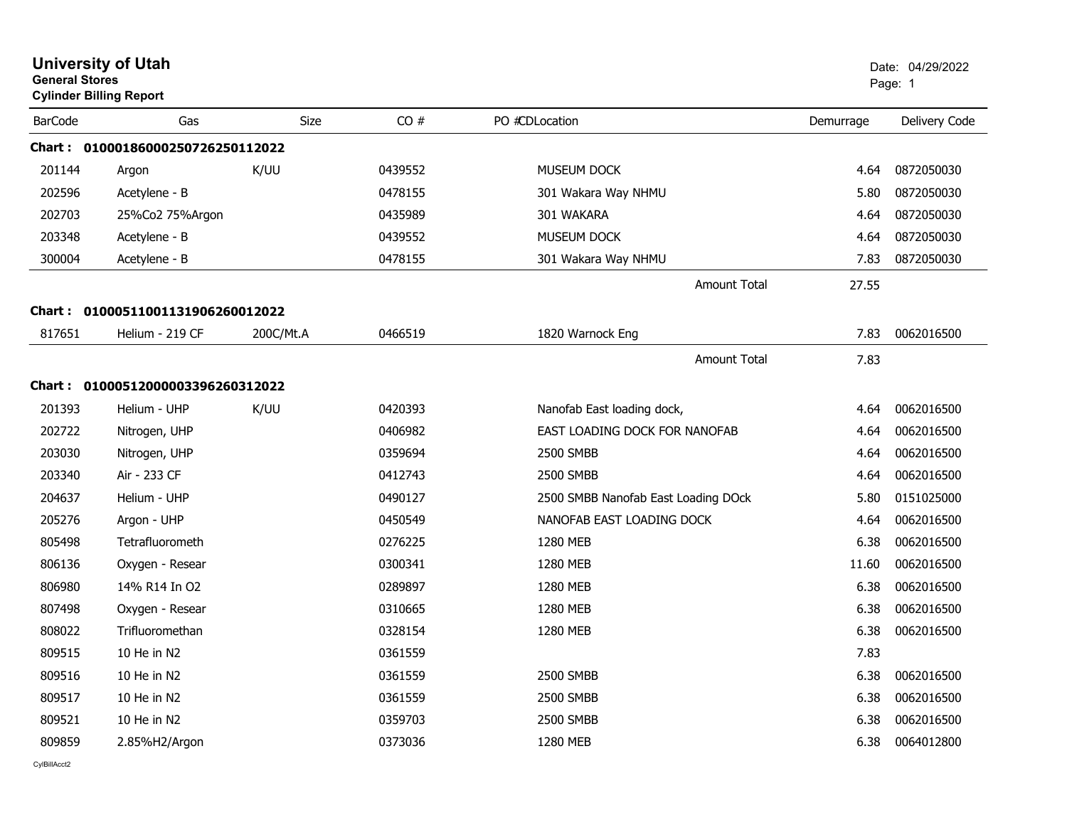| <b>University of Utah</b><br><b>General Stores</b><br><b>Cylinder Billing Report</b> |                                   |           |         |                                     |           | Date: 04/29/2022<br>Page: 1 |  |
|--------------------------------------------------------------------------------------|-----------------------------------|-----------|---------|-------------------------------------|-----------|-----------------------------|--|
| <b>BarCode</b>                                                                       | Gas                               | Size      | CO#     | PO #CDLocation                      | Demurrage | Delivery Code               |  |
|                                                                                      | Chart: 01000186000250726250112022 |           |         |                                     |           |                             |  |
| 201144                                                                               | Argon                             | K/UU      | 0439552 | <b>MUSEUM DOCK</b>                  | 4.64      | 0872050030                  |  |
| 202596                                                                               | Acetylene - B                     |           | 0478155 | 301 Wakara Way NHMU                 | 5.80      | 0872050030                  |  |
| 202703                                                                               | 25%Co2 75%Argon                   |           | 0435989 | 301 WAKARA                          | 4.64      | 0872050030                  |  |
| 203348                                                                               | Acetylene - B                     |           | 0439552 | MUSEUM DOCK                         | 4.64      | 0872050030                  |  |
| 300004                                                                               | Acetylene - B                     |           | 0478155 | 301 Wakara Way NHMU                 | 7.83      | 0872050030                  |  |
|                                                                                      |                                   |           |         | <b>Amount Total</b>                 | 27.55     |                             |  |
|                                                                                      | Chart: 01000511001131906260012022 |           |         |                                     |           |                             |  |
| 817651                                                                               | Helium - 219 CF                   | 200C/Mt.A | 0466519 | 1820 Warnock Eng                    | 7.83      | 0062016500                  |  |
|                                                                                      |                                   |           |         | Amount Total                        | 7.83      |                             |  |
|                                                                                      | Chart: 01000512000003396260312022 |           |         |                                     |           |                             |  |
| 201393                                                                               | Helium - UHP                      | K/UU      | 0420393 | Nanofab East loading dock,          | 4.64      | 0062016500                  |  |
| 202722                                                                               | Nitrogen, UHP                     |           | 0406982 | EAST LOADING DOCK FOR NANOFAB       | 4.64      | 0062016500                  |  |
| 203030                                                                               | Nitrogen, UHP                     |           | 0359694 | 2500 SMBB                           | 4.64      | 0062016500                  |  |
| 203340                                                                               | Air - 233 CF                      |           | 0412743 | 2500 SMBB                           | 4.64      | 0062016500                  |  |
| 204637                                                                               | Helium - UHP                      |           | 0490127 | 2500 SMBB Nanofab East Loading DOck | 5.80      | 0151025000                  |  |
| 205276                                                                               | Argon - UHP                       |           | 0450549 | NANOFAB EAST LOADING DOCK           | 4.64      | 0062016500                  |  |
| 805498                                                                               | Tetrafluorometh                   |           | 0276225 | 1280 MEB                            | 6.38      | 0062016500                  |  |
| 806136                                                                               | Oxygen - Resear                   |           | 0300341 | 1280 MEB                            | 11.60     | 0062016500                  |  |
| 806980                                                                               | 14% R14 In O2                     |           | 0289897 | 1280 MEB                            | 6.38      | 0062016500                  |  |
| 807498                                                                               | Oxygen - Resear                   |           | 0310665 | 1280 MEB                            | 6.38      | 0062016500                  |  |
| 808022                                                                               | Trifluoromethan                   |           | 0328154 | 1280 MEB                            | 6.38      | 0062016500                  |  |
| 809515                                                                               | 10 He in N2                       |           | 0361559 |                                     | 7.83      |                             |  |
| 809516                                                                               | 10 He in N2                       |           | 0361559 | 2500 SMBB                           | 6.38      | 0062016500                  |  |
| 809517                                                                               | 10 He in N2                       |           | 0361559 | 2500 SMBB                           | 6.38      | 0062016500                  |  |
| 809521                                                                               | 10 He in N2                       |           | 0359703 | 2500 SMBB                           | 6.38      | 0062016500                  |  |
| 809859                                                                               | 2.85%H2/Argon                     |           | 0373036 | 1280 MEB                            | 6.38      | 0064012800                  |  |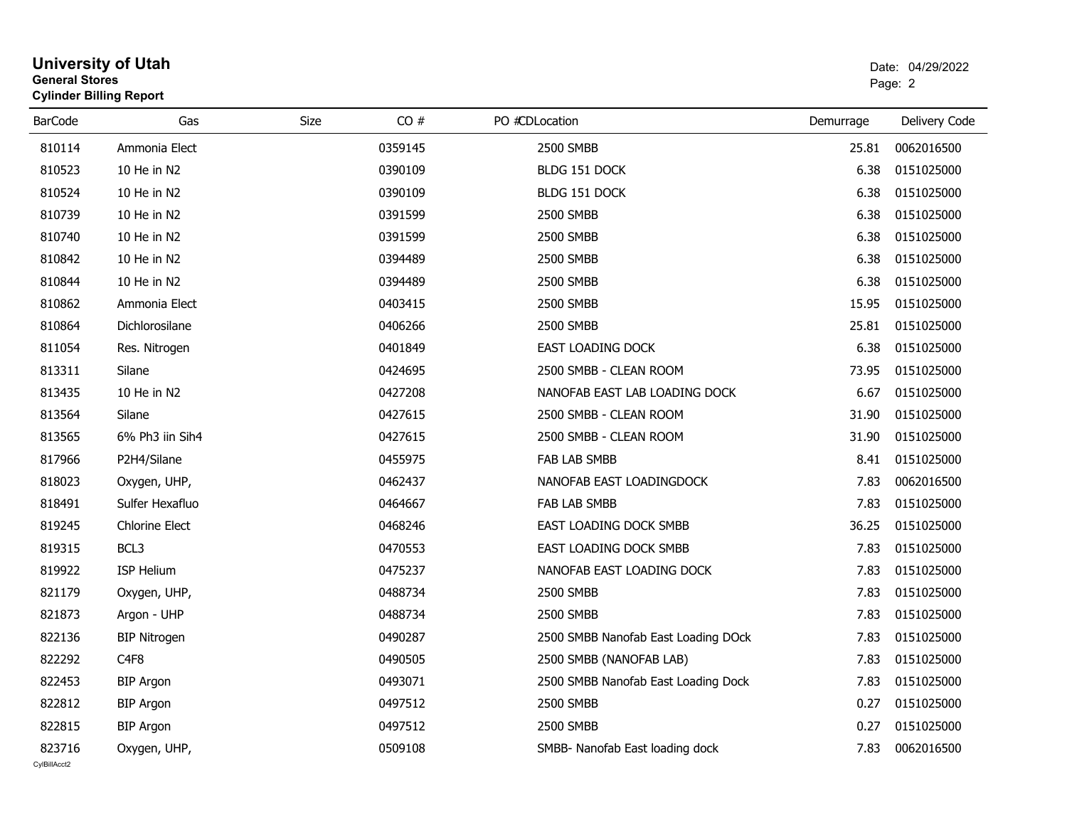| General Stores | <b>Cylinder Billing Report</b> | Page: 2     |         |                                     |           |               |
|----------------|--------------------------------|-------------|---------|-------------------------------------|-----------|---------------|
| <b>BarCode</b> | Gas                            | <b>Size</b> | CO#     | PO #CDLocation                      | Demurrage | Delivery Code |
| 810114         | Ammonia Elect                  |             | 0359145 | 2500 SMBB                           | 25.81     | 0062016500    |
| 810523         | 10 He in N2                    |             | 0390109 | BLDG 151 DOCK                       | 6.38      | 0151025000    |
| 810524         | 10 He in N2                    |             | 0390109 | BLDG 151 DOCK                       | 6.38      | 0151025000    |
| 810739         | 10 He in N2                    |             | 0391599 | 2500 SMBB                           | 6.38      | 0151025000    |
| 810740         | 10 He in N2                    |             | 0391599 | 2500 SMBB                           | 6.38      | 0151025000    |
| 810842         | 10 He in N2                    |             | 0394489 | 2500 SMBB                           | 6.38      | 0151025000    |
| 810844         | 10 He in N2                    |             | 0394489 | 2500 SMBB                           | 6.38      | 0151025000    |
| 810862         | Ammonia Elect                  |             | 0403415 | <b>2500 SMBB</b>                    | 15.95     | 0151025000    |
| 810864         | Dichlorosilane                 |             | 0406266 | 2500 SMBB                           | 25.81     | 0151025000    |
| 811054         | Res. Nitrogen                  |             | 0401849 | <b>EAST LOADING DOCK</b>            | 6.38      | 0151025000    |
| 813311         | Silane                         |             | 0424695 | 2500 SMBB - CLEAN ROOM              | 73.95     | 0151025000    |
| 813435         | 10 He in N2                    |             | 0427208 | NANOFAB EAST LAB LOADING DOCK       | 6.67      | 0151025000    |
| 813564         | Silane                         |             | 0427615 | 2500 SMBB - CLEAN ROOM              | 31.90     | 0151025000    |
| 813565         | 6% Ph3 iin Sih4                |             | 0427615 | 2500 SMBB - CLEAN ROOM              | 31.90     | 0151025000    |
| 817966         | P2H4/Silane                    |             | 0455975 | <b>FAB LAB SMBB</b>                 | 8.41      | 0151025000    |
| 818023         | Oxygen, UHP,                   |             | 0462437 | NANOFAB EAST LOADINGDOCK            | 7.83      | 0062016500    |
| 818491         | Sulfer Hexafluo                |             | 0464667 | FAB LAB SMBB                        | 7.83      | 0151025000    |
| 819245         | <b>Chlorine Elect</b>          |             | 0468246 | EAST LOADING DOCK SMBB              | 36.25     | 0151025000    |
| 819315         | BCL3                           |             | 0470553 | EAST LOADING DOCK SMBB              | 7.83      | 0151025000    |
| 819922         | <b>ISP Helium</b>              |             | 0475237 | NANOFAB EAST LOADING DOCK           | 7.83      | 0151025000    |
| 821179         | Oxygen, UHP,                   |             | 0488734 | 2500 SMBB                           | 7.83      | 0151025000    |
| 821873         | Argon - UHP                    |             | 0488734 | 2500 SMBB                           | 7.83      | 0151025000    |
| 822136         | <b>BIP Nitrogen</b>            |             | 0490287 | 2500 SMBB Nanofab East Loading DOck | 7.83      | 0151025000    |
| 822292         | C <sub>4F8</sub>               |             | 0490505 | 2500 SMBB (NANOFAB LAB)             | 7.83      | 0151025000    |
| 822453         | <b>BIP Argon</b>               |             | 0493071 | 2500 SMBB Nanofab East Loading Dock | 7.83      | 0151025000    |
| 822812         | <b>BIP Argon</b>               |             | 0497512 | 2500 SMBB                           | 0.27      | 0151025000    |
| 822815         | <b>BIP Argon</b>               |             | 0497512 | 2500 SMBB                           | 0.27      | 0151025000    |
| 823716         | Oxygen, UHP,                   |             | 0509108 | SMBB- Nanofab East loading dock     | 7.83      | 0062016500    |

# **University of Utah** Date: 04/29/2022 **General Stores**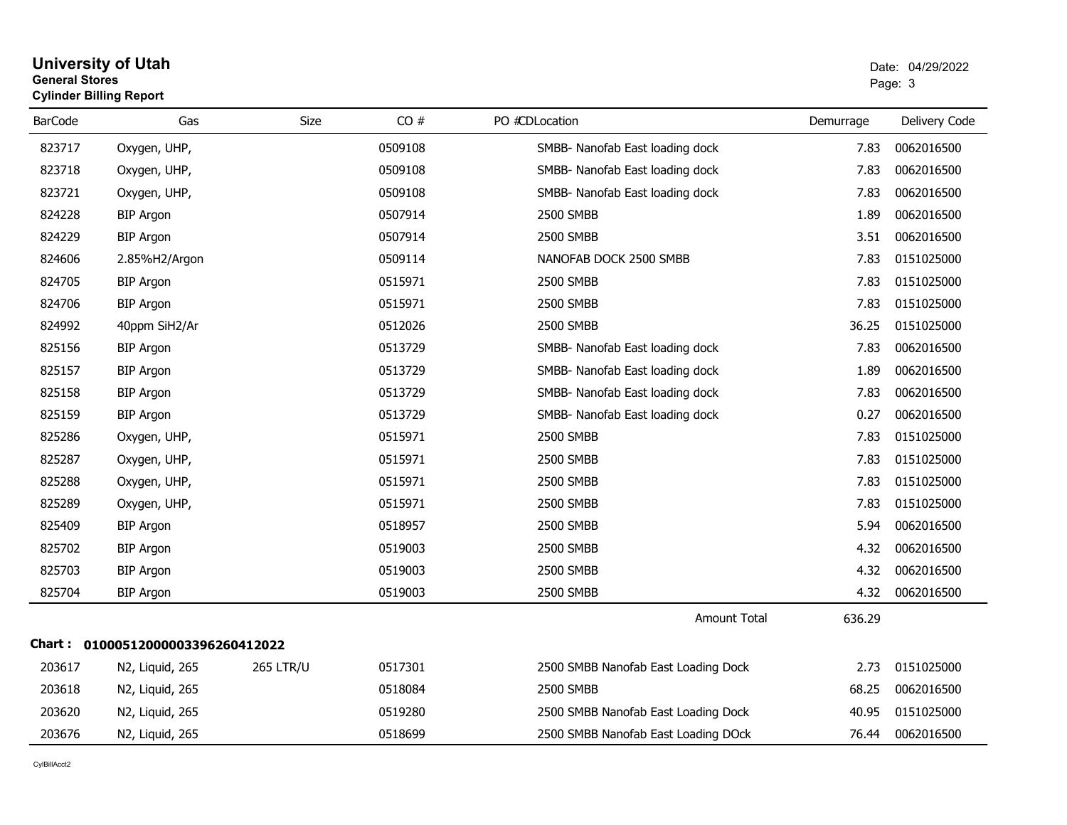#### **University of Utah** Date: 04/29/2022 **General Stores**end and the state of the state of the state of the state of the state of the state of the state of the state of the state of the state of the state of the state of the state of the state of the state of the state of the st **Cylinder Billing Report**

| <b>BarCode</b> | Gas                               | Size             | CO#     | PO #CDLocation                      | Demurrage | Delivery Code |
|----------------|-----------------------------------|------------------|---------|-------------------------------------|-----------|---------------|
| 823717         | Oxygen, UHP,                      |                  | 0509108 | SMBB- Nanofab East loading dock     | 7.83      | 0062016500    |
| 823718         | Oxygen, UHP,                      |                  | 0509108 | SMBB- Nanofab East loading dock     | 7.83      | 0062016500    |
| 823721         | Oxygen, UHP,                      |                  | 0509108 | SMBB- Nanofab East loading dock     | 7.83      | 0062016500    |
| 824228         | <b>BIP Argon</b>                  |                  | 0507914 | 2500 SMBB                           | 1.89      | 0062016500    |
| 824229         | <b>BIP Argon</b>                  |                  | 0507914 | 2500 SMBB                           | 3.51      | 0062016500    |
| 824606         | 2.85%H2/Argon                     |                  | 0509114 | NANOFAB DOCK 2500 SMBB              | 7.83      | 0151025000    |
| 824705         | <b>BIP Argon</b>                  |                  | 0515971 | 2500 SMBB                           | 7.83      | 0151025000    |
| 824706         | <b>BIP Argon</b>                  |                  | 0515971 | 2500 SMBB                           | 7.83      | 0151025000    |
| 824992         | 40ppm SiH2/Ar                     |                  | 0512026 | 2500 SMBB                           | 36.25     | 0151025000    |
| 825156         | <b>BIP Argon</b>                  |                  | 0513729 | SMBB- Nanofab East loading dock     | 7.83      | 0062016500    |
| 825157         | <b>BIP Argon</b>                  |                  | 0513729 | SMBB- Nanofab East loading dock     | 1.89      | 0062016500    |
| 825158         | <b>BIP Argon</b>                  |                  | 0513729 | SMBB- Nanofab East loading dock     | 7.83      | 0062016500    |
| 825159         | <b>BIP Argon</b>                  |                  | 0513729 | SMBB- Nanofab East loading dock     | 0.27      | 0062016500    |
| 825286         | Oxygen, UHP,                      |                  | 0515971 | 2500 SMBB                           | 7.83      | 0151025000    |
| 825287         | Oxygen, UHP,                      |                  | 0515971 | 2500 SMBB                           | 7.83      | 0151025000    |
| 825288         | Oxygen, UHP,                      |                  | 0515971 | 2500 SMBB                           | 7.83      | 0151025000    |
| 825289         | Oxygen, UHP,                      |                  | 0515971 | 2500 SMBB                           | 7.83      | 0151025000    |
| 825409         | <b>BIP Argon</b>                  |                  | 0518957 | 2500 SMBB                           | 5.94      | 0062016500    |
| 825702         | <b>BIP Argon</b>                  |                  | 0519003 | 2500 SMBB                           | 4.32      | 0062016500    |
| 825703         | <b>BIP Argon</b>                  |                  | 0519003 | 2500 SMBB                           | 4.32      | 0062016500    |
| 825704         | <b>BIP Argon</b>                  |                  | 0519003 | 2500 SMBB                           | 4.32      | 0062016500    |
|                |                                   |                  |         | <b>Amount Total</b>                 | 636.29    |               |
|                | Chart: 01000512000003396260412022 |                  |         |                                     |           |               |
| 203617         | N2, Liquid, 265                   | <b>265 LTR/U</b> | 0517301 | 2500 SMBB Nanofab East Loading Dock | 2.73      | 0151025000    |
| 203618         | N2, Liquid, 265                   |                  | 0518084 | 2500 SMBB                           | 68.25     | 0062016500    |
| 203620         | N2, Liquid, 265                   |                  | 0519280 | 2500 SMBB Nanofab East Loading Dock | 40.95     | 0151025000    |
| 203676         | N2, Liquid, 265                   |                  | 0518699 | 2500 SMBB Nanofab East Loading DOck | 76.44     | 0062016500    |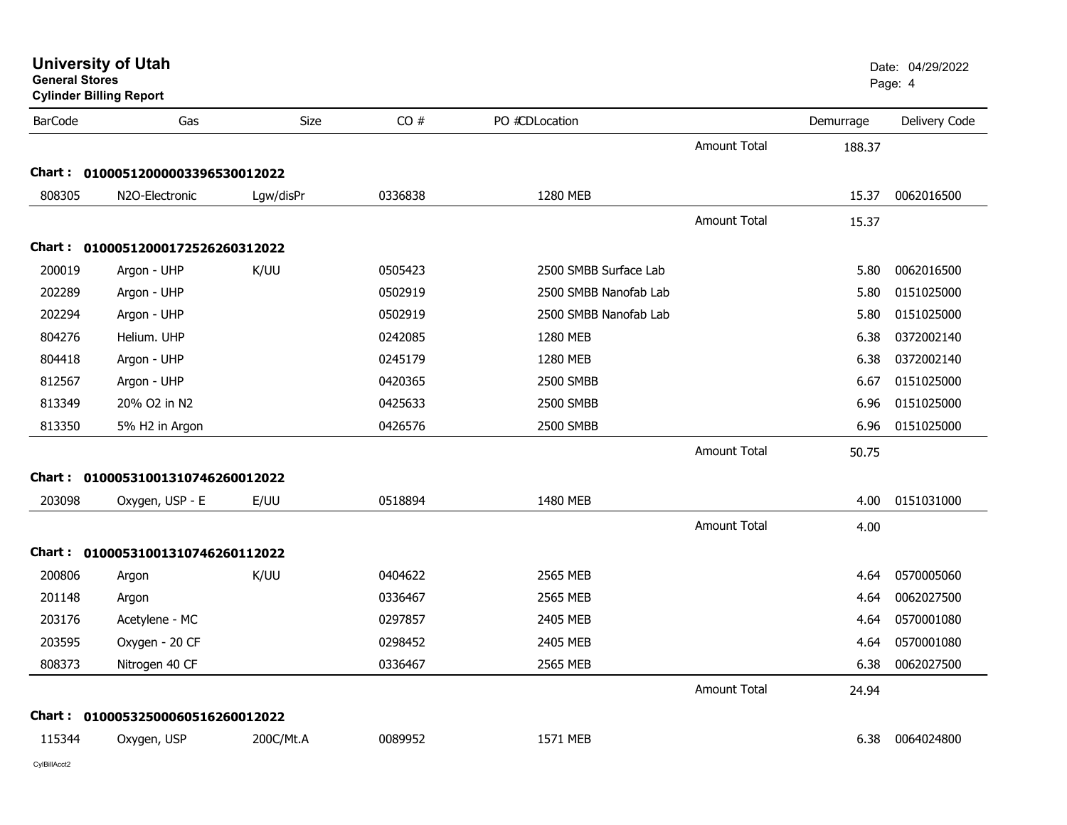| General Stores<br><b>Cylinder Billing Report</b> |                                   |           |         |                       |                     |           | Page: 4       |
|--------------------------------------------------|-----------------------------------|-----------|---------|-----------------------|---------------------|-----------|---------------|
| <b>BarCode</b>                                   | Gas                               | Size      | CO#     | PO #CDLocation        |                     | Demurrage | Delivery Code |
|                                                  |                                   |           |         |                       | <b>Amount Total</b> | 188.37    |               |
|                                                  | Chart: 01000512000003396530012022 |           |         |                       |                     |           |               |
| 808305                                           | N2O-Electronic                    | Lgw/disPr | 0336838 | 1280 MEB              |                     | 15.37     | 0062016500    |
|                                                  |                                   |           |         |                       | <b>Amount Total</b> | 15.37     |               |
|                                                  | Chart: 01000512000172526260312022 |           |         |                       |                     |           |               |
| 200019                                           | Argon - UHP                       | K/UU      | 0505423 | 2500 SMBB Surface Lab |                     | 5.80      | 0062016500    |
| 202289                                           | Argon - UHP                       |           | 0502919 | 2500 SMBB Nanofab Lab |                     | 5.80      | 0151025000    |
| 202294                                           | Argon - UHP                       |           | 0502919 | 2500 SMBB Nanofab Lab |                     | 5.80      | 0151025000    |
| 804276                                           | Helium. UHP                       |           | 0242085 | 1280 MEB              |                     | 6.38      | 0372002140    |
| 804418                                           | Argon - UHP                       |           | 0245179 | 1280 MEB              |                     | 6.38      | 0372002140    |
| 812567                                           | Argon - UHP                       |           | 0420365 | 2500 SMBB             |                     | 6.67      | 0151025000    |
| 813349                                           | 20% O2 in N2                      |           | 0425633 | 2500 SMBB             |                     | 6.96      | 0151025000    |
| 813350                                           | 5% H2 in Argon                    |           | 0426576 | 2500 SMBB             |                     | 6.96      | 0151025000    |
|                                                  |                                   |           |         |                       | <b>Amount Total</b> | 50.75     |               |
|                                                  | Chart: 01000531001310746260012022 |           |         |                       |                     |           |               |
| 203098                                           | Oxygen, USP - E                   | E/UU      | 0518894 | 1480 MEB              |                     | 4.00      | 0151031000    |
|                                                  |                                   |           |         |                       | Amount Total        | 4.00      |               |
|                                                  | Chart: 01000531001310746260112022 |           |         |                       |                     |           |               |
| 200806                                           | Argon                             | K/UU      | 0404622 | 2565 MEB              |                     | 4.64      | 0570005060    |
| 201148                                           | Argon                             |           | 0336467 | 2565 MEB              |                     | 4.64      | 0062027500    |
| 203176                                           | Acetylene - MC                    |           | 0297857 | 2405 MEB              |                     | 4.64      | 0570001080    |
| 203595                                           | Oxygen - 20 CF                    |           | 0298452 | 2405 MEB              |                     | 4.64      | 0570001080    |
| 808373                                           | Nitrogen 40 CF                    |           | 0336467 | 2565 MEB              |                     | 6.38      | 0062027500    |
|                                                  |                                   |           |         |                       | Amount Total        | 24.94     |               |
|                                                  | Chart: 01000532500060516260012022 |           |         |                       |                     |           |               |
| 115344                                           | Oxygen, USP                       | 200C/Mt.A | 0089952 | 1571 MEB              |                     | 6.38      | 0064024800    |
|                                                  |                                   |           |         |                       |                     |           |               |

**General Stores**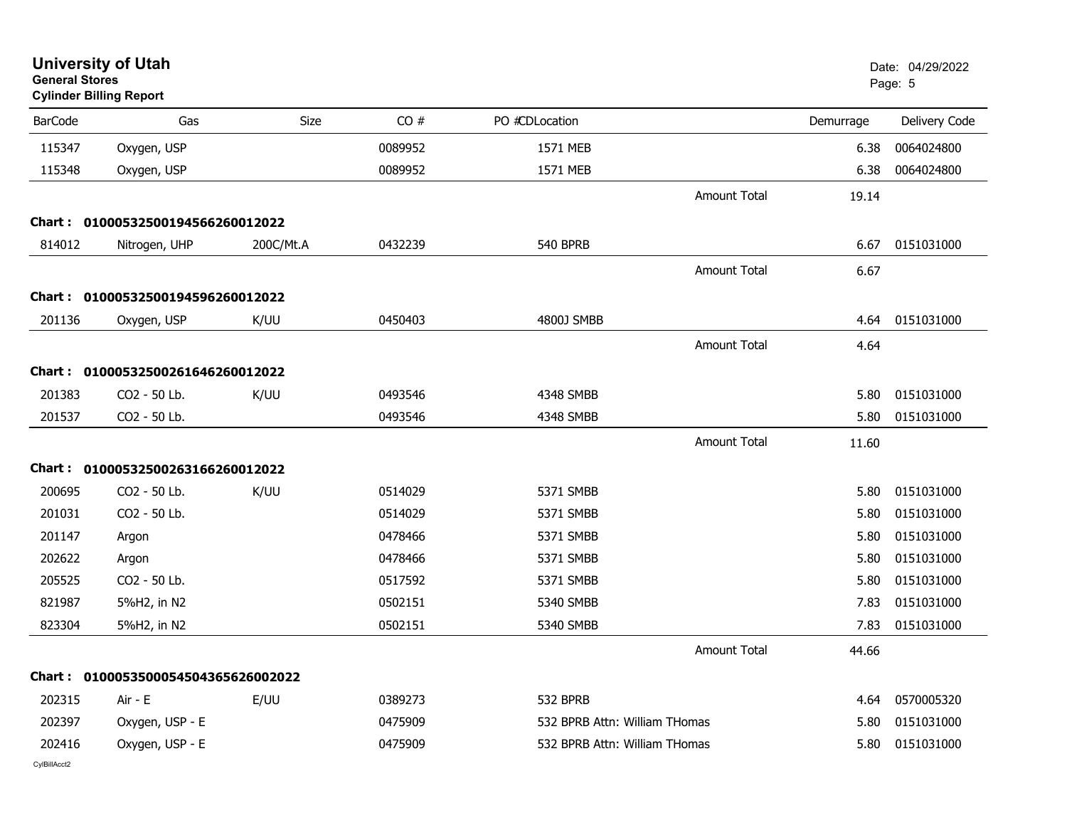| <b>General Stores</b> | <b>University of Utah</b><br><b>Cylinder Billing Report</b> |           |         |                               |                     |           | Date: 04/29/2022<br>Page: 5 |
|-----------------------|-------------------------------------------------------------|-----------|---------|-------------------------------|---------------------|-----------|-----------------------------|
| <b>BarCode</b>        | Gas                                                         | Size      | CO#     | PO #CDLocation                |                     | Demurrage | Delivery Code               |
| 115347                | Oxygen, USP                                                 |           | 0089952 | 1571 MEB                      |                     | 6.38      | 0064024800                  |
| 115348                | Oxygen, USP                                                 |           | 0089952 | 1571 MEB                      |                     | 6.38      | 0064024800                  |
|                       |                                                             |           |         |                               | <b>Amount Total</b> | 19.14     |                             |
| Chart :               | 01000532500194566260012022                                  |           |         |                               |                     |           |                             |
| 814012                | Nitrogen, UHP                                               | 200C/Mt.A | 0432239 | <b>540 BPRB</b>               |                     | 6.67      | 0151031000                  |
|                       |                                                             |           |         |                               | <b>Amount Total</b> | 6.67      |                             |
|                       | Chart: 01000532500194596260012022                           |           |         |                               |                     |           |                             |
| 201136                | Oxygen, USP                                                 | K/UU      | 0450403 | 4800J SMBB                    |                     | 4.64      | 0151031000                  |
|                       |                                                             |           |         |                               | <b>Amount Total</b> | 4.64      |                             |
|                       | Chart: 01000532500261646260012022                           |           |         |                               |                     |           |                             |
| 201383                | CO2 - 50 Lb.                                                | K/UU      | 0493546 | 4348 SMBB                     |                     | 5.80      | 0151031000                  |
| 201537                | CO2 - 50 Lb.                                                |           | 0493546 | 4348 SMBB                     |                     | 5.80      | 0151031000                  |
|                       |                                                             |           |         |                               | <b>Amount Total</b> | 11.60     |                             |
|                       | Chart: 01000532500263166260012022                           |           |         |                               |                     |           |                             |
| 200695                | CO2 - 50 Lb.                                                | K/UU      | 0514029 | 5371 SMBB                     |                     | 5.80      | 0151031000                  |
| 201031                | CO2 - 50 Lb.                                                |           | 0514029 | 5371 SMBB                     |                     | 5.80      | 0151031000                  |
| 201147                | Argon                                                       |           | 0478466 | 5371 SMBB                     |                     | 5.80      | 0151031000                  |
| 202622                | Argon                                                       |           | 0478466 | 5371 SMBB                     |                     | 5.80      | 0151031000                  |
| 205525                | CO2 - 50 Lb.                                                |           | 0517592 | 5371 SMBB                     |                     | 5.80      | 0151031000                  |
| 821987                | 5%H2, in N2                                                 |           | 0502151 | 5340 SMBB                     |                     | 7.83      | 0151031000                  |
| 823304                | 5%H2, in N2                                                 |           | 0502151 | 5340 SMBB                     |                     | 7.83      | 0151031000                  |
|                       |                                                             |           |         |                               | <b>Amount Total</b> | 44.66     |                             |
|                       | Chart: 0100053500054504365626002022                         |           |         |                               |                     |           |                             |
| 202315                | Air - E                                                     | E/UU      | 0389273 | 532 BPRB                      |                     | 4.64      | 0570005320                  |
| 202397                | Oxygen, USP - E                                             |           | 0475909 | 532 BPRB Attn: William THomas |                     | 5.80      | 0151031000                  |
| 202416                | Oxygen, USP - E                                             |           | 0475909 | 532 BPRB Attn: William THomas |                     | 5.80      | 0151031000                  |
| CylBillAcct2          |                                                             |           |         |                               |                     |           |                             |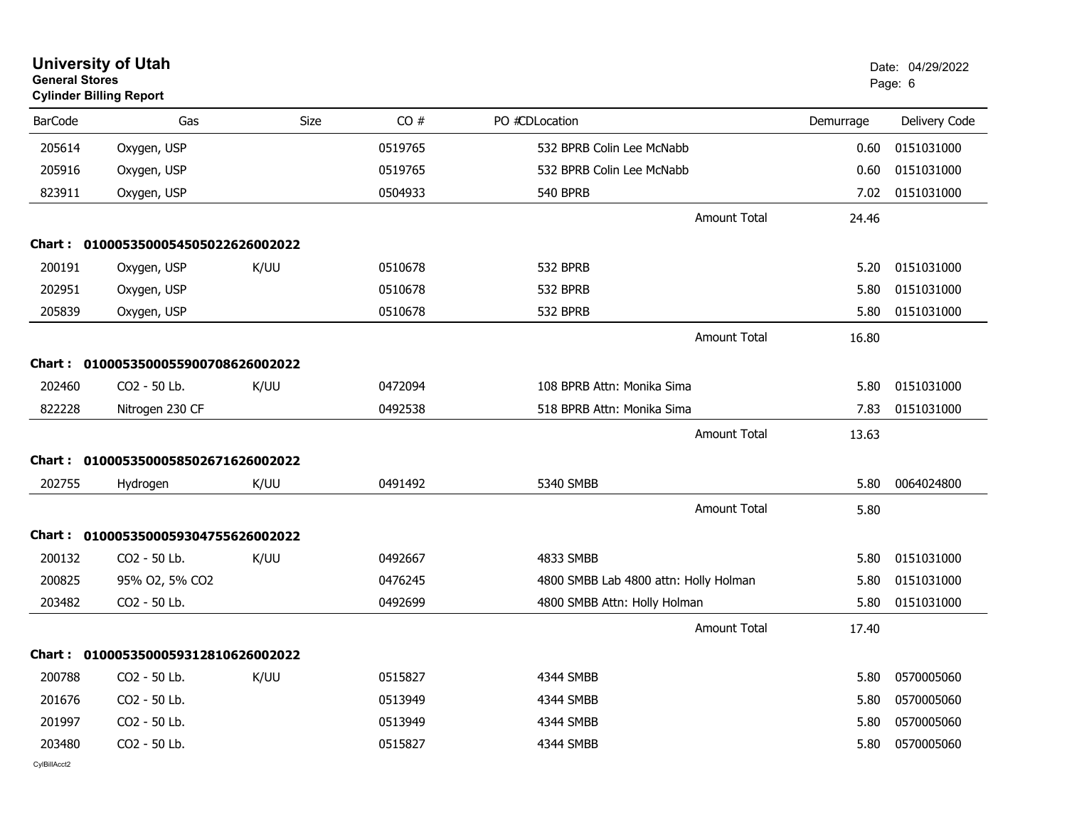| <b>General Stores</b> | <b>University of Utah</b><br><b>Cylinder Billing Report</b> |      |         |                                       |           | Date: 04/29/2022<br>Page: 6 |
|-----------------------|-------------------------------------------------------------|------|---------|---------------------------------------|-----------|-----------------------------|
| <b>BarCode</b>        | Gas                                                         | Size | CO#     | PO #CDLocation                        | Demurrage | Delivery Code               |
| 205614                | Oxygen, USP                                                 |      | 0519765 | 532 BPRB Colin Lee McNabb             | 0.60      | 0151031000                  |
| 205916                | Oxygen, USP                                                 |      | 0519765 | 532 BPRB Colin Lee McNabb             | 0.60      | 0151031000                  |
| 823911                | Oxygen, USP                                                 |      | 0504933 | <b>540 BPRB</b>                       | 7.02      | 0151031000                  |
|                       |                                                             |      |         | <b>Amount Total</b>                   | 24.46     |                             |
|                       | Chart: 0100053500054505022626002022                         |      |         |                                       |           |                             |
| 200191                | Oxygen, USP                                                 | K/UU | 0510678 | 532 BPRB                              | 5.20      | 0151031000                  |
| 202951                | Oxygen, USP                                                 |      | 0510678 | 532 BPRB                              | 5.80      | 0151031000                  |
| 205839                | Oxygen, USP                                                 |      | 0510678 | 532 BPRB                              | 5.80      | 0151031000                  |
|                       |                                                             |      |         | <b>Amount Total</b>                   | 16.80     |                             |
| Chart :               | 0100053500055900708626002022                                |      |         |                                       |           |                             |
| 202460                | CO <sub>2</sub> - 50 Lb.                                    | K/UU | 0472094 | 108 BPRB Attn: Monika Sima            | 5.80      | 0151031000                  |
| 822228                | Nitrogen 230 CF                                             |      | 0492538 | 518 BPRB Attn: Monika Sima            | 7.83      | 0151031000                  |
|                       |                                                             |      |         | <b>Amount Total</b>                   | 13.63     |                             |
|                       | Chart: 0100053500058502671626002022                         |      |         |                                       |           |                             |
| 202755                | Hydrogen                                                    | K/UU | 0491492 | 5340 SMBB                             | 5.80      | 0064024800                  |
|                       |                                                             |      |         | <b>Amount Total</b>                   | 5.80      |                             |
|                       | Chart: 0100053500059304755626002022                         |      |         |                                       |           |                             |
| 200132                | CO <sub>2</sub> - 50 Lb.                                    | K/UU | 0492667 | 4833 SMBB                             | 5.80      | 0151031000                  |
| 200825                | 95% O2, 5% CO2                                              |      | 0476245 | 4800 SMBB Lab 4800 attn: Holly Holman | 5.80      | 0151031000                  |
| 203482                | CO2 - 50 Lb.                                                |      | 0492699 | 4800 SMBB Attn: Holly Holman          | 5.80      | 0151031000                  |
|                       |                                                             |      |         | Amount Total                          | 17.40     |                             |
|                       | Chart: 0100053500059312810626002022                         |      |         |                                       |           |                             |
| 200788                | CO2 - 50 Lb.                                                | K/UU | 0515827 | 4344 SMBB                             | 5.80      | 0570005060                  |
| 201676                | CO2 - 50 Lb.                                                |      | 0513949 | 4344 SMBB                             | 5.80      | 0570005060                  |
| 201997                | CO2 - 50 Lb.                                                |      | 0513949 | 4344 SMBB                             | 5.80      | 0570005060                  |
| 203480                | CO2 - 50 Lb.                                                |      | 0515827 | 4344 SMBB                             | 5.80      | 0570005060                  |
|                       |                                                             |      |         |                                       |           |                             |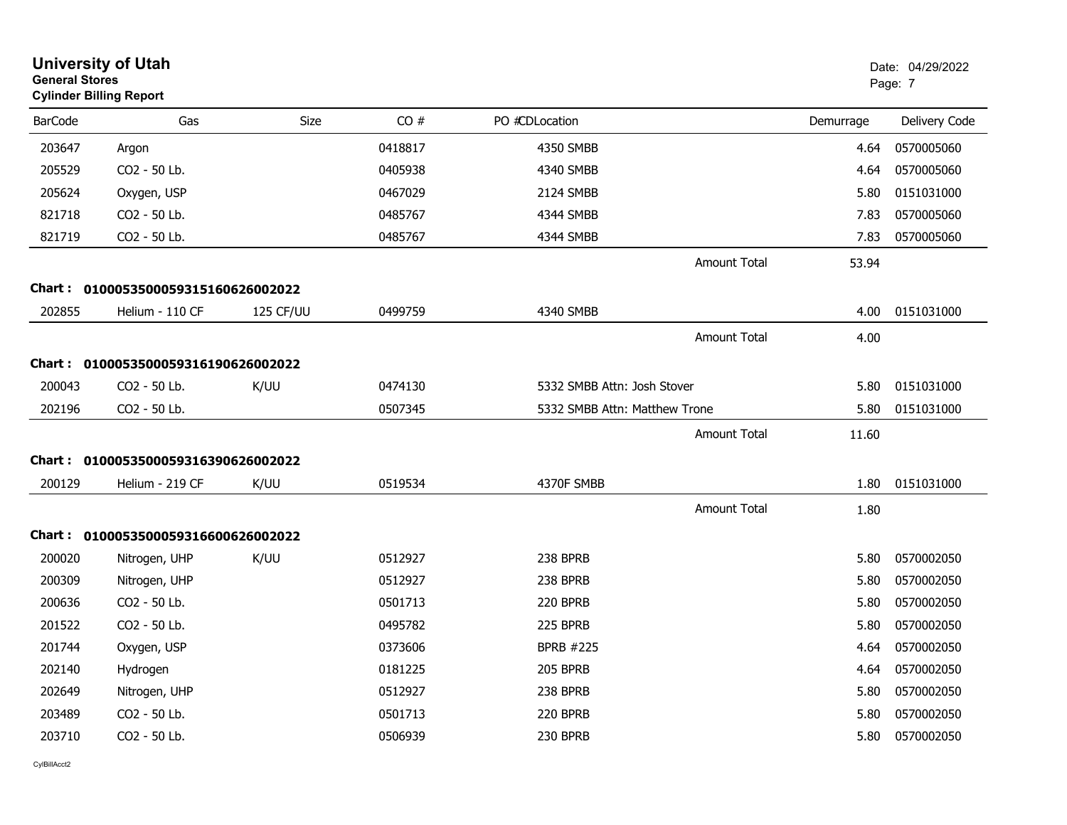| <b>General Stores</b> | <b>University of Utah</b><br><b>Cylinder Billing Report</b> |             |         |                               |                     |           | Date: 04/29/2022<br>Page: 7 |
|-----------------------|-------------------------------------------------------------|-------------|---------|-------------------------------|---------------------|-----------|-----------------------------|
| <b>BarCode</b>        | Gas                                                         | <b>Size</b> | CO#     | PO #CDLocation                |                     | Demurrage | Delivery Code               |
| 203647                | Argon                                                       |             | 0418817 | 4350 SMBB                     |                     | 4.64      | 0570005060                  |
| 205529                | CO2 - 50 Lb.                                                |             | 0405938 | 4340 SMBB                     |                     | 4.64      | 0570005060                  |
| 205624                | Oxygen, USP                                                 |             | 0467029 | 2124 SMBB                     |                     | 5.80      | 0151031000                  |
| 821718                | CO2 - 50 Lb.                                                |             | 0485767 | 4344 SMBB                     |                     | 7.83      | 0570005060                  |
| 821719                | CO2 - 50 Lb.                                                |             | 0485767 | 4344 SMBB                     |                     | 7.83      | 0570005060                  |
|                       |                                                             |             |         |                               | <b>Amount Total</b> | 53.94     |                             |
|                       | Chart: 0100053500059315160626002022                         |             |         |                               |                     |           |                             |
| 202855                | Helium - 110 CF                                             | 125 CF/UU   | 0499759 | 4340 SMBB                     |                     | 4.00      | 0151031000                  |
|                       |                                                             |             |         |                               | <b>Amount Total</b> | 4.00      |                             |
|                       | Chart: 0100053500059316190626002022                         |             |         |                               |                     |           |                             |
| 200043                | CO2 - 50 Lb.                                                | K/UU        | 0474130 | 5332 SMBB Attn: Josh Stover   |                     | 5.80      | 0151031000                  |
| 202196                | CO2 - 50 Lb.                                                |             | 0507345 | 5332 SMBB Attn: Matthew Trone |                     | 5.80      | 0151031000                  |
|                       |                                                             |             |         |                               | <b>Amount Total</b> | 11.60     |                             |
|                       | Chart: 0100053500059316390626002022                         |             |         |                               |                     |           |                             |
| 200129                | Helium - 219 CF                                             | K/UU        | 0519534 | 4370F SMBB                    |                     | 1.80      | 0151031000                  |
|                       |                                                             |             |         |                               | Amount Total        | 1.80      |                             |
|                       | Chart: 0100053500059316600626002022                         |             |         |                               |                     |           |                             |
| 200020                | Nitrogen, UHP                                               | K/UU        | 0512927 | 238 BPRB                      |                     | 5.80      | 0570002050                  |
| 200309                | Nitrogen, UHP                                               |             | 0512927 | 238 BPRB                      |                     | 5.80      | 0570002050                  |
| 200636                | CO2 - 50 Lb.                                                |             | 0501713 | 220 BPRB                      |                     | 5.80      | 0570002050                  |
| 201522                | CO2 - 50 Lb.                                                |             | 0495782 | 225 BPRB                      |                     | 5.80      | 0570002050                  |
| 201744                | Oxygen, USP                                                 |             | 0373606 | <b>BPRB #225</b>              |                     | 4.64      | 0570002050                  |
| 202140                | Hydrogen                                                    |             | 0181225 | <b>205 BPRB</b>               |                     | 4.64      | 0570002050                  |
| 202649                | Nitrogen, UHP                                               |             | 0512927 | 238 BPRB                      |                     | 5.80      | 0570002050                  |
| 203489                | CO2 - 50 Lb.                                                |             | 0501713 | 220 BPRB                      |                     | 5.80      | 0570002050                  |
| 203710                | CO2 - 50 Lb.                                                |             | 0506939 | 230 BPRB                      |                     | 5.80      | 0570002050                  |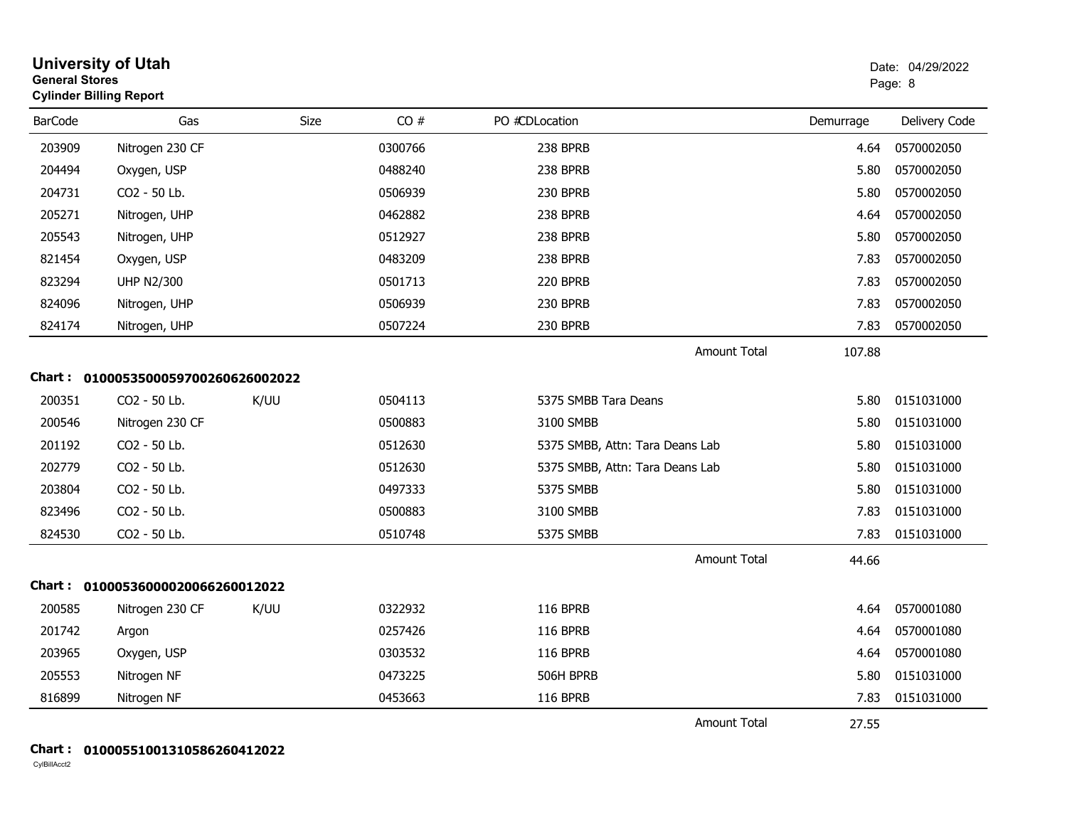| <b>General Stores</b> | <b>University of Utah</b><br><b>Cylinder Billing Report</b> |      |         |                                 |           | Date: 04/29/2022<br>Page: 8 |
|-----------------------|-------------------------------------------------------------|------|---------|---------------------------------|-----------|-----------------------------|
| <b>BarCode</b>        | Gas                                                         | Size | CO#     | PO #CDLocation                  | Demurrage | Delivery Code               |
| 203909                | Nitrogen 230 CF                                             |      | 0300766 | 238 BPRB                        | 4.64      | 0570002050                  |
| 204494                | Oxygen, USP                                                 |      | 0488240 | 238 BPRB                        | 5.80      | 0570002050                  |
| 204731                | CO2 - 50 Lb.                                                |      | 0506939 | 230 BPRB                        | 5.80      | 0570002050                  |
| 205271                | Nitrogen, UHP                                               |      | 0462882 | 238 BPRB                        | 4.64      | 0570002050                  |
| 205543                | Nitrogen, UHP                                               |      | 0512927 | 238 BPRB                        | 5.80      | 0570002050                  |
| 821454                | Oxygen, USP                                                 |      | 0483209 | 238 BPRB                        | 7.83      | 0570002050                  |
| 823294                | <b>UHP N2/300</b>                                           |      | 0501713 | 220 BPRB                        | 7.83      | 0570002050                  |
| 824096                | Nitrogen, UHP                                               |      | 0506939 | 230 BPRB                        | 7.83      | 0570002050                  |
| 824174                | Nitrogen, UHP                                               |      | 0507224 | 230 BPRB                        | 7.83      | 0570002050                  |
|                       |                                                             |      |         | <b>Amount Total</b>             | 107.88    |                             |
|                       | Chart: 0100053500059700260626002022                         |      |         |                                 |           |                             |
| 200351                | CO2 - 50 Lb.                                                | K/UU | 0504113 | 5375 SMBB Tara Deans            | 5.80      | 0151031000                  |
| 200546                | Nitrogen 230 CF                                             |      | 0500883 | 3100 SMBB                       | 5.80      | 0151031000                  |
| 201192                | CO2 - 50 Lb.                                                |      | 0512630 | 5375 SMBB, Attn: Tara Deans Lab | 5.80      | 0151031000                  |
| 202779                | CO2 - 50 Lb.                                                |      | 0512630 | 5375 SMBB, Attn: Tara Deans Lab | 5.80      | 0151031000                  |
| 203804                | CO2 - 50 Lb.                                                |      | 0497333 | 5375 SMBB                       | 5.80      | 0151031000                  |
| 823496                | CO2 - 50 Lb.                                                |      | 0500883 | 3100 SMBB                       | 7.83      | 0151031000                  |
| 824530                | CO2 - 50 Lb.                                                |      | 0510748 | 5375 SMBB                       | 7.83      | 0151031000                  |
|                       |                                                             |      |         | <b>Amount Total</b>             | 44.66     |                             |
|                       | Chart: 01000536000020066260012022                           |      |         |                                 |           |                             |
| 200585                | Nitrogen 230 CF                                             | K/UU | 0322932 | <b>116 BPRB</b>                 | 4.64      | 0570001080                  |
| 201742                | Argon                                                       |      | 0257426 | 116 BPRB                        | 4.64      | 0570001080                  |
| 203965                | Oxygen, USP                                                 |      | 0303532 | <b>116 BPRB</b>                 | 4.64      | 0570001080                  |
| 205553                | Nitrogen NF                                                 |      | 0473225 | 506H BPRB                       | 5.80      | 0151031000                  |
| 816899                | Nitrogen NF                                                 |      | 0453663 | <b>116 BPRB</b>                 | 7.83      | 0151031000                  |
|                       |                                                             |      |         | Amount Total                    | 27.55     |                             |

#### **Chart : 01000551001310586260412022**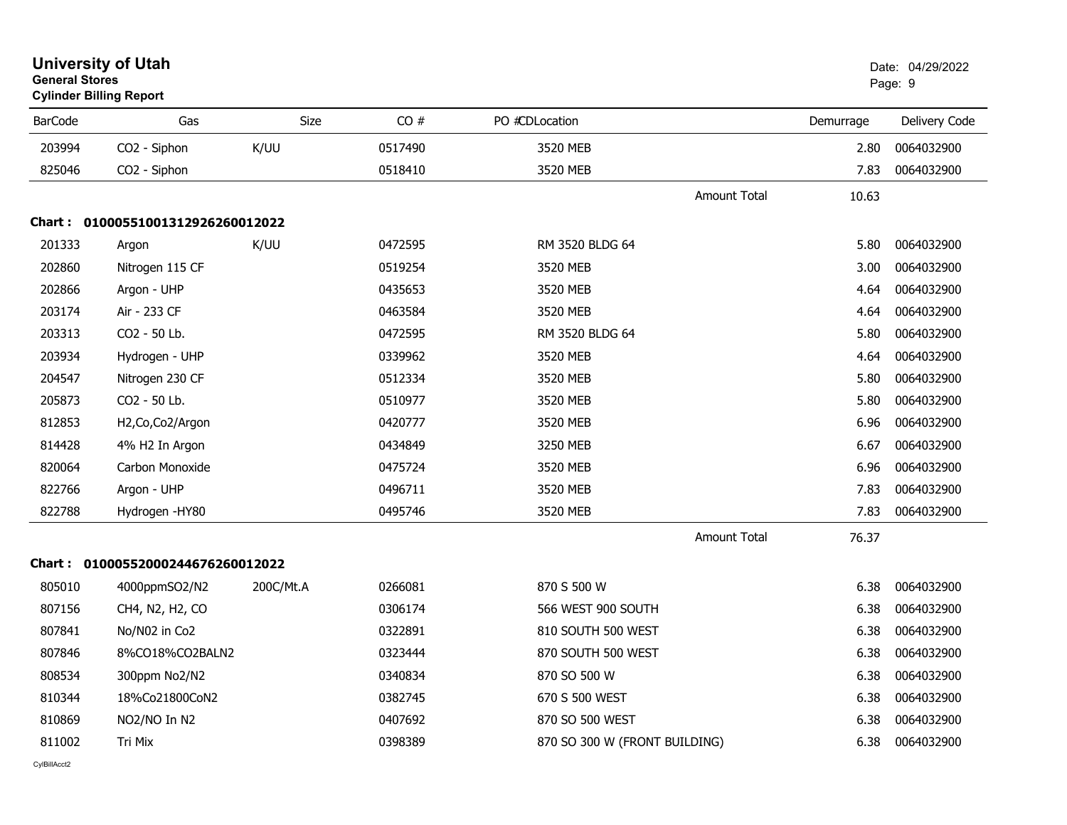| <b>General Stores</b> | <b>University of Utah</b><br><b>Cylinder Billing Report</b> |           |         |                               |                     |           | Date: 04/29/2022<br>Page: 9 |
|-----------------------|-------------------------------------------------------------|-----------|---------|-------------------------------|---------------------|-----------|-----------------------------|
| <b>BarCode</b>        | Gas                                                         | Size      | CO#     | PO #CDLocation                |                     | Demurrage | Delivery Code               |
| 203994                | CO2 - Siphon                                                | K/UU      | 0517490 | 3520 MEB                      |                     | 2.80      | 0064032900                  |
| 825046                | CO2 - Siphon                                                |           | 0518410 | 3520 MEB                      |                     | 7.83      | 0064032900                  |
|                       |                                                             |           |         |                               | <b>Amount Total</b> | 10.63     |                             |
|                       | Chart: 01000551001312926260012022                           |           |         |                               |                     |           |                             |
| 201333                | Argon                                                       | K/UU      | 0472595 | RM 3520 BLDG 64               |                     | 5.80      | 0064032900                  |
| 202860                | Nitrogen 115 CF                                             |           | 0519254 | 3520 MEB                      |                     | 3.00      | 0064032900                  |
| 202866                | Argon - UHP                                                 |           | 0435653 | 3520 MEB                      |                     | 4.64      | 0064032900                  |
| 203174                | Air - 233 CF                                                |           | 0463584 | 3520 MEB                      |                     | 4.64      | 0064032900                  |
| 203313                | CO2 - 50 Lb.                                                |           | 0472595 | RM 3520 BLDG 64               |                     | 5.80      | 0064032900                  |
| 203934                | Hydrogen - UHP                                              |           | 0339962 | 3520 MEB                      |                     | 4.64      | 0064032900                  |
| 204547                | Nitrogen 230 CF                                             |           | 0512334 | 3520 MEB                      |                     | 5.80      | 0064032900                  |
| 205873                | CO2 - 50 Lb.                                                |           | 0510977 | 3520 MEB                      |                     | 5.80      | 0064032900                  |
| 812853                | H2, Co, Co2/Argon                                           |           | 0420777 | 3520 MEB                      |                     | 6.96      | 0064032900                  |
| 814428                | 4% H2 In Argon                                              |           | 0434849 | 3250 MEB                      |                     | 6.67      | 0064032900                  |
| 820064                | Carbon Monoxide                                             |           | 0475724 | 3520 MEB                      |                     | 6.96      | 0064032900                  |
| 822766                | Argon - UHP                                                 |           | 0496711 | 3520 MEB                      |                     | 7.83      | 0064032900                  |
| 822788                | Hydrogen -HY80                                              |           | 0495746 | 3520 MEB                      |                     | 7.83      | 0064032900                  |
|                       |                                                             |           |         |                               | <b>Amount Total</b> | 76.37     |                             |
|                       | Chart: 01000552000244676260012022                           |           |         |                               |                     |           |                             |
| 805010                | 4000ppmSO2/N2                                               | 200C/Mt.A | 0266081 | 870 S 500 W                   |                     | 6.38      | 0064032900                  |
| 807156                | CH4, N2, H2, CO                                             |           | 0306174 | 566 WEST 900 SOUTH            |                     | 6.38      | 0064032900                  |
| 807841                | No/N02 in Co2                                               |           | 0322891 | 810 SOUTH 500 WEST            |                     | 6.38      | 0064032900                  |
| 807846                | 8%CO18%CO2BALN2                                             |           | 0323444 | 870 SOUTH 500 WEST            |                     | 6.38      | 0064032900                  |
| 808534                | 300ppm No2/N2                                               |           | 0340834 | 870 SO 500 W                  |                     | 6.38      | 0064032900                  |
| 810344                | 18%Co21800CoN2                                              |           | 0382745 | 670 S 500 WEST                |                     | 6.38      | 0064032900                  |
| 810869                | NO2/NO In N2                                                |           | 0407692 | 870 SO 500 WEST               |                     | 6.38      | 0064032900                  |
| 811002                | Tri Mix                                                     |           | 0398389 | 870 SO 300 W (FRONT BUILDING) |                     | 6.38      | 0064032900                  |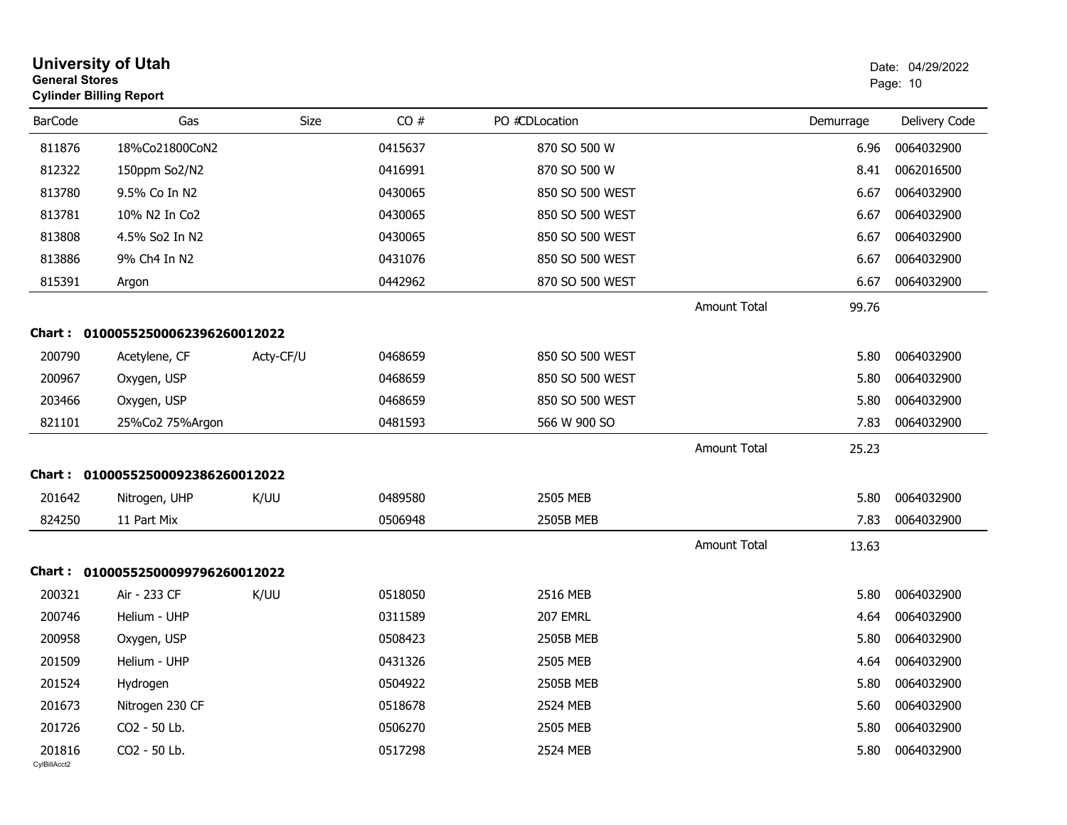| <b>General Stores</b>  | <b>University of Utah</b><br><b>Cylinder Billing Report</b> |             |         |                 |                     |           | Date: 04/29/2022<br>Page: 10 |
|------------------------|-------------------------------------------------------------|-------------|---------|-----------------|---------------------|-----------|------------------------------|
| <b>BarCode</b>         | Gas                                                         | <b>Size</b> | CO#     | PO #CDLocation  |                     | Demurrage | Delivery Code                |
| 811876                 | 18%Co21800CoN2                                              |             | 0415637 | 870 SO 500 W    |                     | 6.96      | 0064032900                   |
| 812322                 | 150ppm So2/N2                                               |             | 0416991 | 870 SO 500 W    |                     | 8.41      | 0062016500                   |
| 813780                 | 9.5% Co In N2                                               |             | 0430065 | 850 SO 500 WEST |                     | 6.67      | 0064032900                   |
| 813781                 | 10% N2 In Co2                                               |             | 0430065 | 850 SO 500 WEST |                     | 6.67      | 0064032900                   |
| 813808                 | 4.5% So2 In N2                                              |             | 0430065 | 850 SO 500 WEST |                     | 6.67      | 0064032900                   |
| 813886                 | 9% Ch4 In N2                                                |             | 0431076 | 850 SO 500 WEST |                     | 6.67      | 0064032900                   |
| 815391                 | Argon                                                       |             | 0442962 | 870 SO 500 WEST |                     | 6.67      | 0064032900                   |
|                        |                                                             |             |         |                 | <b>Amount Total</b> | 99.76     |                              |
| Chart :                | 01000552500062396260012022                                  |             |         |                 |                     |           |                              |
| 200790                 | Acetylene, CF                                               | Acty-CF/U   | 0468659 | 850 SO 500 WEST |                     | 5.80      | 0064032900                   |
| 200967                 | Oxygen, USP                                                 |             | 0468659 | 850 SO 500 WEST |                     | 5.80      | 0064032900                   |
| 203466                 | Oxygen, USP                                                 |             | 0468659 | 850 SO 500 WEST |                     | 5.80      | 0064032900                   |
| 821101                 | 25%Co2 75%Argon                                             |             | 0481593 | 566 W 900 SO    |                     | 7.83      | 0064032900                   |
|                        |                                                             |             |         |                 | Amount Total        | 25.23     |                              |
| Chart :                | 01000552500092386260012022                                  |             |         |                 |                     |           |                              |
| 201642                 | Nitrogen, UHP                                               | K/UU        | 0489580 | 2505 MEB        |                     | 5.80      | 0064032900                   |
| 824250                 | 11 Part Mix                                                 |             | 0506948 | 2505B MEB       |                     | 7.83      | 0064032900                   |
|                        |                                                             |             |         |                 | Amount Total        | 13.63     |                              |
| <b>Chart:</b>          | 01000552500099796260012022                                  |             |         |                 |                     |           |                              |
| 200321                 | Air - 233 CF                                                | K/UU        | 0518050 | 2516 MEB        |                     | 5.80      | 0064032900                   |
| 200746                 | Helium - UHP                                                |             | 0311589 | 207 EMRL        |                     | 4.64      | 0064032900                   |
| 200958                 | Oxygen, USP                                                 |             | 0508423 | 2505B MEB       |                     | 5.80      | 0064032900                   |
| 201509                 | Helium - UHP                                                |             | 0431326 | 2505 MEB        |                     | 4.64      | 0064032900                   |
| 201524                 | Hydrogen                                                    |             | 0504922 | 2505B MEB       |                     | 5.80      | 0064032900                   |
| 201673                 | Nitrogen 230 CF                                             |             | 0518678 | 2524 MEB        |                     | 5.60      | 0064032900                   |
| 201726                 | CO2 - 50 Lb.                                                |             | 0506270 | 2505 MEB        |                     | 5.80      | 0064032900                   |
| 201816<br>CvIBillAcct2 | CO2 - 50 Lb.                                                |             | 0517298 | 2524 MEB        |                     | 5.80      | 0064032900                   |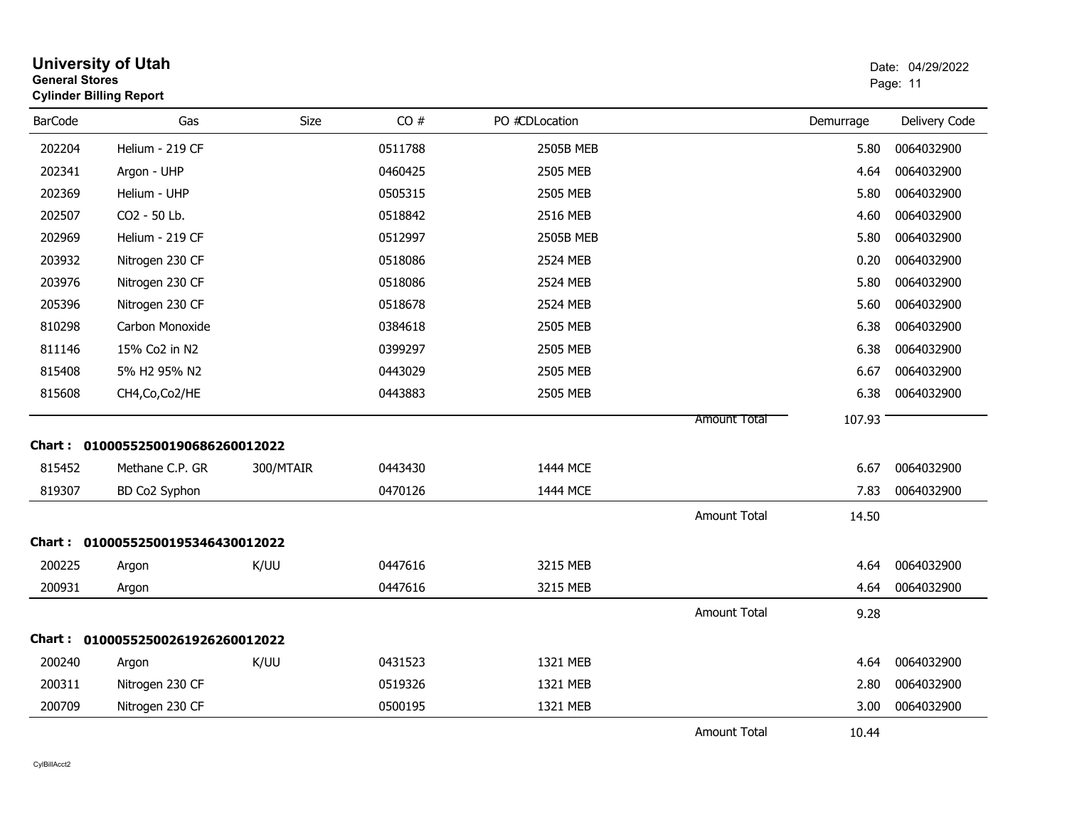| <b>General Stores</b> | <b>University of Utah</b><br><b>Cylinder Billing Report</b> |           |         |                |                     |           | Date: 04/29/2022<br>Page: 11 |
|-----------------------|-------------------------------------------------------------|-----------|---------|----------------|---------------------|-----------|------------------------------|
| <b>BarCode</b>        | Gas                                                         | Size      | CO#     | PO #CDLocation |                     | Demurrage | Delivery Code                |
| 202204                | Helium - 219 CF                                             |           | 0511788 | 2505B MEB      |                     | 5.80      | 0064032900                   |
| 202341                | Argon - UHP                                                 |           | 0460425 | 2505 MEB       |                     | 4.64      | 0064032900                   |
| 202369                | Helium - UHP                                                |           | 0505315 | 2505 MEB       |                     | 5.80      | 0064032900                   |
| 202507                | CO2 - 50 Lb.                                                |           | 0518842 | 2516 MEB       |                     | 4.60      | 0064032900                   |
| 202969                | Helium - 219 CF                                             |           | 0512997 | 2505B MEB      |                     | 5.80      | 0064032900                   |
| 203932                | Nitrogen 230 CF                                             |           | 0518086 | 2524 MEB       |                     | 0.20      | 0064032900                   |
| 203976                | Nitrogen 230 CF                                             |           | 0518086 | 2524 MEB       |                     | 5.80      | 0064032900                   |
| 205396                | Nitrogen 230 CF                                             |           | 0518678 | 2524 MEB       |                     | 5.60      | 0064032900                   |
| 810298                | Carbon Monoxide                                             |           | 0384618 | 2505 MEB       |                     | 6.38      | 0064032900                   |
| 811146                | 15% Co2 in N2                                               |           | 0399297 | 2505 MEB       |                     | 6.38      | 0064032900                   |
| 815408                | 5% H2 95% N2                                                |           | 0443029 | 2505 MEB       |                     | 6.67      | 0064032900                   |
| 815608                | CH4, Co, Co2/HE                                             |           | 0443883 | 2505 MEB       |                     | 6.38      | 0064032900                   |
|                       |                                                             |           |         |                | <b>Amount Total</b> | 107.93    |                              |
|                       | Chart: 01000552500190686260012022                           |           |         |                |                     |           |                              |
| 815452                | Methane C.P. GR                                             | 300/MTAIR | 0443430 | 1444 MCE       |                     | 6.67      | 0064032900                   |
| 819307                | BD Co2 Syphon                                               |           | 0470126 | 1444 MCE       |                     | 7.83      | 0064032900                   |
|                       |                                                             |           |         |                | Amount Total        | 14.50     |                              |
|                       | Chart: 01000552500195346430012022                           |           |         |                |                     |           |                              |
| 200225                | Argon                                                       | K/UU      | 0447616 | 3215 MEB       |                     | 4.64      | 0064032900                   |
| 200931                | Argon                                                       |           | 0447616 | 3215 MEB       |                     | 4.64      | 0064032900                   |
|                       |                                                             |           |         |                | <b>Amount Total</b> | 9.28      |                              |
| Chart :               | 01000552500261926260012022                                  |           |         |                |                     |           |                              |
| 200240                | Argon                                                       | K/UU      | 0431523 | 1321 MEB       |                     | 4.64      | 0064032900                   |
| 200311                | Nitrogen 230 CF                                             |           | 0519326 | 1321 MEB       |                     | 2.80      | 0064032900                   |
| 200709                | Nitrogen 230 CF                                             |           | 0500195 | 1321 MEB       |                     | 3.00      | 0064032900                   |
|                       |                                                             |           |         |                | <b>Amount Total</b> | 10.44     |                              |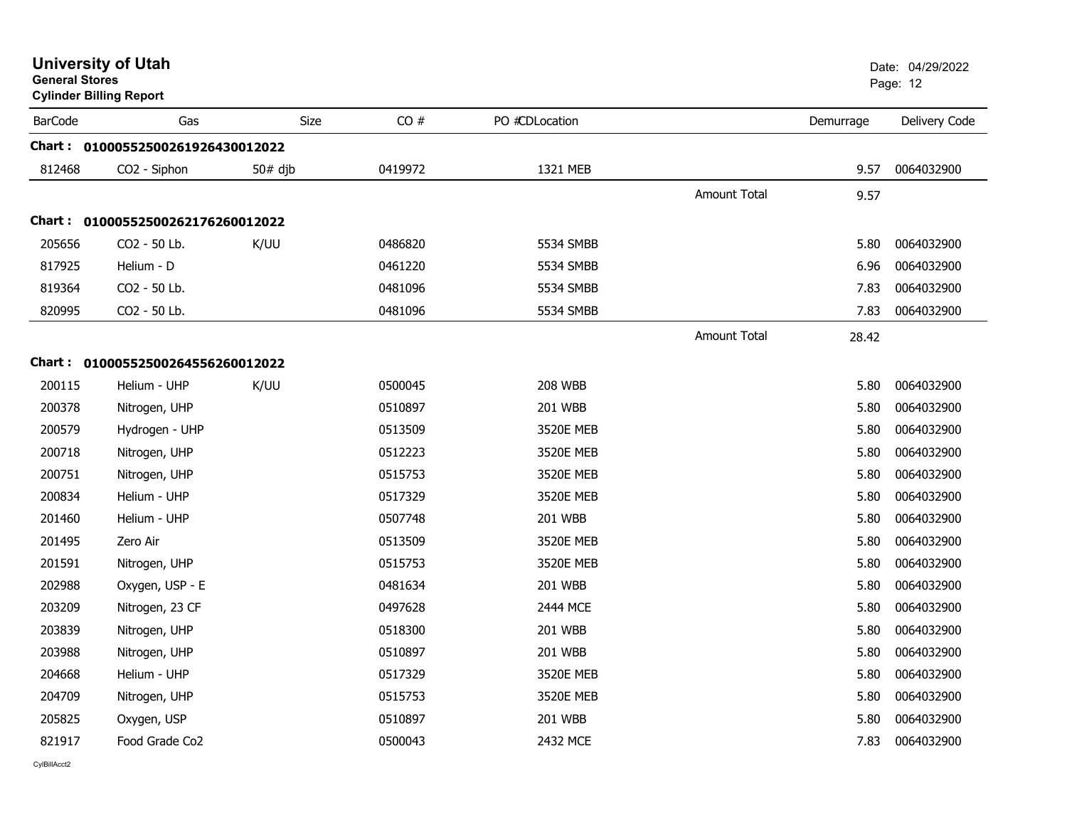| <b>General Stores</b> | <b>Cylinder Billing Report</b>    | Page: 12  |         |                |                     |           |               |
|-----------------------|-----------------------------------|-----------|---------|----------------|---------------------|-----------|---------------|
| <b>BarCode</b>        | Gas                               | Size      | CO#     | PO #CDLocation |                     | Demurrage | Delivery Code |
|                       | Chart: 01000552500261926430012022 |           |         |                |                     |           |               |
| 812468                | CO2 - Siphon                      | $50#$ djb | 0419972 | 1321 MEB       |                     | 9.57      | 0064032900    |
|                       |                                   |           |         |                | <b>Amount Total</b> | 9.57      |               |
|                       | Chart: 01000552500262176260012022 |           |         |                |                     |           |               |
| 205656                | CO2 - 50 Lb.                      | K/UU      | 0486820 | 5534 SMBB      |                     | 5.80      | 0064032900    |
| 817925                | Helium - D                        |           | 0461220 | 5534 SMBB      |                     | 6.96      | 0064032900    |
| 819364                | CO2 - 50 Lb.                      |           | 0481096 | 5534 SMBB      |                     | 7.83      | 0064032900    |
| 820995                | CO2 - 50 Lb.                      |           | 0481096 | 5534 SMBB      |                     | 7.83      | 0064032900    |
|                       |                                   |           |         |                | <b>Amount Total</b> | 28.42     |               |
|                       | Chart: 01000552500264556260012022 |           |         |                |                     |           |               |
| 200115                | Helium - UHP                      | K/UU      | 0500045 | <b>208 WBB</b> |                     | 5.80      | 0064032900    |
| 200378                | Nitrogen, UHP                     |           | 0510897 | 201 WBB        |                     | 5.80      | 0064032900    |
| 200579                | Hydrogen - UHP                    |           | 0513509 | 3520E MEB      |                     | 5.80      | 0064032900    |
| 200718                | Nitrogen, UHP                     |           | 0512223 | 3520E MEB      |                     | 5.80      | 0064032900    |
| 200751                | Nitrogen, UHP                     |           | 0515753 | 3520E MEB      |                     | 5.80      | 0064032900    |
| 200834                | Helium - UHP                      |           | 0517329 | 3520E MEB      |                     | 5.80      | 0064032900    |
| 201460                | Helium - UHP                      |           | 0507748 | 201 WBB        |                     | 5.80      | 0064032900    |
| 201495                | Zero Air                          |           | 0513509 | 3520E MEB      |                     | 5.80      | 0064032900    |
| 201591                | Nitrogen, UHP                     |           | 0515753 | 3520E MEB      |                     | 5.80      | 0064032900    |
| 202988                | Oxygen, USP - E                   |           | 0481634 | <b>201 WBB</b> |                     | 5.80      | 0064032900    |
| 203209                | Nitrogen, 23 CF                   |           | 0497628 | 2444 MCE       |                     | 5.80      | 0064032900    |
| 203839                | Nitrogen, UHP                     |           | 0518300 | 201 WBB        |                     | 5.80      | 0064032900    |
| 203988                | Nitrogen, UHP                     |           | 0510897 | <b>201 WBB</b> |                     | 5.80      | 0064032900    |
| 204668                | Helium - UHP                      |           | 0517329 | 3520E MEB      |                     | 5.80      | 0064032900    |
| 204709                | Nitrogen, UHP                     |           | 0515753 | 3520E MEB      |                     | 5.80      | 0064032900    |
| 205825                | Oxygen, USP                       |           | 0510897 | 201 WBB        |                     | 5.80      | 0064032900    |
| 821917                | Food Grade Co <sub>2</sub>        |           | 0500043 | 2432 MCE       |                     | 7.83      | 0064032900    |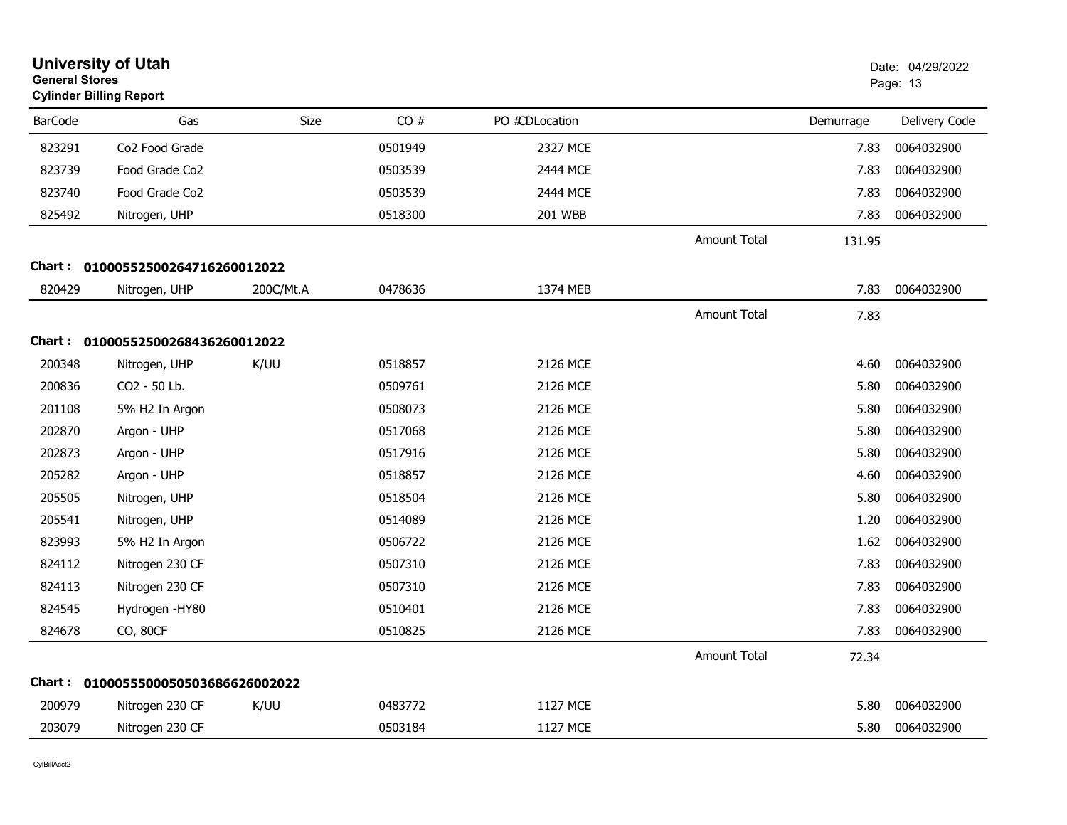|                | <b>University of Utah</b><br><b>General Stores</b><br><b>Cylinder Billing Report</b><br>Gas |             |         |                |                     |           | Date: 04/29/2022<br>Page: 13 |
|----------------|---------------------------------------------------------------------------------------------|-------------|---------|----------------|---------------------|-----------|------------------------------|
| <b>BarCode</b> |                                                                                             | <b>Size</b> | CO#     | PO #CDLocation |                     | Demurrage | Delivery Code                |
| 823291         | Co2 Food Grade                                                                              |             | 0501949 | 2327 MCE       |                     | 7.83      | 0064032900                   |
| 823739         | Food Grade Co2                                                                              |             | 0503539 | 2444 MCE       |                     | 7.83      | 0064032900                   |
| 823740         | Food Grade Co <sub>2</sub>                                                                  |             | 0503539 | 2444 MCE       |                     | 7.83      | 0064032900                   |
| 825492         | Nitrogen, UHP                                                                               |             | 0518300 | <b>201 WBB</b> |                     | 7.83      | 0064032900                   |
|                |                                                                                             |             |         |                | <b>Amount Total</b> | 131.95    |                              |
|                | Chart: 01000552500264716260012022                                                           |             |         |                |                     |           |                              |
| 820429         | Nitrogen, UHP                                                                               | 200C/Mt.A   | 0478636 | 1374 MEB       |                     | 7.83      | 0064032900                   |
|                |                                                                                             |             |         |                | <b>Amount Total</b> | 7.83      |                              |
|                | Chart: 01000552500268436260012022                                                           |             |         |                |                     |           |                              |
| 200348         | Nitrogen, UHP                                                                               | K/UU        | 0518857 | 2126 MCE       |                     | 4.60      | 0064032900                   |
| 200836         | CO2 - 50 Lb.                                                                                |             | 0509761 | 2126 MCE       |                     | 5.80      | 0064032900                   |
| 201108         | 5% H2 In Argon                                                                              |             | 0508073 | 2126 MCE       |                     | 5.80      | 0064032900                   |
| 202870         | Argon - UHP                                                                                 |             | 0517068 | 2126 MCE       |                     | 5.80      | 0064032900                   |
| 202873         | Argon - UHP                                                                                 |             | 0517916 | 2126 MCE       |                     | 5.80      | 0064032900                   |
| 205282         | Argon - UHP                                                                                 |             | 0518857 | 2126 MCE       |                     | 4.60      | 0064032900                   |
| 205505         | Nitrogen, UHP                                                                               |             | 0518504 | 2126 MCE       |                     | 5.80      | 0064032900                   |
| 205541         | Nitrogen, UHP                                                                               |             | 0514089 | 2126 MCE       |                     | 1.20      | 0064032900                   |
| 823993         | 5% H2 In Argon                                                                              |             | 0506722 | 2126 MCE       |                     | 1.62      | 0064032900                   |
| 824112         | Nitrogen 230 CF                                                                             |             | 0507310 | 2126 MCE       |                     | 7.83      | 0064032900                   |
| 824113         | Nitrogen 230 CF                                                                             |             | 0507310 | 2126 MCE       |                     | 7.83      | 0064032900                   |
| 824545         | Hydrogen - HY80                                                                             |             | 0510401 | 2126 MCE       |                     | 7.83      | 0064032900                   |
| 824678         | CO, 80CF                                                                                    |             | 0510825 | 2126 MCE       |                     | 7.83      | 0064032900                   |
|                |                                                                                             |             |         |                | <b>Amount Total</b> | 72.34     |                              |
|                | Chart: 0100055500050503686626002022                                                         |             |         |                |                     |           |                              |
| 200979         | Nitrogen 230 CF                                                                             | K/UU        | 0483772 | 1127 MCE       |                     | 5.80      | 0064032900                   |
| 203079         | Nitrogen 230 CF                                                                             |             | 0503184 | 1127 MCE       |                     | 5.80      | 0064032900                   |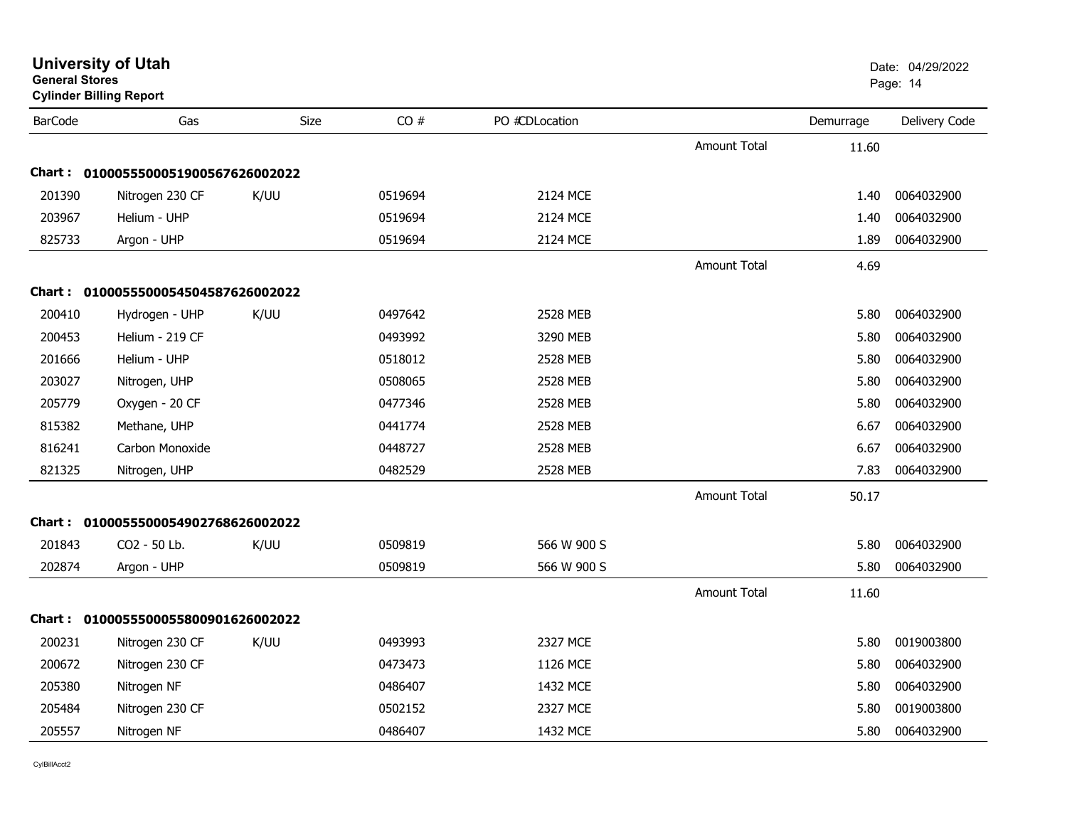| <b>General Stores</b> | <b>Cylinder Billing Report</b>      |      |         |                 |                     |           | Page: 14      |
|-----------------------|-------------------------------------|------|---------|-----------------|---------------------|-----------|---------------|
| <b>BarCode</b>        | Gas                                 | Size | CO#     | PO #CDLocation  |                     | Demurrage | Delivery Code |
|                       |                                     |      |         |                 | <b>Amount Total</b> | 11.60     |               |
|                       | Chart: 0100055500051900567626002022 |      |         |                 |                     |           |               |
| 201390                | Nitrogen 230 CF                     | K/UU | 0519694 | 2124 MCE        |                     | 1.40      | 0064032900    |
| 203967                | Helium - UHP                        |      | 0519694 | 2124 MCE        |                     | 1.40      | 0064032900    |
| 825733                | Argon - UHP                         |      | 0519694 | 2124 MCE        |                     | 1.89      | 0064032900    |
|                       |                                     |      |         |                 | <b>Amount Total</b> | 4.69      |               |
|                       | Chart: 0100055500054504587626002022 |      |         |                 |                     |           |               |
| 200410                | Hydrogen - UHP                      | K/UU | 0497642 | 2528 MEB        |                     | 5.80      | 0064032900    |
| 200453                | Helium - 219 CF                     |      | 0493992 | 3290 MEB        |                     | 5.80      | 0064032900    |
| 201666                | Helium - UHP                        |      | 0518012 | 2528 MEB        |                     | 5.80      | 0064032900    |
| 203027                | Nitrogen, UHP                       |      | 0508065 | 2528 MEB        |                     | 5.80      | 0064032900    |
| 205779                | Oxygen - 20 CF                      |      | 0477346 | <b>2528 MEB</b> |                     | 5.80      | 0064032900    |
| 815382                | Methane, UHP                        |      | 0441774 | 2528 MEB        |                     | 6.67      | 0064032900    |
| 816241                | Carbon Monoxide                     |      | 0448727 | 2528 MEB        |                     | 6.67      | 0064032900    |
| 821325                | Nitrogen, UHP                       |      | 0482529 | 2528 MEB        |                     | 7.83      | 0064032900    |
|                       |                                     |      |         |                 | <b>Amount Total</b> | 50.17     |               |
|                       | Chart: 0100055500054902768626002022 |      |         |                 |                     |           |               |
| 201843                | CO2 - 50 Lb.                        | K/UU | 0509819 | 566 W 900 S     |                     | 5.80      | 0064032900    |
| 202874                | Argon - UHP                         |      | 0509819 | 566 W 900 S     |                     | 5.80      | 0064032900    |
|                       |                                     |      |         |                 | <b>Amount Total</b> | 11.60     |               |
|                       | Chart: 0100055500055800901626002022 |      |         |                 |                     |           |               |
| 200231                | Nitrogen 230 CF                     | K/UU | 0493993 | 2327 MCE        |                     | 5.80      | 0019003800    |
| 200672                | Nitrogen 230 CF                     |      | 0473473 | 1126 MCE        |                     | 5.80      | 0064032900    |
| 205380                | Nitrogen NF                         |      | 0486407 | 1432 MCE        |                     | 5.80      | 0064032900    |
| 205484                | Nitrogen 230 CF                     |      | 0502152 | 2327 MCE        |                     | 5.80      | 0019003800    |
| 205557                | Nitrogen NF                         |      | 0486407 | 1432 MCE        |                     | 5.80      | 0064032900    |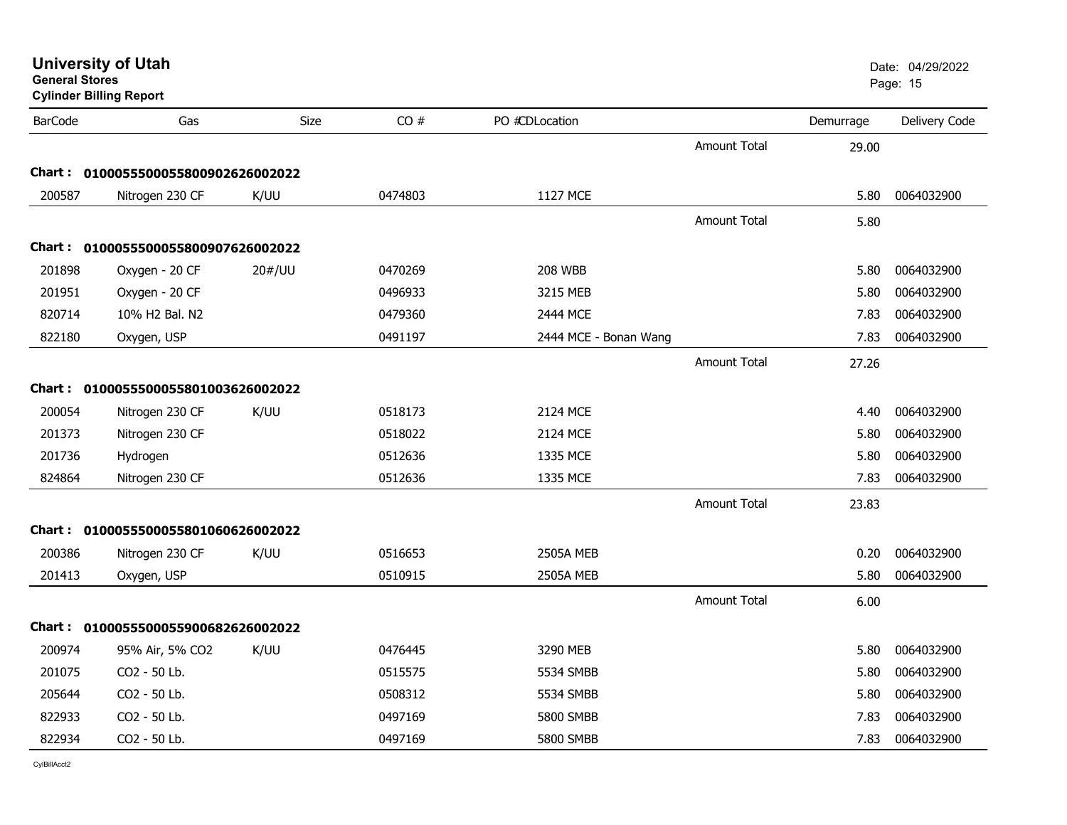| General Stores | <b>Cylinder Billing Report</b>      |             |         |                       |                     |           | Page: 15      |
|----------------|-------------------------------------|-------------|---------|-----------------------|---------------------|-----------|---------------|
| <b>BarCode</b> | Gas                                 | <b>Size</b> | CO#     | PO #CDLocation        |                     | Demurrage | Delivery Code |
|                |                                     |             |         |                       | <b>Amount Total</b> | 29.00     |               |
|                | Chart: 0100055500055800902626002022 |             |         |                       |                     |           |               |
| 200587         | Nitrogen 230 CF                     | K/UU        | 0474803 | 1127 MCE              |                     | 5.80      | 0064032900    |
|                |                                     |             |         |                       | <b>Amount Total</b> | 5.80      |               |
|                | Chart: 0100055500055800907626002022 |             |         |                       |                     |           |               |
| 201898         | Oxygen - 20 CF                      | 20#/UU      | 0470269 | <b>208 WBB</b>        |                     | 5.80      | 0064032900    |
| 201951         | Oxygen - 20 CF                      |             | 0496933 | 3215 MEB              |                     | 5.80      | 0064032900    |
| 820714         | 10% H2 Bal. N2                      |             | 0479360 | 2444 MCE              |                     | 7.83      | 0064032900    |
| 822180         | Oxygen, USP                         |             | 0491197 | 2444 MCE - Bonan Wang |                     | 7.83      | 0064032900    |
|                |                                     |             |         |                       | Amount Total        | 27.26     |               |
|                | Chart: 0100055500055801003626002022 |             |         |                       |                     |           |               |
| 200054         | Nitrogen 230 CF                     | K/UU        | 0518173 | 2124 MCE              |                     | 4.40      | 0064032900    |
| 201373         | Nitrogen 230 CF                     |             | 0518022 | 2124 MCE              |                     | 5.80      | 0064032900    |
| 201736         | Hydrogen                            |             | 0512636 | 1335 MCE              |                     | 5.80      | 0064032900    |
| 824864         | Nitrogen 230 CF                     |             | 0512636 | 1335 MCE              |                     | 7.83      | 0064032900    |
|                |                                     |             |         |                       | <b>Amount Total</b> | 23.83     |               |
|                | Chart: 0100055500055801060626002022 |             |         |                       |                     |           |               |
| 200386         | Nitrogen 230 CF                     | K/UU        | 0516653 | <b>2505A MEB</b>      |                     | 0.20      | 0064032900    |
| 201413         | Oxygen, USP                         |             | 0510915 | <b>2505A MEB</b>      |                     | 5.80      | 0064032900    |
|                |                                     |             |         |                       | <b>Amount Total</b> | 6.00      |               |
|                | Chart: 0100055500055900682626002022 |             |         |                       |                     |           |               |
| 200974         | 95% Air, 5% CO2                     | K/UU        | 0476445 | 3290 MEB              |                     | 5.80      | 0064032900    |
| 201075         | CO2 - 50 Lb.                        |             | 0515575 | 5534 SMBB             |                     | 5.80      | 0064032900    |
| 205644         | CO2 - 50 Lb.                        |             | 0508312 | 5534 SMBB             |                     | 5.80      | 0064032900    |
| 822933         | CO2 - 50 Lb.                        |             | 0497169 | 5800 SMBB             |                     | 7.83      | 0064032900    |
| 822934         | CO2 - 50 Lb.                        |             | 0497169 | 5800 SMBB             |                     | 7.83      | 0064032900    |

**General Stores**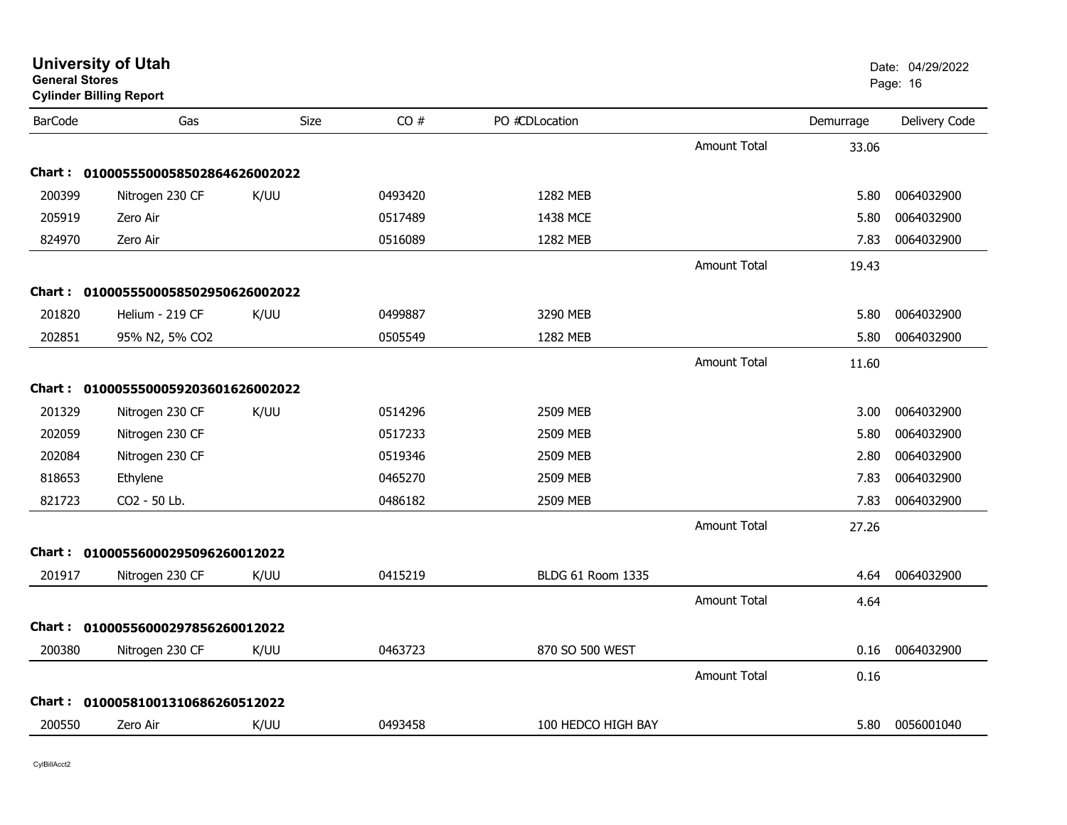| General Stores | <b>Cylinder Billing Report</b>      |      |         |                          |                     |           | Page: 16      |
|----------------|-------------------------------------|------|---------|--------------------------|---------------------|-----------|---------------|
| <b>BarCode</b> | Gas                                 | Size | CO#     | PO #CDLocation           |                     | Demurrage | Delivery Code |
|                |                                     |      |         |                          | Amount Total        | 33.06     |               |
|                | Chart: 0100055500058502864626002022 |      |         |                          |                     |           |               |
| 200399         | Nitrogen 230 CF                     | K/UU | 0493420 | 1282 MEB                 |                     | 5.80      | 0064032900    |
| 205919         | Zero Air                            |      | 0517489 | 1438 MCE                 |                     | 5.80      | 0064032900    |
| 824970         | Zero Air                            |      | 0516089 | 1282 MEB                 |                     | 7.83      | 0064032900    |
|                |                                     |      |         |                          | <b>Amount Total</b> | 19.43     |               |
|                | Chart: 0100055500058502950626002022 |      |         |                          |                     |           |               |
| 201820         | Helium - 219 CF                     | K/UU | 0499887 | 3290 MEB                 |                     | 5.80      | 0064032900    |
| 202851         | 95% N2, 5% CO2                      |      | 0505549 | 1282 MEB                 |                     | 5.80      | 0064032900    |
|                |                                     |      |         |                          | <b>Amount Total</b> | 11.60     |               |
|                | Chart: 0100055500059203601626002022 |      |         |                          |                     |           |               |
| 201329         | Nitrogen 230 CF                     | K/UU | 0514296 | 2509 MEB                 |                     | 3.00      | 0064032900    |
| 202059         | Nitrogen 230 CF                     |      | 0517233 | 2509 MEB                 |                     | 5.80      | 0064032900    |
| 202084         | Nitrogen 230 CF                     |      | 0519346 | 2509 MEB                 |                     | 2.80      | 0064032900    |
| 818653         | Ethylene                            |      | 0465270 | 2509 MEB                 |                     | 7.83      | 0064032900    |
| 821723         | CO2 - 50 Lb.                        |      | 0486182 | 2509 MEB                 |                     | 7.83      | 0064032900    |
|                |                                     |      |         |                          | Amount Total        | 27.26     |               |
|                | Chart: 01000556000295096260012022   |      |         |                          |                     |           |               |
| 201917         | Nitrogen 230 CF                     | K/UU | 0415219 | <b>BLDG 61 Room 1335</b> |                     | 4.64      | 0064032900    |
|                |                                     |      |         |                          | Amount Total        | 4.64      |               |
|                | Chart: 01000556000297856260012022   |      |         |                          |                     |           |               |
| 200380         | Nitrogen 230 CF                     | K/UU | 0463723 | 870 SO 500 WEST          |                     | 0.16      | 0064032900    |
|                |                                     |      |         |                          | Amount Total        | 0.16      |               |
|                | Chart: 01000581001310686260512022   |      |         |                          |                     |           |               |
| 200550         | Zero Air                            | K/UU | 0493458 | 100 HEDCO HIGH BAY       |                     | 5.80      | 0056001040    |
|                |                                     |      |         |                          |                     |           |               |

**General Stores**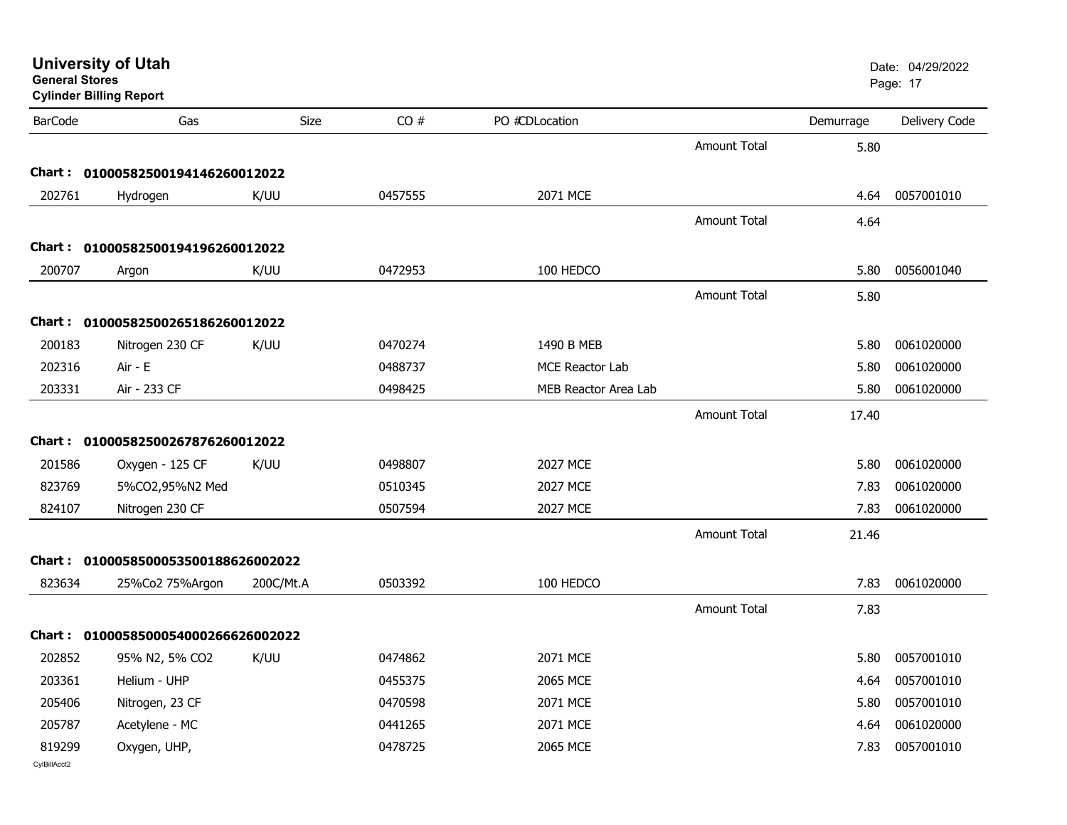| <b>General Stores</b>  | <b>University of Utah</b><br><b>Cylinder Billing Report</b> |             |         |                        |                     |           | Date: 04/29/2022<br>Page: 17 |
|------------------------|-------------------------------------------------------------|-------------|---------|------------------------|---------------------|-----------|------------------------------|
| <b>BarCode</b>         | Gas                                                         | <b>Size</b> | CO#     | PO #CDLocation         |                     | Demurrage | Delivery Code                |
|                        |                                                             |             |         |                        | Amount Total        | 5.80      |                              |
| <b>Chart :</b>         | 01000582500194146260012022                                  |             |         |                        |                     |           |                              |
| 202761                 | Hydrogen                                                    | K/UU        | 0457555 | 2071 MCE               |                     | 4.64      | 0057001010                   |
|                        |                                                             |             |         |                        | <b>Amount Total</b> | 4.64      |                              |
| Chart : .              | 01000582500194196260012022                                  |             |         |                        |                     |           |                              |
| 200707                 | Argon                                                       | K/UU        | 0472953 | 100 HEDCO              |                     | 5.80      | 0056001040                   |
|                        |                                                             |             |         |                        | <b>Amount Total</b> | 5.80      |                              |
| Chart :                | 01000582500265186260012022                                  |             |         |                        |                     |           |                              |
| 200183                 | Nitrogen 230 CF                                             | K/UU        | 0470274 | 1490 B MEB             |                     | 5.80      | 0061020000                   |
| 202316                 | Air - E                                                     |             | 0488737 | <b>MCE Reactor Lab</b> |                     | 5.80      | 0061020000                   |
| 203331                 | Air - 233 CF                                                |             | 0498425 | MEB Reactor Area Lab   |                     | 5.80      | 0061020000                   |
|                        |                                                             |             |         |                        | Amount Total        | 17.40     |                              |
| <b>Chart :</b>         | 01000582500267876260012022                                  |             |         |                        |                     |           |                              |
| 201586                 | Oxygen - 125 CF                                             | K/UU        | 0498807 | 2027 MCE               |                     | 5.80      | 0061020000                   |
| 823769                 | 5%CO2,95%N2 Med                                             |             | 0510345 | 2027 MCE               |                     | 7.83      | 0061020000                   |
| 824107                 | Nitrogen 230 CF                                             |             | 0507594 | 2027 MCE               |                     | 7.83      | 0061020000                   |
|                        |                                                             |             |         |                        | Amount Total        | 21.46     |                              |
| Chart :                | 0100058500053500188626002022                                |             |         |                        |                     |           |                              |
| 823634                 | 25%Co2 75%Argon                                             | 200C/Mt.A   | 0503392 | 100 HEDCO              |                     | 7.83      | 0061020000                   |
|                        |                                                             |             |         |                        | Amount Total        | 7.83      |                              |
| Chart :                | 0100058500054000266626002022                                |             |         |                        |                     |           |                              |
| 202852                 | 95% N2, 5% CO2 K/UU                                         |             | 0474862 | 2071 MCE               |                     |           | 5.80  0057001010             |
| 203361                 | Helium - UHP                                                |             | 0455375 | 2065 MCE               |                     | 4.64      | 0057001010                   |
| 205406                 | Nitrogen, 23 CF                                             |             | 0470598 | 2071 MCE               |                     | 5.80      | 0057001010                   |
| 205787                 | Acetylene - MC                                              |             | 0441265 | 2071 MCE               |                     | 4.64      | 0061020000                   |
| 819299<br>CvIBillAcct2 | Oxygen, UHP,                                                |             | 0478725 | 2065 MCE               |                     | 7.83      | 0057001010                   |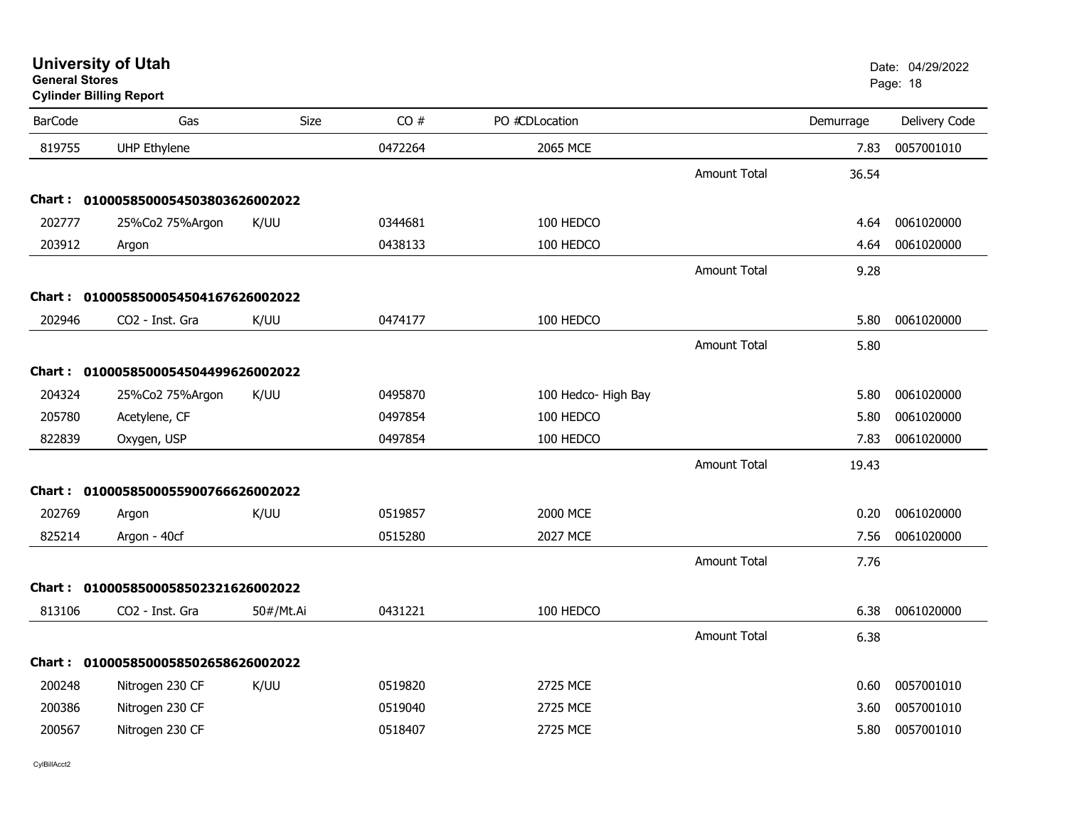| <b>University of Utah</b> |  |
|---------------------------|--|
| <b>General Stores</b>     |  |

## **Cylinder Billing Report**

| <b>BarCode</b> | Gas                                 | Size      | CO#     | PO #CDLocation      |                     | Demurrage | Delivery Code |
|----------------|-------------------------------------|-----------|---------|---------------------|---------------------|-----------|---------------|
| 819755         | <b>UHP Ethylene</b>                 |           | 0472264 | 2065 MCE            |                     | 7.83      | 0057001010    |
|                |                                     |           |         |                     | <b>Amount Total</b> | 36.54     |               |
|                | Chart: 0100058500054503803626002022 |           |         |                     |                     |           |               |
| 202777         | 25%Co2 75%Argon                     | K/UU      | 0344681 | 100 HEDCO           |                     | 4.64      | 0061020000    |
| 203912         | Argon                               |           | 0438133 | 100 HEDCO           |                     | 4.64      | 0061020000    |
|                |                                     |           |         |                     | <b>Amount Total</b> | 9.28      |               |
|                | Chart: 0100058500054504167626002022 |           |         |                     |                     |           |               |
| 202946         | CO2 - Inst. Gra                     | K/UU      | 0474177 | 100 HEDCO           |                     | 5.80      | 0061020000    |
|                |                                     |           |         |                     | <b>Amount Total</b> | 5.80      |               |
|                | Chart: 0100058500054504499626002022 |           |         |                     |                     |           |               |
| 204324         | 25%Co2 75%Argon                     | K/UU      | 0495870 | 100 Hedco- High Bay |                     | 5.80      | 0061020000    |
| 205780         | Acetylene, CF                       |           | 0497854 | 100 HEDCO           |                     | 5.80      | 0061020000    |
| 822839         | Oxygen, USP                         |           | 0497854 | 100 HEDCO           |                     | 7.83      | 0061020000    |
|                |                                     |           |         |                     | <b>Amount Total</b> | 19.43     |               |
|                | Chart: 0100058500055900766626002022 |           |         |                     |                     |           |               |
| 202769         | Argon                               | K/UU      | 0519857 | 2000 MCE            |                     | 0.20      | 0061020000    |
| 825214         | Argon - 40cf                        |           | 0515280 | <b>2027 MCE</b>     |                     | 7.56      | 0061020000    |
|                |                                     |           |         |                     | Amount Total        | 7.76      |               |
|                | Chart: 0100058500058502321626002022 |           |         |                     |                     |           |               |
| 813106         | CO2 - Inst. Gra                     | 50#/Mt.Ai | 0431221 | 100 HEDCO           |                     | 6.38      | 0061020000    |
|                |                                     |           |         |                     | <b>Amount Total</b> | 6.38      |               |
|                | Chart: 0100058500058502658626002022 |           |         |                     |                     |           |               |
| 200248         | Nitrogen 230 CF                     | K/UU      | 0519820 | 2725 MCE            |                     | 0.60      | 0057001010    |
| 200386         | Nitrogen 230 CF                     |           | 0519040 | 2725 MCE            |                     | 3.60      | 0057001010    |
| 200567         | Nitrogen 230 CF                     |           | 0518407 | 2725 MCE            |                     | 5.80      | 0057001010    |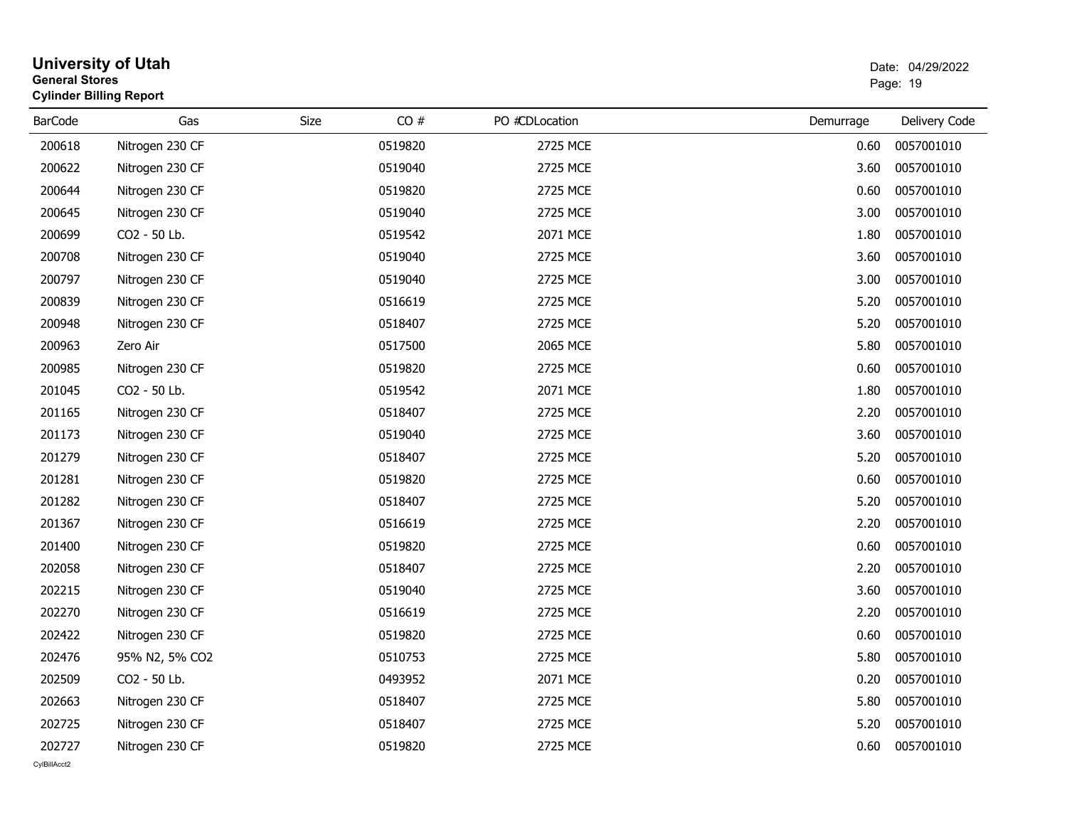| <b>General Stores</b> | <b>University of Utah</b><br><b>Cylinder Billing Report</b> |      |         |                |           | Date: 04/29/2022<br>Page: 19 |
|-----------------------|-------------------------------------------------------------|------|---------|----------------|-----------|------------------------------|
| <b>BarCode</b>        | Gas                                                         | Size | CO#     | PO #CDLocation | Demurrage | Delivery Code                |
| 200618                | Nitrogen 230 CF                                             |      | 0519820 | 2725 MCE       | 0.60      | 0057001010                   |
| 200622                | Nitrogen 230 CF                                             |      | 0519040 | 2725 MCE       | 3.60      | 0057001010                   |
| 200644                | Nitrogen 230 CF                                             |      | 0519820 | 2725 MCE       | 0.60      | 0057001010                   |
| 200645                | Nitrogen 230 CF                                             |      | 0519040 | 2725 MCE       | 3.00      | 0057001010                   |
| 200699                | CO2 - 50 Lb.                                                |      | 0519542 | 2071 MCE       | 1.80      | 0057001010                   |
| 200708                | Nitrogen 230 CF                                             |      | 0519040 | 2725 MCE       | 3.60      | 0057001010                   |
| 200797                | Nitrogen 230 CF                                             |      | 0519040 | 2725 MCE       | 3.00      | 0057001010                   |
| 200839                | Nitrogen 230 CF                                             |      | 0516619 | 2725 MCE       | 5.20      | 0057001010                   |
| 200948                | Nitrogen 230 CF                                             |      | 0518407 | 2725 MCE       | 5.20      | 0057001010                   |
| 200963                | Zero Air                                                    |      | 0517500 | 2065 MCE       | 5.80      | 0057001010                   |
| 200985                | Nitrogen 230 CF                                             |      | 0519820 | 2725 MCE       | 0.60      | 0057001010                   |
| 201045                | CO2 - 50 Lb.                                                |      | 0519542 | 2071 MCE       | 1.80      | 0057001010                   |
| 201165                | Nitrogen 230 CF                                             |      | 0518407 | 2725 MCE       | 2.20      | 0057001010                   |
| 201173                | Nitrogen 230 CF                                             |      | 0519040 | 2725 MCE       | 3.60      | 0057001010                   |
| 201279                | Nitrogen 230 CF                                             |      | 0518407 | 2725 MCE       | 5.20      | 0057001010                   |
| 201281                | Nitrogen 230 CF                                             |      | 0519820 | 2725 MCE       | 0.60      | 0057001010                   |
| 201282                | Nitrogen 230 CF                                             |      | 0518407 | 2725 MCE       | 5.20      | 0057001010                   |
| 201367                | Nitrogen 230 CF                                             |      | 0516619 | 2725 MCE       | 2.20      | 0057001010                   |
| 201400                | Nitrogen 230 CF                                             |      | 0519820 | 2725 MCE       | 0.60      | 0057001010                   |
| 202058                | Nitrogen 230 CF                                             |      | 0518407 | 2725 MCE       | 2.20      | 0057001010                   |
| 202215                | Nitrogen 230 CF                                             |      | 0519040 | 2725 MCE       | 3.60      | 0057001010                   |
| 202270                | Nitrogen 230 CF                                             |      | 0516619 | 2725 MCE       | 2.20      | 0057001010                   |
| 202422                | Nitrogen 230 CF                                             |      | 0519820 | 2725 MCE       | 0.60      | 0057001010                   |
| 202476                | 95% N2, 5% CO2                                              |      | 0510753 | 2725 MCE       | 5.80      | 0057001010                   |
| 202509                | CO2 - 50 Lb.                                                |      | 0493952 | 2071 MCE       | 0.20      | 0057001010                   |
| 202663                | Nitrogen 230 CF                                             |      | 0518407 | 2725 MCE       | 5.80      | 0057001010                   |
| 202725                | Nitrogen 230 CF                                             |      | 0518407 | 2725 MCE       | 5.20      | 0057001010                   |
| 202727                | Nitrogen 230 CF                                             |      | 0519820 | 2725 MCE       | 0.60      | 0057001010                   |
| CvIBillAcct2          |                                                             |      |         |                |           |                              |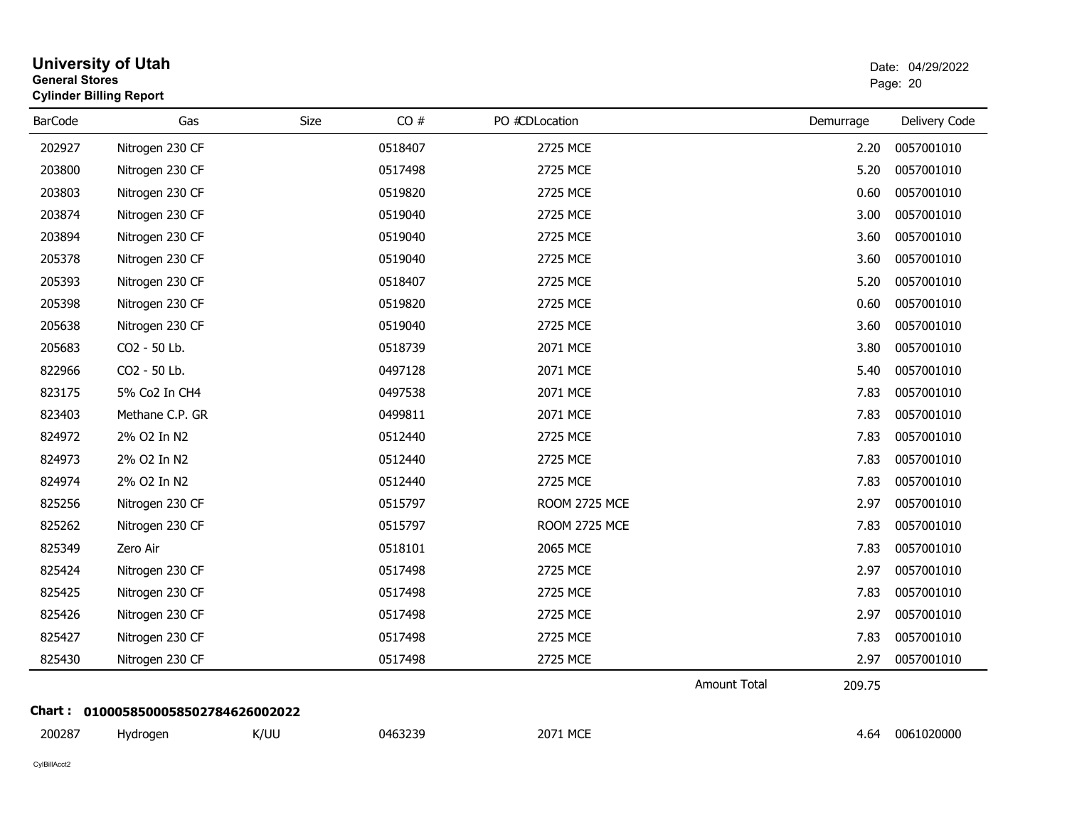| <b>General Stores</b> | <b>University of Utah</b><br><b>Cylinder Billing Report</b> |             |         |                      |              |           | Date: 04/29/2022<br>Page: 20 |
|-----------------------|-------------------------------------------------------------|-------------|---------|----------------------|--------------|-----------|------------------------------|
| <b>BarCode</b>        | Gas                                                         | <b>Size</b> | CO#     | PO #CDLocation       |              | Demurrage | Delivery Code                |
| 202927                | Nitrogen 230 CF                                             |             | 0518407 | 2725 MCE             |              | 2.20      | 0057001010                   |
| 203800                | Nitrogen 230 CF                                             |             | 0517498 | 2725 MCE             |              | 5.20      | 0057001010                   |
| 203803                | Nitrogen 230 CF                                             |             | 0519820 | 2725 MCE             |              | 0.60      | 0057001010                   |
| 203874                | Nitrogen 230 CF                                             |             | 0519040 | 2725 MCE             |              | 3.00      | 0057001010                   |
| 203894                | Nitrogen 230 CF                                             |             | 0519040 | 2725 MCE             |              | 3.60      | 0057001010                   |
| 205378                | Nitrogen 230 CF                                             |             | 0519040 | 2725 MCE             |              | 3.60      | 0057001010                   |
| 205393                | Nitrogen 230 CF                                             |             | 0518407 | 2725 MCE             |              | 5.20      | 0057001010                   |
| 205398                | Nitrogen 230 CF                                             |             | 0519820 | 2725 MCE             |              | 0.60      | 0057001010                   |
| 205638                | Nitrogen 230 CF                                             |             | 0519040 | 2725 MCE             |              | 3.60      | 0057001010                   |
| 205683                | CO2 - 50 Lb.                                                |             | 0518739 | 2071 MCE             |              | 3.80      | 0057001010                   |
| 822966                | CO2 - 50 Lb.                                                |             | 0497128 | 2071 MCE             |              | 5.40      | 0057001010                   |
| 823175                | 5% Co2 In CH4                                               |             | 0497538 | 2071 MCE             |              | 7.83      | 0057001010                   |
| 823403                | Methane C.P. GR                                             |             | 0499811 | 2071 MCE             |              | 7.83      | 0057001010                   |
| 824972                | 2% O2 In N2                                                 |             | 0512440 | 2725 MCE             |              | 7.83      | 0057001010                   |
| 824973                | 2% O2 In N2                                                 |             | 0512440 | 2725 MCE             |              | 7.83      | 0057001010                   |
| 824974                | 2% O2 In N2                                                 |             | 0512440 | 2725 MCE             |              | 7.83      | 0057001010                   |
| 825256                | Nitrogen 230 CF                                             |             | 0515797 | <b>ROOM 2725 MCE</b> |              | 2.97      | 0057001010                   |
| 825262                | Nitrogen 230 CF                                             |             | 0515797 | <b>ROOM 2725 MCE</b> |              | 7.83      | 0057001010                   |
| 825349                | Zero Air                                                    |             | 0518101 | 2065 MCE             |              | 7.83      | 0057001010                   |
| 825424                | Nitrogen 230 CF                                             |             | 0517498 | 2725 MCE             |              | 2.97      | 0057001010                   |
| 825425                | Nitrogen 230 CF                                             |             | 0517498 | 2725 MCE             |              | 7.83      | 0057001010                   |
| 825426                | Nitrogen 230 CF                                             |             | 0517498 | 2725 MCE             |              | 2.97      | 0057001010                   |
| 825427                | Nitrogen 230 CF                                             |             | 0517498 | 2725 MCE             |              | 7.83      | 0057001010                   |
| 825430                | Nitrogen 230 CF                                             |             | 0517498 | 2725 MCE             |              | 2.97      | 0057001010                   |
|                       |                                                             |             |         |                      | Amount Total | 209.75    |                              |
|                       | Chart: 0100058500058502784626002022                         |             |         |                      |              |           |                              |
| 200287                | Hydrogen                                                    | K/UU        | 0463239 | 2071 MCE             |              | 4.64      | 0061020000                   |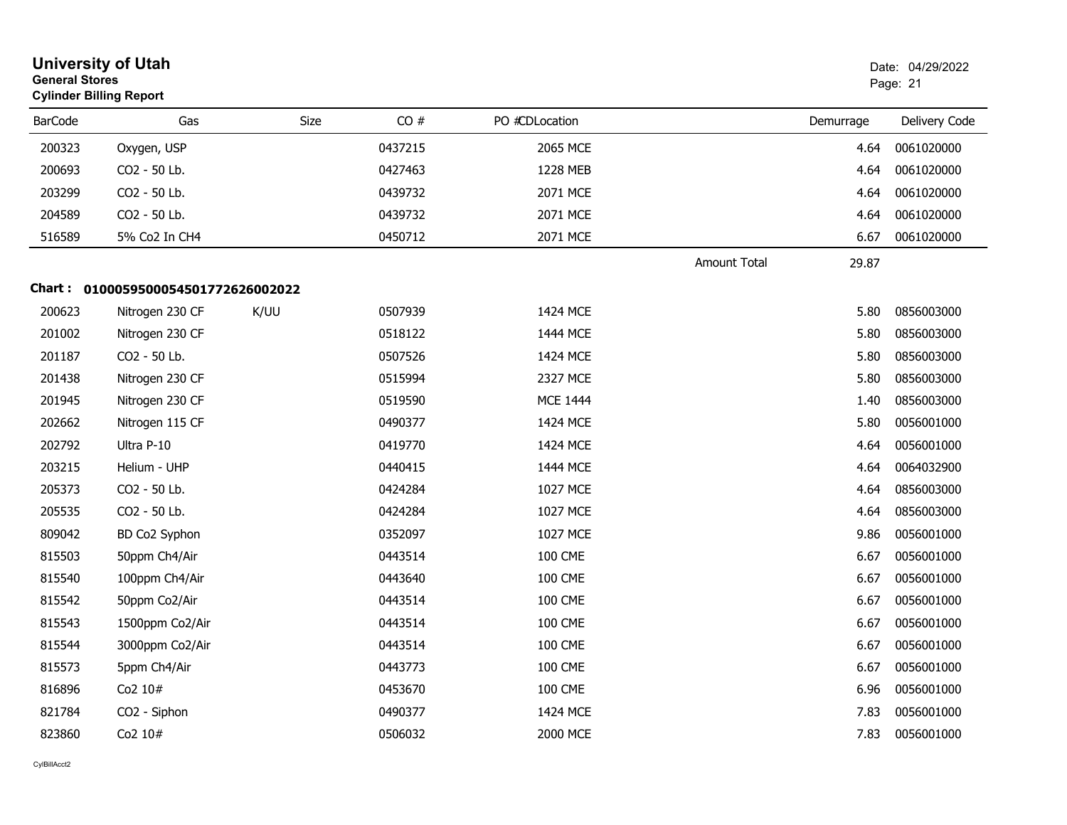| <b>General Stores</b><br><b>Cylinder Billing Report</b> | <b>University of Utah</b>           |      |         |                 |                     | Date: 04/29/2022<br>Page: 21 |               |  |
|---------------------------------------------------------|-------------------------------------|------|---------|-----------------|---------------------|------------------------------|---------------|--|
| <b>BarCode</b>                                          | Gas                                 | Size | CO#     | PO #CDLocation  |                     | Demurrage                    | Delivery Code |  |
| 200323                                                  | Oxygen, USP                         |      | 0437215 | 2065 MCE        |                     | 4.64                         | 0061020000    |  |
| 200693                                                  | CO2 - 50 Lb.                        |      | 0427463 | 1228 MEB        |                     | 4.64                         | 0061020000    |  |
| 203299                                                  | CO2 - 50 Lb.                        |      | 0439732 | 2071 MCE        |                     | 4.64                         | 0061020000    |  |
| 204589                                                  | CO2 - 50 Lb.                        |      | 0439732 | 2071 MCE        |                     | 4.64                         | 0061020000    |  |
| 516589                                                  | 5% Co2 In CH4                       |      | 0450712 | 2071 MCE        |                     | 6.67                         | 0061020000    |  |
|                                                         |                                     |      |         |                 | <b>Amount Total</b> | 29.87                        |               |  |
|                                                         | Chart: 0100059500054501772626002022 |      |         |                 |                     |                              |               |  |
| 200623                                                  | Nitrogen 230 CF                     | K/UU | 0507939 | 1424 MCE        |                     | 5.80                         | 0856003000    |  |
| 201002                                                  | Nitrogen 230 CF                     |      | 0518122 | 1444 MCE        |                     | 5.80                         | 0856003000    |  |
| 201187                                                  | CO2 - 50 Lb.                        |      | 0507526 | 1424 MCE        |                     | 5.80                         | 0856003000    |  |
| 201438                                                  | Nitrogen 230 CF                     |      | 0515994 | <b>2327 MCE</b> |                     | 5.80                         | 0856003000    |  |
| 201945                                                  | Nitrogen 230 CF                     |      | 0519590 | <b>MCE 1444</b> |                     | 1.40                         | 0856003000    |  |
| 202662                                                  | Nitrogen 115 CF                     |      | 0490377 | 1424 MCE        |                     | 5.80                         | 0056001000    |  |
| 202792                                                  | Ultra P-10                          |      | 0419770 | 1424 MCE        |                     | 4.64                         | 0056001000    |  |
| 203215                                                  | Helium - UHP                        |      | 0440415 | 1444 MCE        |                     | 4.64                         | 0064032900    |  |
| 205373                                                  | CO2 - 50 Lb.                        |      | 0424284 | 1027 MCE        |                     | 4.64                         | 0856003000    |  |
| 205535                                                  | CO2 - 50 Lb.                        |      | 0424284 | 1027 MCE        |                     | 4.64                         | 0856003000    |  |
| 809042                                                  | BD Co2 Syphon                       |      | 0352097 | 1027 MCE        |                     | 9.86                         | 0056001000    |  |
| 815503                                                  | 50ppm Ch4/Air                       |      | 0443514 | <b>100 CME</b>  |                     | 6.67                         | 0056001000    |  |
| 815540                                                  | 100ppm Ch4/Air                      |      | 0443640 | <b>100 CME</b>  |                     | 6.67                         | 0056001000    |  |
| 815542                                                  | 50ppm Co2/Air                       |      | 0443514 | <b>100 CME</b>  |                     | 6.67                         | 0056001000    |  |
| 815543                                                  | 1500ppm Co2/Air                     |      | 0443514 | <b>100 CME</b>  |                     | 6.67                         | 0056001000    |  |
| 815544                                                  | 3000ppm Co2/Air                     |      | 0443514 | <b>100 CME</b>  |                     | 6.67                         | 0056001000    |  |
| 815573                                                  | 5ppm Ch4/Air                        |      | 0443773 | <b>100 CME</b>  |                     | 6.67                         | 0056001000    |  |
| 816896                                                  | Co2 10#                             |      | 0453670 | <b>100 CME</b>  |                     | 6.96                         | 0056001000    |  |
| 821784                                                  | CO2 - Siphon                        |      | 0490377 | 1424 MCE        |                     | 7.83                         | 0056001000    |  |
| 823860                                                  | Co2 10#                             |      | 0506032 | 2000 MCE        |                     | 7.83                         | 0056001000    |  |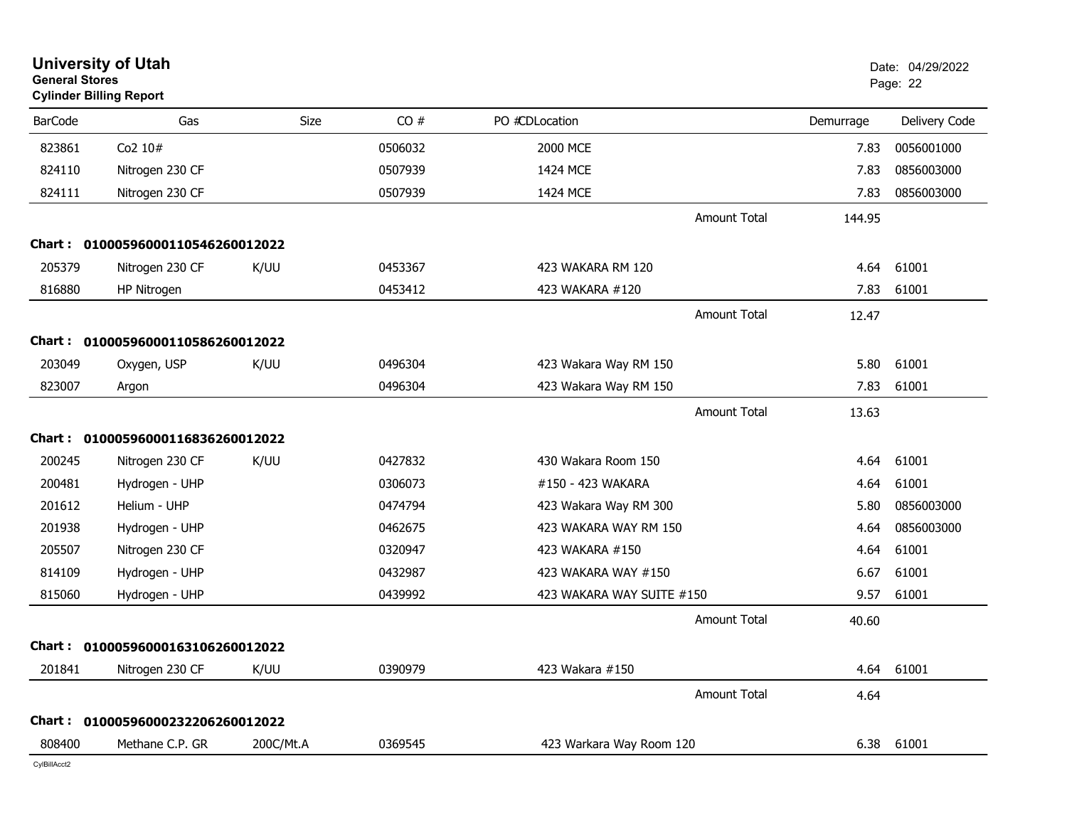| <b>General Stores</b> | <b>University of Utah</b><br><b>Cylinder Billing Report</b> |             |         |                           |           | Date: 04/29/2022<br>Page: 22 |
|-----------------------|-------------------------------------------------------------|-------------|---------|---------------------------|-----------|------------------------------|
| <b>BarCode</b>        | Gas                                                         | <b>Size</b> | CO#     | PO #CDLocation            | Demurrage | Delivery Code                |
| 823861                | Co2 10#                                                     |             | 0506032 | 2000 MCE                  | 7.83      | 0056001000                   |
| 824110                | Nitrogen 230 CF                                             |             | 0507939 | 1424 MCE                  | 7.83      | 0856003000                   |
| 824111                | Nitrogen 230 CF                                             |             | 0507939 | 1424 MCE                  | 7.83      | 0856003000                   |
|                       |                                                             |             |         | <b>Amount Total</b>       | 144.95    |                              |
|                       | Chart: 01000596000110546260012022                           |             |         |                           |           |                              |
| 205379                | Nitrogen 230 CF                                             | K/UU        | 0453367 | 423 WAKARA RM 120         | 4.64      | 61001                        |
| 816880                | HP Nitrogen                                                 |             | 0453412 | 423 WAKARA #120           | 7.83      | 61001                        |
|                       |                                                             |             |         | Amount Total              | 12.47     |                              |
|                       | Chart: 01000596000110586260012022                           |             |         |                           |           |                              |
| 203049                | Oxygen, USP                                                 | K/UU        | 0496304 | 423 Wakara Way RM 150     | 5.80      | 61001                        |
| 823007                | Argon                                                       |             | 0496304 | 423 Wakara Way RM 150     | 7.83      | 61001                        |
|                       |                                                             |             |         | <b>Amount Total</b>       | 13.63     |                              |
|                       | Chart: 01000596000116836260012022                           |             |         |                           |           |                              |
| 200245                | Nitrogen 230 CF                                             | K/UU        | 0427832 | 430 Wakara Room 150       | 4.64      | 61001                        |
| 200481                | Hydrogen - UHP                                              |             | 0306073 | #150 - 423 WAKARA         | 4.64      | 61001                        |
| 201612                | Helium - UHP                                                |             | 0474794 | 423 Wakara Way RM 300     | 5.80      | 0856003000                   |
| 201938                | Hydrogen - UHP                                              |             | 0462675 | 423 WAKARA WAY RM 150     | 4.64      | 0856003000                   |
| 205507                | Nitrogen 230 CF                                             |             | 0320947 | 423 WAKARA #150           | 4.64      | 61001                        |
| 814109                | Hydrogen - UHP                                              |             | 0432987 | 423 WAKARA WAY #150       | 6.67      | 61001                        |
| 815060                | Hydrogen - UHP                                              |             | 0439992 | 423 WAKARA WAY SUITE #150 | 9.57      | 61001                        |
|                       |                                                             |             |         | Amount Total              | 40.60     |                              |
|                       | Chart: 01000596000163106260012022                           |             |         |                           |           |                              |
| 201841                | Nitrogen 230 CF                                             | K/UU        | 0390979 | 423 Wakara #150           | 4.64      | 61001                        |
|                       |                                                             |             |         | <b>Amount Total</b>       | 4.64      |                              |
|                       | Chart: 01000596000232206260012022                           |             |         |                           |           |                              |
| 808400                | Methane C.P. GR                                             | 200C/Mt.A   | 0369545 | 423 Warkara Way Room 120  | 6.38      | 61001                        |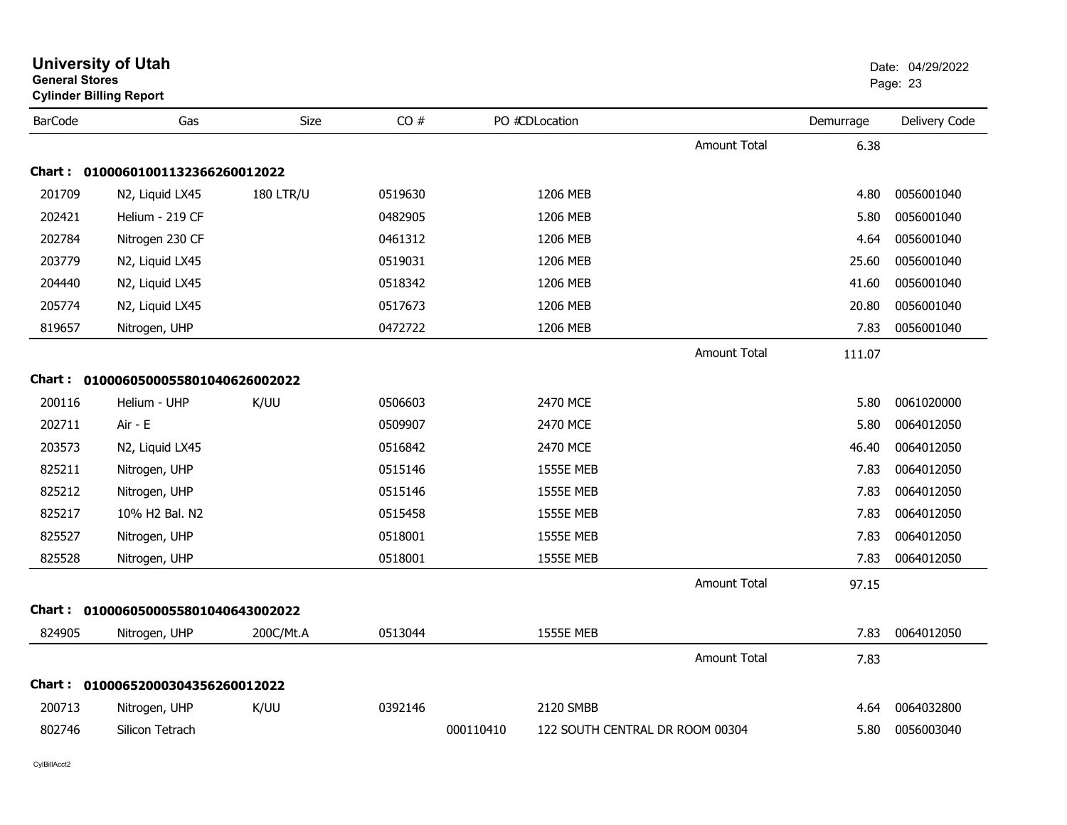| General Stores | <b>Cylinder Billing Report</b>      |                  |         |           |                                 |                     | Page: 23  |               |  |
|----------------|-------------------------------------|------------------|---------|-----------|---------------------------------|---------------------|-----------|---------------|--|
| <b>BarCode</b> | Gas                                 | Size             | CO#     |           | PO #CDLocation                  |                     | Demurrage | Delivery Code |  |
|                |                                     |                  |         |           |                                 | <b>Amount Total</b> | 6.38      |               |  |
|                | Chart: 01000601001132366260012022   |                  |         |           |                                 |                     |           |               |  |
| 201709         | N2, Liquid LX45                     | <b>180 LTR/U</b> | 0519630 |           | 1206 MEB                        |                     | 4.80      | 0056001040    |  |
| 202421         | Helium - 219 CF                     |                  | 0482905 |           | 1206 MEB                        |                     | 5.80      | 0056001040    |  |
| 202784         | Nitrogen 230 CF                     |                  | 0461312 |           | 1206 MEB                        |                     | 4.64      | 0056001040    |  |
| 203779         | N2, Liquid LX45                     |                  | 0519031 |           | 1206 MEB                        |                     | 25.60     | 0056001040    |  |
| 204440         | N2, Liquid LX45                     |                  | 0518342 |           | 1206 MEB                        |                     | 41.60     | 0056001040    |  |
| 205774         | N2, Liquid LX45                     |                  | 0517673 |           | 1206 MEB                        |                     | 20.80     | 0056001040    |  |
| 819657         | Nitrogen, UHP                       |                  | 0472722 |           | 1206 MEB                        |                     | 7.83      | 0056001040    |  |
|                |                                     |                  |         |           |                                 | <b>Amount Total</b> | 111.07    |               |  |
|                | Chart: 0100060500055801040626002022 |                  |         |           |                                 |                     |           |               |  |
| 200116         | Helium - UHP                        | K/UU             | 0506603 |           | 2470 MCE                        |                     | 5.80      | 0061020000    |  |
| 202711         | Air - E                             |                  | 0509907 |           | 2470 MCE                        |                     | 5.80      | 0064012050    |  |
| 203573         | N2, Liquid LX45                     |                  | 0516842 |           | 2470 MCE                        |                     | 46.40     | 0064012050    |  |
| 825211         | Nitrogen, UHP                       |                  | 0515146 |           | <b>1555E MEB</b>                |                     | 7.83      | 0064012050    |  |
| 825212         | Nitrogen, UHP                       |                  | 0515146 |           | <b>1555E MEB</b>                |                     | 7.83      | 0064012050    |  |
| 825217         | 10% H2 Bal. N2                      |                  | 0515458 |           | <b>1555E MEB</b>                |                     | 7.83      | 0064012050    |  |
| 825527         | Nitrogen, UHP                       |                  | 0518001 |           | <b>1555E MEB</b>                |                     | 7.83      | 0064012050    |  |
| 825528         | Nitrogen, UHP                       |                  | 0518001 |           | <b>1555E MEB</b>                |                     | 7.83      | 0064012050    |  |
|                |                                     |                  |         |           |                                 | <b>Amount Total</b> | 97.15     |               |  |
|                | Chart: 0100060500055801040643002022 |                  |         |           |                                 |                     |           |               |  |
| 824905         | Nitrogen, UHP                       | 200C/Mt.A        | 0513044 |           | <b>1555E MEB</b>                |                     | 7.83      | 0064012050    |  |
|                |                                     |                  |         |           |                                 | <b>Amount Total</b> | 7.83      |               |  |
|                | Chart: 01000652000304356260012022   |                  |         |           |                                 |                     |           |               |  |
| 200713         | Nitrogen, UHP                       | K/UU             | 0392146 |           | 2120 SMBB                       |                     | 4.64      | 0064032800    |  |
| 802746         | Silicon Tetrach                     |                  |         | 000110410 | 122 SOUTH CENTRAL DR ROOM 00304 |                     | 5.80      | 0056003040    |  |

# **University of Utah** Date: 04/29/2022 **General Stores**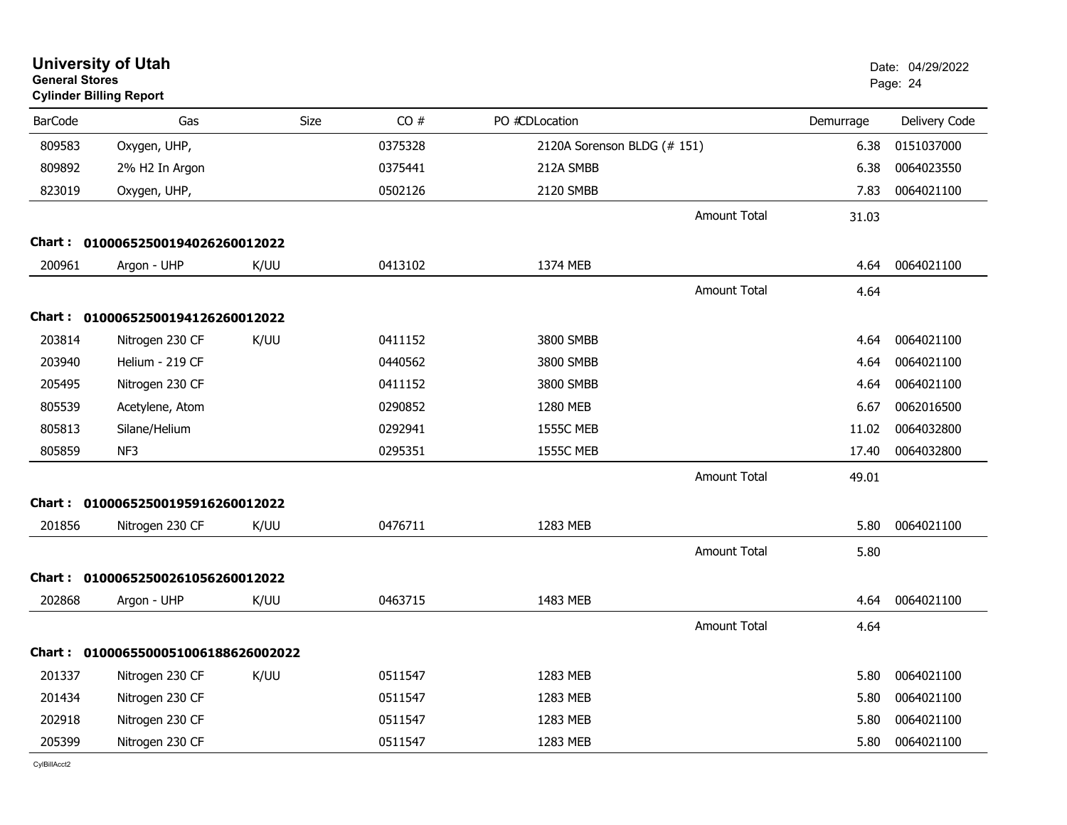| <b>General Stores</b> | <b>University of Utah</b><br><b>Cylinder Billing Report</b> |      |         |                             |                     |           | Date: 04/29/2022<br>Page: 24 |
|-----------------------|-------------------------------------------------------------|------|---------|-----------------------------|---------------------|-----------|------------------------------|
| <b>BarCode</b>        | Gas                                                         | Size | CO#     | PO #CDLocation              |                     | Demurrage | Delivery Code                |
| 809583                | Oxygen, UHP,                                                |      | 0375328 | 2120A Sorenson BLDG (# 151) |                     | 6.38      | 0151037000                   |
| 809892                | 2% H2 In Argon                                              |      | 0375441 | 212A SMBB                   |                     | 6.38      | 0064023550                   |
| 823019                | Oxygen, UHP,                                                |      | 0502126 | 2120 SMBB                   |                     | 7.83      | 0064021100                   |
|                       |                                                             |      |         |                             | Amount Total        | 31.03     |                              |
|                       | Chart: 01000652500194026260012022                           |      |         |                             |                     |           |                              |
| 200961                | Argon - UHP                                                 | K/UU | 0413102 | 1374 MEB                    |                     | 4.64      | 0064021100                   |
|                       |                                                             |      |         |                             | <b>Amount Total</b> | 4.64      |                              |
|                       | Chart: 01000652500194126260012022                           |      |         |                             |                     |           |                              |
| 203814                | Nitrogen 230 CF                                             | K/UU | 0411152 | 3800 SMBB                   |                     | 4.64      | 0064021100                   |
| 203940                | Helium - 219 CF                                             |      | 0440562 | 3800 SMBB                   |                     | 4.64      | 0064021100                   |
| 205495                | Nitrogen 230 CF                                             |      | 0411152 | 3800 SMBB                   |                     | 4.64      | 0064021100                   |
| 805539                | Acetylene, Atom                                             |      | 0290852 | 1280 MEB                    |                     | 6.67      | 0062016500                   |
| 805813                | Silane/Helium                                               |      | 0292941 | <b>1555C MEB</b>            |                     | 11.02     | 0064032800                   |
| 805859                | NF3                                                         |      | 0295351 | <b>1555C MEB</b>            |                     | 17.40     | 0064032800                   |
|                       |                                                             |      |         |                             | <b>Amount Total</b> | 49.01     |                              |
|                       | Chart: 01000652500195916260012022                           |      |         |                             |                     |           |                              |
| 201856                | Nitrogen 230 CF                                             | K/UU | 0476711 | 1283 MEB                    |                     | 5.80      | 0064021100                   |
|                       |                                                             |      |         |                             | <b>Amount Total</b> | 5.80      |                              |
| Chart :               | 01000652500261056260012022                                  |      |         |                             |                     |           |                              |
| 202868                | Argon - UHP                                                 | K/UU | 0463715 | 1483 MEB                    |                     | 4.64      | 0064021100                   |
|                       |                                                             |      |         |                             | <b>Amount Total</b> | 4.64      |                              |
|                       | Chart: 0100065500051006188626002022                         |      |         |                             |                     |           |                              |
| 201337                | Nitrogen 230 CF                                             | K/UU | 0511547 | 1283 MEB                    |                     | 5.80      | 0064021100                   |
| 201434                | Nitrogen 230 CF                                             |      | 0511547 | 1283 MEB                    |                     | 5.80      | 0064021100                   |
| 202918                | Nitrogen 230 CF                                             |      | 0511547 | 1283 MEB                    |                     | 5.80      | 0064021100                   |
| 205399                | Nitrogen 230 CF                                             |      | 0511547 | 1283 MEB                    |                     | 5.80      | 0064021100                   |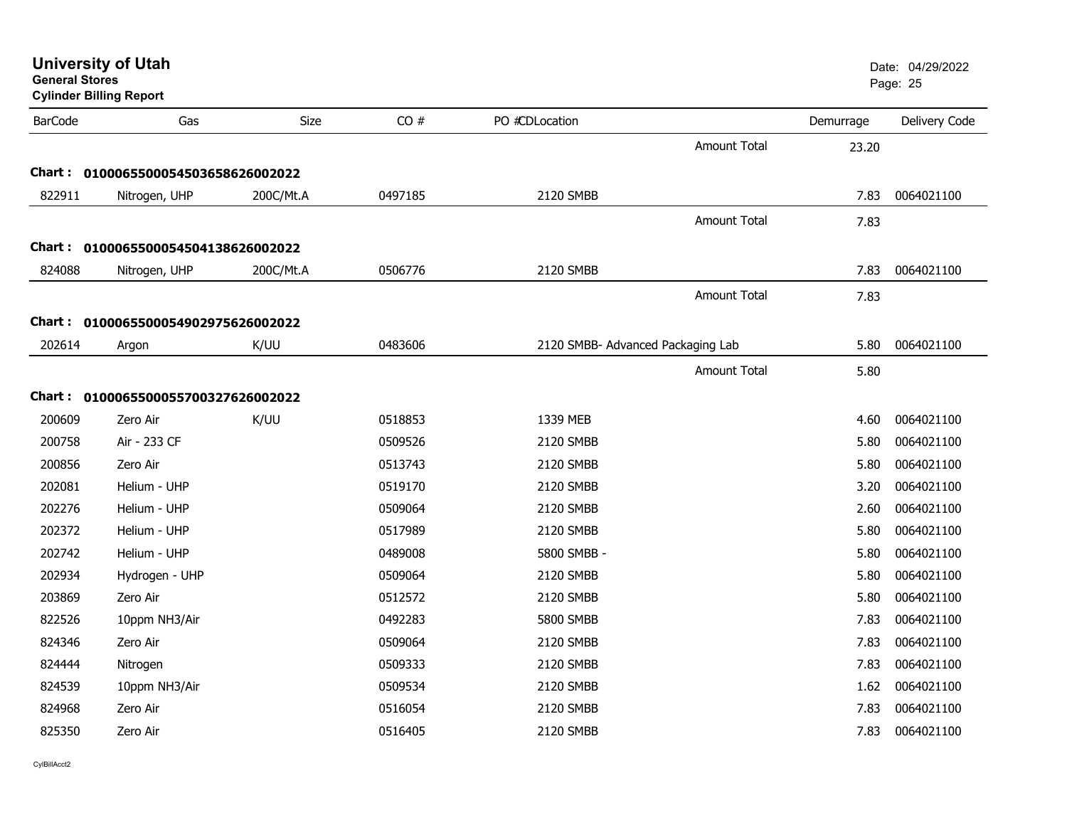| <b>General Stores</b> | <b>University of Utah</b><br><b>Cylinder Billing Report</b> |           |         |                                   |                     |           | Date: 04/29/2022<br>Page: 25 |
|-----------------------|-------------------------------------------------------------|-----------|---------|-----------------------------------|---------------------|-----------|------------------------------|
| <b>BarCode</b>        | Gas                                                         | Size      | CO#     | PO #CDLocation                    |                     | Demurrage | Delivery Code                |
|                       |                                                             |           |         |                                   | <b>Amount Total</b> | 23.20     |                              |
|                       | Chart: 0100065500054503658626002022                         |           |         |                                   |                     |           |                              |
| 822911                | Nitrogen, UHP                                               | 200C/Mt.A | 0497185 | 2120 SMBB                         |                     | 7.83      | 0064021100                   |
|                       |                                                             |           |         |                                   | Amount Total        | 7.83      |                              |
|                       | Chart: 0100065500054504138626002022                         |           |         |                                   |                     |           |                              |
| 824088                | Nitrogen, UHP                                               | 200C/Mt.A | 0506776 | 2120 SMBB                         |                     | 7.83      | 0064021100                   |
|                       |                                                             |           |         |                                   | <b>Amount Total</b> | 7.83      |                              |
|                       | Chart: 0100065500054902975626002022                         |           |         |                                   |                     |           |                              |
| 202614                | Argon                                                       | K/UU      | 0483606 | 2120 SMBB- Advanced Packaging Lab |                     | 5.80      | 0064021100                   |
|                       |                                                             |           |         |                                   | Amount Total        | 5.80      |                              |
|                       |                                                             |           |         |                                   |                     |           |                              |
|                       | Chart: 0100065500055700327626002022                         |           |         |                                   |                     |           |                              |
| 200609                | Zero Air                                                    | K/UU      | 0518853 | 1339 MEB                          |                     | 4.60      | 0064021100                   |
| 200758                | Air - 233 CF                                                |           | 0509526 | 2120 SMBB                         |                     | 5.80      | 0064021100                   |
| 200856                | Zero Air                                                    |           | 0513743 | 2120 SMBB                         |                     | 5.80      | 0064021100                   |
| 202081                | Helium - UHP                                                |           | 0519170 | 2120 SMBB                         |                     | 3.20      | 0064021100                   |
| 202276                | Helium - UHP                                                |           | 0509064 | 2120 SMBB                         |                     | 2.60      | 0064021100                   |
| 202372                | Helium - UHP                                                |           | 0517989 | 2120 SMBB                         |                     | 5.80      | 0064021100                   |
| 202742                | Helium - UHP                                                |           | 0489008 | 5800 SMBB -                       |                     | 5.80      | 0064021100                   |
| 202934                | Hydrogen - UHP                                              |           | 0509064 | 2120 SMBB                         |                     | 5.80      | 0064021100                   |
| 203869                | Zero Air                                                    |           | 0512572 | 2120 SMBB                         |                     | 5.80      | 0064021100                   |
| 822526                | 10ppm NH3/Air                                               |           | 0492283 | 5800 SMBB                         |                     | 7.83      | 0064021100                   |
| 824346                | Zero Air                                                    |           | 0509064 | 2120 SMBB                         |                     | 7.83      | 0064021100                   |
| 824444                | Nitrogen                                                    |           | 0509333 | 2120 SMBB                         |                     | 7.83      | 0064021100                   |
| 824539                | 10ppm NH3/Air                                               |           | 0509534 | 2120 SMBB                         |                     | 1.62      | 0064021100                   |
| 824968                | Zero Air                                                    |           | 0516054 | 2120 SMBB                         |                     | 7.83      | 0064021100                   |
| 825350                | Zero Air                                                    |           | 0516405 | 2120 SMBB                         |                     | 7.83      | 0064021100                   |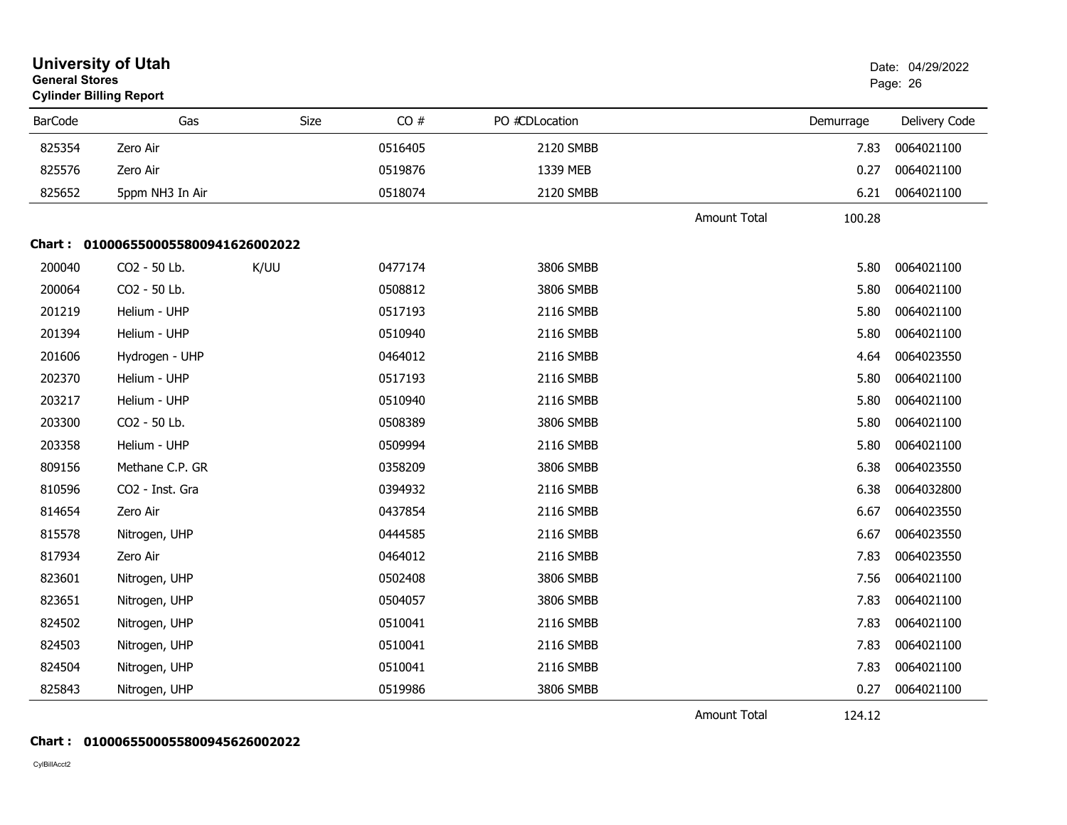|                | <b>University of Utah</b><br><b>General Stores</b><br><b>Cylinder Billing Report</b> |      |         |                |                     |           | Date: 04/29/2022<br>Page: 26 |  |  |  |
|----------------|--------------------------------------------------------------------------------------|------|---------|----------------|---------------------|-----------|------------------------------|--|--|--|
| <b>BarCode</b> | Gas                                                                                  | Size | CO#     | PO #CDLocation |                     | Demurrage | Delivery Code                |  |  |  |
| 825354         | Zero Air                                                                             |      | 0516405 | 2120 SMBB      |                     | 7.83      | 0064021100                   |  |  |  |
| 825576         | Zero Air                                                                             |      | 0519876 | 1339 MEB       |                     | 0.27      | 0064021100                   |  |  |  |
| 825652         | 5ppm NH3 In Air                                                                      |      | 0518074 | 2120 SMBB      |                     | 6.21      | 0064021100                   |  |  |  |
|                |                                                                                      |      |         |                | <b>Amount Total</b> | 100.28    |                              |  |  |  |
|                | Chart: 0100065500055800941626002022                                                  |      |         |                |                     |           |                              |  |  |  |
| 200040         | CO2 - 50 Lb.                                                                         | K/UU | 0477174 | 3806 SMBB      |                     | 5.80      | 0064021100                   |  |  |  |
| 200064         | CO2 - 50 Lb.                                                                         |      | 0508812 | 3806 SMBB      |                     | 5.80      | 0064021100                   |  |  |  |
| 201219         | Helium - UHP                                                                         |      | 0517193 | 2116 SMBB      |                     | 5.80      | 0064021100                   |  |  |  |
| 201394         | Helium - UHP                                                                         |      | 0510940 | 2116 SMBB      |                     | 5.80      | 0064021100                   |  |  |  |
| 201606         | Hydrogen - UHP                                                                       |      | 0464012 | 2116 SMBB      |                     | 4.64      | 0064023550                   |  |  |  |
| 202370         | Helium - UHP                                                                         |      | 0517193 | 2116 SMBB      |                     | 5.80      | 0064021100                   |  |  |  |
| 203217         | Helium - UHP                                                                         |      | 0510940 | 2116 SMBB      |                     | 5.80      | 0064021100                   |  |  |  |
| 203300         | CO2 - 50 Lb.                                                                         |      | 0508389 | 3806 SMBB      |                     | 5.80      | 0064021100                   |  |  |  |
| 203358         | Helium - UHP                                                                         |      | 0509994 | 2116 SMBB      |                     | 5.80      | 0064021100                   |  |  |  |
| 809156         | Methane C.P. GR                                                                      |      | 0358209 | 3806 SMBB      |                     | 6.38      | 0064023550                   |  |  |  |
| 810596         | CO2 - Inst. Gra                                                                      |      | 0394932 | 2116 SMBB      |                     | 6.38      | 0064032800                   |  |  |  |
| 814654         | Zero Air                                                                             |      | 0437854 | 2116 SMBB      |                     | 6.67      | 0064023550                   |  |  |  |
| 815578         | Nitrogen, UHP                                                                        |      | 0444585 | 2116 SMBB      |                     | 6.67      | 0064023550                   |  |  |  |
| 817934         | Zero Air                                                                             |      | 0464012 | 2116 SMBB      |                     | 7.83      | 0064023550                   |  |  |  |
| 823601         | Nitrogen, UHP                                                                        |      | 0502408 | 3806 SMBB      |                     | 7.56      | 0064021100                   |  |  |  |
| 823651         | Nitrogen, UHP                                                                        |      | 0504057 | 3806 SMBB      |                     | 7.83      | 0064021100                   |  |  |  |
| 824502         | Nitrogen, UHP                                                                        |      | 0510041 | 2116 SMBB      |                     | 7.83      | 0064021100                   |  |  |  |
| 824503         | Nitrogen, UHP                                                                        |      | 0510041 | 2116 SMBB      |                     | 7.83      | 0064021100                   |  |  |  |
| 824504         | Nitrogen, UHP                                                                        |      | 0510041 | 2116 SMBB      |                     | 7.83      | 0064021100                   |  |  |  |
| 825843         | Nitrogen, UHP                                                                        |      | 0519986 | 3806 SMBB      |                     | 0.27      | 0064021100                   |  |  |  |

Amount Total

124.12

### **Chart : 0100065500055800945626002022**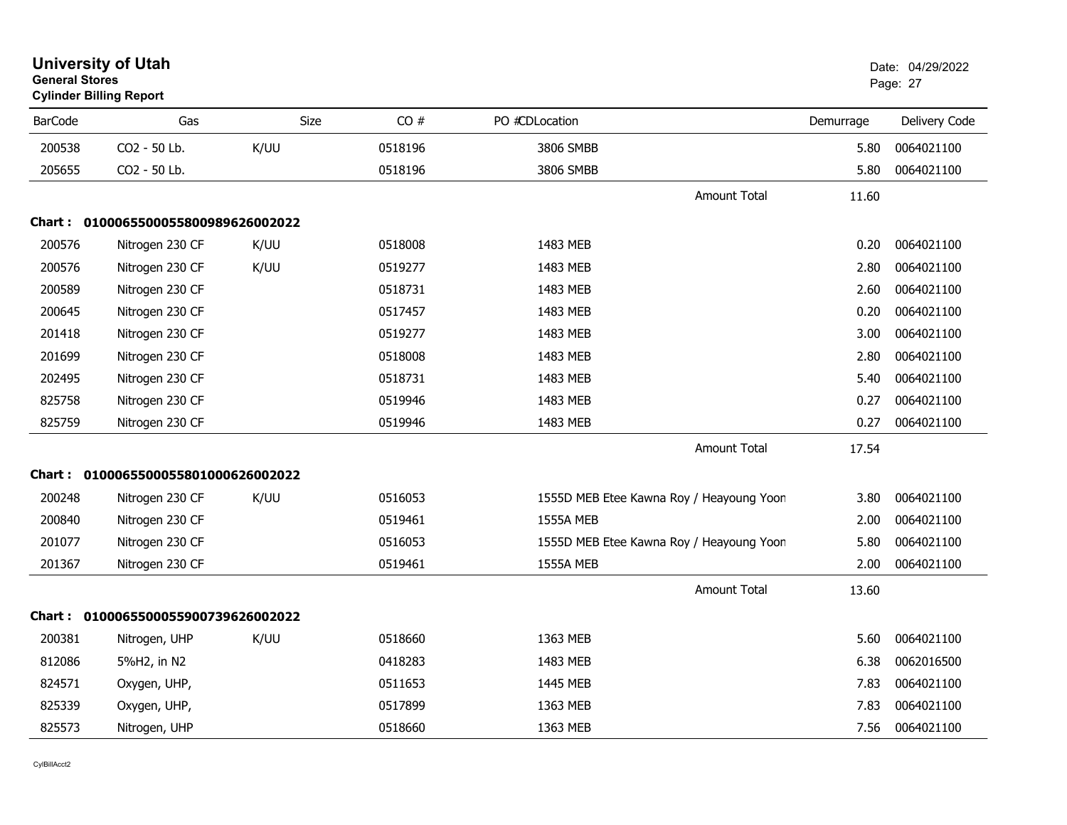| <b>General Stores</b> | <b>University of Utah</b><br><b>Cylinder Billing Report</b> |      |         |                  |                                          |           | Date: 04/29/2022<br>Page: 27 |
|-----------------------|-------------------------------------------------------------|------|---------|------------------|------------------------------------------|-----------|------------------------------|
| <b>BarCode</b>        | Gas                                                         | Size | CO#     | PO #CDLocation   |                                          | Demurrage | Delivery Code                |
| 200538                | CO2 - 50 Lb.                                                | K/UU | 0518196 | 3806 SMBB        |                                          | 5.80      | 0064021100                   |
| 205655                | CO2 - 50 Lb.                                                |      | 0518196 | 3806 SMBB        |                                          | 5.80      | 0064021100                   |
|                       |                                                             |      |         |                  | <b>Amount Total</b>                      | 11.60     |                              |
|                       | Chart: 0100065500055800989626002022                         |      |         |                  |                                          |           |                              |
| 200576                | Nitrogen 230 CF                                             | K/UU | 0518008 | 1483 MEB         |                                          | 0.20      | 0064021100                   |
| 200576                | Nitrogen 230 CF                                             | K/UU | 0519277 | 1483 MEB         |                                          | 2.80      | 0064021100                   |
| 200589                | Nitrogen 230 CF                                             |      | 0518731 | 1483 MEB         |                                          | 2.60      | 0064021100                   |
| 200645                | Nitrogen 230 CF                                             |      | 0517457 | 1483 MEB         |                                          | 0.20      | 0064021100                   |
| 201418                | Nitrogen 230 CF                                             |      | 0519277 | 1483 MEB         |                                          | 3.00      | 0064021100                   |
| 201699                | Nitrogen 230 CF                                             |      | 0518008 | 1483 MEB         |                                          | 2.80      | 0064021100                   |
| 202495                | Nitrogen 230 CF                                             |      | 0518731 | 1483 MEB         |                                          | 5.40      | 0064021100                   |
| 825758                | Nitrogen 230 CF                                             |      | 0519946 | 1483 MEB         |                                          | 0.27      | 0064021100                   |
| 825759                | Nitrogen 230 CF                                             |      | 0519946 | 1483 MEB         |                                          | 0.27      | 0064021100                   |
|                       |                                                             |      |         |                  | <b>Amount Total</b>                      | 17.54     |                              |
|                       | Chart: 0100065500055801000626002022                         |      |         |                  |                                          |           |                              |
| 200248                | Nitrogen 230 CF                                             | K/UU | 0516053 |                  | 1555D MEB Etee Kawna Roy / Heayoung Yoon | 3.80      | 0064021100                   |
| 200840                | Nitrogen 230 CF                                             |      | 0519461 | <b>1555A MEB</b> |                                          | 2.00      | 0064021100                   |
| 201077                | Nitrogen 230 CF                                             |      | 0516053 |                  | 1555D MEB Etee Kawna Roy / Heayoung Yoon | 5.80      | 0064021100                   |
| 201367                | Nitrogen 230 CF                                             |      | 0519461 | <b>1555A MEB</b> |                                          | 2.00      | 0064021100                   |
|                       |                                                             |      |         |                  | <b>Amount Total</b>                      | 13.60     |                              |
|                       | Chart: 0100065500055900739626002022                         |      |         |                  |                                          |           |                              |
| 200381                | Nitrogen, UHP                                               | K/UU | 0518660 | 1363 MEB         |                                          | 5.60      | 0064021100                   |
| 812086                | 5%H2, in N2                                                 |      | 0418283 | 1483 MEB         |                                          | 6.38      | 0062016500                   |
| 824571                | Oxygen, UHP,                                                |      | 0511653 | 1445 MEB         |                                          | 7.83      | 0064021100                   |
| 825339                | Oxygen, UHP,                                                |      | 0517899 | 1363 MEB         |                                          | 7.83      | 0064021100                   |
| 825573                | Nitrogen, UHP                                               |      | 0518660 | 1363 MEB         |                                          | 7.56      | 0064021100                   |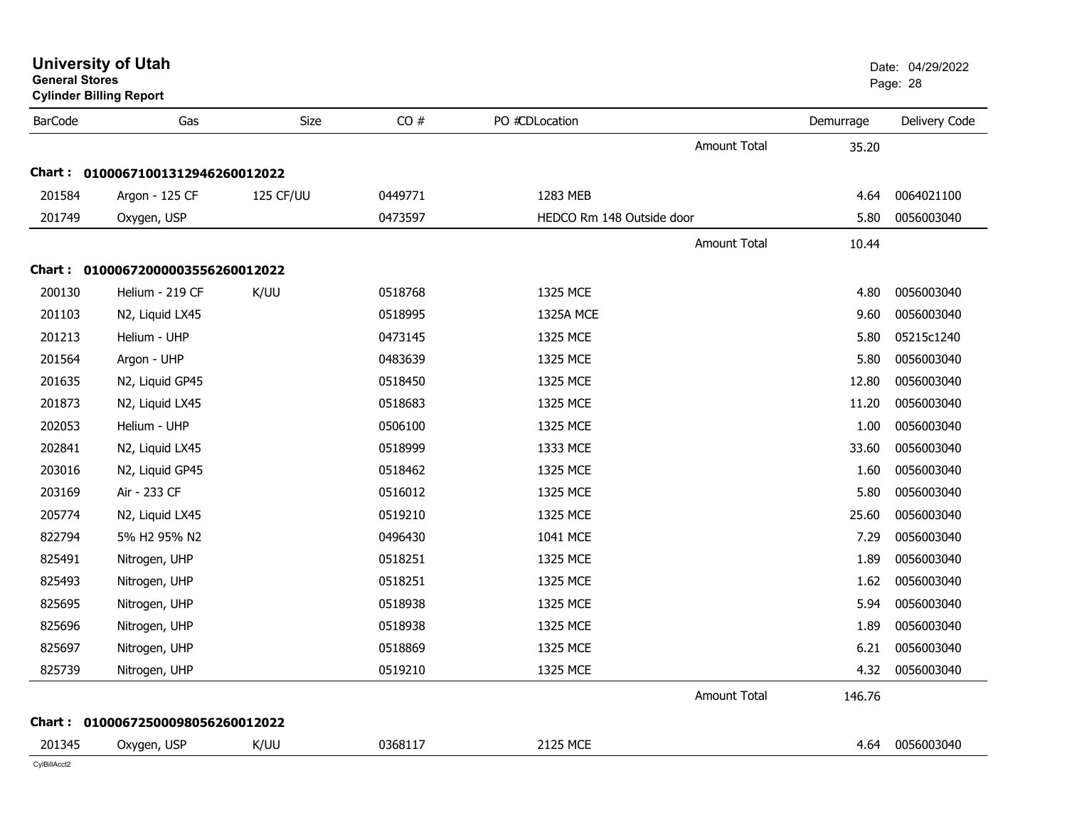| <b>General Stores</b> | <b>Cylinder Billing Report</b>    |             |         |                           |                     |           | Page: 28      |
|-----------------------|-----------------------------------|-------------|---------|---------------------------|---------------------|-----------|---------------|
| <b>BarCode</b>        | Gas                               | <b>Size</b> | CO#     | PO #CDLocation            |                     | Demurrage | Delivery Code |
|                       |                                   |             |         |                           | <b>Amount Total</b> | 35.20     |               |
|                       | Chart: 01000671001312946260012022 |             |         |                           |                     |           |               |
| 201584                | Argon - 125 CF                    | 125 CF/UU   | 0449771 | 1283 MEB                  |                     | 4.64      | 0064021100    |
| 201749                | Oxygen, USP                       |             | 0473597 | HEDCO Rm 148 Outside door |                     | 5.80      | 0056003040    |
|                       |                                   |             |         |                           | <b>Amount Total</b> | 10.44     |               |
|                       | Chart: 01000672000003556260012022 |             |         |                           |                     |           |               |
| 200130                | Helium - 219 CF                   | K/UU        | 0518768 | 1325 MCE                  |                     | 4.80      | 0056003040    |
| 201103                | N2, Liquid LX45                   |             | 0518995 | <b>1325A MCE</b>          |                     | 9.60      | 0056003040    |
| 201213                | Helium - UHP                      |             | 0473145 | 1325 MCE                  |                     | 5.80      | 05215c1240    |
| 201564                | Argon - UHP                       |             | 0483639 | 1325 MCE                  |                     | 5.80      | 0056003040    |
| 201635                | N2, Liquid GP45                   |             | 0518450 | 1325 MCE                  |                     | 12.80     | 0056003040    |
| 201873                | N2, Liquid LX45                   |             | 0518683 | 1325 MCE                  |                     | 11.20     | 0056003040    |
| 202053                | Helium - UHP                      |             | 0506100 | 1325 MCE                  |                     | 1.00      | 0056003040    |
| 202841                | N2, Liquid LX45                   |             | 0518999 | 1333 MCE                  |                     | 33.60     | 0056003040    |
| 203016                | N2, Liquid GP45                   |             | 0518462 | 1325 MCE                  |                     | 1.60      | 0056003040    |
| 203169                | Air - 233 CF                      |             | 0516012 | 1325 MCE                  |                     | 5.80      | 0056003040    |
| 205774                | N2, Liquid LX45                   |             | 0519210 | 1325 MCE                  |                     | 25.60     | 0056003040    |
| 822794                | 5% H2 95% N2                      |             | 0496430 | 1041 MCE                  |                     | 7.29      | 0056003040    |
| 825491                | Nitrogen, UHP                     |             | 0518251 | 1325 MCE                  |                     | 1.89      | 0056003040    |
| 825493                | Nitrogen, UHP                     |             | 0518251 | 1325 MCE                  |                     | 1.62      | 0056003040    |
| 825695                | Nitrogen, UHP                     |             | 0518938 | 1325 MCE                  |                     | 5.94      | 0056003040    |
| 825696                | Nitrogen, UHP                     |             | 0518938 | 1325 MCE                  |                     | 1.89      | 0056003040    |
| 825697                | Nitrogen, UHP                     |             | 0518869 | 1325 MCE                  |                     | 6.21      | 0056003040    |
| 825739                | Nitrogen, UHP                     |             | 0519210 | 1325 MCE                  |                     | 4.32      | 0056003040    |
|                       |                                   |             |         |                           | <b>Amount Total</b> | 146.76    |               |
| Chart : _             | 01000672500098056260012022        |             |         |                           |                     |           |               |
| 201345                | Oxygen, USP                       | K/UU        | 0368117 | 2125 MCE                  |                     | 4.64      | 0056003040    |
| CvIBillAcct2          |                                   |             |         |                           |                     |           |               |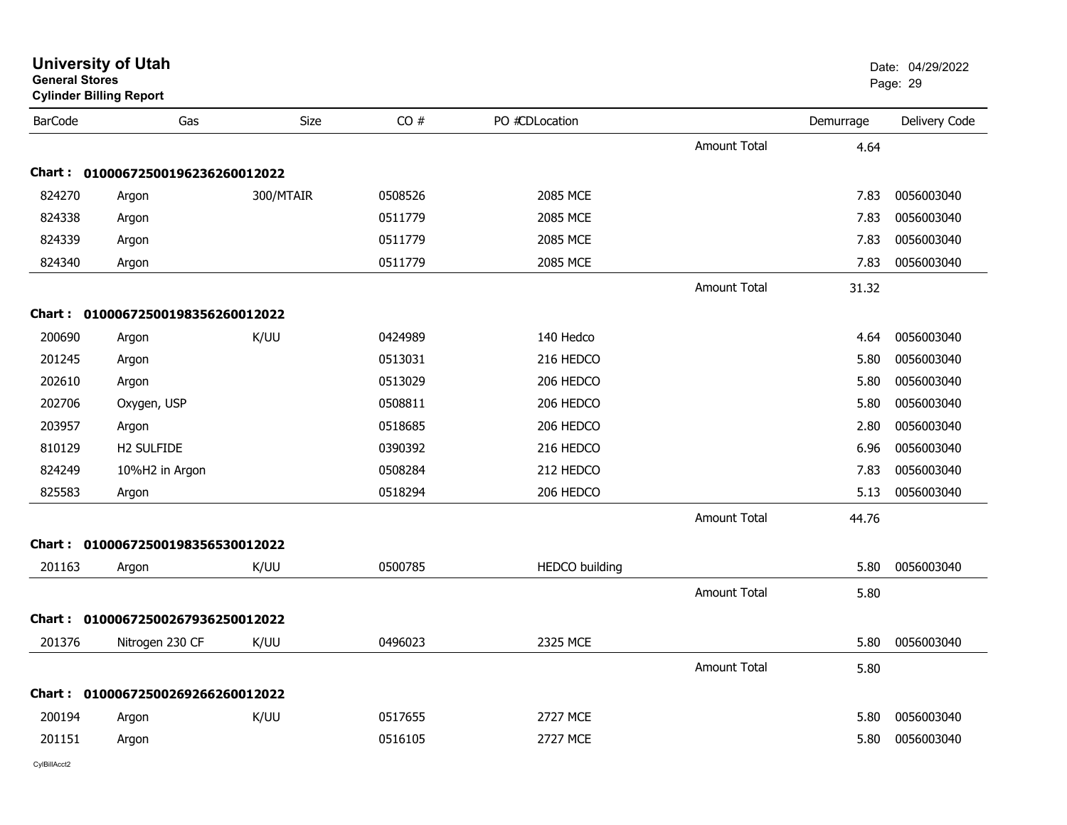|                | <b>University of Utah</b><br><b>General Stores</b><br><b>Cylinder Billing Report</b> |             |         |                       |                     | Date: 04/29/2022<br>Page: 29 |               |
|----------------|--------------------------------------------------------------------------------------|-------------|---------|-----------------------|---------------------|------------------------------|---------------|
| <b>BarCode</b> | Gas                                                                                  | <b>Size</b> | CO#     | PO #CDLocation        |                     | Demurrage                    | Delivery Code |
|                |                                                                                      |             |         |                       | <b>Amount Total</b> | 4.64                         |               |
|                | Chart: 01000672500196236260012022                                                    |             |         |                       |                     |                              |               |
| 824270         | Argon                                                                                | 300/MTAIR   | 0508526 | 2085 MCE              |                     | 7.83                         | 0056003040    |
| 824338         | Argon                                                                                |             | 0511779 | 2085 MCE              |                     | 7.83                         | 0056003040    |
| 824339         | Argon                                                                                |             | 0511779 | 2085 MCE              |                     | 7.83                         | 0056003040    |
| 824340         | Argon                                                                                |             | 0511779 | 2085 MCE              |                     | 7.83                         | 0056003040    |
|                |                                                                                      |             |         |                       | <b>Amount Total</b> | 31.32                        |               |
|                | Chart: 01000672500198356260012022                                                    |             |         |                       |                     |                              |               |
| 200690         | Argon                                                                                | K/UU        | 0424989 | 140 Hedco             |                     | 4.64                         | 0056003040    |
| 201245         | Argon                                                                                |             | 0513031 | 216 HEDCO             |                     | 5.80                         | 0056003040    |
| 202610         | Argon                                                                                |             | 0513029 | 206 HEDCO             |                     | 5.80                         | 0056003040    |
| 202706         | Oxygen, USP                                                                          |             | 0508811 | 206 HEDCO             |                     | 5.80                         | 0056003040    |
| 203957         | Argon                                                                                |             | 0518685 | 206 HEDCO             |                     | 2.80                         | 0056003040    |
| 810129         | H2 SULFIDE                                                                           |             | 0390392 | 216 HEDCO             |                     | 6.96                         | 0056003040    |
| 824249         | 10%H2 in Argon                                                                       |             | 0508284 | 212 HEDCO             |                     | 7.83                         | 0056003040    |
| 825583         | Argon                                                                                |             | 0518294 | 206 HEDCO             |                     | 5.13                         | 0056003040    |
|                |                                                                                      |             |         |                       | <b>Amount Total</b> | 44.76                        |               |
| Chart :        | 01000672500198356530012022                                                           |             |         |                       |                     |                              |               |
| 201163         | Argon                                                                                | K/UU        | 0500785 | <b>HEDCO</b> building |                     | 5.80                         | 0056003040    |
|                |                                                                                      |             |         |                       | <b>Amount Total</b> | 5.80                         |               |
| Chart :        | 01000672500267936250012022                                                           |             |         |                       |                     |                              |               |
| 201376         | Nitrogen 230 CF                                                                      | K/UU        | 0496023 | 2325 MCE              |                     | 5.80                         | 0056003040    |
|                |                                                                                      |             |         |                       | <b>Amount Total</b> | 5.80                         |               |
| Chart :        | 01000672500269266260012022                                                           |             |         |                       |                     |                              |               |
| 200194         | Argon                                                                                | K/UU        | 0517655 | 2727 MCE              |                     | 5.80                         | 0056003040    |
| 201151         | Argon                                                                                |             | 0516105 | 2727 MCE              |                     | 5.80                         | 0056003040    |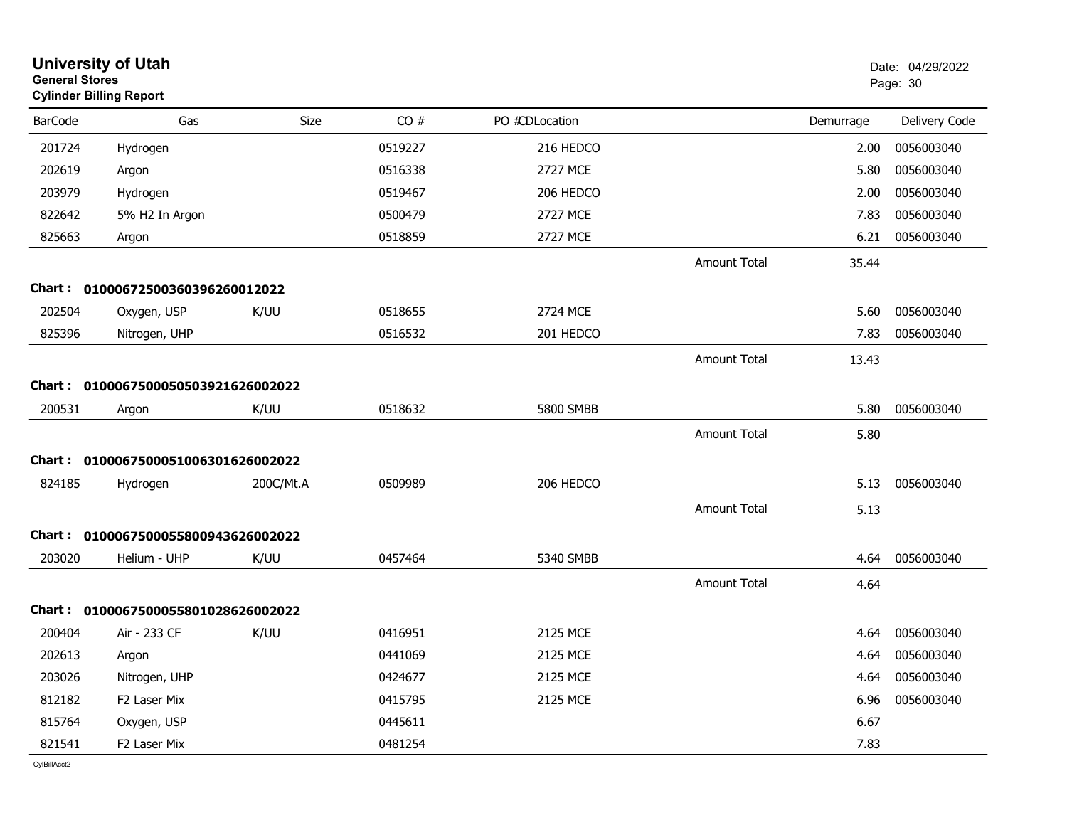|                | <b>University of Utah</b><br><b>General Stores</b><br><b>Cylinder Billing Report</b> |             |         |                 | Date: 04/29/2022<br>Page: 30 |           |                 |
|----------------|--------------------------------------------------------------------------------------|-------------|---------|-----------------|------------------------------|-----------|-----------------|
| <b>BarCode</b> | Gas                                                                                  | <b>Size</b> | CO#     | PO #CDLocation  |                              | Demurrage | Delivery Code   |
| 201724         | Hydrogen                                                                             |             | 0519227 | 216 HEDCO       |                              | 2.00      | 0056003040      |
| 202619         | Argon                                                                                |             | 0516338 | <b>2727 MCE</b> |                              | 5.80      | 0056003040      |
| 203979         | Hydrogen                                                                             |             | 0519467 | 206 HEDCO       |                              | 2.00      | 0056003040      |
| 822642         | 5% H2 In Argon                                                                       |             | 0500479 | <b>2727 MCE</b> |                              | 7.83      | 0056003040      |
| 825663         | Argon                                                                                |             | 0518859 | <b>2727 MCE</b> |                              | 6.21      | 0056003040      |
|                |                                                                                      |             |         |                 | Amount Total                 | 35.44     |                 |
|                | Chart: 01000672500360396260012022                                                    |             |         |                 |                              |           |                 |
| 202504         | Oxygen, USP                                                                          | K/UU        | 0518655 | 2724 MCE        |                              | 5.60      | 0056003040      |
| 825396         | Nitrogen, UHP                                                                        |             | 0516532 | 201 HEDCO       |                              | 7.83      | 0056003040      |
|                |                                                                                      |             |         |                 | <b>Amount Total</b>          | 13.43     |                 |
|                | Chart: 0100067500050503921626002022                                                  |             |         |                 |                              |           |                 |
| 200531         | Argon                                                                                | K/UU        | 0518632 | 5800 SMBB       |                              | 5.80      | 0056003040      |
|                |                                                                                      |             |         |                 | <b>Amount Total</b>          | 5.80      |                 |
|                | Chart: 0100067500051006301626002022                                                  |             |         |                 |                              |           |                 |
| 824185         | Hydrogen                                                                             | 200C/Mt.A   | 0509989 | 206 HEDCO       |                              | 5.13      | 0056003040      |
|                |                                                                                      |             |         |                 | <b>Amount Total</b>          | 5.13      |                 |
| Chart :        | 0100067500055800943626002022                                                         |             |         |                 |                              |           |                 |
| 203020         | Helium - UHP                                                                         | K/UU        | 0457464 | 5340 SMBB       |                              | 4.64      | 0056003040      |
|                |                                                                                      |             |         |                 | <b>Amount Total</b>          | 4.64      |                 |
|                | Chart: 0100067500055801028626002022                                                  |             |         |                 |                              |           |                 |
| 200404         | Air - 233 CF                                                                         | K/UU        | 0416951 | 2125 MCE        |                              | 4.64      | 0056003040      |
| 202613         | Argon                                                                                |             | 0441069 | 2125 MCE        |                              |           | 4.64 0056003040 |
| 203026         | Nitrogen, UHP                                                                        |             | 0424677 | 2125 MCE        |                              | 4.64      | 0056003040      |
| 812182         | F2 Laser Mix                                                                         |             | 0415795 | 2125 MCE        |                              | 6.96      | 0056003040      |
| 815764         | Oxygen, USP                                                                          |             | 0445611 |                 |                              | 6.67      |                 |
| 821541         | F2 Laser Mix                                                                         |             | 0481254 |                 |                              | 7.83      |                 |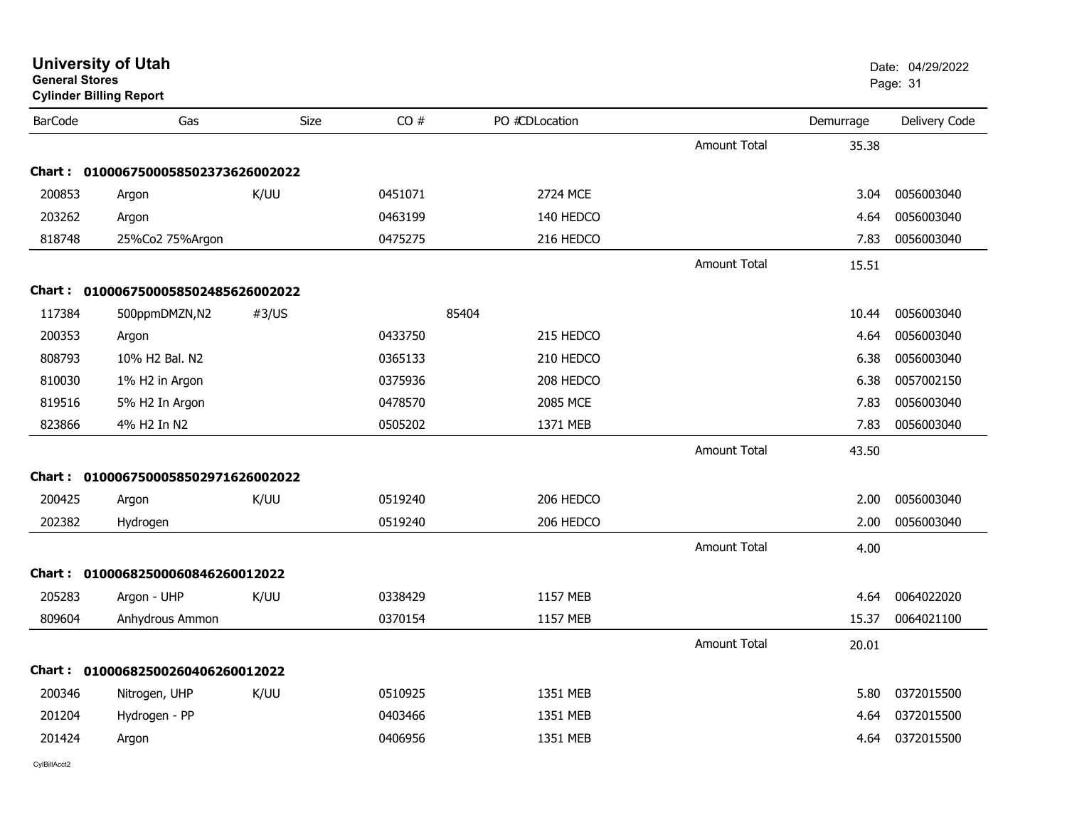|                | <b>General Stores</b><br><b>Cylinder Billing Report</b> |             |         |                |                     |           | Page: 31      |
|----------------|---------------------------------------------------------|-------------|---------|----------------|---------------------|-----------|---------------|
| <b>BarCode</b> | Gas                                                     | <b>Size</b> | CO#     | PO #CDLocation |                     | Demurrage | Delivery Code |
|                |                                                         |             |         |                | <b>Amount Total</b> | 35.38     |               |
|                | Chart: 0100067500058502373626002022                     |             |         |                |                     |           |               |
| 200853         | Argon                                                   | K/UU        | 0451071 | 2724 MCE       |                     | 3.04      | 0056003040    |
| 203262         | Argon                                                   |             | 0463199 | 140 HEDCO      |                     | 4.64      | 0056003040    |
| 818748         | 25%Co2 75%Argon                                         |             | 0475275 | 216 HEDCO      |                     | 7.83      | 0056003040    |
|                |                                                         |             |         |                | <b>Amount Total</b> | 15.51     |               |
|                | Chart: 0100067500058502485626002022                     |             |         |                |                     |           |               |
| 117384         | 500ppmDMZN,N2                                           | #3/US       |         | 85404          |                     | 10.44     | 0056003040    |
| 200353         | Argon                                                   |             | 0433750 | 215 HEDCO      |                     | 4.64      | 0056003040    |
| 808793         | 10% H2 Bal. N2                                          |             | 0365133 | 210 HEDCO      |                     | 6.38      | 0056003040    |
| 810030         | 1% H2 in Argon                                          |             | 0375936 | 208 HEDCO      |                     | 6.38      | 0057002150    |
| 819516         | 5% H2 In Argon                                          |             | 0478570 | 2085 MCE       |                     | 7.83      | 0056003040    |
| 823866         | 4% H2 In N2                                             |             | 0505202 | 1371 MEB       |                     | 7.83      | 0056003040    |
|                |                                                         |             |         |                | <b>Amount Total</b> | 43.50     |               |
| <b>Chart :</b> | 0100067500058502971626002022                            |             |         |                |                     |           |               |
| 200425         | Argon                                                   | K/UU        | 0519240 | 206 HEDCO      |                     | 2.00      | 0056003040    |
| 202382         | Hydrogen                                                |             | 0519240 | 206 HEDCO      |                     | 2.00      | 0056003040    |
|                |                                                         |             |         |                | <b>Amount Total</b> | 4.00      |               |
|                | Chart: 01000682500060846260012022                       |             |         |                |                     |           |               |
| 205283         | Argon - UHP                                             | K/UU        | 0338429 | 1157 MEB       |                     | 4.64      | 0064022020    |
| 809604         | Anhydrous Ammon                                         |             | 0370154 | 1157 MEB       |                     | 15.37     | 0064021100    |
|                |                                                         |             |         |                | <b>Amount Total</b> | 20.01     |               |
|                | Chart: 01000682500260406260012022                       |             |         |                |                     |           |               |
| 200346         | Nitrogen, UHP                                           | K/UU        | 0510925 | 1351 MEB       |                     | 5.80      | 0372015500    |
| 201204         | Hydrogen - PP                                           |             | 0403466 | 1351 MEB       |                     | 4.64      | 0372015500    |
| 201424         | Argon                                                   |             | 0406956 | 1351 MEB       |                     | 4.64      | 0372015500    |
|                |                                                         |             |         |                |                     |           |               |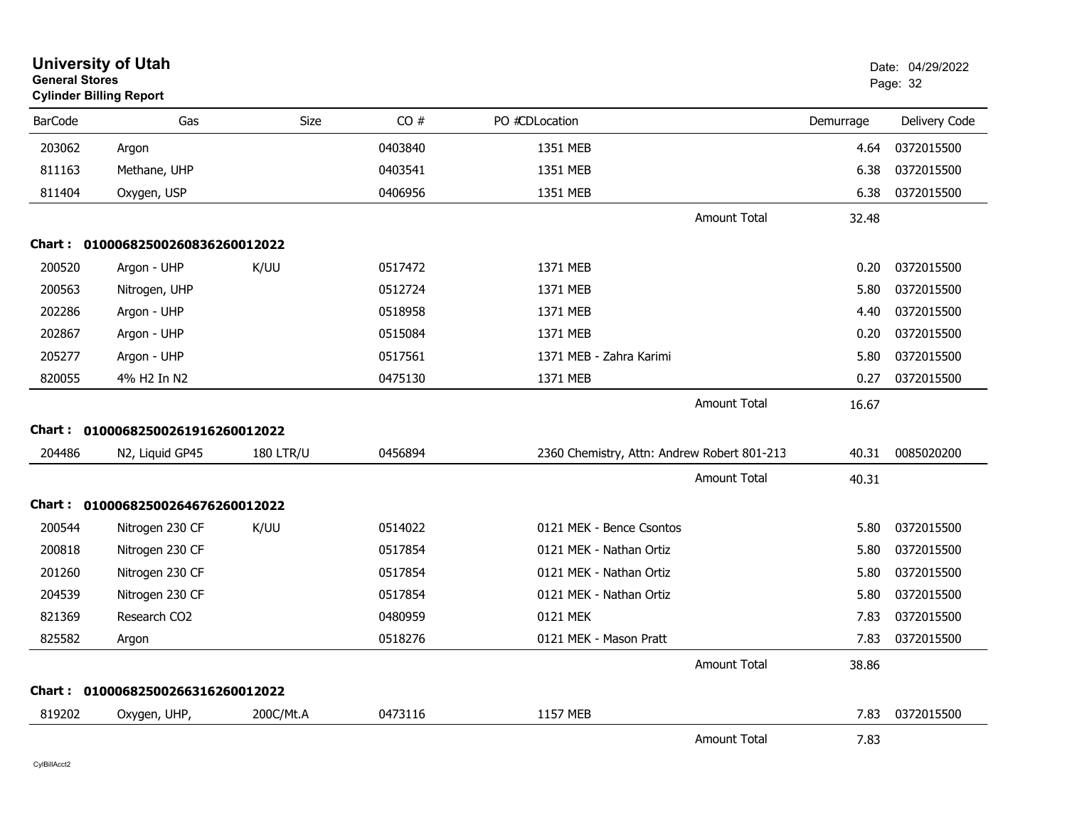| <b>General Stores</b> | <b>University of Utah</b><br><b>Cylinder Billing Report</b> |                  |         |                                             |                     |           | Date: 04/29/2022<br>Page: 32 |
|-----------------------|-------------------------------------------------------------|------------------|---------|---------------------------------------------|---------------------|-----------|------------------------------|
| <b>BarCode</b>        | Gas                                                         | <b>Size</b>      | CO#     | PO #CDLocation                              |                     | Demurrage | Delivery Code                |
| 203062                | Argon                                                       |                  | 0403840 | 1351 MEB                                    |                     | 4.64      | 0372015500                   |
| 811163                | Methane, UHP                                                |                  | 0403541 | 1351 MEB                                    |                     | 6.38      | 0372015500                   |
| 811404                | Oxygen, USP                                                 |                  | 0406956 | 1351 MEB                                    |                     | 6.38      | 0372015500                   |
|                       |                                                             |                  |         |                                             | <b>Amount Total</b> | 32.48     |                              |
|                       | Chart: 01000682500260836260012022                           |                  |         |                                             |                     |           |                              |
| 200520                | Argon - UHP                                                 | K/UU             | 0517472 | 1371 MEB                                    |                     | 0.20      | 0372015500                   |
| 200563                | Nitrogen, UHP                                               |                  | 0512724 | 1371 MEB                                    |                     | 5.80      | 0372015500                   |
| 202286                | Argon - UHP                                                 |                  | 0518958 | 1371 MEB                                    |                     | 4.40      | 0372015500                   |
| 202867                | Argon - UHP                                                 |                  | 0515084 | 1371 MEB                                    |                     | 0.20      | 0372015500                   |
| 205277                | Argon - UHP                                                 |                  | 0517561 | 1371 MEB - Zahra Karimi                     |                     | 5.80      | 0372015500                   |
| 820055                | 4% H2 In N2                                                 |                  | 0475130 | 1371 MEB                                    |                     | 0.27      | 0372015500                   |
|                       |                                                             |                  |         |                                             | <b>Amount Total</b> | 16.67     |                              |
|                       | Chart: 01000682500261916260012022                           |                  |         |                                             |                     |           |                              |
| 204486                | N2, Liquid GP45                                             | <b>180 LTR/U</b> | 0456894 | 2360 Chemistry, Attn: Andrew Robert 801-213 |                     | 40.31     | 0085020200                   |
|                       |                                                             |                  |         |                                             | <b>Amount Total</b> | 40.31     |                              |
|                       | Chart: 01000682500264676260012022                           |                  |         |                                             |                     |           |                              |
| 200544                | Nitrogen 230 CF                                             | K/UU             | 0514022 | 0121 MEK - Bence Csontos                    |                     | 5.80      | 0372015500                   |
| 200818                | Nitrogen 230 CF                                             |                  | 0517854 | 0121 MEK - Nathan Ortiz                     |                     | 5.80      | 0372015500                   |
| 201260                | Nitrogen 230 CF                                             |                  | 0517854 | 0121 MEK - Nathan Ortiz                     |                     | 5.80      | 0372015500                   |
| 204539                | Nitrogen 230 CF                                             |                  | 0517854 | 0121 MEK - Nathan Ortiz                     |                     | 5.80      | 0372015500                   |
| 821369                | Research CO2                                                |                  | 0480959 | 0121 MEK                                    |                     | 7.83      | 0372015500                   |
| 825582                | Argon                                                       |                  | 0518276 | 0121 MEK - Mason Pratt                      |                     | 7.83      | 0372015500                   |
|                       |                                                             |                  |         |                                             | <b>Amount Total</b> | 38.86     |                              |
|                       | Chart: 01000682500266316260012022                           |                  |         |                                             |                     |           |                              |
| 819202                | Oxygen, UHP,                                                | 200C/Mt.A        | 0473116 | 1157 MEB                                    |                     | 7.83      | 0372015500                   |
|                       |                                                             |                  |         |                                             | <b>Amount Total</b> | 7.83      |                              |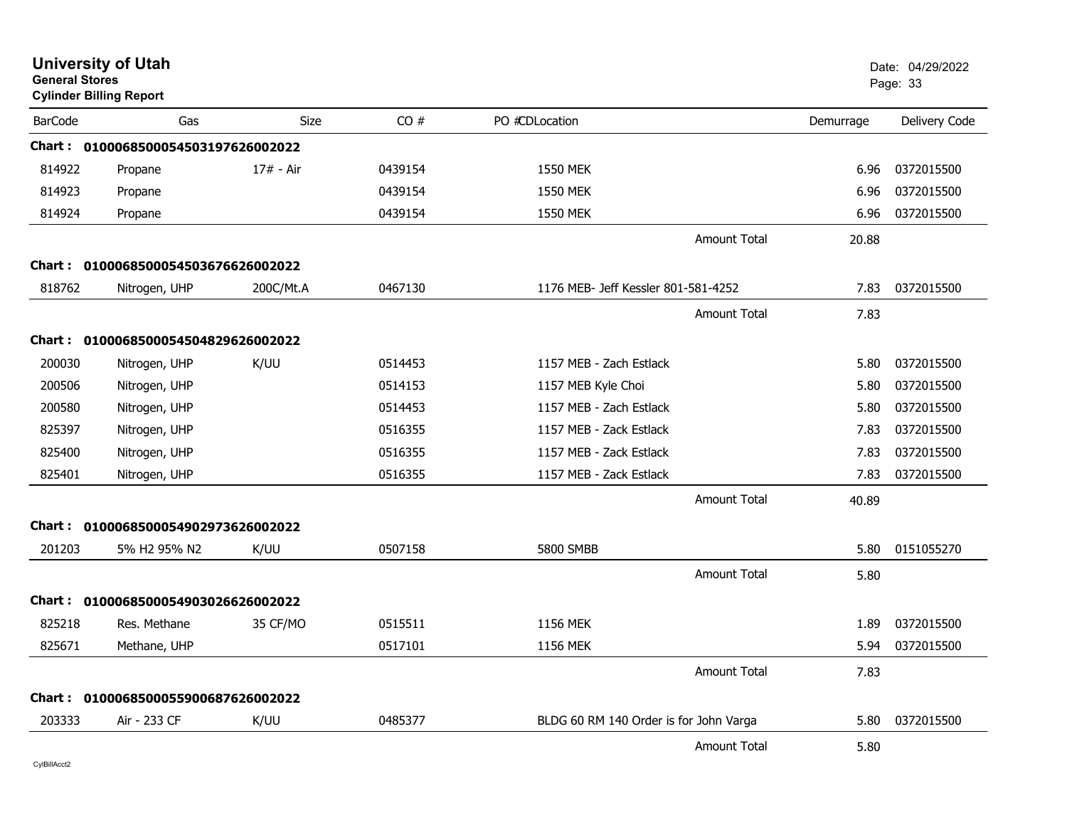| <b>General Stores</b> | <b>University of Utah</b><br><b>Cylinder Billing Report</b> |             |         |                                        |                     |           | Date: 04/29/2022<br>Page: 33 |
|-----------------------|-------------------------------------------------------------|-------------|---------|----------------------------------------|---------------------|-----------|------------------------------|
| <b>BarCode</b>        | Gas                                                         | <b>Size</b> | CO#     | PO #CDLocation                         |                     | Demurrage | Delivery Code                |
|                       | Chart: 0100068500054503197626002022                         |             |         |                                        |                     |           |                              |
| 814922                | Propane                                                     | 17# - Air   | 0439154 | <b>1550 MEK</b>                        |                     | 6.96      | 0372015500                   |
| 814923                | Propane                                                     |             | 0439154 | 1550 MEK                               |                     | 6.96      | 0372015500                   |
| 814924                | Propane                                                     |             | 0439154 | <b>1550 MEK</b>                        |                     | 6.96      | 0372015500                   |
|                       |                                                             |             |         |                                        | <b>Amount Total</b> | 20.88     |                              |
|                       | Chart: 0100068500054503676626002022                         |             |         |                                        |                     |           |                              |
| 818762                | Nitrogen, UHP                                               | 200C/Mt.A   | 0467130 | 1176 MEB- Jeff Kessler 801-581-4252    |                     | 7.83      | 0372015500                   |
|                       |                                                             |             |         |                                        | <b>Amount Total</b> | 7.83      |                              |
|                       | Chart: 0100068500054504829626002022                         |             |         |                                        |                     |           |                              |
| 200030                | Nitrogen, UHP                                               | K/UU        | 0514453 | 1157 MEB - Zach Estlack                |                     | 5.80      | 0372015500                   |
| 200506                | Nitrogen, UHP                                               |             | 0514153 | 1157 MEB Kyle Choi                     |                     | 5.80      | 0372015500                   |
| 200580                | Nitrogen, UHP                                               |             | 0514453 | 1157 MEB - Zach Estlack                |                     | 5.80      | 0372015500                   |
| 825397                | Nitrogen, UHP                                               |             | 0516355 | 1157 MEB - Zack Estlack                |                     | 7.83      | 0372015500                   |
| 825400                | Nitrogen, UHP                                               |             | 0516355 | 1157 MEB - Zack Estlack                |                     | 7.83      | 0372015500                   |
| 825401                | Nitrogen, UHP                                               |             | 0516355 | 1157 MEB - Zack Estlack                |                     | 7.83      | 0372015500                   |
|                       |                                                             |             |         |                                        | <b>Amount Total</b> | 40.89     |                              |
|                       | Chart: 0100068500054902973626002022                         |             |         |                                        |                     |           |                              |
| 201203                | 5% H <sub>2</sub> 95% N <sub>2</sub>                        | K/UU        | 0507158 | <b>5800 SMBB</b>                       |                     | 5.80      | 0151055270                   |
|                       |                                                             |             |         |                                        | <b>Amount Total</b> | 5.80      |                              |
|                       | Chart: 0100068500054903026626002022                         |             |         |                                        |                     |           |                              |
| 825218                | Res. Methane                                                | 35 CF/MO    | 0515511 | <b>1156 MEK</b>                        |                     | 1.89      | 0372015500                   |
| 825671                | Methane, UHP                                                |             | 0517101 | 1156 MEK                               |                     | 5.94      | 0372015500                   |
|                       |                                                             |             |         |                                        | <b>Amount Total</b> | 7.83      |                              |
|                       | Chart: 0100068500055900687626002022                         |             |         |                                        |                     |           |                              |
| 203333                | Air - 233 CF                                                | K/UU        | 0485377 | BLDG 60 RM 140 Order is for John Varga |                     | 5.80      | 0372015500                   |
|                       |                                                             |             |         |                                        | <b>Amount Total</b> | 5.80      |                              |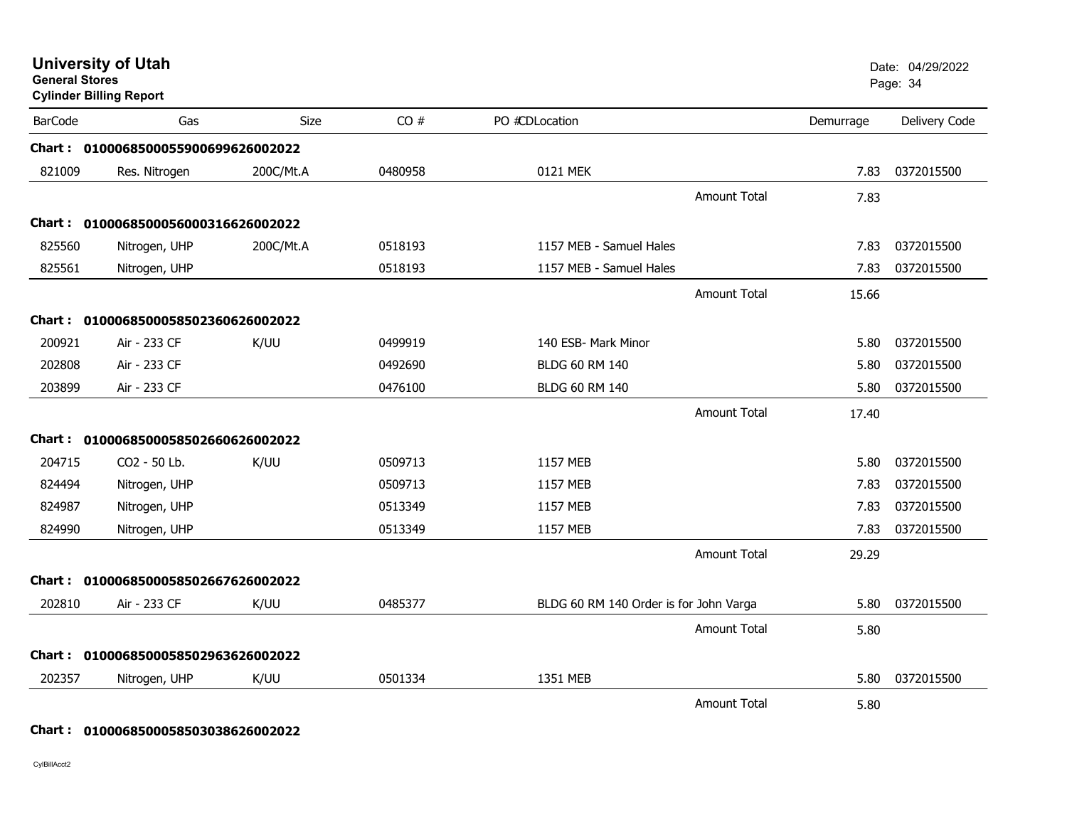| <b>General Stores</b> | <b>University of Utah</b><br><b>Cylinder Billing Report</b> |             |         |                                        |                     |           | Date: 04/29/2022<br>Page: 34 |
|-----------------------|-------------------------------------------------------------|-------------|---------|----------------------------------------|---------------------|-----------|------------------------------|
| <b>BarCode</b>        | Gas                                                         | <b>Size</b> | CO#     | PO #CDLocation                         |                     | Demurrage | Delivery Code                |
|                       | Chart: 0100068500055900699626002022                         |             |         |                                        |                     |           |                              |
| 821009                | Res. Nitrogen                                               | 200C/Mt.A   | 0480958 | 0121 MEK                               |                     | 7.83      | 0372015500                   |
|                       |                                                             |             |         |                                        | <b>Amount Total</b> | 7.83      |                              |
|                       | Chart: 0100068500056000316626002022                         |             |         |                                        |                     |           |                              |
| 825560                | Nitrogen, UHP                                               | 200C/Mt.A   | 0518193 | 1157 MEB - Samuel Hales                |                     | 7.83      | 0372015500                   |
| 825561                | Nitrogen, UHP                                               |             | 0518193 | 1157 MEB - Samuel Hales                |                     | 7.83      | 0372015500                   |
|                       |                                                             |             |         |                                        | <b>Amount Total</b> | 15.66     |                              |
|                       | Chart: 0100068500058502360626002022                         |             |         |                                        |                     |           |                              |
| 200921                | Air - 233 CF                                                | K/UU        | 0499919 | 140 ESB- Mark Minor                    |                     | 5.80      | 0372015500                   |
| 202808                | Air - 233 CF                                                |             | 0492690 | <b>BLDG 60 RM 140</b>                  |                     | 5.80      | 0372015500                   |
| 203899                | Air - 233 CF                                                |             | 0476100 | BLDG 60 RM 140                         |                     | 5.80      | 0372015500                   |
|                       |                                                             |             |         |                                        | Amount Total        | 17.40     |                              |
|                       | Chart: 0100068500058502660626002022                         |             |         |                                        |                     |           |                              |
| 204715                | CO2 - 50 Lb.                                                | K/UU        | 0509713 | 1157 MEB                               |                     | 5.80      | 0372015500                   |
| 824494                | Nitrogen, UHP                                               |             | 0509713 | 1157 MEB                               |                     | 7.83      | 0372015500                   |
| 824987                | Nitrogen, UHP                                               |             | 0513349 | 1157 MEB                               |                     | 7.83      | 0372015500                   |
| 824990                | Nitrogen, UHP                                               |             | 0513349 | 1157 MEB                               |                     | 7.83      | 0372015500                   |
|                       |                                                             |             |         |                                        | <b>Amount Total</b> | 29.29     |                              |
|                       | Chart: 0100068500058502667626002022                         |             |         |                                        |                     |           |                              |
| 202810                | Air - 233 CF                                                | K/UU        | 0485377 | BLDG 60 RM 140 Order is for John Varga |                     | 5.80      | 0372015500                   |
|                       |                                                             |             |         |                                        | <b>Amount Total</b> | 5.80      |                              |
|                       | Chart: 0100068500058502963626002022                         |             |         |                                        |                     |           |                              |
| 202357                | Nitrogen, UHP                                               | K/UU        | 0501334 | 1351 MEB                               |                     | 5.80      | 0372015500                   |
|                       |                                                             |             |         |                                        | <b>Amount Total</b> | 5.80      |                              |

#### **Chart : 0100068500058503038626002022**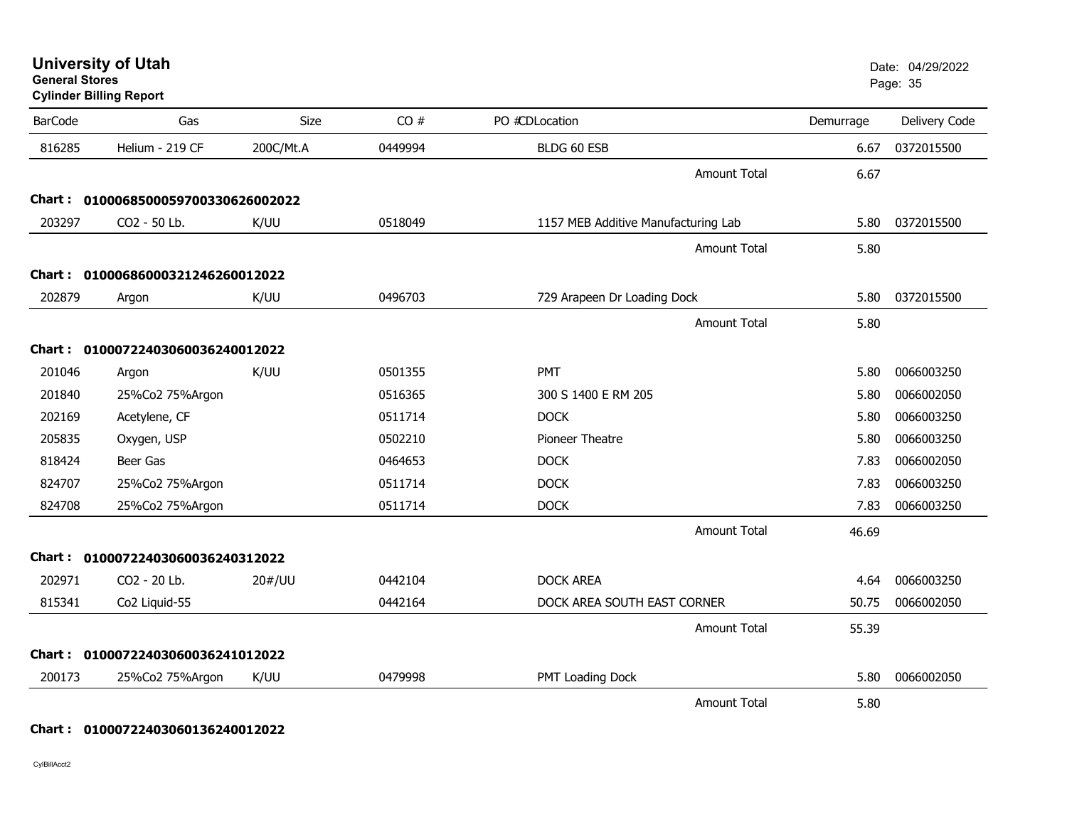| <b>University of Utah</b> |  |
|---------------------------|--|
| <b>General Stores</b>     |  |

**Cylinder Billing Report**

| <b>BarCode</b> | Gas                                 | Size      | CO#     | PO #CDLocation                      | Demurrage | Delivery Code |
|----------------|-------------------------------------|-----------|---------|-------------------------------------|-----------|---------------|
| 816285         | Helium - 219 CF                     | 200C/Mt.A | 0449994 | BLDG 60 ESB                         | 6.67      | 0372015500    |
|                |                                     |           |         | <b>Amount Total</b>                 | 6.67      |               |
|                | Chart: 0100068500059700330626002022 |           |         |                                     |           |               |
| 203297         | CO2 - 50 Lb.                        | K/UU      | 0518049 | 1157 MEB Additive Manufacturing Lab | 5.80      | 0372015500    |
|                |                                     |           |         | <b>Amount Total</b>                 | 5.80      |               |
| Chart :        | 01000686000321246260012022          |           |         |                                     |           |               |
| 202879         | Argon                               | K/UU      | 0496703 | 729 Arapeen Dr Loading Dock         | 5.80      | 0372015500    |
|                |                                     |           |         | <b>Amount Total</b>                 | 5.80      |               |
| <b>Chart :</b> | 01000722403060036240012022          |           |         |                                     |           |               |
| 201046         | Argon                               | K/UU      | 0501355 | PMT                                 | 5.80      | 0066003250    |
| 201840         | 25%Co2 75%Argon                     |           | 0516365 | 300 S 1400 E RM 205                 | 5.80      | 0066002050    |
| 202169         | Acetylene, CF                       |           | 0511714 | <b>DOCK</b>                         | 5.80      | 0066003250    |
| 205835         | Oxygen, USP                         |           | 0502210 | <b>Pioneer Theatre</b>              | 5.80      | 0066003250    |
| 818424         | <b>Beer Gas</b>                     |           | 0464653 | <b>DOCK</b>                         | 7.83      | 0066002050    |
| 824707         | 25%Co2 75%Argon                     |           | 0511714 | <b>DOCK</b>                         | 7.83      | 0066003250    |
| 824708         | 25%Co2 75%Argon                     |           | 0511714 | <b>DOCK</b>                         | 7.83      | 0066003250    |
|                |                                     |           |         | <b>Amount Total</b>                 | 46.69     |               |
| Chart :        | 01000722403060036240312022          |           |         |                                     |           |               |
| 202971         | CO2 - 20 Lb.                        | 20#/UU    | 0442104 | <b>DOCK AREA</b>                    | 4.64      | 0066003250    |
| 815341         | Co2 Liquid-55                       |           | 0442164 | DOCK AREA SOUTH EAST CORNER         | 50.75     | 0066002050    |
|                |                                     |           |         | <b>Amount Total</b>                 | 55.39     |               |
| Chart :        | 01000722403060036241012022          |           |         |                                     |           |               |
| 200173         | 25%Co2 75%Argon                     | K/UU      | 0479998 | PMT Loading Dock                    | 5.80      | 0066002050    |
|                |                                     |           |         | <b>Amount Total</b>                 | 5.80      |               |

### **Chart : 01000722403060136240012022**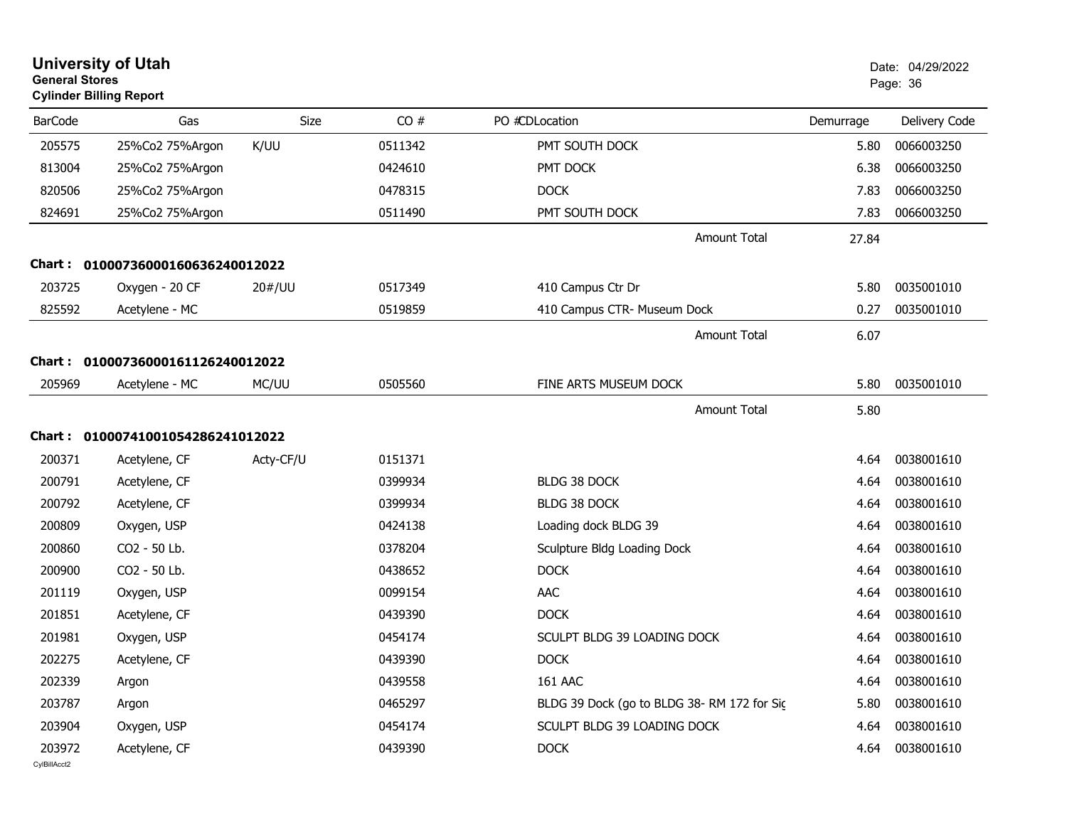| <b>University of Utah</b><br><b>General Stores</b><br><b>Cylinder Billing Report</b> |                                   | Date: 04/29/2022<br>Page: 36 |         |                                            |           |                 |
|--------------------------------------------------------------------------------------|-----------------------------------|------------------------------|---------|--------------------------------------------|-----------|-----------------|
| <b>BarCode</b>                                                                       | Gas                               | Size                         | CO#     | PO #CDLocation                             | Demurrage | Delivery Code   |
| 205575                                                                               | 25%Co2 75%Argon                   | K/UU                         | 0511342 | PMT SOUTH DOCK                             | 5.80      | 0066003250      |
| 813004                                                                               | 25%Co2 75%Argon                   |                              | 0424610 | PMT DOCK                                   | 6.38      | 0066003250      |
| 820506                                                                               | 25%Co2 75%Argon                   |                              | 0478315 | <b>DOCK</b>                                | 7.83      | 0066003250      |
| 824691                                                                               | 25%Co2 75%Argon                   |                              | 0511490 | PMT SOUTH DOCK                             | 7.83      | 0066003250      |
|                                                                                      |                                   |                              |         | <b>Amount Total</b>                        | 27.84     |                 |
| Chart :                                                                              | 01000736000160636240012022        |                              |         |                                            |           |                 |
| 203725                                                                               | Oxygen - 20 CF                    | 20#/UU                       | 0517349 | 410 Campus Ctr Dr                          | 5.80      | 0035001010      |
| 825592                                                                               | Acetylene - MC                    |                              | 0519859 | 410 Campus CTR- Museum Dock                | 0.27      | 0035001010      |
|                                                                                      |                                   |                              |         | <b>Amount Total</b>                        | 6.07      |                 |
| Chart :                                                                              | 01000736000161126240012022        |                              |         |                                            |           |                 |
| 205969                                                                               | Acetylene - MC                    | MC/UU                        | 0505560 | FINE ARTS MUSEUM DOCK                      | 5.80      | 0035001010      |
|                                                                                      |                                   |                              |         | <b>Amount Total</b>                        | 5.80      |                 |
|                                                                                      | Chart: 01000741001054286241012022 |                              |         |                                            |           |                 |
| 200371                                                                               | Acetylene, CF                     | Acty-CF/U                    | 0151371 |                                            | 4.64      | 0038001610      |
| 200791                                                                               | Acetylene, CF                     |                              | 0399934 | BLDG 38 DOCK                               | 4.64      | 0038001610      |
| 200792                                                                               | Acetylene, CF                     |                              | 0399934 | BLDG 38 DOCK                               | 4.64      | 0038001610      |
| 200809                                                                               | Oxygen, USP                       |                              | 0424138 | Loading dock BLDG 39                       | 4.64      | 0038001610      |
| 200860                                                                               | CO2 - 50 Lb.                      |                              | 0378204 | Sculpture Bldg Loading Dock                | 4.64      | 0038001610      |
| 200900                                                                               | CO2 - 50 Lb.                      |                              | 0438652 | <b>DOCK</b>                                | 4.64      | 0038001610      |
| 201119                                                                               | Oxygen, USP                       |                              | 0099154 | AAC                                        | 4.64      | 0038001610      |
| 201851                                                                               | Acetylene, CF                     |                              | 0439390 | <b>DOCK</b>                                | 4.64      | 0038001610      |
| 201981                                                                               | Oxygen, USP                       |                              | 0454174 | SCULPT BLDG 39 LOADING DOCK                | 4.64      | 0038001610      |
| 202275                                                                               | Acetylene, CF                     |                              | 0439390 | <b>DOCK</b>                                |           | 4.64 0038001610 |
| 202339                                                                               | Argon                             |                              | 0439558 | <b>161 AAC</b>                             | 4.64      | 0038001610      |
| 203787                                                                               | Argon                             |                              | 0465297 | BLDG 39 Dock (go to BLDG 38-RM 172 for Sic | 5.80      | 0038001610      |
| 203904                                                                               | Oxygen, USP                       |                              | 0454174 | SCULPT BLDG 39 LOADING DOCK                | 4.64      | 0038001610      |
| 203972<br>CylBillAcct2                                                               | Acetylene, CF                     |                              | 0439390 | <b>DOCK</b>                                | 4.64      | 0038001610      |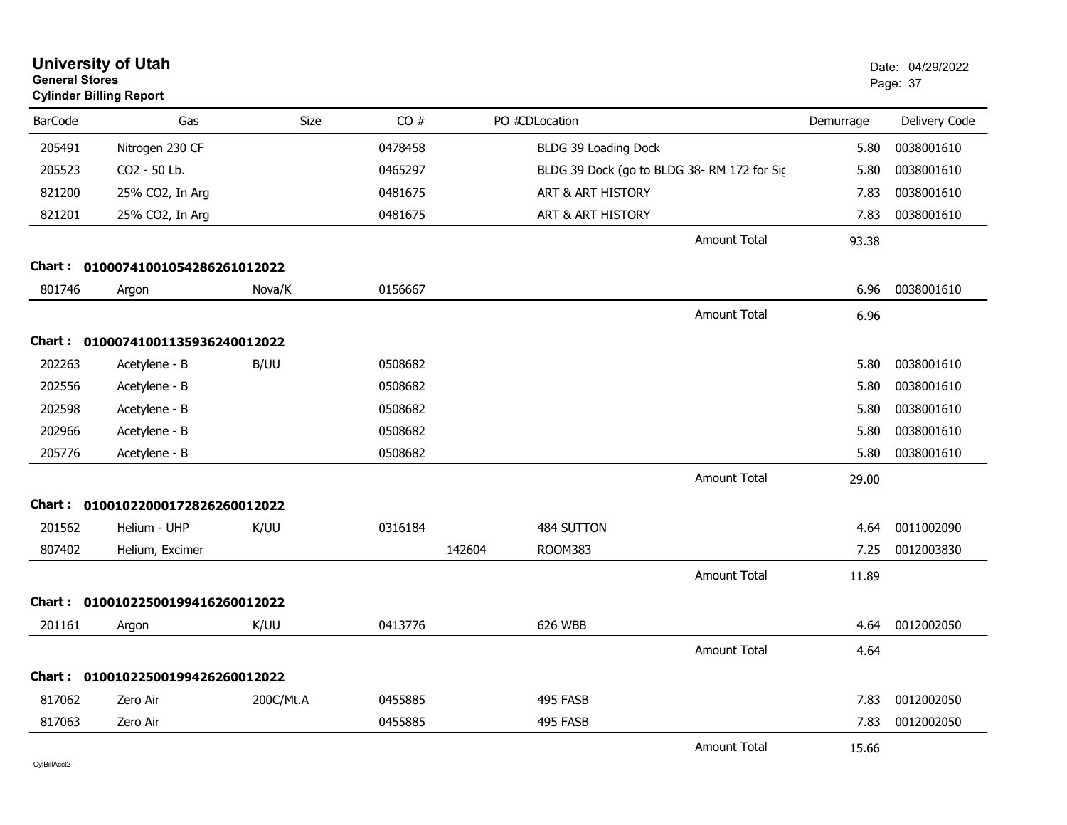| <b>General Stores</b> | <b>University of Utah</b><br><b>Cylinder Billing Report</b> |           |         |        |                                            |                     |           | Date: 04/29/2022<br>Page: 37 |
|-----------------------|-------------------------------------------------------------|-----------|---------|--------|--------------------------------------------|---------------------|-----------|------------------------------|
| <b>BarCode</b>        | Gas                                                         | Size      | CO#     |        | PO #CDLocation                             |                     | Demurrage | Delivery Code                |
| 205491                | Nitrogen 230 CF                                             |           | 0478458 |        | BLDG 39 Loading Dock                       |                     | 5.80      | 0038001610                   |
| 205523                | CO2 - 50 Lb.                                                |           | 0465297 |        | BLDG 39 Dock (go to BLDG 38-RM 172 for Sic |                     | 5.80      | 0038001610                   |
| 821200                | 25% CO2, In Arg                                             |           | 0481675 |        | ART & ART HISTORY                          |                     | 7.83      | 0038001610                   |
| 821201                | 25% CO2, In Arg                                             |           | 0481675 |        | ART & ART HISTORY                          |                     | 7.83      | 0038001610                   |
|                       |                                                             |           |         |        |                                            | <b>Amount Total</b> | 93.38     |                              |
|                       | Chart: 01000741001054286261012022                           |           |         |        |                                            |                     |           |                              |
| 801746                | Argon                                                       | Nova/K    | 0156667 |        |                                            |                     | 6.96      | 0038001610                   |
|                       |                                                             |           |         |        |                                            | <b>Amount Total</b> | 6.96      |                              |
|                       | Chart: 01000741001135936240012022                           |           |         |        |                                            |                     |           |                              |
| 202263                | Acetylene - B                                               | B/UU      | 0508682 |        |                                            |                     | 5.80      | 0038001610                   |
| 202556                | Acetylene - B                                               |           | 0508682 |        |                                            |                     | 5.80      | 0038001610                   |
| 202598                | Acetylene - B                                               |           | 0508682 |        |                                            |                     | 5.80      | 0038001610                   |
| 202966                | Acetylene - B                                               |           | 0508682 |        |                                            |                     | 5.80      | 0038001610                   |
| 205776                | Acetylene - B                                               |           | 0508682 |        |                                            |                     | 5.80      | 0038001610                   |
|                       |                                                             |           |         |        |                                            | <b>Amount Total</b> | 29.00     |                              |
|                       | Chart: 01001022000172826260012022                           |           |         |        |                                            |                     |           |                              |
| 201562                | Helium - UHP                                                | K/UU      | 0316184 |        | 484 SUTTON                                 |                     | 4.64      | 0011002090                   |
| 807402                | Helium, Excimer                                             |           |         | 142604 | ROOM383                                    |                     | 7.25      | 0012003830                   |
|                       |                                                             |           |         |        |                                            | Amount Total        | 11.89     |                              |
|                       | Chart: 01001022500199416260012022                           |           |         |        |                                            |                     |           |                              |
| 201161                | Argon                                                       | K/UU      | 0413776 |        | 626 WBB                                    |                     | 4.64      | 0012002050                   |
|                       |                                                             |           |         |        |                                            | <b>Amount Total</b> | 4.64      |                              |
|                       | Chart: 01001022500199426260012022                           |           |         |        |                                            |                     |           |                              |
| 817062                | Zero Air                                                    | 200C/Mt.A | 0455885 |        | 495 FASB                                   |                     | 7.83      | 0012002050                   |
| 817063                | Zero Air                                                    |           | 0455885 |        | 495 FASB                                   |                     | 7.83      | 0012002050                   |
|                       |                                                             |           |         |        |                                            | <b>Amount Total</b> | 15.66     |                              |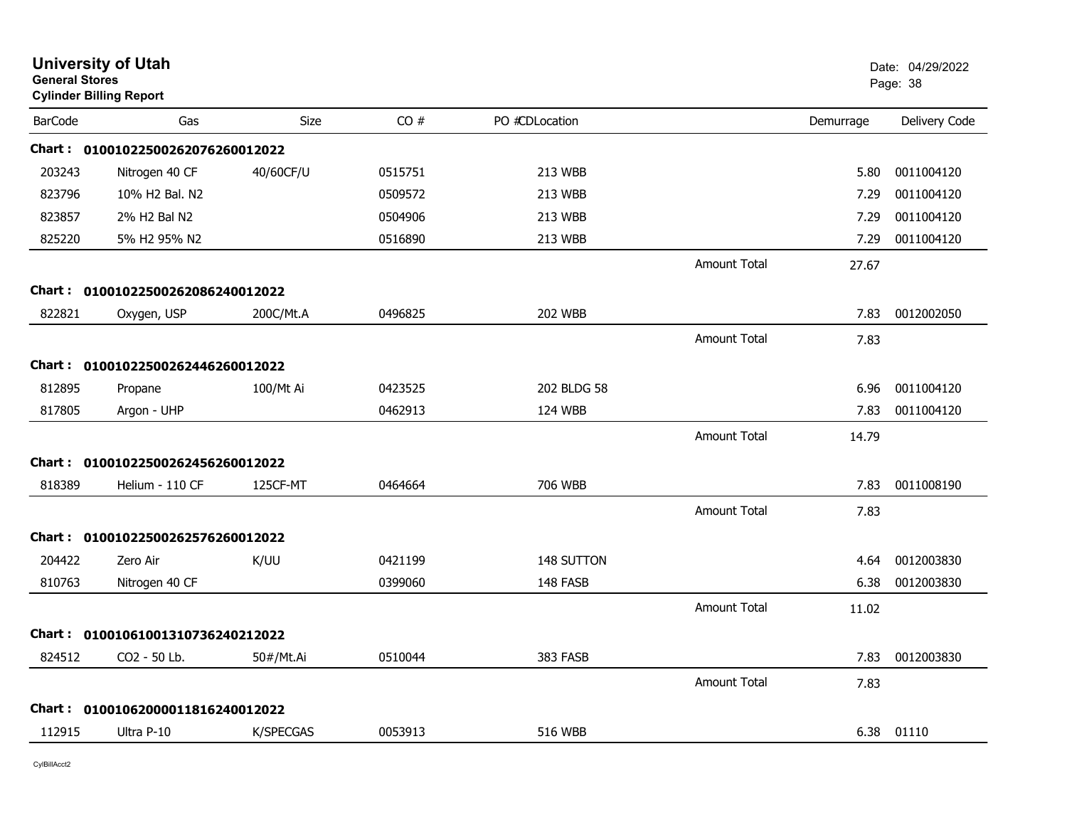| <b>General Stores</b> | <b>University of Utah</b><br><b>Cylinder Billing Report</b> |           |         |                |                     |           | Date: 04/29/2022<br>Page: 38 |
|-----------------------|-------------------------------------------------------------|-----------|---------|----------------|---------------------|-----------|------------------------------|
| <b>BarCode</b>        | Gas                                                         | Size      | CO#     | PO #CDLocation |                     | Demurrage | Delivery Code                |
|                       | Chart: 01001022500262076260012022                           |           |         |                |                     |           |                              |
| 203243                | Nitrogen 40 CF                                              | 40/60CF/U | 0515751 | 213 WBB        |                     | 5.80      | 0011004120                   |
| 823796                | 10% H2 Bal. N2                                              |           | 0509572 | 213 WBB        |                     | 7.29      | 0011004120                   |
| 823857                | 2% H2 Bal N2                                                |           | 0504906 | 213 WBB        |                     | 7.29      | 0011004120                   |
| 825220                | 5% H2 95% N2                                                |           | 0516890 | 213 WBB        |                     | 7.29      | 0011004120                   |
|                       |                                                             |           |         |                | <b>Amount Total</b> | 27.67     |                              |
|                       | Chart: 01001022500262086240012022                           |           |         |                |                     |           |                              |
| 822821                | Oxygen, USP                                                 | 200C/Mt.A | 0496825 | <b>202 WBB</b> |                     | 7.83      | 0012002050                   |
|                       |                                                             |           |         |                | <b>Amount Total</b> | 7.83      |                              |
|                       | Chart: 01001022500262446260012022                           |           |         |                |                     |           |                              |
| 812895                | Propane                                                     | 100/Mt Ai | 0423525 | 202 BLDG 58    |                     | 6.96      | 0011004120                   |
| 817805                | Argon - UHP                                                 |           | 0462913 | 124 WBB        |                     | 7.83      | 0011004120                   |
|                       |                                                             |           |         |                | <b>Amount Total</b> | 14.79     |                              |
| Chart :               | 01001022500262456260012022                                  |           |         |                |                     |           |                              |
| 818389                | Helium - 110 CF                                             | 125CF-MT  | 0464664 | 706 WBB        |                     | 7.83      | 0011008190                   |
|                       |                                                             |           |         |                | <b>Amount Total</b> | 7.83      |                              |
|                       | Chart: 01001022500262576260012022                           |           |         |                |                     |           |                              |
| 204422                | Zero Air                                                    | K/UU      | 0421199 | 148 SUTTON     |                     | 4.64      | 0012003830                   |
| 810763                | Nitrogen 40 CF                                              |           | 0399060 | 148 FASB       |                     | 6.38      | 0012003830                   |
|                       |                                                             |           |         |                | <b>Amount Total</b> | 11.02     |                              |
|                       | Chart: 01001061001310736240212022                           |           |         |                |                     |           |                              |
| 824512                | CO <sub>2</sub> - 50 Lb.                                    | 50#/Mt.Ai | 0510044 | 383 FASB       |                     | 7.83      | 0012003830                   |
|                       |                                                             |           |         |                | <b>Amount Total</b> | 7.83      |                              |
|                       | Chart: 01001062000011816240012022                           |           |         |                |                     |           |                              |
| 112915                | Ultra P-10                                                  | K/SPECGAS | 0053913 | <b>516 WBB</b> |                     |           | 6.38 01110                   |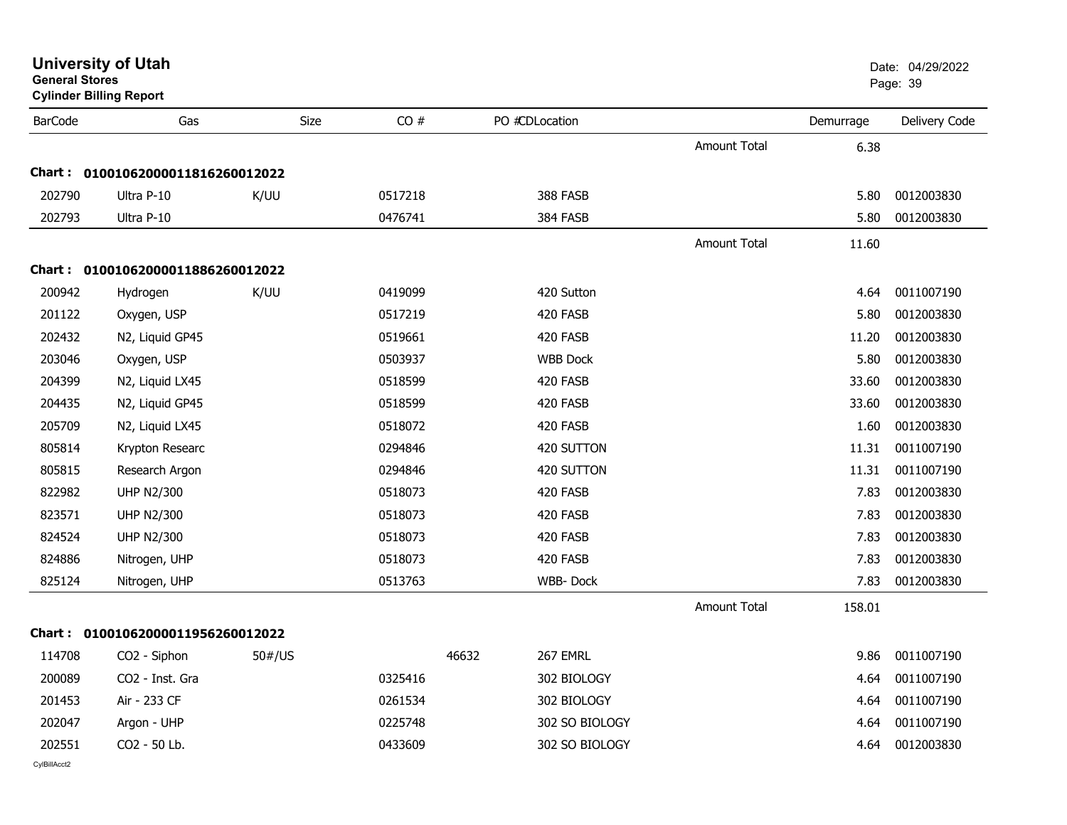| General Stores | <b>Cylinder Billing Report</b>    |             |         |                   |                     |           | Page: 39      |
|----------------|-----------------------------------|-------------|---------|-------------------|---------------------|-----------|---------------|
| <b>BarCode</b> | Gas                               | <b>Size</b> | CO#     | PO #CDLocation    |                     | Demurrage | Delivery Code |
|                |                                   |             |         |                   | <b>Amount Total</b> | 6.38      |               |
|                | Chart: 01001062000011816260012022 |             |         |                   |                     |           |               |
| 202790         | Ultra P-10                        | K/UU        | 0517218 | 388 FASB          |                     | 5.80      | 0012003830    |
| 202793         | Ultra P-10                        |             | 0476741 | 384 FASB          |                     | 5.80      | 0012003830    |
|                |                                   |             |         |                   | <b>Amount Total</b> | 11.60     |               |
|                | Chart: 01001062000011886260012022 |             |         |                   |                     |           |               |
| 200942         | Hydrogen                          | K/UU        | 0419099 | 420 Sutton        |                     | 4.64      | 0011007190    |
| 201122         | Oxygen, USP                       |             | 0517219 | 420 FASB          |                     | 5.80      | 0012003830    |
| 202432         | N2, Liquid GP45                   |             | 0519661 | 420 FASB          |                     | 11.20     | 0012003830    |
| 203046         | Oxygen, USP                       |             | 0503937 | <b>WBB Dock</b>   |                     | 5.80      | 0012003830    |
| 204399         | N2, Liquid LX45                   |             | 0518599 | 420 FASB          |                     | 33.60     | 0012003830    |
| 204435         | N2, Liquid GP45                   |             | 0518599 | 420 FASB          |                     | 33.60     | 0012003830    |
| 205709         | N2, Liquid LX45                   |             | 0518072 | 420 FASB          |                     | 1.60      | 0012003830    |
| 805814         | Krypton Researc                   |             | 0294846 | 420 SUTTON        |                     | 11.31     | 0011007190    |
| 805815         | Research Argon                    |             | 0294846 | 420 SUTTON        |                     | 11.31     | 0011007190    |
| 822982         | <b>UHP N2/300</b>                 |             | 0518073 | 420 FASB          |                     | 7.83      | 0012003830    |
| 823571         | <b>UHP N2/300</b>                 |             | 0518073 | 420 FASB          |                     | 7.83      | 0012003830    |
| 824524         | <b>UHP N2/300</b>                 |             | 0518073 | 420 FASB          |                     | 7.83      | 0012003830    |
| 824886         | Nitrogen, UHP                     |             | 0518073 | 420 FASB          |                     | 7.83      | 0012003830    |
| 825124         | Nitrogen, UHP                     |             | 0513763 | <b>WBB-Dock</b>   |                     | 7.83      | 0012003830    |
|                |                                   |             |         |                   | <b>Amount Total</b> | 158.01    |               |
|                | Chart: 01001062000011956260012022 |             |         |                   |                     |           |               |
| 114708         | CO2 - Siphon                      | 50#/US      |         | 46632<br>267 EMRL |                     | 9.86      | 0011007190    |
| 200089         | CO2 - Inst. Gra                   |             | 0325416 | 302 BIOLOGY       |                     | 4.64      | 0011007190    |
| 201453         | Air - 233 CF                      |             | 0261534 | 302 BIOLOGY       |                     | 4.64      | 0011007190    |
| 202047         | Argon - UHP                       |             | 0225748 | 302 SO BIOLOGY    |                     | 4.64      | 0011007190    |
| 202551         | CO2 - 50 Lb.                      |             | 0433609 | 302 SO BIOLOGY    |                     | 4.64      | 0012003830    |
| CylBillAcct2   |                                   |             |         |                   |                     |           |               |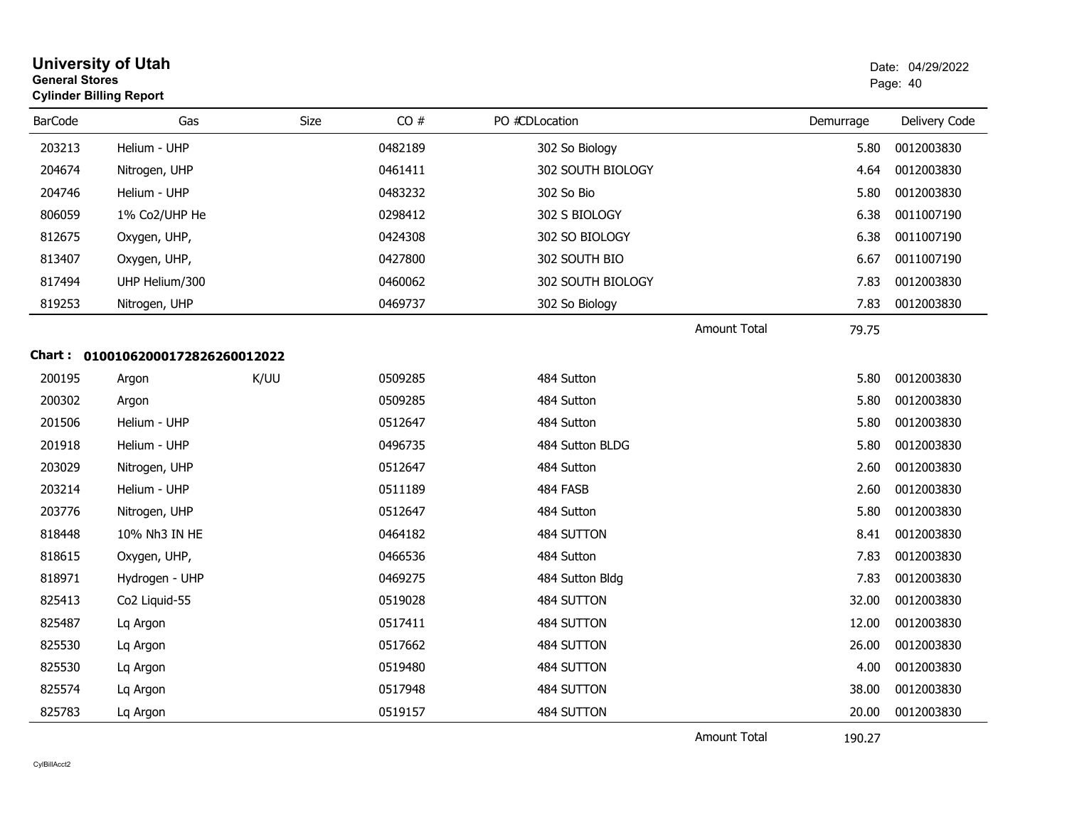| <b>General Stores</b> | <b>University of Utah</b><br><b>Cylinder Billing Report</b> |      |         |                   |                     |           | Date: 04/29/2022<br>Page: 40 |
|-----------------------|-------------------------------------------------------------|------|---------|-------------------|---------------------|-----------|------------------------------|
| <b>BarCode</b>        | Gas                                                         | Size | CO#     | PO #CDLocation    |                     | Demurrage | Delivery Code                |
| 203213                | Helium - UHP                                                |      | 0482189 | 302 So Biology    |                     | 5.80      | 0012003830                   |
| 204674                | Nitrogen, UHP                                               |      | 0461411 | 302 SOUTH BIOLOGY |                     | 4.64      | 0012003830                   |
| 204746                | Helium - UHP                                                |      | 0483232 | 302 So Bio        |                     | 5.80      | 0012003830                   |
| 806059                | 1% Co2/UHP He                                               |      | 0298412 | 302 S BIOLOGY     |                     | 6.38      | 0011007190                   |
| 812675                | Oxygen, UHP,                                                |      | 0424308 | 302 SO BIOLOGY    |                     | 6.38      | 0011007190                   |
| 813407                | Oxygen, UHP,                                                |      | 0427800 | 302 SOUTH BIO     |                     | 6.67      | 0011007190                   |
| 817494                | UHP Helium/300                                              |      | 0460062 | 302 SOUTH BIOLOGY |                     | 7.83      | 0012003830                   |
| 819253                | Nitrogen, UHP                                               |      | 0469737 | 302 So Biology    |                     | 7.83      | 0012003830                   |
|                       |                                                             |      |         |                   | <b>Amount Total</b> | 79.75     |                              |
|                       | Chart: 01001062000172826260012022                           |      |         |                   |                     |           |                              |
| 200195                | Argon                                                       | K/UU | 0509285 | 484 Sutton        |                     | 5.80      | 0012003830                   |
| 200302                | Argon                                                       |      | 0509285 | 484 Sutton        |                     | 5.80      | 0012003830                   |
| 201506                | Helium - UHP                                                |      | 0512647 | 484 Sutton        |                     | 5.80      | 0012003830                   |
| 201918                | Helium - UHP                                                |      | 0496735 | 484 Sutton BLDG   |                     | 5.80      | 0012003830                   |
| 203029                | Nitrogen, UHP                                               |      | 0512647 | 484 Sutton        |                     | 2.60      | 0012003830                   |
| 203214                | Helium - UHP                                                |      | 0511189 | 484 FASB          |                     | 2.60      | 0012003830                   |
| 203776                | Nitrogen, UHP                                               |      | 0512647 | 484 Sutton        |                     | 5.80      | 0012003830                   |
| 818448                | 10% Nh3 IN HE                                               |      | 0464182 | 484 SUTTON        |                     | 8.41      | 0012003830                   |
| 818615                | Oxygen, UHP,                                                |      | 0466536 | 484 Sutton        |                     | 7.83      | 0012003830                   |
| 818971                | Hydrogen - UHP                                              |      | 0469275 | 484 Sutton Bldg   |                     | 7.83      | 0012003830                   |
| 825413                | Co <sub>2</sub> Liquid-55                                   |      | 0519028 | 484 SUTTON        |                     | 32.00     | 0012003830                   |
| 825487                | Lq Argon                                                    |      | 0517411 | 484 SUTTON        |                     | 12.00     | 0012003830                   |
| 825530                | Lq Argon                                                    |      | 0517662 | 484 SUTTON        |                     | 26.00     | 0012003830                   |
| 825530                | Lq Argon                                                    |      | 0519480 | 484 SUTTON        |                     | 4.00      | 0012003830                   |
| 825574                | Lq Argon                                                    |      | 0517948 | 484 SUTTON        |                     | 38.00     | 0012003830                   |
| 825783                | Lq Argon                                                    |      | 0519157 | 484 SUTTON        |                     | 20.00     | 0012003830                   |
|                       |                                                             |      |         |                   | <b>Amount Total</b> | 190.27    |                              |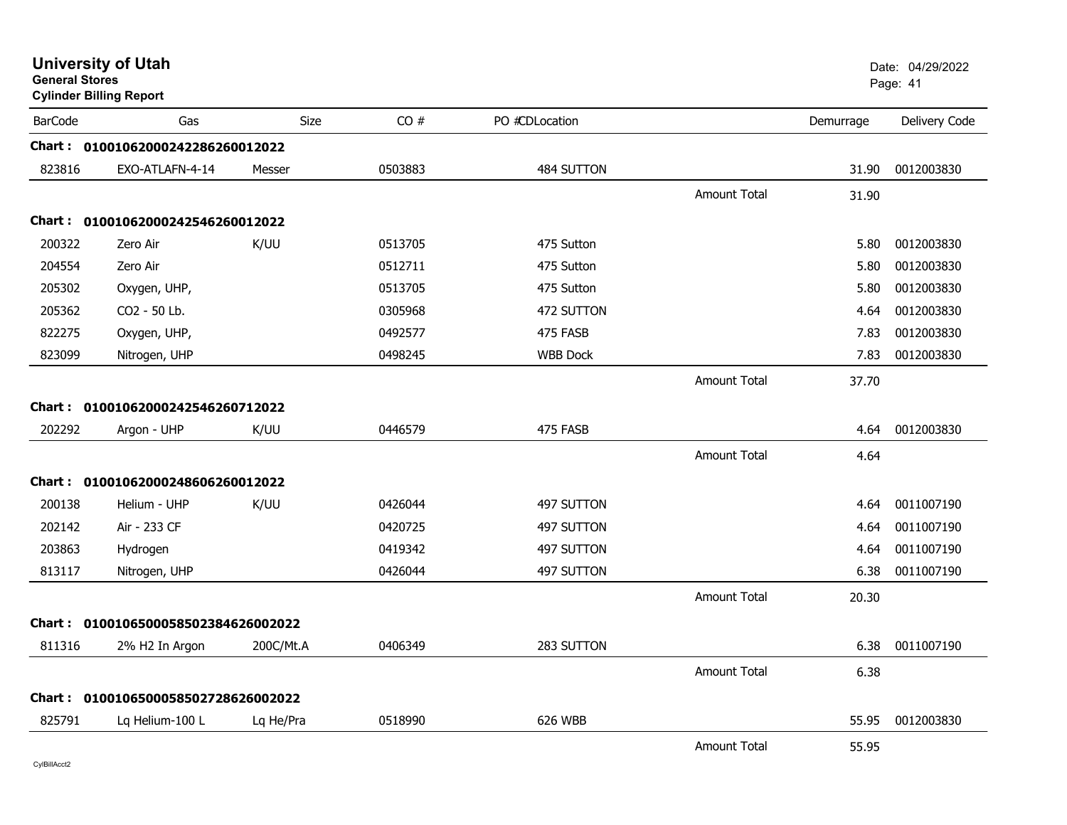|                | <b>University of Utah</b><br><b>General Stores</b><br><b>Cylinder Billing Report</b> |           |         |                 |                     |           | Date: 04/29/2022<br>Page: 41 |  |
|----------------|--------------------------------------------------------------------------------------|-----------|---------|-----------------|---------------------|-----------|------------------------------|--|
| <b>BarCode</b> | Gas                                                                                  | Size      | CO#     | PO #CDLocation  |                     | Demurrage | Delivery Code                |  |
|                | Chart: 01001062000242286260012022                                                    |           |         |                 |                     |           |                              |  |
| 823816         | EXO-ATLAFN-4-14                                                                      | Messer    | 0503883 | 484 SUTTON      |                     | 31.90     | 0012003830                   |  |
|                |                                                                                      |           |         |                 | <b>Amount Total</b> | 31.90     |                              |  |
|                | Chart: 01001062000242546260012022                                                    |           |         |                 |                     |           |                              |  |
| 200322         | Zero Air                                                                             | K/UU      | 0513705 | 475 Sutton      |                     | 5.80      | 0012003830                   |  |
| 204554         | Zero Air                                                                             |           | 0512711 | 475 Sutton      |                     | 5.80      | 0012003830                   |  |
| 205302         | Oxygen, UHP,                                                                         |           | 0513705 | 475 Sutton      |                     | 5.80      | 0012003830                   |  |
| 205362         | CO2 - 50 Lb.                                                                         |           | 0305968 | 472 SUTTON      |                     | 4.64      | 0012003830                   |  |
| 822275         | Oxygen, UHP,                                                                         |           | 0492577 | 475 FASB        |                     | 7.83      | 0012003830                   |  |
| 823099         | Nitrogen, UHP                                                                        |           | 0498245 | <b>WBB Dock</b> |                     | 7.83      | 0012003830                   |  |
|                |                                                                                      |           |         |                 | <b>Amount Total</b> | 37.70     |                              |  |
|                | Chart: 01001062000242546260712022                                                    |           |         |                 |                     |           |                              |  |
| 202292         | Argon - UHP                                                                          | K/UU      | 0446579 | 475 FASB        |                     | 4.64      | 0012003830                   |  |
|                |                                                                                      |           |         |                 | <b>Amount Total</b> | 4.64      |                              |  |
|                | Chart: 01001062000248606260012022                                                    |           |         |                 |                     |           |                              |  |
| 200138         | Helium - UHP                                                                         | K/UU      | 0426044 | 497 SUTTON      |                     | 4.64      | 0011007190                   |  |
| 202142         | Air - 233 CF                                                                         |           | 0420725 | 497 SUTTON      |                     | 4.64      | 0011007190                   |  |
| 203863         | Hydrogen                                                                             |           | 0419342 | 497 SUTTON      |                     | 4.64      | 0011007190                   |  |
| 813117         | Nitrogen, UHP                                                                        |           | 0426044 | 497 SUTTON      |                     | 6.38      | 0011007190                   |  |
|                |                                                                                      |           |         |                 | <b>Amount Total</b> | 20.30     |                              |  |
| Chart :        | 0100106500058502384626002022                                                         |           |         |                 |                     |           |                              |  |
| 811316         | 2% H2 In Argon                                                                       | 200C/Mt.A | 0406349 | 283 SUTTON      |                     | 6.38      | 0011007190                   |  |
|                |                                                                                      |           |         |                 | <b>Amount Total</b> | 6.38      |                              |  |
|                | Chart: 0100106500058502728626002022                                                  |           |         |                 |                     |           |                              |  |
| 825791         | Lq Helium-100 L                                                                      | Lq He/Pra | 0518990 | 626 WBB         |                     | 55.95     | 0012003830                   |  |
|                |                                                                                      |           |         |                 | <b>Amount Total</b> | 55.95     |                              |  |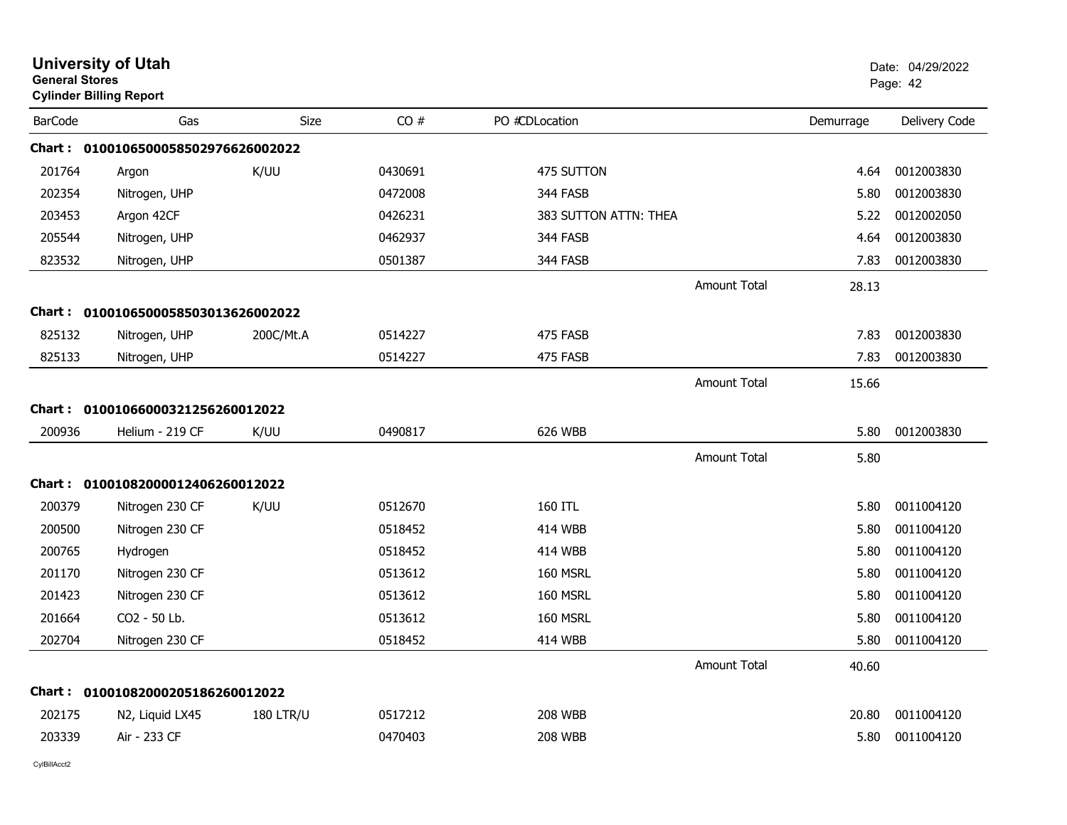| <b>General Stores</b> | <b>University of Utah</b><br><b>Cylinder Billing Report</b> |                  |         |                       |                     |           | Date: 04/29/2022<br>Page: 42 |
|-----------------------|-------------------------------------------------------------|------------------|---------|-----------------------|---------------------|-----------|------------------------------|
| <b>BarCode</b>        | Gas                                                         | Size             | CO#     | PO #CDLocation        |                     | Demurrage | Delivery Code                |
|                       | Chart: 0100106500058502976626002022                         |                  |         |                       |                     |           |                              |
| 201764                | Argon                                                       | K/UU             | 0430691 | 475 SUTTON            |                     | 4.64      | 0012003830                   |
| 202354                | Nitrogen, UHP                                               |                  | 0472008 | 344 FASB              |                     | 5.80      | 0012003830                   |
| 203453                | Argon 42CF                                                  |                  | 0426231 | 383 SUTTON ATTN: THEA |                     | 5.22      | 0012002050                   |
| 205544                | Nitrogen, UHP                                               |                  | 0462937 | 344 FASB              |                     | 4.64      | 0012003830                   |
| 823532                | Nitrogen, UHP                                               |                  | 0501387 | 344 FASB              |                     | 7.83      | 0012003830                   |
|                       |                                                             |                  |         |                       | <b>Amount Total</b> | 28.13     |                              |
|                       | Chart: 0100106500058503013626002022                         |                  |         |                       |                     |           |                              |
| 825132                | Nitrogen, UHP                                               | 200C/Mt.A        | 0514227 | 475 FASB              |                     | 7.83      | 0012003830                   |
| 825133                | Nitrogen, UHP                                               |                  | 0514227 | 475 FASB              |                     | 7.83      | 0012003830                   |
|                       |                                                             |                  |         |                       | <b>Amount Total</b> | 15.66     |                              |
|                       | Chart: 01001066000321256260012022                           |                  |         |                       |                     |           |                              |
| 200936                | Helium - 219 CF                                             | K/UU             | 0490817 | 626 WBB               |                     | 5.80      | 0012003830                   |
|                       |                                                             |                  |         |                       | <b>Amount Total</b> | 5.80      |                              |
|                       | Chart: 01001082000012406260012022                           |                  |         |                       |                     |           |                              |
| 200379                | Nitrogen 230 CF                                             | K/UU             | 0512670 | 160 ITL               |                     | 5.80      | 0011004120                   |
| 200500                | Nitrogen 230 CF                                             |                  | 0518452 | 414 WBB               |                     | 5.80      | 0011004120                   |
| 200765                | Hydrogen                                                    |                  | 0518452 | 414 WBB               |                     | 5.80      | 0011004120                   |
| 201170                | Nitrogen 230 CF                                             |                  | 0513612 | 160 MSRL              |                     | 5.80      | 0011004120                   |
| 201423                | Nitrogen 230 CF                                             |                  | 0513612 | 160 MSRL              |                     | 5.80      | 0011004120                   |
| 201664                | CO2 - 50 Lb.                                                |                  | 0513612 | 160 MSRL              |                     | 5.80      | 0011004120                   |
| 202704                | Nitrogen 230 CF                                             |                  | 0518452 | <b>414 WBB</b>        |                     | 5.80      | 0011004120                   |
|                       |                                                             |                  |         |                       | <b>Amount Total</b> | 40.60     |                              |
|                       | Chart: 01001082000205186260012022                           |                  |         |                       |                     |           |                              |
| 202175                | N <sub>2</sub> , Liquid LX <sub>45</sub>                    | <b>180 LTR/U</b> | 0517212 | <b>208 WBB</b>        |                     | 20.80     | 0011004120                   |
| 203339                | Air - 233 CF                                                |                  | 0470403 | <b>208 WBB</b>        |                     | 5.80      | 0011004120                   |
|                       |                                                             |                  |         |                       |                     |           |                              |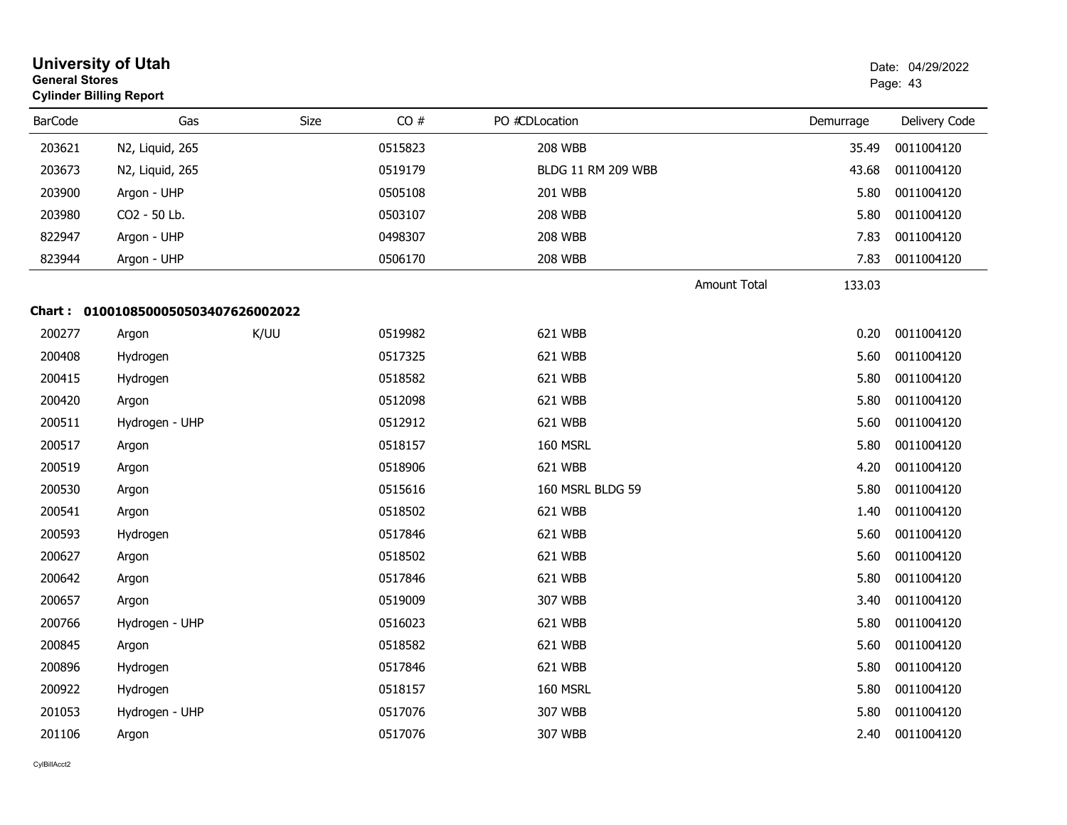| <b>University of Utah</b><br><b>General Stores</b><br><b>Cylinder Billing Report</b> |                                     |      |         |                           |                     |           | Date: 04/29/2022<br>Page: 43 |
|--------------------------------------------------------------------------------------|-------------------------------------|------|---------|---------------------------|---------------------|-----------|------------------------------|
| <b>BarCode</b>                                                                       | Gas                                 | Size | CO#     | PO #CDLocation            |                     | Demurrage | Delivery Code                |
| 203621                                                                               | N2, Liquid, 265                     |      | 0515823 | <b>208 WBB</b>            |                     | 35.49     | 0011004120                   |
| 203673                                                                               | N2, Liquid, 265                     |      | 0519179 | <b>BLDG 11 RM 209 WBB</b> |                     | 43.68     | 0011004120                   |
| 203900                                                                               | Argon - UHP                         |      | 0505108 | 201 WBB                   |                     | 5.80      | 0011004120                   |
| 203980                                                                               | CO2 - 50 Lb.                        |      | 0503107 | <b>208 WBB</b>            |                     | 5.80      | 0011004120                   |
| 822947                                                                               | Argon - UHP                         |      | 0498307 | <b>208 WBB</b>            |                     | 7.83      | 0011004120                   |
| 823944                                                                               | Argon - UHP                         |      | 0506170 | <b>208 WBB</b>            |                     | 7.83      | 0011004120                   |
|                                                                                      |                                     |      |         |                           | <b>Amount Total</b> | 133.03    |                              |
|                                                                                      | Chart: 0100108500050503407626002022 |      |         |                           |                     |           |                              |
| 200277                                                                               | Argon                               | K/UU | 0519982 | 621 WBB                   |                     | 0.20      | 0011004120                   |
| 200408                                                                               | Hydrogen                            |      | 0517325 | 621 WBB                   |                     | 5.60      | 0011004120                   |
| 200415                                                                               | Hydrogen                            |      | 0518582 | 621 WBB                   |                     | 5.80      | 0011004120                   |
| 200420                                                                               | Argon                               |      | 0512098 | 621 WBB                   |                     | 5.80      | 0011004120                   |
| 200511                                                                               | Hydrogen - UHP                      |      | 0512912 | 621 WBB                   |                     | 5.60      | 0011004120                   |
| 200517                                                                               | Argon                               |      | 0518157 | 160 MSRL                  |                     | 5.80      | 0011004120                   |
| 200519                                                                               | Argon                               |      | 0518906 | 621 WBB                   |                     | 4.20      | 0011004120                   |
| 200530                                                                               | Argon                               |      | 0515616 | 160 MSRL BLDG 59          |                     | 5.80      | 0011004120                   |
| 200541                                                                               | Argon                               |      | 0518502 | 621 WBB                   |                     | 1.40      | 0011004120                   |
| 200593                                                                               | Hydrogen                            |      | 0517846 | 621 WBB                   |                     | 5.60      | 0011004120                   |
| 200627                                                                               | Argon                               |      | 0518502 | 621 WBB                   |                     | 5.60      | 0011004120                   |
| 200642                                                                               | Argon                               |      | 0517846 | 621 WBB                   |                     | 5.80      | 0011004120                   |
| 200657                                                                               | Argon                               |      | 0519009 | 307 WBB                   |                     | 3.40      | 0011004120                   |
| 200766                                                                               | Hydrogen - UHP                      |      | 0516023 | 621 WBB                   |                     | 5.80      | 0011004120                   |
| 200845                                                                               | Argon                               |      | 0518582 | 621 WBB                   |                     | 5.60      | 0011004120                   |
| 200896                                                                               | Hydrogen                            |      | 0517846 | 621 WBB                   |                     | 5.80      | 0011004120                   |
| 200922                                                                               | Hydrogen                            |      | 0518157 | 160 MSRL                  |                     | 5.80      | 0011004120                   |
| 201053                                                                               | Hydrogen - UHP                      |      | 0517076 | 307 WBB                   |                     | 5.80      | 0011004120                   |
| 201106                                                                               | Argon                               |      | 0517076 | 307 WBB                   |                     | 2.40      | 0011004120                   |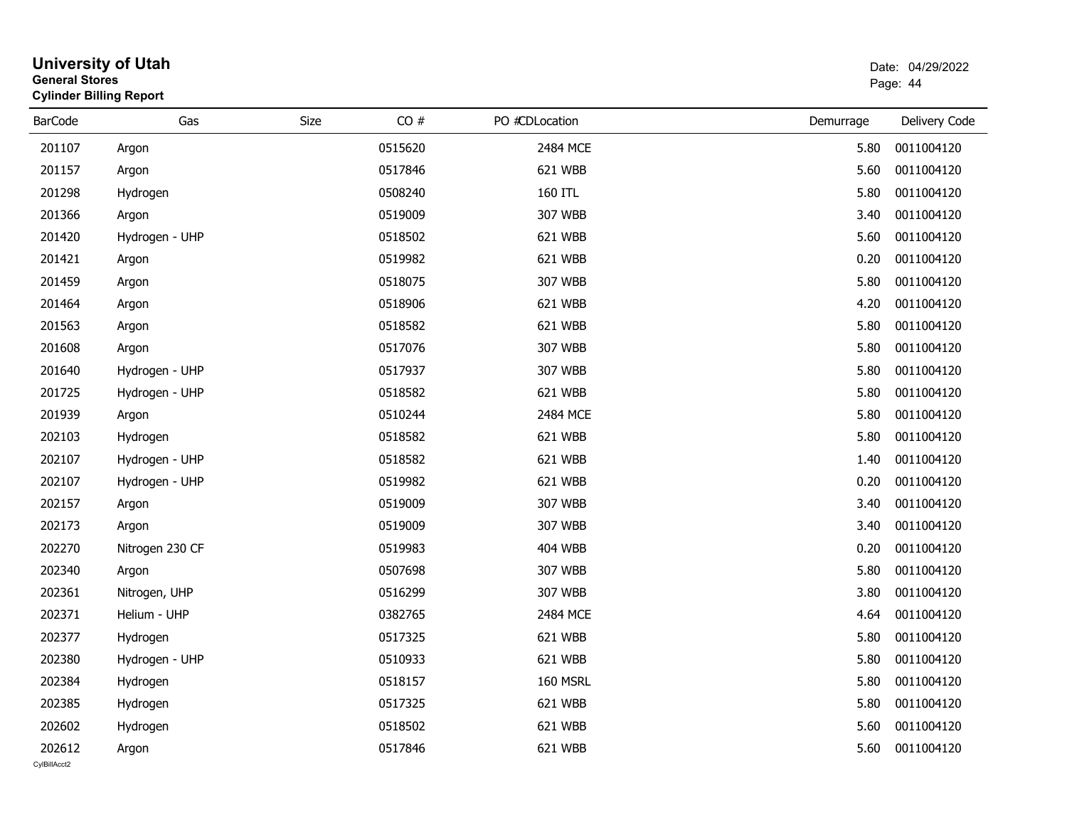| <b>General Stores</b>  | <b>University of Utah</b><br><b>Cylinder Billing Report</b> |      |         |                 |           | Date: 04/29/2022<br>Page: 44 |
|------------------------|-------------------------------------------------------------|------|---------|-----------------|-----------|------------------------------|
| <b>BarCode</b>         | Gas                                                         | Size | CO#     | PO #CDLocation  | Demurrage | Delivery Code                |
| 201107                 | Argon                                                       |      | 0515620 | 2484 MCE        | 5.80      | 0011004120                   |
| 201157                 | Argon                                                       |      | 0517846 | 621 WBB         | 5.60      | 0011004120                   |
| 201298                 | Hydrogen                                                    |      | 0508240 | 160 ITL         | 5.80      | 0011004120                   |
| 201366                 | Argon                                                       |      | 0519009 | 307 WBB         | 3.40      | 0011004120                   |
| 201420                 | Hydrogen - UHP                                              |      | 0518502 | 621 WBB         | 5.60      | 0011004120                   |
| 201421                 | Argon                                                       |      | 0519982 | 621 WBB         | 0.20      | 0011004120                   |
| 201459                 | Argon                                                       |      | 0518075 | 307 WBB         | 5.80      | 0011004120                   |
| 201464                 | Argon                                                       |      | 0518906 | 621 WBB         | 4.20      | 0011004120                   |
| 201563                 | Argon                                                       |      | 0518582 | 621 WBB         | 5.80      | 0011004120                   |
| 201608                 | Argon                                                       |      | 0517076 | 307 WBB         | 5.80      | 0011004120                   |
| 201640                 | Hydrogen - UHP                                              |      | 0517937 | 307 WBB         | 5.80      | 0011004120                   |
| 201725                 | Hydrogen - UHP                                              |      | 0518582 | 621 WBB         | 5.80      | 0011004120                   |
| 201939                 | Argon                                                       |      | 0510244 | 2484 MCE        | 5.80      | 0011004120                   |
| 202103                 | Hydrogen                                                    |      | 0518582 | 621 WBB         | 5.80      | 0011004120                   |
| 202107                 | Hydrogen - UHP                                              |      | 0518582 | 621 WBB         | 1.40      | 0011004120                   |
| 202107                 | Hydrogen - UHP                                              |      | 0519982 | 621 WBB         | 0.20      | 0011004120                   |
| 202157                 | Argon                                                       |      | 0519009 | 307 WBB         | 3.40      | 0011004120                   |
| 202173                 | Argon                                                       |      | 0519009 | 307 WBB         | 3.40      | 0011004120                   |
| 202270                 | Nitrogen 230 CF                                             |      | 0519983 | <b>404 WBB</b>  | 0.20      | 0011004120                   |
| 202340                 | Argon                                                       |      | 0507698 | 307 WBB         | 5.80      | 0011004120                   |
| 202361                 | Nitrogen, UHP                                               |      | 0516299 | 307 WBB         | 3.80      | 0011004120                   |
| 202371                 | Helium - UHP                                                |      | 0382765 | 2484 MCE        | 4.64      | 0011004120                   |
| 202377                 | Hydrogen                                                    |      | 0517325 | 621 WBB         | 5.80      | 0011004120                   |
| 202380                 | Hydrogen - UHP                                              |      | 0510933 | 621 WBB         |           | 5.80 0011004120              |
| 202384                 | Hydrogen                                                    |      | 0518157 | <b>160 MSRL</b> | 5.80      | 0011004120                   |
| 202385                 | Hydrogen                                                    |      | 0517325 | 621 WBB         | 5.80      | 0011004120                   |
| 202602                 | Hydrogen                                                    |      | 0518502 | 621 WBB         | 5.60      | 0011004120                   |
| 202612<br>CylBillAcct2 | Argon                                                       |      | 0517846 | 621 WBB         | 5.60      | 0011004120                   |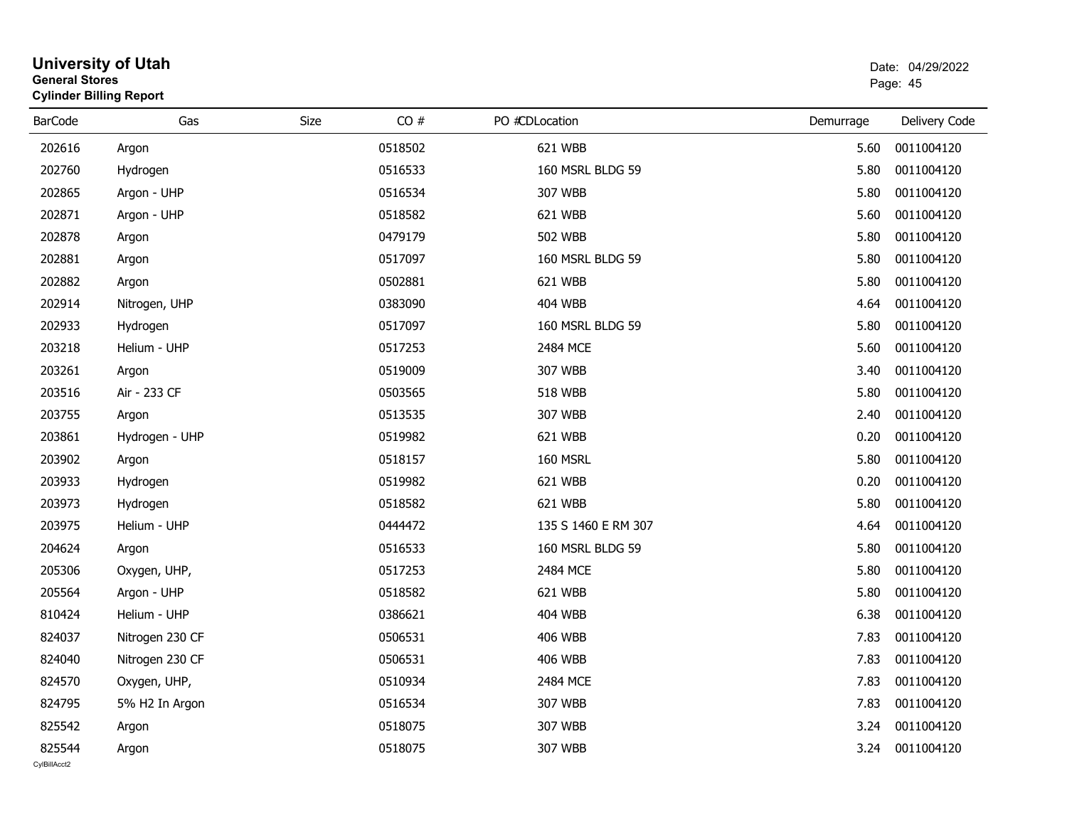| <b>General Stores</b><br><b>Cylinder Billing Report</b> |                 |      |         |                     |           | Page: 45      |
|---------------------------------------------------------|-----------------|------|---------|---------------------|-----------|---------------|
| <b>BarCode</b>                                          | Gas             | Size | CO#     | PO #CDLocation      | Demurrage | Delivery Code |
| 202616                                                  | Argon           |      | 0518502 | 621 WBB             | 5.60      | 0011004120    |
| 202760                                                  | Hydrogen        |      | 0516533 | 160 MSRL BLDG 59    | 5.80      | 0011004120    |
| 202865                                                  | Argon - UHP     |      | 0516534 | 307 WBB             | 5.80      | 0011004120    |
| 202871                                                  | Argon - UHP     |      | 0518582 | 621 WBB             | 5.60      | 0011004120    |
| 202878                                                  | Argon           |      | 0479179 | <b>502 WBB</b>      | 5.80      | 0011004120    |
| 202881                                                  | Argon           |      | 0517097 | 160 MSRL BLDG 59    | 5.80      | 0011004120    |
| 202882                                                  | Argon           |      | 0502881 | 621 WBB             | 5.80      | 0011004120    |
| 202914                                                  | Nitrogen, UHP   |      | 0383090 | <b>404 WBB</b>      | 4.64      | 0011004120    |
| 202933                                                  | Hydrogen        |      | 0517097 | 160 MSRL BLDG 59    | 5.80      | 0011004120    |
| 203218                                                  | Helium - UHP    |      | 0517253 | 2484 MCE            | 5.60      | 0011004120    |
| 203261                                                  | Argon           |      | 0519009 | 307 WBB             | 3.40      | 0011004120    |
| 203516                                                  | Air - 233 CF    |      | 0503565 | <b>518 WBB</b>      | 5.80      | 0011004120    |
| 203755                                                  | Argon           |      | 0513535 | 307 WBB             | 2.40      | 0011004120    |
| 203861                                                  | Hydrogen - UHP  |      | 0519982 | 621 WBB             | 0.20      | 0011004120    |
| 203902                                                  | Argon           |      | 0518157 | 160 MSRL            | 5.80      | 0011004120    |
| 203933                                                  | Hydrogen        |      | 0519982 | 621 WBB             | 0.20      | 0011004120    |
| 203973                                                  | Hydrogen        |      | 0518582 | 621 WBB             | 5.80      | 0011004120    |
| 203975                                                  | Helium - UHP    |      | 0444472 | 135 S 1460 E RM 307 | 4.64      | 0011004120    |
| 204624                                                  | Argon           |      | 0516533 | 160 MSRL BLDG 59    | 5.80      | 0011004120    |
| 205306                                                  | Oxygen, UHP,    |      | 0517253 | 2484 MCE            | 5.80      | 0011004120    |
| 205564                                                  | Argon - UHP     |      | 0518582 | 621 WBB             | 5.80      | 0011004120    |
| 810424                                                  | Helium - UHP    |      | 0386621 | 404 WBB             | 6.38      | 0011004120    |
| 824037                                                  | Nitrogen 230 CF |      | 0506531 | <b>406 WBB</b>      | 7.83      | 0011004120    |
| 824040                                                  | Nitrogen 230 CF |      | 0506531 | <b>406 WBB</b>      | 7.83      | 0011004120    |
| 824570                                                  | Oxygen, UHP,    |      | 0510934 | 2484 MCE            | 7.83      | 0011004120    |
| 824795                                                  | 5% H2 In Argon  |      | 0516534 | 307 WBB             | 7.83      | 0011004120    |
| 825542                                                  | Argon           |      | 0518075 | 307 WBB             | 3.24      | 0011004120    |
| 825544                                                  | Argon           |      | 0518075 | 307 WBB             | 3.24      | 0011004120    |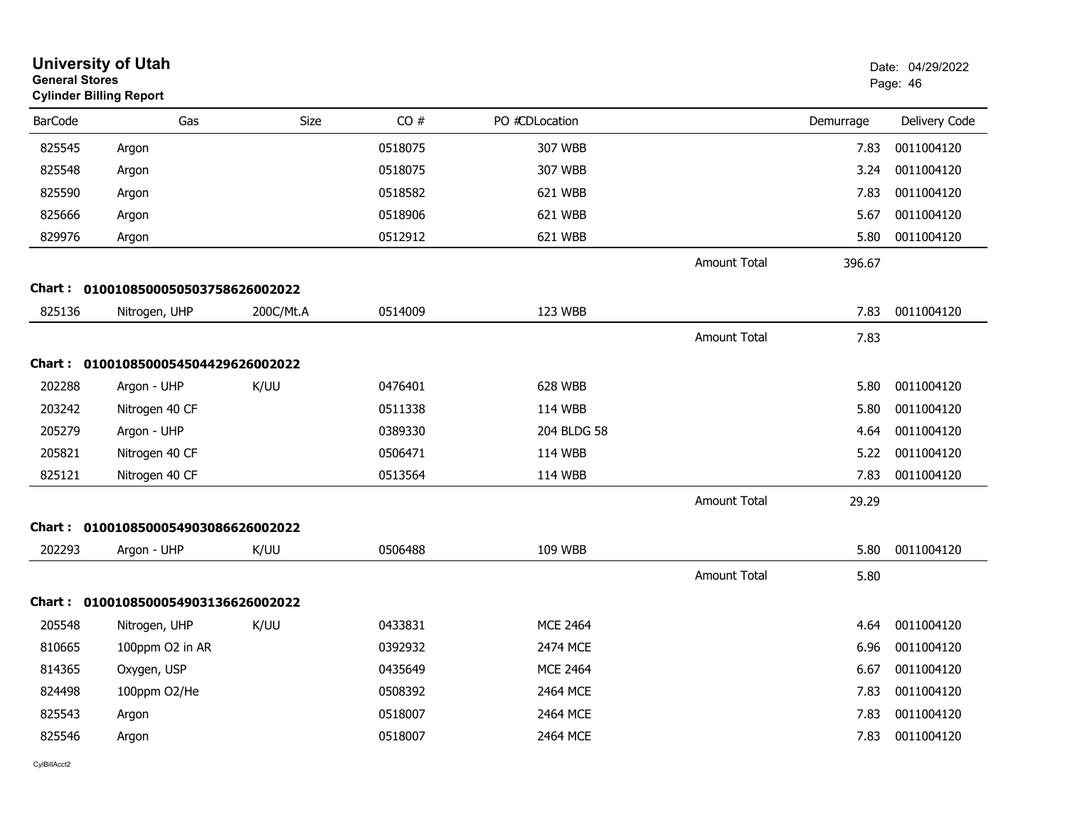| <b>University of Utah</b><br><b>General Stores</b><br><b>Cylinder Billing Report</b> |                                     |           |         |                 |                     |           | Date: 04/29/2022<br>Page: 46 |
|--------------------------------------------------------------------------------------|-------------------------------------|-----------|---------|-----------------|---------------------|-----------|------------------------------|
| <b>BarCode</b>                                                                       | Gas                                 | Size      | CO#     | PO #CDLocation  |                     | Demurrage | Delivery Code                |
| 825545                                                                               | Argon                               |           | 0518075 | 307 WBB         |                     | 7.83      | 0011004120                   |
| 825548                                                                               | Argon                               |           | 0518075 | 307 WBB         |                     | 3.24      | 0011004120                   |
| 825590                                                                               | Argon                               |           | 0518582 | 621 WBB         |                     | 7.83      | 0011004120                   |
| 825666                                                                               | Argon                               |           | 0518906 | 621 WBB         |                     | 5.67      | 0011004120                   |
| 829976                                                                               | Argon                               |           | 0512912 | 621 WBB         |                     | 5.80      | 0011004120                   |
|                                                                                      |                                     |           |         |                 | Amount Total        | 396.67    |                              |
|                                                                                      | Chart: 0100108500050503758626002022 |           |         |                 |                     |           |                              |
| 825136                                                                               | Nitrogen, UHP                       | 200C/Mt.A | 0514009 | 123 WBB         |                     | 7.83      | 0011004120                   |
|                                                                                      |                                     |           |         |                 | Amount Total        | 7.83      |                              |
|                                                                                      | Chart: 0100108500054504429626002022 |           |         |                 |                     |           |                              |
| 202288                                                                               | Argon - UHP                         | K/UU      | 0476401 | 628 WBB         |                     | 5.80      | 0011004120                   |
| 203242                                                                               | Nitrogen 40 CF                      |           | 0511338 | 114 WBB         |                     | 5.80      | 0011004120                   |
| 205279                                                                               | Argon - UHP                         |           | 0389330 | 204 BLDG 58     |                     | 4.64      | 0011004120                   |
| 205821                                                                               | Nitrogen 40 CF                      |           | 0506471 | 114 WBB         |                     | 5.22      | 0011004120                   |
| 825121                                                                               | Nitrogen 40 CF                      |           | 0513564 | 114 WBB         |                     | 7.83      | 0011004120                   |
|                                                                                      |                                     |           |         |                 | <b>Amount Total</b> | 29.29     |                              |
|                                                                                      | Chart: 0100108500054903086626002022 |           |         |                 |                     |           |                              |
| 202293                                                                               | Argon - UHP                         | K/UU      | 0506488 | 109 WBB         |                     | 5.80      | 0011004120                   |
|                                                                                      |                                     |           |         |                 | <b>Amount Total</b> | 5.80      |                              |
|                                                                                      | Chart: 0100108500054903136626002022 |           |         |                 |                     |           |                              |
| 205548                                                                               | Nitrogen, UHP                       | K/UU      | 0433831 | <b>MCE 2464</b> |                     | 4.64      | 0011004120                   |
| 810665                                                                               | 100ppm O2 in AR                     |           | 0392932 | 2474 MCE        |                     | 6.96      | 0011004120                   |
| 814365                                                                               | Oxygen, USP                         |           | 0435649 | <b>MCE 2464</b> |                     | 6.67      | 0011004120                   |
| 824498                                                                               | 100ppm O2/He                        |           | 0508392 | 2464 MCE        |                     | 7.83      | 0011004120                   |
| 825543                                                                               | Argon                               |           | 0518007 | 2464 MCE        |                     | 7.83      | 0011004120                   |
| 825546                                                                               | Argon                               |           | 0518007 | 2464 MCE        |                     | 7.83      | 0011004120                   |
|                                                                                      |                                     |           |         |                 |                     |           |                              |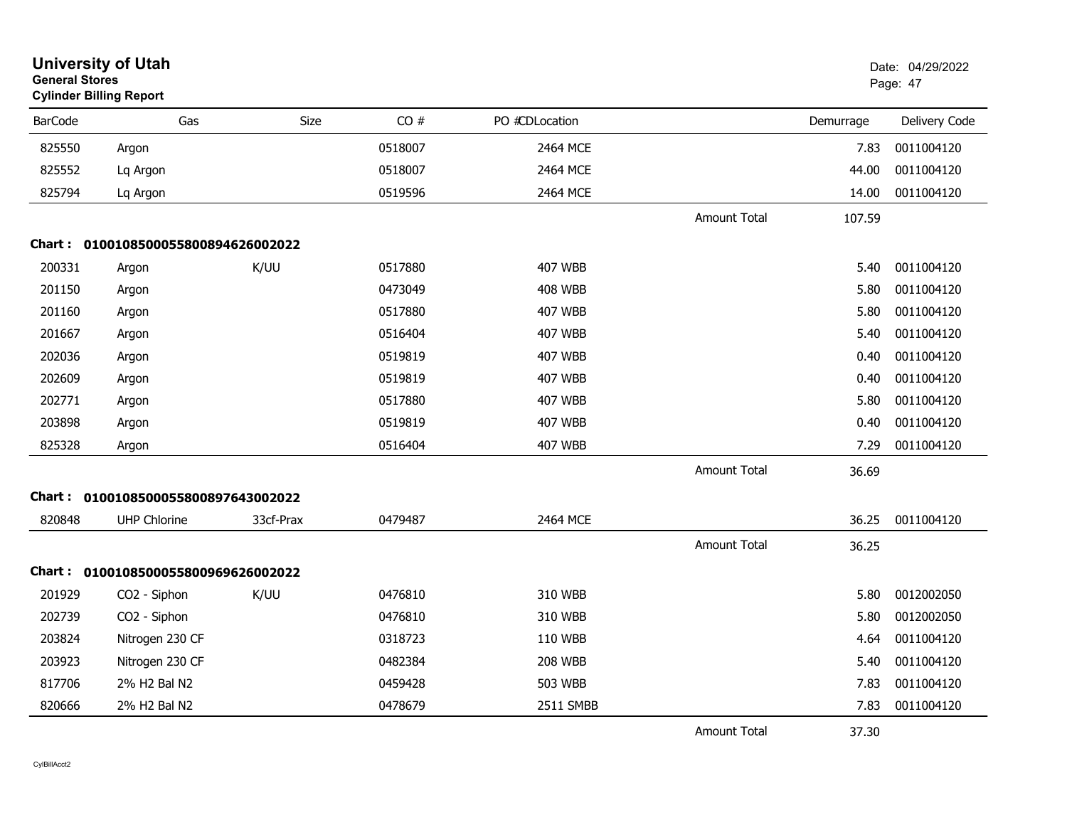| <b>General Stores</b> | <b>University of Utah</b><br><b>Cylinder Billing Report</b> |           |         |                |                     |           | Date: 04/29/2022<br>Page: 47 |
|-----------------------|-------------------------------------------------------------|-----------|---------|----------------|---------------------|-----------|------------------------------|
| <b>BarCode</b>        | Gas                                                         | Size      | CO#     | PO #CDLocation |                     | Demurrage | Delivery Code                |
| 825550                | Argon                                                       |           | 0518007 | 2464 MCE       |                     | 7.83      | 0011004120                   |
| 825552                | Lq Argon                                                    |           | 0518007 | 2464 MCE       |                     | 44.00     | 0011004120                   |
| 825794                | Lq Argon                                                    |           | 0519596 | 2464 MCE       |                     | 14.00     | 0011004120                   |
|                       |                                                             |           |         |                | Amount Total        | 107.59    |                              |
|                       | Chart: 0100108500055800894626002022                         |           |         |                |                     |           |                              |
| 200331                | Argon                                                       | K/UU      | 0517880 | 407 WBB        |                     | 5.40      | 0011004120                   |
| 201150                | Argon                                                       |           | 0473049 | <b>408 WBB</b> |                     | 5.80      | 0011004120                   |
| 201160                | Argon                                                       |           | 0517880 | <b>407 WBB</b> |                     | 5.80      | 0011004120                   |
| 201667                | Argon                                                       |           | 0516404 | <b>407 WBB</b> |                     | 5.40      | 0011004120                   |
| 202036                | Argon                                                       |           | 0519819 | 407 WBB        |                     | 0.40      | 0011004120                   |
| 202609                | Argon                                                       |           | 0519819 | 407 WBB        |                     | 0.40      | 0011004120                   |
| 202771                | Argon                                                       |           | 0517880 | 407 WBB        |                     | 5.80      | 0011004120                   |
| 203898                | Argon                                                       |           | 0519819 | 407 WBB        |                     | 0.40      | 0011004120                   |
| 825328                | Argon                                                       |           | 0516404 | <b>407 WBB</b> |                     | 7.29      | 0011004120                   |
|                       |                                                             |           |         |                | <b>Amount Total</b> | 36.69     |                              |
|                       | Chart: 0100108500055800897643002022                         |           |         |                |                     |           |                              |
| 820848                | <b>UHP Chlorine</b>                                         | 33cf-Prax | 0479487 | 2464 MCE       |                     | 36.25     | 0011004120                   |
|                       |                                                             |           |         |                | <b>Amount Total</b> | 36.25     |                              |
|                       | Chart: 0100108500055800969626002022                         |           |         |                |                     |           |                              |
| 201929                | CO2 - Siphon                                                | K/UU      | 0476810 | 310 WBB        |                     | 5.80      | 0012002050                   |
| 202739                | CO2 - Siphon                                                |           | 0476810 | 310 WBB        |                     | 5.80      | 0012002050                   |
| 203824                | Nitrogen 230 CF                                             |           | 0318723 | 110 WBB        |                     | 4.64      | 0011004120                   |
| 203923                | Nitrogen 230 CF                                             |           | 0482384 | <b>208 WBB</b> |                     | 5.40      | 0011004120                   |
| 817706                | 2% H2 Bal N2                                                |           | 0459428 | 503 WBB        |                     | 7.83      | 0011004120                   |
| 820666                | 2% H2 Bal N2                                                |           | 0478679 | 2511 SMBB      |                     | 7.83      | 0011004120                   |
|                       |                                                             |           |         |                | <b>Amount Total</b> | 37.30     |                              |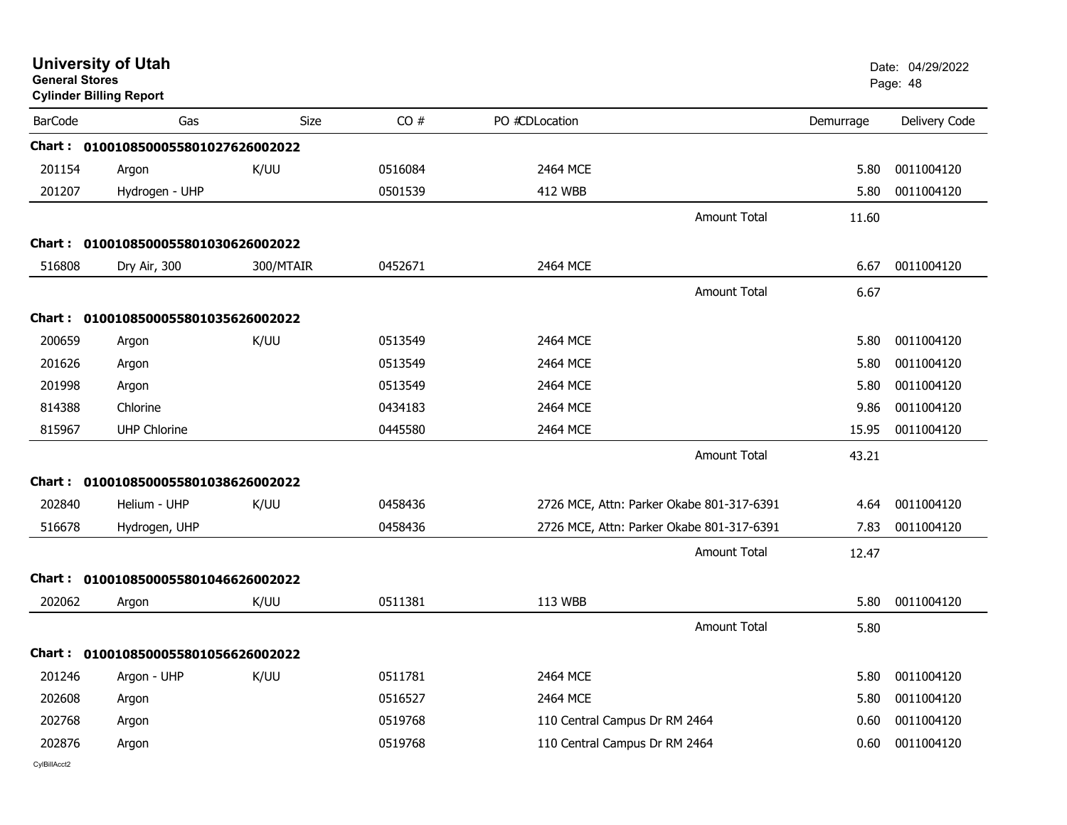| <b>General Stores</b> | <b>University of Utah</b><br><b>Cylinder Billing Report</b> |           |         |                               |                                           |           | Date: 04/29/2022<br>Page: 48 |
|-----------------------|-------------------------------------------------------------|-----------|---------|-------------------------------|-------------------------------------------|-----------|------------------------------|
| <b>BarCode</b>        | Gas                                                         | Size      | CO#     | PO #CDLocation                |                                           | Demurrage | Delivery Code                |
|                       | Chart: 0100108500055801027626002022                         |           |         |                               |                                           |           |                              |
| 201154                | Argon                                                       | K/UU      | 0516084 | 2464 MCE                      |                                           | 5.80      | 0011004120                   |
| 201207                | Hydrogen - UHP                                              |           | 0501539 | 412 WBB                       |                                           | 5.80      | 0011004120                   |
|                       |                                                             |           |         |                               | <b>Amount Total</b>                       | 11.60     |                              |
|                       | Chart: 0100108500055801030626002022                         |           |         |                               |                                           |           |                              |
| 516808                | Dry Air, 300                                                | 300/MTAIR | 0452671 | 2464 MCE                      |                                           | 6.67      | 0011004120                   |
|                       |                                                             |           |         |                               | Amount Total                              | 6.67      |                              |
| Chart :               | 0100108500055801035626002022                                |           |         |                               |                                           |           |                              |
| 200659                | Argon                                                       | K/UU      | 0513549 | 2464 MCE                      |                                           | 5.80      | 0011004120                   |
| 201626                | Argon                                                       |           | 0513549 | 2464 MCE                      |                                           | 5.80      | 0011004120                   |
| 201998                | Argon                                                       |           | 0513549 | 2464 MCE                      |                                           | 5.80      | 0011004120                   |
| 814388                | Chlorine                                                    |           | 0434183 | 2464 MCE                      |                                           | 9.86      | 0011004120                   |
| 815967                | <b>UHP Chlorine</b>                                         |           | 0445580 | 2464 MCE                      |                                           | 15.95     | 0011004120                   |
|                       |                                                             |           |         |                               | <b>Amount Total</b>                       | 43.21     |                              |
|                       | Chart: 0100108500055801038626002022                         |           |         |                               |                                           |           |                              |
| 202840                | Helium - UHP                                                | K/UU      | 0458436 |                               | 2726 MCE, Attn: Parker Okabe 801-317-6391 | 4.64      | 0011004120                   |
| 516678                | Hydrogen, UHP                                               |           | 0458436 |                               | 2726 MCE, Attn: Parker Okabe 801-317-6391 | 7.83      | 0011004120                   |
|                       |                                                             |           |         |                               | <b>Amount Total</b>                       | 12.47     |                              |
|                       | Chart: 0100108500055801046626002022                         |           |         |                               |                                           |           |                              |
| 202062                | Argon                                                       | K/UU      | 0511381 | 113 WBB                       |                                           | 5.80      | 0011004120                   |
|                       |                                                             |           |         |                               | <b>Amount Total</b>                       | 5.80      |                              |
|                       | Chart: 0100108500055801056626002022                         |           |         |                               |                                           |           |                              |
| 201246                | Argon - UHP                                                 | K/UU      | 0511781 | 2464 MCE                      |                                           | 5.80      | 0011004120                   |
| 202608                | Argon                                                       |           | 0516527 | 2464 MCE                      |                                           | 5.80      | 0011004120                   |
| 202768                | Argon                                                       |           | 0519768 | 110 Central Campus Dr RM 2464 |                                           | 0.60      | 0011004120                   |
| 202876                | Argon                                                       |           | 0519768 | 110 Central Campus Dr RM 2464 |                                           | 0.60      | 0011004120                   |
| CvIBillAcct2          |                                                             |           |         |                               |                                           |           |                              |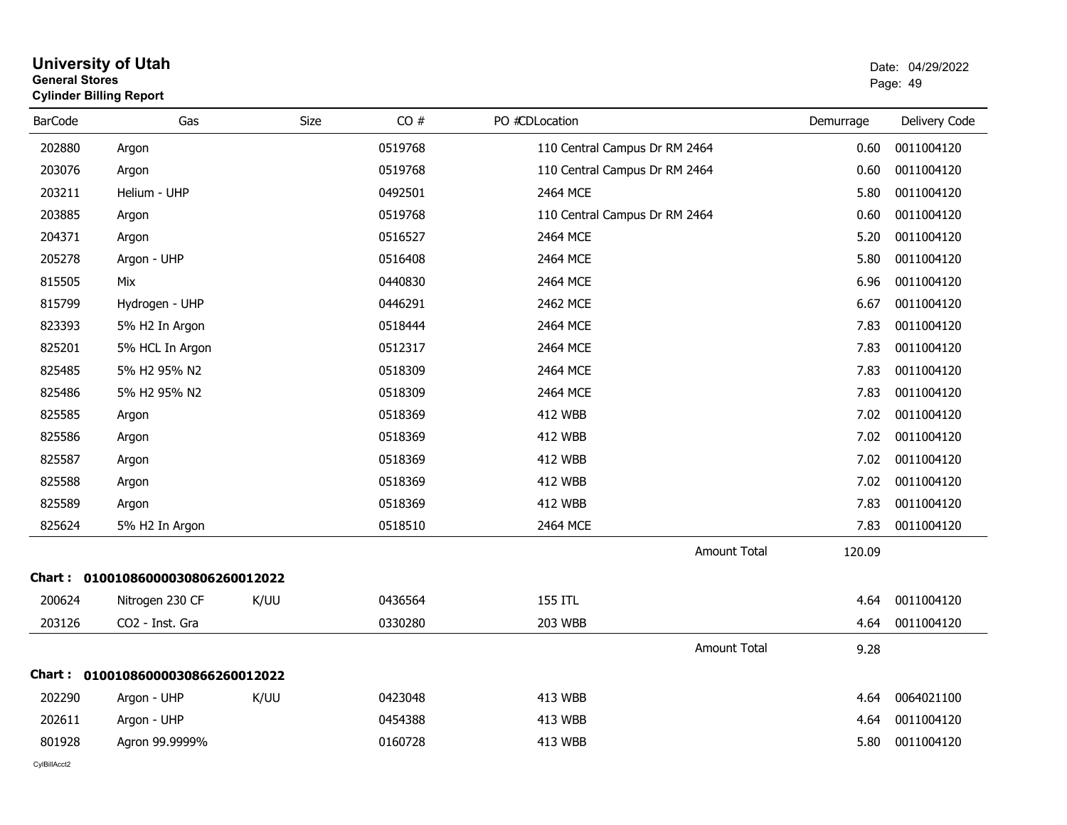| <b>General Stores</b> | <b>Cylinder Billing Report</b>    |      |         |                               |           | Page: 49      |
|-----------------------|-----------------------------------|------|---------|-------------------------------|-----------|---------------|
| <b>BarCode</b>        | Gas                               | Size | CO#     | PO #CDLocation                | Demurrage | Delivery Code |
| 202880                | Argon                             |      | 0519768 | 110 Central Campus Dr RM 2464 | 0.60      | 0011004120    |
| 203076                | Argon                             |      | 0519768 | 110 Central Campus Dr RM 2464 | 0.60      | 0011004120    |
| 203211                | Helium - UHP                      |      | 0492501 | 2464 MCE                      | 5.80      | 0011004120    |
| 203885                | Argon                             |      | 0519768 | 110 Central Campus Dr RM 2464 | 0.60      | 0011004120    |
| 204371                | Argon                             |      | 0516527 | 2464 MCE                      | 5.20      | 0011004120    |
| 205278                | Argon - UHP                       |      | 0516408 | 2464 MCE                      | 5.80      | 0011004120    |
| 815505                | Mix                               |      | 0440830 | 2464 MCE                      | 6.96      | 0011004120    |
| 815799                | Hydrogen - UHP                    |      | 0446291 | 2462 MCE                      | 6.67      | 0011004120    |
| 823393                | 5% H2 In Argon                    |      | 0518444 | 2464 MCE                      | 7.83      | 0011004120    |
| 825201                | 5% HCL In Argon                   |      | 0512317 | 2464 MCE                      | 7.83      | 0011004120    |
| 825485                | 5% H2 95% N2                      |      | 0518309 | 2464 MCE                      | 7.83      | 0011004120    |
| 825486                | 5% H2 95% N2                      |      | 0518309 | 2464 MCE                      | 7.83      | 0011004120    |
| 825585                | Argon                             |      | 0518369 | 412 WBB                       | 7.02      | 0011004120    |
| 825586                | Argon                             |      | 0518369 | <b>412 WBB</b>                | 7.02      | 0011004120    |
| 825587                | Argon                             |      | 0518369 | <b>412 WBB</b>                | 7.02      | 0011004120    |
| 825588                | Argon                             |      | 0518369 | <b>412 WBB</b>                | 7.02      | 0011004120    |
| 825589                | Argon                             |      | 0518369 | 412 WBB                       | 7.83      | 0011004120    |
| 825624                | 5% H2 In Argon                    |      | 0518510 | 2464 MCE                      | 7.83      | 0011004120    |
|                       |                                   |      |         | <b>Amount Total</b>           | 120.09    |               |
|                       | Chart: 01001086000030806260012022 |      |         |                               |           |               |
| 200624                | Nitrogen 230 CF                   | K/UU | 0436564 | 155 ITL                       | 4.64      | 0011004120    |
| 203126                | CO2 - Inst. Gra                   |      | 0330280 | <b>203 WBB</b>                | 4.64      | 0011004120    |
|                       |                                   |      |         | <b>Amount Total</b>           | 9.28      |               |
|                       | Chart: 01001086000030866260012022 |      |         |                               |           |               |
| 202290                | Argon - UHP                       | K/UU | 0423048 | <b>413 WBB</b>                | 4.64      | 0064021100    |
| 202611                | Argon - UHP                       |      | 0454388 | <b>413 WBB</b>                | 4.64      | 0011004120    |
| 801928                | Agron 99.9999%                    |      | 0160728 | 413 WBB                       | 5.80      | 0011004120    |
|                       |                                   |      |         |                               |           |               |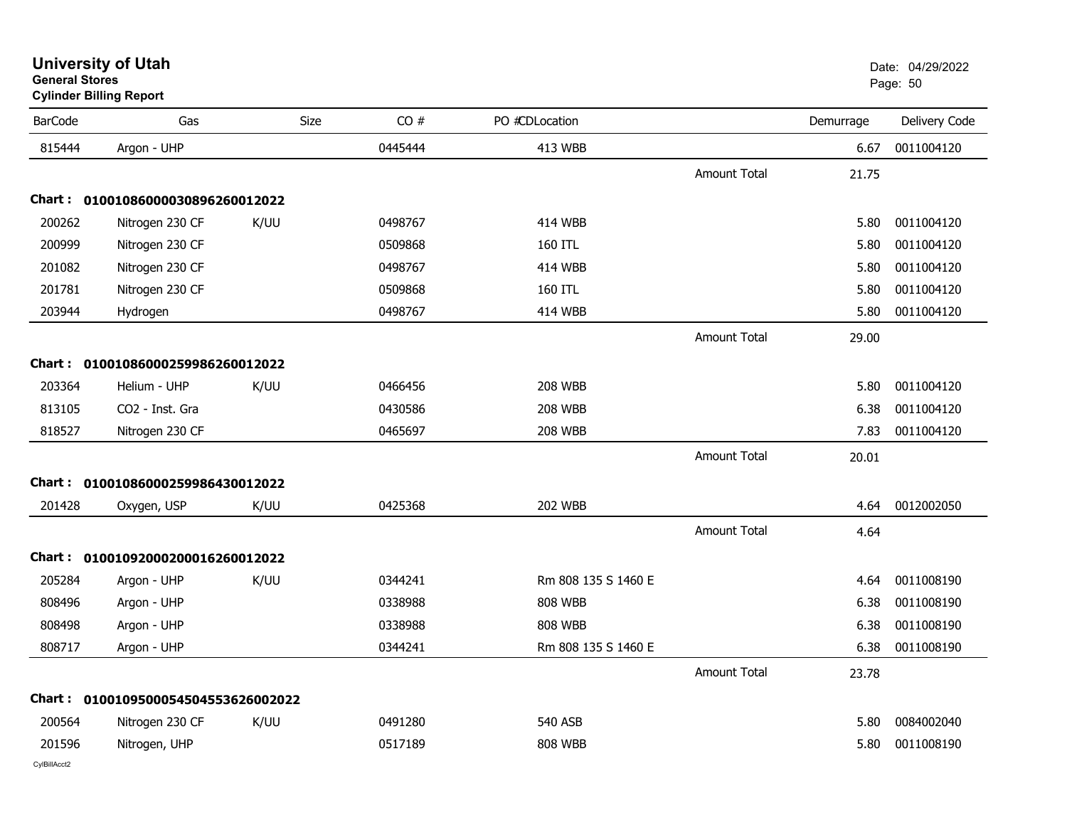| <b>BarCode</b> | Gas                                 | Size | CO#     | PO #CDLocation      |                     | Demurrage | Delivery Code |
|----------------|-------------------------------------|------|---------|---------------------|---------------------|-----------|---------------|
| 815444         | Argon - UHP                         |      | 0445444 | 413 WBB             |                     | 6.67      | 0011004120    |
|                |                                     |      |         |                     | <b>Amount Total</b> | 21.75     |               |
|                | Chart: 01001086000030896260012022   |      |         |                     |                     |           |               |
| 200262         | Nitrogen 230 CF                     | K/UU | 0498767 | <b>414 WBB</b>      |                     | 5.80      | 0011004120    |
| 200999         | Nitrogen 230 CF                     |      | 0509868 | 160 ITL             |                     | 5.80      | 0011004120    |
| 201082         | Nitrogen 230 CF                     |      | 0498767 | <b>414 WBB</b>      |                     | 5.80      | 0011004120    |
| 201781         | Nitrogen 230 CF                     |      | 0509868 | 160 ITL             |                     | 5.80      | 0011004120    |
| 203944         | Hydrogen                            |      | 0498767 | <b>414 WBB</b>      |                     | 5.80      | 0011004120    |
|                |                                     |      |         |                     | <b>Amount Total</b> | 29.00     |               |
|                | Chart: 01001086000259986260012022   |      |         |                     |                     |           |               |
| 203364         | Helium - UHP                        | K/UU | 0466456 | <b>208 WBB</b>      |                     | 5.80      | 0011004120    |
| 813105         | CO2 - Inst. Gra                     |      | 0430586 | <b>208 WBB</b>      |                     | 6.38      | 0011004120    |
| 818527         | Nitrogen 230 CF                     |      | 0465697 | <b>208 WBB</b>      |                     | 7.83      | 0011004120    |
|                |                                     |      |         |                     | <b>Amount Total</b> | 20.01     |               |
|                | Chart: 01001086000259986430012022   |      |         |                     |                     |           |               |
| 201428         | Oxygen, USP                         | K/UU | 0425368 | <b>202 WBB</b>      |                     | 4.64      | 0012002050    |
|                |                                     |      |         |                     | <b>Amount Total</b> | 4.64      |               |
|                | Chart: 01001092000200016260012022   |      |         |                     |                     |           |               |
| 205284         | Argon - UHP                         | K/UU | 0344241 | Rm 808 135 S 1460 E |                     | 4.64      | 0011008190    |
| 808496         | Argon - UHP                         |      | 0338988 | <b>808 WBB</b>      |                     | 6.38      | 0011008190    |
| 808498         | Argon - UHP                         |      | 0338988 | <b>808 WBB</b>      |                     | 6.38      | 0011008190    |
| 808717         | Argon - UHP                         |      | 0344241 | Rm 808 135 S 1460 E |                     | 6.38      | 0011008190    |
|                |                                     |      |         |                     | <b>Amount Total</b> | 23.78     |               |
|                | Chart: 0100109500054504553626002022 |      |         |                     |                     |           |               |
| 200564         | Nitrogen 230 CF                     | K/UU | 0491280 | <b>540 ASB</b>      |                     | 5.80      | 0084002040    |
| 201596         | Nitrogen, UHP                       |      | 0517189 | <b>808 WBB</b>      |                     | 5.80      | 0011008190    |

**University of Utah** Date: 04/29/2022 **General Stores**end and the state of the state of the state of the state of the state of the state of the state of the state of the state of the state of the state of the state of the state of the state of the state of the state of the st **Cylinder Billing Report**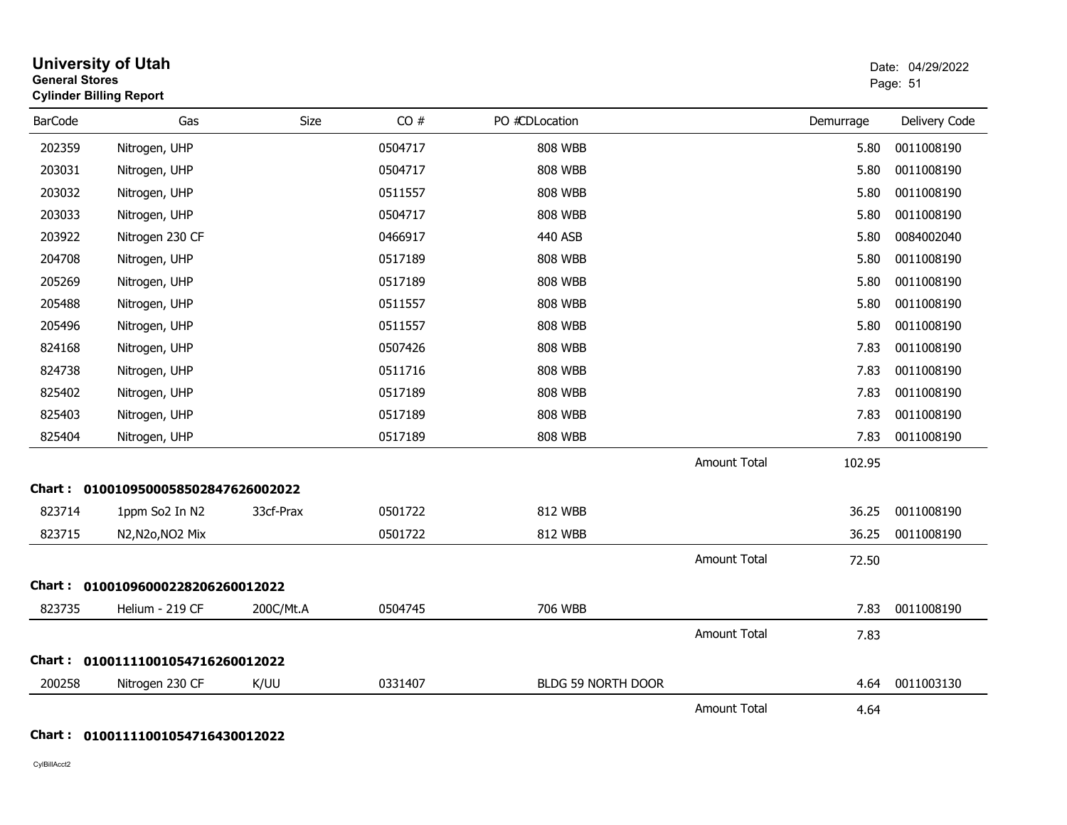| <b>General Stores</b> | <b>University of Utah</b><br><b>Cylinder Billing Report</b> |           |         |                    |                     |           | Date: 04/29/2022<br>Page: 51 |
|-----------------------|-------------------------------------------------------------|-----------|---------|--------------------|---------------------|-----------|------------------------------|
| <b>BarCode</b>        | Gas                                                         | Size      | CO#     | PO #CDLocation     |                     | Demurrage | Delivery Code                |
| 202359                | Nitrogen, UHP                                               |           | 0504717 | 808 WBB            |                     | 5.80      | 0011008190                   |
| 203031                | Nitrogen, UHP                                               |           | 0504717 | <b>808 WBB</b>     |                     | 5.80      | 0011008190                   |
| 203032                | Nitrogen, UHP                                               |           | 0511557 | <b>808 WBB</b>     |                     | 5.80      | 0011008190                   |
| 203033                | Nitrogen, UHP                                               |           | 0504717 | <b>808 WBB</b>     |                     | 5.80      | 0011008190                   |
| 203922                | Nitrogen 230 CF                                             |           | 0466917 | 440 ASB            |                     | 5.80      | 0084002040                   |
| 204708                | Nitrogen, UHP                                               |           | 0517189 | <b>808 WBB</b>     |                     | 5.80      | 0011008190                   |
| 205269                | Nitrogen, UHP                                               |           | 0517189 | <b>808 WBB</b>     |                     | 5.80      | 0011008190                   |
| 205488                | Nitrogen, UHP                                               |           | 0511557 | <b>808 WBB</b>     |                     | 5.80      | 0011008190                   |
| 205496                | Nitrogen, UHP                                               |           | 0511557 | <b>808 WBB</b>     |                     | 5.80      | 0011008190                   |
| 824168                | Nitrogen, UHP                                               |           | 0507426 | <b>808 WBB</b>     |                     | 7.83      | 0011008190                   |
| 824738                | Nitrogen, UHP                                               |           | 0511716 | <b>808 WBB</b>     |                     | 7.83      | 0011008190                   |
| 825402                | Nitrogen, UHP                                               |           | 0517189 | <b>808 WBB</b>     |                     | 7.83      | 0011008190                   |
| 825403                | Nitrogen, UHP                                               |           | 0517189 | <b>808 WBB</b>     |                     | 7.83      | 0011008190                   |
| 825404                | Nitrogen, UHP                                               |           | 0517189 | <b>808 WBB</b>     |                     | 7.83      | 0011008190                   |
|                       |                                                             |           |         |                    | <b>Amount Total</b> | 102.95    |                              |
|                       | Chart: 0100109500058502847626002022                         |           |         |                    |                     |           |                              |
| 823714                | 1ppm So2 In N2                                              | 33cf-Prax | 0501722 | 812 WBB            |                     | 36.25     | 0011008190                   |
| 823715                | N2, N2o, NO2 Mix                                            |           | 0501722 | 812 WBB            |                     | 36.25     | 0011008190                   |
|                       |                                                             |           |         |                    | <b>Amount Total</b> | 72.50     |                              |
|                       | Chart: 01001096000228206260012022                           |           |         |                    |                     |           |                              |
| 823735                | Helium - 219 CF                                             | 200C/Mt.A | 0504745 | 706 WBB            |                     | 7.83      | 0011008190                   |
|                       |                                                             |           |         |                    | <b>Amount Total</b> | 7.83      |                              |
|                       | Chart: 01001111001054716260012022                           |           |         |                    |                     |           |                              |
| 200258                | Nitrogen 230 CF                                             | K/UU      | 0331407 | BLDG 59 NORTH DOOR |                     | 4.64      | 0011003130                   |
|                       |                                                             |           |         |                    | <b>Amount Total</b> | 4.64      |                              |

#### **Chart : 01001111001054716430012022**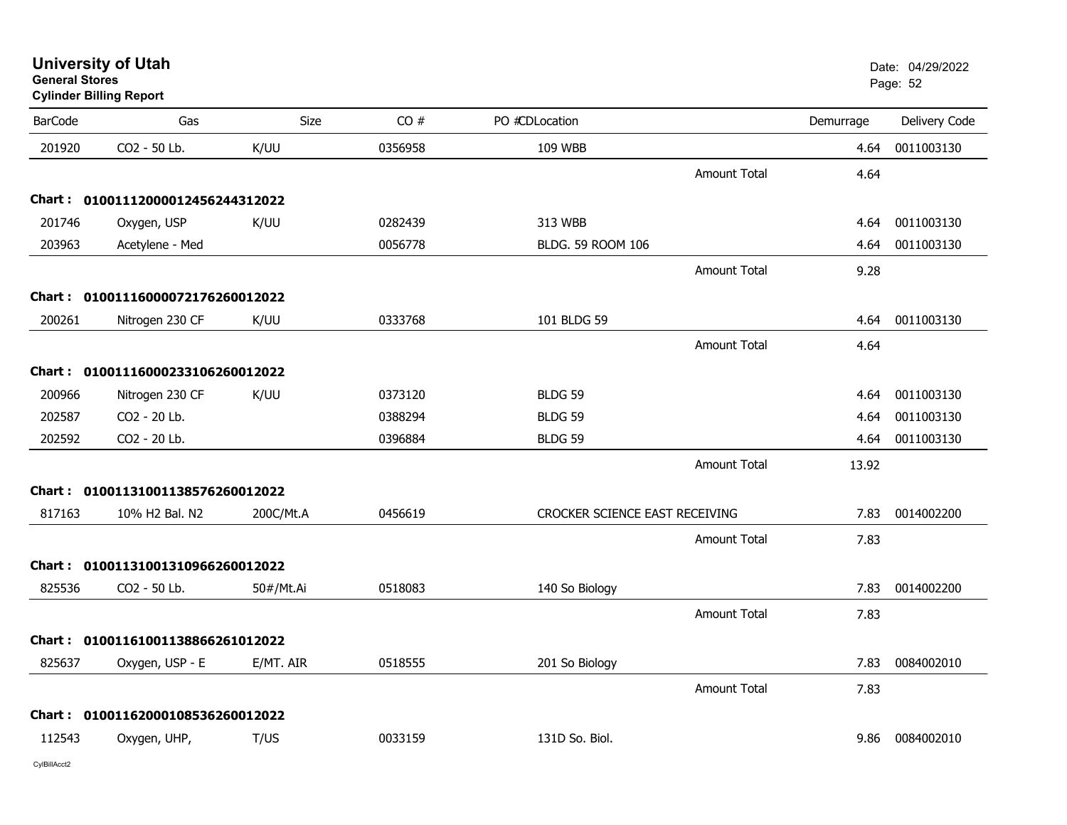|                | <b>Cylinder Billing Report</b>    |           |         |                                |                     |           |               |
|----------------|-----------------------------------|-----------|---------|--------------------------------|---------------------|-----------|---------------|
| <b>BarCode</b> | Gas                               | Size      | CO#     | PO #CDLocation                 |                     | Demurrage | Delivery Code |
| 201920         | CO2 - 50 Lb.                      | K/UU      | 0356958 | 109 WBB                        |                     | 4.64      | 0011003130    |
|                |                                   |           |         |                                | <b>Amount Total</b> | 4.64      |               |
|                | Chart: 01001112000012456244312022 |           |         |                                |                     |           |               |
| 201746         | Oxygen, USP                       | K/UU      | 0282439 | 313 WBB                        |                     | 4.64      | 0011003130    |
| 203963         | Acetylene - Med                   |           | 0056778 | BLDG. 59 ROOM 106              |                     | 4.64      | 0011003130    |
|                |                                   |           |         |                                | <b>Amount Total</b> | 9.28      |               |
|                | Chart: 01001116000072176260012022 |           |         |                                |                     |           |               |
| 200261         | Nitrogen 230 CF                   | K/UU      | 0333768 | 101 BLDG 59                    |                     | 4.64      | 0011003130    |
|                |                                   |           |         |                                | <b>Amount Total</b> | 4.64      |               |
|                | Chart: 01001116000233106260012022 |           |         |                                |                     |           |               |
| 200966         | Nitrogen 230 CF                   | K/UU      | 0373120 | BLDG <sub>59</sub>             |                     | 4.64      | 0011003130    |
| 202587         | CO2 - 20 Lb.                      |           | 0388294 | BLDG 59                        |                     | 4.64      | 0011003130    |
| 202592         | CO2 - 20 Lb.                      |           | 0396884 | <b>BLDG 59</b>                 |                     | 4.64      | 0011003130    |
|                |                                   |           |         |                                | <b>Amount Total</b> | 13.92     |               |
|                | Chart: 01001131001138576260012022 |           |         |                                |                     |           |               |
| 817163         | 10% H2 Bal. N2                    | 200C/Mt.A | 0456619 | CROCKER SCIENCE EAST RECEIVING |                     | 7.83      | 0014002200    |
|                |                                   |           |         |                                | <b>Amount Total</b> | 7.83      |               |
|                | Chart: 01001131001310966260012022 |           |         |                                |                     |           |               |
| 825536         | CO2 - 50 Lb.                      | 50#/Mt.Ai | 0518083 | 140 So Biology                 |                     | 7.83      | 0014002200    |
|                |                                   |           |         |                                | Amount Total        | 7.83      |               |
| Chart :        | 01001161001138866261012022        |           |         |                                |                     |           |               |
| 825637         | Oxygen, USP - E                   | E/MT. AIR | 0518555 | 201 So Biology                 |                     | 7.83      | 0084002010    |
|                |                                   |           |         |                                | <b>Amount Total</b> | 7.83      |               |
|                | Chart: 01001162000108536260012022 |           |         |                                |                     |           |               |
| 112543         | Oxygen, UHP,                      | T/US      | 0033159 | 131D So. Biol.                 |                     | 9.86      | 0084002010    |
|                |                                   |           |         |                                |                     |           |               |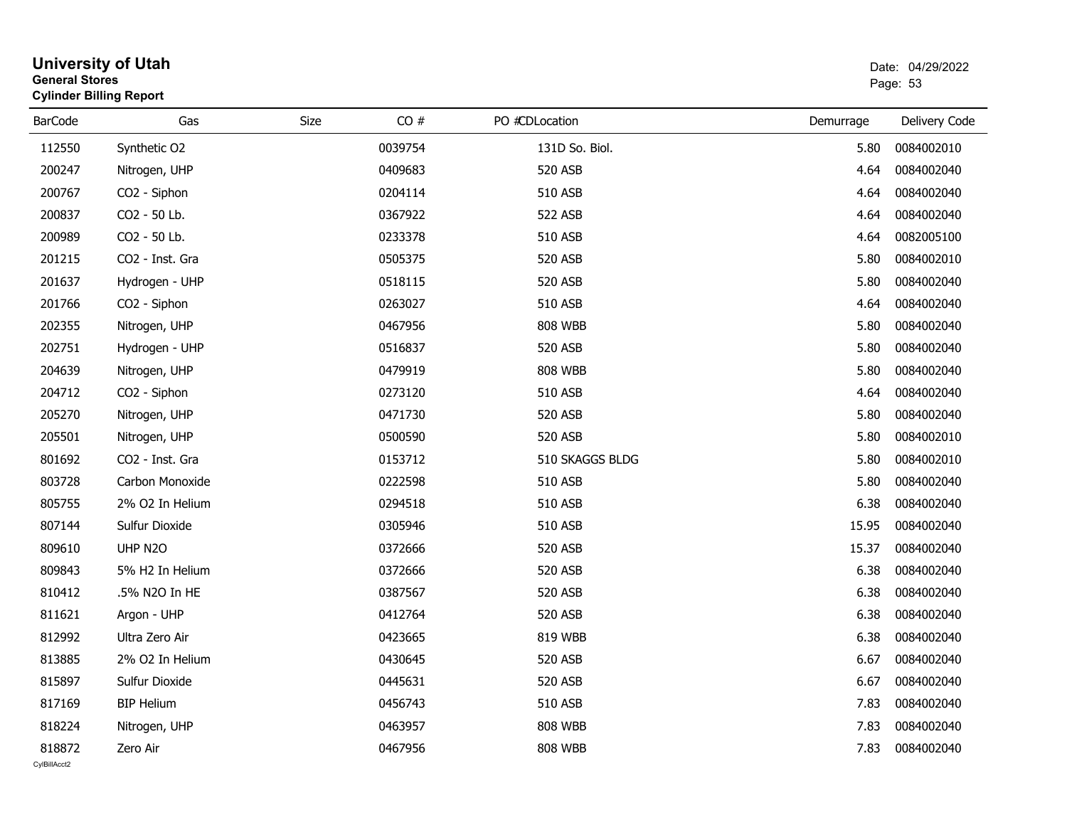| <b>General Stores</b>  | <b>University of Utah</b><br><b>Cylinder Billing Report</b> |             |         |                 | Date: 04/29/2022<br>Page: 53 |               |  |
|------------------------|-------------------------------------------------------------|-------------|---------|-----------------|------------------------------|---------------|--|
| <b>BarCode</b>         | Gas                                                         | <b>Size</b> | CO#     | PO #CDLocation  | Demurrage                    | Delivery Code |  |
| 112550                 | Synthetic O2                                                |             | 0039754 | 131D So. Biol.  | 5.80                         | 0084002010    |  |
| 200247                 | Nitrogen, UHP                                               |             | 0409683 | 520 ASB         | 4.64                         | 0084002040    |  |
| 200767                 | CO <sub>2</sub> - Siphon                                    |             | 0204114 | 510 ASB         | 4.64                         | 0084002040    |  |
| 200837                 | CO2 - 50 Lb.                                                |             | 0367922 | 522 ASB         | 4.64                         | 0084002040    |  |
| 200989                 | CO2 - 50 Lb.                                                |             | 0233378 | 510 ASB         | 4.64                         | 0082005100    |  |
| 201215                 | CO2 - Inst. Gra                                             |             | 0505375 | 520 ASB         | 5.80                         | 0084002010    |  |
| 201637                 | Hydrogen - UHP                                              |             | 0518115 | 520 ASB         | 5.80                         | 0084002040    |  |
| 201766                 | CO2 - Siphon                                                |             | 0263027 | 510 ASB         | 4.64                         | 0084002040    |  |
| 202355                 | Nitrogen, UHP                                               |             | 0467956 | <b>808 WBB</b>  | 5.80                         | 0084002040    |  |
| 202751                 | Hydrogen - UHP                                              |             | 0516837 | 520 ASB         | 5.80                         | 0084002040    |  |
| 204639                 | Nitrogen, UHP                                               |             | 0479919 | <b>808 WBB</b>  | 5.80                         | 0084002040    |  |
| 204712                 | CO2 - Siphon                                                |             | 0273120 | 510 ASB         | 4.64                         | 0084002040    |  |
| 205270                 | Nitrogen, UHP                                               |             | 0471730 | 520 ASB         | 5.80                         | 0084002040    |  |
| 205501                 | Nitrogen, UHP                                               |             | 0500590 | 520 ASB         | 5.80                         | 0084002010    |  |
| 801692                 | CO2 - Inst. Gra                                             |             | 0153712 | 510 SKAGGS BLDG | 5.80                         | 0084002010    |  |
| 803728                 | Carbon Monoxide                                             |             | 0222598 | 510 ASB         | 5.80                         | 0084002040    |  |
| 805755                 | 2% O2 In Helium                                             |             | 0294518 | 510 ASB         | 6.38                         | 0084002040    |  |
| 807144                 | Sulfur Dioxide                                              |             | 0305946 | 510 ASB         | 15.95                        | 0084002040    |  |
| 809610                 | UHP N2O                                                     |             | 0372666 | 520 ASB         | 15.37                        | 0084002040    |  |
| 809843                 | 5% H2 In Helium                                             |             | 0372666 | 520 ASB         | 6.38                         | 0084002040    |  |
| 810412                 | .5% N2O In HE                                               |             | 0387567 | 520 ASB         | 6.38                         | 0084002040    |  |
| 811621                 | Argon - UHP                                                 |             | 0412764 | 520 ASB         | 6.38                         | 0084002040    |  |
| 812992                 | Ultra Zero Air                                              |             | 0423665 | 819 WBB         | 6.38                         | 0084002040    |  |
| 813885                 | 2% O2 In Helium                                             |             | 0430645 | 520 ASB         | 6.67                         | 0084002040    |  |
| 815897                 | Sulfur Dioxide                                              |             | 0445631 | 520 ASB         | 6.67                         | 0084002040    |  |
| 817169                 | <b>BIP Helium</b>                                           |             | 0456743 | 510 ASB         | 7.83                         | 0084002040    |  |
| 818224                 | Nitrogen, UHP                                               |             | 0463957 | <b>808 WBB</b>  | 7.83                         | 0084002040    |  |
| 818872<br>CvIBillAcct2 | Zero Air                                                    |             | 0467956 | <b>808 WBB</b>  | 7.83                         | 0084002040    |  |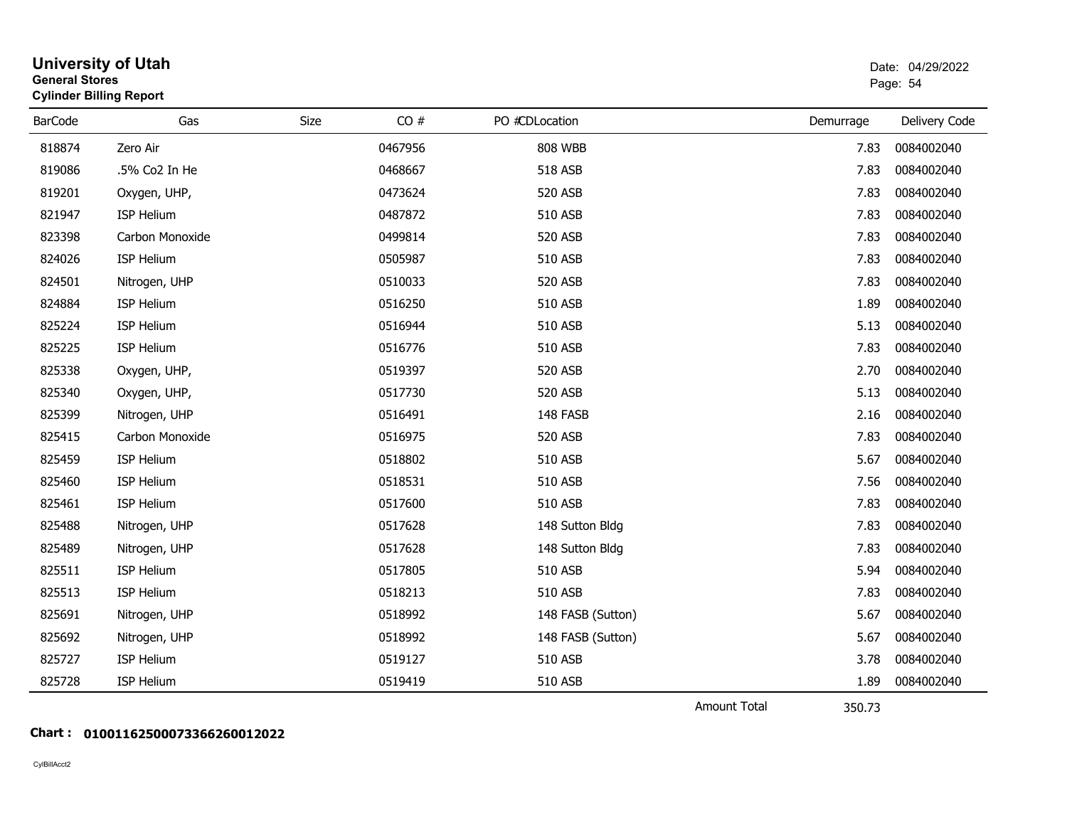| <b>General Stores</b> | <b>Cylinder Billing Report</b> |             |         |                   |                                                | Page: 54      |
|-----------------------|--------------------------------|-------------|---------|-------------------|------------------------------------------------|---------------|
| <b>BarCode</b>        | Gas                            | <b>Size</b> | CO#     | PO #CDLocation    | Demurrage                                      | Delivery Code |
| 818874                | Zero Air                       |             | 0467956 | <b>808 WBB</b>    | 7.83                                           | 0084002040    |
| 819086                | .5% Co2 In He                  |             | 0468667 | 518 ASB           | 7.83                                           | 0084002040    |
| 819201                | Oxygen, UHP,                   |             | 0473624 | 520 ASB           | 7.83                                           | 0084002040    |
| 821947                | ISP Helium                     |             | 0487872 | 510 ASB           | 7.83                                           | 0084002040    |
| 823398                | Carbon Monoxide                |             | 0499814 | 520 ASB           | 7.83                                           | 0084002040    |
| 824026                | ISP Helium                     |             | 0505987 | 510 ASB           | 7.83                                           | 0084002040    |
| 824501                | Nitrogen, UHP                  |             | 0510033 | 520 ASB           | 7.83                                           | 0084002040    |
| 824884                | ISP Helium                     |             | 0516250 | 510 ASB           | 1.89                                           | 0084002040    |
| 825224                | ISP Helium                     |             | 0516944 | 510 ASB           | 5.13                                           | 0084002040    |
| 825225                | ISP Helium                     |             | 0516776 | 510 ASB           | 7.83                                           | 0084002040    |
| 825338                | Oxygen, UHP,                   |             | 0519397 | 520 ASB           | 2.70                                           | 0084002040    |
| 825340                | Oxygen, UHP,                   |             | 0517730 | 520 ASB           | 5.13                                           | 0084002040    |
| 825399                | Nitrogen, UHP                  |             | 0516491 | 148 FASB          | 2.16                                           | 0084002040    |
| 825415                | Carbon Monoxide                |             | 0516975 | 520 ASB           | 7.83                                           | 0084002040    |
| 825459                | ISP Helium                     |             | 0518802 | 510 ASB           | 5.67                                           | 0084002040    |
| 825460                | ISP Helium                     |             | 0518531 | 510 ASB           | 7.56                                           | 0084002040    |
| 825461                | <b>ISP Helium</b>              |             | 0517600 | 510 ASB           | 7.83                                           | 0084002040    |
| 825488                | Nitrogen, UHP                  |             | 0517628 | 148 Sutton Bldg   | 7.83                                           | 0084002040    |
| 825489                | Nitrogen, UHP                  |             | 0517628 | 148 Sutton Bldg   | 7.83                                           | 0084002040    |
| 825511                | ISP Helium                     |             | 0517805 | 510 ASB           | 5.94                                           | 0084002040    |
| 825513                | ISP Helium                     |             | 0518213 | 510 ASB           | 7.83                                           | 0084002040    |
| 825691                | Nitrogen, UHP                  |             | 0518992 | 148 FASB (Sutton) | 5.67                                           | 0084002040    |
| 825692                | Nitrogen, UHP                  |             | 0518992 | 148 FASB (Sutton) | 5.67                                           | 0084002040    |
| 825727                | <b>ISP Helium</b>              |             | 0519127 | 510 ASB           | 3.78                                           | 0084002040    |
| 825728                | ISP Helium                     |             | 0519419 | 510 ASB           | 1.89                                           | 0084002040    |
|                       |                                |             |         |                   | $A_{\text{max}}$ and $B_{\text{max}}$<br>20.72 |               |

Amount Total

350.73

#### **Chart : 01001162500073366260012022**

CylBillAcct2

# **University of Utah**  Date: 04/29/2022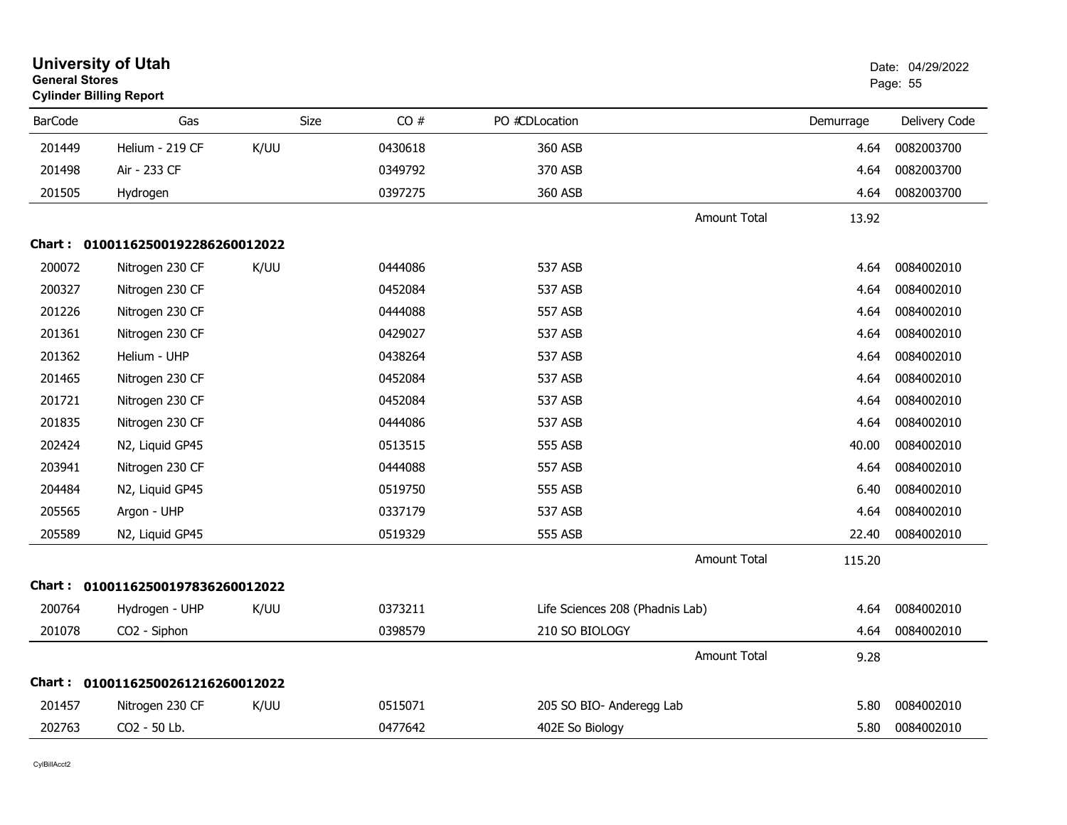| <b>General Stores</b> | <b>University of Utah</b><br><b>Cylinder Billing Report</b> |             |         |                                 |                     |           | Date: 04/29/2022<br>Page: 55 |
|-----------------------|-------------------------------------------------------------|-------------|---------|---------------------------------|---------------------|-----------|------------------------------|
| <b>BarCode</b>        | Gas                                                         | <b>Size</b> | CO#     | PO #CDLocation                  |                     | Demurrage | Delivery Code                |
| 201449                | Helium - 219 CF                                             | K/UU        | 0430618 | 360 ASB                         |                     | 4.64      | 0082003700                   |
| 201498                | Air - 233 CF                                                |             | 0349792 | 370 ASB                         |                     | 4.64      | 0082003700                   |
| 201505                | Hydrogen                                                    |             | 0397275 | 360 ASB                         |                     | 4.64      | 0082003700                   |
|                       |                                                             |             |         |                                 | <b>Amount Total</b> | 13.92     |                              |
|                       | Chart: 01001162500192286260012022                           |             |         |                                 |                     |           |                              |
| 200072                | Nitrogen 230 CF                                             | K/UU        | 0444086 | 537 ASB                         |                     | 4.64      | 0084002010                   |
| 200327                | Nitrogen 230 CF                                             |             | 0452084 | 537 ASB                         |                     | 4.64      | 0084002010                   |
| 201226                | Nitrogen 230 CF                                             |             | 0444088 | 557 ASB                         |                     | 4.64      | 0084002010                   |
| 201361                | Nitrogen 230 CF                                             |             | 0429027 | 537 ASB                         |                     | 4.64      | 0084002010                   |
| 201362                | Helium - UHP                                                |             | 0438264 | 537 ASB                         |                     | 4.64      | 0084002010                   |
| 201465                | Nitrogen 230 CF                                             |             | 0452084 | 537 ASB                         |                     | 4.64      | 0084002010                   |
| 201721                | Nitrogen 230 CF                                             |             | 0452084 | 537 ASB                         |                     | 4.64      | 0084002010                   |
| 201835                | Nitrogen 230 CF                                             |             | 0444086 | 537 ASB                         |                     | 4.64      | 0084002010                   |
| 202424                | N2, Liquid GP45                                             |             | 0513515 | 555 ASB                         |                     | 40.00     | 0084002010                   |
| 203941                | Nitrogen 230 CF                                             |             | 0444088 | 557 ASB                         |                     | 4.64      | 0084002010                   |
| 204484                | N2, Liquid GP45                                             |             | 0519750 | 555 ASB                         |                     | 6.40      | 0084002010                   |
| 205565                | Argon - UHP                                                 |             | 0337179 | 537 ASB                         |                     | 4.64      | 0084002010                   |
| 205589                | N2, Liquid GP45                                             |             | 0519329 | 555 ASB                         |                     | 22.40     | 0084002010                   |
|                       |                                                             |             |         |                                 | <b>Amount Total</b> | 115.20    |                              |
|                       | Chart: 01001162500197836260012022                           |             |         |                                 |                     |           |                              |
| 200764                | Hydrogen - UHP                                              | K/UU        | 0373211 | Life Sciences 208 (Phadnis Lab) |                     | 4.64      | 0084002010                   |
| 201078                | CO2 - Siphon                                                |             | 0398579 | 210 SO BIOLOGY                  |                     | 4.64      | 0084002010                   |
|                       |                                                             |             |         |                                 | Amount Total        | 9.28      |                              |
|                       | Chart: 01001162500261216260012022                           |             |         |                                 |                     |           |                              |
| 201457                | Nitrogen 230 CF                                             | K/UU        | 0515071 | 205 SO BIO- Anderegg Lab        |                     | 5.80      | 0084002010                   |
| 202763                | CO2 - 50 Lb.                                                |             | 0477642 | 402E So Biology                 |                     | 5.80      | 0084002010                   |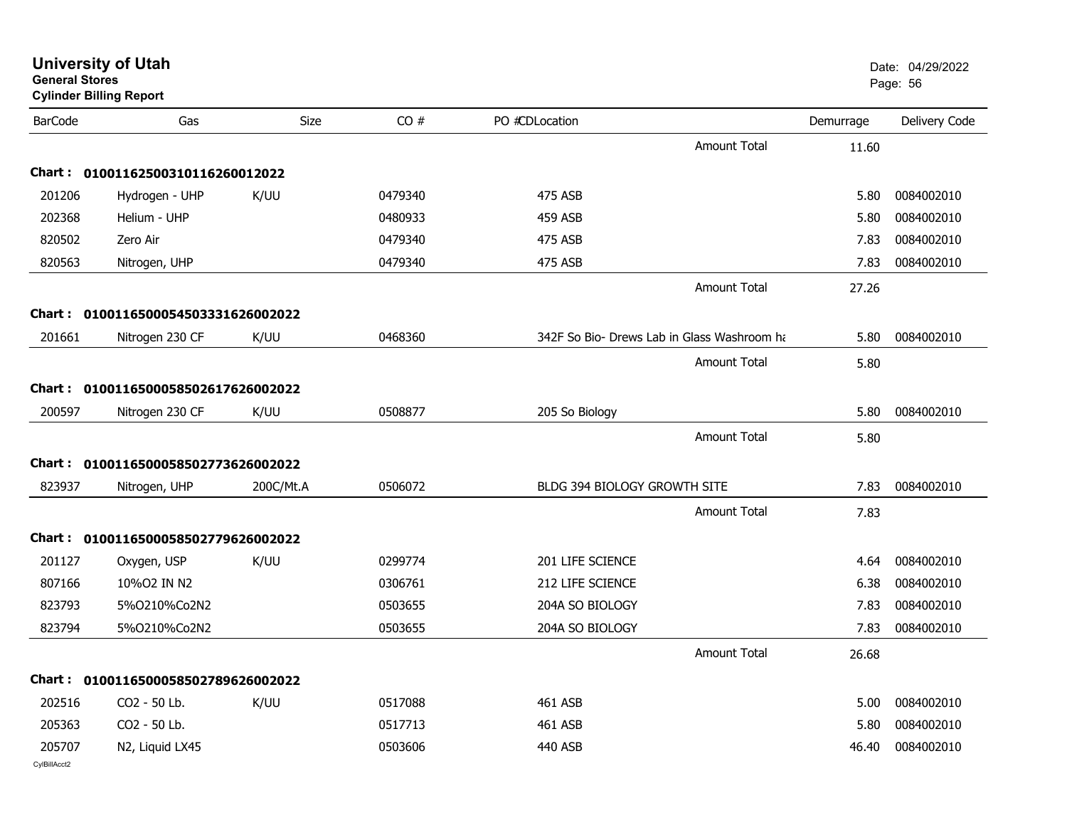| <b>General Stores</b>  | <b>Cylinder Billing Report</b>      |             |         |                                     |                                             |           | Page: 56      |
|------------------------|-------------------------------------|-------------|---------|-------------------------------------|---------------------------------------------|-----------|---------------|
| <b>BarCode</b>         | Gas                                 | <b>Size</b> | CO#     | PO #CDLocation                      |                                             | Demurrage | Delivery Code |
|                        |                                     |             |         |                                     | <b>Amount Total</b>                         | 11.60     |               |
|                        | Chart: 01001162500310116260012022   |             |         |                                     |                                             |           |               |
| 201206                 | Hydrogen - UHP                      | K/UU        | 0479340 | 475 ASB                             |                                             | 5.80      | 0084002010    |
| 202368                 | Helium - UHP                        |             | 0480933 | 459 ASB                             |                                             | 5.80      | 0084002010    |
| 820502                 | Zero Air                            |             | 0479340 | 475 ASB                             |                                             | 7.83      | 0084002010    |
| 820563                 | Nitrogen, UHP                       |             | 0479340 | 475 ASB                             |                                             | 7.83      | 0084002010    |
|                        |                                     |             |         |                                     | <b>Amount Total</b>                         | 27.26     |               |
|                        | Chart: 0100116500054503331626002022 |             |         |                                     |                                             |           |               |
| 201661                 | Nitrogen 230 CF                     | K/UU        | 0468360 |                                     | 342F So Bio- Drews Lab in Glass Washroom ha | 5.80      | 0084002010    |
|                        |                                     |             |         |                                     | <b>Amount Total</b>                         | 5.80      |               |
|                        | Chart: 0100116500058502617626002022 |             |         |                                     |                                             |           |               |
| 200597                 | Nitrogen 230 CF                     | K/UU        | 0508877 | 205 So Biology                      |                                             | 5.80      | 0084002010    |
|                        |                                     |             |         |                                     | <b>Amount Total</b>                         | 5.80      |               |
|                        | Chart: 0100116500058502773626002022 |             |         |                                     |                                             |           |               |
| 823937                 | Nitrogen, UHP                       | 200C/Mt.A   | 0506072 | <b>BLDG 394 BIOLOGY GROWTH SITE</b> |                                             | 7.83      | 0084002010    |
|                        |                                     |             |         |                                     | Amount Total                                | 7.83      |               |
| Chart :                | 0100116500058502779626002022        |             |         |                                     |                                             |           |               |
| 201127                 | Oxygen, USP                         | K/UU        | 0299774 | 201 LIFE SCIENCE                    |                                             | 4.64      | 0084002010    |
| 807166                 | 10%O2 IN N2                         |             | 0306761 | 212 LIFE SCIENCE                    |                                             | 6.38      | 0084002010    |
| 823793                 | 5%0210%Co2N2                        |             | 0503655 | 204A SO BIOLOGY                     |                                             | 7.83      | 0084002010    |
| 823794                 | 5%0210%Co2N2                        |             | 0503655 | 204A SO BIOLOGY                     |                                             | 7.83      | 0084002010    |
|                        |                                     |             |         |                                     | <b>Amount Total</b>                         | 26.68     |               |
|                        | Chart: 0100116500058502789626002022 |             |         |                                     |                                             |           |               |
| 202516                 | CO <sub>2</sub> - 50 Lb.            | K/UU        | 0517088 | 461 ASB                             |                                             | 5.00      | 0084002010    |
| 205363                 | CO2 - 50 Lb.                        |             | 0517713 | 461 ASB                             |                                             | 5.80      | 0084002010    |
| 205707<br>CylBillAcct2 | N2, Liquid LX45                     |             | 0503606 | 440 ASB                             |                                             | 46.40     | 0084002010    |

**University of Utah** Date: 04/29/2022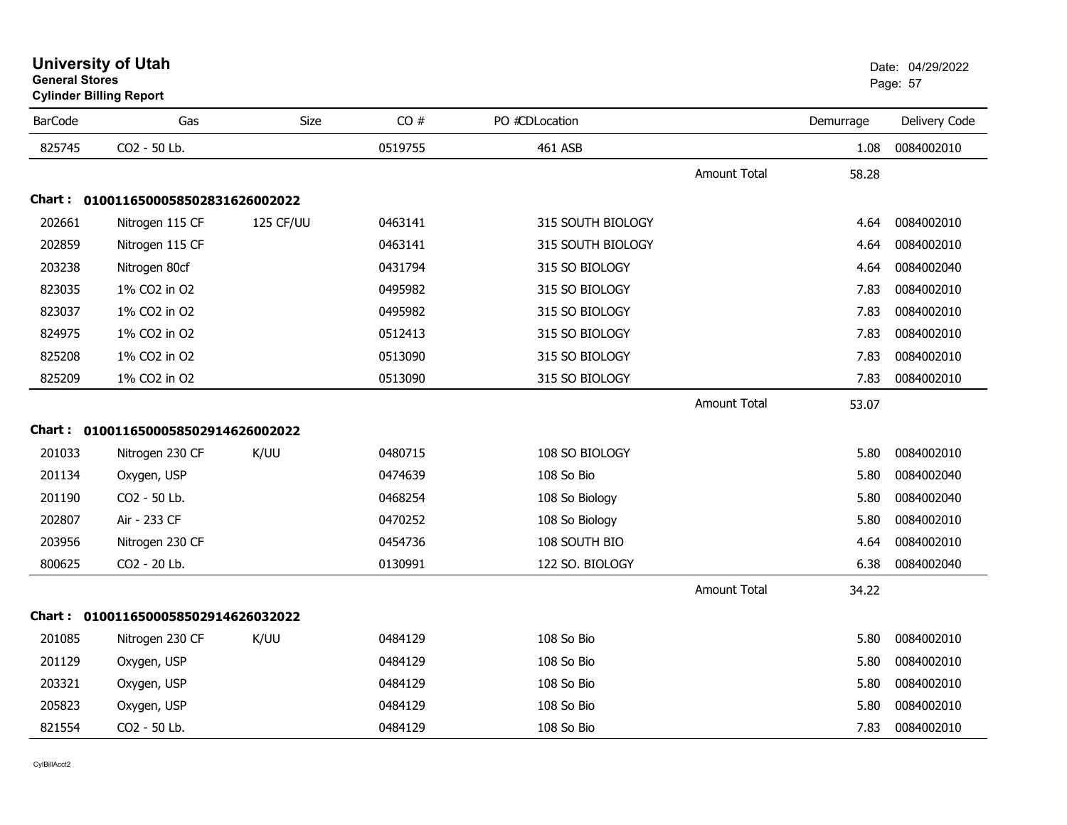| General Stores | <b>Cylinder Billing Report</b>      |           |         |                   |                     |           | Page: 57      |
|----------------|-------------------------------------|-----------|---------|-------------------|---------------------|-----------|---------------|
| <b>BarCode</b> | Gas                                 | Size      | CO#     | PO #CDLocation    |                     | Demurrage | Delivery Code |
| 825745         | CO2 - 50 Lb.                        |           | 0519755 | 461 ASB           |                     | 1.08      | 0084002010    |
|                |                                     |           |         |                   | Amount Total        | 58.28     |               |
|                | Chart: 0100116500058502831626002022 |           |         |                   |                     |           |               |
| 202661         | Nitrogen 115 CF                     | 125 CF/UU | 0463141 | 315 SOUTH BIOLOGY |                     | 4.64      | 0084002010    |
| 202859         | Nitrogen 115 CF                     |           | 0463141 | 315 SOUTH BIOLOGY |                     | 4.64      | 0084002010    |
| 203238         | Nitrogen 80cf                       |           | 0431794 | 315 SO BIOLOGY    |                     | 4.64      | 0084002040    |
| 823035         | 1% CO2 in O2                        |           | 0495982 | 315 SO BIOLOGY    |                     | 7.83      | 0084002010    |
| 823037         | 1% CO2 in O2                        |           | 0495982 | 315 SO BIOLOGY    |                     | 7.83      | 0084002010    |
| 824975         | 1% CO2 in O2                        |           | 0512413 | 315 SO BIOLOGY    |                     | 7.83      | 0084002010    |
| 825208         | 1% CO2 in O2                        |           | 0513090 | 315 SO BIOLOGY    |                     | 7.83      | 0084002010    |
| 825209         | 1% CO2 in O2                        |           | 0513090 | 315 SO BIOLOGY    |                     | 7.83      | 0084002010    |
|                |                                     |           |         |                   | <b>Amount Total</b> | 53.07     |               |
|                | Chart: 0100116500058502914626002022 |           |         |                   |                     |           |               |
| 201033         | Nitrogen 230 CF                     | K/UU      | 0480715 | 108 SO BIOLOGY    |                     | 5.80      | 0084002010    |
| 201134         | Oxygen, USP                         |           | 0474639 | 108 So Bio        |                     | 5.80      | 0084002040    |
| 201190         | CO2 - 50 Lb.                        |           | 0468254 | 108 So Biology    |                     | 5.80      | 0084002040    |
| 202807         | Air - 233 CF                        |           | 0470252 | 108 So Biology    |                     | 5.80      | 0084002010    |
| 203956         | Nitrogen 230 CF                     |           | 0454736 | 108 SOUTH BIO     |                     | 4.64      | 0084002010    |
| 800625         | CO2 - 20 Lb.                        |           | 0130991 | 122 SO. BIOLOGY   |                     | 6.38      | 0084002040    |
|                |                                     |           |         |                   | <b>Amount Total</b> | 34.22     |               |
|                | Chart: 0100116500058502914626032022 |           |         |                   |                     |           |               |
| 201085         | Nitrogen 230 CF                     | K/UU      | 0484129 | 108 So Bio        |                     | 5.80      | 0084002010    |
| 201129         | Oxygen, USP                         |           | 0484129 | 108 So Bio        |                     | 5.80      | 0084002010    |
| 203321         | Oxygen, USP                         |           | 0484129 | 108 So Bio        |                     | 5.80      | 0084002010    |
| 205823         | Oxygen, USP                         |           | 0484129 | 108 So Bio        |                     | 5.80      | 0084002010    |
| 821554         | CO2 - 50 Lb.                        |           | 0484129 | 108 So Bio        |                     | 7.83      | 0084002010    |

#### **University of Utah** Date: 04/29/2022 **General Stores**s and the contract of the contract of the contract of the contract of the contract of the contract of the contract of the contract of the contract of the contract of the contract of the contract of the contract of the cont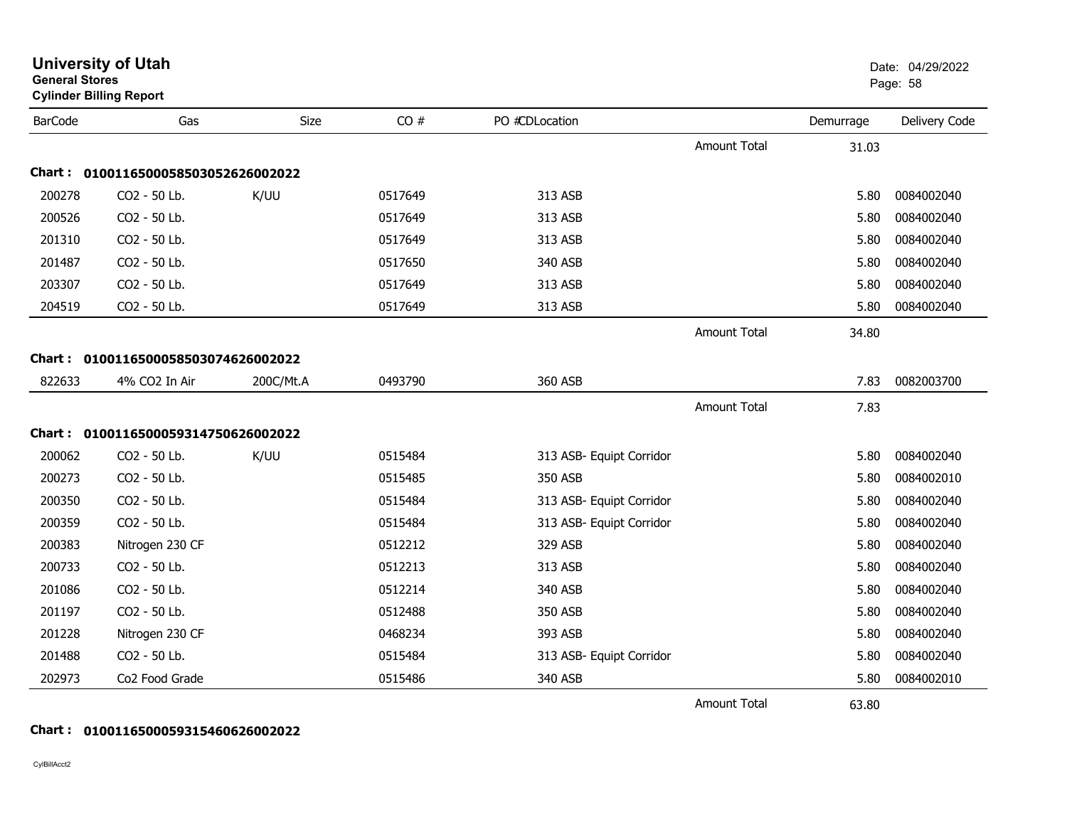|                | <b>Cylinder Billing Report</b>      |           |         |                          |                     |           |               |
|----------------|-------------------------------------|-----------|---------|--------------------------|---------------------|-----------|---------------|
| <b>BarCode</b> | Gas                                 | Size      | CO#     | PO #CDLocation           |                     | Demurrage | Delivery Code |
|                |                                     |           |         |                          | <b>Amount Total</b> | 31.03     |               |
|                | Chart: 0100116500058503052626002022 |           |         |                          |                     |           |               |
| 200278         | CO2 - 50 Lb.                        | K/UU      | 0517649 | 313 ASB                  |                     | 5.80      | 0084002040    |
| 200526         | CO2 - 50 Lb.                        |           | 0517649 | 313 ASB                  |                     | 5.80      | 0084002040    |
| 201310         | CO2 - 50 Lb.                        |           | 0517649 | 313 ASB                  |                     | 5.80      | 0084002040    |
| 201487         | CO2 - 50 Lb.                        |           | 0517650 | 340 ASB                  |                     | 5.80      | 0084002040    |
| 203307         | CO2 - 50 Lb.                        |           | 0517649 | 313 ASB                  |                     | 5.80      | 0084002040    |
| 204519         | CO2 - 50 Lb.                        |           | 0517649 | 313 ASB                  |                     | 5.80      | 0084002040    |
|                |                                     |           |         |                          | Amount Total        | 34.80     |               |
|                | Chart: 0100116500058503074626002022 |           |         |                          |                     |           |               |
| 822633         | 4% CO2 In Air                       | 200C/Mt.A | 0493790 | 360 ASB                  |                     | 7.83      | 0082003700    |
|                |                                     |           |         |                          | <b>Amount Total</b> | 7.83      |               |
|                | Chart: 0100116500059314750626002022 |           |         |                          |                     |           |               |
| 200062         | CO2 - 50 Lb.                        | K/UU      | 0515484 | 313 ASB- Equipt Corridor |                     | 5.80      | 0084002040    |
| 200273         | CO2 - 50 Lb.                        |           | 0515485 | 350 ASB                  |                     | 5.80      | 0084002010    |
| 200350         | CO2 - 50 Lb.                        |           | 0515484 | 313 ASB- Equipt Corridor |                     | 5.80      | 0084002040    |
| 200359         | CO2 - 50 Lb.                        |           | 0515484 |                          |                     | 5.80      | 0084002040    |
|                |                                     |           |         | 313 ASB- Equipt Corridor |                     |           |               |
| 200383         | Nitrogen 230 CF                     |           | 0512212 | 329 ASB                  |                     | 5.80      | 0084002040    |
| 200733         | CO2 - 50 Lb.                        |           | 0512213 | 313 ASB                  |                     | 5.80      | 0084002040    |
| 201086         | CO2 - 50 Lb.                        |           | 0512214 | 340 ASB                  |                     | 5.80      | 0084002040    |
| 201197         | CO2 - 50 Lb.                        |           | 0512488 | 350 ASB                  |                     | 5.80      | 0084002040    |
| 201228         | Nitrogen 230 CF                     |           | 0468234 | 393 ASB                  |                     | 5.80      | 0084002040    |
| 201488         | CO2 - 50 Lb.                        |           | 0515484 | 313 ASB- Equipt Corridor |                     | 5.80      | 0084002040    |
| 202973         | Co2 Food Grade                      |           | 0515486 | 340 ASB                  |                     | 5.80      | 0084002010    |
|                |                                     |           |         |                          | <b>Amount Total</b> | 63.80     |               |

**University of Utah** Date: 04/29/2022

entry of the control of the control of the control of the control of the control of the control of the control of the control of the control of the control of the control of the control of the control of the control of the

#### **Chart : 0100116500059315460626002022**

**General Stores**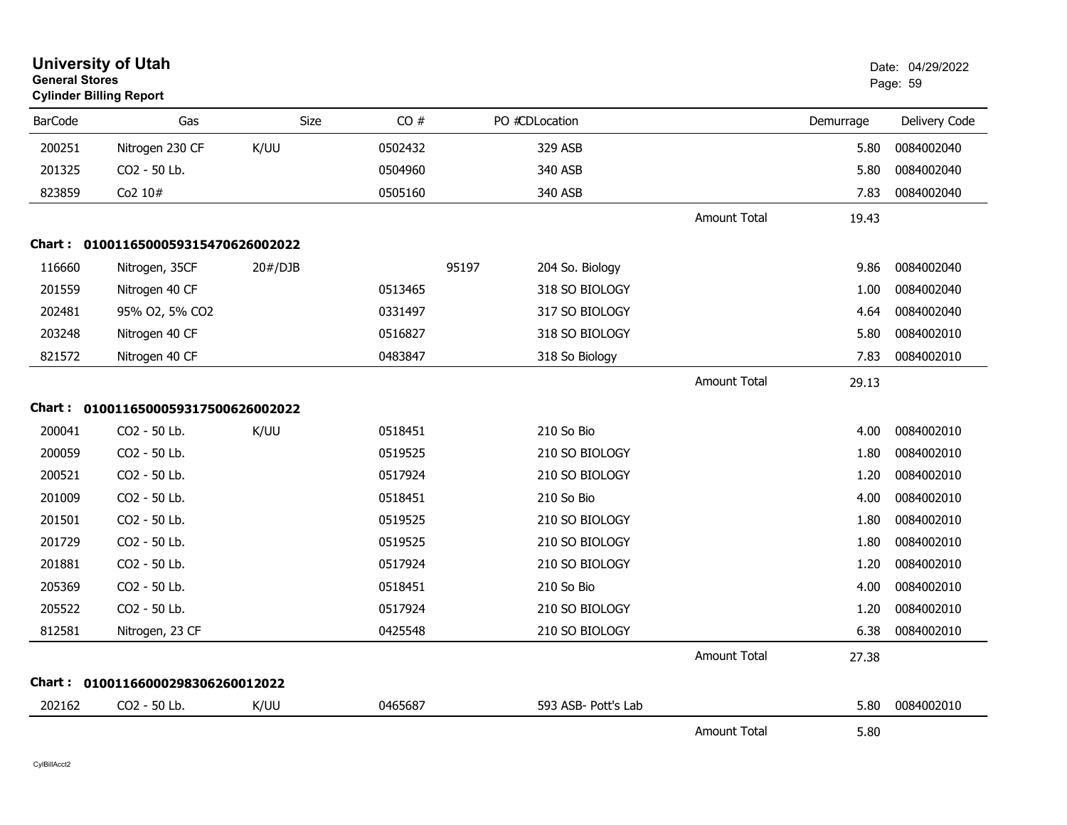| <b>General Stores</b> | <b>University of Utah</b><br><b>Cylinder Billing Report</b> |         |         |                          | Date: 04/29/2022<br>Page: 59 |           |               |
|-----------------------|-------------------------------------------------------------|---------|---------|--------------------------|------------------------------|-----------|---------------|
| <b>BarCode</b>        | Gas                                                         | Size    | CO#     | PO #CDLocation           |                              | Demurrage | Delivery Code |
| 200251                | Nitrogen 230 CF                                             | K/UU    | 0502432 | 329 ASB                  |                              | 5.80      | 0084002040    |
| 201325                | CO2 - 50 Lb.                                                |         | 0504960 | 340 ASB                  |                              | 5.80      | 0084002040    |
| 823859                | Co2 10#                                                     |         | 0505160 | 340 ASB                  |                              | 7.83      | 0084002040    |
|                       |                                                             |         |         |                          | <b>Amount Total</b>          | 19.43     |               |
|                       | Chart: 0100116500059315470626002022                         |         |         |                          |                              |           |               |
| 116660                | Nitrogen, 35CF                                              | 20#/DJB |         | 95197<br>204 So. Biology |                              | 9.86      | 0084002040    |
| 201559                | Nitrogen 40 CF                                              |         | 0513465 | 318 SO BIOLOGY           |                              | 1.00      | 0084002040    |
| 202481                | 95% O2, 5% CO2                                              |         | 0331497 | 317 SO BIOLOGY           |                              | 4.64      | 0084002040    |
| 203248                | Nitrogen 40 CF                                              |         | 0516827 | 318 SO BIOLOGY           |                              | 5.80      | 0084002010    |
| 821572                | Nitrogen 40 CF                                              |         | 0483847 | 318 So Biology           |                              | 7.83      | 0084002010    |
|                       |                                                             |         |         |                          | <b>Amount Total</b>          | 29.13     |               |
|                       | Chart: 0100116500059317500626002022                         |         |         |                          |                              |           |               |
| 200041                | CO2 - 50 Lb.                                                | K/UU    | 0518451 | 210 So Bio               |                              | 4.00      | 0084002010    |
| 200059                | CO2 - 50 Lb.                                                |         | 0519525 | 210 SO BIOLOGY           |                              | 1.80      | 0084002010    |
| 200521                | CO2 - 50 Lb.                                                |         | 0517924 | 210 SO BIOLOGY           |                              | 1.20      | 0084002010    |
| 201009                | CO2 - 50 Lb.                                                |         | 0518451 | 210 So Bio               |                              | 4.00      | 0084002010    |
| 201501                | CO2 - 50 Lb.                                                |         | 0519525 | 210 SO BIOLOGY           |                              | 1.80      | 0084002010    |
| 201729                | CO2 - 50 Lb.                                                |         | 0519525 | 210 SO BIOLOGY           |                              | 1.80      | 0084002010    |
| 201881                | CO2 - 50 Lb.                                                |         | 0517924 | 210 SO BIOLOGY           |                              | 1.20      | 0084002010    |
| 205369                | CO2 - 50 Lb.                                                |         | 0518451 | 210 So Bio               |                              | 4.00      | 0084002010    |
| 205522                | CO2 - 50 Lb.                                                |         | 0517924 | 210 SO BIOLOGY           |                              | 1.20      | 0084002010    |
| 812581                | Nitrogen, 23 CF                                             |         | 0425548 | 210 SO BIOLOGY           |                              | 6.38      | 0084002010    |
|                       |                                                             |         |         |                          | <b>Amount Total</b>          | 27.38     |               |
|                       | Chart: 01001166000298306260012022                           |         |         |                          |                              |           |               |
| 202162                | CO2 - 50 Lb.                                                | K/UU    | 0465687 | 593 ASB- Pott's Lab      |                              | 5.80      | 0084002010    |
|                       |                                                             |         |         |                          | <b>Amount Total</b>          | 5.80      |               |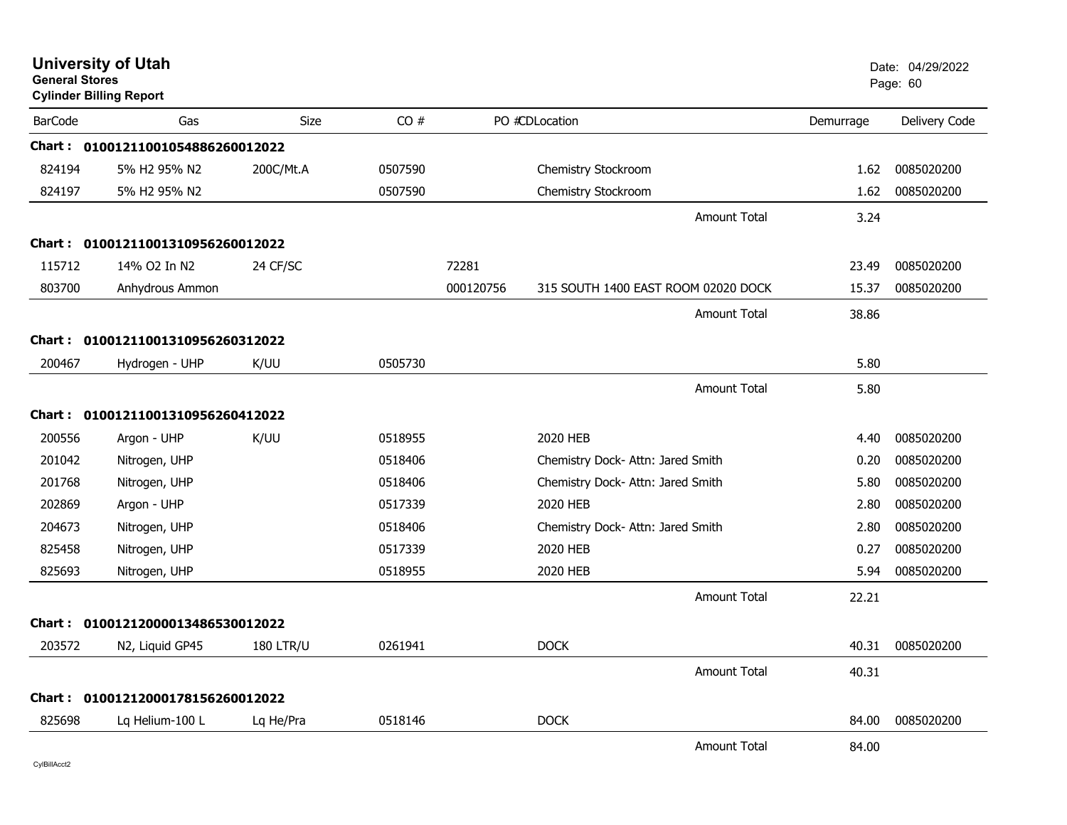| <b>General Stores</b> | <b>University of Utah</b><br><b>Cylinder Billing Report</b> |                  |         |           |                                     |           | Date: 04/29/2022<br>Page: 60 |
|-----------------------|-------------------------------------------------------------|------------------|---------|-----------|-------------------------------------|-----------|------------------------------|
| <b>BarCode</b>        | Gas                                                         | Size             | CO#     |           | PO #CDLocation                      | Demurrage | Delivery Code                |
|                       | Chart: 01001211001054886260012022                           |                  |         |           |                                     |           |                              |
| 824194                | 5% H2 95% N2                                                | 200C/Mt.A        | 0507590 |           | Chemistry Stockroom                 | 1.62      | 0085020200                   |
| 824197                | 5% H2 95% N2                                                |                  | 0507590 |           | Chemistry Stockroom                 | 1.62      | 0085020200                   |
|                       |                                                             |                  |         |           | <b>Amount Total</b>                 | 3.24      |                              |
|                       | Chart: 01001211001310956260012022                           |                  |         |           |                                     |           |                              |
| 115712                | 14% O2 In N2                                                | 24 CF/SC         |         | 72281     |                                     | 23.49     | 0085020200                   |
| 803700                | Anhydrous Ammon                                             |                  |         | 000120756 | 315 SOUTH 1400 EAST ROOM 02020 DOCK | 15.37     | 0085020200                   |
|                       |                                                             |                  |         |           | Amount Total                        | 38.86     |                              |
|                       | Chart: 01001211001310956260312022                           |                  |         |           |                                     |           |                              |
| 200467                | Hydrogen - UHP                                              | K/UU             | 0505730 |           |                                     | 5.80      |                              |
|                       |                                                             |                  |         |           | <b>Amount Total</b>                 | 5.80      |                              |
|                       | Chart: 01001211001310956260412022                           |                  |         |           |                                     |           |                              |
| 200556                | Argon - UHP                                                 | K/UU             | 0518955 |           | 2020 HEB                            | 4.40      | 0085020200                   |
| 201042                | Nitrogen, UHP                                               |                  | 0518406 |           | Chemistry Dock- Attn: Jared Smith   | 0.20      | 0085020200                   |
| 201768                | Nitrogen, UHP                                               |                  | 0518406 |           | Chemistry Dock- Attn: Jared Smith   | 5.80      | 0085020200                   |
| 202869                | Argon - UHP                                                 |                  | 0517339 |           | 2020 HEB                            | 2.80      | 0085020200                   |
| 204673                | Nitrogen, UHP                                               |                  | 0518406 |           | Chemistry Dock- Attn: Jared Smith   | 2.80      | 0085020200                   |
| 825458                | Nitrogen, UHP                                               |                  | 0517339 |           | 2020 HEB                            | 0.27      | 0085020200                   |
| 825693                | Nitrogen, UHP                                               |                  | 0518955 |           | 2020 HEB                            | 5.94      | 0085020200                   |
|                       |                                                             |                  |         |           | <b>Amount Total</b>                 | 22.21     |                              |
|                       | Chart: 01001212000013486530012022                           |                  |         |           |                                     |           |                              |
| 203572                | N <sub>2</sub> , Liquid GP45                                | <b>180 LTR/U</b> | 0261941 |           | <b>DOCK</b>                         | 40.31     | 0085020200                   |
|                       |                                                             |                  |         |           | <b>Amount Total</b>                 | 40.31     |                              |
|                       | Chart: 01001212000178156260012022                           |                  |         |           |                                     |           |                              |
| 825698                | Lq Helium-100 L                                             | Lq He/Pra        | 0518146 |           | <b>DOCK</b>                         | 84.00     | 0085020200                   |
|                       |                                                             |                  |         |           | <b>Amount Total</b>                 | 84.00     |                              |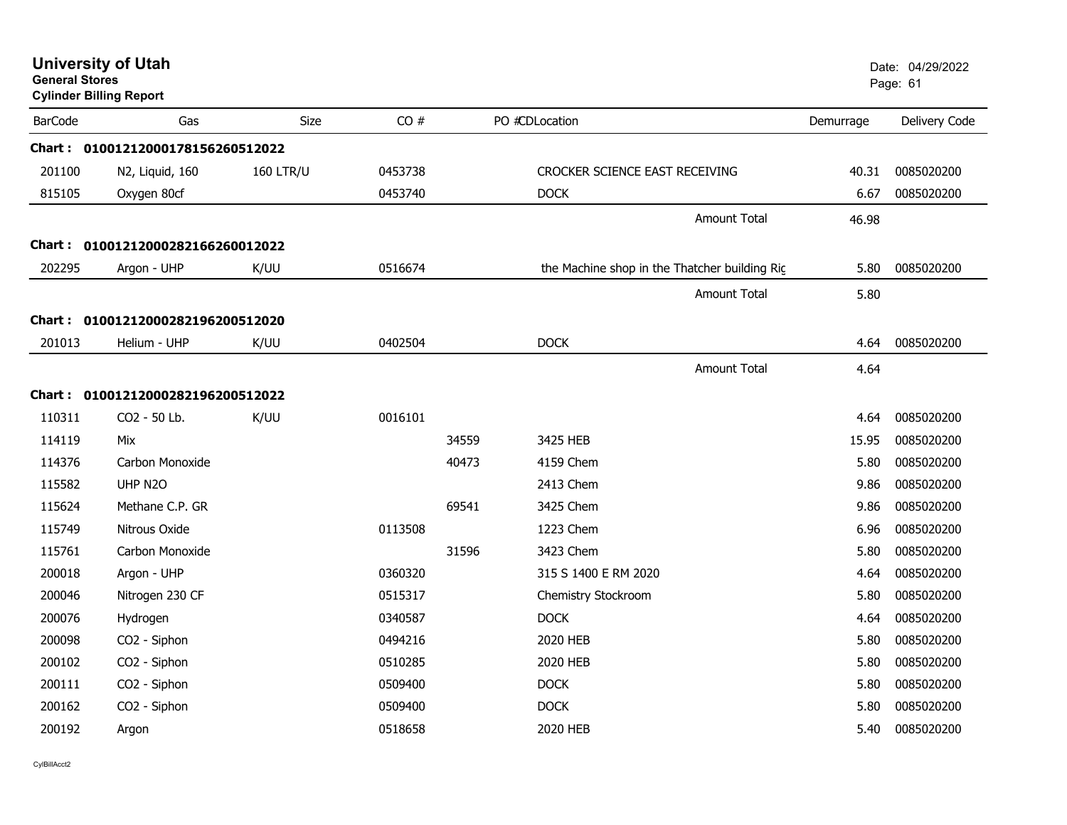|                | <b>University of Utah</b><br><b>General Stores</b><br><b>Cylinder Billing Report</b> |                  |         |       |                                | Date: 04/29/2022<br>Page: 61                  |           |               |
|----------------|--------------------------------------------------------------------------------------|------------------|---------|-------|--------------------------------|-----------------------------------------------|-----------|---------------|
| <b>BarCode</b> | Gas                                                                                  | Size             | CO#     |       | PO #CDLocation                 |                                               | Demurrage | Delivery Code |
|                | Chart: 01001212000178156260512022                                                    |                  |         |       |                                |                                               |           |               |
| 201100         | N2, Liquid, 160                                                                      | <b>160 LTR/U</b> | 0453738 |       | CROCKER SCIENCE EAST RECEIVING |                                               | 40.31     | 0085020200    |
| 815105         | Oxygen 80cf                                                                          |                  | 0453740 |       | <b>DOCK</b>                    |                                               | 6.67      | 0085020200    |
|                |                                                                                      |                  |         |       |                                | <b>Amount Total</b>                           | 46.98     |               |
| Chart : _      | 01001212000282166260012022                                                           |                  |         |       |                                |                                               |           |               |
| 202295         | Argon - UHP                                                                          | K/UU             | 0516674 |       |                                | the Machine shop in the Thatcher building Rig | 5.80      | 0085020200    |
|                |                                                                                      |                  |         |       |                                | <b>Amount Total</b>                           | 5.80      |               |
| Chart :        | 01001212000282196200512020                                                           |                  |         |       |                                |                                               |           |               |
| 201013         | Helium - UHP                                                                         | K/UU             | 0402504 |       | <b>DOCK</b>                    |                                               | 4.64      | 0085020200    |
|                |                                                                                      |                  |         |       |                                | <b>Amount Total</b>                           | 4.64      |               |
|                | Chart: 01001212000282196200512022                                                    |                  |         |       |                                |                                               |           |               |
| 110311         | CO2 - 50 Lb.                                                                         | K/UU             | 0016101 |       |                                |                                               | 4.64      | 0085020200    |
| 114119         | Mix                                                                                  |                  |         | 34559 | 3425 HEB                       |                                               | 15.95     | 0085020200    |
| 114376         | Carbon Monoxide                                                                      |                  |         | 40473 | 4159 Chem                      |                                               | 5.80      | 0085020200    |
| 115582         | UHP N <sub>20</sub>                                                                  |                  |         |       | 2413 Chem                      |                                               | 9.86      | 0085020200    |
| 115624         | Methane C.P. GR                                                                      |                  |         | 69541 | 3425 Chem                      |                                               | 9.86      | 0085020200    |
| 115749         | Nitrous Oxide                                                                        |                  | 0113508 |       | 1223 Chem                      |                                               | 6.96      | 0085020200    |
| 115761         | Carbon Monoxide                                                                      |                  |         | 31596 | 3423 Chem                      |                                               | 5.80      | 0085020200    |
| 200018         | Argon - UHP                                                                          |                  | 0360320 |       | 315 S 1400 E RM 2020           |                                               | 4.64      | 0085020200    |
| 200046         | Nitrogen 230 CF                                                                      |                  | 0515317 |       | Chemistry Stockroom            |                                               | 5.80      | 0085020200    |
| 200076         | Hydrogen                                                                             |                  | 0340587 |       | <b>DOCK</b>                    |                                               | 4.64      | 0085020200    |
| 200098         | CO2 - Siphon                                                                         |                  | 0494216 |       | 2020 HEB                       |                                               | 5.80      | 0085020200    |
| 200102         | CO2 - Siphon                                                                         |                  | 0510285 |       | 2020 HEB                       |                                               | 5.80      | 0085020200    |
| 200111         | CO2 - Siphon                                                                         |                  | 0509400 |       | <b>DOCK</b>                    |                                               | 5.80      | 0085020200    |
| 200162         | CO2 - Siphon                                                                         |                  | 0509400 |       | <b>DOCK</b>                    |                                               | 5.80      | 0085020200    |
| 200192         | Argon                                                                                |                  | 0518658 |       | 2020 HEB                       |                                               | 5.40      | 0085020200    |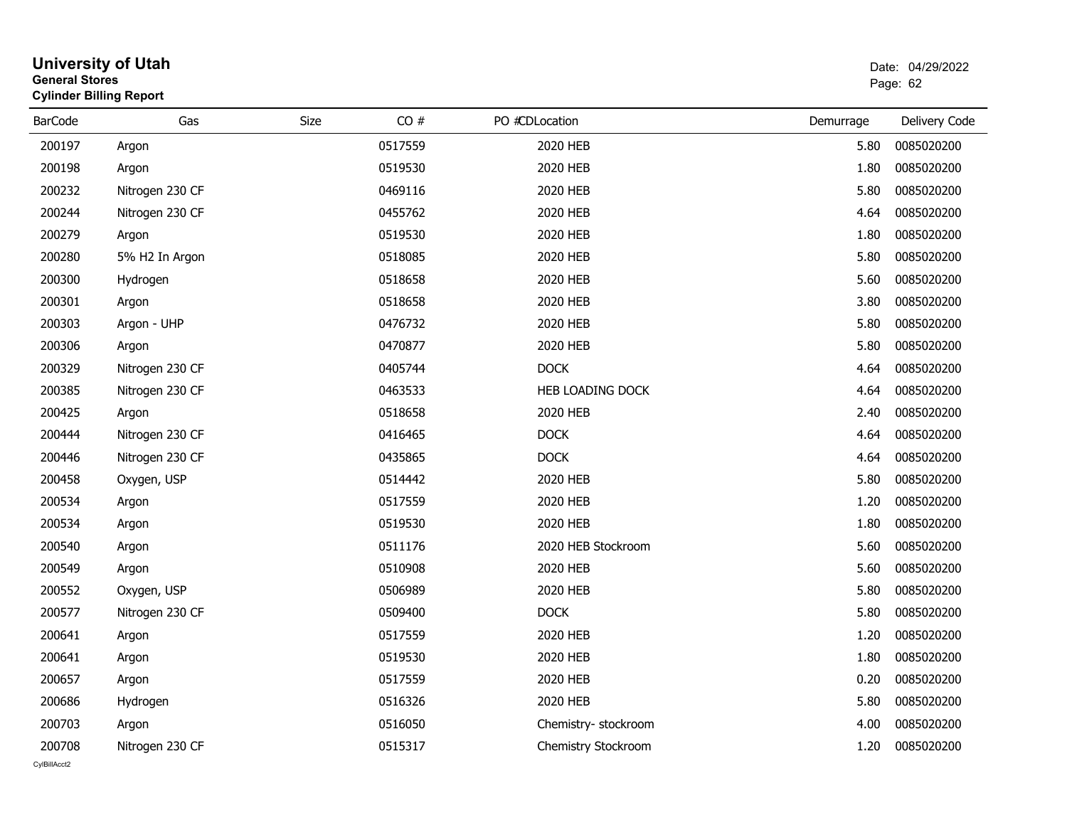| General Stores | <b>Cylinder Billing Report</b> |      | Page: 62 |                     |           |               |
|----------------|--------------------------------|------|----------|---------------------|-----------|---------------|
| <b>BarCode</b> | Gas                            | Size | CO#      | PO #CDLocation      | Demurrage | Delivery Code |
| 200197         | Argon                          |      | 0517559  | 2020 HEB            | 5.80      | 0085020200    |
| 200198         | Argon                          |      | 0519530  | 2020 HEB            | 1.80      | 0085020200    |
| 200232         | Nitrogen 230 CF                |      | 0469116  | 2020 HEB            | 5.80      | 0085020200    |
| 200244         | Nitrogen 230 CF                |      | 0455762  | 2020 HEB            | 4.64      | 0085020200    |
| 200279         | Argon                          |      | 0519530  | 2020 HEB            | 1.80      | 0085020200    |
| 200280         | 5% H2 In Argon                 |      | 0518085  | 2020 HEB            | 5.80      | 0085020200    |
| 200300         | Hydrogen                       |      | 0518658  | 2020 HEB            | 5.60      | 0085020200    |
| 200301         | Argon                          |      | 0518658  | 2020 HEB            | 3.80      | 0085020200    |
| 200303         | Argon - UHP                    |      | 0476732  | 2020 HEB            | 5.80      | 0085020200    |
| 200306         | Argon                          |      | 0470877  | 2020 HEB            | 5.80      | 0085020200    |
| 200329         | Nitrogen 230 CF                |      | 0405744  | <b>DOCK</b>         | 4.64      | 0085020200    |
| 200385         | Nitrogen 230 CF                |      | 0463533  | HEB LOADING DOCK    | 4.64      | 0085020200    |
| 200425         | Argon                          |      | 0518658  | 2020 HEB            | 2.40      | 0085020200    |
| 200444         | Nitrogen 230 CF                |      | 0416465  | <b>DOCK</b>         | 4.64      | 0085020200    |
| 200446         | Nitrogen 230 CF                |      | 0435865  | <b>DOCK</b>         | 4.64      | 0085020200    |
| 200458         | Oxygen, USP                    |      | 0514442  | 2020 HEB            | 5.80      | 0085020200    |
| 200534         | Argon                          |      | 0517559  | 2020 HEB            | 1.20      | 0085020200    |
| 200534         | Argon                          |      | 0519530  | 2020 HEB            | 1.80      | 0085020200    |
| 200540         | Argon                          |      | 0511176  | 2020 HEB Stockroom  | 5.60      | 0085020200    |
| 200549         | Argon                          |      | 0510908  | 2020 HEB            | 5.60      | 0085020200    |
| 200552         | Oxygen, USP                    |      | 0506989  | 2020 HEB            | 5.80      | 0085020200    |
| 200577         | Nitrogen 230 CF                |      | 0509400  | <b>DOCK</b>         | 5.80      | 0085020200    |
| 200641         | Argon                          |      | 0517559  | 2020 HEB            | 1.20      | 0085020200    |
| 200641         | Argon                          |      | 0519530  | 2020 HEB            | 1.80      | 0085020200    |
| 200657         | Argon                          |      | 0517559  | 2020 HEB            | 0.20      | 0085020200    |
| 200686         | Hydrogen                       |      | 0516326  | 2020 HEB            | 5.80      | 0085020200    |
| 200703         | Argon                          |      | 0516050  | Chemistry-stockroom | 4.00      | 0085020200    |
| 200708         | Nitrogen 230 CF                |      | 0515317  | Chemistry Stockroom | 1.20      | 0085020200    |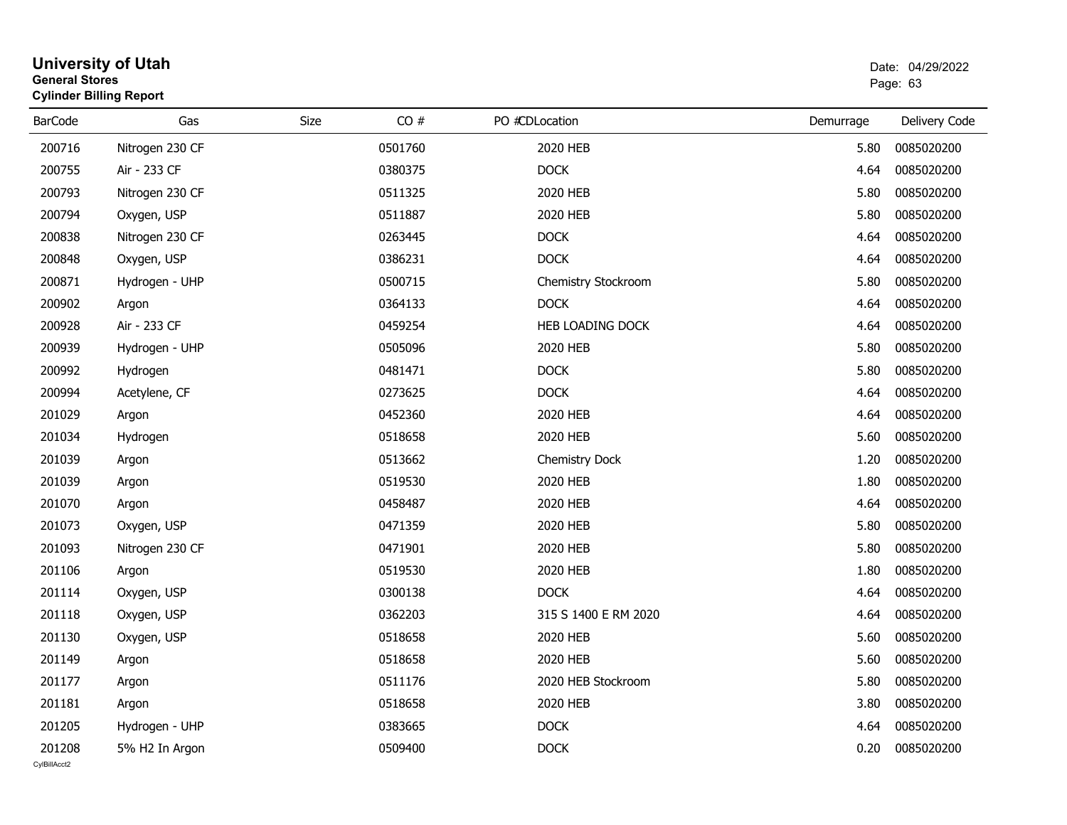|                | <b>Cylinder Billing Report</b> |      |         |                      |           |               |  |  |  |  |  |  |
|----------------|--------------------------------|------|---------|----------------------|-----------|---------------|--|--|--|--|--|--|
| <b>BarCode</b> | Gas                            | Size | CO#     | PO #CDLocation       | Demurrage | Delivery Code |  |  |  |  |  |  |
| 200716         | Nitrogen 230 CF                |      | 0501760 | 2020 HEB             | 5.80      | 0085020200    |  |  |  |  |  |  |
| 200755         | Air - 233 CF                   |      | 0380375 | <b>DOCK</b>          | 4.64      | 0085020200    |  |  |  |  |  |  |
| 200793         | Nitrogen 230 CF                |      | 0511325 | 2020 HEB             | 5.80      | 0085020200    |  |  |  |  |  |  |
| 200794         | Oxygen, USP                    |      | 0511887 | 2020 HEB             | 5.80      | 0085020200    |  |  |  |  |  |  |
| 200838         | Nitrogen 230 CF                |      | 0263445 | <b>DOCK</b>          | 4.64      | 0085020200    |  |  |  |  |  |  |
| 200848         | Oxygen, USP                    |      | 0386231 | <b>DOCK</b>          | 4.64      | 0085020200    |  |  |  |  |  |  |
| 200871         | Hydrogen - UHP                 |      | 0500715 | Chemistry Stockroom  | 5.80      | 0085020200    |  |  |  |  |  |  |
| 200902         | Argon                          |      | 0364133 | <b>DOCK</b>          | 4.64      | 0085020200    |  |  |  |  |  |  |
| 200928         | Air - 233 CF                   |      | 0459254 | HEB LOADING DOCK     | 4.64      | 0085020200    |  |  |  |  |  |  |
| 200939         | Hydrogen - UHP                 |      | 0505096 | 2020 HEB             | 5.80      | 0085020200    |  |  |  |  |  |  |
| 200992         | Hydrogen                       |      | 0481471 | <b>DOCK</b>          | 5.80      | 0085020200    |  |  |  |  |  |  |
| 200994         | Acetylene, CF                  |      | 0273625 | <b>DOCK</b>          | 4.64      | 0085020200    |  |  |  |  |  |  |
| 201029         | Argon                          |      | 0452360 | 2020 HEB             | 4.64      | 0085020200    |  |  |  |  |  |  |
| 201034         | Hydrogen                       |      | 0518658 | 2020 HEB             | 5.60      | 0085020200    |  |  |  |  |  |  |
| 201039         | Argon                          |      | 0513662 | Chemistry Dock       | 1.20      | 0085020200    |  |  |  |  |  |  |
| 201039         | Argon                          |      | 0519530 | 2020 HEB             | 1.80      | 0085020200    |  |  |  |  |  |  |
| 201070         | Argon                          |      | 0458487 | 2020 HEB             | 4.64      | 0085020200    |  |  |  |  |  |  |
| 201073         | Oxygen, USP                    |      | 0471359 | 2020 HEB             | 5.80      | 0085020200    |  |  |  |  |  |  |
| 201093         | Nitrogen 230 CF                |      | 0471901 | 2020 HEB             | 5.80      | 0085020200    |  |  |  |  |  |  |
| 201106         | Argon                          |      | 0519530 | 2020 HEB             | 1.80      | 0085020200    |  |  |  |  |  |  |
| 201114         | Oxygen, USP                    |      | 0300138 | <b>DOCK</b>          | 4.64      | 0085020200    |  |  |  |  |  |  |
| 201118         | Oxygen, USP                    |      | 0362203 | 315 S 1400 E RM 2020 | 4.64      | 0085020200    |  |  |  |  |  |  |
| 201130         | Oxygen, USP                    |      | 0518658 | 2020 HEB             | 5.60      | 0085020200    |  |  |  |  |  |  |
| 201149         | Argon                          |      | 0518658 | 2020 HEB             | 5.60      | 0085020200    |  |  |  |  |  |  |
| 201177         | Argon                          |      | 0511176 | 2020 HEB Stockroom   | 5.80      | 0085020200    |  |  |  |  |  |  |
| 201181         | Argon                          |      | 0518658 | 2020 HEB             | 3.80      | 0085020200    |  |  |  |  |  |  |
| 201205         | Hydrogen - UHP                 |      | 0383665 | <b>DOCK</b>          | 4.64      | 0085020200    |  |  |  |  |  |  |
| 201208         | 5% H2 In Argon                 |      | 0509400 | <b>DOCK</b>          | 0.20      | 0085020200    |  |  |  |  |  |  |

## **University of Utah** Date: 04/29/2022 **General Stores**entry of the control of the control of the control of the control of the control of the control of the control of the control of the control of the control of the control of the control of the control of the control of the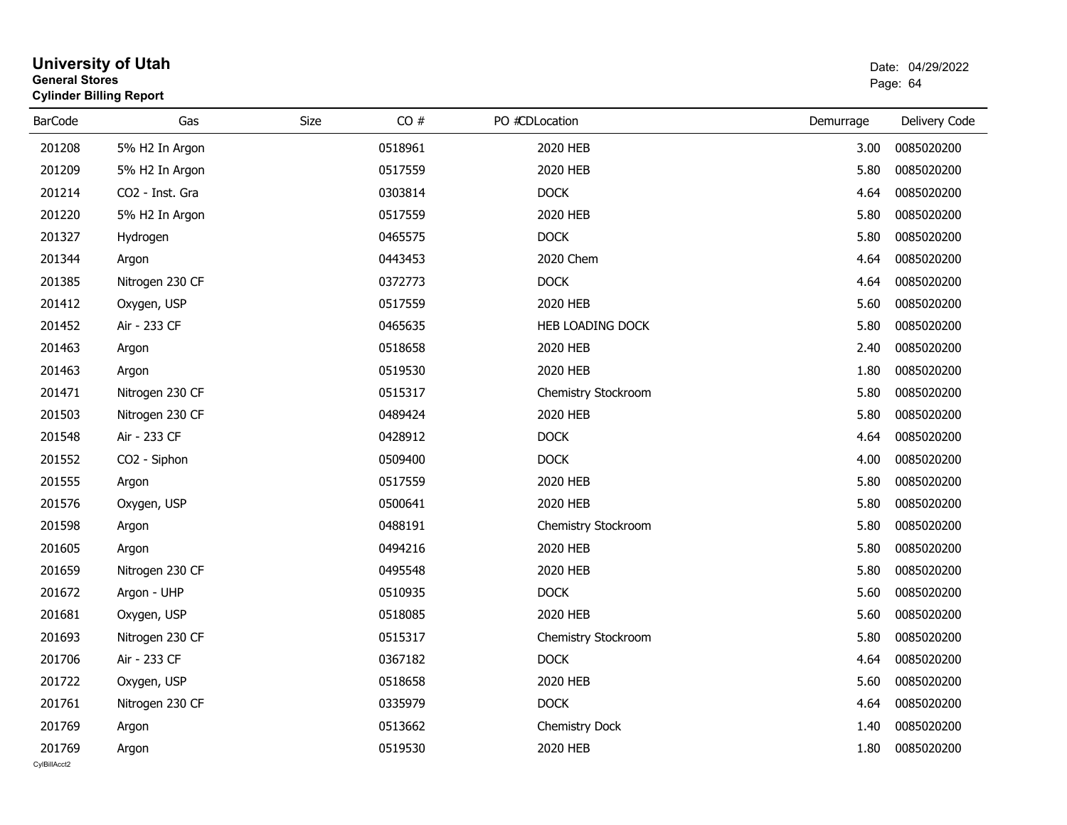| General Stores         | <b>Cylinder Billing Report</b> |      | Page: 64 |                     |           |               |
|------------------------|--------------------------------|------|----------|---------------------|-----------|---------------|
| <b>BarCode</b>         | Gas                            | Size | CO#      | PO #CDLocation      | Demurrage | Delivery Code |
| 201208                 | 5% H2 In Argon                 |      | 0518961  | 2020 HEB            | 3.00      | 0085020200    |
| 201209                 | 5% H2 In Argon                 |      | 0517559  | 2020 HEB            | 5.80      | 0085020200    |
| 201214                 | CO2 - Inst. Gra                |      | 0303814  | <b>DOCK</b>         | 4.64      | 0085020200    |
| 201220                 | 5% H2 In Argon                 |      | 0517559  | 2020 HEB            | 5.80      | 0085020200    |
| 201327                 | Hydrogen                       |      | 0465575  | <b>DOCK</b>         | 5.80      | 0085020200    |
| 201344                 | Argon                          |      | 0443453  | 2020 Chem           | 4.64      | 0085020200    |
| 201385                 | Nitrogen 230 CF                |      | 0372773  | <b>DOCK</b>         | 4.64      | 0085020200    |
| 201412                 | Oxygen, USP                    |      | 0517559  | 2020 HEB            | 5.60      | 0085020200    |
| 201452                 | Air - 233 CF                   |      | 0465635  | HEB LOADING DOCK    | 5.80      | 0085020200    |
| 201463                 | Argon                          |      | 0518658  | 2020 HEB            | 2.40      | 0085020200    |
| 201463                 | Argon                          |      | 0519530  | 2020 HEB            | 1.80      | 0085020200    |
| 201471                 | Nitrogen 230 CF                |      | 0515317  | Chemistry Stockroom | 5.80      | 0085020200    |
| 201503                 | Nitrogen 230 CF                |      | 0489424  | 2020 HEB            | 5.80      | 0085020200    |
| 201548                 | Air - 233 CF                   |      | 0428912  | <b>DOCK</b>         | 4.64      | 0085020200    |
| 201552                 | CO2 - Siphon                   |      | 0509400  | <b>DOCK</b>         | 4.00      | 0085020200    |
| 201555                 | Argon                          |      | 0517559  | 2020 HEB            | 5.80      | 0085020200    |
| 201576                 | Oxygen, USP                    |      | 0500641  | 2020 HEB            | 5.80      | 0085020200    |
| 201598                 | Argon                          |      | 0488191  | Chemistry Stockroom | 5.80      | 0085020200    |
| 201605                 | Argon                          |      | 0494216  | 2020 HEB            | 5.80      | 0085020200    |
| 201659                 | Nitrogen 230 CF                |      | 0495548  | 2020 HEB            | 5.80      | 0085020200    |
| 201672                 | Argon - UHP                    |      | 0510935  | <b>DOCK</b>         | 5.60      | 0085020200    |
| 201681                 | Oxygen, USP                    |      | 0518085  | 2020 HEB            | 5.60      | 0085020200    |
| 201693                 | Nitrogen 230 CF                |      | 0515317  | Chemistry Stockroom | 5.80      | 0085020200    |
| 201706                 | Air - 233 CF                   |      | 0367182  | <b>DOCK</b>         | 4.64      | 0085020200    |
| 201722                 | Oxygen, USP                    |      | 0518658  | 2020 HEB            | 5.60      | 0085020200    |
| 201761                 | Nitrogen 230 CF                |      | 0335979  | <b>DOCK</b>         | 4.64      | 0085020200    |
| 201769                 | Argon                          |      | 0513662  | Chemistry Dock      | 1.40      | 0085020200    |
| 201769<br>CvIBillAcct2 | Argon                          |      | 0519530  | 2020 HEB            | 1.80      | 0085020200    |
|                        |                                |      |          |                     |           |               |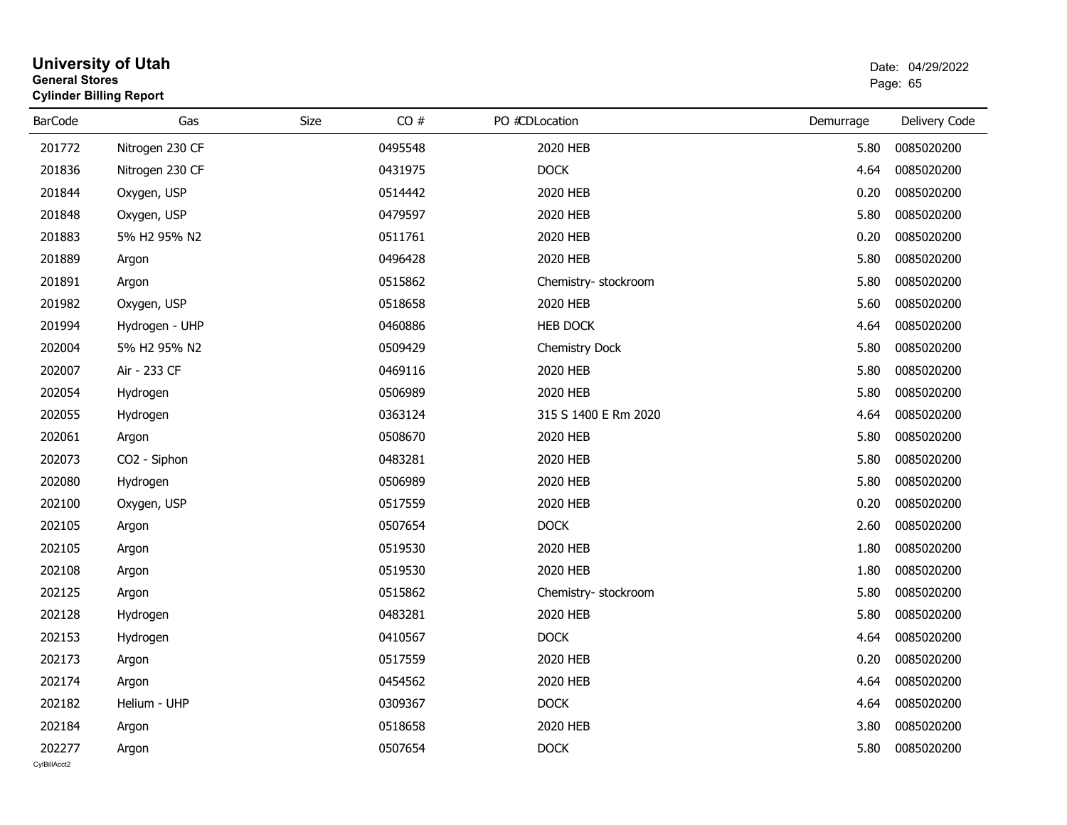| General Stores | <b>Cylinder Billing Report</b>       |      | Page: 65 |                      |           |               |
|----------------|--------------------------------------|------|----------|----------------------|-----------|---------------|
| <b>BarCode</b> | Gas                                  | Size | CO#      | PO #CDLocation       | Demurrage | Delivery Code |
| 201772         | Nitrogen 230 CF                      |      | 0495548  | 2020 HEB             | 5.80      | 0085020200    |
| 201836         | Nitrogen 230 CF                      |      | 0431975  | <b>DOCK</b>          | 4.64      | 0085020200    |
| 201844         | Oxygen, USP                          |      | 0514442  | 2020 HEB             | 0.20      | 0085020200    |
| 201848         | Oxygen, USP                          |      | 0479597  | 2020 HEB             | 5.80      | 0085020200    |
| 201883         | 5% H2 95% N2                         |      | 0511761  | 2020 HEB             | 0.20      | 0085020200    |
| 201889         | Argon                                |      | 0496428  | 2020 HEB             | 5.80      | 0085020200    |
| 201891         | Argon                                |      | 0515862  | Chemistry- stockroom | 5.80      | 0085020200    |
| 201982         | Oxygen, USP                          |      | 0518658  | 2020 HEB             | 5.60      | 0085020200    |
| 201994         | Hydrogen - UHP                       |      | 0460886  | <b>HEB DOCK</b>      | 4.64      | 0085020200    |
| 202004         | 5% H <sub>2</sub> 95% N <sub>2</sub> |      | 0509429  | Chemistry Dock       | 5.80      | 0085020200    |
| 202007         | Air - 233 CF                         |      | 0469116  | 2020 HEB             | 5.80      | 0085020200    |
| 202054         | Hydrogen                             |      | 0506989  | 2020 HEB             | 5.80      | 0085020200    |
| 202055         | Hydrogen                             |      | 0363124  | 315 S 1400 E Rm 2020 | 4.64      | 0085020200    |
| 202061         | Argon                                |      | 0508670  | 2020 HEB             | 5.80      | 0085020200    |
| 202073         | CO2 - Siphon                         |      | 0483281  | 2020 HEB             | 5.80      | 0085020200    |
| 202080         | Hydrogen                             |      | 0506989  | 2020 HEB             | 5.80      | 0085020200    |
| 202100         | Oxygen, USP                          |      | 0517559  | 2020 HEB             | 0.20      | 0085020200    |
| 202105         | Argon                                |      | 0507654  | <b>DOCK</b>          | 2.60      | 0085020200    |
| 202105         | Argon                                |      | 0519530  | 2020 HEB             | 1.80      | 0085020200    |
| 202108         | Argon                                |      | 0519530  | 2020 HEB             | 1.80      | 0085020200    |
| 202125         | Argon                                |      | 0515862  | Chemistry- stockroom | 5.80      | 0085020200    |
| 202128         | Hydrogen                             |      | 0483281  | 2020 HEB             | 5.80      | 0085020200    |
| 202153         | Hydrogen                             |      | 0410567  | <b>DOCK</b>          | 4.64      | 0085020200    |
| 202173         | Argon                                |      | 0517559  | 2020 HEB             | 0.20      | 0085020200    |
| 202174         | Argon                                |      | 0454562  | 2020 HEB             | 4.64      | 0085020200    |
| 202182         | Helium - UHP                         |      | 0309367  | <b>DOCK</b>          | 4.64      | 0085020200    |
| 202184         | Argon                                |      | 0518658  | 2020 HEB             | 3.80      | 0085020200    |
| 202277         | Argon                                |      | 0507654  | <b>DOCK</b>          | 5.80      | 0085020200    |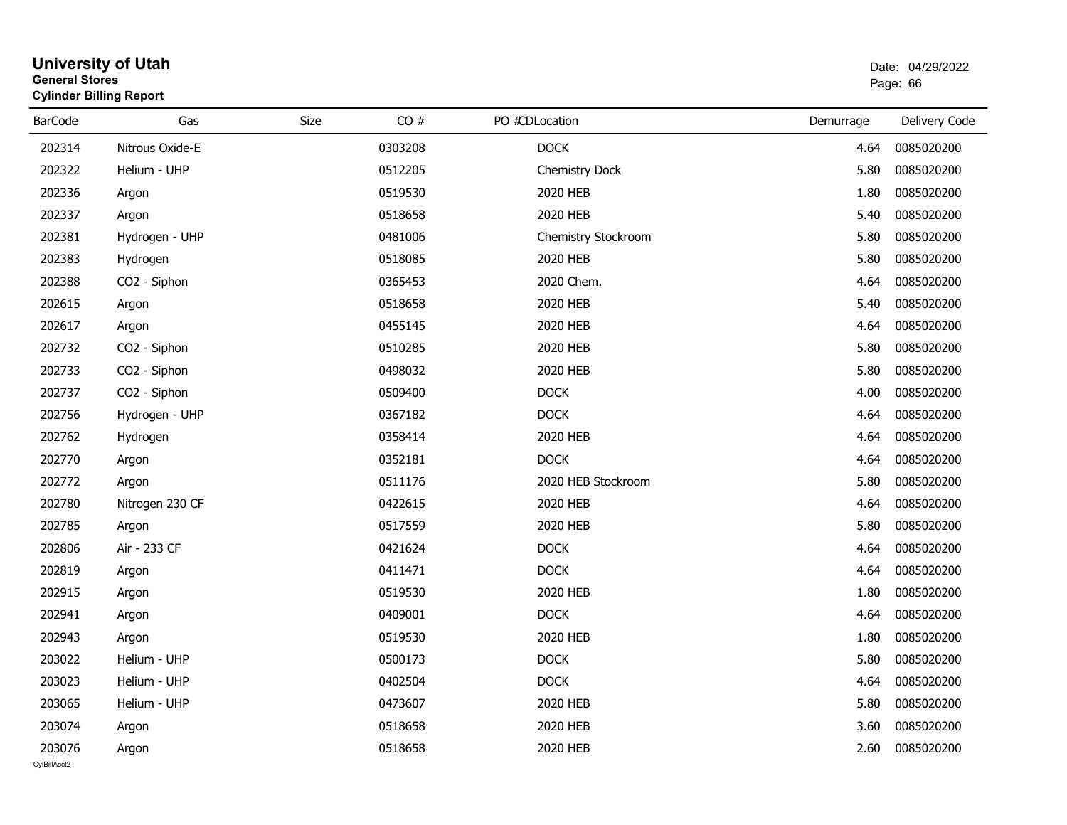#### **University of Utah** Date: 04/29/2022 **General Stores**е в последници по последници по последници по последници по последници по последници по последници по последниц<br>В 1963 године по последници по последници по последници по последници по последници по последници по последни **Cylinder Billing Report**

| <b>BarCode</b>         | Gas             | CO#<br>Size | PO #CDLocation      | Demurrage | Delivery Code |
|------------------------|-----------------|-------------|---------------------|-----------|---------------|
| 202314                 | Nitrous Oxide-E | 0303208     | <b>DOCK</b>         | 4.64      | 0085020200    |
| 202322                 | Helium - UHP    | 0512205     | Chemistry Dock      | 5.80      | 0085020200    |
| 202336                 | Argon           | 0519530     | 2020 HEB            | 1.80      | 0085020200    |
| 202337                 | Argon           | 0518658     | 2020 HEB            | 5.40      | 0085020200    |
| 202381                 | Hydrogen - UHP  | 0481006     | Chemistry Stockroom | 5.80      | 0085020200    |
| 202383                 | Hydrogen        | 0518085     | 2020 HEB            | 5.80      | 0085020200    |
| 202388                 | CO2 - Siphon    | 0365453     | 2020 Chem.          | 4.64      | 0085020200    |
| 202615                 | Argon           | 0518658     | 2020 HEB            | 5.40      | 0085020200    |
| 202617                 | Argon           | 0455145     | 2020 HEB            | 4.64      | 0085020200    |
| 202732                 | CO2 - Siphon    | 0510285     | 2020 HEB            | 5.80      | 0085020200    |
| 202733                 | CO2 - Siphon    | 0498032     | 2020 HEB            | 5.80      | 0085020200    |
| 202737                 | CO2 - Siphon    | 0509400     | <b>DOCK</b>         | 4.00      | 0085020200    |
| 202756                 | Hydrogen - UHP  | 0367182     | <b>DOCK</b>         | 4.64      | 0085020200    |
| 202762                 | Hydrogen        | 0358414     | 2020 HEB            | 4.64      | 0085020200    |
| 202770                 | Argon           | 0352181     | <b>DOCK</b>         | 4.64      | 0085020200    |
| 202772                 | Argon           | 0511176     | 2020 HEB Stockroom  | 5.80      | 0085020200    |
| 202780                 | Nitrogen 230 CF | 0422615     | 2020 HEB            | 4.64      | 0085020200    |
| 202785                 | Argon           | 0517559     | 2020 HEB            | 5.80      | 0085020200    |
| 202806                 | Air - 233 CF    | 0421624     | <b>DOCK</b>         | 4.64      | 0085020200    |
| 202819                 | Argon           | 0411471     | <b>DOCK</b>         | 4.64      | 0085020200    |
| 202915                 | Argon           | 0519530     | 2020 HEB            | 1.80      | 0085020200    |
| 202941                 | Argon           | 0409001     | <b>DOCK</b>         | 4.64      | 0085020200    |
| 202943                 | Argon           | 0519530     | 2020 HEB            | 1.80      | 0085020200    |
| 203022                 | Helium - UHP    | 0500173     | <b>DOCK</b>         | 5.80      | 0085020200    |
| 203023                 | Helium - UHP    | 0402504     | <b>DOCK</b>         | 4.64      | 0085020200    |
| 203065                 | Helium - UHP    | 0473607     | 2020 HEB            | 5.80      | 0085020200    |
| 203074                 | Argon           | 0518658     | 2020 HEB            | 3.60      | 0085020200    |
| 203076<br>CvIBillAcct2 | Argon           | 0518658     | 2020 HEB            | 2.60      | 0085020200    |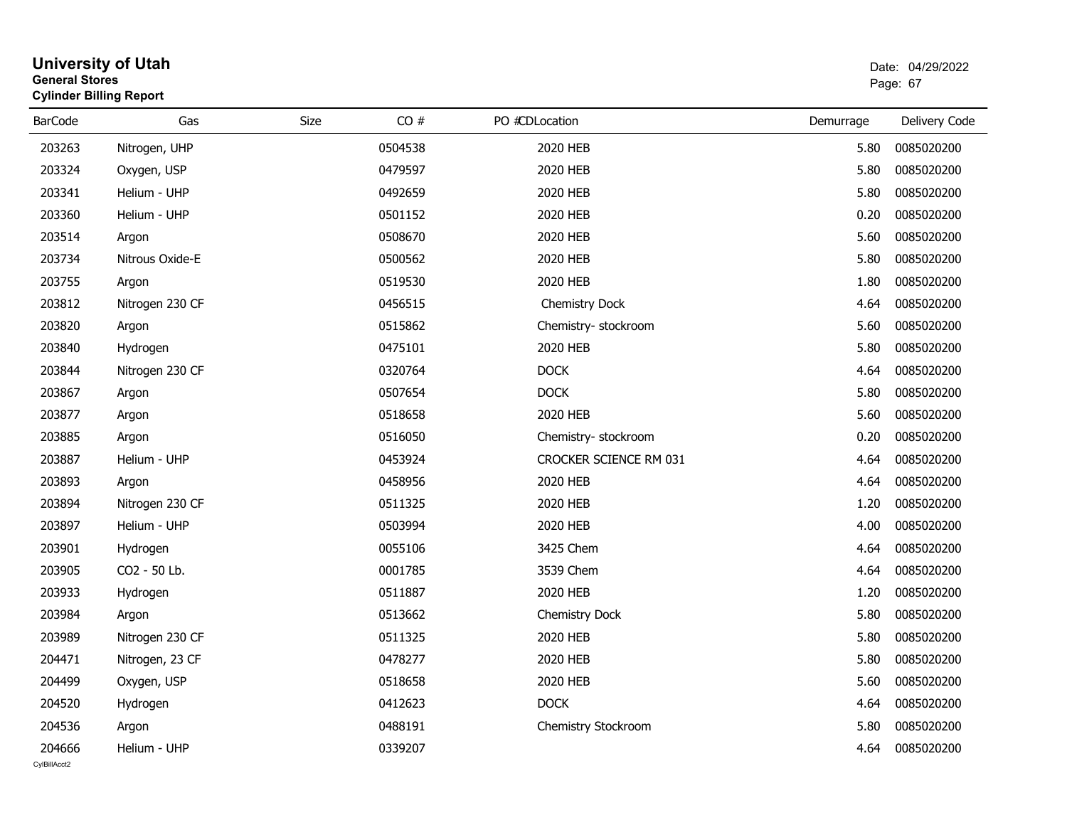| General Stores | <b>Cylinder Billing Report</b> |      | Page: 67 |                        |           |               |
|----------------|--------------------------------|------|----------|------------------------|-----------|---------------|
| <b>BarCode</b> | Gas                            | Size | CO#      | PO #CDLocation         | Demurrage | Delivery Code |
| 203263         | Nitrogen, UHP                  |      | 0504538  | 2020 HEB               | 5.80      | 0085020200    |
| 203324         | Oxygen, USP                    |      | 0479597  | 2020 HEB               | 5.80      | 0085020200    |
| 203341         | Helium - UHP                   |      | 0492659  | 2020 HEB               | 5.80      | 0085020200    |
| 203360         | Helium - UHP                   |      | 0501152  | 2020 HEB               | 0.20      | 0085020200    |
| 203514         | Argon                          |      | 0508670  | 2020 HEB               | 5.60      | 0085020200    |
| 203734         | Nitrous Oxide-E                |      | 0500562  | 2020 HEB               | 5.80      | 0085020200    |
| 203755         | Argon                          |      | 0519530  | 2020 HEB               | 1.80      | 0085020200    |
| 203812         | Nitrogen 230 CF                |      | 0456515  | Chemistry Dock         | 4.64      | 0085020200    |
| 203820         | Argon                          |      | 0515862  | Chemistry- stockroom   | 5.60      | 0085020200    |
| 203840         | Hydrogen                       |      | 0475101  | 2020 HEB               | 5.80      | 0085020200    |
| 203844         | Nitrogen 230 CF                |      | 0320764  | <b>DOCK</b>            | 4.64      | 0085020200    |
| 203867         | Argon                          |      | 0507654  | <b>DOCK</b>            | 5.80      | 0085020200    |
| 203877         | Argon                          |      | 0518658  | 2020 HEB               | 5.60      | 0085020200    |
| 203885         | Argon                          |      | 0516050  | Chemistry-stockroom    | 0.20      | 0085020200    |
| 203887         | Helium - UHP                   |      | 0453924  | CROCKER SCIENCE RM 031 | 4.64      | 0085020200    |
| 203893         | Argon                          |      | 0458956  | 2020 HEB               | 4.64      | 0085020200    |
| 203894         | Nitrogen 230 CF                |      | 0511325  | 2020 HEB               | 1.20      | 0085020200    |
| 203897         | Helium - UHP                   |      | 0503994  | 2020 HEB               | 4.00      | 0085020200    |
| 203901         | Hydrogen                       |      | 0055106  | 3425 Chem              | 4.64      | 0085020200    |
| 203905         | CO <sub>2</sub> - 50 Lb.       |      | 0001785  | 3539 Chem              | 4.64      | 0085020200    |
| 203933         | Hydrogen                       |      | 0511887  | 2020 HEB               | 1.20      | 0085020200    |
| 203984         | Argon                          |      | 0513662  | <b>Chemistry Dock</b>  | 5.80      | 0085020200    |
| 203989         | Nitrogen 230 CF                |      | 0511325  | 2020 HEB               | 5.80      | 0085020200    |
| 204471         | Nitrogen, 23 CF                |      | 0478277  | 2020 HEB               | 5.80      | 0085020200    |
| 204499         | Oxygen, USP                    |      | 0518658  | 2020 HEB               | 5.60      | 0085020200    |
| 204520         | Hydrogen                       |      | 0412623  | <b>DOCK</b>            | 4.64      | 0085020200    |
| 204536         | Argon                          |      | 0488191  | Chemistry Stockroom    | 5.80      | 0085020200    |
| 204666         | Helium - UHP                   |      | 0339207  |                        | 4.64      | 0085020200    |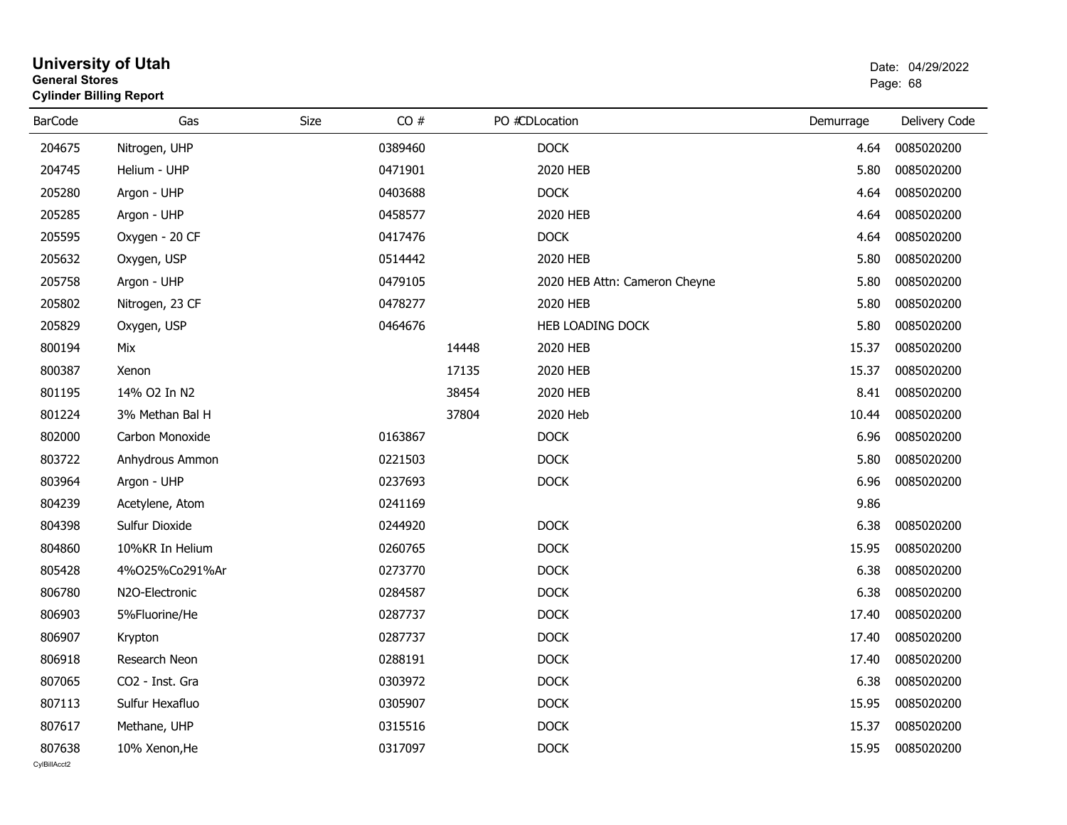| General Stores | <b>Cylinder Billing Report</b> |      | Page: 68 |       |                               |           |               |
|----------------|--------------------------------|------|----------|-------|-------------------------------|-----------|---------------|
| <b>BarCode</b> | Gas                            | Size | CO#      |       | PO #CDLocation                | Demurrage | Delivery Code |
| 204675         | Nitrogen, UHP                  |      | 0389460  |       | <b>DOCK</b>                   | 4.64      | 0085020200    |
| 204745         | Helium - UHP                   |      | 0471901  |       | 2020 HEB                      | 5.80      | 0085020200    |
| 205280         | Argon - UHP                    |      | 0403688  |       | <b>DOCK</b>                   | 4.64      | 0085020200    |
| 205285         | Argon - UHP                    |      | 0458577  |       | 2020 HEB                      | 4.64      | 0085020200    |
| 205595         | Oxygen - 20 CF                 |      | 0417476  |       | <b>DOCK</b>                   | 4.64      | 0085020200    |
| 205632         | Oxygen, USP                    |      | 0514442  |       | 2020 HEB                      | 5.80      | 0085020200    |
| 205758         | Argon - UHP                    |      | 0479105  |       | 2020 HEB Attn: Cameron Cheyne | 5.80      | 0085020200    |
| 205802         | Nitrogen, 23 CF                |      | 0478277  |       | 2020 HEB                      | 5.80      | 0085020200    |
| 205829         | Oxygen, USP                    |      | 0464676  |       | <b>HEB LOADING DOCK</b>       | 5.80      | 0085020200    |
| 800194         | Mix                            |      |          | 14448 | 2020 HEB                      | 15.37     | 0085020200    |
| 800387         | Xenon                          |      |          | 17135 | 2020 HEB                      | 15.37     | 0085020200    |
| 801195         | 14% O2 In N2                   |      |          | 38454 | 2020 HEB                      | 8.41      | 0085020200    |
| 801224         | 3% Methan Bal H                |      |          | 37804 | 2020 Heb                      | 10.44     | 0085020200    |
| 802000         | Carbon Monoxide                |      | 0163867  |       | <b>DOCK</b>                   | 6.96      | 0085020200    |
| 803722         | Anhydrous Ammon                |      | 0221503  |       | <b>DOCK</b>                   | 5.80      | 0085020200    |
| 803964         | Argon - UHP                    |      | 0237693  |       | <b>DOCK</b>                   | 6.96      | 0085020200    |
| 804239         | Acetylene, Atom                |      | 0241169  |       |                               | 9.86      |               |
| 804398         | Sulfur Dioxide                 |      | 0244920  |       | <b>DOCK</b>                   | 6.38      | 0085020200    |
| 804860         | 10%KR In Helium                |      | 0260765  |       | <b>DOCK</b>                   | 15.95     | 0085020200    |
| 805428         | 4%025%Co291%Ar                 |      | 0273770  |       | <b>DOCK</b>                   | 6.38      | 0085020200    |
| 806780         | N2O-Electronic                 |      | 0284587  |       | <b>DOCK</b>                   | 6.38      | 0085020200    |
| 806903         | 5%Fluorine/He                  |      | 0287737  |       | <b>DOCK</b>                   | 17.40     | 0085020200    |
| 806907         | Krypton                        |      | 0287737  |       | <b>DOCK</b>                   | 17.40     | 0085020200    |
| 806918         | Research Neon                  |      | 0288191  |       | <b>DOCK</b>                   | 17.40     | 0085020200    |
| 807065         | CO <sub>2</sub> - Inst. Gra    |      | 0303972  |       | <b>DOCK</b>                   | 6.38      | 0085020200    |
| 807113         | Sulfur Hexafluo                |      | 0305907  |       | <b>DOCK</b>                   | 15.95     | 0085020200    |
| 807617         | Methane, UHP                   |      | 0315516  |       | <b>DOCK</b>                   | 15.37     | 0085020200    |
| 807638         | 10% Xenon, He                  |      | 0317097  |       | <b>DOCK</b>                   | 15.95     | 0085020200    |
| CvIBillAcct2   |                                |      |          |       |                               |           |               |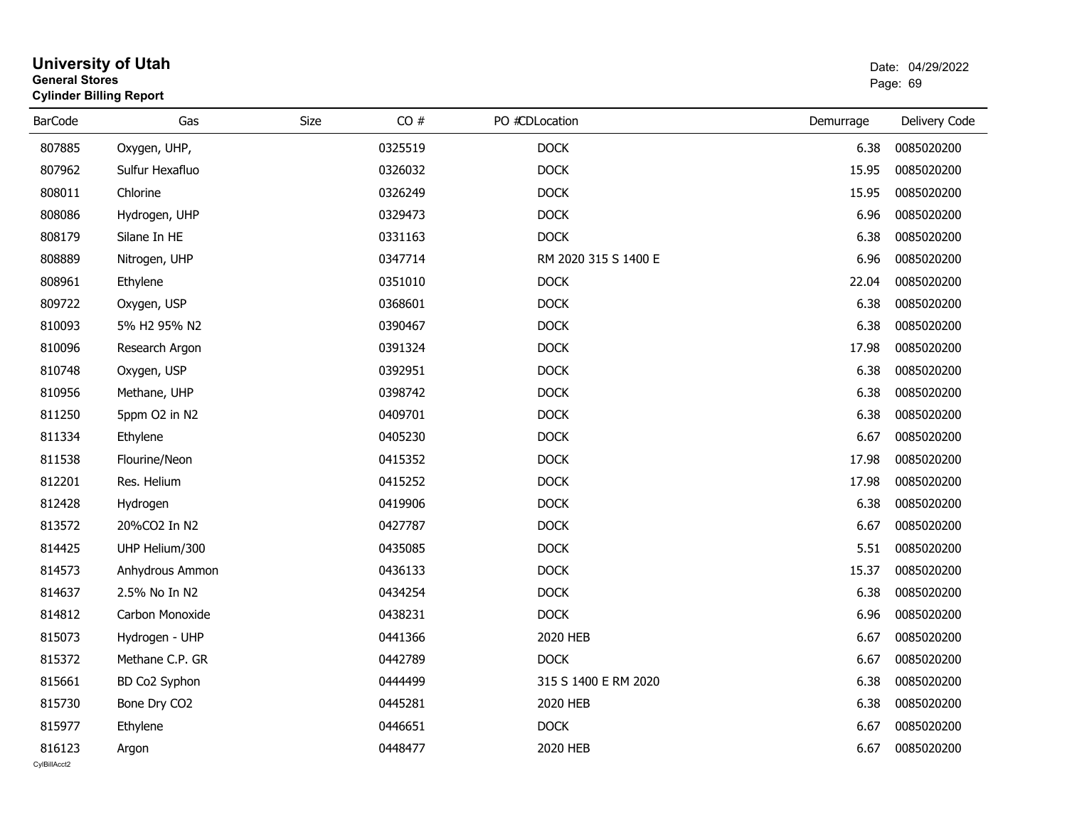|                        | <b>University of Utah</b><br><b>General Stores</b><br><b>Cylinder Billing Report</b> |             |         |                      |           |               |  |  |
|------------------------|--------------------------------------------------------------------------------------|-------------|---------|----------------------|-----------|---------------|--|--|
| <b>BarCode</b>         | Gas                                                                                  | <b>Size</b> | CO#     | PO #CDLocation       | Demurrage | Delivery Code |  |  |
| 807885                 | Oxygen, UHP,                                                                         |             | 0325519 | <b>DOCK</b>          | 6.38      | 0085020200    |  |  |
| 807962                 | Sulfur Hexafluo                                                                      |             | 0326032 | <b>DOCK</b>          | 15.95     | 0085020200    |  |  |
| 808011                 | Chlorine                                                                             |             | 0326249 | <b>DOCK</b>          | 15.95     | 0085020200    |  |  |
| 808086                 | Hydrogen, UHP                                                                        |             | 0329473 | <b>DOCK</b>          | 6.96      | 0085020200    |  |  |
| 808179                 | Silane In HE                                                                         |             | 0331163 | <b>DOCK</b>          | 6.38      | 0085020200    |  |  |
| 808889                 | Nitrogen, UHP                                                                        |             | 0347714 | RM 2020 315 S 1400 E | 6.96      | 0085020200    |  |  |
| 808961                 | Ethylene                                                                             |             | 0351010 | <b>DOCK</b>          | 22.04     | 0085020200    |  |  |
| 809722                 | Oxygen, USP                                                                          |             | 0368601 | <b>DOCK</b>          | 6.38      | 0085020200    |  |  |
| 810093                 | 5% H2 95% N2                                                                         |             | 0390467 | <b>DOCK</b>          | 6.38      | 0085020200    |  |  |
| 810096                 | Research Argon                                                                       |             | 0391324 | <b>DOCK</b>          | 17.98     | 0085020200    |  |  |
| 810748                 | Oxygen, USP                                                                          |             | 0392951 | <b>DOCK</b>          | 6.38      | 0085020200    |  |  |
| 810956                 | Methane, UHP                                                                         |             | 0398742 | <b>DOCK</b>          | 6.38      | 0085020200    |  |  |
| 811250                 | 5ppm O2 in N2                                                                        |             | 0409701 | <b>DOCK</b>          | 6.38      | 0085020200    |  |  |
| 811334                 | Ethylene                                                                             |             | 0405230 | <b>DOCK</b>          | 6.67      | 0085020200    |  |  |
| 811538                 | Flourine/Neon                                                                        |             | 0415352 | <b>DOCK</b>          | 17.98     | 0085020200    |  |  |
| 812201                 | Res. Helium                                                                          |             | 0415252 | <b>DOCK</b>          | 17.98     | 0085020200    |  |  |
| 812428                 | Hydrogen                                                                             |             | 0419906 | <b>DOCK</b>          | 6.38      | 0085020200    |  |  |
| 813572                 | 20%CO2 In N2                                                                         |             | 0427787 | <b>DOCK</b>          | 6.67      | 0085020200    |  |  |
| 814425                 | UHP Helium/300                                                                       |             | 0435085 | <b>DOCK</b>          | 5.51      | 0085020200    |  |  |
| 814573                 | Anhydrous Ammon                                                                      |             | 0436133 | <b>DOCK</b>          | 15.37     | 0085020200    |  |  |
| 814637                 | 2.5% No In N2                                                                        |             | 0434254 | <b>DOCK</b>          | 6.38      | 0085020200    |  |  |
| 814812                 | Carbon Monoxide                                                                      |             | 0438231 | <b>DOCK</b>          | 6.96      | 0085020200    |  |  |
| 815073                 | Hydrogen - UHP                                                                       |             | 0441366 | 2020 HEB             | 6.67      | 0085020200    |  |  |
| 815372                 | Methane C.P. GR                                                                      |             | 0442789 | <b>DOCK</b>          | 6.67      | 0085020200    |  |  |
| 815661                 | BD Co2 Syphon                                                                        |             | 0444499 | 315 S 1400 E RM 2020 | 6.38      | 0085020200    |  |  |
| 815730                 | Bone Dry CO2                                                                         |             | 0445281 | 2020 HEB             | 6.38      | 0085020200    |  |  |
| 815977                 | Ethylene                                                                             |             | 0446651 | <b>DOCK</b>          | 6.67      | 0085020200    |  |  |
| 816123<br>CvIBillAcct2 | Argon                                                                                |             | 0448477 | 2020 HEB             | 6.67      | 0085020200    |  |  |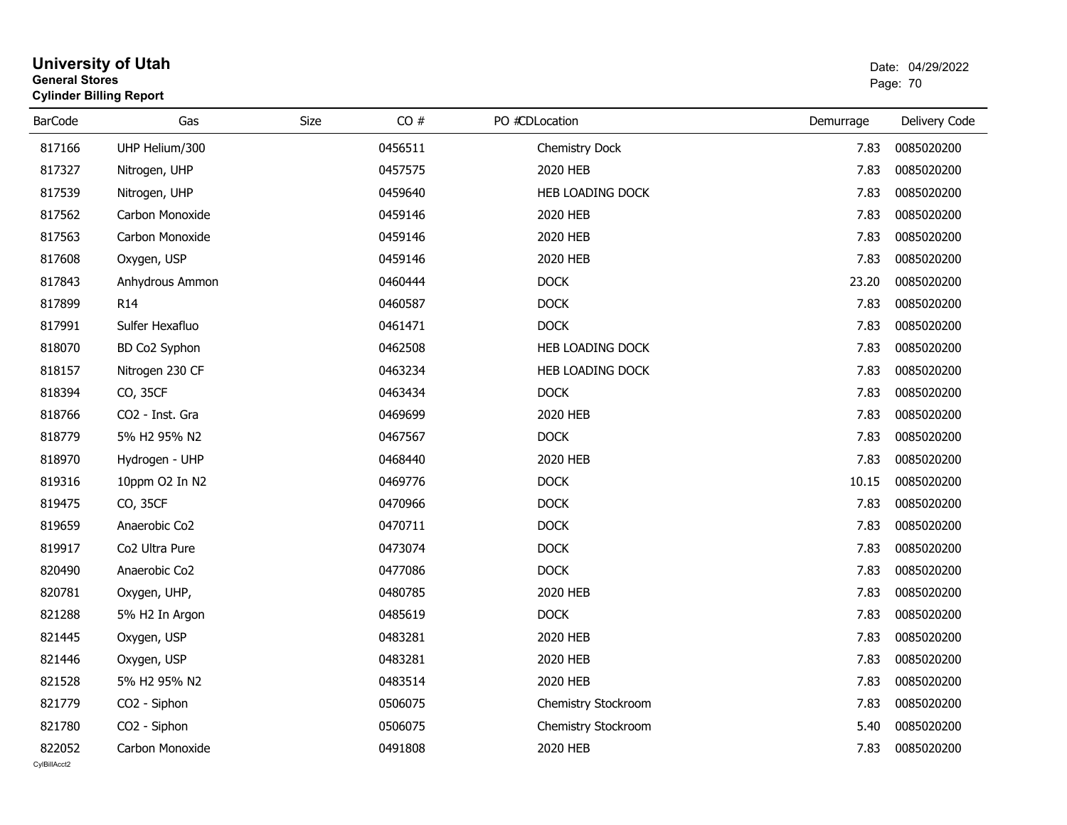| General Stores | <b>Cylinder Billing Report</b> |      | Page: 70 |                       |           |               |
|----------------|--------------------------------|------|----------|-----------------------|-----------|---------------|
| <b>BarCode</b> | Gas                            | Size | CO#      | PO #CDLocation        | Demurrage | Delivery Code |
| 817166         | UHP Helium/300                 |      | 0456511  | <b>Chemistry Dock</b> | 7.83      | 0085020200    |
| 817327         | Nitrogen, UHP                  |      | 0457575  | 2020 HEB              | 7.83      | 0085020200    |
| 817539         | Nitrogen, UHP                  |      | 0459640  | HEB LOADING DOCK      | 7.83      | 0085020200    |
| 817562         | Carbon Monoxide                |      | 0459146  | 2020 HEB              | 7.83      | 0085020200    |
| 817563         | Carbon Monoxide                |      | 0459146  | 2020 HEB              | 7.83      | 0085020200    |
| 817608         | Oxygen, USP                    |      | 0459146  | 2020 HEB              | 7.83      | 0085020200    |
| 817843         | Anhydrous Ammon                |      | 0460444  | <b>DOCK</b>           | 23.20     | 0085020200    |
| 817899         | R <sub>14</sub>                |      | 0460587  | <b>DOCK</b>           | 7.83      | 0085020200    |
| 817991         | Sulfer Hexafluo                |      | 0461471  | <b>DOCK</b>           | 7.83      | 0085020200    |
| 818070         | BD Co2 Syphon                  |      | 0462508  | HEB LOADING DOCK      | 7.83      | 0085020200    |
| 818157         | Nitrogen 230 CF                |      | 0463234  | HEB LOADING DOCK      | 7.83      | 0085020200    |
| 818394         | CO, 35CF                       |      | 0463434  | <b>DOCK</b>           | 7.83      | 0085020200    |
| 818766         | CO2 - Inst. Gra                |      | 0469699  | 2020 HEB              | 7.83      | 0085020200    |
| 818779         | 5% H2 95% N2                   |      | 0467567  | <b>DOCK</b>           | 7.83      | 0085020200    |
| 818970         | Hydrogen - UHP                 |      | 0468440  | 2020 HEB              | 7.83      | 0085020200    |
| 819316         | 10ppm O2 In N2                 |      | 0469776  | <b>DOCK</b>           | 10.15     | 0085020200    |
| 819475         | CO, 35CF                       |      | 0470966  | <b>DOCK</b>           | 7.83      | 0085020200    |
| 819659         | Anaerobic Co2                  |      | 0470711  | <b>DOCK</b>           | 7.83      | 0085020200    |
| 819917         | Co2 Ultra Pure                 |      | 0473074  | <b>DOCK</b>           | 7.83      | 0085020200    |
| 820490         | Anaerobic Co2                  |      | 0477086  | <b>DOCK</b>           | 7.83      | 0085020200    |
| 820781         | Oxygen, UHP,                   |      | 0480785  | 2020 HEB              | 7.83      | 0085020200    |
| 821288         | 5% H2 In Argon                 |      | 0485619  | <b>DOCK</b>           | 7.83      | 0085020200    |
| 821445         | Oxygen, USP                    |      | 0483281  | 2020 HEB              | 7.83      | 0085020200    |
| 821446         | Oxygen, USP                    |      | 0483281  | 2020 HEB              | 7.83      | 0085020200    |
| 821528         | 5% H2 95% N2                   |      | 0483514  | 2020 HEB              | 7.83      | 0085020200    |
| 821779         | CO2 - Siphon                   |      | 0506075  | Chemistry Stockroom   | 7.83      | 0085020200    |
| 821780         | CO2 - Siphon                   |      | 0506075  | Chemistry Stockroom   | 5.40      | 0085020200    |
| 822052         | Carbon Monoxide                |      | 0491808  | 2020 HEB              | 7.83      | 0085020200    |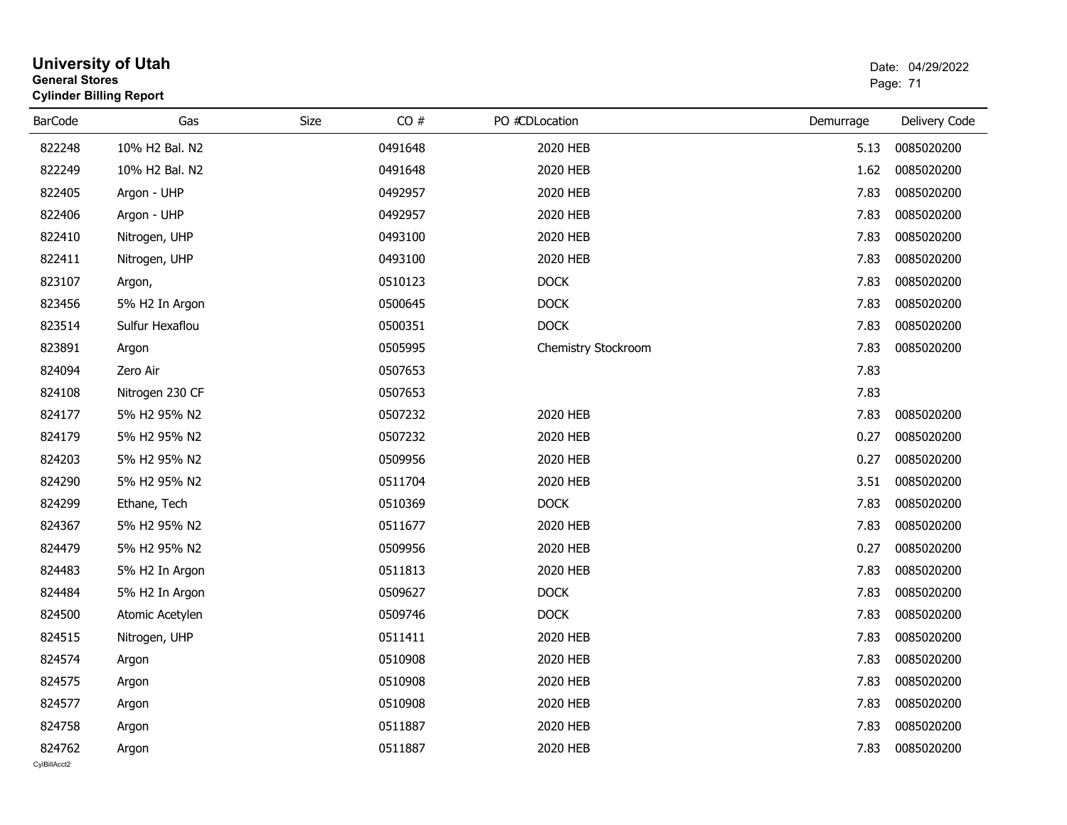|                        | <b>University of Utah</b><br><b>General Stores</b><br><b>Cylinder Billing Report</b> |      |         |                     |           |               |  |  |
|------------------------|--------------------------------------------------------------------------------------|------|---------|---------------------|-----------|---------------|--|--|
| <b>BarCode</b>         | Gas                                                                                  | Size | CO#     | PO #CDLocation      | Demurrage | Delivery Code |  |  |
| 822248                 | 10% H2 Bal. N2                                                                       |      | 0491648 | 2020 HEB            | 5.13      | 0085020200    |  |  |
| 822249                 | 10% H2 Bal. N2                                                                       |      | 0491648 | 2020 HEB            | 1.62      | 0085020200    |  |  |
| 822405                 | Argon - UHP                                                                          |      | 0492957 | 2020 HEB            | 7.83      | 0085020200    |  |  |
| 822406                 | Argon - UHP                                                                          |      | 0492957 | 2020 HEB            | 7.83      | 0085020200    |  |  |
| 822410                 | Nitrogen, UHP                                                                        |      | 0493100 | 2020 HEB            | 7.83      | 0085020200    |  |  |
| 822411                 | Nitrogen, UHP                                                                        |      | 0493100 | 2020 HEB            | 7.83      | 0085020200    |  |  |
| 823107                 | Argon,                                                                               |      | 0510123 | <b>DOCK</b>         | 7.83      | 0085020200    |  |  |
| 823456                 | 5% H2 In Argon                                                                       |      | 0500645 | <b>DOCK</b>         | 7.83      | 0085020200    |  |  |
| 823514                 | Sulfur Hexaflou                                                                      |      | 0500351 | <b>DOCK</b>         | 7.83      | 0085020200    |  |  |
| 823891                 | Argon                                                                                |      | 0505995 | Chemistry Stockroom | 7.83      | 0085020200    |  |  |
| 824094                 | Zero Air                                                                             |      | 0507653 |                     | 7.83      |               |  |  |
| 824108                 | Nitrogen 230 CF                                                                      |      | 0507653 |                     | 7.83      |               |  |  |
| 824177                 | 5% H2 95% N2                                                                         |      | 0507232 | 2020 HEB            | 7.83      | 0085020200    |  |  |
| 824179                 | 5% H2 95% N2                                                                         |      | 0507232 | 2020 HEB            | 0.27      | 0085020200    |  |  |
| 824203                 | 5% H2 95% N2                                                                         |      | 0509956 | 2020 HEB            | 0.27      | 0085020200    |  |  |
| 824290                 | 5% H2 95% N2                                                                         |      | 0511704 | 2020 HEB            | 3.51      | 0085020200    |  |  |
| 824299                 | Ethane, Tech                                                                         |      | 0510369 | <b>DOCK</b>         | 7.83      | 0085020200    |  |  |
| 824367                 | 5% H2 95% N2                                                                         |      | 0511677 | 2020 HEB            | 7.83      | 0085020200    |  |  |
| 824479                 | 5% H2 95% N2                                                                         |      | 0509956 | 2020 HEB            | 0.27      | 0085020200    |  |  |
| 824483                 | 5% H2 In Argon                                                                       |      | 0511813 | 2020 HEB            | 7.83      | 0085020200    |  |  |
| 824484                 | 5% H2 In Argon                                                                       |      | 0509627 | <b>DOCK</b>         | 7.83      | 0085020200    |  |  |
| 824500                 | Atomic Acetylen                                                                      |      | 0509746 | <b>DOCK</b>         | 7.83      | 0085020200    |  |  |
| 824515                 | Nitrogen, UHP                                                                        |      | 0511411 | 2020 HEB            | 7.83      | 0085020200    |  |  |
| 824574                 | Argon                                                                                |      | 0510908 | 2020 HEB            | 7.83      | 0085020200    |  |  |
| 824575                 | Argon                                                                                |      | 0510908 | 2020 HEB            | 7.83      | 0085020200    |  |  |
| 824577                 | Argon                                                                                |      | 0510908 | 2020 HEB            | 7.83      | 0085020200    |  |  |
| 824758                 | Argon                                                                                |      | 0511887 | 2020 HEB            | 7.83      | 0085020200    |  |  |
| 824762<br>CylBillAcct2 | Argon                                                                                |      | 0511887 | 2020 HEB            | 7.83      | 0085020200    |  |  |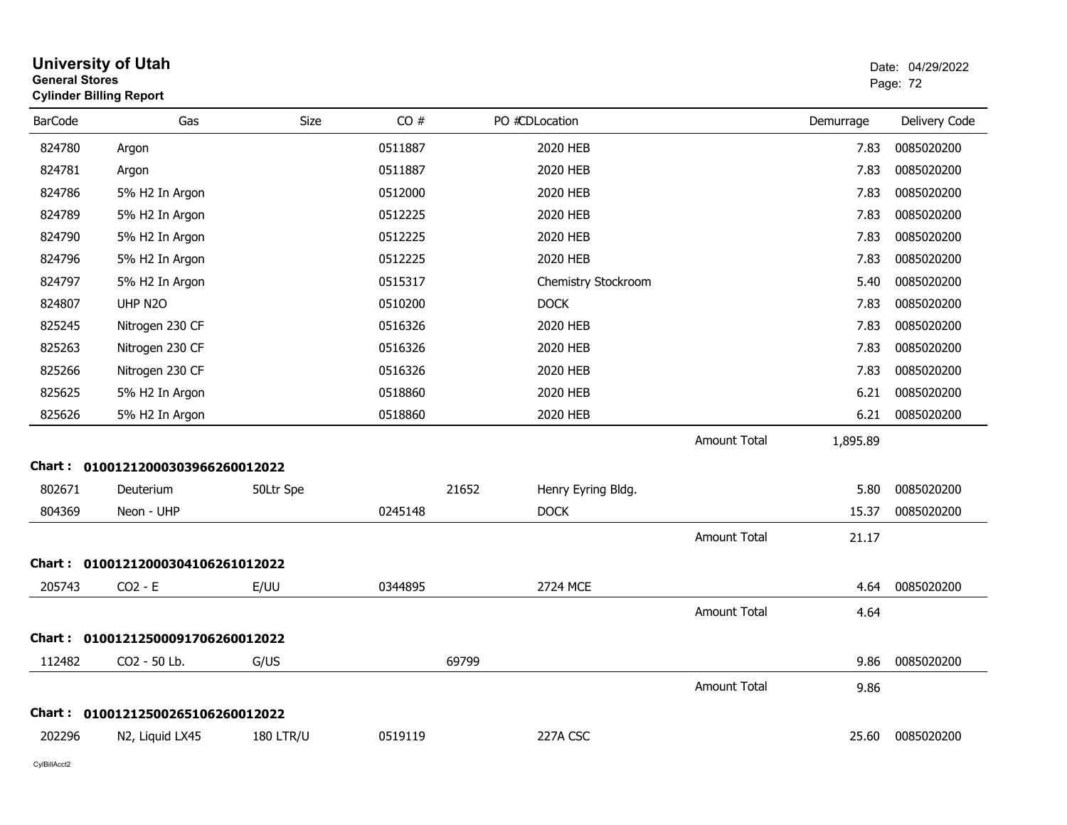| <b>General Stores</b> | <b>University of Utah</b><br><b>Cylinder Billing Report</b> |                  |         |       |                     |                     |           | Date: 04/29/2022<br>Page: 72 |
|-----------------------|-------------------------------------------------------------|------------------|---------|-------|---------------------|---------------------|-----------|------------------------------|
| <b>BarCode</b>        | Gas                                                         | <b>Size</b>      | CO#     |       | PO #CDLocation      |                     | Demurrage | Delivery Code                |
| 824780                | Argon                                                       |                  | 0511887 |       | 2020 HEB            |                     | 7.83      | 0085020200                   |
| 824781                | Argon                                                       |                  | 0511887 |       | 2020 HEB            |                     | 7.83      | 0085020200                   |
| 824786                | 5% H2 In Argon                                              |                  | 0512000 |       | 2020 HEB            |                     | 7.83      | 0085020200                   |
| 824789                | 5% H2 In Argon                                              |                  | 0512225 |       | 2020 HEB            |                     | 7.83      | 0085020200                   |
| 824790                | 5% H2 In Argon                                              |                  | 0512225 |       | 2020 HEB            |                     | 7.83      | 0085020200                   |
| 824796                | 5% H2 In Argon                                              |                  | 0512225 |       | 2020 HEB            |                     | 7.83      | 0085020200                   |
| 824797                | 5% H2 In Argon                                              |                  | 0515317 |       | Chemistry Stockroom |                     | 5.40      | 0085020200                   |
| 824807                | UHP N2O                                                     |                  | 0510200 |       | <b>DOCK</b>         |                     | 7.83      | 0085020200                   |
| 825245                | Nitrogen 230 CF                                             |                  | 0516326 |       | 2020 HEB            |                     | 7.83      | 0085020200                   |
| 825263                | Nitrogen 230 CF                                             |                  | 0516326 |       | 2020 HEB            |                     | 7.83      | 0085020200                   |
| 825266                | Nitrogen 230 CF                                             |                  | 0516326 |       | 2020 HEB            |                     | 7.83      | 0085020200                   |
| 825625                | 5% H2 In Argon                                              |                  | 0518860 |       | 2020 HEB            |                     | 6.21      | 0085020200                   |
| 825626                | 5% H2 In Argon                                              |                  | 0518860 |       | 2020 HEB            |                     | 6.21      | 0085020200                   |
|                       |                                                             |                  |         |       |                     | <b>Amount Total</b> | 1,895.89  |                              |
| <b>Chart :</b>        | 01001212000303966260012022                                  |                  |         |       |                     |                     |           |                              |
| 802671                | Deuterium                                                   | 50Ltr Spe        |         | 21652 | Henry Eyring Bldg.  |                     | 5.80      | 0085020200                   |
| 804369                | Neon - UHP                                                  |                  | 0245148 |       | <b>DOCK</b>         |                     | 15.37     | 0085020200                   |
|                       |                                                             |                  |         |       |                     | Amount Total        | 21.17     |                              |
|                       | Chart: 01001212000304106261012022                           |                  |         |       |                     |                     |           |                              |
| 205743                | $CO2 - E$                                                   | E/UU             | 0344895 |       | 2724 MCE            |                     | 4.64      | 0085020200                   |
|                       |                                                             |                  |         |       |                     | Amount Total        | 4.64      |                              |
|                       | Chart: 01001212500091706260012022                           |                  |         |       |                     |                     |           |                              |
| 112482                | CO2 - 50 Lb.                                                | G/US             |         | 69799 |                     |                     | 9.86      | 0085020200                   |
|                       |                                                             |                  |         |       |                     | <b>Amount Total</b> | 9.86      |                              |
|                       | Chart: 01001212500265106260012022                           |                  |         |       |                     |                     |           |                              |
| 202296                | N2, Liquid LX45                                             | <b>180 LTR/U</b> | 0519119 |       | 227A CSC            |                     | 25.60     | 0085020200                   |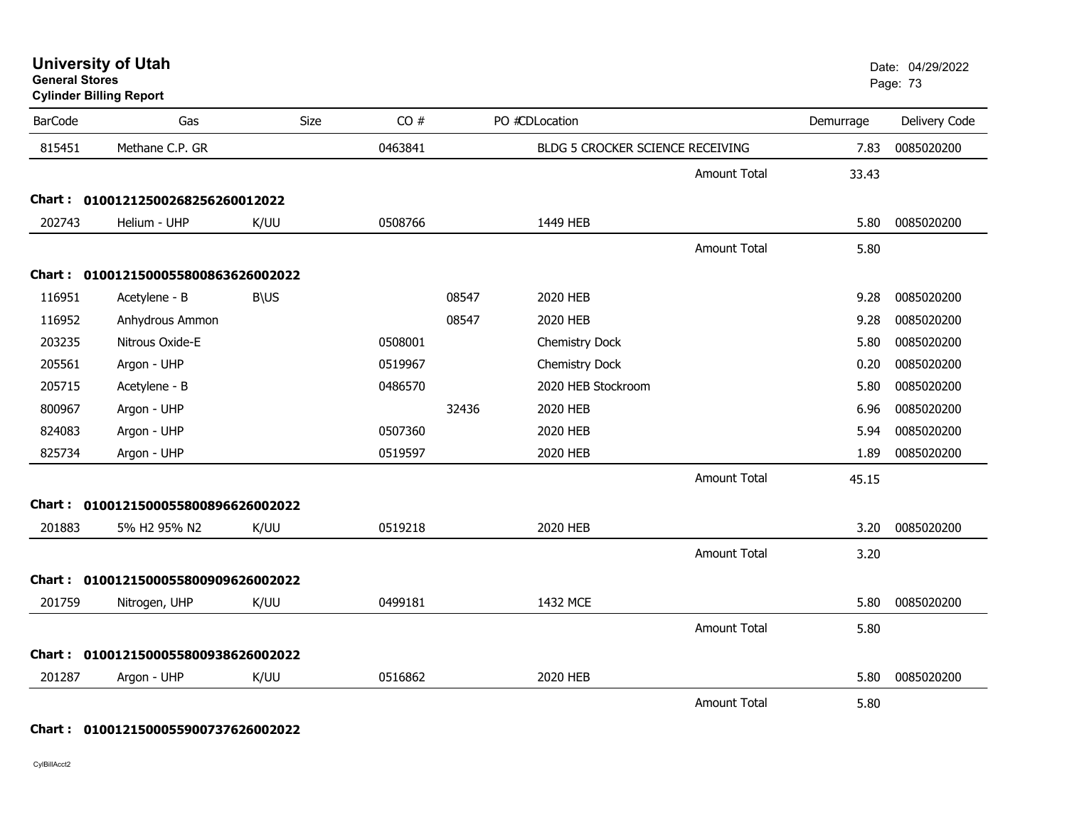**University of Utah** Date: 04/29/2022 **General Stores**

**Cylinder Billing Report**

| <b>BarCode</b> | Gas                                 | Size        | CO#     |       | PO #CDLocation                   |                     | Demurrage | Delivery Code |
|----------------|-------------------------------------|-------------|---------|-------|----------------------------------|---------------------|-----------|---------------|
| 815451         | Methane C.P. GR                     |             | 0463841 |       | BLDG 5 CROCKER SCIENCE RECEIVING |                     | 7.83      | 0085020200    |
|                |                                     |             |         |       |                                  | <b>Amount Total</b> | 33.43     |               |
|                | Chart: 01001212500268256260012022   |             |         |       |                                  |                     |           |               |
| 202743         | Helium - UHP                        | K/UU        | 0508766 |       | 1449 HEB                         |                     | 5.80      | 0085020200    |
|                |                                     |             |         |       |                                  | <b>Amount Total</b> | 5.80      |               |
|                | Chart: 0100121500055800863626002022 |             |         |       |                                  |                     |           |               |
| 116951         | Acetylene - B                       | <b>B\US</b> |         | 08547 | 2020 HEB                         |                     | 9.28      | 0085020200    |
| 116952         | Anhydrous Ammon                     |             |         | 08547 | 2020 HEB                         |                     | 9.28      | 0085020200    |
| 203235         | Nitrous Oxide-E                     |             | 0508001 |       | Chemistry Dock                   |                     | 5.80      | 0085020200    |
| 205561         | Argon - UHP                         |             | 0519967 |       | Chemistry Dock                   |                     | 0.20      | 0085020200    |
| 205715         | Acetylene - B                       |             | 0486570 |       | 2020 HEB Stockroom               |                     | 5.80      | 0085020200    |
| 800967         | Argon - UHP                         |             |         | 32436 | 2020 HEB                         |                     | 6.96      | 0085020200    |
| 824083         | Argon - UHP                         |             | 0507360 |       | 2020 HEB                         |                     | 5.94      | 0085020200    |
| 825734         | Argon - UHP                         |             | 0519597 |       | 2020 HEB                         |                     | 1.89      | 0085020200    |
|                |                                     |             |         |       |                                  | <b>Amount Total</b> | 45.15     |               |
|                | Chart: 0100121500055800896626002022 |             |         |       |                                  |                     |           |               |
| 201883         | 5% H2 95% N2                        | K/UU        | 0519218 |       | 2020 HEB                         |                     | 3.20      | 0085020200    |
|                |                                     |             |         |       |                                  | <b>Amount Total</b> | 3.20      |               |
|                | Chart: 0100121500055800909626002022 |             |         |       |                                  |                     |           |               |
| 201759         | Nitrogen, UHP                       | K/UU        | 0499181 |       | 1432 MCE                         |                     | 5.80      | 0085020200    |
|                |                                     |             |         |       |                                  | <b>Amount Total</b> | 5.80      |               |
| Chart :        | 0100121500055800938626002022        |             |         |       |                                  |                     |           |               |
| 201287         | Argon - UHP                         | K/UU        | 0516862 |       | 2020 HEB                         |                     | 5.80      | 0085020200    |
|                |                                     |             |         |       |                                  | <b>Amount Total</b> | 5.80      |               |

**Chart : 0100121500055900737626002022**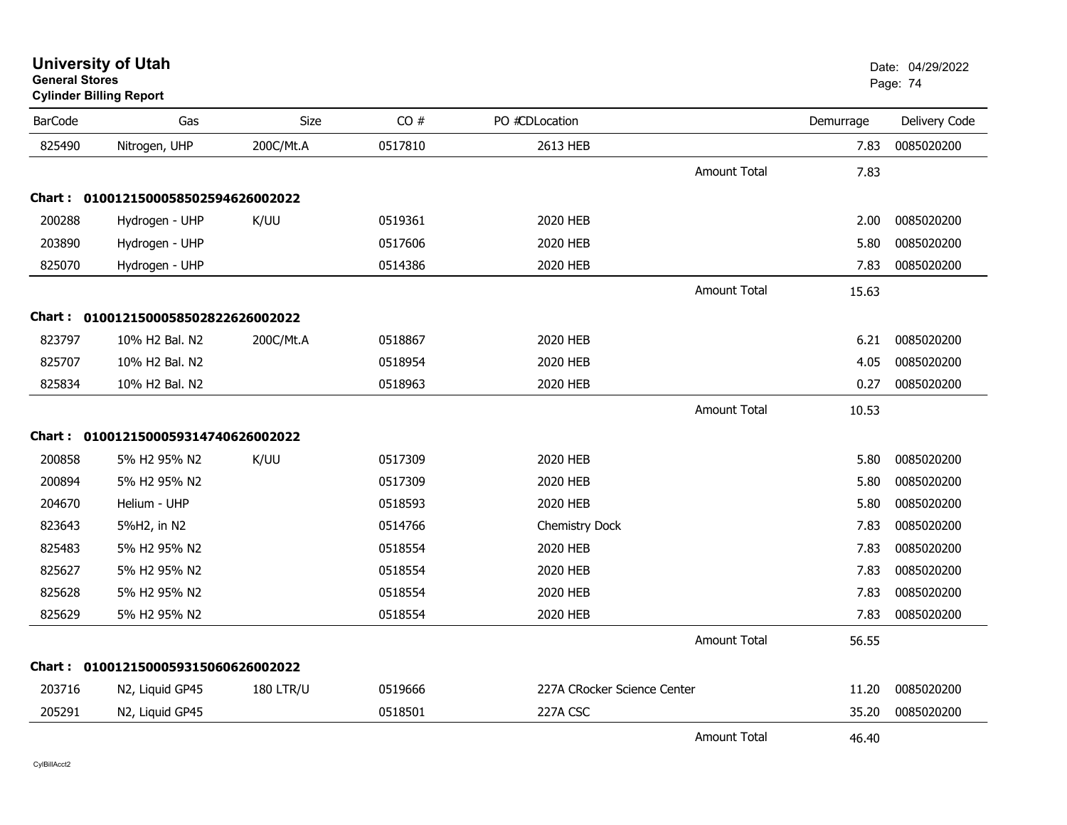| <b>BarCode</b> | Gas                                 | Size             | CO#     | PO #CDLocation              |                     | Demurrage | Delivery Code |
|----------------|-------------------------------------|------------------|---------|-----------------------------|---------------------|-----------|---------------|
| 825490         | Nitrogen, UHP                       | 200C/Mt.A        | 0517810 | 2613 HEB                    |                     | 7.83      | 0085020200    |
|                |                                     |                  |         |                             | Amount Total        | 7.83      |               |
|                | Chart: 0100121500058502594626002022 |                  |         |                             |                     |           |               |
| 200288         | Hydrogen - UHP                      | K/UU             | 0519361 | 2020 HEB                    |                     | 2.00      | 0085020200    |
| 203890         | Hydrogen - UHP                      |                  | 0517606 | 2020 HEB                    |                     | 5.80      | 0085020200    |
| 825070         | Hydrogen - UHP                      |                  | 0514386 | 2020 HEB                    |                     | 7.83      | 0085020200    |
|                |                                     |                  |         |                             | <b>Amount Total</b> | 15.63     |               |
|                | Chart: 0100121500058502822626002022 |                  |         |                             |                     |           |               |
| 823797         | 10% H2 Bal. N2                      | 200C/Mt.A        | 0518867 | 2020 HEB                    |                     | 6.21      | 0085020200    |
| 825707         | 10% H2 Bal. N2                      |                  | 0518954 | 2020 HEB                    |                     | 4.05      | 0085020200    |
| 825834         | 10% H2 Bal. N2                      |                  | 0518963 | 2020 HEB                    |                     | 0.27      | 0085020200    |
|                |                                     |                  |         |                             | <b>Amount Total</b> | 10.53     |               |
|                | Chart: 0100121500059314740626002022 |                  |         |                             |                     |           |               |
| 200858         | 5% H2 95% N2                        | K/UU             | 0517309 | 2020 HEB                    |                     | 5.80      | 0085020200    |
| 200894         | 5% H2 95% N2                        |                  | 0517309 | 2020 HEB                    |                     | 5.80      | 0085020200    |
| 204670         | Helium - UHP                        |                  | 0518593 | 2020 HEB                    |                     | 5.80      | 0085020200    |
| 823643         | 5%H2, in N2                         |                  | 0514766 | Chemistry Dock              |                     | 7.83      | 0085020200    |
| 825483         | 5% H2 95% N2                        |                  | 0518554 | 2020 HEB                    |                     | 7.83      | 0085020200    |
| 825627         | 5% H2 95% N2                        |                  | 0518554 | 2020 HEB                    |                     | 7.83      | 0085020200    |
| 825628         | 5% H2 95% N2                        |                  | 0518554 | 2020 HEB                    |                     | 7.83      | 0085020200    |
| 825629         | 5% H2 95% N2                        |                  | 0518554 | 2020 HEB                    |                     | 7.83      | 0085020200    |
|                |                                     |                  |         |                             | <b>Amount Total</b> | 56.55     |               |
|                | Chart: 0100121500059315060626002022 |                  |         |                             |                     |           |               |
| 203716         | N2, Liquid GP45                     | <b>180 LTR/U</b> | 0519666 | 227A CRocker Science Center |                     | 11.20     | 0085020200    |
| 205291         | N2, Liquid GP45                     |                  | 0518501 | 227A CSC                    |                     | 35.20     | 0085020200    |
|                |                                     |                  |         |                             | Amount Total        | 46.40     |               |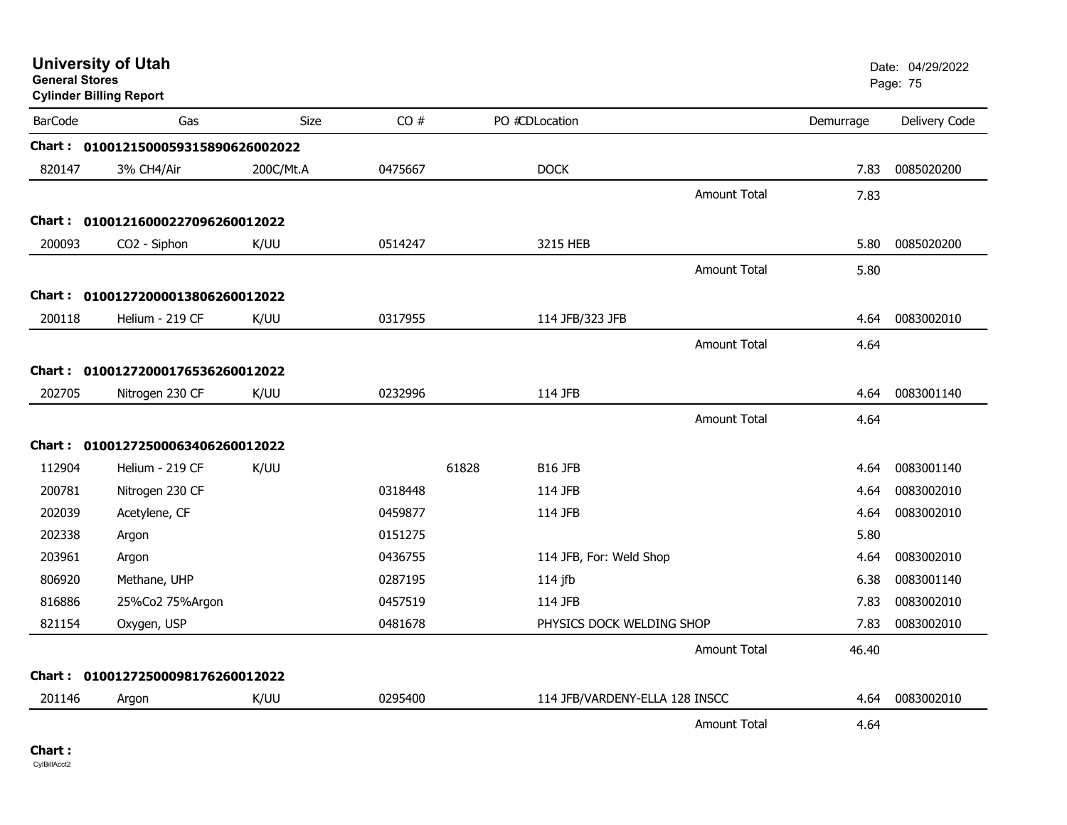| <b>General Stores</b> | <b>University of Utah</b><br><b>Cylinder Billing Report</b> |           |         |       |                                |                     |           | Date: 04/29/2022<br>Page: 75 |
|-----------------------|-------------------------------------------------------------|-----------|---------|-------|--------------------------------|---------------------|-----------|------------------------------|
| <b>BarCode</b>        | Gas                                                         | Size      | CO#     |       | PO #CDLocation                 |                     | Demurrage | Delivery Code                |
|                       | Chart: 0100121500059315890626002022                         |           |         |       |                                |                     |           |                              |
| 820147                | 3% CH4/Air                                                  | 200C/Mt.A | 0475667 |       | <b>DOCK</b>                    |                     | 7.83      | 0085020200                   |
|                       |                                                             |           |         |       |                                | <b>Amount Total</b> | 7.83      |                              |
|                       | Chart: 01001216000227096260012022                           |           |         |       |                                |                     |           |                              |
| 200093                | CO2 - Siphon                                                | K/UU      | 0514247 |       | 3215 HEB                       |                     | 5.80      | 0085020200                   |
|                       |                                                             |           |         |       |                                | <b>Amount Total</b> | 5.80      |                              |
|                       | Chart: 01001272000013806260012022                           |           |         |       |                                |                     |           |                              |
| 200118                | Helium - 219 CF                                             | K/UU      | 0317955 |       | 114 JFB/323 JFB                |                     | 4.64      | 0083002010                   |
|                       |                                                             |           |         |       |                                | Amount Total        | 4.64      |                              |
|                       | Chart: 01001272000176536260012022                           |           |         |       |                                |                     |           |                              |
| 202705                | Nitrogen 230 CF                                             | K/UU      | 0232996 |       | 114 JFB                        |                     | 4.64      | 0083001140                   |
|                       |                                                             |           |         |       |                                | <b>Amount Total</b> | 4.64      |                              |
|                       | Chart: 01001272500063406260012022                           |           |         |       |                                |                     |           |                              |
| 112904                | Helium - 219 CF                                             | K/UU      |         | 61828 | <b>B16 JFB</b>                 |                     | 4.64      | 0083001140                   |
| 200781                | Nitrogen 230 CF                                             |           | 0318448 |       | 114 JFB                        |                     | 4.64      | 0083002010                   |
| 202039                | Acetylene, CF                                               |           | 0459877 |       | 114 JFB                        |                     | 4.64      | 0083002010                   |
| 202338                | Argon                                                       |           | 0151275 |       |                                |                     | 5.80      |                              |
| 203961                | Argon                                                       |           | 0436755 |       | 114 JFB, For: Weld Shop        |                     | 4.64      | 0083002010                   |
| 806920                | Methane, UHP                                                |           | 0287195 |       | 114 jfb                        |                     | 6.38      | 0083001140                   |
| 816886                | 25%Co2 75%Argon                                             |           | 0457519 |       | 114 JFB                        |                     | 7.83      | 0083002010                   |
| 821154                | Oxygen, USP                                                 |           | 0481678 |       | PHYSICS DOCK WELDING SHOP      |                     | 7.83      | 0083002010                   |
|                       |                                                             |           |         |       |                                | <b>Amount Total</b> | 46.40     |                              |
|                       | Chart: 01001272500098176260012022                           |           |         |       |                                |                     |           |                              |
| 201146                | Argon                                                       | K/UU      | 0295400 |       | 114 JFB/VARDENY-ELLA 128 INSCC |                     | 4.64      | 0083002010                   |
|                       |                                                             |           |         |       |                                | Amount Total        | 4.64      |                              |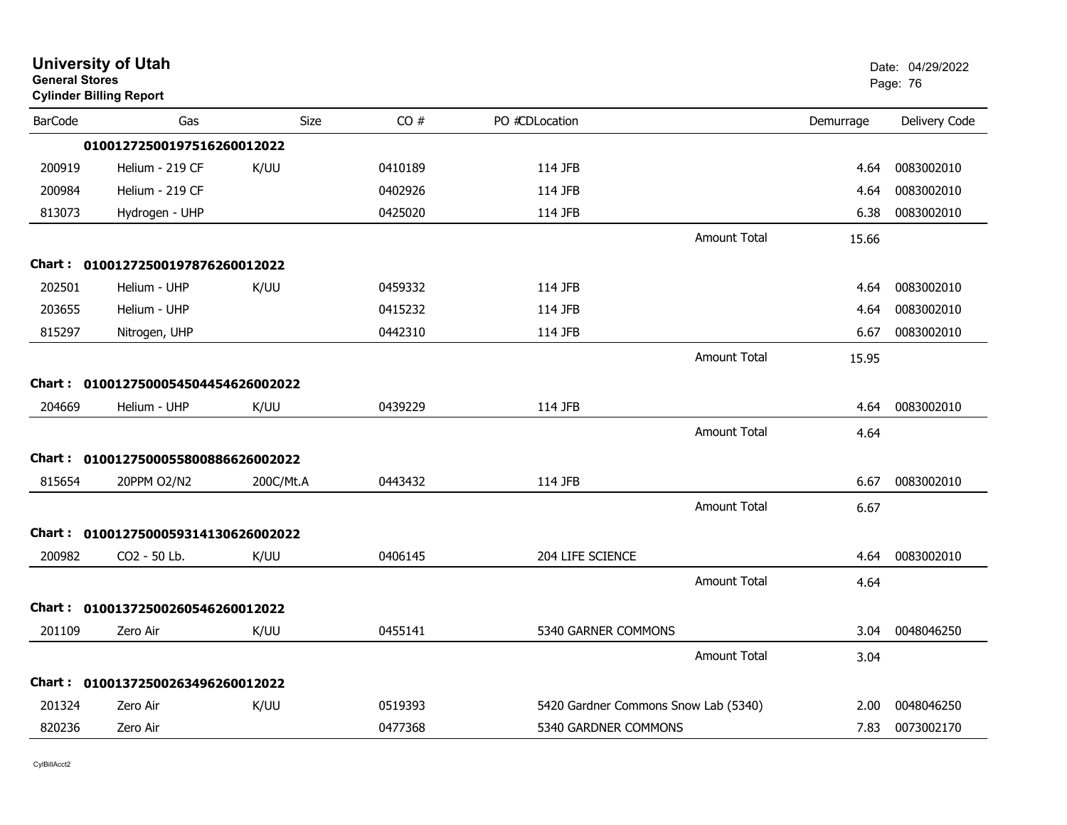| <b>General Stores</b> | <b>University of Utah</b><br><b>Cylinder Billing Report</b> |             |         |                                      |                     |           | Date: 04/29/2022<br>Page: 76 |
|-----------------------|-------------------------------------------------------------|-------------|---------|--------------------------------------|---------------------|-----------|------------------------------|
| <b>BarCode</b>        | Gas                                                         | <b>Size</b> | CO#     | PO #CDLocation                       |                     | Demurrage | Delivery Code                |
|                       | 01001272500197516260012022                                  |             |         |                                      |                     |           |                              |
| 200919                | Helium - 219 CF                                             | K/UU        | 0410189 | 114 JFB                              |                     | 4.64      | 0083002010                   |
| 200984                | Helium - 219 CF                                             |             | 0402926 | 114 JFB                              |                     | 4.64      | 0083002010                   |
| 813073                | Hydrogen - UHP                                              |             | 0425020 | 114 JFB                              |                     | 6.38      | 0083002010                   |
|                       |                                                             |             |         |                                      | <b>Amount Total</b> | 15.66     |                              |
|                       | Chart: 01001272500197876260012022                           |             |         |                                      |                     |           |                              |
| 202501                | Helium - UHP                                                | K/UU        | 0459332 | 114 JFB                              |                     | 4.64      | 0083002010                   |
| 203655                | Helium - UHP                                                |             | 0415232 | 114 JFB                              |                     | 4.64      | 0083002010                   |
| 815297                | Nitrogen, UHP                                               |             | 0442310 | 114 JFB                              |                     | 6.67      | 0083002010                   |
|                       |                                                             |             |         |                                      | <b>Amount Total</b> | 15.95     |                              |
|                       | Chart: 0100127500054504454626002022                         |             |         |                                      |                     |           |                              |
| 204669                | Helium - UHP                                                | K/UU        | 0439229 | 114 JFB                              |                     | 4.64      | 0083002010                   |
|                       |                                                             |             |         |                                      | <b>Amount Total</b> | 4.64      |                              |
|                       | Chart: 0100127500055800886626002022                         |             |         |                                      |                     |           |                              |
| 815654                | 20PPM O2/N2                                                 | 200C/Mt.A   | 0443432 | 114 JFB                              |                     | 6.67      | 0083002010                   |
|                       |                                                             |             |         |                                      | <b>Amount Total</b> | 6.67      |                              |
|                       | Chart: 0100127500059314130626002022                         |             |         |                                      |                     |           |                              |
| 200982                | CO2 - 50 Lb.                                                | K/UU        | 0406145 | 204 LIFE SCIENCE                     |                     | 4.64      | 0083002010                   |
|                       |                                                             |             |         |                                      | <b>Amount Total</b> | 4.64      |                              |
| <b>Chart :</b>        | 01001372500260546260012022                                  |             |         |                                      |                     |           |                              |
| 201109                | Zero Air                                                    | K/UU        | 0455141 | 5340 GARNER COMMONS                  |                     | 3.04      | 0048046250                   |
|                       |                                                             |             |         |                                      | <b>Amount Total</b> | 3.04      |                              |
|                       | Chart: 01001372500263496260012022                           |             |         |                                      |                     |           |                              |
| 201324                | Zero Air                                                    | K/UU        | 0519393 | 5420 Gardner Commons Snow Lab (5340) |                     | 2.00      | 0048046250                   |
| 820236                | Zero Air                                                    |             | 0477368 | 5340 GARDNER COMMONS                 |                     | 7.83      | 0073002170                   |
|                       |                                                             |             |         |                                      |                     |           |                              |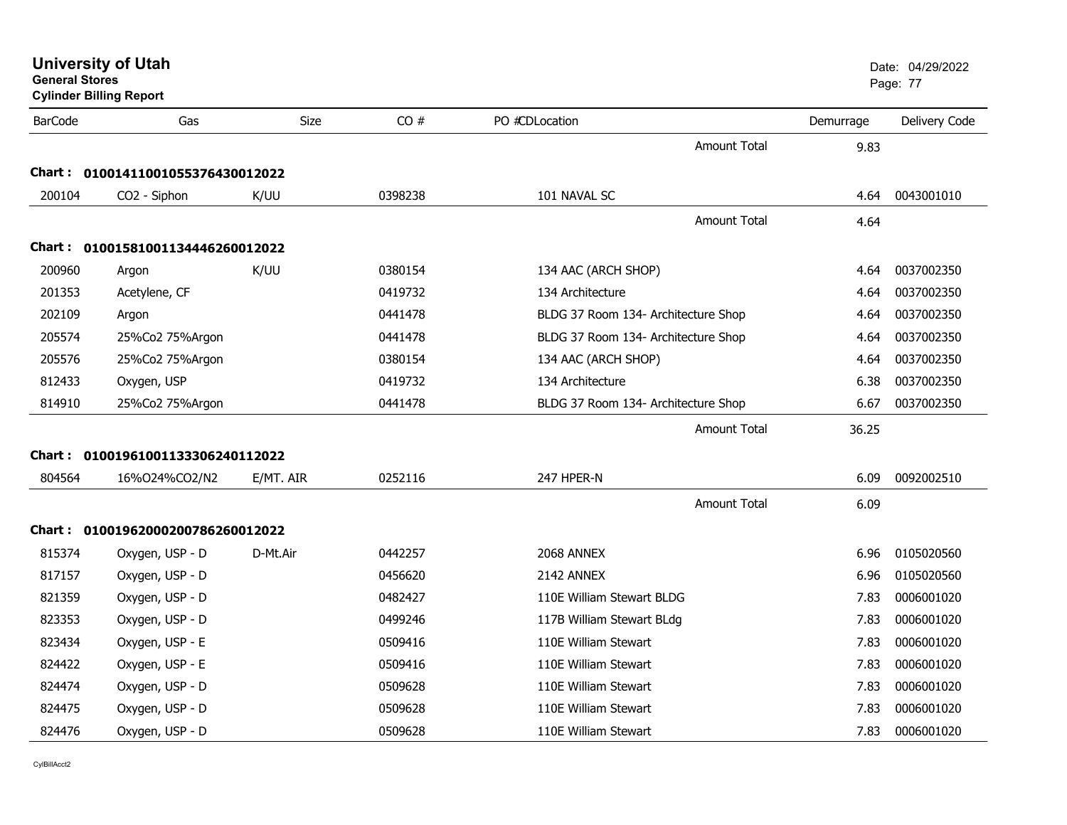| <b>University of Utah</b> |  |
|---------------------------|--|
| <b>General Stores</b>     |  |

**Cylinder Billing Report**

| <b>BarCode</b> | Gas                               | Size      | CO#     | PO #CDLocation                      | Demurrage | Delivery Code |
|----------------|-----------------------------------|-----------|---------|-------------------------------------|-----------|---------------|
|                |                                   |           |         | <b>Amount Total</b>                 | 9.83      |               |
|                | Chart: 01001411001055376430012022 |           |         |                                     |           |               |
| 200104         | CO2 - Siphon                      | K/UU      | 0398238 | 101 NAVAL SC                        | 4.64      | 0043001010    |
|                |                                   |           |         | <b>Amount Total</b>                 | 4.64      |               |
|                | Chart: 01001581001134446260012022 |           |         |                                     |           |               |
| 200960         | Argon                             | K/UU      | 0380154 | 134 AAC (ARCH SHOP)                 | 4.64      | 0037002350    |
| 201353         | Acetylene, CF                     |           | 0419732 | 134 Architecture                    | 4.64      | 0037002350    |
| 202109         | Argon                             |           | 0441478 | BLDG 37 Room 134- Architecture Shop | 4.64      | 0037002350    |
| 205574         | 25%Co2 75%Argon                   |           | 0441478 | BLDG 37 Room 134- Architecture Shop | 4.64      | 0037002350    |
| 205576         | 25%Co2 75%Argon                   |           | 0380154 | 134 AAC (ARCH SHOP)                 | 4.64      | 0037002350    |
| 812433         | Oxygen, USP                       |           | 0419732 | 134 Architecture                    | 6.38      | 0037002350    |
| 814910         | 25%Co2 75%Argon                   |           | 0441478 | BLDG 37 Room 134- Architecture Shop | 6.67      | 0037002350    |
|                |                                   |           |         | Amount Total                        | 36.25     |               |
|                | Chart: 01001961001133306240112022 |           |         |                                     |           |               |
| 804564         | 16%024%CO2/N2                     | E/MT. AIR | 0252116 | 247 HPER-N                          | 6.09      | 0092002510    |
|                |                                   |           |         | <b>Amount Total</b>                 | 6.09      |               |
|                | Chart: 01001962000200786260012022 |           |         |                                     |           |               |
| 815374         | Oxygen, USP - D                   | D-Mt.Air  | 0442257 | 2068 ANNEX                          | 6.96      | 0105020560    |
| 817157         | Oxygen, USP - D                   |           | 0456620 | 2142 ANNEX                          | 6.96      | 0105020560    |
| 821359         | Oxygen, USP - D                   |           | 0482427 | 110E William Stewart BLDG           | 7.83      | 0006001020    |
| 823353         | Oxygen, USP - D                   |           | 0499246 | 117B William Stewart BLdg           | 7.83      | 0006001020    |
| 823434         | Oxygen, USP - E                   |           | 0509416 | 110E William Stewart                | 7.83      | 0006001020    |
| 824422         | Oxygen, USP - E                   |           | 0509416 | 110E William Stewart                | 7.83      | 0006001020    |
| 824474         | Oxygen, USP - D                   |           | 0509628 | 110E William Stewart                | 7.83      | 0006001020    |
| 824475         | Oxygen, USP - D                   |           | 0509628 | 110E William Stewart                | 7.83      | 0006001020    |
| 824476         | Oxygen, USP - D                   |           | 0509628 | 110E William Stewart                | 7.83      | 0006001020    |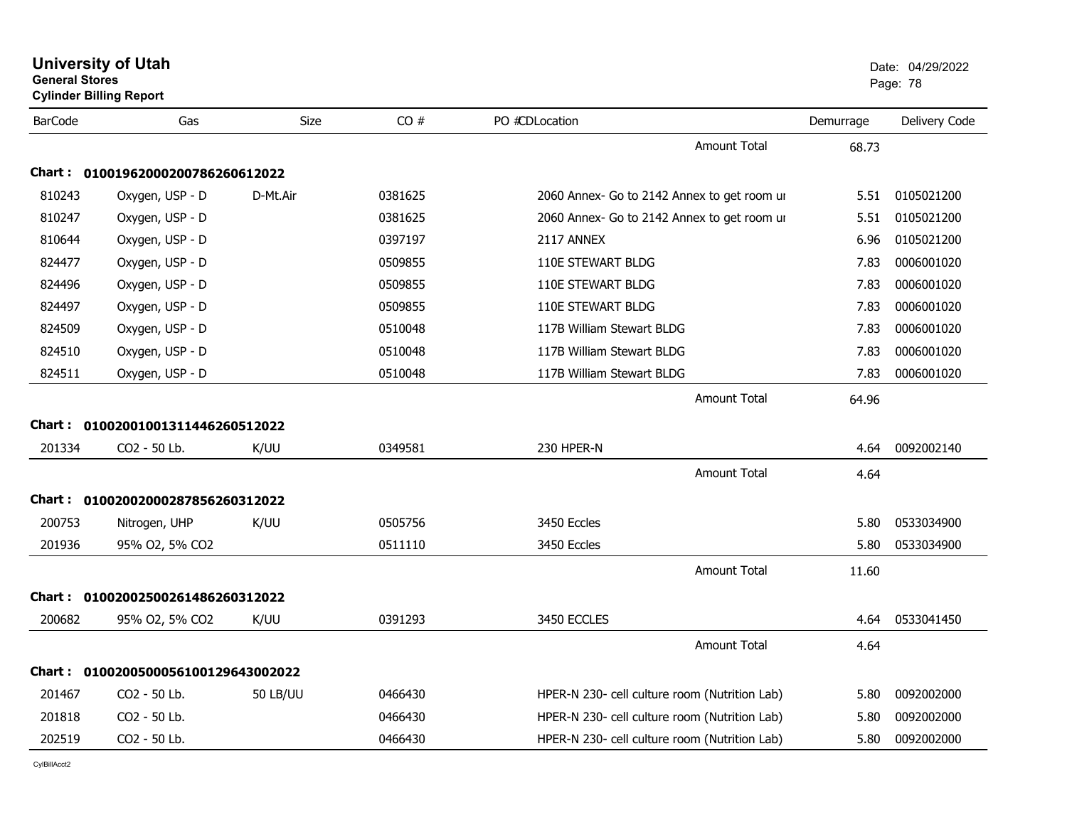| CO#<br><b>BarCode</b><br>Size<br>PO #CDLocation<br>Gas<br>Demurrage<br>Amount Total<br>68.73<br>Chart: 01001962000200786260612022<br>810243<br>0105021200<br>Oxygen, USP - D<br>0381625<br>D-Mt.Air<br>2060 Annex- Go to 2142 Annex to get room ur<br>5.51<br>810247<br>Oxygen, USP - D<br>0381625<br>0105021200<br>2060 Annex- Go to 2142 Annex to get room ur<br>5.51<br>810644<br>Oxygen, USP - D<br>0397197<br>2117 ANNEX<br>0105021200<br>6.96<br>824477<br>Oxygen, USP - D<br>0006001020<br>0509855<br>110E STEWART BLDG<br>7.83<br>Oxygen, USP - D<br>0006001020<br>824496<br>0509855<br>110E STEWART BLDG<br>7.83<br>824497<br>Oxygen, USP - D<br>110E STEWART BLDG<br>0006001020<br>0509855<br>7.83<br>824509<br>Oxygen, USP - D<br>117B William Stewart BLDG<br>0006001020<br>0510048<br>7.83<br>0006001020<br>824510<br>Oxygen, USP - D<br>0510048<br>117B William Stewart BLDG<br>7.83<br>824511<br>Oxygen, USP - D<br>117B William Stewart BLDG<br>7.83<br>0006001020<br>0510048<br>Amount Total<br>64.96<br>Chart: 01002001001311446260512022<br>230 HPER-N<br>0092002140<br>201334<br>CO2 - 50 Lb.<br>K/UU<br>0349581<br>4.64<br>Amount Total<br>4.64<br>Chart: 01002002000287856260312022<br>200753<br>0533034900<br>Nitrogen, UHP<br>K/UU<br>0505756<br>3450 Eccles<br>5.80<br>201936<br>0511110<br>3450 Eccles<br>5.80<br>0533034900<br>95% O2, 5% CO2<br><b>Amount Total</b><br>11.60<br>Chart: 01002002500261486260312022<br>200682<br>3450 ECCLES<br>0533041450<br>K/UU<br>0391293<br>4.64<br>95% O2, 5% CO2<br><b>Amount Total</b><br>4.64<br>Chart: 0100200500056100129643002022<br>201467<br>CO <sub>2</sub> - 50 Lb.<br><b>50 LB/UU</b><br>HPER-N 230- cell culture room (Nutrition Lab)<br>0092002000<br>0466430<br>5.80<br>201818<br>CO2 - 50 Lb.<br>0466430<br>HPER-N 230- cell culture room (Nutrition Lab)<br>0092002000<br>5.80<br>202519<br>CO2 - 50 Lb.<br>0092002000<br>0466430<br>HPER-N 230- cell culture room (Nutrition Lab)<br>5.80 | <b>General Stores</b> | <b>University of Utah</b><br><b>Cylinder Billing Report</b> |  |  | Date: 04/29/2022<br>Page: 78 |
|----------------------------------------------------------------------------------------------------------------------------------------------------------------------------------------------------------------------------------------------------------------------------------------------------------------------------------------------------------------------------------------------------------------------------------------------------------------------------------------------------------------------------------------------------------------------------------------------------------------------------------------------------------------------------------------------------------------------------------------------------------------------------------------------------------------------------------------------------------------------------------------------------------------------------------------------------------------------------------------------------------------------------------------------------------------------------------------------------------------------------------------------------------------------------------------------------------------------------------------------------------------------------------------------------------------------------------------------------------------------------------------------------------------------------------------------------------------------------------------------------------------------------------------------------------------------------------------------------------------------------------------------------------------------------------------------------------------------------------------------------------------------------------------------------------------------------------------------------------------------------------------------------------------------------------------------------------------------------|-----------------------|-------------------------------------------------------------|--|--|------------------------------|
|                                                                                                                                                                                                                                                                                                                                                                                                                                                                                                                                                                                                                                                                                                                                                                                                                                                                                                                                                                                                                                                                                                                                                                                                                                                                                                                                                                                                                                                                                                                                                                                                                                                                                                                                                                                                                                                                                                                                                                            |                       |                                                             |  |  | Delivery Code                |
|                                                                                                                                                                                                                                                                                                                                                                                                                                                                                                                                                                                                                                                                                                                                                                                                                                                                                                                                                                                                                                                                                                                                                                                                                                                                                                                                                                                                                                                                                                                                                                                                                                                                                                                                                                                                                                                                                                                                                                            |                       |                                                             |  |  |                              |
|                                                                                                                                                                                                                                                                                                                                                                                                                                                                                                                                                                                                                                                                                                                                                                                                                                                                                                                                                                                                                                                                                                                                                                                                                                                                                                                                                                                                                                                                                                                                                                                                                                                                                                                                                                                                                                                                                                                                                                            |                       |                                                             |  |  |                              |
|                                                                                                                                                                                                                                                                                                                                                                                                                                                                                                                                                                                                                                                                                                                                                                                                                                                                                                                                                                                                                                                                                                                                                                                                                                                                                                                                                                                                                                                                                                                                                                                                                                                                                                                                                                                                                                                                                                                                                                            |                       |                                                             |  |  |                              |
|                                                                                                                                                                                                                                                                                                                                                                                                                                                                                                                                                                                                                                                                                                                                                                                                                                                                                                                                                                                                                                                                                                                                                                                                                                                                                                                                                                                                                                                                                                                                                                                                                                                                                                                                                                                                                                                                                                                                                                            |                       |                                                             |  |  |                              |
|                                                                                                                                                                                                                                                                                                                                                                                                                                                                                                                                                                                                                                                                                                                                                                                                                                                                                                                                                                                                                                                                                                                                                                                                                                                                                                                                                                                                                                                                                                                                                                                                                                                                                                                                                                                                                                                                                                                                                                            |                       |                                                             |  |  |                              |
|                                                                                                                                                                                                                                                                                                                                                                                                                                                                                                                                                                                                                                                                                                                                                                                                                                                                                                                                                                                                                                                                                                                                                                                                                                                                                                                                                                                                                                                                                                                                                                                                                                                                                                                                                                                                                                                                                                                                                                            |                       |                                                             |  |  |                              |
|                                                                                                                                                                                                                                                                                                                                                                                                                                                                                                                                                                                                                                                                                                                                                                                                                                                                                                                                                                                                                                                                                                                                                                                                                                                                                                                                                                                                                                                                                                                                                                                                                                                                                                                                                                                                                                                                                                                                                                            |                       |                                                             |  |  |                              |
|                                                                                                                                                                                                                                                                                                                                                                                                                                                                                                                                                                                                                                                                                                                                                                                                                                                                                                                                                                                                                                                                                                                                                                                                                                                                                                                                                                                                                                                                                                                                                                                                                                                                                                                                                                                                                                                                                                                                                                            |                       |                                                             |  |  |                              |
|                                                                                                                                                                                                                                                                                                                                                                                                                                                                                                                                                                                                                                                                                                                                                                                                                                                                                                                                                                                                                                                                                                                                                                                                                                                                                                                                                                                                                                                                                                                                                                                                                                                                                                                                                                                                                                                                                                                                                                            |                       |                                                             |  |  |                              |
|                                                                                                                                                                                                                                                                                                                                                                                                                                                                                                                                                                                                                                                                                                                                                                                                                                                                                                                                                                                                                                                                                                                                                                                                                                                                                                                                                                                                                                                                                                                                                                                                                                                                                                                                                                                                                                                                                                                                                                            |                       |                                                             |  |  |                              |
|                                                                                                                                                                                                                                                                                                                                                                                                                                                                                                                                                                                                                                                                                                                                                                                                                                                                                                                                                                                                                                                                                                                                                                                                                                                                                                                                                                                                                                                                                                                                                                                                                                                                                                                                                                                                                                                                                                                                                                            |                       |                                                             |  |  |                              |
|                                                                                                                                                                                                                                                                                                                                                                                                                                                                                                                                                                                                                                                                                                                                                                                                                                                                                                                                                                                                                                                                                                                                                                                                                                                                                                                                                                                                                                                                                                                                                                                                                                                                                                                                                                                                                                                                                                                                                                            |                       |                                                             |  |  |                              |
|                                                                                                                                                                                                                                                                                                                                                                                                                                                                                                                                                                                                                                                                                                                                                                                                                                                                                                                                                                                                                                                                                                                                                                                                                                                                                                                                                                                                                                                                                                                                                                                                                                                                                                                                                                                                                                                                                                                                                                            |                       |                                                             |  |  |                              |
|                                                                                                                                                                                                                                                                                                                                                                                                                                                                                                                                                                                                                                                                                                                                                                                                                                                                                                                                                                                                                                                                                                                                                                                                                                                                                                                                                                                                                                                                                                                                                                                                                                                                                                                                                                                                                                                                                                                                                                            |                       |                                                             |  |  |                              |
|                                                                                                                                                                                                                                                                                                                                                                                                                                                                                                                                                                                                                                                                                                                                                                                                                                                                                                                                                                                                                                                                                                                                                                                                                                                                                                                                                                                                                                                                                                                                                                                                                                                                                                                                                                                                                                                                                                                                                                            |                       |                                                             |  |  |                              |
|                                                                                                                                                                                                                                                                                                                                                                                                                                                                                                                                                                                                                                                                                                                                                                                                                                                                                                                                                                                                                                                                                                                                                                                                                                                                                                                                                                                                                                                                                                                                                                                                                                                                                                                                                                                                                                                                                                                                                                            |                       |                                                             |  |  |                              |
|                                                                                                                                                                                                                                                                                                                                                                                                                                                                                                                                                                                                                                                                                                                                                                                                                                                                                                                                                                                                                                                                                                                                                                                                                                                                                                                                                                                                                                                                                                                                                                                                                                                                                                                                                                                                                                                                                                                                                                            |                       |                                                             |  |  |                              |
|                                                                                                                                                                                                                                                                                                                                                                                                                                                                                                                                                                                                                                                                                                                                                                                                                                                                                                                                                                                                                                                                                                                                                                                                                                                                                                                                                                                                                                                                                                                                                                                                                                                                                                                                                                                                                                                                                                                                                                            |                       |                                                             |  |  |                              |
|                                                                                                                                                                                                                                                                                                                                                                                                                                                                                                                                                                                                                                                                                                                                                                                                                                                                                                                                                                                                                                                                                                                                                                                                                                                                                                                                                                                                                                                                                                                                                                                                                                                                                                                                                                                                                                                                                                                                                                            |                       |                                                             |  |  |                              |
|                                                                                                                                                                                                                                                                                                                                                                                                                                                                                                                                                                                                                                                                                                                                                                                                                                                                                                                                                                                                                                                                                                                                                                                                                                                                                                                                                                                                                                                                                                                                                                                                                                                                                                                                                                                                                                                                                                                                                                            |                       |                                                             |  |  |                              |
|                                                                                                                                                                                                                                                                                                                                                                                                                                                                                                                                                                                                                                                                                                                                                                                                                                                                                                                                                                                                                                                                                                                                                                                                                                                                                                                                                                                                                                                                                                                                                                                                                                                                                                                                                                                                                                                                                                                                                                            |                       |                                                             |  |  |                              |
|                                                                                                                                                                                                                                                                                                                                                                                                                                                                                                                                                                                                                                                                                                                                                                                                                                                                                                                                                                                                                                                                                                                                                                                                                                                                                                                                                                                                                                                                                                                                                                                                                                                                                                                                                                                                                                                                                                                                                                            |                       |                                                             |  |  |                              |
|                                                                                                                                                                                                                                                                                                                                                                                                                                                                                                                                                                                                                                                                                                                                                                                                                                                                                                                                                                                                                                                                                                                                                                                                                                                                                                                                                                                                                                                                                                                                                                                                                                                                                                                                                                                                                                                                                                                                                                            |                       |                                                             |  |  |                              |
|                                                                                                                                                                                                                                                                                                                                                                                                                                                                                                                                                                                                                                                                                                                                                                                                                                                                                                                                                                                                                                                                                                                                                                                                                                                                                                                                                                                                                                                                                                                                                                                                                                                                                                                                                                                                                                                                                                                                                                            |                       |                                                             |  |  |                              |
|                                                                                                                                                                                                                                                                                                                                                                                                                                                                                                                                                                                                                                                                                                                                                                                                                                                                                                                                                                                                                                                                                                                                                                                                                                                                                                                                                                                                                                                                                                                                                                                                                                                                                                                                                                                                                                                                                                                                                                            |                       |                                                             |  |  |                              |
|                                                                                                                                                                                                                                                                                                                                                                                                                                                                                                                                                                                                                                                                                                                                                                                                                                                                                                                                                                                                                                                                                                                                                                                                                                                                                                                                                                                                                                                                                                                                                                                                                                                                                                                                                                                                                                                                                                                                                                            |                       |                                                             |  |  |                              |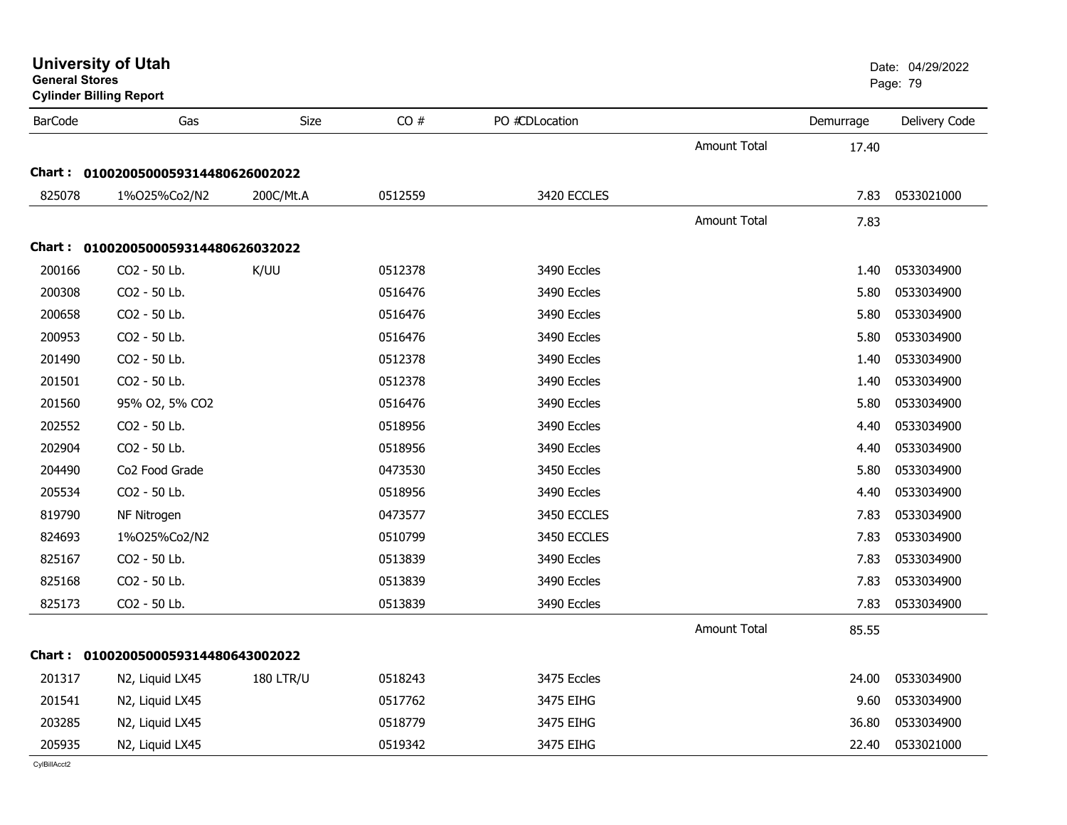| <b>General Stores</b> | <b>Cylinder Billing Report</b>      |                  |         |                |                     |           | Page: 79      |
|-----------------------|-------------------------------------|------------------|---------|----------------|---------------------|-----------|---------------|
| <b>BarCode</b>        | Gas                                 | <b>Size</b>      | CO#     | PO #CDLocation |                     | Demurrage | Delivery Code |
|                       |                                     |                  |         |                | <b>Amount Total</b> | 17.40     |               |
|                       | Chart: 0100200500059314480626002022 |                  |         |                |                     |           |               |
| 825078                | 1%025%Co2/N2                        | 200C/Mt.A        | 0512559 | 3420 ECCLES    |                     | 7.83      | 0533021000    |
|                       |                                     |                  |         |                | <b>Amount Total</b> | 7.83      |               |
|                       | Chart: 0100200500059314480626032022 |                  |         |                |                     |           |               |
| 200166                | CO <sub>2</sub> - 50 Lb.            | K/UU             | 0512378 | 3490 Eccles    |                     | 1.40      | 0533034900    |
| 200308                | CO <sub>2</sub> - 50 Lb.            |                  | 0516476 | 3490 Eccles    |                     | 5.80      | 0533034900    |
| 200658                | CO2 - 50 Lb.                        |                  | 0516476 | 3490 Eccles    |                     | 5.80      | 0533034900    |
| 200953                | CO2 - 50 Lb.                        |                  | 0516476 | 3490 Eccles    |                     | 5.80      | 0533034900    |
| 201490                | CO2 - 50 Lb.                        |                  | 0512378 | 3490 Eccles    |                     | 1.40      | 0533034900    |
| 201501                | CO2 - 50 Lb.                        |                  | 0512378 | 3490 Eccles    |                     | 1.40      | 0533034900    |
| 201560                | 95% O2, 5% CO2                      |                  | 0516476 | 3490 Eccles    |                     | 5.80      | 0533034900    |
| 202552                | CO2 - 50 Lb.                        |                  | 0518956 | 3490 Eccles    |                     | 4.40      | 0533034900    |
| 202904                | CO2 - 50 Lb.                        |                  | 0518956 | 3490 Eccles    |                     | 4.40      | 0533034900    |
| 204490                | Co2 Food Grade                      |                  | 0473530 | 3450 Eccles    |                     | 5.80      | 0533034900    |
| 205534                | CO2 - 50 Lb.                        |                  | 0518956 | 3490 Eccles    |                     | 4.40      | 0533034900    |
| 819790                | NF Nitrogen                         |                  | 0473577 | 3450 ECCLES    |                     | 7.83      | 0533034900    |
| 824693                | 1%O25%Co2/N2                        |                  | 0510799 | 3450 ECCLES    |                     | 7.83      | 0533034900    |
| 825167                | CO2 - 50 Lb.                        |                  | 0513839 | 3490 Eccles    |                     | 7.83      | 0533034900    |
| 825168                | CO2 - 50 Lb.                        |                  | 0513839 | 3490 Eccles    |                     | 7.83      | 0533034900    |
| 825173                | CO2 - 50 Lb.                        |                  | 0513839 | 3490 Eccles    |                     | 7.83      | 0533034900    |
|                       |                                     |                  |         |                | <b>Amount Total</b> | 85.55     |               |
|                       | Chart: 0100200500059314480643002022 |                  |         |                |                     |           |               |
| 201317                | N2, Liquid LX45                     | <b>180 LTR/U</b> | 0518243 | 3475 Eccles    |                     | 24.00     | 0533034900    |
| 201541                | N2, Liquid LX45                     |                  | 0517762 | 3475 EIHG      |                     | 9.60      | 0533034900    |
| 203285                | N2, Liquid LX45                     |                  | 0518779 | 3475 EIHG      |                     | 36.80     | 0533034900    |
| 205935                | N2, Liquid LX45                     |                  | 0519342 | 3475 EIHG      |                     | 22.40     | 0533021000    |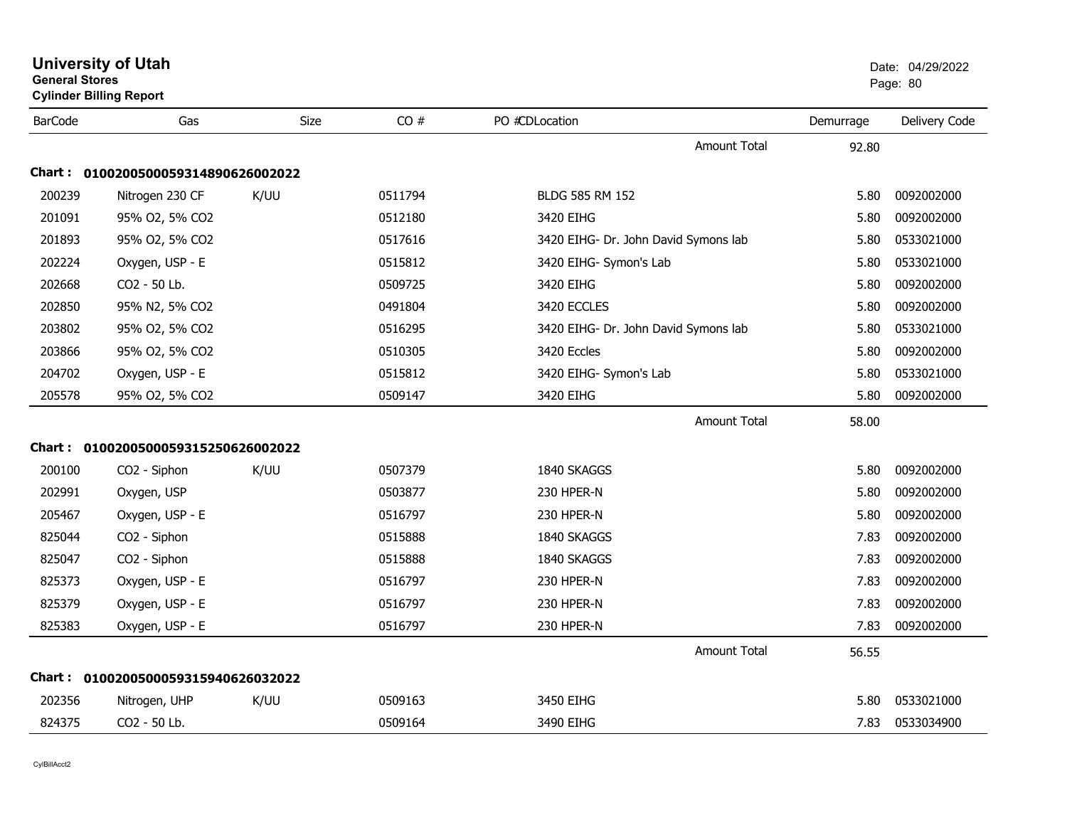| <b>General Stores</b> | <b>Cylinder Billing Report</b>      |      |         |                                      |           | Page: 80      |
|-----------------------|-------------------------------------|------|---------|--------------------------------------|-----------|---------------|
| <b>BarCode</b>        | Gas                                 | Size | CO#     | PO #CDLocation                       | Demurrage | Delivery Code |
|                       |                                     |      |         | Amount Total                         | 92.80     |               |
|                       | Chart: 0100200500059314890626002022 |      |         |                                      |           |               |
| 200239                | Nitrogen 230 CF                     | K/UU | 0511794 | BLDG 585 RM 152                      | 5.80      | 0092002000    |
| 201091                | 95% O2, 5% CO2                      |      | 0512180 | 3420 EIHG                            | 5.80      | 0092002000    |
| 201893                | 95% O2, 5% CO2                      |      | 0517616 | 3420 EIHG- Dr. John David Symons lab | 5.80      | 0533021000    |
| 202224                | Oxygen, USP - E                     |      | 0515812 | 3420 EIHG- Symon's Lab               | 5.80      | 0533021000    |
| 202668                | CO2 - 50 Lb.                        |      | 0509725 | 3420 EIHG                            | 5.80      | 0092002000    |
| 202850                | 95% N2, 5% CO2                      |      | 0491804 | 3420 ECCLES                          | 5.80      | 0092002000    |
| 203802                | 95% O2, 5% CO2                      |      | 0516295 | 3420 EIHG- Dr. John David Symons lab | 5.80      | 0533021000    |
| 203866                | 95% O2, 5% CO2                      |      | 0510305 | 3420 Eccles                          | 5.80      | 0092002000    |
| 204702                | Oxygen, USP - E                     |      | 0515812 | 3420 EIHG- Symon's Lab               | 5.80      | 0533021000    |
| 205578                | 95% O2, 5% CO2                      |      | 0509147 | 3420 EIHG                            | 5.80      | 0092002000    |
|                       |                                     |      |         | <b>Amount Total</b>                  | 58.00     |               |
|                       | Chart: 0100200500059315250626002022 |      |         |                                      |           |               |
| 200100                | CO2 - Siphon                        | K/UU | 0507379 | 1840 SKAGGS                          | 5.80      | 0092002000    |
| 202991                | Oxygen, USP                         |      | 0503877 | 230 HPER-N                           | 5.80      | 0092002000    |
| 205467                | Oxygen, USP - E                     |      | 0516797 | 230 HPER-N                           | 5.80      | 0092002000    |
| 825044                | CO2 - Siphon                        |      | 0515888 | 1840 SKAGGS                          | 7.83      | 0092002000    |
| 825047                | CO2 - Siphon                        |      | 0515888 | 1840 SKAGGS                          | 7.83      | 0092002000    |
| 825373                | Oxygen, USP - E                     |      | 0516797 | 230 HPER-N                           | 7.83      | 0092002000    |
| 825379                | Oxygen, USP - E                     |      | 0516797 | 230 HPER-N                           | 7.83      | 0092002000    |
| 825383                | Oxygen, USP - E                     |      | 0516797 | 230 HPER-N                           | 7.83      | 0092002000    |
|                       |                                     |      |         | <b>Amount Total</b>                  | 56.55     |               |
|                       | Chart: 0100200500059315940626032022 |      |         |                                      |           |               |
| 202356                | Nitrogen, UHP                       | K/UU | 0509163 | 3450 EIHG                            | 5.80      | 0533021000    |
| 824375                | CO2 - 50 Lb.                        |      | 0509164 | 3490 EIHG                            | 7.83      | 0533034900    |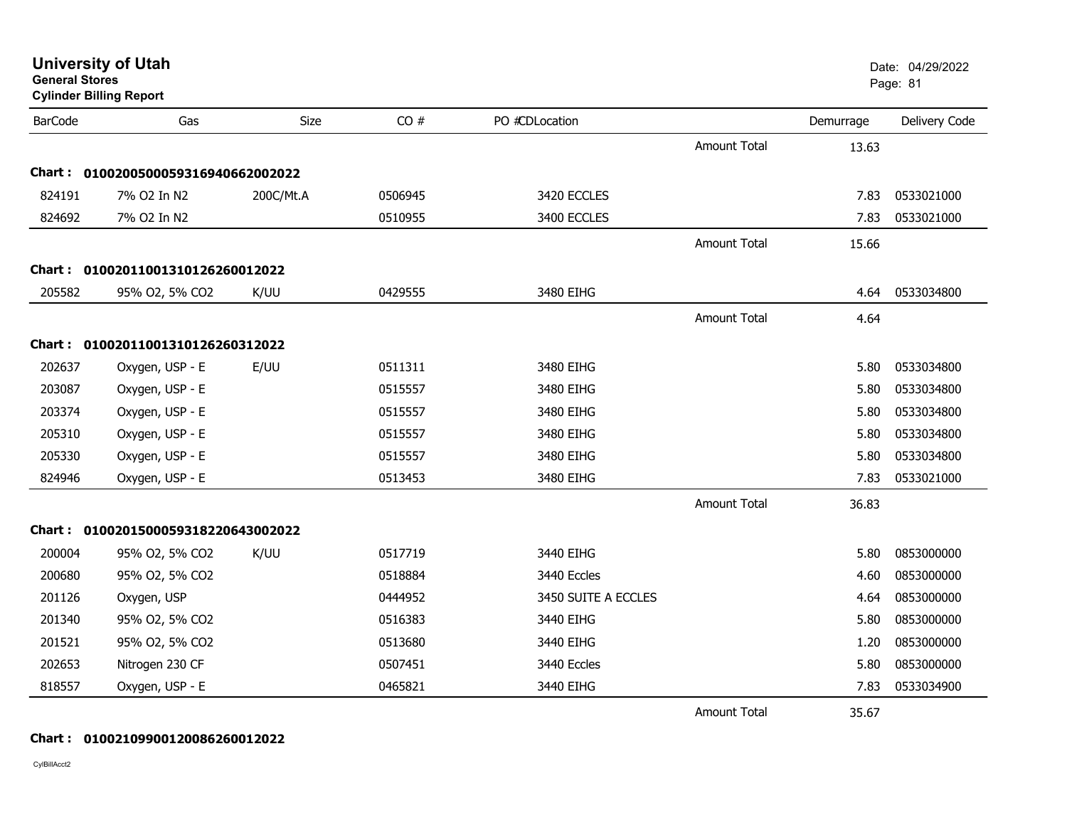| <b>General Stores</b> | <b>University of Utah</b><br><b>Cylinder Billing Report</b> |           |         |                     |                     |           | Date: 04/29/2022<br>Page: 81 |
|-----------------------|-------------------------------------------------------------|-----------|---------|---------------------|---------------------|-----------|------------------------------|
| <b>BarCode</b>        | Gas                                                         | Size      | CO#     | PO #CDLocation      |                     | Demurrage | Delivery Code                |
|                       |                                                             |           |         |                     | Amount Total        | 13.63     |                              |
|                       | Chart: 0100200500059316940662002022                         |           |         |                     |                     |           |                              |
| 824191                | 7% O2 In N2                                                 | 200C/Mt.A | 0506945 | 3420 ECCLES         |                     | 7.83      | 0533021000                   |
| 824692                | 7% O2 In N2                                                 |           | 0510955 | 3400 ECCLES         |                     | 7.83      | 0533021000                   |
|                       |                                                             |           |         |                     | <b>Amount Total</b> | 15.66     |                              |
| <b>Chart :</b>        | 01002011001310126260012022                                  |           |         |                     |                     |           |                              |
| 205582                | 95% O2, 5% CO2                                              | K/UU      | 0429555 | 3480 EIHG           |                     | 4.64      | 0533034800                   |
|                       |                                                             |           |         |                     | <b>Amount Total</b> | 4.64      |                              |
|                       | Chart: 01002011001310126260312022                           |           |         |                     |                     |           |                              |
| 202637                | Oxygen, USP - E                                             | E/UU      | 0511311 | 3480 EIHG           |                     | 5.80      | 0533034800                   |
| 203087                | Oxygen, USP - E                                             |           | 0515557 | 3480 EIHG           |                     | 5.80      | 0533034800                   |
| 203374                | Oxygen, USP - E                                             |           | 0515557 | 3480 EIHG           |                     | 5.80      | 0533034800                   |
| 205310                | Oxygen, USP - E                                             |           | 0515557 | 3480 EIHG           |                     | 5.80      | 0533034800                   |
| 205330                | Oxygen, USP - E                                             |           | 0515557 | 3480 EIHG           |                     | 5.80      | 0533034800                   |
| 824946                | Oxygen, USP - E                                             |           | 0513453 | 3480 EIHG           |                     | 7.83      | 0533021000                   |
|                       |                                                             |           |         |                     | <b>Amount Total</b> | 36.83     |                              |
|                       | Chart: 0100201500059318220643002022                         |           |         |                     |                     |           |                              |
| 200004                | 95% O2, 5% CO2                                              | K/UU      | 0517719 | 3440 EIHG           |                     | 5.80      | 0853000000                   |
| 200680                | 95% O2, 5% CO2                                              |           | 0518884 | 3440 Eccles         |                     | 4.60      | 0853000000                   |
| 201126                | Oxygen, USP                                                 |           | 0444952 | 3450 SUITE A ECCLES |                     | 4.64      | 0853000000                   |
| 201340                | 95% O2, 5% CO2                                              |           | 0516383 | 3440 EIHG           |                     | 5.80      | 0853000000                   |
| 201521                | 95% O2, 5% CO2                                              |           | 0513680 | 3440 EIHG           |                     | 1.20      | 0853000000                   |
| 202653                | Nitrogen 230 CF                                             |           | 0507451 | 3440 Eccles         |                     | 5.80      | 0853000000                   |
| 818557                | Oxygen, USP - E                                             |           | 0465821 | 3440 EIHG           |                     | 7.83      | 0533034900                   |
|                       |                                                             |           |         |                     | <b>Amount Total</b> | 35.67     |                              |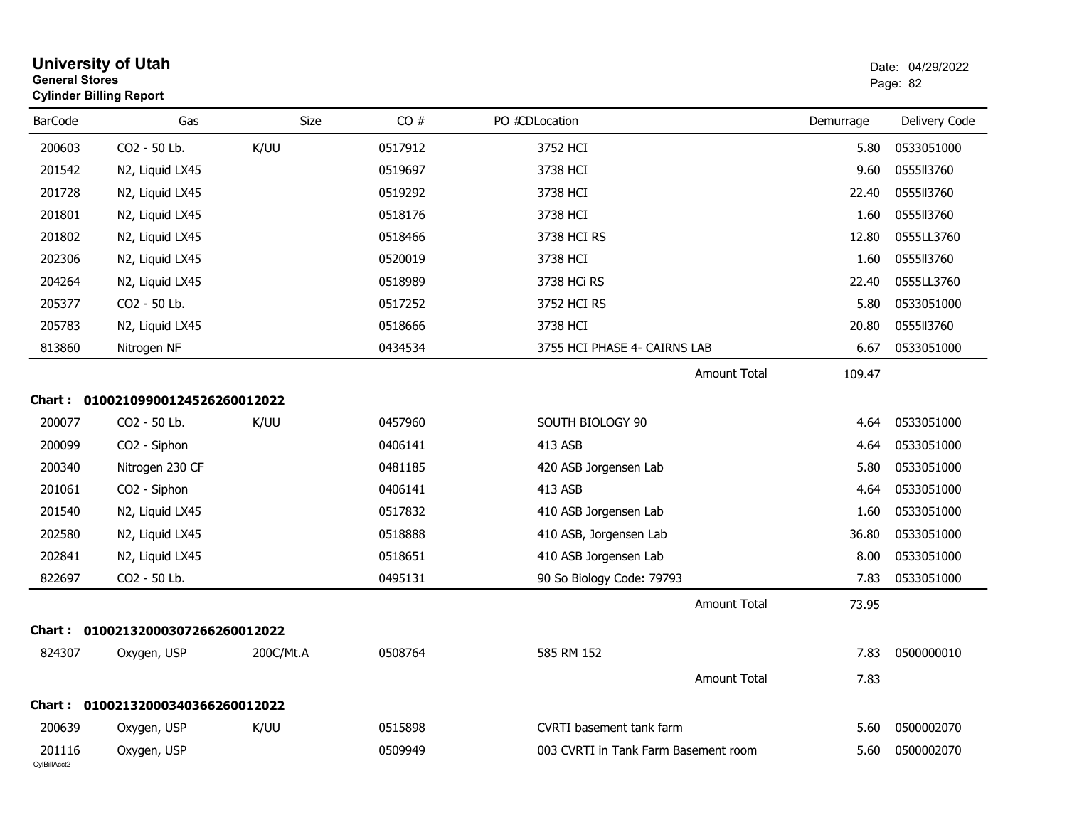| <b>General Stores</b>  | <b>University of Utah</b><br><b>Cylinder Billing Report</b> |             |         |                                      |           | Date: 04/29/2022<br>Page: 82 |
|------------------------|-------------------------------------------------------------|-------------|---------|--------------------------------------|-----------|------------------------------|
| <b>BarCode</b>         | Gas                                                         | <b>Size</b> | CO#     | PO #CDLocation                       | Demurrage | Delivery Code                |
| 200603                 | CO2 - 50 Lb.                                                | K/UU        | 0517912 | 3752 HCI                             | 5.80      | 0533051000                   |
| 201542                 | N2, Liquid LX45                                             |             | 0519697 | 3738 HCI                             | 9.60      | 0555113760                   |
| 201728                 | N2, Liquid LX45                                             |             | 0519292 | 3738 HCI                             | 22.40     | 0555113760                   |
| 201801                 | N2, Liquid LX45                                             |             | 0518176 | 3738 HCI                             | 1.60      | 0555113760                   |
| 201802                 | N2, Liquid LX45                                             |             | 0518466 | 3738 HCI RS                          | 12.80     | 0555LL3760                   |
| 202306                 | N2, Liquid LX45                                             |             | 0520019 | 3738 HCI                             | 1.60      | 0555113760                   |
| 204264                 | N2, Liquid LX45                                             |             | 0518989 | 3738 HCi RS                          | 22.40     | 0555LL3760                   |
| 205377                 | CO2 - 50 Lb.                                                |             | 0517252 | 3752 HCI RS                          | 5.80      | 0533051000                   |
| 205783                 | N2, Liquid LX45                                             |             | 0518666 | 3738 HCI                             | 20.80     | 0555113760                   |
| 813860                 | Nitrogen NF                                                 |             | 0434534 | 3755 HCI PHASE 4- CAIRNS LAB         | 6.67      | 0533051000                   |
|                        |                                                             |             |         | <b>Amount Total</b>                  | 109.47    |                              |
| <b>Chart :</b>         | 01002109900124526260012022                                  |             |         |                                      |           |                              |
| 200077                 | CO2 - 50 Lb.                                                | K/UU        | 0457960 | SOUTH BIOLOGY 90                     | 4.64      | 0533051000                   |
| 200099                 | CO2 - Siphon                                                |             | 0406141 | 413 ASB                              | 4.64      | 0533051000                   |
| 200340                 | Nitrogen 230 CF                                             |             | 0481185 | 420 ASB Jorgensen Lab                | 5.80      | 0533051000                   |
| 201061                 | CO2 - Siphon                                                |             | 0406141 | 413 ASB                              | 4.64      | 0533051000                   |
| 201540                 | N2, Liquid LX45                                             |             | 0517832 | 410 ASB Jorgensen Lab                | 1.60      | 0533051000                   |
| 202580                 | N2, Liquid LX45                                             |             | 0518888 | 410 ASB, Jorgensen Lab               | 36.80     | 0533051000                   |
| 202841                 | N2, Liquid LX45                                             |             | 0518651 | 410 ASB Jorgensen Lab                | 8.00      | 0533051000                   |
| 822697                 | CO2 - 50 Lb.                                                |             | 0495131 | 90 So Biology Code: 79793            | 7.83      | 0533051000                   |
|                        |                                                             |             |         | <b>Amount Total</b>                  | 73.95     |                              |
|                        | Chart: 01002132000307266260012022                           |             |         |                                      |           |                              |
| 824307                 | Oxygen, USP                                                 | 200C/Mt.A   | 0508764 | 585 RM 152                           | 7.83      | 0500000010                   |
|                        |                                                             |             |         | <b>Amount Total</b>                  | 7.83      |                              |
|                        | Chart: 01002132000340366260012022                           |             |         |                                      |           |                              |
| 200639                 | Oxygen, USP                                                 | K/UU        | 0515898 | <b>CVRTI</b> basement tank farm      | 5.60      | 0500002070                   |
| 201116<br>CylBillAcct2 | Oxygen, USP                                                 |             | 0509949 | 003 CVRTI in Tank Farm Basement room | 5.60      | 0500002070                   |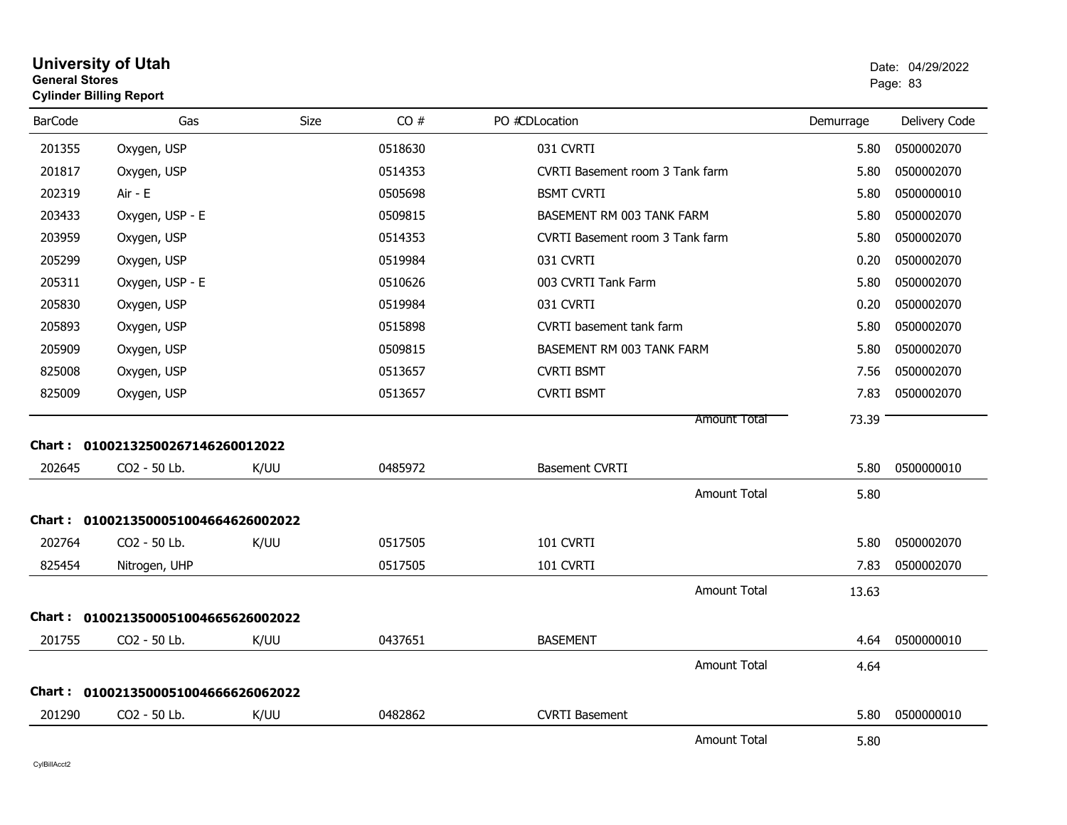| <b>General Stores</b> | <b>Cylinder Billing Report</b>      |      |         |                                 |           | Page: 83      |
|-----------------------|-------------------------------------|------|---------|---------------------------------|-----------|---------------|
| <b>BarCode</b>        | Gas                                 | Size | CO#     | PO #CDLocation                  | Demurrage | Delivery Code |
| 201355                | Oxygen, USP                         |      | 0518630 | 031 CVRTI                       | 5.80      | 0500002070    |
| 201817                | Oxygen, USP                         |      | 0514353 | CVRTI Basement room 3 Tank farm | 5.80      | 0500002070    |
| 202319                | Air - E                             |      | 0505698 | <b>BSMT CVRTI</b>               | 5.80      | 0500000010    |
| 203433                | Oxygen, USP - E                     |      | 0509815 | BASEMENT RM 003 TANK FARM       | 5.80      | 0500002070    |
| 203959                | Oxygen, USP                         |      | 0514353 | CVRTI Basement room 3 Tank farm | 5.80      | 0500002070    |
| 205299                | Oxygen, USP                         |      | 0519984 | 031 CVRTI                       | 0.20      | 0500002070    |
| 205311                | Oxygen, USP - E                     |      | 0510626 | 003 CVRTI Tank Farm             | 5.80      | 0500002070    |
| 205830                | Oxygen, USP                         |      | 0519984 | 031 CVRTI                       | 0.20      | 0500002070    |
| 205893                | Oxygen, USP                         |      | 0515898 | CVRTI basement tank farm        | 5.80      | 0500002070    |
| 205909                | Oxygen, USP                         |      | 0509815 | BASEMENT RM 003 TANK FARM       | 5.80      | 0500002070    |
| 825008                | Oxygen, USP                         |      | 0513657 | <b>CVRTI BSMT</b>               | 7.56      | 0500002070    |
| 825009                | Oxygen, USP                         |      | 0513657 | <b>CVRTI BSMT</b>               | 7.83      | 0500002070    |
|                       | Chart: 01002132500267146260012022   |      |         | Amount Total                    | 73.39     |               |
| 202645                | CO <sub>2</sub> - 50 Lb.            | K/UU | 0485972 | <b>Basement CVRTI</b>           | 5.80      | 0500000010    |
|                       |                                     |      |         | <b>Amount Total</b>             | 5.80      |               |
|                       | Chart: 0100213500051004664626002022 |      |         |                                 |           |               |
| 202764                | CO2 - 50 Lb.                        | K/UU | 0517505 | 101 CVRTI                       | 5.80      | 0500002070    |
| 825454                | Nitrogen, UHP                       |      | 0517505 | 101 CVRTI                       | 7.83      | 0500002070    |
|                       |                                     |      |         | Amount Total                    | 13.63     |               |
|                       | Chart: 0100213500051004665626002022 |      |         |                                 |           |               |
| 201755                | CO2 - 50 Lb.                        | K/UU | 0437651 | <b>BASEMENT</b>                 | 4.64      | 0500000010    |
|                       |                                     |      |         | <b>Amount Total</b>             | 4.64      |               |
|                       | Chart: 0100213500051004666626062022 |      |         |                                 |           |               |
| 201290                | CO2 - 50 Lb.                        | K/UU | 0482862 | <b>CVRTI Basement</b>           | 5.80      | 0500000010    |
|                       |                                     |      |         | <b>Amount Total</b>             | 5.80      |               |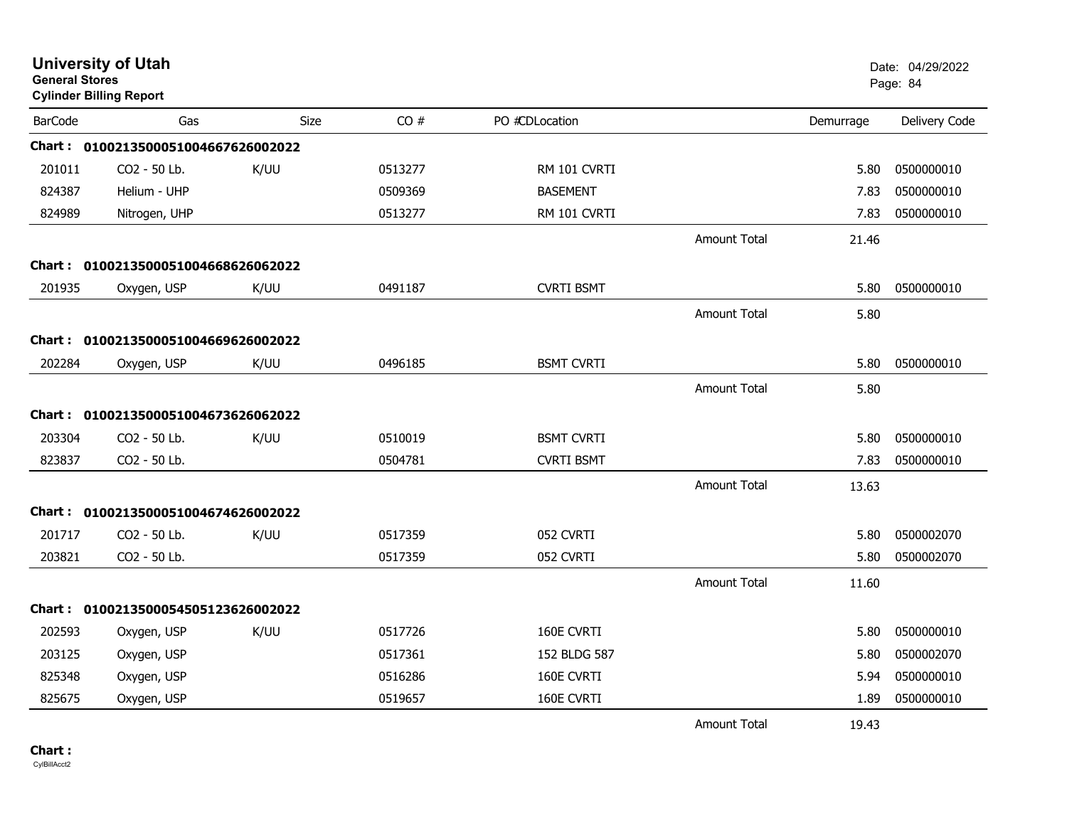| <b>General Stores</b> | <b>University of Utah</b><br><b>Cylinder Billing Report</b> |      |         |                   |                     |           | Date: 04/29/2022<br>Page: 84 |
|-----------------------|-------------------------------------------------------------|------|---------|-------------------|---------------------|-----------|------------------------------|
| <b>BarCode</b>        | Gas                                                         | Size | CO#     | PO #CDLocation    |                     | Demurrage | Delivery Code                |
|                       | Chart: 0100213500051004667626002022                         |      |         |                   |                     |           |                              |
| 201011                | CO2 - 50 Lb.                                                | K/UU | 0513277 | RM 101 CVRTI      |                     | 5.80      | 0500000010                   |
| 824387                | Helium - UHP                                                |      | 0509369 | <b>BASEMENT</b>   |                     | 7.83      | 0500000010                   |
| 824989                | Nitrogen, UHP                                               |      | 0513277 | RM 101 CVRTI      |                     | 7.83      | 0500000010                   |
|                       |                                                             |      |         |                   | <b>Amount Total</b> | 21.46     |                              |
|                       | Chart: 0100213500051004668626062022                         |      |         |                   |                     |           |                              |
| 201935                | Oxygen, USP                                                 | K/UU | 0491187 | <b>CVRTI BSMT</b> |                     | 5.80      | 0500000010                   |
|                       |                                                             |      |         |                   | Amount Total        | 5.80      |                              |
|                       | Chart: 0100213500051004669626002022                         |      |         |                   |                     |           |                              |
| 202284                | Oxygen, USP                                                 | K/UU | 0496185 | <b>BSMT CVRTI</b> |                     | 5.80      | 0500000010                   |
|                       |                                                             |      |         |                   | Amount Total        | 5.80      |                              |
|                       | Chart: 0100213500051004673626062022                         |      |         |                   |                     |           |                              |
| 203304                | CO2 - 50 Lb.                                                | K/UU | 0510019 | <b>BSMT CVRTI</b> |                     | 5.80      | 0500000010                   |
| 823837                | CO2 - 50 Lb.                                                |      | 0504781 | <b>CVRTI BSMT</b> |                     | 7.83      | 0500000010                   |
|                       |                                                             |      |         |                   | <b>Amount Total</b> | 13.63     |                              |
|                       | Chart: 0100213500051004674626002022                         |      |         |                   |                     |           |                              |
| 201717                | CO2 - 50 Lb.                                                | K/UU | 0517359 | 052 CVRTI         |                     | 5.80      | 0500002070                   |
| 203821                | CO2 - 50 Lb.                                                |      | 0517359 | 052 CVRTI         |                     | 5.80      | 0500002070                   |
|                       |                                                             |      |         |                   | <b>Amount Total</b> | 11.60     |                              |
|                       | Chart: 0100213500054505123626002022                         |      |         |                   |                     |           |                              |
| 202593                | Oxygen, USP                                                 | K/UU | 0517726 | 160E CVRTI        |                     | 5.80      | 0500000010                   |
| 203125                | Oxygen, USP                                                 |      | 0517361 | 152 BLDG 587      |                     | 5.80      | 0500002070                   |
| 825348                | Oxygen, USP                                                 |      | 0516286 | 160E CVRTI        |                     | 5.94      | 0500000010                   |
| 825675                | Oxygen, USP                                                 |      | 0519657 | 160E CVRTI        |                     | 1.89      | 0500000010                   |
|                       |                                                             |      |         |                   | <b>Amount Total</b> | 19.43     |                              |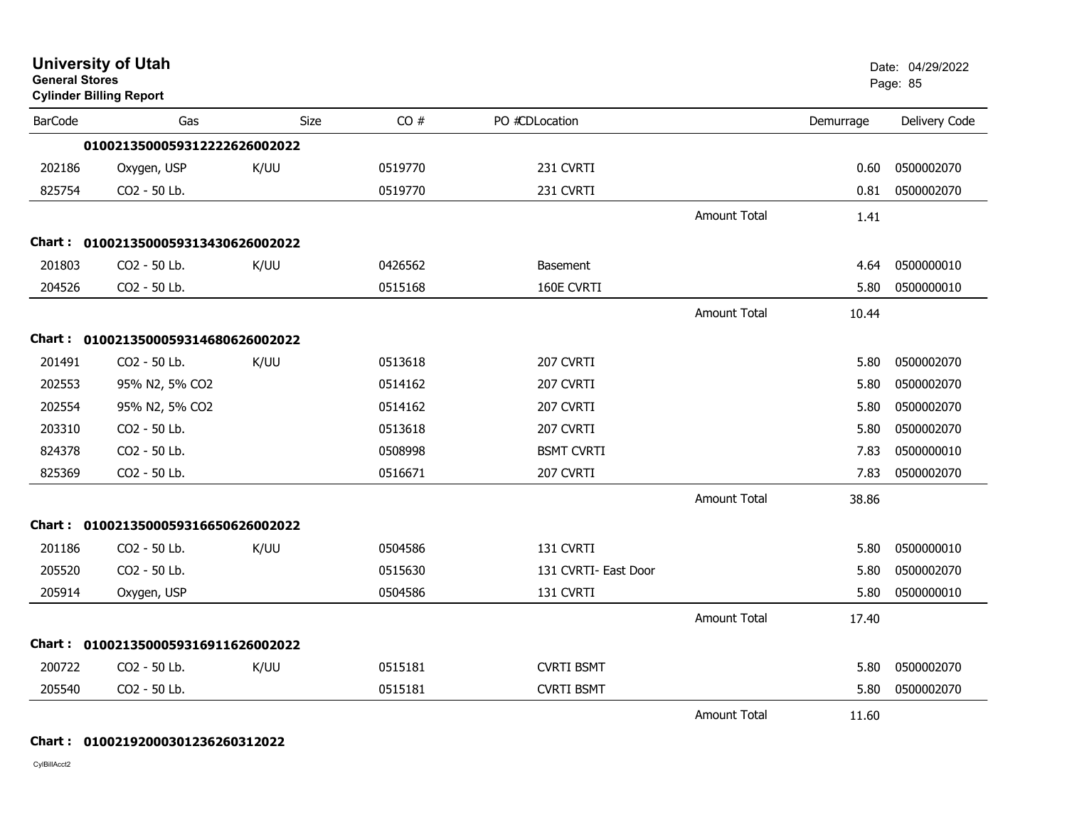| <b>General Stores</b> | <b>University of Utah</b><br><b>Cylinder Billing Report</b> |             |         |                      |                     |           | Date: 04/29/2022<br>Page: 85 |
|-----------------------|-------------------------------------------------------------|-------------|---------|----------------------|---------------------|-----------|------------------------------|
| <b>BarCode</b>        | Gas                                                         | <b>Size</b> | CO#     | PO #CDLocation       |                     | Demurrage | Delivery Code                |
|                       | 0100213500059312222626002022                                |             |         |                      |                     |           |                              |
| 202186                | Oxygen, USP                                                 | K/UU        | 0519770 | 231 CVRTI            |                     | 0.60      | 0500002070                   |
| 825754                | CO2 - 50 Lb.                                                |             | 0519770 | 231 CVRTI            |                     | 0.81      | 0500002070                   |
|                       |                                                             |             |         |                      | <b>Amount Total</b> | 1.41      |                              |
|                       | Chart: 0100213500059313430626002022                         |             |         |                      |                     |           |                              |
| 201803                | CO2 - 50 Lb.                                                | K/UU        | 0426562 | <b>Basement</b>      |                     | 4.64      | 0500000010                   |
| 204526                | CO2 - 50 Lb.                                                |             | 0515168 | 160E CVRTI           |                     | 5.80      | 0500000010                   |
|                       |                                                             |             |         |                      | Amount Total        | 10.44     |                              |
|                       | Chart: 0100213500059314680626002022                         |             |         |                      |                     |           |                              |
| 201491                | CO2 - 50 Lb.                                                | K/UU        | 0513618 | 207 CVRTI            |                     | 5.80      | 0500002070                   |
| 202553                | 95% N2, 5% CO2                                              |             | 0514162 | 207 CVRTI            |                     | 5.80      | 0500002070                   |
| 202554                | 95% N2, 5% CO2                                              |             | 0514162 | 207 CVRTI            |                     | 5.80      | 0500002070                   |
| 203310                | CO2 - 50 Lb.                                                |             | 0513618 | 207 CVRTI            |                     | 5.80      | 0500002070                   |
| 824378                | CO2 - 50 Lb.                                                |             | 0508998 | <b>BSMT CVRTI</b>    |                     | 7.83      | 0500000010                   |
| 825369                | CO2 - 50 Lb.                                                |             | 0516671 | 207 CVRTI            |                     | 7.83      | 0500002070                   |
|                       |                                                             |             |         |                      | <b>Amount Total</b> | 38.86     |                              |
|                       | Chart: 0100213500059316650626002022                         |             |         |                      |                     |           |                              |
| 201186                | CO2 - 50 Lb.                                                | K/UU        | 0504586 | 131 CVRTI            |                     | 5.80      | 0500000010                   |
| 205520                | CO2 - 50 Lb.                                                |             | 0515630 | 131 CVRTI- East Door |                     | 5.80      | 0500002070                   |
| 205914                | Oxygen, USP                                                 |             | 0504586 | 131 CVRTI            |                     | 5.80      | 0500000010                   |
|                       |                                                             |             |         |                      | <b>Amount Total</b> | 17.40     |                              |
|                       | Chart: 0100213500059316911626002022                         |             |         |                      |                     |           |                              |
| 200722                | CO2 - 50 Lb.                                                | K/UU        | 0515181 | <b>CVRTI BSMT</b>    |                     | 5.80      | 0500002070                   |
| 205540                | CO2 - 50 Lb.                                                |             | 0515181 | <b>CVRTI BSMT</b>    |                     | 5.80      | 0500002070                   |
|                       |                                                             |             |         |                      | <b>Amount Total</b> | 11.60     |                              |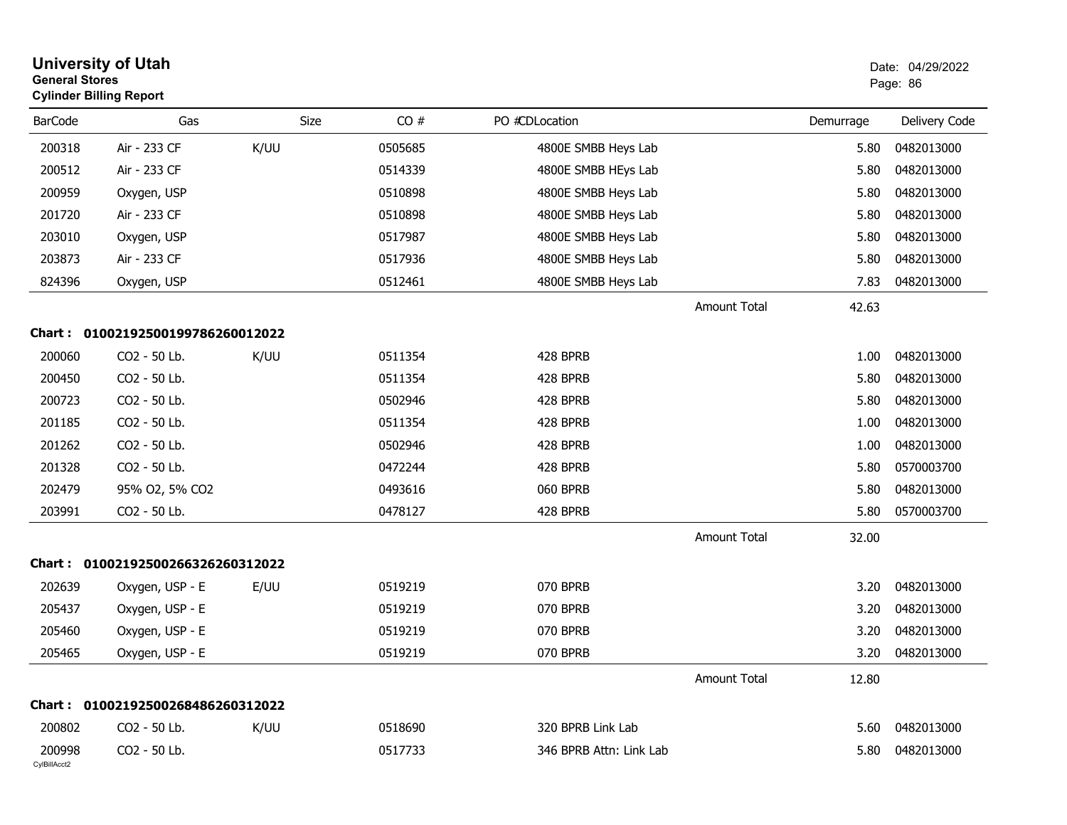| <b>General Stores</b>  | <b>University of Utah</b><br><b>Cylinder Billing Report</b> |      |             |                         |                              | Date: 04/29/2022<br>Page: 86 |
|------------------------|-------------------------------------------------------------|------|-------------|-------------------------|------------------------------|------------------------------|
| <b>BarCode</b>         | Gas                                                         |      | CO#<br>Size | PO #CDLocation          | Demurrage                    | Delivery Code                |
| 200318                 | Air - 233 CF                                                | K/UU | 0505685     | 4800E SMBB Heys Lab     | 5.80                         | 0482013000                   |
| 200512                 | Air - 233 CF                                                |      | 0514339     | 4800E SMBB HEys Lab     | 5.80                         | 0482013000                   |
| 200959                 | Oxygen, USP                                                 |      | 0510898     | 4800E SMBB Heys Lab     | 5.80                         | 0482013000                   |
| 201720                 | Air - 233 CF                                                |      | 0510898     | 4800E SMBB Heys Lab     | 5.80                         | 0482013000                   |
| 203010                 | Oxygen, USP                                                 |      | 0517987     | 4800E SMBB Heys Lab     | 5.80                         | 0482013000                   |
| 203873                 | Air - 233 CF                                                |      | 0517936     | 4800E SMBB Heys Lab     | 5.80                         | 0482013000                   |
| 824396                 | Oxygen, USP                                                 |      | 0512461     | 4800E SMBB Heys Lab     | 7.83                         | 0482013000                   |
|                        |                                                             |      |             |                         | <b>Amount Total</b><br>42.63 |                              |
| Chart :                | 01002192500199786260012022                                  |      |             |                         |                              |                              |
| 200060                 | CO2 - 50 Lb.                                                | K/UU | 0511354     | 428 BPRB                | 1.00                         | 0482013000                   |
| 200450                 | CO2 - 50 Lb.                                                |      | 0511354     | 428 BPRB                | 5.80                         | 0482013000                   |
| 200723                 | CO2 - 50 Lb.                                                |      | 0502946     | 428 BPRB                | 5.80                         | 0482013000                   |
| 201185                 | CO2 - 50 Lb.                                                |      | 0511354     | 428 BPRB                | 1.00                         | 0482013000                   |
| 201262                 | CO2 - 50 Lb.                                                |      | 0502946     | 428 BPRB                | 1.00                         | 0482013000                   |
| 201328                 | CO2 - 50 Lb.                                                |      | 0472244     | 428 BPRB                | 5.80                         | 0570003700                   |
| 202479                 | 95% O2, 5% CO2                                              |      | 0493616     | 060 BPRB                | 5.80                         | 0482013000                   |
| 203991                 | CO2 - 50 Lb.                                                |      | 0478127     | 428 BPRB                | 5.80                         | 0570003700                   |
|                        |                                                             |      |             |                         | <b>Amount Total</b><br>32.00 |                              |
|                        | Chart: 01002192500266326260312022                           |      |             |                         |                              |                              |
| 202639                 | Oxygen, USP - E                                             | E/UU | 0519219     | 070 BPRB                | 3.20                         | 0482013000                   |
| 205437                 | Oxygen, USP - E                                             |      | 0519219     | 070 BPRB                | 3.20                         | 0482013000                   |
| 205460                 | Oxygen, USP - E                                             |      | 0519219     | 070 BPRB                | 3.20                         | 0482013000                   |
| 205465                 | Oxygen, USP - E                                             |      | 0519219     | 070 BPRB                | 3.20                         | 0482013000                   |
|                        |                                                             |      |             |                         | <b>Amount Total</b><br>12.80 |                              |
|                        | Chart: 01002192500268486260312022                           |      |             |                         |                              |                              |
| 200802                 | CO2 - 50 Lb.                                                | K/UU | 0518690     | 320 BPRB Link Lab       | 5.60                         | 0482013000                   |
| 200998<br>CylBillAcct2 | CO2 - 50 Lb.                                                |      | 0517733     | 346 BPRB Attn: Link Lab | 5.80                         | 0482013000                   |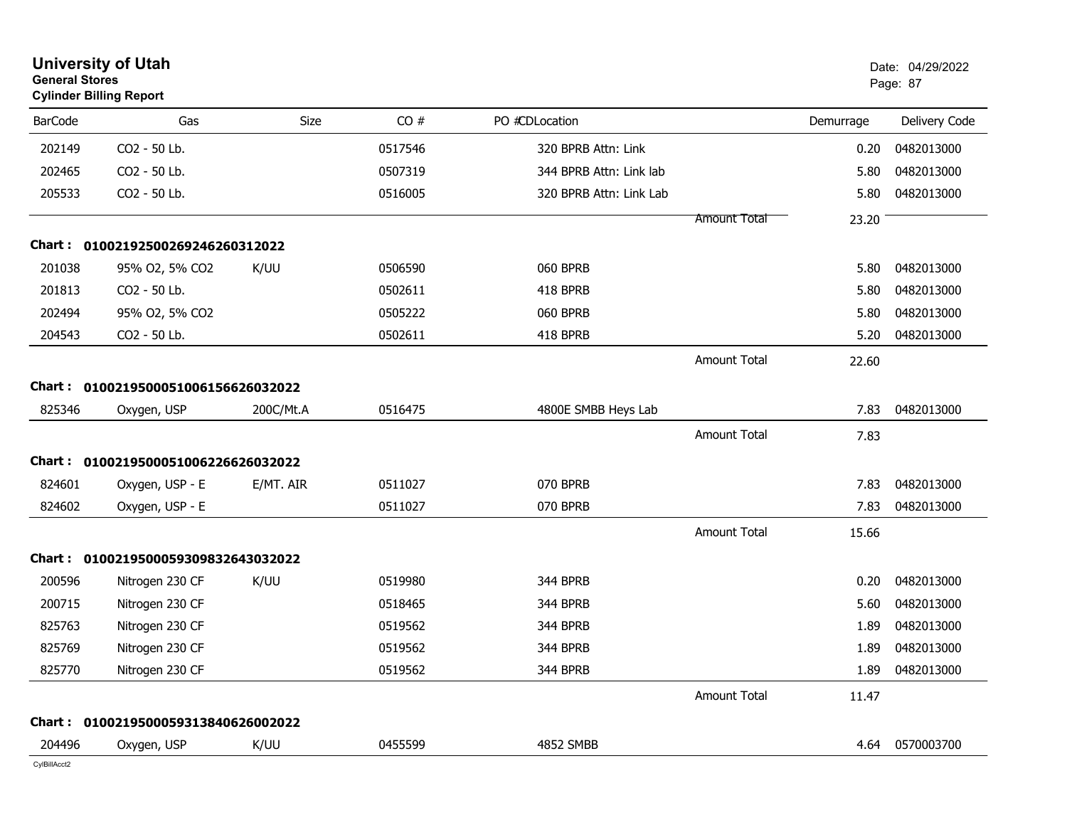|                | <b>University of Utah</b><br><b>General Stores</b><br><b>Cylinder Billing Report</b> |           |         |                         |                     | Date: 04/29/2022<br>Page: 87 |               |
|----------------|--------------------------------------------------------------------------------------|-----------|---------|-------------------------|---------------------|------------------------------|---------------|
| <b>BarCode</b> | Gas                                                                                  | Size      | CO#     | PO #CDLocation          |                     | Demurrage                    | Delivery Code |
| 202149         | CO2 - 50 Lb.                                                                         |           | 0517546 | 320 BPRB Attn: Link     |                     | 0.20                         | 0482013000    |
| 202465         | CO2 - 50 Lb.                                                                         |           | 0507319 | 344 BPRB Attn: Link lab |                     | 5.80                         | 0482013000    |
| 205533         | CO2 - 50 Lb.                                                                         |           | 0516005 | 320 BPRB Attn: Link Lab |                     | 5.80                         | 0482013000    |
|                |                                                                                      |           |         |                         | <b>Amount Total</b> | 23.20                        |               |
|                | Chart: 01002192500269246260312022                                                    |           |         |                         |                     |                              |               |
| 201038         | 95% O2, 5% CO2                                                                       | K/UU      | 0506590 | 060 BPRB                |                     | 5.80                         | 0482013000    |
| 201813         | CO2 - 50 Lb.                                                                         |           | 0502611 | 418 BPRB                |                     | 5.80                         | 0482013000    |
| 202494         | 95% O2, 5% CO2                                                                       |           | 0505222 | 060 BPRB                |                     | 5.80                         | 0482013000    |
| 204543         | CO2 - 50 Lb.                                                                         |           | 0502611 | 418 BPRB                |                     | 5.20                         | 0482013000    |
|                |                                                                                      |           |         |                         | <b>Amount Total</b> | 22.60                        |               |
| Chart :        | 0100219500051006156626032022                                                         |           |         |                         |                     |                              |               |
| 825346         | Oxygen, USP                                                                          | 200C/Mt.A | 0516475 | 4800E SMBB Heys Lab     |                     | 7.83                         | 0482013000    |
|                |                                                                                      |           |         |                         | <b>Amount Total</b> | 7.83                         |               |
| Chart :        | 0100219500051006226626032022                                                         |           |         |                         |                     |                              |               |
| 824601         | Oxygen, USP - E                                                                      | E/MT. AIR | 0511027 | 070 BPRB                |                     | 7.83                         | 0482013000    |
| 824602         | Oxygen, USP - E                                                                      |           | 0511027 | 070 BPRB                |                     | 7.83                         | 0482013000    |
|                |                                                                                      |           |         |                         | <b>Amount Total</b> | 15.66                        |               |
| Chart :        | 0100219500059309832643032022                                                         |           |         |                         |                     |                              |               |
| 200596         | Nitrogen 230 CF                                                                      | K/UU      | 0519980 | 344 BPRB                |                     | 0.20                         | 0482013000    |
| 200715         | Nitrogen 230 CF                                                                      |           | 0518465 | 344 BPRB                |                     | 5.60                         | 0482013000    |
| 825763         | Nitrogen 230 CF                                                                      |           | 0519562 | 344 BPRB                |                     | 1.89                         | 0482013000    |
| 825769         | Nitrogen 230 CF                                                                      |           | 0519562 | 344 BPRB                |                     | 1.89                         | 0482013000    |
| 825770         | Nitrogen 230 CF                                                                      |           | 0519562 | 344 BPRB                |                     | 1.89                         | 0482013000    |
|                |                                                                                      |           |         |                         | <b>Amount Total</b> | 11.47                        |               |
|                | Chart: 0100219500059313840626002022                                                  |           |         |                         |                     |                              |               |
| 204496         | Oxygen, USP                                                                          | K/UU      | 0455599 | 4852 SMBB               |                     | 4.64                         | 0570003700    |
| CylBillAcct2   |                                                                                      |           |         |                         |                     |                              |               |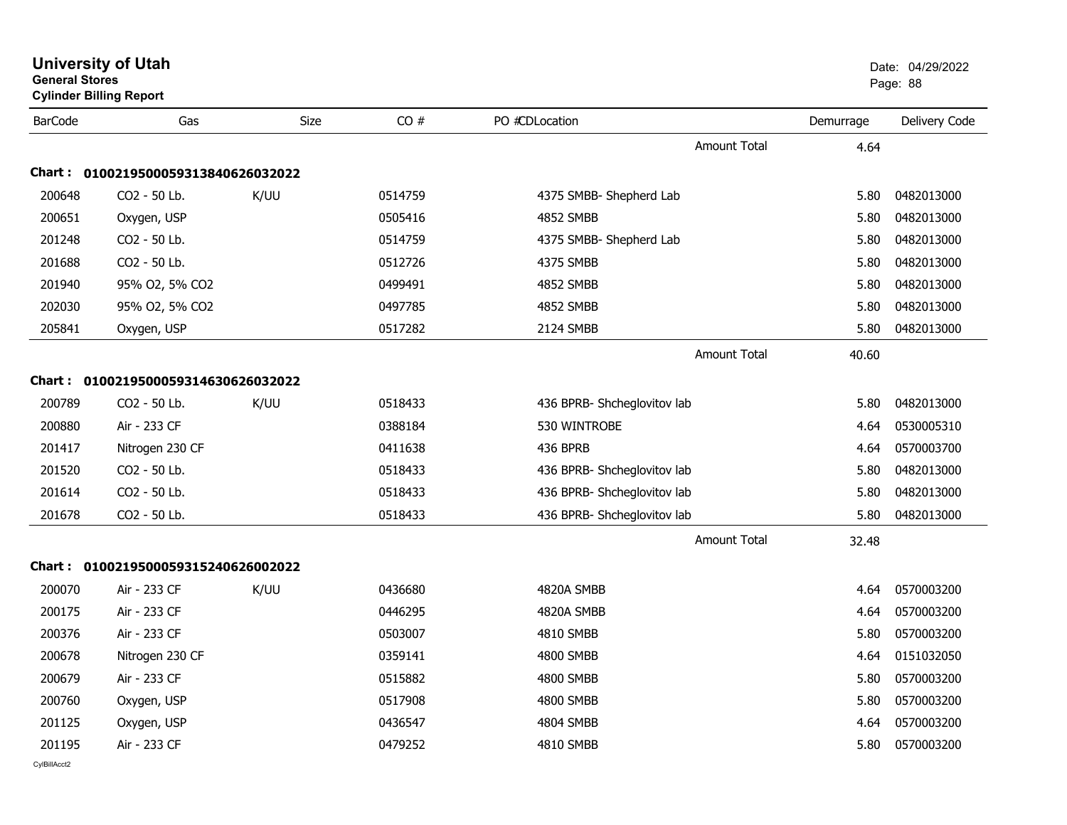| <b>General Stores</b> | <b>Cylinder Billing Report</b>      |      |         |                             |           | Page: 88      |
|-----------------------|-------------------------------------|------|---------|-----------------------------|-----------|---------------|
| <b>BarCode</b>        | Gas                                 | Size | CO#     | PO #CDLocation              | Demurrage | Delivery Code |
|                       |                                     |      |         | Amount Total                | 4.64      |               |
|                       | Chart: 0100219500059313840626032022 |      |         |                             |           |               |
| 200648                | CO <sub>2</sub> - 50 Lb.            | K/UU | 0514759 | 4375 SMBB- Shepherd Lab     | 5.80      | 0482013000    |
| 200651                | Oxygen, USP                         |      | 0505416 | <b>4852 SMBB</b>            | 5.80      | 0482013000    |
| 201248                | CO2 - 50 Lb.                        |      | 0514759 | 4375 SMBB- Shepherd Lab     | 5.80      | 0482013000    |
| 201688                | CO2 - 50 Lb.                        |      | 0512726 | 4375 SMBB                   | 5.80      | 0482013000    |
| 201940                | 95% O2, 5% CO2                      |      | 0499491 | 4852 SMBB                   | 5.80      | 0482013000    |
| 202030                | 95% O2, 5% CO2                      |      | 0497785 | 4852 SMBB                   | 5.80      | 0482013000    |
| 205841                | Oxygen, USP                         |      | 0517282 | 2124 SMBB                   | 5.80      | 0482013000    |
|                       |                                     |      |         | <b>Amount Total</b>         | 40.60     |               |
|                       | Chart: 0100219500059314630626032022 |      |         |                             |           |               |
| 200789                | CO <sub>2</sub> - 50 Lb.            | K/UU | 0518433 | 436 BPRB- Shcheglovitov lab | 5.80      | 0482013000    |
| 200880                | Air - 233 CF                        |      | 0388184 | 530 WINTROBE                | 4.64      | 0530005310    |
| 201417                | Nitrogen 230 CF                     |      | 0411638 | 436 BPRB                    | 4.64      | 0570003700    |
| 201520                | CO2 - 50 Lb.                        |      | 0518433 | 436 BPRB- Shcheglovitov lab | 5.80      | 0482013000    |
| 201614                | CO2 - 50 Lb.                        |      | 0518433 | 436 BPRB- Shcheglovitov lab | 5.80      | 0482013000    |
| 201678                | CO2 - 50 Lb.                        |      | 0518433 | 436 BPRB- Shcheglovitov lab | 5.80      | 0482013000    |
|                       |                                     |      |         | <b>Amount Total</b>         | 32.48     |               |
|                       | Chart: 0100219500059315240626002022 |      |         |                             |           |               |
| 200070                | Air - 233 CF                        | K/UU | 0436680 | 4820A SMBB                  | 4.64      | 0570003200    |
| 200175                | Air - 233 CF                        |      | 0446295 | 4820A SMBB                  | 4.64      | 0570003200    |
| 200376                | Air - 233 CF                        |      | 0503007 | 4810 SMBB                   | 5.80      | 0570003200    |
| 200678                | Nitrogen 230 CF                     |      | 0359141 | 4800 SMBB                   | 4.64      | 0151032050    |
| 200679                | Air - 233 CF                        |      | 0515882 | 4800 SMBB                   | 5.80      | 0570003200    |
| 200760                | Oxygen, USP                         |      | 0517908 | 4800 SMBB                   | 5.80      | 0570003200    |
| 201125                | Oxygen, USP                         |      | 0436547 | 4804 SMBB                   | 4.64      | 0570003200    |
| 201195                | Air - 233 CF                        |      | 0479252 | 4810 SMBB                   | 5.80      | 0570003200    |
|                       |                                     |      |         |                             |           |               |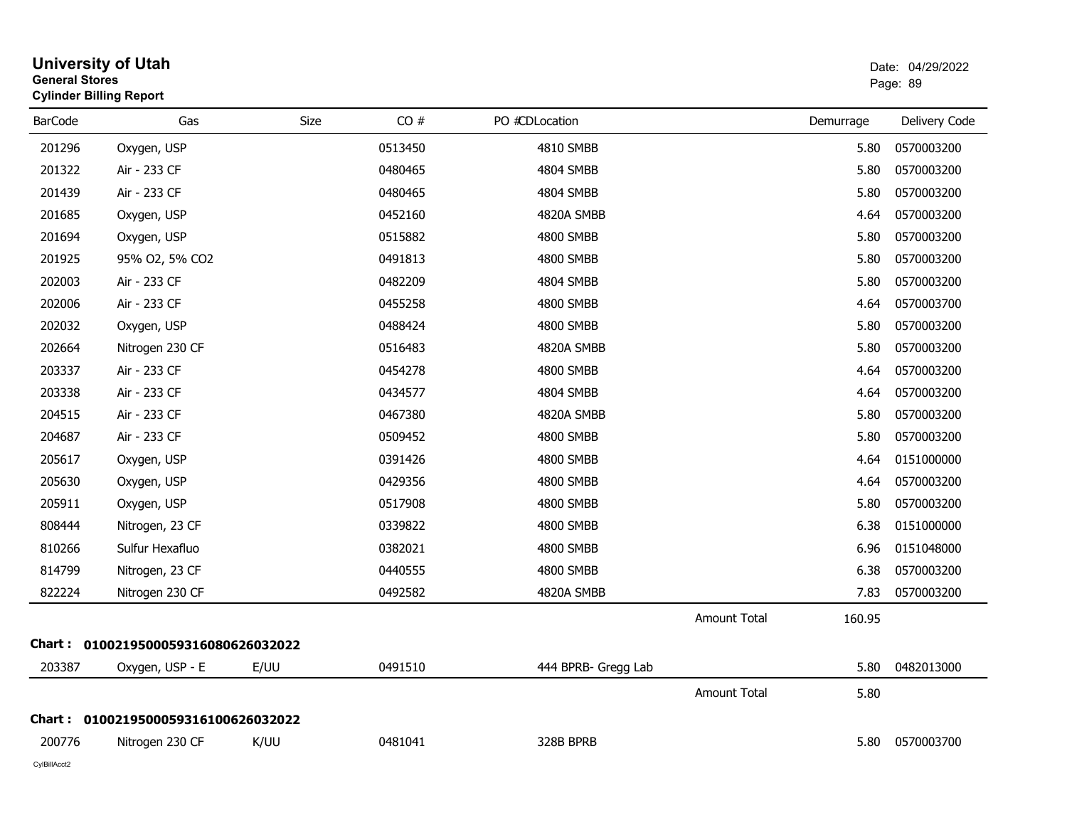| <b>General Stores</b> | <b>University of Utah</b><br><b>Cylinder Billing Report</b> |      |         |                     |              |           | Date: 04/29/2022<br>Page: 89 |
|-----------------------|-------------------------------------------------------------|------|---------|---------------------|--------------|-----------|------------------------------|
| <b>BarCode</b>        | Gas                                                         | Size | CO#     | PO #CDLocation      |              | Demurrage | Delivery Code                |
| 201296                | Oxygen, USP                                                 |      | 0513450 | 4810 SMBB           |              | 5.80      | 0570003200                   |
| 201322                | Air - 233 CF                                                |      | 0480465 | 4804 SMBB           |              | 5.80      | 0570003200                   |
| 201439                | Air - 233 CF                                                |      | 0480465 | 4804 SMBB           |              | 5.80      | 0570003200                   |
| 201685                | Oxygen, USP                                                 |      | 0452160 | 4820A SMBB          |              | 4.64      | 0570003200                   |
| 201694                | Oxygen, USP                                                 |      | 0515882 | 4800 SMBB           |              | 5.80      | 0570003200                   |
| 201925                | 95% O2, 5% CO2                                              |      | 0491813 | 4800 SMBB           |              | 5.80      | 0570003200                   |
| 202003                | Air - 233 CF                                                |      | 0482209 | 4804 SMBB           |              | 5.80      | 0570003200                   |
| 202006                | Air - 233 CF                                                |      | 0455258 | 4800 SMBB           |              | 4.64      | 0570003700                   |
| 202032                | Oxygen, USP                                                 |      | 0488424 | 4800 SMBB           |              | 5.80      | 0570003200                   |
| 202664                | Nitrogen 230 CF                                             |      | 0516483 | 4820A SMBB          |              | 5.80      | 0570003200                   |
| 203337                | Air - 233 CF                                                |      | 0454278 | 4800 SMBB           |              | 4.64      | 0570003200                   |
| 203338                | Air - 233 CF                                                |      | 0434577 | 4804 SMBB           |              | 4.64      | 0570003200                   |
| 204515                | Air - 233 CF                                                |      | 0467380 | 4820A SMBB          |              | 5.80      | 0570003200                   |
| 204687                | Air - 233 CF                                                |      | 0509452 | 4800 SMBB           |              | 5.80      | 0570003200                   |
| 205617                | Oxygen, USP                                                 |      | 0391426 | 4800 SMBB           |              | 4.64      | 0151000000                   |
| 205630                | Oxygen, USP                                                 |      | 0429356 | 4800 SMBB           |              | 4.64      | 0570003200                   |
| 205911                | Oxygen, USP                                                 |      | 0517908 | 4800 SMBB           |              | 5.80      | 0570003200                   |
| 808444                | Nitrogen, 23 CF                                             |      | 0339822 | 4800 SMBB           |              | 6.38      | 0151000000                   |
| 810266                | Sulfur Hexafluo                                             |      | 0382021 | 4800 SMBB           |              | 6.96      | 0151048000                   |
| 814799                | Nitrogen, 23 CF                                             |      | 0440555 | 4800 SMBB           |              | 6.38      | 0570003200                   |
| 822224                | Nitrogen 230 CF                                             |      | 0492582 | 4820A SMBB          |              | 7.83      | 0570003200                   |
|                       |                                                             |      |         |                     | Amount Total | 160.95    |                              |
|                       | Chart: 0100219500059316080626032022                         |      |         |                     |              |           |                              |
| 203387                | Oxygen, USP - E                                             | E/UU | 0491510 | 444 BPRB- Gregg Lab |              | 5.80      | 0482013000                   |
|                       |                                                             |      |         |                     | Amount Total | 5.80      |                              |
|                       | Chart: 0100219500059316100626032022                         |      |         |                     |              |           |                              |
| 200776                | Nitrogen 230 CF                                             | K/UU | 0481041 | 328B BPRB           |              |           | 5.80 0570003700              |
| CylBillAcct2          |                                                             |      |         |                     |              |           |                              |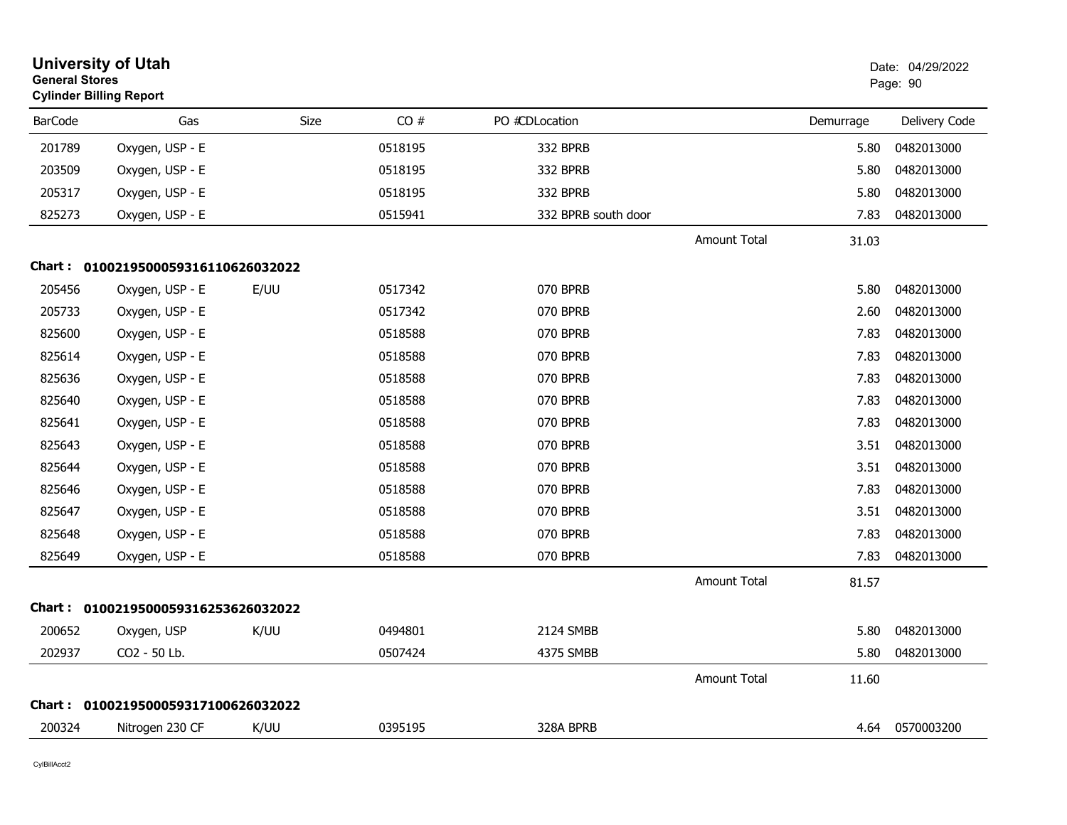| <b>General Stores</b> | <b>University of Utah</b><br><b>Cylinder Billing Report</b> |      |         |                     |                     | Date: 04/29/2022<br>Page: 90 |               |
|-----------------------|-------------------------------------------------------------|------|---------|---------------------|---------------------|------------------------------|---------------|
| <b>BarCode</b>        | Gas                                                         | Size | CO#     | PO #CDLocation      |                     | Demurrage                    | Delivery Code |
| 201789                | Oxygen, USP - E                                             |      | 0518195 | 332 BPRB            |                     | 5.80                         | 0482013000    |
| 203509                | Oxygen, USP - E                                             |      | 0518195 | 332 BPRB            |                     | 5.80                         | 0482013000    |
| 205317                | Oxygen, USP - E                                             |      | 0518195 | 332 BPRB            |                     | 5.80                         | 0482013000    |
| 825273                | Oxygen, USP - E                                             |      | 0515941 | 332 BPRB south door |                     | 7.83                         | 0482013000    |
|                       |                                                             |      |         |                     | Amount Total        | 31.03                        |               |
|                       | Chart: 0100219500059316110626032022                         |      |         |                     |                     |                              |               |
| 205456                | Oxygen, USP - E                                             | E/UU | 0517342 | 070 BPRB            |                     | 5.80                         | 0482013000    |
| 205733                | Oxygen, USP - E                                             |      | 0517342 | 070 BPRB            |                     | 2.60                         | 0482013000    |
| 825600                | Oxygen, USP - E                                             |      | 0518588 | 070 BPRB            |                     | 7.83                         | 0482013000    |
| 825614                | Oxygen, USP - E                                             |      | 0518588 | 070 BPRB            |                     | 7.83                         | 0482013000    |
| 825636                | Oxygen, USP - E                                             |      | 0518588 | 070 BPRB            |                     | 7.83                         | 0482013000    |
| 825640                | Oxygen, USP - E                                             |      | 0518588 | 070 BPRB            |                     | 7.83                         | 0482013000    |
| 825641                | Oxygen, USP - E                                             |      | 0518588 | 070 BPRB            |                     | 7.83                         | 0482013000    |
| 825643                | Oxygen, USP - E                                             |      | 0518588 | 070 BPRB            |                     | 3.51                         | 0482013000    |
| 825644                | Oxygen, USP - E                                             |      | 0518588 | 070 BPRB            |                     | 3.51                         | 0482013000    |
| 825646                | Oxygen, USP - E                                             |      | 0518588 | 070 BPRB            |                     | 7.83                         | 0482013000    |
| 825647                | Oxygen, USP - E                                             |      | 0518588 | 070 BPRB            |                     | 3.51                         | 0482013000    |
| 825648                | Oxygen, USP - E                                             |      | 0518588 | 070 BPRB            |                     | 7.83                         | 0482013000    |
| 825649                | Oxygen, USP - E                                             |      | 0518588 | 070 BPRB            |                     | 7.83                         | 0482013000    |
|                       |                                                             |      |         |                     | <b>Amount Total</b> | 81.57                        |               |
|                       | Chart: 0100219500059316253626032022                         |      |         |                     |                     |                              |               |
| 200652                | Oxygen, USP                                                 | K/UU | 0494801 | 2124 SMBB           |                     | 5.80                         | 0482013000    |
| 202937                | CO2 - 50 Lb.                                                |      | 0507424 | 4375 SMBB           |                     | 5.80                         | 0482013000    |
|                       |                                                             |      |         |                     | <b>Amount Total</b> | 11.60                        |               |
|                       | Chart: 0100219500059317100626032022                         |      |         |                     |                     |                              |               |
| 200324                | Nitrogen 230 CF                                             | K/UU | 0395195 | 328A BPRB           |                     | 4.64                         | 0570003200    |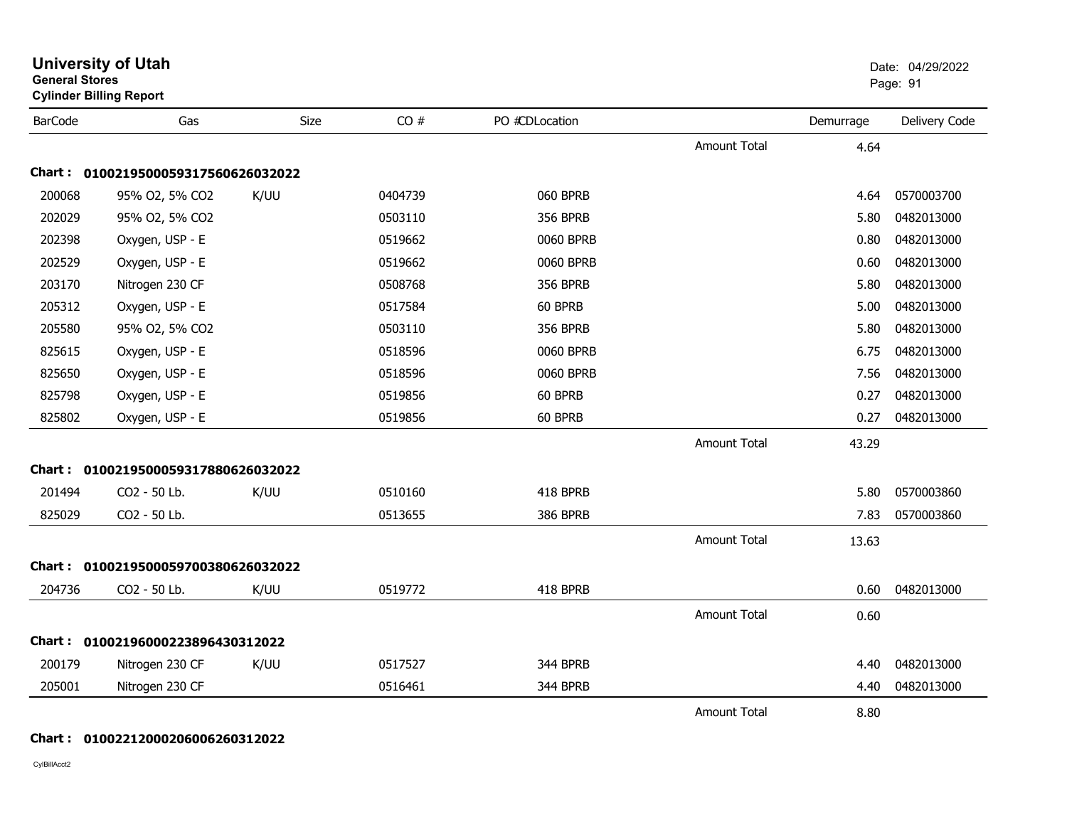| <b>General Stores</b> | <b>Cylinder Billing Report</b>      |      |         |                 |                     |           | Page: 91      |
|-----------------------|-------------------------------------|------|---------|-----------------|---------------------|-----------|---------------|
| <b>BarCode</b>        | Gas                                 | Size | CO#     | PO #CDLocation  |                     | Demurrage | Delivery Code |
|                       |                                     |      |         |                 | <b>Amount Total</b> | 4.64      |               |
| Chart :               | 0100219500059317560626032022        |      |         |                 |                     |           |               |
| 200068                | 95% O2, 5% CO2                      | K/UU | 0404739 | 060 BPRB        |                     | 4.64      | 0570003700    |
| 202029                | 95% O2, 5% CO2                      |      | 0503110 | <b>356 BPRB</b> |                     | 5.80      | 0482013000    |
| 202398                | Oxygen, USP - E                     |      | 0519662 | 0060 BPRB       |                     | 0.80      | 0482013000    |
| 202529                | Oxygen, USP - E                     |      | 0519662 | 0060 BPRB       |                     | 0.60      | 0482013000    |
| 203170                | Nitrogen 230 CF                     |      | 0508768 | <b>356 BPRB</b> |                     | 5.80      | 0482013000    |
| 205312                | Oxygen, USP - E                     |      | 0517584 | 60 BPRB         |                     | 5.00      | 0482013000    |
| 205580                | 95% O2, 5% CO2                      |      | 0503110 | <b>356 BPRB</b> |                     | 5.80      | 0482013000    |
| 825615                | Oxygen, USP - E                     |      | 0518596 | 0060 BPRB       |                     | 6.75      | 0482013000    |
| 825650                | Oxygen, USP - E                     |      | 0518596 | 0060 BPRB       |                     | 7.56      | 0482013000    |
| 825798                | Oxygen, USP - E                     |      | 0519856 | 60 BPRB         |                     | 0.27      | 0482013000    |
| 825802                | Oxygen, USP - E                     |      | 0519856 | 60 BPRB         |                     | 0.27      | 0482013000    |
|                       |                                     |      |         |                 | <b>Amount Total</b> | 43.29     |               |
|                       | Chart: 0100219500059317880626032022 |      |         |                 |                     |           |               |
| 201494                | CO2 - 50 Lb.                        | K/UU | 0510160 | 418 BPRB        |                     | 5.80      | 0570003860    |
| 825029                | CO2 - 50 Lb.                        |      | 0513655 | <b>386 BPRB</b> |                     | 7.83      | 0570003860    |
|                       |                                     |      |         |                 | <b>Amount Total</b> | 13.63     |               |
|                       | Chart: 0100219500059700380626032022 |      |         |                 |                     |           |               |
| 204736                | CO2 - 50 Lb.                        | K/UU | 0519772 | 418 BPRB        |                     | 0.60      | 0482013000    |
|                       |                                     |      |         |                 | <b>Amount Total</b> | 0.60      |               |
|                       | Chart: 01002196000223896430312022   |      |         |                 |                     |           |               |
| 200179                | Nitrogen 230 CF                     | K/UU | 0517527 | 344 BPRB        |                     | 4.40      | 0482013000    |
| 205001                | Nitrogen 230 CF                     |      | 0516461 | 344 BPRB        |                     | 4.40      | 0482013000    |
|                       |                                     |      |         |                 | <b>Amount Total</b> | 8.80      |               |

#### **Chart : 01002212000206006260312022**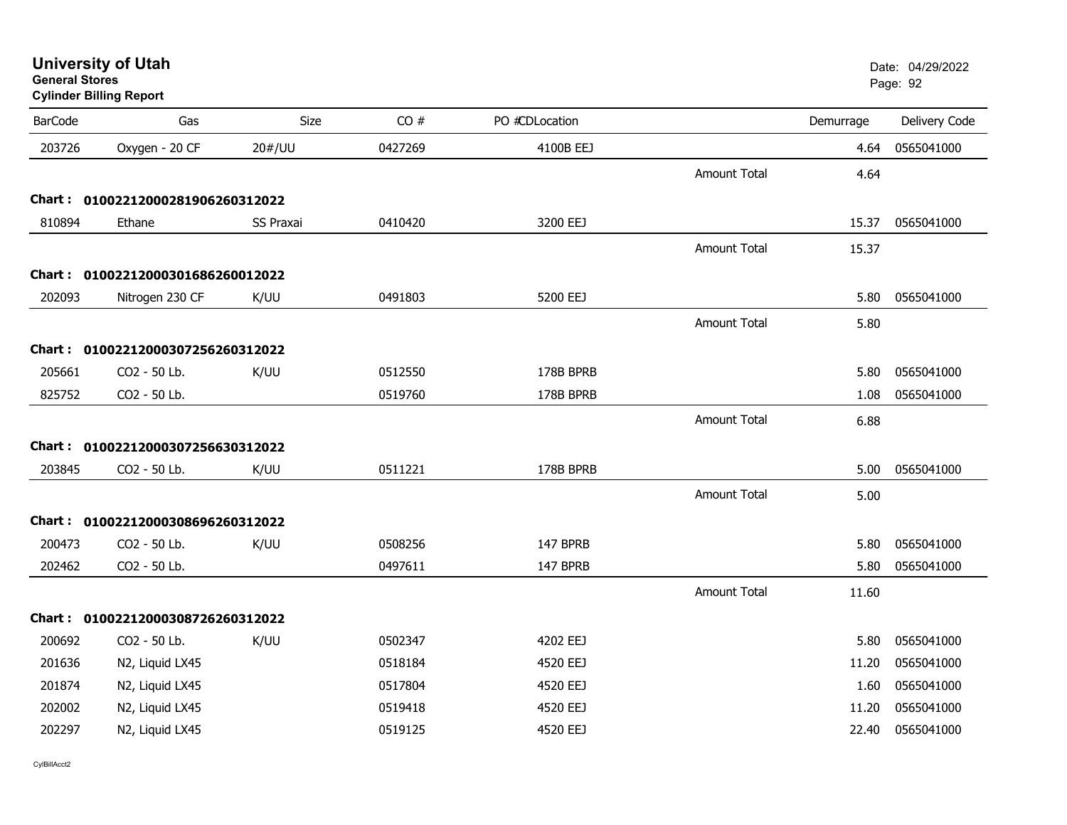| General Stores | <b>Cylinder Billing Report</b>    |             |         |                |                     |           | Page: 92      |
|----------------|-----------------------------------|-------------|---------|----------------|---------------------|-----------|---------------|
| <b>BarCode</b> | Gas                               | <b>Size</b> | CO#     | PO #CDLocation |                     | Demurrage | Delivery Code |
| 203726         | Oxygen - 20 CF                    | 20#/UU      | 0427269 | 4100B EEJ      |                     | 4.64      | 0565041000    |
|                |                                   |             |         |                | <b>Amount Total</b> | 4.64      |               |
|                | Chart: 01002212000281906260312022 |             |         |                |                     |           |               |
| 810894         | Ethane                            | SS Praxai   | 0410420 | 3200 EEJ       |                     | 15.37     | 0565041000    |
|                |                                   |             |         |                | <b>Amount Total</b> | 15.37     |               |
|                | Chart: 01002212000301686260012022 |             |         |                |                     |           |               |
| 202093         | Nitrogen 230 CF                   | K/UU        | 0491803 | 5200 EEJ       |                     | 5.80      | 0565041000    |
|                |                                   |             |         |                | <b>Amount Total</b> | 5.80      |               |
|                | Chart: 01002212000307256260312022 |             |         |                |                     |           |               |
| 205661         | CO2 - 50 Lb.                      | K/UU        | 0512550 | 178B BPRB      |                     | 5.80      | 0565041000    |
| 825752         | CO2 - 50 Lb.                      |             | 0519760 | 178B BPRB      |                     | 1.08      | 0565041000    |
|                |                                   |             |         |                | <b>Amount Total</b> | 6.88      |               |
|                | Chart: 01002212000307256630312022 |             |         |                |                     |           |               |
| 203845         | CO2 - 50 Lb.                      | K/UU        | 0511221 | 178B BPRB      |                     | 5.00      | 0565041000    |
|                |                                   |             |         |                | <b>Amount Total</b> | 5.00      |               |
|                | Chart: 01002212000308696260312022 |             |         |                |                     |           |               |
| 200473         | CO2 - 50 Lb.                      | K/UU        | 0508256 | 147 BPRB       |                     | 5.80      | 0565041000    |
| 202462         | CO2 - 50 Lb.                      |             | 0497611 | 147 BPRB       |                     | 5.80      | 0565041000    |
|                |                                   |             |         |                | <b>Amount Total</b> | 11.60     |               |
|                | Chart: 01002212000308726260312022 |             |         |                |                     |           |               |
| 200692         | CO2 - 50 Lb.                      | K/UU        | 0502347 | 4202 EEJ       |                     | 5.80      | 0565041000    |
| 201636         | N2, Liquid LX45                   |             | 0518184 | 4520 EEJ       |                     | 11.20     | 0565041000    |
| 201874         | N2, Liquid LX45                   |             | 0517804 | 4520 EEJ       |                     | 1.60      | 0565041000    |
| 202002         | N2, Liquid LX45                   |             | 0519418 | 4520 EEJ       |                     | 11.20     | 0565041000    |
| 202297         | N2, Liquid LX45                   |             | 0519125 | 4520 EEJ       |                     | 22.40     | 0565041000    |

**University of Utah** Date: 04/29/2022 **General Stores**entry of the control of the control of the control of the control of the control of the control of the control of the control of the control of the control of the control of the control of the control of the control of the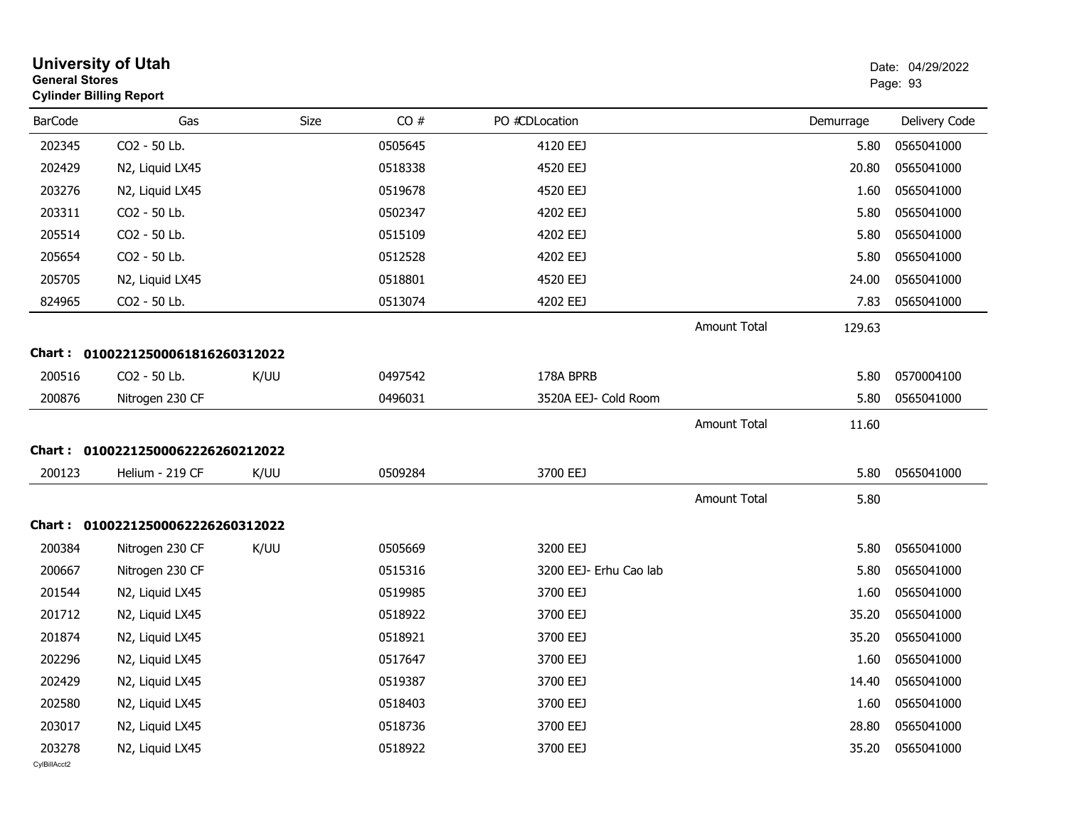| <b>University of Utah</b><br><b>General Stores</b><br><b>Cylinder Billing Report</b> |                                   |      |         |                        |                     |           | Date: 04/29/2022<br>Page: 93 |
|--------------------------------------------------------------------------------------|-----------------------------------|------|---------|------------------------|---------------------|-----------|------------------------------|
| <b>BarCode</b>                                                                       | Gas                               | Size | CO#     | PO #CDLocation         |                     | Demurrage | Delivery Code                |
| 202345                                                                               | CO2 - 50 Lb.                      |      | 0505645 | 4120 EEJ               |                     | 5.80      | 0565041000                   |
| 202429                                                                               | N2, Liquid LX45                   |      | 0518338 | 4520 EEJ               |                     | 20.80     | 0565041000                   |
| 203276                                                                               | N2, Liquid LX45                   |      | 0519678 | 4520 EEJ               |                     | 1.60      | 0565041000                   |
| 203311                                                                               | CO2 - 50 Lb.                      |      | 0502347 | 4202 EEJ               |                     | 5.80      | 0565041000                   |
| 205514                                                                               | CO2 - 50 Lb.                      |      | 0515109 | 4202 EEJ               |                     | 5.80      | 0565041000                   |
| 205654                                                                               | CO2 - 50 Lb.                      |      | 0512528 | 4202 EEJ               |                     | 5.80      | 0565041000                   |
| 205705                                                                               | N2, Liquid LX45                   |      | 0518801 | 4520 EEJ               |                     | 24.00     | 0565041000                   |
| 824965                                                                               | CO2 - 50 Lb.                      |      | 0513074 | 4202 EEJ               |                     | 7.83      | 0565041000                   |
|                                                                                      |                                   |      |         |                        | <b>Amount Total</b> | 129.63    |                              |
|                                                                                      | Chart: 01002212500061816260312022 |      |         |                        |                     |           |                              |
| 200516                                                                               | CO2 - 50 Lb.                      | K/UU | 0497542 | 178A BPRB              |                     | 5.80      | 0570004100                   |
| 200876                                                                               | Nitrogen 230 CF                   |      | 0496031 | 3520A EEJ- Cold Room   |                     | 5.80      | 0565041000                   |
|                                                                                      |                                   |      |         |                        | <b>Amount Total</b> | 11.60     |                              |
|                                                                                      | Chart: 01002212500062226260212022 |      |         |                        |                     |           |                              |
| 200123                                                                               | Helium - 219 CF                   | K/UU | 0509284 | 3700 EEJ               |                     | 5.80      | 0565041000                   |
|                                                                                      |                                   |      |         |                        | Amount Total        | 5.80      |                              |
|                                                                                      | Chart: 01002212500062226260312022 |      |         |                        |                     |           |                              |
| 200384                                                                               | Nitrogen 230 CF                   | K/UU | 0505669 | 3200 EEJ               |                     | 5.80      | 0565041000                   |
| 200667                                                                               | Nitrogen 230 CF                   |      | 0515316 | 3200 EEJ- Erhu Cao lab |                     | 5.80      | 0565041000                   |
| 201544                                                                               | N2, Liquid LX45                   |      | 0519985 | 3700 EEJ               |                     | 1.60      | 0565041000                   |
| 201712                                                                               | N2, Liquid LX45                   |      | 0518922 | 3700 EEJ               |                     | 35.20     | 0565041000                   |
| 201874                                                                               | N2, Liquid LX45                   |      | 0518921 | 3700 EEJ               |                     | 35.20     | 0565041000                   |
| 202296                                                                               | N2, Liquid LX45                   |      | 0517647 | 3700 EEJ               |                     | 1.60      | 0565041000                   |
| 202429                                                                               | N2, Liquid LX45                   |      | 0519387 | 3700 EEJ               |                     | 14.40     | 0565041000                   |
| 202580                                                                               | N2, Liquid LX45                   |      | 0518403 | 3700 EEJ               |                     | 1.60      | 0565041000                   |
| 203017                                                                               | N2, Liquid LX45                   |      | 0518736 | 3700 EEJ               |                     | 28.80     | 0565041000                   |
| 203278<br>CvIBillAcct2                                                               | N2, Liquid LX45                   |      | 0518922 | 3700 EEJ               |                     | 35.20     | 0565041000                   |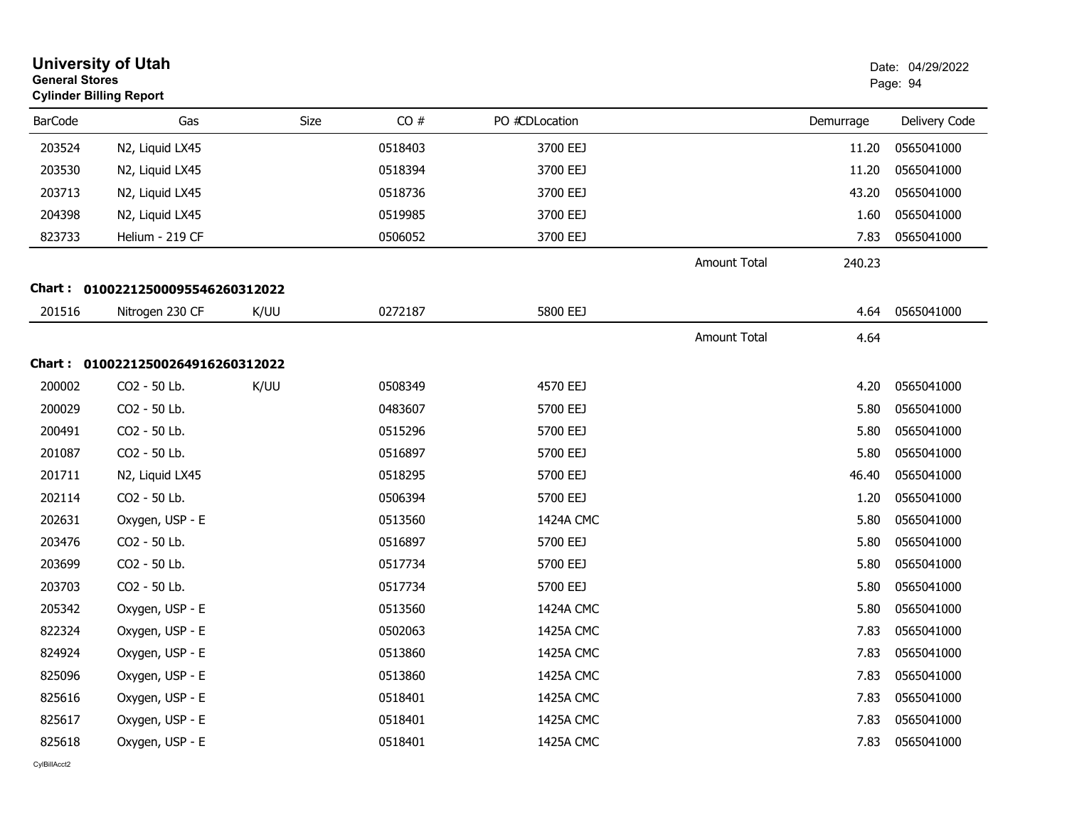| <b>General Stores</b> | <b>University of Utah</b><br><b>Cylinder Billing Report</b> |      |         |                |                     |           | Date: 04/29/2022<br>Page: 94 |
|-----------------------|-------------------------------------------------------------|------|---------|----------------|---------------------|-----------|------------------------------|
| <b>BarCode</b>        | Gas                                                         | Size | CO#     | PO #CDLocation |                     | Demurrage | Delivery Code                |
| 203524                | N2, Liquid LX45                                             |      | 0518403 | 3700 EEJ       |                     | 11.20     | 0565041000                   |
| 203530                | N2, Liquid LX45                                             |      | 0518394 | 3700 EEJ       |                     | 11.20     | 0565041000                   |
| 203713                | N2, Liquid LX45                                             |      | 0518736 | 3700 EEJ       |                     | 43.20     | 0565041000                   |
| 204398                | N2, Liquid LX45                                             |      | 0519985 | 3700 EEJ       |                     | 1.60      | 0565041000                   |
| 823733                | Helium - 219 CF                                             |      | 0506052 | 3700 EEJ       |                     | 7.83      | 0565041000                   |
|                       |                                                             |      |         |                | <b>Amount Total</b> | 240.23    |                              |
|                       | Chart: 01002212500095546260312022                           |      |         |                |                     |           |                              |
| 201516                | Nitrogen 230 CF                                             | K/UU | 0272187 | 5800 EEJ       |                     | 4.64      | 0565041000                   |
|                       |                                                             |      |         |                | Amount Total        | 4.64      |                              |
|                       | Chart: 01002212500264916260312022                           |      |         |                |                     |           |                              |
| 200002                | CO2 - 50 Lb.                                                | K/UU | 0508349 | 4570 EEJ       |                     | 4.20      | 0565041000                   |
| 200029                | CO2 - 50 Lb.                                                |      | 0483607 | 5700 EEJ       |                     | 5.80      | 0565041000                   |
| 200491                | CO2 - 50 Lb.                                                |      | 0515296 | 5700 EEJ       |                     | 5.80      | 0565041000                   |
| 201087                | CO2 - 50 Lb.                                                |      | 0516897 | 5700 EEJ       |                     | 5.80      | 0565041000                   |
| 201711                | N2, Liquid LX45                                             |      | 0518295 | 5700 EEJ       |                     | 46.40     | 0565041000                   |
| 202114                | CO2 - 50 Lb.                                                |      | 0506394 | 5700 EEJ       |                     | 1.20      | 0565041000                   |
| 202631                | Oxygen, USP - E                                             |      | 0513560 | 1424A CMC      |                     | 5.80      | 0565041000                   |
| 203476                | CO2 - 50 Lb.                                                |      | 0516897 | 5700 EEJ       |                     | 5.80      | 0565041000                   |
| 203699                | CO2 - 50 Lb.                                                |      | 0517734 | 5700 EEJ       |                     | 5.80      | 0565041000                   |
| 203703                | CO2 - 50 Lb.                                                |      | 0517734 | 5700 EEJ       |                     | 5.80      | 0565041000                   |
| 205342                | Oxygen, USP - E                                             |      | 0513560 | 1424A CMC      |                     | 5.80      | 0565041000                   |
| 822324                | Oxygen, USP - E                                             |      | 0502063 | 1425A CMC      |                     | 7.83      | 0565041000                   |
| 824924                | Oxygen, USP - E                                             |      | 0513860 | 1425A CMC      |                     | 7.83      | 0565041000                   |
| 825096                | Oxygen, USP - E                                             |      | 0513860 | 1425A CMC      |                     | 7.83      | 0565041000                   |
| 825616                | Oxygen, USP - E                                             |      | 0518401 | 1425A CMC      |                     | 7.83      | 0565041000                   |
| 825617                | Oxygen, USP - E                                             |      | 0518401 | 1425A CMC      |                     | 7.83      | 0565041000                   |
| 825618                | Oxygen, USP - E                                             |      | 0518401 | 1425A CMC      |                     | 7.83      | 0565041000                   |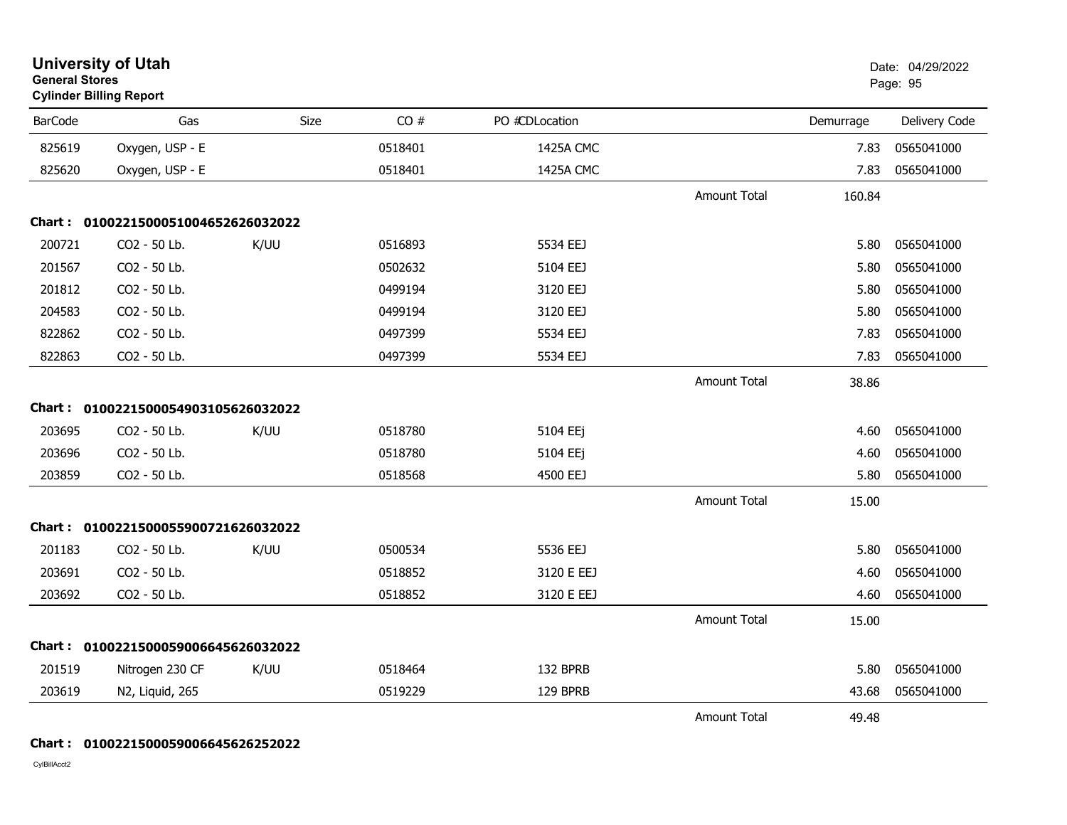| <b>General Stores</b> | <b>University of Utah</b><br><b>Cylinder Billing Report</b> |      |         |                |                     |           | Date: 04/29/2022<br>Page: 95 |
|-----------------------|-------------------------------------------------------------|------|---------|----------------|---------------------|-----------|------------------------------|
| <b>BarCode</b>        | Gas                                                         | Size | CO#     | PO #CDLocation |                     | Demurrage | Delivery Code                |
| 825619                | Oxygen, USP - E                                             |      | 0518401 | 1425A CMC      |                     | 7.83      | 0565041000                   |
| 825620                | Oxygen, USP - E                                             |      | 0518401 | 1425A CMC      |                     | 7.83      | 0565041000                   |
|                       |                                                             |      |         |                | <b>Amount Total</b> | 160.84    |                              |
|                       | Chart: 0100221500051004652626032022                         |      |         |                |                     |           |                              |
| 200721                | CO2 - 50 Lb.                                                | K/UU | 0516893 | 5534 EEJ       |                     | 5.80      | 0565041000                   |
| 201567                | CO2 - 50 Lb.                                                |      | 0502632 | 5104 EEJ       |                     | 5.80      | 0565041000                   |
| 201812                | CO2 - 50 Lb.                                                |      | 0499194 | 3120 EEJ       |                     | 5.80      | 0565041000                   |
| 204583                | CO2 - 50 Lb.                                                |      | 0499194 | 3120 EEJ       |                     | 5.80      | 0565041000                   |
| 822862                | CO2 - 50 Lb.                                                |      | 0497399 | 5534 EEJ       |                     | 7.83      | 0565041000                   |
| 822863                | CO2 - 50 Lb.                                                |      | 0497399 | 5534 EEJ       |                     | 7.83      | 0565041000                   |
|                       |                                                             |      |         |                | <b>Amount Total</b> | 38.86     |                              |
|                       | Chart: 0100221500054903105626032022                         |      |         |                |                     |           |                              |
| 203695                | CO2 - 50 Lb.                                                | K/UU | 0518780 | 5104 EEj       |                     | 4.60      | 0565041000                   |
| 203696                | CO2 - 50 Lb.                                                |      | 0518780 | 5104 EEj       |                     | 4.60      | 0565041000                   |
| 203859                | CO2 - 50 Lb.                                                |      | 0518568 | 4500 EEJ       |                     | 5.80      | 0565041000                   |
|                       |                                                             |      |         |                | Amount Total        | 15.00     |                              |
|                       | Chart: 0100221500055900721626032022                         |      |         |                |                     |           |                              |
| 201183                | CO2 - 50 Lb.                                                | K/UU | 0500534 | 5536 EEJ       |                     | 5.80      | 0565041000                   |
| 203691                | CO2 - 50 Lb.                                                |      | 0518852 | 3120 E EEJ     |                     | 4.60      | 0565041000                   |
| 203692                | CO2 - 50 Lb.                                                |      | 0518852 | 3120 E EEJ     |                     | 4.60      | 0565041000                   |
|                       |                                                             |      |         |                | <b>Amount Total</b> | 15.00     |                              |
|                       | Chart: 0100221500059006645626032022                         |      |         |                |                     |           |                              |
| 201519                | Nitrogen 230 CF                                             | K/UU | 0518464 | 132 BPRB       |                     | 5.80      | 0565041000                   |
| 203619                | N2, Liquid, 265                                             |      | 0519229 | 129 BPRB       |                     | 43.68     | 0565041000                   |
|                       |                                                             |      |         |                | <b>Amount Total</b> | 49.48     |                              |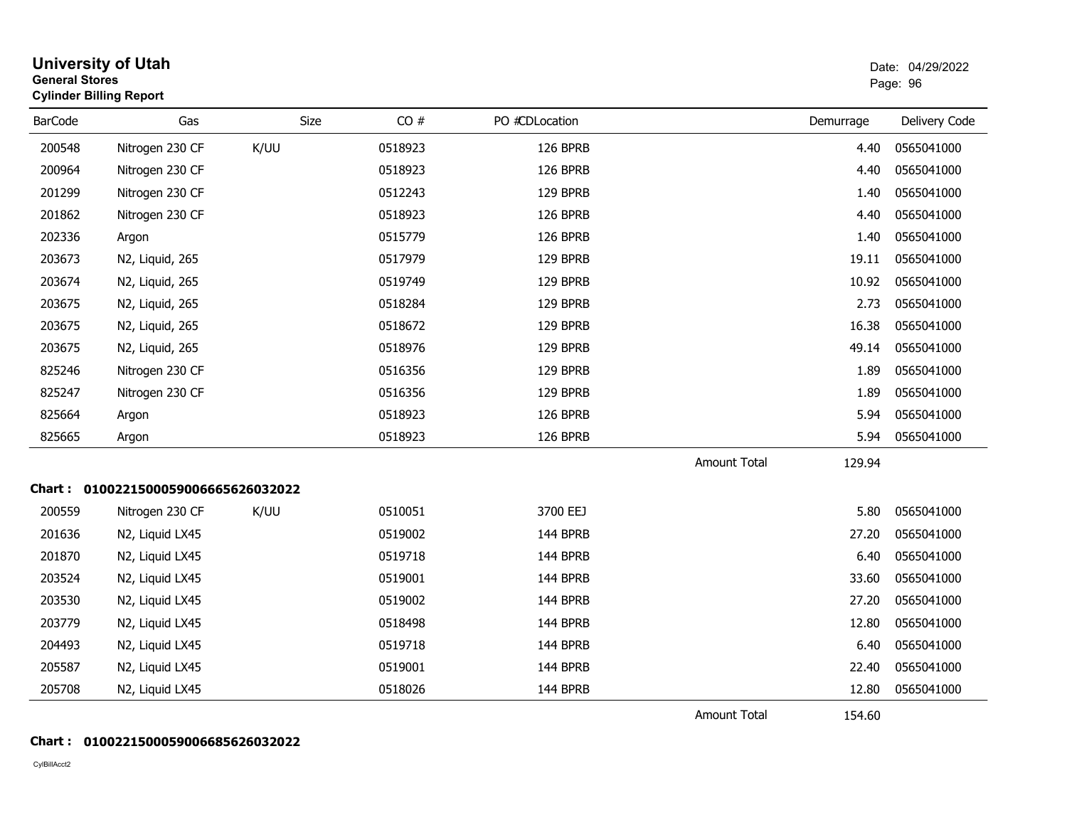| <b>General Stores</b> | <b>University of Utah</b><br><b>Cylinder Billing Report</b> |      |         |                |                     |           | Date: 04/29/2022<br>Page: 96 |
|-----------------------|-------------------------------------------------------------|------|---------|----------------|---------------------|-----------|------------------------------|
| <b>BarCode</b>        | Gas                                                         | Size | CO#     | PO #CDLocation |                     | Demurrage | Delivery Code                |
| 200548                | Nitrogen 230 CF                                             | K/UU | 0518923 | 126 BPRB       |                     | 4.40      | 0565041000                   |
| 200964                | Nitrogen 230 CF                                             |      | 0518923 | 126 BPRB       |                     | 4.40      | 0565041000                   |
| 201299                | Nitrogen 230 CF                                             |      | 0512243 | 129 BPRB       |                     | 1.40      | 0565041000                   |
| 201862                | Nitrogen 230 CF                                             |      | 0518923 | 126 BPRB       |                     | 4.40      | 0565041000                   |
| 202336                | Argon                                                       |      | 0515779 | 126 BPRB       |                     | 1.40      | 0565041000                   |
| 203673                | N2, Liquid, 265                                             |      | 0517979 | 129 BPRB       |                     | 19.11     | 0565041000                   |
| 203674                | N2, Liquid, 265                                             |      | 0519749 | 129 BPRB       |                     | 10.92     | 0565041000                   |
| 203675                | N2, Liquid, 265                                             |      | 0518284 | 129 BPRB       |                     | 2.73      | 0565041000                   |
| 203675                | N2, Liquid, 265                                             |      | 0518672 | 129 BPRB       |                     | 16.38     | 0565041000                   |
| 203675                | N2, Liquid, 265                                             |      | 0518976 | 129 BPRB       |                     | 49.14     | 0565041000                   |
| 825246                | Nitrogen 230 CF                                             |      | 0516356 | 129 BPRB       |                     | 1.89      | 0565041000                   |
| 825247                | Nitrogen 230 CF                                             |      | 0516356 | 129 BPRB       |                     | 1.89      | 0565041000                   |
| 825664                | Argon                                                       |      | 0518923 | 126 BPRB       |                     | 5.94      | 0565041000                   |
| 825665                | Argon                                                       |      | 0518923 | 126 BPRB       |                     | 5.94      | 0565041000                   |
|                       |                                                             |      |         |                | <b>Amount Total</b> | 129.94    |                              |
|                       | Chart: 0100221500059006665626032022                         |      |         |                |                     |           |                              |
| 200559                | Nitrogen 230 CF                                             | K/UU | 0510051 | 3700 EEJ       |                     | 5.80      | 0565041000                   |
| 201636                | N2, Liquid LX45                                             |      | 0519002 | 144 BPRB       |                     | 27.20     | 0565041000                   |
| 201870                | N2, Liquid LX45                                             |      | 0519718 | 144 BPRB       |                     | 6.40      | 0565041000                   |
| 203524                | N2, Liquid LX45                                             |      | 0519001 | 144 BPRB       |                     | 33.60     | 0565041000                   |
| 203530                | N2, Liquid LX45                                             |      | 0519002 | 144 BPRB       |                     | 27.20     | 0565041000                   |
| 203779                | N2, Liquid LX45                                             |      | 0518498 | 144 BPRB       |                     | 12.80     | 0565041000                   |
| 204493                | N2, Liquid LX45                                             |      | 0519718 | 144 BPRB       |                     | 6.40      | 0565041000                   |
| 205587                | N2, Liquid LX45                                             |      | 0519001 | 144 BPRB       |                     | 22.40     | 0565041000                   |
| 205708                | N2, Liquid LX45                                             |      | 0518026 | 144 BPRB       |                     | 12.80     | 0565041000                   |
|                       |                                                             |      |         |                | <b>Amount Total</b> | 154.60    |                              |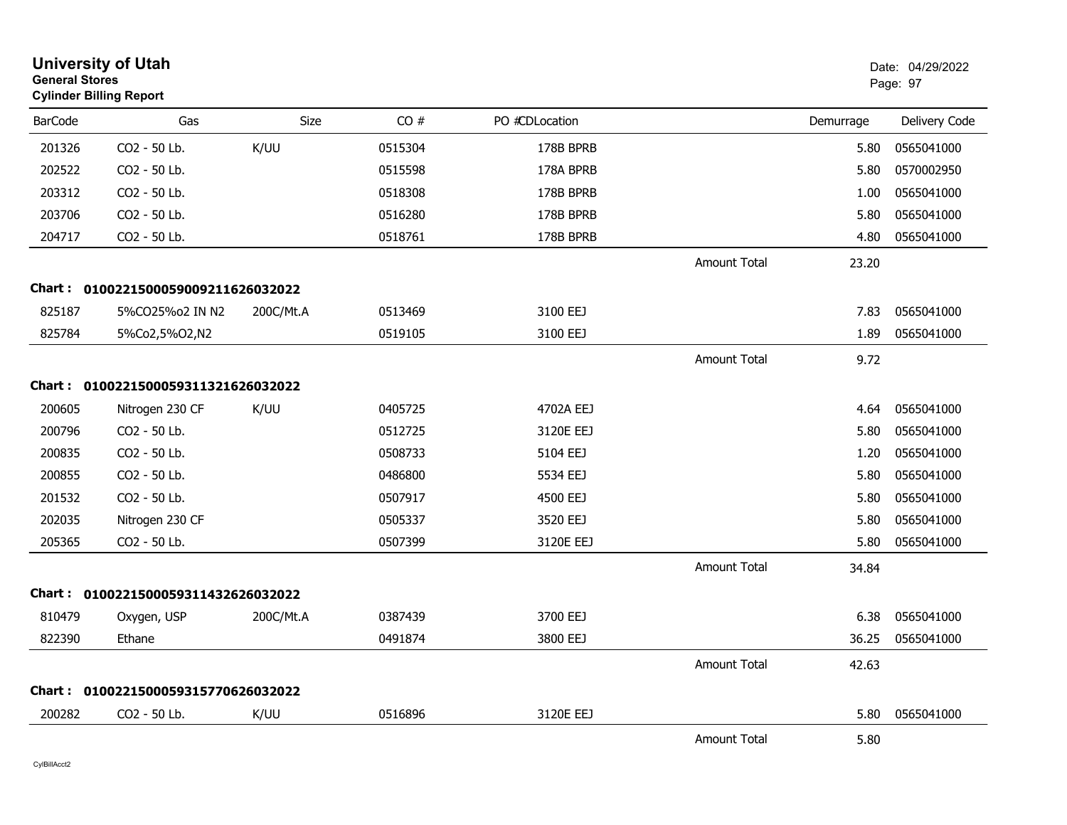| <b>General Stores</b> | <b>University of Utah</b><br><b>Cylinder Billing Report</b> |           |         |                |                     |           | Date: 04/29/2022<br>Page: 97 |
|-----------------------|-------------------------------------------------------------|-----------|---------|----------------|---------------------|-----------|------------------------------|
| <b>BarCode</b>        | Gas                                                         | Size      | CO#     | PO #CDLocation |                     | Demurrage | Delivery Code                |
| 201326                | CO2 - 50 Lb.                                                | K/UU      | 0515304 | 178B BPRB      |                     | 5.80      | 0565041000                   |
| 202522                | CO2 - 50 Lb.                                                |           | 0515598 | 178A BPRB      |                     | 5.80      | 0570002950                   |
| 203312                | CO2 - 50 Lb.                                                |           | 0518308 | 178B BPRB      |                     | 1.00      | 0565041000                   |
| 203706                | CO <sub>2</sub> - 50 Lb.                                    |           | 0516280 | 178B BPRB      |                     | 5.80      | 0565041000                   |
| 204717                | CO2 - 50 Lb.                                                |           | 0518761 | 178B BPRB      |                     | 4.80      | 0565041000                   |
|                       |                                                             |           |         |                | Amount Total        | 23.20     |                              |
|                       | Chart: 0100221500059009211626032022                         |           |         |                |                     |           |                              |
| 825187                | 5%CO25%o2 IN N2                                             | 200C/Mt.A | 0513469 | 3100 EEJ       |                     | 7.83      | 0565041000                   |
| 825784                | 5%Co2,5%O2,N2                                               |           | 0519105 | 3100 EEJ       |                     | 1.89      | 0565041000                   |
|                       |                                                             |           |         |                | <b>Amount Total</b> | 9.72      |                              |
|                       | Chart: 0100221500059311321626032022                         |           |         |                |                     |           |                              |
| 200605                | Nitrogen 230 CF                                             | K/UU      | 0405725 | 4702A EEJ      |                     | 4.64      | 0565041000                   |
| 200796                | CO2 - 50 Lb.                                                |           | 0512725 | 3120E EEJ      |                     | 5.80      | 0565041000                   |
| 200835                | CO2 - 50 Lb.                                                |           | 0508733 | 5104 EEJ       |                     | 1.20      | 0565041000                   |
| 200855                | CO2 - 50 Lb.                                                |           | 0486800 | 5534 EEJ       |                     | 5.80      | 0565041000                   |
| 201532                | CO2 - 50 Lb.                                                |           | 0507917 | 4500 EEJ       |                     | 5.80      | 0565041000                   |
| 202035                | Nitrogen 230 CF                                             |           | 0505337 | 3520 EEJ       |                     | 5.80      | 0565041000                   |
| 205365                | CO2 - 50 Lb.                                                |           | 0507399 | 3120E EEJ      |                     | 5.80      | 0565041000                   |
|                       |                                                             |           |         |                | <b>Amount Total</b> | 34.84     |                              |
|                       | Chart: 0100221500059311432626032022                         |           |         |                |                     |           |                              |
| 810479                | Oxygen, USP                                                 | 200C/Mt.A | 0387439 | 3700 EEJ       |                     | 6.38      | 0565041000                   |
| 822390                | Ethane                                                      |           | 0491874 | 3800 EEJ       |                     | 36.25     | 0565041000                   |
|                       |                                                             |           |         |                | Amount Total        | 42.63     |                              |
|                       | Chart: 0100221500059315770626032022                         |           |         |                |                     |           |                              |
| 200282                | CO2 - 50 Lb.                                                | K/UU      | 0516896 | 3120E EEJ      |                     | 5.80      | 0565041000                   |
|                       |                                                             |           |         |                | <b>Amount Total</b> | 5.80      |                              |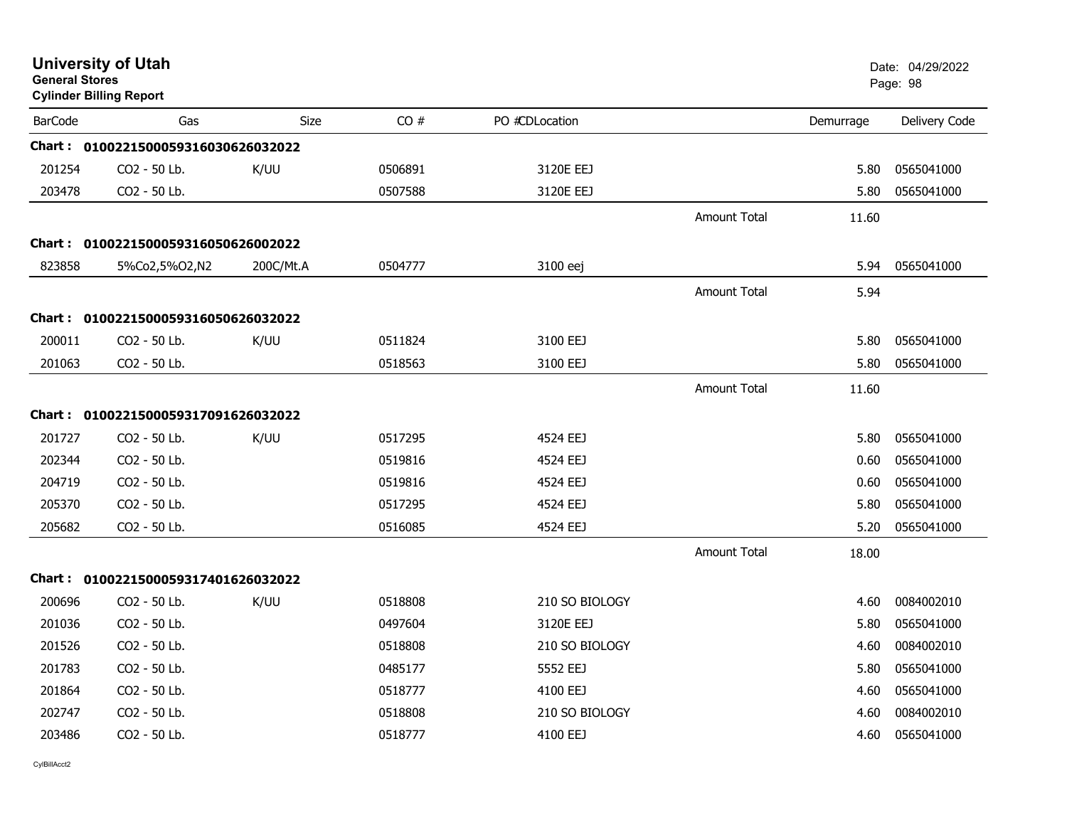| <b>General Stores</b> | <b>University of Utah</b><br><b>Cylinder Billing Report</b> |           |         |                |                     |           | Date: 04/29/2022<br>Page: 98 |
|-----------------------|-------------------------------------------------------------|-----------|---------|----------------|---------------------|-----------|------------------------------|
| <b>BarCode</b>        | Gas                                                         | Size      | CO#     | PO #CDLocation |                     | Demurrage | Delivery Code                |
|                       | Chart: 0100221500059316030626032022                         |           |         |                |                     |           |                              |
| 201254                | CO2 - 50 Lb.                                                | K/UU      | 0506891 | 3120E EEJ      |                     | 5.80      | 0565041000                   |
| 203478                | CO2 - 50 Lb.                                                |           | 0507588 | 3120E EEJ      |                     | 5.80      | 0565041000                   |
|                       |                                                             |           |         |                | <b>Amount Total</b> | 11.60     |                              |
|                       | Chart: 0100221500059316050626002022                         |           |         |                |                     |           |                              |
| 823858                | 5%Co2,5%O2,N2                                               | 200C/Mt.A | 0504777 | 3100 eej       |                     | 5.94      | 0565041000                   |
|                       |                                                             |           |         |                | <b>Amount Total</b> | 5.94      |                              |
|                       | Chart: 0100221500059316050626032022                         |           |         |                |                     |           |                              |
| 200011                | CO2 - 50 Lb.                                                | K/UU      | 0511824 | 3100 EEJ       |                     | 5.80      | 0565041000                   |
| 201063                | CO2 - 50 Lb.                                                |           | 0518563 | 3100 EEJ       |                     | 5.80      | 0565041000                   |
|                       |                                                             |           |         |                | <b>Amount Total</b> | 11.60     |                              |
|                       | Chart: 0100221500059317091626032022                         |           |         |                |                     |           |                              |
| 201727                | CO2 - 50 Lb.                                                | K/UU      | 0517295 | 4524 EEJ       |                     | 5.80      | 0565041000                   |
| 202344                | CO <sub>2</sub> - 50 Lb.                                    |           | 0519816 | 4524 EEJ       |                     | 0.60      | 0565041000                   |
| 204719                | CO2 - 50 Lb.                                                |           | 0519816 | 4524 EEJ       |                     | 0.60      | 0565041000                   |
| 205370                | CO2 - 50 Lb.                                                |           | 0517295 | 4524 EEJ       |                     | 5.80      | 0565041000                   |
| 205682                | CO2 - 50 Lb.                                                |           | 0516085 | 4524 EEJ       |                     | 5.20      | 0565041000                   |
|                       |                                                             |           |         |                | Amount Total        | 18.00     |                              |
|                       | Chart: 0100221500059317401626032022                         |           |         |                |                     |           |                              |
| 200696                | CO <sub>2</sub> - 50 Lb.                                    | K/UU      | 0518808 | 210 SO BIOLOGY |                     | 4.60      | 0084002010                   |
| 201036                | CO2 - 50 Lb.                                                |           | 0497604 | 3120E EEJ      |                     | 5.80      | 0565041000                   |
| 201526                | CO2 - 50 Lb.                                                |           | 0518808 | 210 SO BIOLOGY |                     | 4.60      | 0084002010                   |
| 201783                | CO2 - 50 Lb.                                                |           | 0485177 | 5552 EEJ       |                     | 5.80      | 0565041000                   |
| 201864                | CO2 - 50 Lb.                                                |           | 0518777 | 4100 EEJ       |                     | 4.60      | 0565041000                   |
| 202747                | CO2 - 50 Lb.                                                |           | 0518808 | 210 SO BIOLOGY |                     | 4.60      | 0084002010                   |
| 203486                | CO2 - 50 Lb.                                                |           | 0518777 | 4100 EEJ       |                     | 4.60      | 0565041000                   |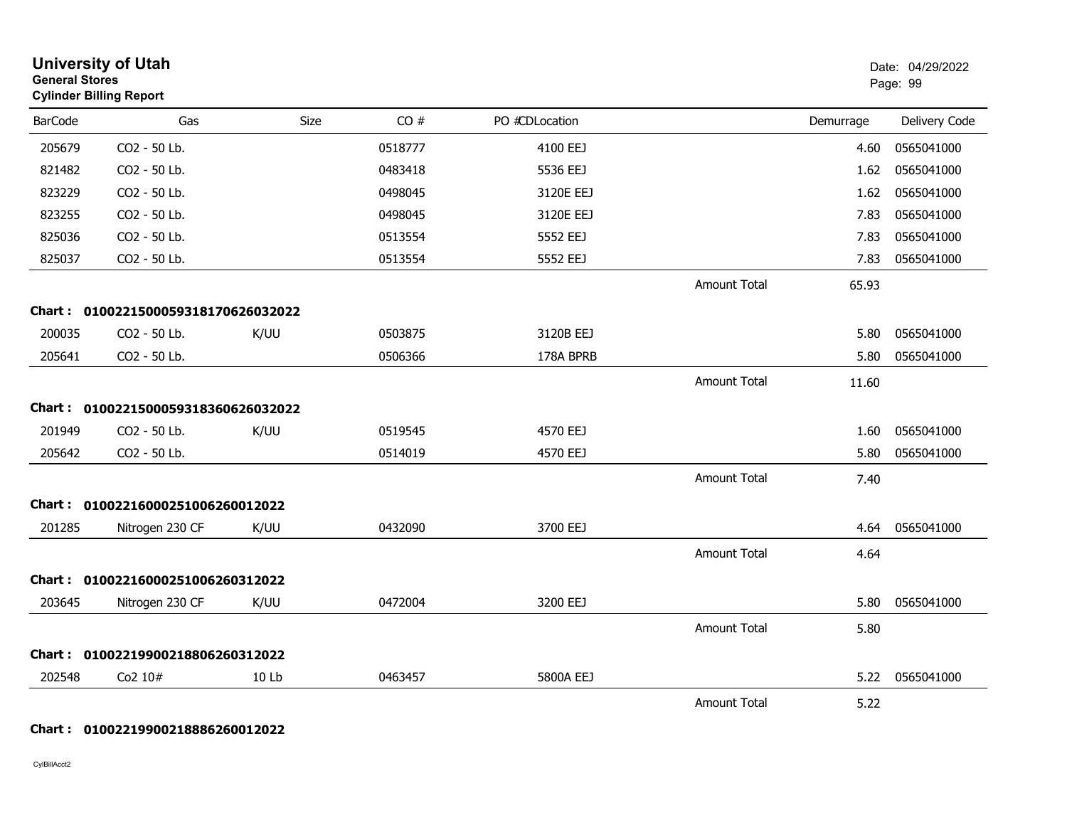| <b>General Stores</b> | <b>University of Utah</b><br><b>Cylinder Billing Report</b> |       |         |                |                     |           | Date: 04/29/2022<br>Page: 99 |
|-----------------------|-------------------------------------------------------------|-------|---------|----------------|---------------------|-----------|------------------------------|
| <b>BarCode</b>        | Gas                                                         | Size  | CO#     | PO #CDLocation |                     | Demurrage | Delivery Code                |
| 205679                | CO2 - 50 Lb.                                                |       | 0518777 | 4100 EEJ       |                     | 4.60      | 0565041000                   |
| 821482                | CO2 - 50 Lb.                                                |       | 0483418 | 5536 EEJ       |                     | 1.62      | 0565041000                   |
| 823229                | CO2 - 50 Lb.                                                |       | 0498045 | 3120E EEJ      |                     | 1.62      | 0565041000                   |
| 823255                | CO2 - 50 Lb.                                                |       | 0498045 | 3120E EEJ      |                     | 7.83      | 0565041000                   |
| 825036                | CO2 - 50 Lb.                                                |       | 0513554 | 5552 EEJ       |                     | 7.83      | 0565041000                   |
| 825037                | CO2 - 50 Lb.                                                |       | 0513554 | 5552 EEJ       |                     | 7.83      | 0565041000                   |
|                       |                                                             |       |         |                | <b>Amount Total</b> | 65.93     |                              |
|                       | Chart: 0100221500059318170626032022                         |       |         |                |                     |           |                              |
| 200035                | CO2 - 50 Lb.                                                | K/UU  | 0503875 | 3120B EEJ      |                     | 5.80      | 0565041000                   |
| 205641                | CO2 - 50 Lb.                                                |       | 0506366 | 178A BPRB      |                     | 5.80      | 0565041000                   |
|                       |                                                             |       |         |                | <b>Amount Total</b> | 11.60     |                              |
| <b>Chart :</b>        | 0100221500059318360626032022                                |       |         |                |                     |           |                              |
| 201949                | CO2 - 50 Lb.                                                | K/UU  | 0519545 | 4570 EEJ       |                     | 1.60      | 0565041000                   |
| 205642                | CO2 - 50 Lb.                                                |       | 0514019 | 4570 EEJ       |                     | 5.80      | 0565041000                   |
|                       |                                                             |       |         |                | <b>Amount Total</b> | 7.40      |                              |
|                       | Chart: 01002216000251006260012022                           |       |         |                |                     |           |                              |
| 201285                | Nitrogen 230 CF                                             | K/UU  | 0432090 | 3700 EEJ       |                     | 4.64      | 0565041000                   |
|                       |                                                             |       |         |                | <b>Amount Total</b> | 4.64      |                              |
|                       | Chart: 01002216000251006260312022                           |       |         |                |                     |           |                              |
| 203645                | Nitrogen 230 CF                                             | K/UU  | 0472004 | 3200 EEJ       |                     | 5.80      | 0565041000                   |
|                       |                                                             |       |         |                | <b>Amount Total</b> | 5.80      |                              |
| Chart :               | 01002219900218806260312022                                  |       |         |                |                     |           |                              |
| 202548                | Co2 10#                                                     | 10 Lb | 0463457 | 5800A EEJ      |                     | 5.22      | 0565041000                   |
|                       |                                                             |       |         |                | <b>Amount Total</b> | 5.22      |                              |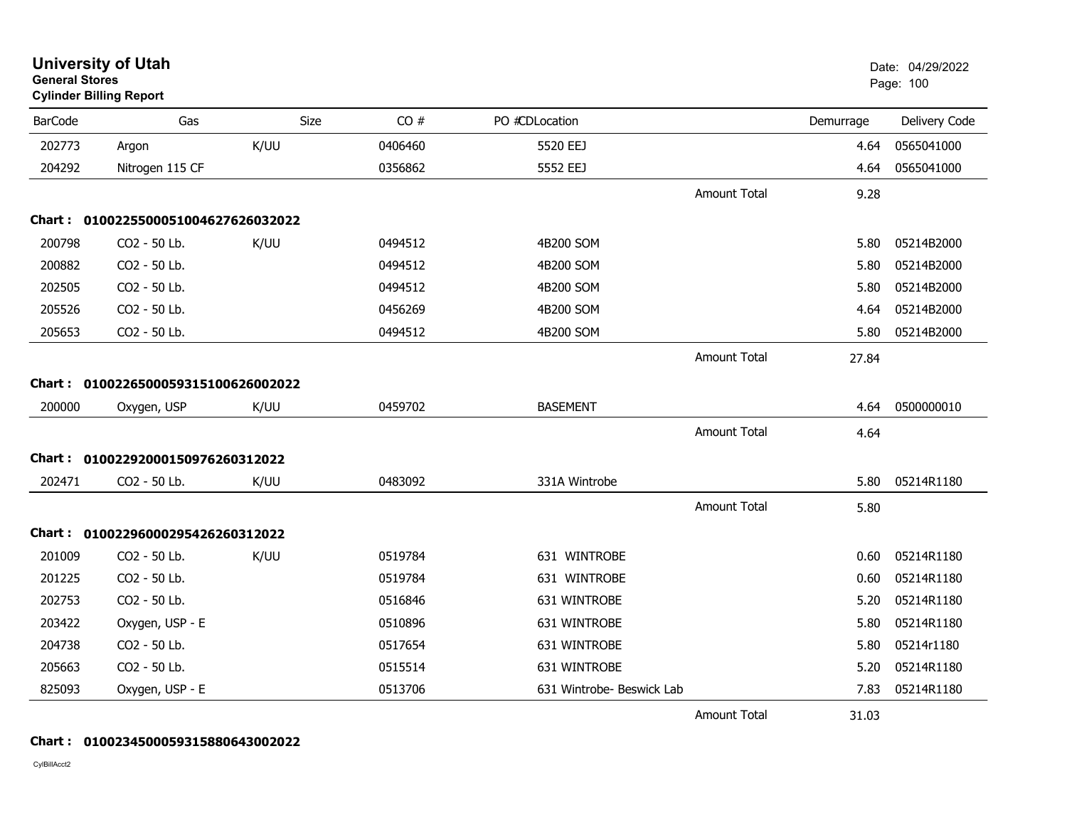| <b>General Stores</b> | <b>University of Utah</b><br><b>Cylinder Billing Report</b> |      |         |                           |                     |           | Date: 04/29/2022<br>Page: 100 |
|-----------------------|-------------------------------------------------------------|------|---------|---------------------------|---------------------|-----------|-------------------------------|
| <b>BarCode</b>        | Gas                                                         | Size | CO#     | PO #CDLocation            |                     | Demurrage | Delivery Code                 |
| 202773                | Argon                                                       | K/UU | 0406460 | 5520 EEJ                  |                     | 4.64      | 0565041000                    |
| 204292                | Nitrogen 115 CF                                             |      | 0356862 | 5552 EEJ                  |                     | 4.64      | 0565041000                    |
|                       |                                                             |      |         |                           | <b>Amount Total</b> | 9.28      |                               |
|                       | Chart: 0100225500051004627626032022                         |      |         |                           |                     |           |                               |
| 200798                | CO2 - 50 Lb.                                                | K/UU | 0494512 | 4B200 SOM                 |                     | 5.80      | 05214B2000                    |
| 200882                | CO2 - 50 Lb.                                                |      | 0494512 | 4B200 SOM                 |                     | 5.80      | 05214B2000                    |
| 202505                | CO2 - 50 Lb.                                                |      | 0494512 | 4B200 SOM                 |                     | 5.80      | 05214B2000                    |
| 205526                | CO2 - 50 Lb.                                                |      | 0456269 | 4B200 SOM                 |                     | 4.64      | 05214B2000                    |
| 205653                | CO2 - 50 Lb.                                                |      | 0494512 | 4B200 SOM                 |                     | 5.80      | 05214B2000                    |
|                       |                                                             |      |         |                           | <b>Amount Total</b> | 27.84     |                               |
|                       | Chart: 0100226500059315100626002022                         |      |         |                           |                     |           |                               |
| 200000                | Oxygen, USP                                                 | K/UU | 0459702 | <b>BASEMENT</b>           |                     | 4.64      | 0500000010                    |
|                       |                                                             |      |         |                           | Amount Total        | 4.64      |                               |
| Chart :               | 01002292000150976260312022                                  |      |         |                           |                     |           |                               |
| 202471                | CO2 - 50 Lb.                                                | K/UU | 0483092 | 331A Wintrobe             |                     | 5.80      | 05214R1180                    |
|                       |                                                             |      |         |                           | <b>Amount Total</b> | 5.80      |                               |
|                       | Chart: 01002296000295426260312022                           |      |         |                           |                     |           |                               |
| 201009                | CO2 - 50 Lb.                                                | K/UU | 0519784 | 631 WINTROBE              |                     | 0.60      | 05214R1180                    |
| 201225                | CO2 - 50 Lb.                                                |      | 0519784 | 631 WINTROBE              |                     | 0.60      | 05214R1180                    |
| 202753                | CO2 - 50 Lb.                                                |      | 0516846 | 631 WINTROBE              |                     | 5.20      | 05214R1180                    |
| 203422                | Oxygen, USP - E                                             |      | 0510896 | 631 WINTROBE              |                     | 5.80      | 05214R1180                    |
| 204738                | CO2 - 50 Lb.                                                |      | 0517654 | 631 WINTROBE              |                     | 5.80      | 05214r1180                    |
| 205663                | CO2 - 50 Lb.                                                |      | 0515514 | 631 WINTROBE              |                     | 5.20      | 05214R1180                    |
| 825093                | Oxygen, USP - E                                             |      | 0513706 | 631 Wintrobe- Beswick Lab |                     | 7.83      | 05214R1180                    |
|                       |                                                             |      |         |                           | <b>Amount Total</b> | 31.03     |                               |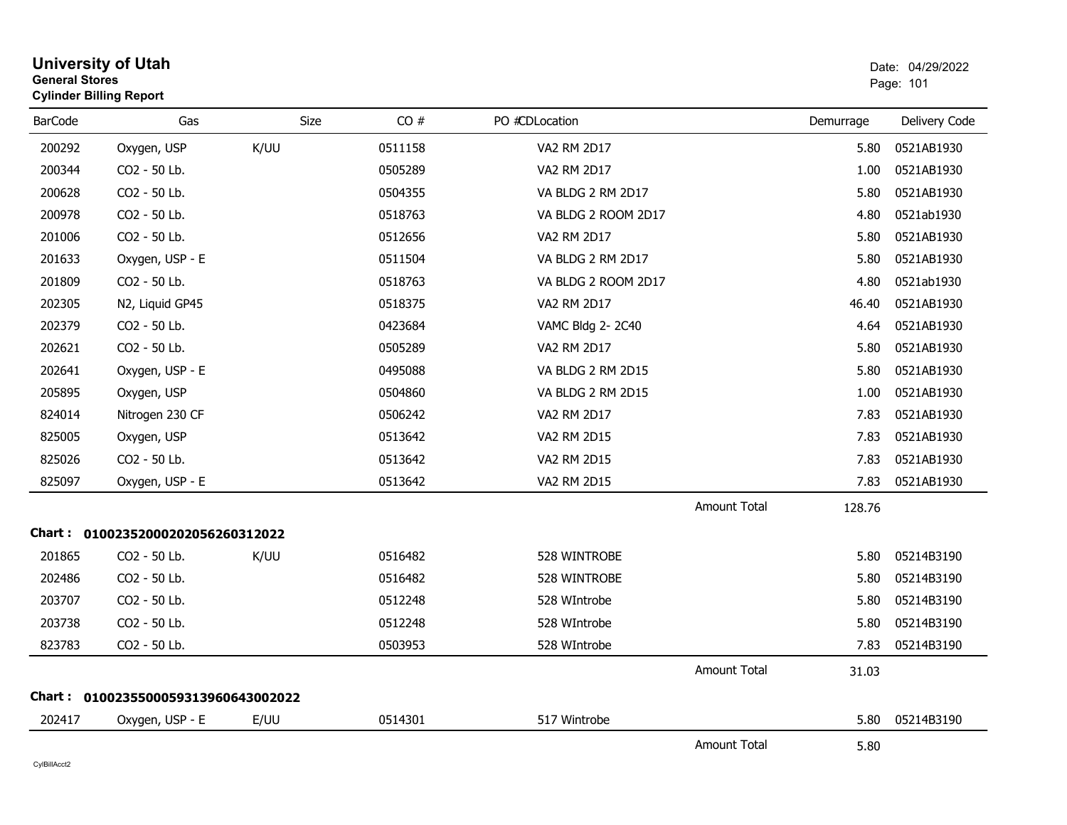| <b>General Stores</b> | <b>University of Utah</b><br><b>Cylinder Billing Report</b> |      |         |                     |                     |           | Date: 04/29/2022<br>Page: 101 |
|-----------------------|-------------------------------------------------------------|------|---------|---------------------|---------------------|-----------|-------------------------------|
| <b>BarCode</b>        | Gas                                                         | Size | CO#     | PO #CDLocation      |                     | Demurrage | Delivery Code                 |
| 200292                | Oxygen, USP                                                 | K/UU | 0511158 | <b>VA2 RM 2D17</b>  |                     | 5.80      | 0521AB1930                    |
| 200344                | CO2 - 50 Lb.                                                |      | 0505289 | <b>VA2 RM 2D17</b>  |                     | 1.00      | 0521AB1930                    |
| 200628                | CO2 - 50 Lb.                                                |      | 0504355 | VA BLDG 2 RM 2D17   |                     | 5.80      | 0521AB1930                    |
| 200978                | CO2 - 50 Lb.                                                |      | 0518763 | VA BLDG 2 ROOM 2D17 |                     | 4.80      | 0521ab1930                    |
| 201006                | CO2 - 50 Lb.                                                |      | 0512656 | VA2 RM 2D17         |                     | 5.80      | 0521AB1930                    |
| 201633                | Oxygen, USP - E                                             |      | 0511504 | VA BLDG 2 RM 2D17   |                     | 5.80      | 0521AB1930                    |
| 201809                | CO2 - 50 Lb.                                                |      | 0518763 | VA BLDG 2 ROOM 2D17 |                     | 4.80      | 0521ab1930                    |
| 202305                | N2, Liquid GP45                                             |      | 0518375 | <b>VA2 RM 2D17</b>  |                     | 46.40     | 0521AB1930                    |
| 202379                | CO2 - 50 Lb.                                                |      | 0423684 | VAMC Bldg 2-2C40    |                     | 4.64      | 0521AB1930                    |
| 202621                | CO2 - 50 Lb.                                                |      | 0505289 | <b>VA2 RM 2D17</b>  |                     | 5.80      | 0521AB1930                    |
| 202641                | Oxygen, USP - E                                             |      | 0495088 | VA BLDG 2 RM 2D15   |                     | 5.80      | 0521AB1930                    |
| 205895                | Oxygen, USP                                                 |      | 0504860 | VA BLDG 2 RM 2D15   |                     | 1.00      | 0521AB1930                    |
| 824014                | Nitrogen 230 CF                                             |      | 0506242 | VA2 RM 2D17         |                     | 7.83      | 0521AB1930                    |
| 825005                | Oxygen, USP                                                 |      | 0513642 | VA2 RM 2D15         |                     | 7.83      | 0521AB1930                    |
| 825026                | CO2 - 50 Lb.                                                |      | 0513642 | VA2 RM 2D15         |                     | 7.83      | 0521AB1930                    |
| 825097                | Oxygen, USP - E                                             |      | 0513642 | VA2 RM 2D15         |                     | 7.83      | 0521AB1930                    |
|                       |                                                             |      |         |                     | <b>Amount Total</b> | 128.76    |                               |
|                       | Chart: 01002352000202056260312022                           |      |         |                     |                     |           |                               |
| 201865                | CO <sub>2</sub> - 50 Lb.                                    | K/UU | 0516482 | 528 WINTROBE        |                     | 5.80      | 05214B3190                    |
| 202486                | CO2 - 50 Lb.                                                |      | 0516482 | 528 WINTROBE        |                     | 5.80      | 05214B3190                    |
| 203707                | CO2 - 50 Lb.                                                |      | 0512248 | 528 WIntrobe        |                     | 5.80      | 05214B3190                    |
| 203738                | CO2 - 50 Lb.                                                |      | 0512248 | 528 WIntrobe        |                     | 5.80      | 05214B3190                    |
| 823783                | CO2 - 50 Lb.                                                |      | 0503953 | 528 WIntrobe        |                     | 7.83      | 05214B3190                    |
|                       |                                                             |      |         |                     | <b>Amount Total</b> | 31.03     |                               |
| Chart :               | 0100235500059313960643002022                                |      |         |                     |                     |           |                               |
| 202417                | Oxygen, USP - E                                             | E/UU | 0514301 | 517 Wintrobe        |                     | 5.80      | 05214B3190                    |
|                       |                                                             |      |         |                     | <b>Amount Total</b> | 5.80      |                               |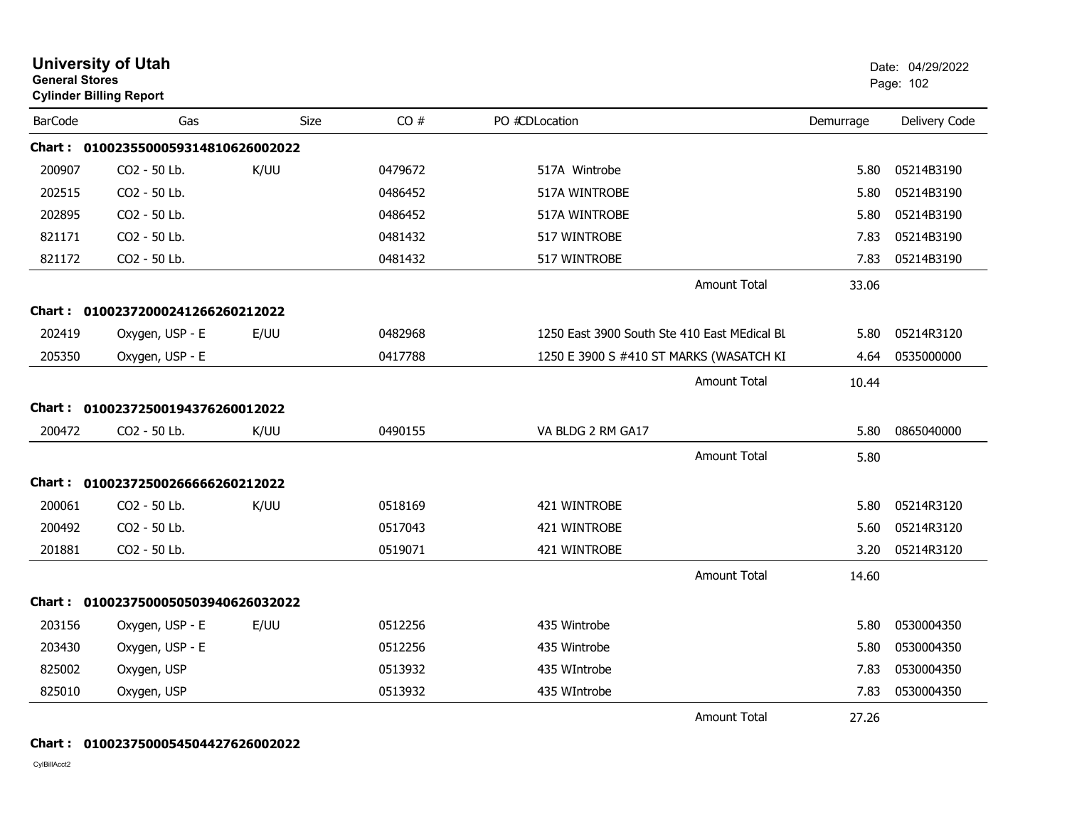| <b>General Stores</b> | <b>University of Utah</b><br><b>Cylinder Billing Report</b> |             |         |                                              |           | Date: 04/29/2022<br>Page: 102 |
|-----------------------|-------------------------------------------------------------|-------------|---------|----------------------------------------------|-----------|-------------------------------|
| <b>BarCode</b>        | Gas                                                         | <b>Size</b> | CO#     | PO #CDLocation                               | Demurrage | Delivery Code                 |
|                       | Chart: 0100235500059314810626002022                         |             |         |                                              |           |                               |
| 200907                | CO <sub>2</sub> - 50 Lb.                                    | K/UU        | 0479672 | 517A Wintrobe                                | 5.80      | 05214B3190                    |
| 202515                | CO2 - 50 Lb.                                                |             | 0486452 | 517A WINTROBE                                | 5.80      | 05214B3190                    |
| 202895                | CO2 - 50 Lb.                                                |             | 0486452 | 517A WINTROBE                                | 5.80      | 05214B3190                    |
| 821171                | CO2 - 50 Lb.                                                |             | 0481432 | 517 WINTROBE                                 | 7.83      | 05214B3190                    |
| 821172                | CO2 - 50 Lb.                                                |             | 0481432 | 517 WINTROBE                                 | 7.83      | 05214B3190                    |
|                       |                                                             |             |         | <b>Amount Total</b>                          | 33.06     |                               |
|                       | Chart: 01002372000241266260212022                           |             |         |                                              |           |                               |
| 202419                | Oxygen, USP - E                                             | E/UU        | 0482968 | 1250 East 3900 South Ste 410 East MEdical BL | 5.80      | 05214R3120                    |
| 205350                | Oxygen, USP - E                                             |             | 0417788 | 1250 E 3900 S #410 ST MARKS (WASATCH KI      | 4.64      | 0535000000                    |
|                       |                                                             |             |         | <b>Amount Total</b>                          | 10.44     |                               |
|                       | Chart: 01002372500194376260012022                           |             |         |                                              |           |                               |
| 200472                | CO2 - 50 Lb.                                                | K/UU        | 0490155 | VA BLDG 2 RM GA17                            | 5.80      | 0865040000                    |
|                       |                                                             |             |         | <b>Amount Total</b>                          | 5.80      |                               |
|                       | Chart: 01002372500266666260212022                           |             |         |                                              |           |                               |
| 200061                | CO2 - 50 Lb.                                                | K/UU        | 0518169 | 421 WINTROBE                                 | 5.80      | 05214R3120                    |
| 200492                | CO2 - 50 Lb.                                                |             | 0517043 | 421 WINTROBE                                 | 5.60      | 05214R3120                    |
| 201881                | CO2 - 50 Lb.                                                |             | 0519071 | 421 WINTROBE                                 | 3.20      | 05214R3120                    |
|                       |                                                             |             |         | <b>Amount Total</b>                          | 14.60     |                               |
|                       | Chart: 0100237500050503940626032022                         |             |         |                                              |           |                               |
| 203156                | Oxygen, USP - E                                             | E/UU        | 0512256 | 435 Wintrobe                                 | 5.80      | 0530004350                    |
| 203430                | Oxygen, USP - E                                             |             | 0512256 | 435 Wintrobe                                 | 5.80      | 0530004350                    |
| 825002                | Oxygen, USP                                                 |             | 0513932 | 435 WIntrobe                                 | 7.83      | 0530004350                    |
| 825010                | Oxygen, USP                                                 |             | 0513932 | 435 WIntrobe                                 | 7.83      | 0530004350                    |
|                       |                                                             |             |         | <b>Amount Total</b>                          | 27.26     |                               |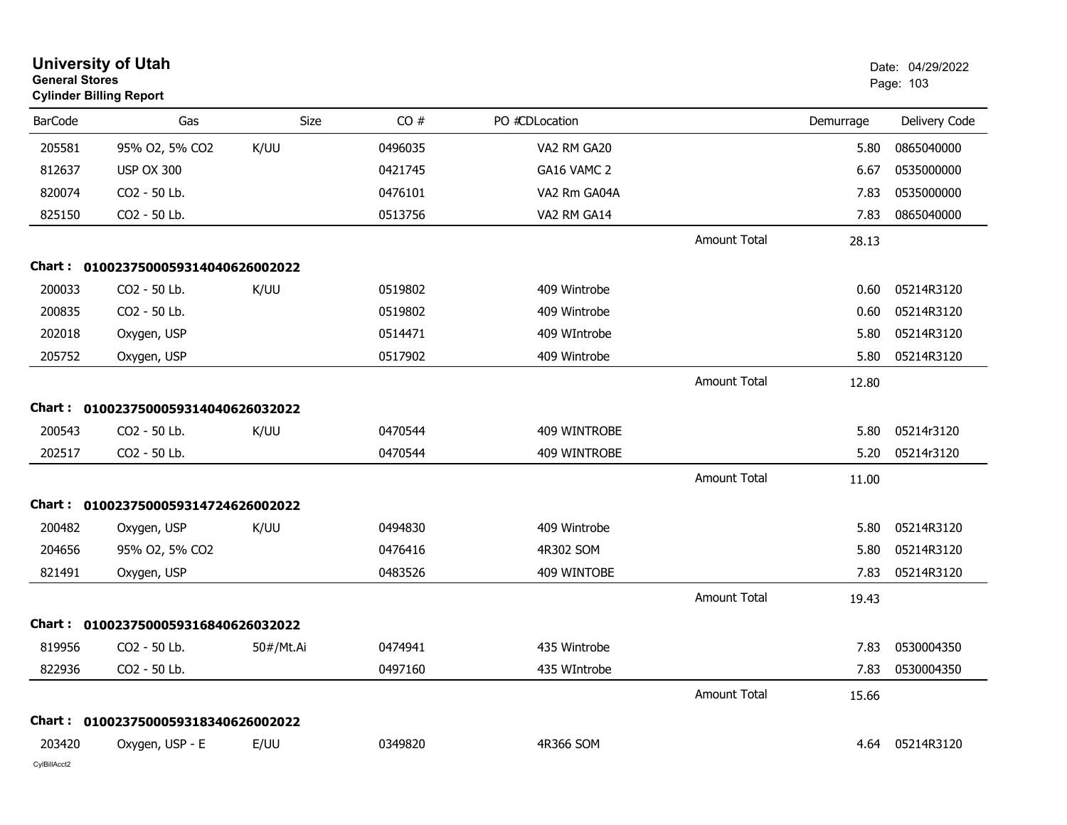| <b>General Stores</b> | <b>University of Utah</b><br><b>Cylinder Billing Report</b> |           |         |                |                     |           | Date: 04/29/2022<br>Page: 103 |
|-----------------------|-------------------------------------------------------------|-----------|---------|----------------|---------------------|-----------|-------------------------------|
| <b>BarCode</b>        | Gas                                                         | Size      | CO#     | PO #CDLocation |                     | Demurrage | Delivery Code                 |
| 205581                | 95% O2, 5% CO2                                              | K/UU      | 0496035 | VA2 RM GA20    |                     | 5.80      | 0865040000                    |
| 812637                | <b>USP OX 300</b>                                           |           | 0421745 | GA16 VAMC 2    |                     | 6.67      | 0535000000                    |
| 820074                | CO2 - 50 Lb.                                                |           | 0476101 | VA2 Rm GA04A   |                     | 7.83      | 0535000000                    |
| 825150                | CO2 - 50 Lb.                                                |           | 0513756 | VA2 RM GA14    |                     | 7.83      | 0865040000                    |
|                       |                                                             |           |         |                | <b>Amount Total</b> | 28.13     |                               |
| Chart :               | 0100237500059314040626002022                                |           |         |                |                     |           |                               |
| 200033                | CO2 - 50 Lb.                                                | K/UU      | 0519802 | 409 Wintrobe   |                     | 0.60      | 05214R3120                    |
| 200835                | CO2 - 50 Lb.                                                |           | 0519802 | 409 Wintrobe   |                     | 0.60      | 05214R3120                    |
| 202018                | Oxygen, USP                                                 |           | 0514471 | 409 WIntrobe   |                     | 5.80      | 05214R3120                    |
| 205752                | Oxygen, USP                                                 |           | 0517902 | 409 Wintrobe   |                     | 5.80      | 05214R3120                    |
|                       |                                                             |           |         |                | <b>Amount Total</b> | 12.80     |                               |
| Chart :               | 0100237500059314040626032022                                |           |         |                |                     |           |                               |
| 200543                | CO2 - 50 Lb.                                                | K/UU      | 0470544 | 409 WINTROBE   |                     | 5.80      | 05214r3120                    |
| 202517                | CO2 - 50 Lb.                                                |           | 0470544 | 409 WINTROBE   |                     | 5.20      | 05214r3120                    |
|                       |                                                             |           |         |                | <b>Amount Total</b> | 11.00     |                               |
| Chart :               | 0100237500059314724626002022                                |           |         |                |                     |           |                               |
| 200482                | Oxygen, USP                                                 | K/UU      | 0494830 | 409 Wintrobe   |                     | 5.80      | 05214R3120                    |
| 204656                | 95% O2, 5% CO2                                              |           | 0476416 | 4R302 SOM      |                     | 5.80      | 05214R3120                    |
| 821491                | Oxygen, USP                                                 |           | 0483526 | 409 WINTOBE    |                     | 7.83      | 05214R3120                    |
|                       |                                                             |           |         |                | <b>Amount Total</b> | 19.43     |                               |
| Chart :               | 0100237500059316840626032022                                |           |         |                |                     |           |                               |
| 819956                | CO2 - 50 Lb.                                                | 50#/Mt.Ai | 0474941 | 435 Wintrobe   |                     | 7.83      | 0530004350                    |
| 822936                | CO2 - 50 Lb.                                                |           | 0497160 | 435 WIntrobe   |                     | 7.83      | 0530004350                    |
|                       |                                                             |           |         |                | Amount Total        | 15.66     |                               |
|                       | Chart: 0100237500059318340626002022                         |           |         |                |                     |           |                               |
| 203420                | Oxygen, USP - E                                             | E/UU      | 0349820 | 4R366 SOM      |                     | 4.64      | 05214R3120                    |
| CylBillAcct2          |                                                             |           |         |                |                     |           |                               |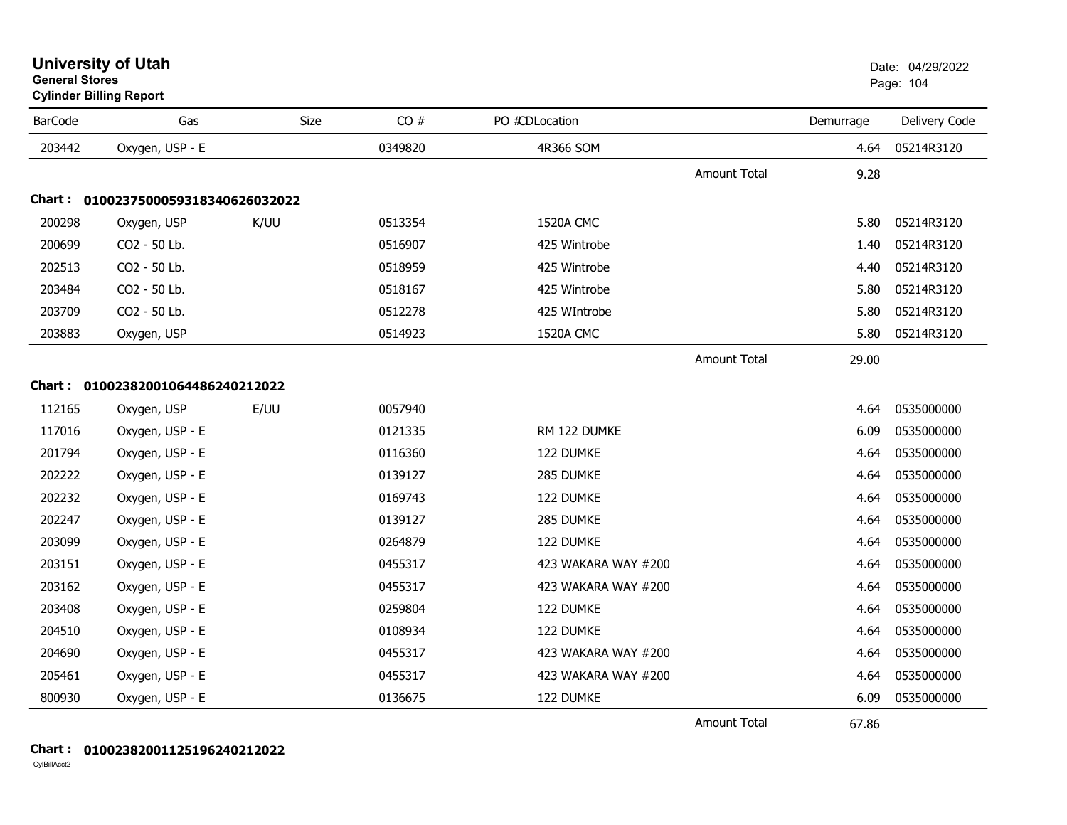| <b>University of Utah</b>      | Date: 04/29/2022 |
|--------------------------------|------------------|
| <b>General Stores</b>          | Page: 104        |
| <b>Cylinder Billing Report</b> |                  |

| <b>BarCode</b> | Gas                                 | Size | CO#     | PO #CDLocation      |                     | Demurrage | Delivery Code |
|----------------|-------------------------------------|------|---------|---------------------|---------------------|-----------|---------------|
| 203442         | Oxygen, USP - E                     |      | 0349820 | 4R366 SOM           |                     | 4.64      | 05214R3120    |
|                |                                     |      |         |                     | <b>Amount Total</b> | 9.28      |               |
|                | Chart: 0100237500059318340626032022 |      |         |                     |                     |           |               |
| 200298         | Oxygen, USP                         | K/UU | 0513354 | 1520A CMC           |                     | 5.80      | 05214R3120    |
| 200699         | CO2 - 50 Lb.                        |      | 0516907 | 425 Wintrobe        |                     | 1.40      | 05214R3120    |
| 202513         | CO2 - 50 Lb.                        |      | 0518959 | 425 Wintrobe        |                     | 4.40      | 05214R3120    |
| 203484         | CO2 - 50 Lb.                        |      | 0518167 | 425 Wintrobe        |                     | 5.80      | 05214R3120    |
| 203709         | CO2 - 50 Lb.                        |      | 0512278 | 425 WIntrobe        |                     | 5.80      | 05214R3120    |
| 203883         | Oxygen, USP                         |      | 0514923 | 1520A CMC           |                     | 5.80      | 05214R3120    |
|                |                                     |      |         |                     | <b>Amount Total</b> | 29.00     |               |
|                | Chart: 01002382001064486240212022   |      |         |                     |                     |           |               |
| 112165         | Oxygen, USP                         | E/UU | 0057940 |                     |                     | 4.64      | 0535000000    |
| 117016         | Oxygen, USP - E                     |      | 0121335 | RM 122 DUMKE        |                     | 6.09      | 0535000000    |
| 201794         | Oxygen, USP - E                     |      | 0116360 | 122 DUMKE           |                     | 4.64      | 0535000000    |
| 202222         | Oxygen, USP - E                     |      | 0139127 | 285 DUMKE           |                     | 4.64      | 0535000000    |
| 202232         | Oxygen, USP - E                     |      | 0169743 | 122 DUMKE           |                     | 4.64      | 0535000000    |
| 202247         | Oxygen, USP - E                     |      | 0139127 | 285 DUMKE           |                     | 4.64      | 0535000000    |
| 203099         | Oxygen, USP - E                     |      | 0264879 | 122 DUMKE           |                     | 4.64      | 0535000000    |
| 203151         | Oxygen, USP - E                     |      | 0455317 | 423 WAKARA WAY #200 |                     | 4.64      | 0535000000    |
| 203162         | Oxygen, USP - E                     |      | 0455317 | 423 WAKARA WAY #200 |                     | 4.64      | 0535000000    |
| 203408         | Oxygen, USP - E                     |      | 0259804 | 122 DUMKE           |                     | 4.64      | 0535000000    |
| 204510         | Oxygen, USP - E                     |      | 0108934 | 122 DUMKE           |                     | 4.64      | 0535000000    |
| 204690         | Oxygen, USP - E                     |      | 0455317 | 423 WAKARA WAY #200 |                     | 4.64      | 0535000000    |
| 205461         | Oxygen, USP - E                     |      | 0455317 | 423 WAKARA WAY #200 |                     | 4.64      | 0535000000    |
| 800930         | Oxygen, USP - E                     |      | 0136675 | 122 DUMKE           |                     | 6.09      | 0535000000    |

Amount Total

67.86

### **Chart : 01002382001125196240212022**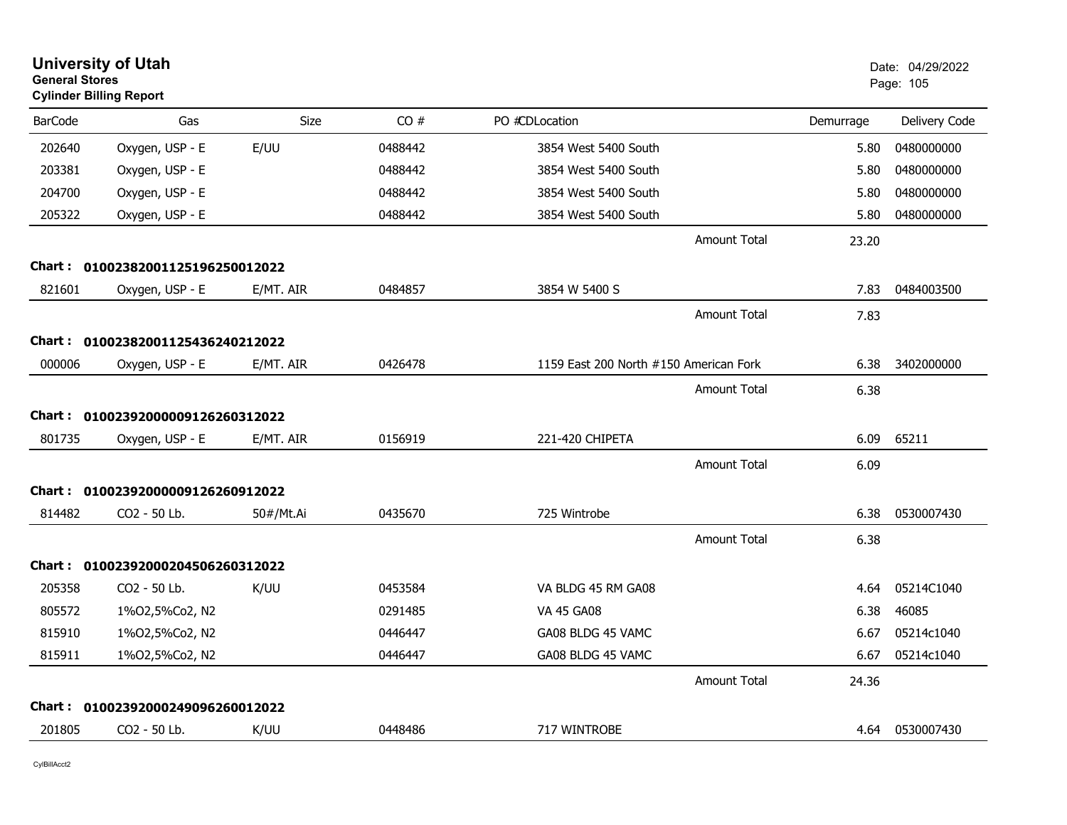| <b>General Stores</b> | <b>University of Utah</b><br><b>Cylinder Billing Report</b> |             |         |                                        |           | Date: 04/29/2022<br>Page: 105 |
|-----------------------|-------------------------------------------------------------|-------------|---------|----------------------------------------|-----------|-------------------------------|
| <b>BarCode</b>        | Gas                                                         | <b>Size</b> | CO#     | PO #CDLocation                         | Demurrage | Delivery Code                 |
| 202640                | Oxygen, USP - E                                             | E/UU        | 0488442 | 3854 West 5400 South                   | 5.80      | 0480000000                    |
| 203381                | Oxygen, USP - E                                             |             | 0488442 | 3854 West 5400 South                   | 5.80      | 0480000000                    |
| 204700                | Oxygen, USP - E                                             |             | 0488442 | 3854 West 5400 South                   | 5.80      | 0480000000                    |
| 205322                | Oxygen, USP - E                                             |             | 0488442 | 3854 West 5400 South                   | 5.80      | 0480000000                    |
|                       |                                                             |             |         | <b>Amount Total</b>                    | 23.20     |                               |
| Chart :               | 01002382001125196250012022                                  |             |         |                                        |           |                               |
| 821601                | Oxygen, USP - E                                             | E/MT. AIR   | 0484857 | 3854 W 5400 S                          | 7.83      | 0484003500                    |
|                       |                                                             |             |         | <b>Amount Total</b>                    | 7.83      |                               |
| Chart :               | 01002382001125436240212022                                  |             |         |                                        |           |                               |
| 000006                | Oxygen, USP - E                                             | E/MT. AIR   | 0426478 | 1159 East 200 North #150 American Fork | 6.38      | 3402000000                    |
|                       |                                                             |             |         | <b>Amount Total</b>                    | 6.38      |                               |
| Chart :               | 01002392000009126260312022                                  |             |         |                                        |           |                               |
| 801735                | Oxygen, USP - E                                             | E/MT. AIR   | 0156919 | 221-420 CHIPETA                        | 6.09      | 65211                         |
|                       |                                                             |             |         | <b>Amount Total</b>                    | 6.09      |                               |
|                       | Chart: 01002392000009126260912022                           |             |         |                                        |           |                               |
| 814482                | CO2 - 50 Lb.                                                | 50#/Mt.Ai   | 0435670 | 725 Wintrobe                           | 6.38      | 0530007430                    |
|                       |                                                             |             |         | <b>Amount Total</b>                    | 6.38      |                               |
|                       | Chart: 01002392000204506260312022                           |             |         |                                        |           |                               |
| 205358                | CO2 - 50 Lb.                                                | K/UU        | 0453584 | VA BLDG 45 RM GA08                     | 4.64      | 05214C1040                    |
| 805572                | 1%02,5%Co2, N2                                              |             | 0291485 | <b>VA 45 GA08</b>                      | 6.38      | 46085                         |
| 815910                | 1%02,5%Co2, N2                                              |             | 0446447 | GA08 BLDG 45 VAMC                      | 6.67      | 05214c1040                    |
| 815911                | 1%02,5%Co2, N2                                              |             | 0446447 | GA08 BLDG 45 VAMC                      | 6.67      | 05214c1040                    |
|                       |                                                             |             |         | <b>Amount Total</b>                    | 24.36     |                               |
| Chart :               | 01002392000249096260012022                                  |             |         |                                        |           |                               |
| 201805                | CO2 - 50 Lb.                                                | K/UU        | 0448486 | 717 WINTROBE                           | 4.64      | 0530007430                    |
|                       |                                                             |             |         |                                        |           |                               |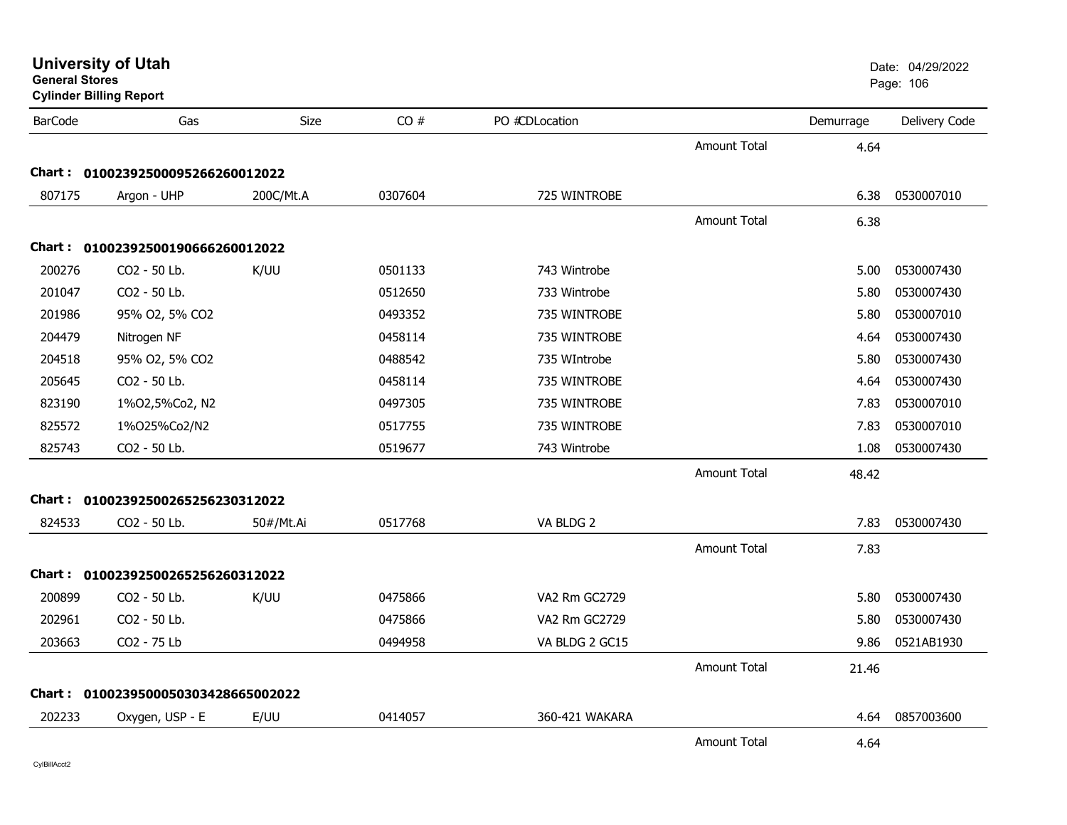| General Stores | <b>Cylinder Billing Report</b>      |           |         |                |                     |           | Page: 106     |
|----------------|-------------------------------------|-----------|---------|----------------|---------------------|-----------|---------------|
| <b>BarCode</b> | Gas                                 | Size      | CO#     | PO #CDLocation |                     | Demurrage | Delivery Code |
|                |                                     |           |         |                | <b>Amount Total</b> | 4.64      |               |
|                | Chart: 01002392500095266260012022   |           |         |                |                     |           |               |
| 807175         | Argon - UHP                         | 200C/Mt.A | 0307604 | 725 WINTROBE   |                     | 6.38      | 0530007010    |
|                |                                     |           |         |                | <b>Amount Total</b> | 6.38      |               |
|                | Chart: 01002392500190666260012022   |           |         |                |                     |           |               |
| 200276         | CO2 - 50 Lb.                        | K/UU      | 0501133 | 743 Wintrobe   |                     | 5.00      | 0530007430    |
| 201047         | CO2 - 50 Lb.                        |           | 0512650 | 733 Wintrobe   |                     | 5.80      | 0530007430    |
| 201986         | 95% O2, 5% CO2                      |           | 0493352 | 735 WINTROBE   |                     | 5.80      | 0530007010    |
| 204479         | Nitrogen NF                         |           | 0458114 | 735 WINTROBE   |                     | 4.64      | 0530007430    |
| 204518         | 95% O2, 5% CO2                      |           | 0488542 | 735 WIntrobe   |                     | 5.80      | 0530007430    |
| 205645         | CO2 - 50 Lb.                        |           | 0458114 | 735 WINTROBE   |                     | 4.64      | 0530007430    |
| 823190         | 1%02,5%Co2, N2                      |           | 0497305 | 735 WINTROBE   |                     | 7.83      | 0530007010    |
| 825572         | 1%025%Co2/N2                        |           | 0517755 | 735 WINTROBE   |                     | 7.83      | 0530007010    |
| 825743         | CO2 - 50 Lb.                        |           | 0519677 | 743 Wintrobe   |                     | 1.08      | 0530007430    |
|                |                                     |           |         |                | <b>Amount Total</b> | 48.42     |               |
|                | Chart: 01002392500265256230312022   |           |         |                |                     |           |               |
| 824533         | CO2 - 50 Lb.                        | 50#/Mt.Ai | 0517768 | VA BLDG 2      |                     | 7.83      | 0530007430    |
|                |                                     |           |         |                | <b>Amount Total</b> | 7.83      |               |
|                | Chart: 01002392500265256260312022   |           |         |                |                     |           |               |
| 200899         | CO2 - 50 Lb.                        | K/UU      | 0475866 | VA2 Rm GC2729  |                     | 5.80      | 0530007430    |
| 202961         | CO2 - 50 Lb.                        |           | 0475866 | VA2 Rm GC2729  |                     | 5.80      | 0530007430    |
| 203663         | CO2 - 75 Lb                         |           | 0494958 | VA BLDG 2 GC15 |                     | 9.86      | 0521AB1930    |
|                |                                     |           |         |                | <b>Amount Total</b> | 21.46     |               |
|                | Chart: 0100239500050303428665002022 |           |         |                |                     |           |               |
| 202233         | Oxygen, USP - E                     | E/UU      | 0414057 | 360-421 WAKARA |                     | 4.64      | 0857003600    |
|                |                                     |           |         |                | <b>Amount Total</b> | 4.64      |               |

**General Stores**

### **University of Utah** Date: 04/29/2022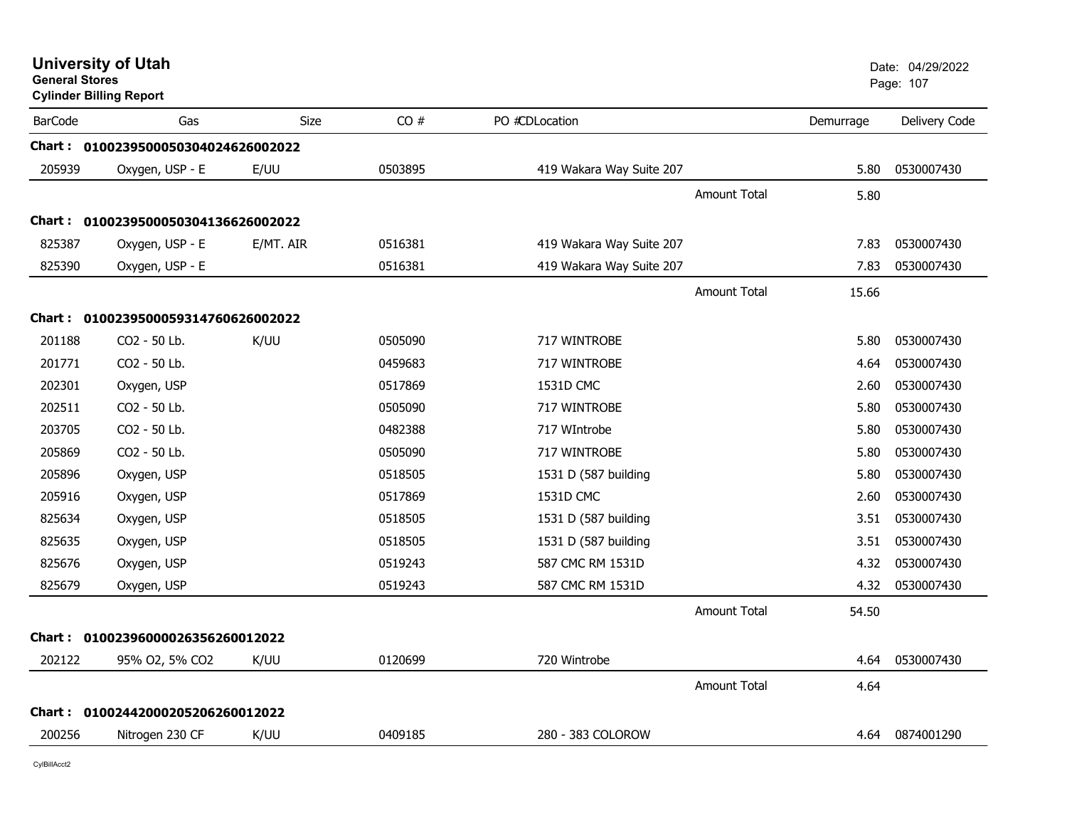| <b>University of Utah</b><br><b>General Stores</b><br><b>Cylinder Billing Report</b> |                                     |             |         |                          |                     |           | Date: 04/29/2022<br>Page: 107 |
|--------------------------------------------------------------------------------------|-------------------------------------|-------------|---------|--------------------------|---------------------|-----------|-------------------------------|
| <b>BarCode</b>                                                                       | Gas                                 | <b>Size</b> | CO#     | PO #CDLocation           |                     | Demurrage | Delivery Code                 |
|                                                                                      | Chart: 0100239500050304024626002022 |             |         |                          |                     |           |                               |
| 205939                                                                               | Oxygen, USP - E                     | E/UU        | 0503895 | 419 Wakara Way Suite 207 |                     | 5.80      | 0530007430                    |
|                                                                                      |                                     |             |         |                          | Amount Total        | 5.80      |                               |
|                                                                                      | Chart: 0100239500050304136626002022 |             |         |                          |                     |           |                               |
| 825387                                                                               | Oxygen, USP - E                     | E/MT. AIR   | 0516381 | 419 Wakara Way Suite 207 |                     | 7.83      | 0530007430                    |
| 825390                                                                               | Oxygen, USP - E                     |             | 0516381 | 419 Wakara Way Suite 207 |                     | 7.83      | 0530007430                    |
|                                                                                      |                                     |             |         |                          | <b>Amount Total</b> | 15.66     |                               |
|                                                                                      | Chart: 0100239500059314760626002022 |             |         |                          |                     |           |                               |
| 201188                                                                               | CO2 - 50 Lb.                        | K/UU        | 0505090 | 717 WINTROBE             |                     | 5.80      | 0530007430                    |
| 201771                                                                               | CO2 - 50 Lb.                        |             | 0459683 | 717 WINTROBE             |                     | 4.64      | 0530007430                    |
| 202301                                                                               | Oxygen, USP                         |             | 0517869 | 1531D CMC                |                     | 2.60      | 0530007430                    |
| 202511                                                                               | CO2 - 50 Lb.                        |             | 0505090 | 717 WINTROBE             |                     | 5.80      | 0530007430                    |
| 203705                                                                               | CO2 - 50 Lb.                        |             | 0482388 | 717 WIntrobe             |                     | 5.80      | 0530007430                    |
| 205869                                                                               | CO2 - 50 Lb.                        |             | 0505090 | 717 WINTROBE             |                     | 5.80      | 0530007430                    |
| 205896                                                                               | Oxygen, USP                         |             | 0518505 | 1531 D (587 building     |                     | 5.80      | 0530007430                    |
| 205916                                                                               | Oxygen, USP                         |             | 0517869 | 1531D CMC                |                     | 2.60      | 0530007430                    |
| 825634                                                                               | Oxygen, USP                         |             | 0518505 | 1531 D (587 building     |                     | 3.51      | 0530007430                    |
| 825635                                                                               | Oxygen, USP                         |             | 0518505 | 1531 D (587 building     |                     | 3.51      | 0530007430                    |
| 825676                                                                               | Oxygen, USP                         |             | 0519243 | 587 CMC RM 1531D         |                     | 4.32      | 0530007430                    |
| 825679                                                                               | Oxygen, USP                         |             | 0519243 | 587 CMC RM 1531D         |                     | 4.32      | 0530007430                    |
|                                                                                      |                                     |             |         |                          | <b>Amount Total</b> | 54.50     |                               |
|                                                                                      | Chart: 01002396000026356260012022   |             |         |                          |                     |           |                               |
| 202122                                                                               | 95% O2, 5% CO2                      | K/UU        | 0120699 | 720 Wintrobe             |                     | 4.64      | 0530007430                    |
|                                                                                      |                                     |             |         |                          | <b>Amount Total</b> | 4.64      |                               |
|                                                                                      | Chart: 01002442000205206260012022   |             |         |                          |                     |           |                               |
| 200256                                                                               | Nitrogen 230 CF                     | K/UU        | 0409185 | 280 - 383 COLOROW        |                     | 4.64      | 0874001290                    |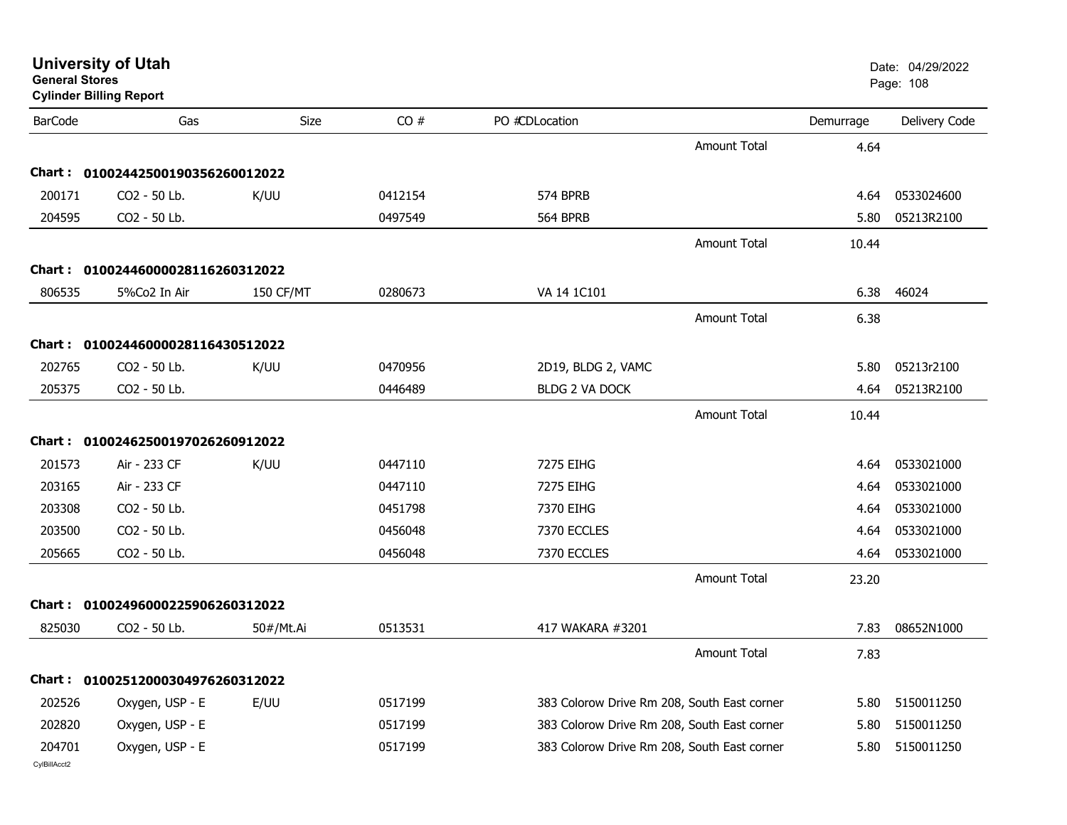| General Stores<br><b>Cylinder Billing Report</b> |                                   |                  |         |                                             |                     | Page: 108 |               |
|--------------------------------------------------|-----------------------------------|------------------|---------|---------------------------------------------|---------------------|-----------|---------------|
| <b>BarCode</b>                                   | Gas                               | Size             | CO#     | PO #CDLocation                              |                     | Demurrage | Delivery Code |
|                                                  |                                   |                  |         |                                             | Amount Total        | 4.64      |               |
|                                                  | Chart: 01002442500190356260012022 |                  |         |                                             |                     |           |               |
| 200171                                           | CO2 - 50 Lb.                      | K/UU             | 0412154 | 574 BPRB                                    |                     | 4.64      | 0533024600    |
| 204595                                           | CO2 - 50 Lb.                      |                  | 0497549 | 564 BPRB                                    |                     | 5.80      | 05213R2100    |
|                                                  |                                   |                  |         |                                             | Amount Total        | 10.44     |               |
|                                                  | Chart: 01002446000028116260312022 |                  |         |                                             |                     |           |               |
| 806535                                           | 5%Co2 In Air                      | <b>150 CF/MT</b> | 0280673 | VA 14 1C101                                 |                     | 6.38      | 46024         |
|                                                  |                                   |                  |         |                                             | Amount Total        | 6.38      |               |
|                                                  | Chart: 01002446000028116430512022 |                  |         |                                             |                     |           |               |
| 202765                                           | CO <sub>2</sub> - 50 Lb.          | K/UU             | 0470956 | 2D19, BLDG 2, VAMC                          |                     | 5.80      | 05213r2100    |
| 205375                                           | CO2 - 50 Lb.                      |                  | 0446489 | <b>BLDG 2 VA DOCK</b>                       |                     | 4.64      | 05213R2100    |
|                                                  |                                   |                  |         |                                             | Amount Total        | 10.44     |               |
|                                                  | Chart: 01002462500197026260912022 |                  |         |                                             |                     |           |               |
| 201573                                           | Air - 233 CF                      | K/UU             | 0447110 | 7275 EIHG                                   |                     | 4.64      | 0533021000    |
| 203165                                           | Air - 233 CF                      |                  | 0447110 | 7275 EIHG                                   |                     | 4.64      | 0533021000    |
| 203308                                           | CO2 - 50 Lb.                      |                  | 0451798 | 7370 EIHG                                   |                     | 4.64      | 0533021000    |
| 203500                                           | CO2 - 50 Lb.                      |                  | 0456048 | 7370 ECCLES                                 |                     | 4.64      | 0533021000    |
| 205665                                           | CO2 - 50 Lb.                      |                  | 0456048 | 7370 ECCLES                                 |                     | 4.64      | 0533021000    |
|                                                  |                                   |                  |         |                                             | Amount Total        | 23.20     |               |
|                                                  | Chart: 01002496000225906260312022 |                  |         |                                             |                     |           |               |
| 825030                                           | CO2 - 50 Lb.                      | 50#/Mt.Ai        | 0513531 | 417 WAKARA #3201                            |                     | 7.83      | 08652N1000    |
|                                                  |                                   |                  |         |                                             | <b>Amount Total</b> | 7.83      |               |
|                                                  | Chart: 01002512000304976260312022 |                  |         |                                             |                     |           |               |
| 202526                                           | Oxygen, USP - E                   | E/UU             | 0517199 | 383 Colorow Drive Rm 208, South East corner |                     | 5.80      | 5150011250    |
| 202820                                           | Oxygen, USP - E                   |                  | 0517199 | 383 Colorow Drive Rm 208, South East corner |                     | 5.80      | 5150011250    |
| 204701                                           | Oxygen, USP - E                   |                  | 0517199 | 383 Colorow Drive Rm 208, South East corner |                     | 5.80      | 5150011250    |
| CvIBillAcct2                                     |                                   |                  |         |                                             |                     |           |               |

**University of Utah** Date: 04/29/2022 **General Stores**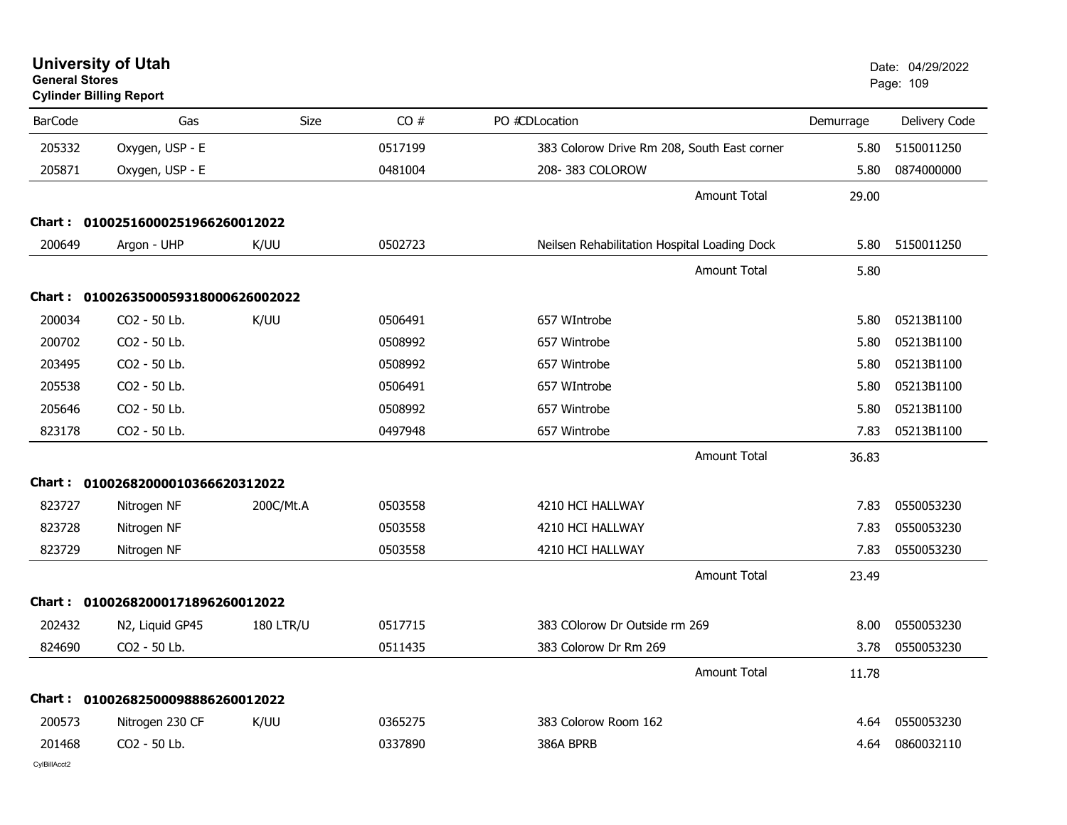BarCode Gas Size CO # PO #CDLocation Demurrage Delivery Code 205332Oxygen, USP - E 05150011250 383 Colorow Drive Rm 208, South East corner 5.80 5150011250 205871Oxygen, USP - E 2004 20481004 208- 383 COLOROW 5.80 208- 393 COLOROW 5.80 0874000000 Amount Total 29.00**Chart : 01002516000251966260012022**200649 Arg Phyos Argon - UHP K/UU <sup>0502723</sup> Neilsen Rehabilitation Hospital Loading Dock 5.80 <sup>5150011250</sup> Amount Total 5.80**Chart : 0100263500059318000626002022**200034034 CO2 - 50 Lb. K/UU 0506491 657 WIntrobe 5.80 05213B1100 200702 Surg CO2 - 50 Lb. 0508992 657 Wintrobe 5.80 05213B1100 203495 Surg CO2 - 50 Lb. 0508992 657 Wintrobe 5.80 05213B1100 205538538 CO2 - 50 Lb. 0506491 657 WIntrobe 5.80 05213B1100 205646 Surg CO2 - 50 Lb. 0508992 657 Wintrobe 5.80 05213B1100 823178 Surg CO2 - 50 Lb. 0497948 657 Wintrobe 7.83 05213B1100 Amount Total 36.83**Chart : 01002682000010366620312022**823727727 Nitrogen NF 200C/Mt.A 0503558 4210 HCI HALLWAY 7.83 0550053230 823728 Neu Nitrogen NF <sup>0503558</sup> 4210 HCI HALLWAY 7.83 <sup>0550053230</sup> 823729729 Nitrogen NF 0503558 4210 HCI HALLWAY 7.83 0550053230 Amount Total 23.49**Chart : 01002682000171896260012022**202432N2, Liquid GP45 180 LTR/U 0517715 383 COlorow Dr Outside rm 269 8.00 0550053230 824690 Neu CO2 - 50 Lb. 0511435 383 Colorow Dr Rm 269 3.78 0550053230 Amount Total 11.78**Chart : 01002682500098886260012022**200573Nitrogen 230 CF K/UU 6665275 0365275 383 Colorow Room 162 4.64 0550053230 201468 Antic CO2 - 50 Lb. 0337890 386A BPRB4.64 0860032110

**University of Utah**  Date: 04/29/2022 **General Stores**er and the state of the state of the state of the state of the state of the state of the state of the state of the state of the state of the state of the state of the state of the state of the state of the state of the sta **Cylinder Billing Report**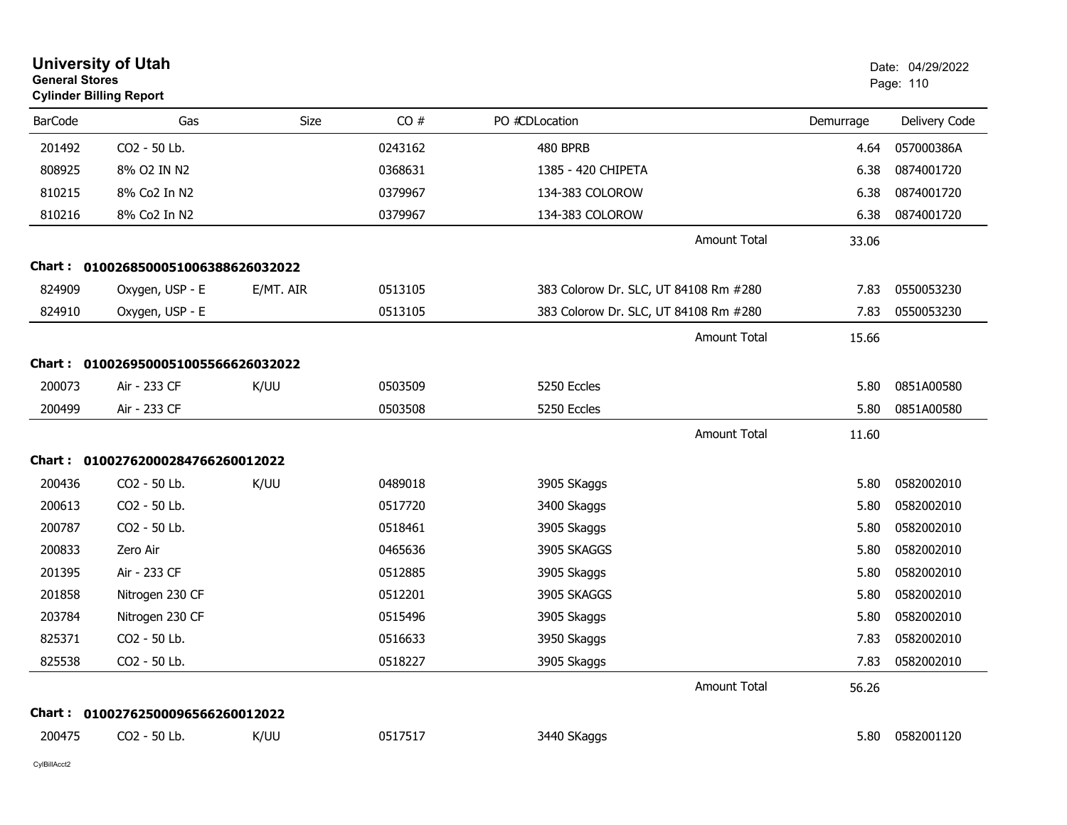| <b>University of Utah</b><br><b>General Stores</b><br><b>Cylinder Billing Report</b> |                                   |           |         |                                       |           | Date: 04/29/2022<br>Page: 110 |  |
|--------------------------------------------------------------------------------------|-----------------------------------|-----------|---------|---------------------------------------|-----------|-------------------------------|--|
| <b>BarCode</b>                                                                       | Gas                               | Size      | CO#     | PO #CDLocation                        | Demurrage | Delivery Code                 |  |
| 201492                                                                               | CO2 - 50 Lb.                      |           | 0243162 | 480 BPRB                              | 4.64      | 057000386A                    |  |
| 808925                                                                               | 8% O2 IN N2                       |           | 0368631 | 1385 - 420 CHIPETA                    | 6.38      | 0874001720                    |  |
| 810215                                                                               | 8% Co2 In N2                      |           | 0379967 | 134-383 COLOROW                       | 6.38      | 0874001720                    |  |
| 810216                                                                               | 8% Co2 In N2                      |           | 0379967 | 134-383 COLOROW                       | 6.38      | 0874001720                    |  |
|                                                                                      |                                   |           |         | <b>Amount Total</b>                   | 33.06     |                               |  |
| Chart :                                                                              | 0100268500051006388626032022      |           |         |                                       |           |                               |  |
| 824909                                                                               | Oxygen, USP - E                   | E/MT. AIR | 0513105 | 383 Colorow Dr. SLC, UT 84108 Rm #280 | 7.83      | 0550053230                    |  |
| 824910                                                                               | Oxygen, USP - E                   |           | 0513105 | 383 Colorow Dr. SLC, UT 84108 Rm #280 | 7.83      | 0550053230                    |  |
|                                                                                      |                                   |           |         | <b>Amount Total</b>                   | 15.66     |                               |  |
| Chart :                                                                              | 0100269500051005566626032022      |           |         |                                       |           |                               |  |
| 200073                                                                               | Air - 233 CF                      | K/UU      | 0503509 | 5250 Eccles                           | 5.80      | 0851A00580                    |  |
| 200499                                                                               | Air - 233 CF                      |           | 0503508 | 5250 Eccles                           | 5.80      | 0851A00580                    |  |
|                                                                                      |                                   |           |         | <b>Amount Total</b>                   | 11.60     |                               |  |
|                                                                                      | Chart: 01002762000284766260012022 |           |         |                                       |           |                               |  |
| 200436                                                                               | CO2 - 50 Lb.                      | K/UU      | 0489018 | 3905 SKaggs                           | 5.80      | 0582002010                    |  |
| 200613                                                                               | CO2 - 50 Lb.                      |           | 0517720 | 3400 Skaggs                           | 5.80      | 0582002010                    |  |
| 200787                                                                               | CO2 - 50 Lb.                      |           | 0518461 | 3905 Skaggs                           | 5.80      | 0582002010                    |  |
| 200833                                                                               | Zero Air                          |           | 0465636 | 3905 SKAGGS                           | 5.80      | 0582002010                    |  |
| 201395                                                                               | Air - 233 CF                      |           | 0512885 | 3905 Skaggs                           | 5.80      | 0582002010                    |  |
| 201858                                                                               | Nitrogen 230 CF                   |           | 0512201 | 3905 SKAGGS                           | 5.80      | 0582002010                    |  |
| 203784                                                                               | Nitrogen 230 CF                   |           | 0515496 | 3905 Skaggs                           | 5.80      | 0582002010                    |  |
| 825371                                                                               | CO2 - 50 Lb.                      |           | 0516633 | 3950 Skaggs                           | 7.83      | 0582002010                    |  |
| 825538                                                                               | CO2 - 50 Lb.                      |           | 0518227 | 3905 Skaggs                           | 7.83      | 0582002010                    |  |
|                                                                                      |                                   |           |         | Amount Total                          | 56.26     |                               |  |
|                                                                                      | Chart: 01002762500096566260012022 |           |         |                                       |           |                               |  |
| 200475                                                                               | CO2 - 50 Lb.                      | K/UU      | 0517517 | 3440 SKaggs                           | 5.80      | 0582001120                    |  |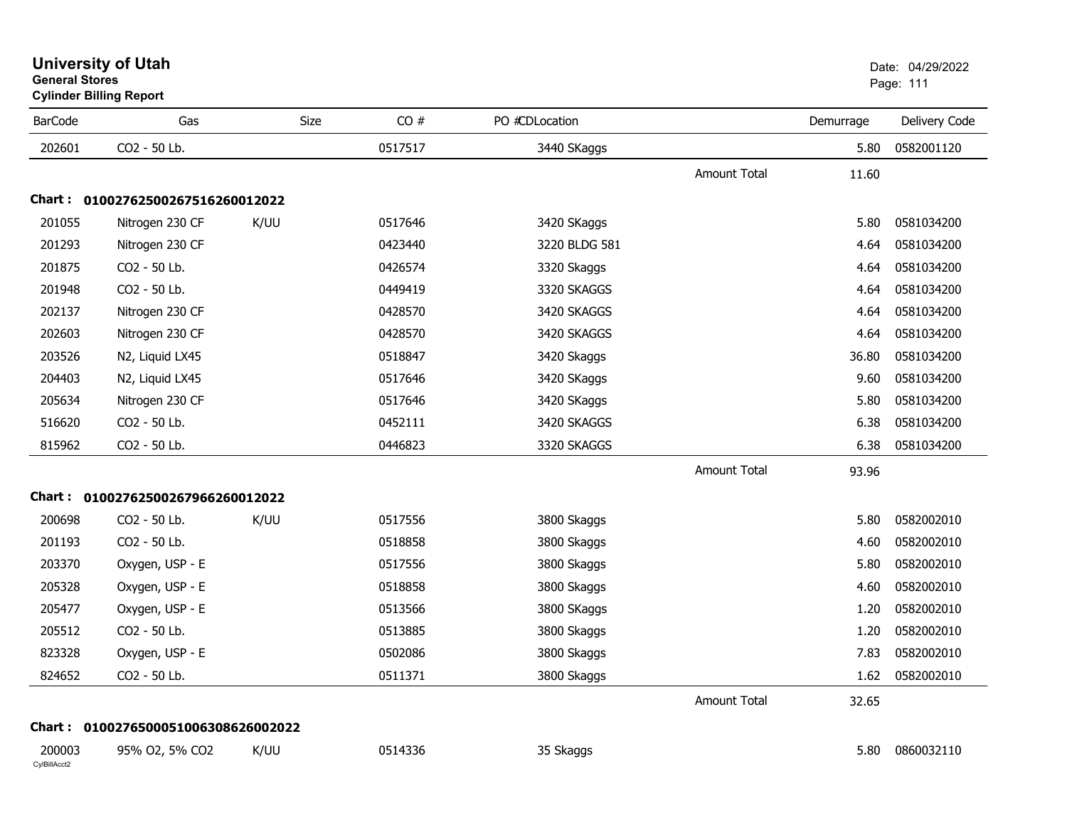| <b>BarCode</b>         | Gas                               | Size | CO#     | PO #CDLocation |                     | Demurrage | Delivery Code |
|------------------------|-----------------------------------|------|---------|----------------|---------------------|-----------|---------------|
| 202601                 | CO2 - 50 Lb.                      |      | 0517517 | 3440 SKaggs    |                     | 5.80      | 0582001120    |
|                        |                                   |      |         |                | <b>Amount Total</b> | 11.60     |               |
|                        | Chart: 01002762500267516260012022 |      |         |                |                     |           |               |
| 201055                 | Nitrogen 230 CF                   | K/UU | 0517646 | 3420 SKaggs    |                     | 5.80      | 0581034200    |
| 201293                 | Nitrogen 230 CF                   |      | 0423440 | 3220 BLDG 581  |                     | 4.64      | 0581034200    |
| 201875                 | CO2 - 50 Lb.                      |      | 0426574 | 3320 Skaggs    |                     | 4.64      | 0581034200    |
| 201948                 | CO2 - 50 Lb.                      |      | 0449419 | 3320 SKAGGS    |                     | 4.64      | 0581034200    |
| 202137                 | Nitrogen 230 CF                   |      | 0428570 | 3420 SKAGGS    |                     | 4.64      | 0581034200    |
| 202603                 | Nitrogen 230 CF                   |      | 0428570 | 3420 SKAGGS    |                     | 4.64      | 0581034200    |
| 203526                 | N2, Liquid LX45                   |      | 0518847 | 3420 Skaggs    |                     | 36.80     | 0581034200    |
| 204403                 | N2, Liquid LX45                   |      | 0517646 | 3420 SKaggs    |                     | 9.60      | 0581034200    |
| 205634                 | Nitrogen 230 CF                   |      | 0517646 | 3420 SKaggs    |                     | 5.80      | 0581034200    |
| 516620                 | CO2 - 50 Lb.                      |      | 0452111 | 3420 SKAGGS    |                     | 6.38      | 0581034200    |
| 815962                 | CO2 - 50 Lb.                      |      | 0446823 | 3320 SKAGGS    |                     | 6.38      | 0581034200    |
|                        |                                   |      |         |                | <b>Amount Total</b> | 93.96     |               |
|                        | Chart: 01002762500267966260012022 |      |         |                |                     |           |               |
| 200698                 | CO2 - 50 Lb.                      | K/UU | 0517556 | 3800 Skaggs    |                     | 5.80      | 0582002010    |
| 201193                 | CO2 - 50 Lb.                      |      | 0518858 | 3800 Skaggs    |                     | 4.60      | 0582002010    |
| 203370                 | Oxygen, USP - E                   |      | 0517556 | 3800 Skaggs    |                     | 5.80      | 0582002010    |
| 205328                 | Oxygen, USP - E                   |      | 0518858 | 3800 Skaggs    |                     | 4.60      | 0582002010    |
| 205477                 | Oxygen, USP - E                   |      | 0513566 | 3800 SKaggs    |                     | 1.20      | 0582002010    |
| 205512                 | CO2 - 50 Lb.                      |      | 0513885 | 3800 Skaggs    |                     | 1.20      | 0582002010    |
| 823328                 | Oxygen, USP - E                   |      | 0502086 | 3800 Skaggs    |                     | 7.83      | 0582002010    |
| 824652                 | CO2 - 50 Lb.                      |      | 0511371 | 3800 Skaggs    |                     | 1.62      | 0582002010    |
|                        |                                   |      |         |                | <b>Amount Total</b> | 32.65     |               |
| Chart :                | 0100276500051006308626002022      |      |         |                |                     |           |               |
| 200003<br>CylBillAcct2 | 95% O2, 5% CO2                    | K/UU | 0514336 | 35 Skaggs      |                     | 5.80      | 0860032110    |

**Cylinder Billing Report**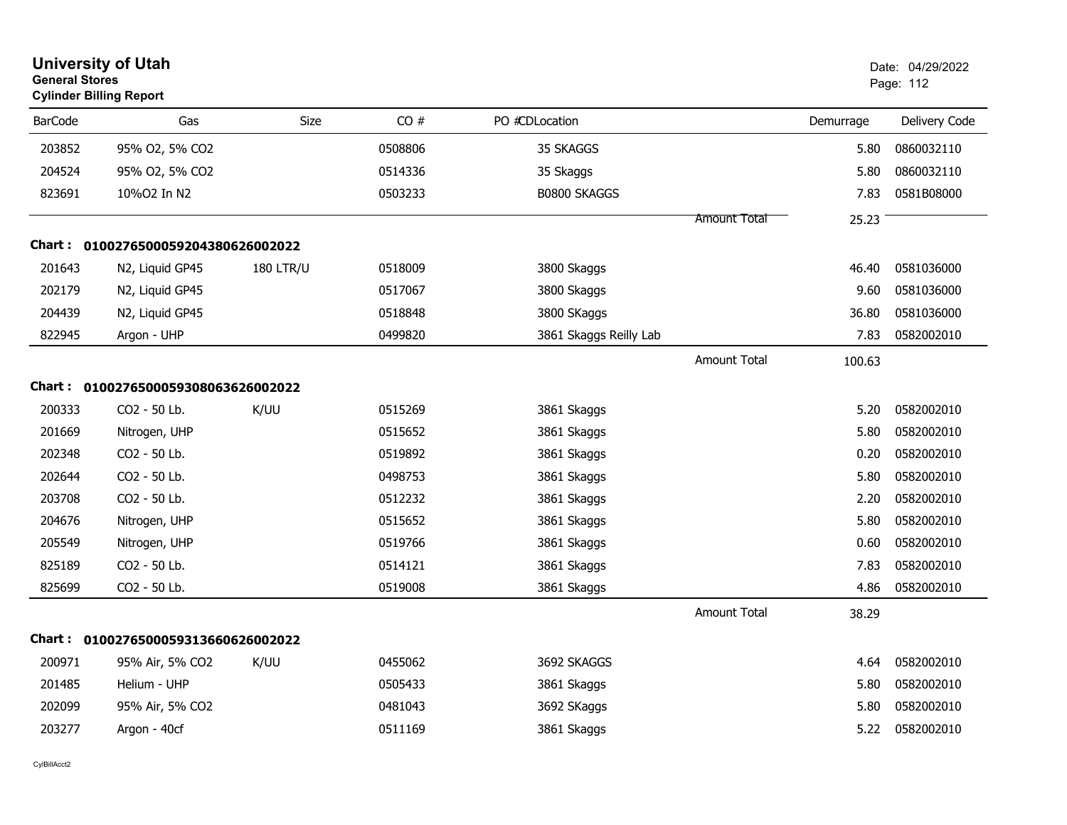| <b>University of Utah</b><br><b>General Stores</b><br><b>Cylinder Billing Report</b> |                              | Date: 04/29/2022<br>Page: 112 |         |                        |                     |           |               |
|--------------------------------------------------------------------------------------|------------------------------|-------------------------------|---------|------------------------|---------------------|-----------|---------------|
| <b>BarCode</b>                                                                       | Gas                          | Size                          | CO#     | PO #CDLocation         |                     | Demurrage | Delivery Code |
| 203852                                                                               | 95% O2, 5% CO2               |                               | 0508806 | 35 SKAGGS              |                     | 5.80      | 0860032110    |
| 204524                                                                               | 95% O2, 5% CO2               |                               | 0514336 | 35 Skaggs              |                     | 5.80      | 0860032110    |
| 823691                                                                               | 10%O2 In N2                  |                               | 0503233 | B0800 SKAGGS           |                     | 7.83      | 0581B08000    |
|                                                                                      |                              |                               |         |                        | Amount Total        | 25.23     |               |
| Chart :                                                                              | 0100276500059204380626002022 |                               |         |                        |                     |           |               |
| 201643                                                                               | N2, Liquid GP45              | <b>180 LTR/U</b>              | 0518009 | 3800 Skaggs            |                     | 46.40     | 0581036000    |
| 202179                                                                               | N2, Liquid GP45              |                               | 0517067 | 3800 Skaggs            |                     | 9.60      | 0581036000    |
| 204439                                                                               | N2, Liquid GP45              |                               | 0518848 | 3800 SKaggs            |                     | 36.80     | 0581036000    |
| 822945                                                                               | Argon - UHP                  |                               | 0499820 | 3861 Skaggs Reilly Lab |                     | 7.83      | 0582002010    |
|                                                                                      |                              |                               |         |                        | <b>Amount Total</b> | 100.63    |               |
| Chart :                                                                              | 0100276500059308063626002022 |                               |         |                        |                     |           |               |
| 200333                                                                               | CO2 - 50 Lb.                 | K/UU                          | 0515269 | 3861 Skaggs            |                     | 5.20      | 0582002010    |
| 201669                                                                               | Nitrogen, UHP                |                               | 0515652 | 3861 Skaggs            |                     | 5.80      | 0582002010    |
| 202348                                                                               | CO <sub>2</sub> - 50 Lb.     |                               | 0519892 | 3861 Skaggs            |                     | 0.20      | 0582002010    |
| 202644                                                                               | CO2 - 50 Lb.                 |                               | 0498753 | 3861 Skaggs            |                     | 5.80      | 0582002010    |
| 203708                                                                               | CO2 - 50 Lb.                 |                               | 0512232 | 3861 Skaggs            |                     | 2.20      | 0582002010    |
| 204676                                                                               | Nitrogen, UHP                |                               | 0515652 | 3861 Skaggs            |                     | 5.80      | 0582002010    |
| 205549                                                                               | Nitrogen, UHP                |                               | 0519766 | 3861 Skaggs            |                     | 0.60      | 0582002010    |
| 825189                                                                               | CO2 - 50 Lb.                 |                               | 0514121 | 3861 Skaggs            |                     | 7.83      | 0582002010    |
| 825699                                                                               | CO2 - 50 Lb.                 |                               | 0519008 | 3861 Skaggs            |                     | 4.86      | 0582002010    |
|                                                                                      |                              |                               |         |                        | <b>Amount Total</b> | 38.29     |               |
| <b>Chart :</b>                                                                       | 0100276500059313660626002022 |                               |         |                        |                     |           |               |
| 200971                                                                               | 95% Air, 5% CO2              | K/UU                          | 0455062 | 3692 SKAGGS            |                     | 4.64      | 0582002010    |
| 201485                                                                               | Helium - UHP                 |                               | 0505433 | 3861 Skaggs            |                     | 5.80      | 0582002010    |
| 202099                                                                               | 95% Air, 5% CO2              |                               | 0481043 | 3692 SKaggs            |                     | 5.80      | 0582002010    |
| 203277                                                                               | Argon - 40cf                 |                               | 0511169 | 3861 Skaggs            |                     | 5.22      | 0582002010    |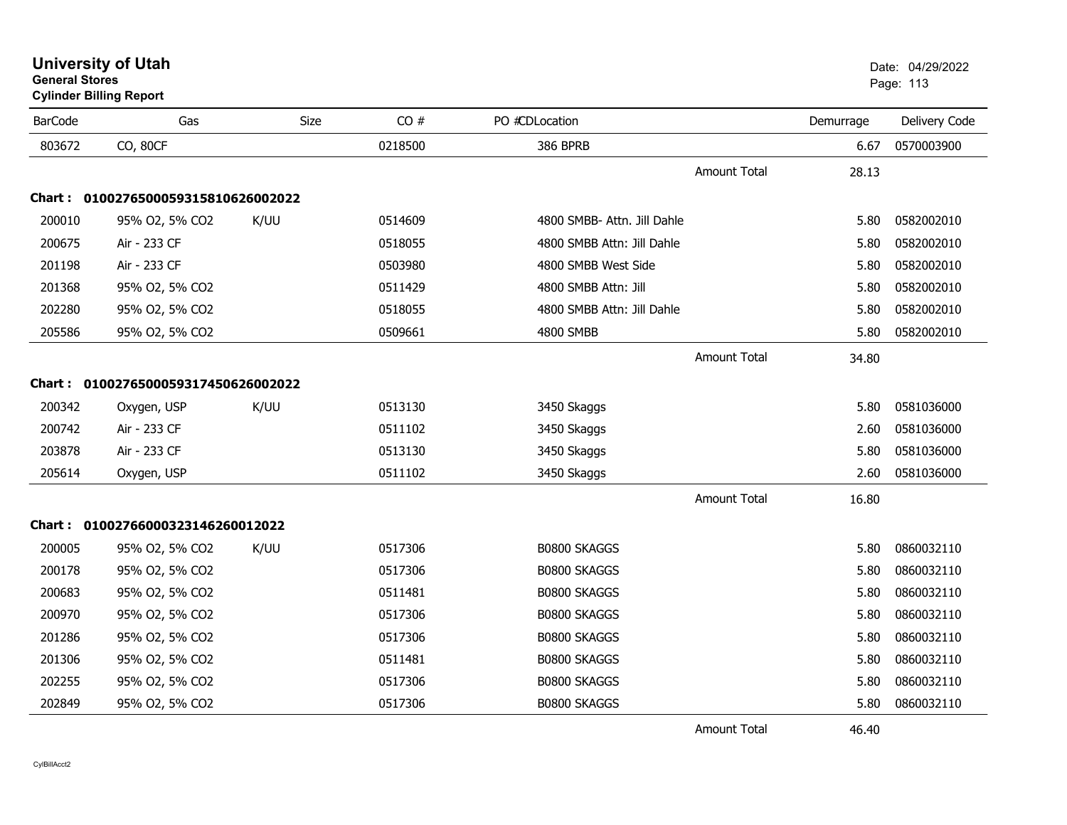| <b>BarCode</b> | Gas                                 | <b>Size</b> | CO#     | PO #CDLocation              | Demurrage | Delivery Code |
|----------------|-------------------------------------|-------------|---------|-----------------------------|-----------|---------------|
| 803672         | CO, 80CF                            |             | 0218500 | <b>386 BPRB</b>             | 6.67      | 0570003900    |
|                |                                     |             |         | <b>Amount Total</b>         | 28.13     |               |
|                | Chart: 0100276500059315810626002022 |             |         |                             |           |               |
| 200010         | 95% O2, 5% CO2                      | K/UU        | 0514609 | 4800 SMBB- Attn. Jill Dahle | 5.80      | 0582002010    |
| 200675         | Air - 233 CF                        |             | 0518055 | 4800 SMBB Attn: Jill Dahle  | 5.80      | 0582002010    |
| 201198         | Air - 233 CF                        |             | 0503980 | 4800 SMBB West Side         | 5.80      | 0582002010    |
| 201368         | 95% O2, 5% CO2                      |             | 0511429 | 4800 SMBB Attn: Jill        | 5.80      | 0582002010    |
| 202280         | 95% O2, 5% CO2                      |             | 0518055 | 4800 SMBB Attn: Jill Dahle  | 5.80      | 0582002010    |
| 205586         | 95% O2, 5% CO2                      |             | 0509661 | 4800 SMBB                   | 5.80      | 0582002010    |
|                |                                     |             |         | <b>Amount Total</b>         | 34.80     |               |
| Chart :        | 0100276500059317450626002022        |             |         |                             |           |               |
| 200342         | Oxygen, USP                         | K/UU        | 0513130 | 3450 Skaggs                 | 5.80      | 0581036000    |
| 200742         | Air - 233 CF                        |             | 0511102 | 3450 Skaggs                 | 2.60      | 0581036000    |
| 203878         | Air - 233 CF                        |             | 0513130 | 3450 Skaggs                 | 5.80      | 0581036000    |
| 205614         | Oxygen, USP                         |             | 0511102 | 3450 Skaggs                 | 2.60      | 0581036000    |
|                |                                     |             |         | <b>Amount Total</b>         | 16.80     |               |
|                | Chart: 01002766000323146260012022   |             |         |                             |           |               |
| 200005         | 95% O2, 5% CO2                      | K/UU        | 0517306 | <b>B0800 SKAGGS</b>         | 5.80      | 0860032110    |
| 200178         | 95% O2, 5% CO2                      |             | 0517306 | <b>B0800 SKAGGS</b>         | 5.80      | 0860032110    |
| 200683         | 95% O2, 5% CO2                      |             | 0511481 | <b>B0800 SKAGGS</b>         | 5.80      | 0860032110    |
| 200970         | 95% O2, 5% CO2                      |             | 0517306 | <b>B0800 SKAGGS</b>         | 5.80      | 0860032110    |
| 201286         | 95% O2, 5% CO2                      |             | 0517306 | <b>B0800 SKAGGS</b>         | 5.80      | 0860032110    |
| 201306         | 95% O2, 5% CO2                      |             | 0511481 | <b>B0800 SKAGGS</b>         | 5.80      | 0860032110    |
| 202255         | 95% O2, 5% CO2                      |             | 0517306 | <b>B0800 SKAGGS</b>         | 5.80      | 0860032110    |
| 202849         | 95% O2, 5% CO2                      |             | 0517306 | B0800 SKAGGS                | 5.80      | 0860032110    |

#### **University of Utah** Date: 04/29/2022 **General Stores**s and the contract of the contract of the contract of the contract of the contract of the contract of the contract of the contract of the contract of the contract of the contract of the contract of the contract of the cont

**Cylinder Billing Report**  $\overline{\phantom{0}}$ 

Amount Total

46.40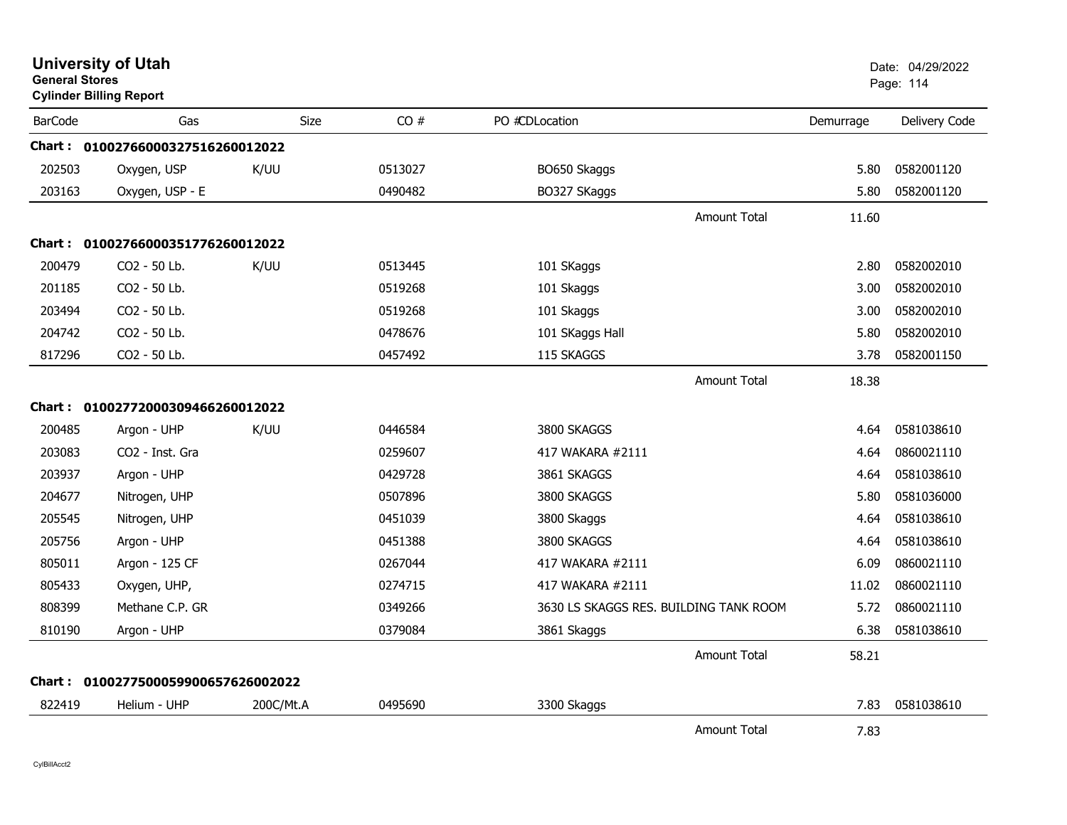| <b>General Stores</b> | <b>University of Utah</b><br><b>Cylinder Billing Report</b> |             |         |                                        |           | Date: 04/29/2022<br>Page: 114 |
|-----------------------|-------------------------------------------------------------|-------------|---------|----------------------------------------|-----------|-------------------------------|
| <b>BarCode</b>        | Gas                                                         | <b>Size</b> | CO#     | PO #CDLocation                         | Demurrage | Delivery Code                 |
|                       | Chart: 01002766000327516260012022                           |             |         |                                        |           |                               |
| 202503                | Oxygen, USP                                                 | K/UU        | 0513027 | BO650 Skaggs                           | 5.80      | 0582001120                    |
| 203163                | Oxygen, USP - E                                             |             | 0490482 | BO327 SKaggs                           | 5.80      | 0582001120                    |
|                       |                                                             |             |         | <b>Amount Total</b>                    | 11.60     |                               |
|                       | Chart: 01002766000351776260012022                           |             |         |                                        |           |                               |
| 200479                | CO2 - 50 Lb.                                                | K/UU        | 0513445 | 101 SKaggs                             | 2.80      | 0582002010                    |
| 201185                | CO <sub>2</sub> - 50 Lb.                                    |             | 0519268 | 101 Skaggs                             | 3.00      | 0582002010                    |
| 203494                | CO2 - 50 Lb.                                                |             | 0519268 | 101 Skaggs                             | 3.00      | 0582002010                    |
| 204742                | CO2 - 50 Lb.                                                |             | 0478676 | 101 SKaggs Hall                        | 5.80      | 0582002010                    |
| 817296                | CO2 - 50 Lb.                                                |             | 0457492 | 115 SKAGGS                             | 3.78      | 0582001150                    |
|                       |                                                             |             |         | <b>Amount Total</b>                    | 18.38     |                               |
|                       | Chart: 01002772000309466260012022                           |             |         |                                        |           |                               |
| 200485                | Argon - UHP                                                 | K/UU        | 0446584 | 3800 SKAGGS                            | 4.64      | 0581038610                    |
| 203083                | CO <sub>2</sub> - Inst. Gra                                 |             | 0259607 | 417 WAKARA #2111                       | 4.64      | 0860021110                    |
| 203937                | Argon - UHP                                                 |             | 0429728 | 3861 SKAGGS                            | 4.64      | 0581038610                    |
| 204677                | Nitrogen, UHP                                               |             | 0507896 | 3800 SKAGGS                            | 5.80      | 0581036000                    |
| 205545                | Nitrogen, UHP                                               |             | 0451039 | 3800 Skaggs                            | 4.64      | 0581038610                    |
| 205756                | Argon - UHP                                                 |             | 0451388 | 3800 SKAGGS                            | 4.64      | 0581038610                    |
| 805011                | Argon - 125 CF                                              |             | 0267044 | 417 WAKARA #2111                       | 6.09      | 0860021110                    |
| 805433                | Oxygen, UHP,                                                |             | 0274715 | 417 WAKARA #2111                       | 11.02     | 0860021110                    |
| 808399                | Methane C.P. GR                                             |             | 0349266 | 3630 LS SKAGGS RES. BUILDING TANK ROOM | 5.72      | 0860021110                    |
| 810190                | Argon - UHP                                                 |             | 0379084 | 3861 Skaggs                            | 6.38      | 0581038610                    |
|                       |                                                             |             |         | <b>Amount Total</b>                    | 58.21     |                               |
|                       | Chart: 0100277500059900657626002022                         |             |         |                                        |           |                               |
| 822419                | Helium - UHP                                                | 200C/Mt.A   | 0495690 | 3300 Skaggs                            | 7.83      | 0581038610                    |
|                       |                                                             |             |         | <b>Amount Total</b>                    | 7.83      |                               |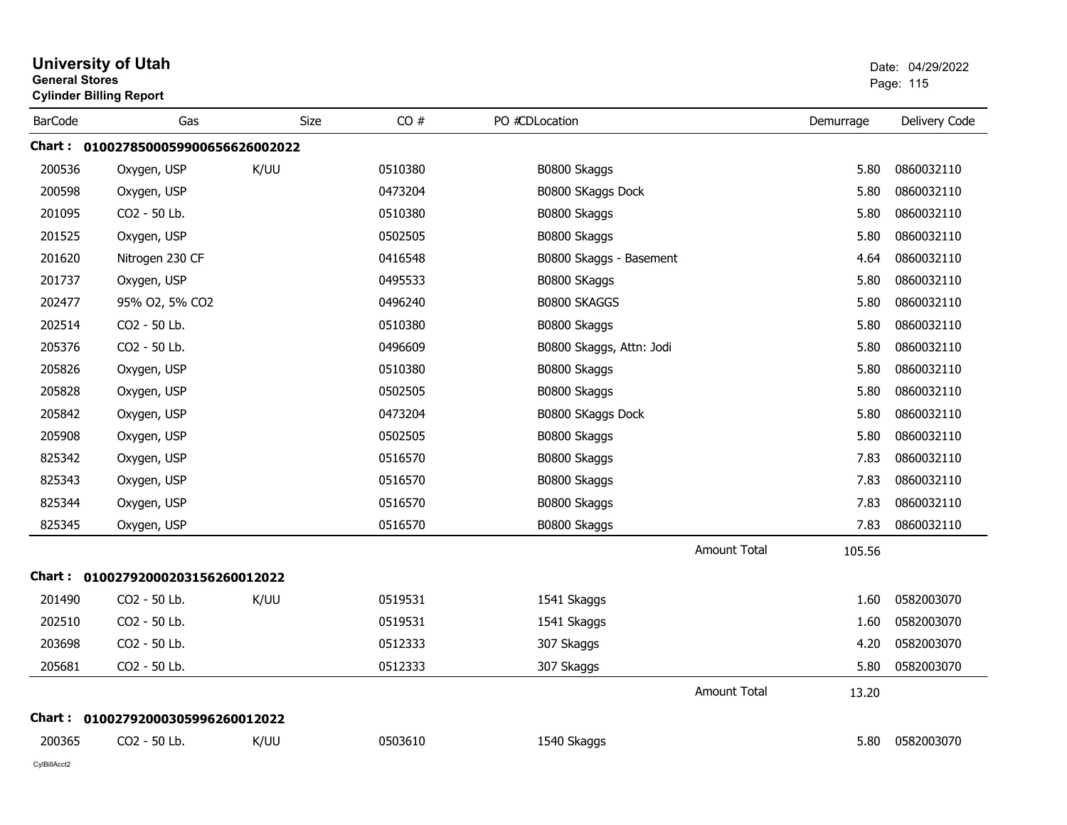| <b>General Stores</b> | <b>University of Utah</b><br><b>Cylinder Billing Report</b> |             |         |                          |                     |           | Date: 04/29/2022<br>Page: 115 |
|-----------------------|-------------------------------------------------------------|-------------|---------|--------------------------|---------------------|-----------|-------------------------------|
| <b>BarCode</b>        | Gas                                                         | <b>Size</b> | CO#     | PO #CDLocation           |                     | Demurrage | Delivery Code                 |
|                       | Chart: 0100278500059900656626002022                         |             |         |                          |                     |           |                               |
| 200536                | Oxygen, USP                                                 | K/UU        | 0510380 | B0800 Skaggs             |                     | 5.80      | 0860032110                    |
| 200598                | Oxygen, USP                                                 |             | 0473204 | B0800 SKaggs Dock        |                     | 5.80      | 0860032110                    |
| 201095                | CO2 - 50 Lb.                                                |             | 0510380 | B0800 Skaggs             |                     | 5.80      | 0860032110                    |
| 201525                | Oxygen, USP                                                 |             | 0502505 | B0800 Skaggs             |                     | 5.80      | 0860032110                    |
| 201620                | Nitrogen 230 CF                                             |             | 0416548 | B0800 Skaggs - Basement  |                     | 4.64      | 0860032110                    |
| 201737                | Oxygen, USP                                                 |             | 0495533 | B0800 SKaggs             |                     | 5.80      | 0860032110                    |
| 202477                | 95% O2, 5% CO2                                              |             | 0496240 | <b>B0800 SKAGGS</b>      |                     | 5.80      | 0860032110                    |
| 202514                | CO2 - 50 Lb.                                                |             | 0510380 | B0800 Skaggs             |                     | 5.80      | 0860032110                    |
| 205376                | CO2 - 50 Lb.                                                |             | 0496609 | B0800 Skaggs, Attn: Jodi |                     | 5.80      | 0860032110                    |
| 205826                | Oxygen, USP                                                 |             | 0510380 | B0800 Skaggs             |                     | 5.80      | 0860032110                    |
| 205828                | Oxygen, USP                                                 |             | 0502505 | B0800 Skaggs             |                     | 5.80      | 0860032110                    |
| 205842                | Oxygen, USP                                                 |             | 0473204 | B0800 SKaggs Dock        |                     | 5.80      | 0860032110                    |
| 205908                | Oxygen, USP                                                 |             | 0502505 | B0800 Skaggs             |                     | 5.80      | 0860032110                    |
| 825342                | Oxygen, USP                                                 |             | 0516570 | B0800 Skaggs             |                     | 7.83      | 0860032110                    |
| 825343                | Oxygen, USP                                                 |             | 0516570 | B0800 Skaggs             |                     | 7.83      | 0860032110                    |
| 825344                | Oxygen, USP                                                 |             | 0516570 | B0800 Skaggs             |                     | 7.83      | 0860032110                    |
| 825345                | Oxygen, USP                                                 |             | 0516570 | B0800 Skaggs             |                     | 7.83      | 0860032110                    |
|                       |                                                             |             |         |                          | <b>Amount Total</b> | 105.56    |                               |
|                       | Chart: 01002792000203156260012022                           |             |         |                          |                     |           |                               |
| 201490                | CO <sub>2</sub> - 50 Lb.                                    | K/UU        | 0519531 | 1541 Skaggs              |                     | 1.60      | 0582003070                    |
| 202510                | CO2 - 50 Lb.                                                |             | 0519531 | 1541 Skaggs              |                     | 1.60      | 0582003070                    |
| 203698                | CO2 - 50 Lb.                                                |             | 0512333 | 307 Skaggs               |                     | 4.20      | 0582003070                    |
| 205681                | CO2 - 50 Lb.                                                |             | 0512333 | 307 Skaggs               |                     | 5.80      | 0582003070                    |
|                       |                                                             |             |         |                          | <b>Amount Total</b> | 13.20     |                               |
| Chart :               | 01002792000305996260012022                                  |             |         |                          |                     |           |                               |
| 200365                | CO2 - 50 Lb.                                                | K/UU        | 0503610 | 1540 Skaggs              |                     | 5.80      | 0582003070                    |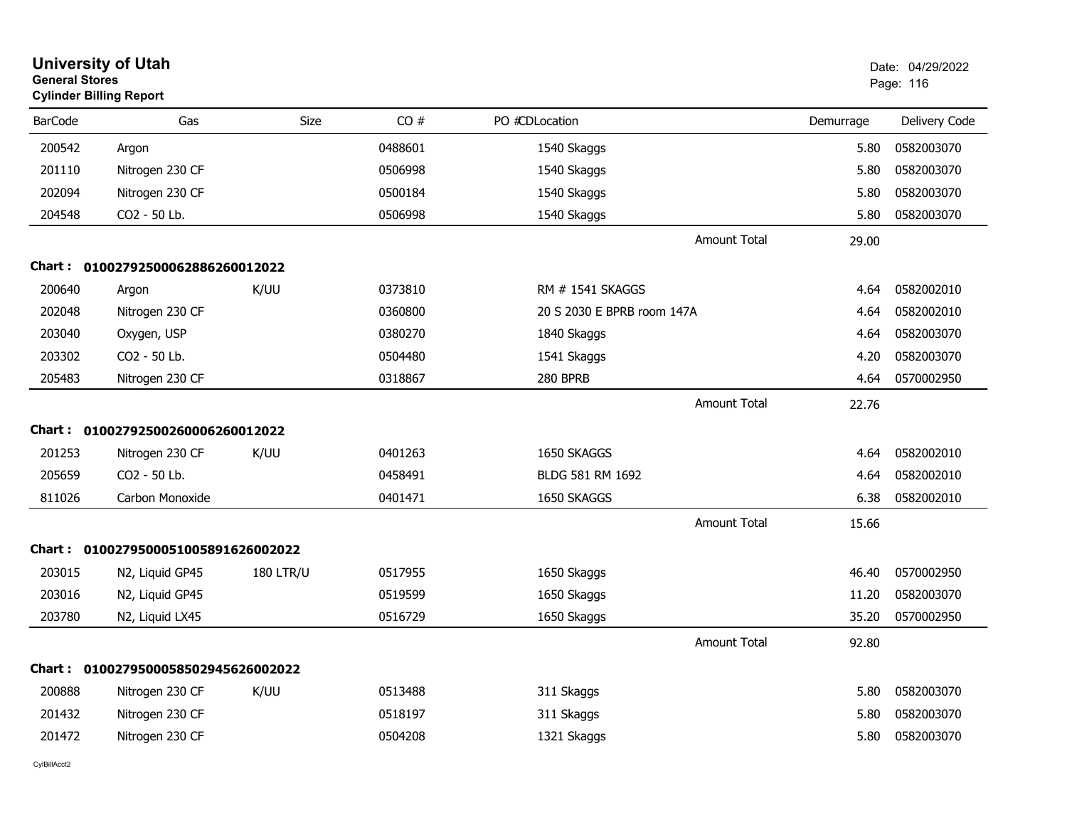| <b>General Stores</b> | <b>University of Utah</b><br><b>Cylinder Billing Report</b> |                  |         |                            |           | Date: 04/29/2022<br>Page: 116 |
|-----------------------|-------------------------------------------------------------|------------------|---------|----------------------------|-----------|-------------------------------|
| <b>BarCode</b>        | Gas                                                         | <b>Size</b>      | CO#     | PO #CDLocation             | Demurrage | Delivery Code                 |
| 200542                | Argon                                                       |                  | 0488601 | 1540 Skaggs                | 5.80      | 0582003070                    |
| 201110                | Nitrogen 230 CF                                             |                  | 0506998 | 1540 Skaggs                | 5.80      | 0582003070                    |
| 202094                | Nitrogen 230 CF                                             |                  | 0500184 | 1540 Skaggs                | 5.80      | 0582003070                    |
| 204548                | CO2 - 50 Lb.                                                |                  | 0506998 | 1540 Skaggs                | 5.80      | 0582003070                    |
|                       |                                                             |                  |         | <b>Amount Total</b>        | 29.00     |                               |
|                       | Chart: 01002792500062886260012022                           |                  |         |                            |           |                               |
| 200640                | Argon                                                       | K/UU             | 0373810 | RM # 1541 SKAGGS           | 4.64      | 0582002010                    |
| 202048                | Nitrogen 230 CF                                             |                  | 0360800 | 20 S 2030 E BPRB room 147A | 4.64      | 0582002010                    |
| 203040                | Oxygen, USP                                                 |                  | 0380270 | 1840 Skaggs                | 4.64      | 0582003070                    |
| 203302                | CO2 - 50 Lb.                                                |                  | 0504480 | 1541 Skaggs                | 4.20      | 0582003070                    |
| 205483                | Nitrogen 230 CF                                             |                  | 0318867 | 280 BPRB                   | 4.64      | 0570002950                    |
|                       |                                                             |                  |         | <b>Amount Total</b>        | 22.76     |                               |
|                       | Chart: 01002792500260006260012022                           |                  |         |                            |           |                               |
| 201253                | Nitrogen 230 CF                                             | K/UU             | 0401263 | 1650 SKAGGS                | 4.64      | 0582002010                    |
| 205659                | CO <sub>2</sub> - 50 Lb.                                    |                  | 0458491 | BLDG 581 RM 1692           | 4.64      | 0582002010                    |
| 811026                | Carbon Monoxide                                             |                  | 0401471 | 1650 SKAGGS                | 6.38      | 0582002010                    |
|                       |                                                             |                  |         | <b>Amount Total</b>        | 15.66     |                               |
|                       | Chart: 0100279500051005891626002022                         |                  |         |                            |           |                               |
| 203015                | N2, Liquid GP45                                             | <b>180 LTR/U</b> | 0517955 | 1650 Skaggs                | 46.40     | 0570002950                    |
| 203016                | N2, Liquid GP45                                             |                  | 0519599 | 1650 Skaggs                | 11.20     | 0582003070                    |
| 203780                | N2, Liquid LX45                                             |                  | 0516729 | 1650 Skaggs                | 35.20     | 0570002950                    |
|                       |                                                             |                  |         | <b>Amount Total</b>        | 92.80     |                               |
|                       | Chart: 0100279500058502945626002022                         |                  |         |                            |           |                               |
| 200888                | Nitrogen 230 CF                                             | K/UU             | 0513488 | 311 Skaggs                 | 5.80      | 0582003070                    |
| 201432                | Nitrogen 230 CF                                             |                  | 0518197 | 311 Skaggs                 | 5.80      | 0582003070                    |
| 201472                | Nitrogen 230 CF                                             |                  | 0504208 | 1321 Skaggs                | 5.80      | 0582003070                    |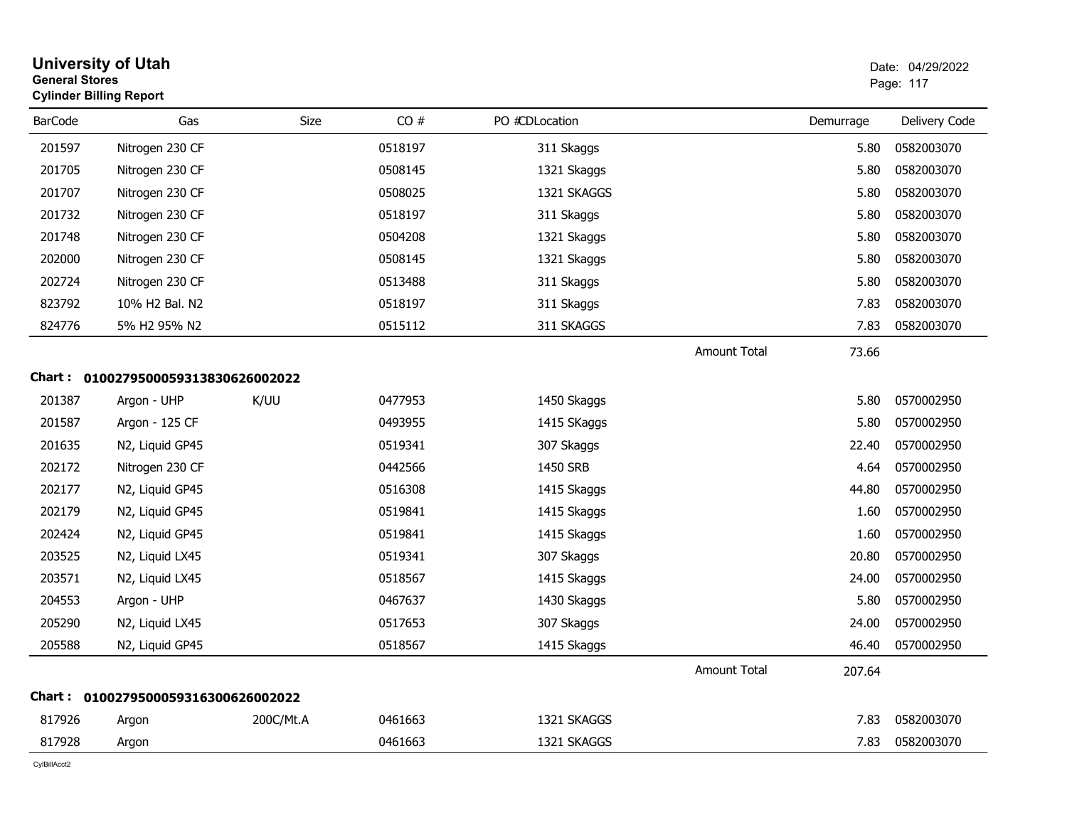| <b>General Stores</b> | <b>University of Utah</b><br><b>Cylinder Billing Report</b> |           |         |                |                     |           | Date: 04/29/2022<br>Page: 117 |
|-----------------------|-------------------------------------------------------------|-----------|---------|----------------|---------------------|-----------|-------------------------------|
| <b>BarCode</b>        | Gas                                                         | Size      | CO#     | PO #CDLocation |                     | Demurrage | Delivery Code                 |
| 201597                | Nitrogen 230 CF                                             |           | 0518197 | 311 Skaggs     |                     | 5.80      | 0582003070                    |
| 201705                | Nitrogen 230 CF                                             |           | 0508145 | 1321 Skaggs    |                     | 5.80      | 0582003070                    |
| 201707                | Nitrogen 230 CF                                             |           | 0508025 | 1321 SKAGGS    |                     | 5.80      | 0582003070                    |
| 201732                | Nitrogen 230 CF                                             |           | 0518197 | 311 Skaggs     |                     | 5.80      | 0582003070                    |
| 201748                | Nitrogen 230 CF                                             |           | 0504208 | 1321 Skaggs    |                     | 5.80      | 0582003070                    |
| 202000                | Nitrogen 230 CF                                             |           | 0508145 | 1321 Skaggs    |                     | 5.80      | 0582003070                    |
| 202724                | Nitrogen 230 CF                                             |           | 0513488 | 311 Skaggs     |                     | 5.80      | 0582003070                    |
| 823792                | 10% H <sub>2</sub> Bal, N <sub>2</sub>                      |           | 0518197 | 311 Skaggs     |                     | 7.83      | 0582003070                    |
| 824776                | 5% H2 95% N2                                                |           | 0515112 | 311 SKAGGS     |                     | 7.83      | 0582003070                    |
|                       |                                                             |           |         |                | <b>Amount Total</b> | 73.66     |                               |
|                       | Chart: 0100279500059313830626002022                         |           |         |                |                     |           |                               |
| 201387                | Argon - UHP                                                 | K/UU      | 0477953 | 1450 Skaggs    |                     | 5.80      | 0570002950                    |
| 201587                | Argon - 125 CF                                              |           | 0493955 | 1415 SKaggs    |                     | 5.80      | 0570002950                    |
| 201635                | N2, Liquid GP45                                             |           | 0519341 | 307 Skaggs     |                     | 22.40     | 0570002950                    |
| 202172                | Nitrogen 230 CF                                             |           | 0442566 | 1450 SRB       |                     | 4.64      | 0570002950                    |
| 202177                | N2, Liquid GP45                                             |           | 0516308 | 1415 Skaggs    |                     | 44.80     | 0570002950                    |
| 202179                | N2, Liquid GP45                                             |           | 0519841 | 1415 Skaggs    |                     | 1.60      | 0570002950                    |
| 202424                | N2, Liquid GP45                                             |           | 0519841 | 1415 Skaggs    |                     | 1.60      | 0570002950                    |
| 203525                | N2, Liquid LX45                                             |           | 0519341 | 307 Skaggs     |                     | 20.80     | 0570002950                    |
| 203571                | N2, Liquid LX45                                             |           | 0518567 | 1415 Skaggs    |                     | 24.00     | 0570002950                    |
| 204553                | Argon - UHP                                                 |           | 0467637 | 1430 Skaggs    |                     | 5.80      | 0570002950                    |
| 205290                | N2, Liquid LX45                                             |           | 0517653 | 307 Skaggs     |                     | 24.00     | 0570002950                    |
| 205588                | N2, Liquid GP45                                             |           | 0518567 | 1415 Skaggs    |                     | 46.40     | 0570002950                    |
|                       |                                                             |           |         |                | <b>Amount Total</b> | 207.64    |                               |
|                       | Chart: 0100279500059316300626002022                         |           |         |                |                     |           |                               |
| 817926                | Argon                                                       | 200C/Mt.A | 0461663 | 1321 SKAGGS    |                     | 7.83      | 0582003070                    |
| 817928                | Argon                                                       |           | 0461663 | 1321 SKAGGS    |                     | 7.83      | 0582003070                    |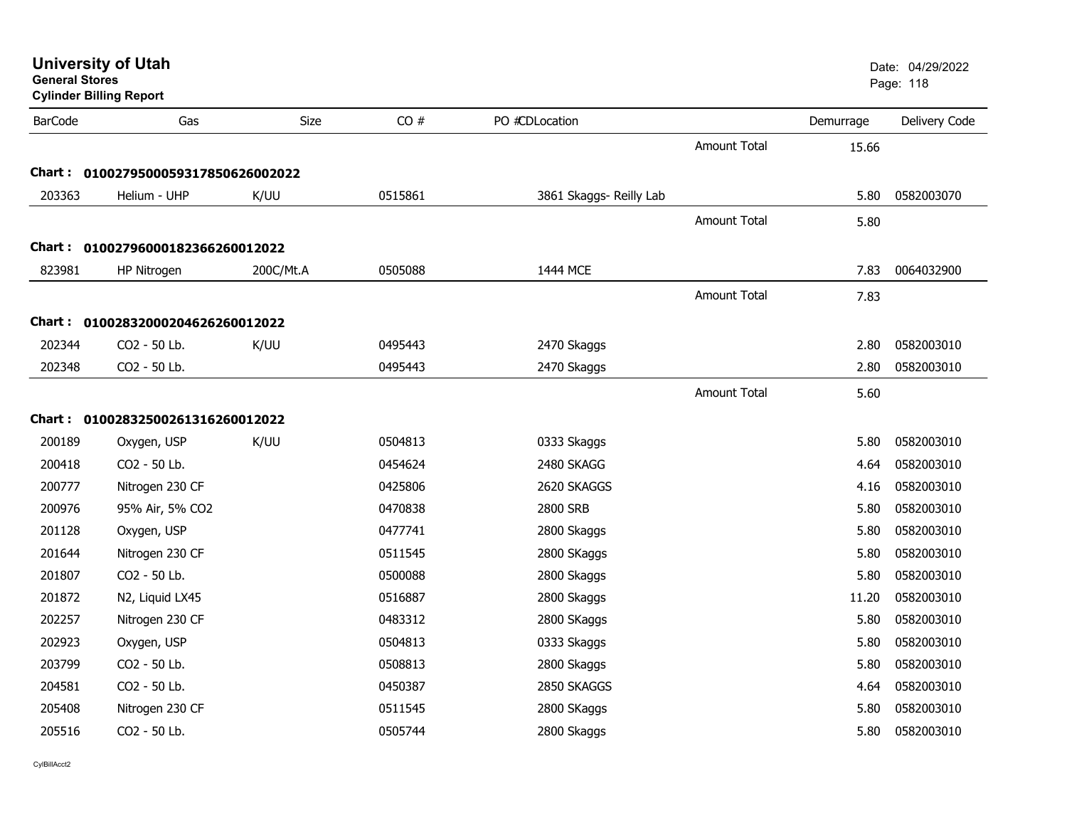| <b>General Stores</b> | <b>University of Utah</b><br><b>Cylinder Billing Report</b> |             |         |                         |                     |           | Date: 04/29/2022<br>Page: 118 |
|-----------------------|-------------------------------------------------------------|-------------|---------|-------------------------|---------------------|-----------|-------------------------------|
| <b>BarCode</b>        | Gas                                                         | <b>Size</b> | CO#     | PO #CDLocation          |                     | Demurrage | Delivery Code                 |
|                       |                                                             |             |         |                         | <b>Amount Total</b> | 15.66     |                               |
|                       | Chart: 0100279500059317850626002022                         |             |         |                         |                     |           |                               |
| 203363                | Helium - UHP                                                | K/UU        | 0515861 | 3861 Skaggs- Reilly Lab |                     | 5.80      | 0582003070                    |
|                       |                                                             |             |         |                         | <b>Amount Total</b> | 5.80      |                               |
|                       | Chart: 01002796000182366260012022                           |             |         |                         |                     |           |                               |
| 823981                | HP Nitrogen                                                 | 200C/Mt.A   | 0505088 | 1444 MCE                |                     | 7.83      | 0064032900                    |
|                       |                                                             |             |         |                         | <b>Amount Total</b> | 7.83      |                               |
|                       | Chart: 01002832000204626260012022                           |             |         |                         |                     |           |                               |
| 202344                | CO2 - 50 Lb.                                                | K/UU        | 0495443 | 2470 Skaggs             |                     | 2.80      | 0582003010                    |
| 202348                | CO2 - 50 Lb.                                                |             | 0495443 | 2470 Skaggs             |                     | 2.80      | 0582003010                    |
|                       |                                                             |             |         |                         | Amount Total        | 5.60      |                               |
|                       | Chart: 01002832500261316260012022                           |             |         |                         |                     |           |                               |
| 200189                | Oxygen, USP                                                 | K/UU        | 0504813 | 0333 Skaggs             |                     | 5.80      | 0582003010                    |
| 200418                | CO2 - 50 Lb.                                                |             | 0454624 | 2480 SKAGG              |                     | 4.64      | 0582003010                    |
| 200777                | Nitrogen 230 CF                                             |             | 0425806 | 2620 SKAGGS             |                     | 4.16      | 0582003010                    |
| 200976                | 95% Air, 5% CO2                                             |             | 0470838 | 2800 SRB                |                     | 5.80      | 0582003010                    |
| 201128                | Oxygen, USP                                                 |             | 0477741 | 2800 Skaggs             |                     | 5.80      | 0582003010                    |
| 201644                | Nitrogen 230 CF                                             |             | 0511545 | 2800 SKaggs             |                     | 5.80      | 0582003010                    |
| 201807                | CO2 - 50 Lb.                                                |             | 0500088 | 2800 Skaggs             |                     | 5.80      | 0582003010                    |
| 201872                | N2, Liquid LX45                                             |             | 0516887 | 2800 Skaggs             |                     | 11.20     | 0582003010                    |
| 202257                | Nitrogen 230 CF                                             |             | 0483312 | 2800 SKaggs             |                     | 5.80      | 0582003010                    |
| 202923                | Oxygen, USP                                                 |             | 0504813 | 0333 Skaggs             |                     | 5.80      | 0582003010                    |
| 203799                | CO2 - 50 Lb.                                                |             | 0508813 | 2800 Skaggs             |                     | 5.80      | 0582003010                    |
| 204581                | CO2 - 50 Lb.                                                |             | 0450387 | 2850 SKAGGS             |                     | 4.64      | 0582003010                    |
| 205408                | Nitrogen 230 CF                                             |             | 0511545 | 2800 SKaggs             |                     | 5.80      | 0582003010                    |
| 205516                | CO2 - 50 Lb.                                                |             | 0505744 | 2800 Skaggs             |                     | 5.80      | 0582003010                    |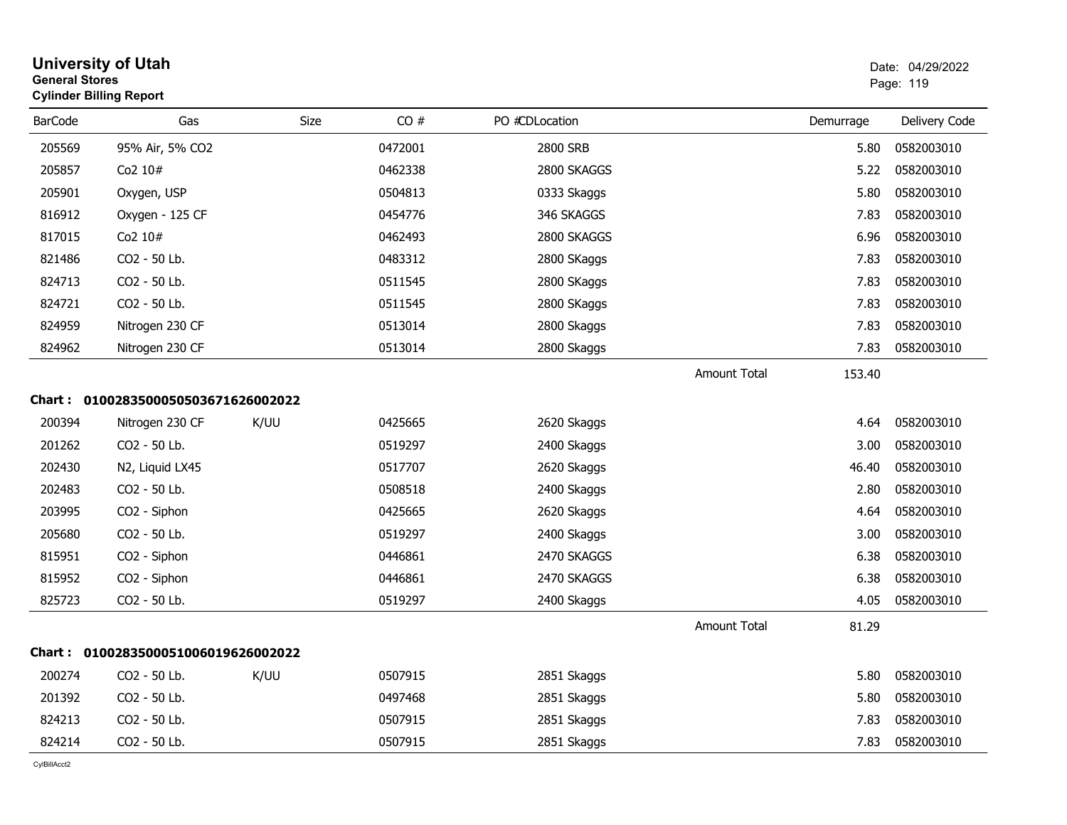|                | <b>University of Utah</b><br><b>General Stores</b><br><b>Cylinder Billing Report</b> |      |         |                |                     |           | Date: 04/29/2022<br>Page: 119 |  |
|----------------|--------------------------------------------------------------------------------------|------|---------|----------------|---------------------|-----------|-------------------------------|--|
| <b>BarCode</b> | Gas                                                                                  | Size | CO#     | PO #CDLocation |                     | Demurrage | Delivery Code                 |  |
| 205569         | 95% Air, 5% CO2                                                                      |      | 0472001 | 2800 SRB       |                     | 5.80      | 0582003010                    |  |
| 205857         | Co <sub>2</sub> $10#$                                                                |      | 0462338 | 2800 SKAGGS    |                     | 5.22      | 0582003010                    |  |
| 205901         | Oxygen, USP                                                                          |      | 0504813 | 0333 Skaggs    |                     | 5.80      | 0582003010                    |  |
| 816912         | Oxygen - 125 CF                                                                      |      | 0454776 | 346 SKAGGS     |                     | 7.83      | 0582003010                    |  |
| 817015         | Co2 10#                                                                              |      | 0462493 | 2800 SKAGGS    |                     | 6.96      | 0582003010                    |  |
| 821486         | CO <sub>2</sub> - 50 Lb.                                                             |      | 0483312 | 2800 SKaggs    |                     | 7.83      | 0582003010                    |  |
| 824713         | CO2 - 50 Lb.                                                                         |      | 0511545 | 2800 SKaggs    |                     | 7.83      | 0582003010                    |  |
| 824721         | CO2 - 50 Lb.                                                                         |      | 0511545 | 2800 SKaggs    |                     | 7.83      | 0582003010                    |  |
| 824959         | Nitrogen 230 CF                                                                      |      | 0513014 | 2800 Skaggs    |                     | 7.83      | 0582003010                    |  |
| 824962         | Nitrogen 230 CF                                                                      |      | 0513014 | 2800 Skaggs    |                     | 7.83      | 0582003010                    |  |
|                |                                                                                      |      |         |                | <b>Amount Total</b> | 153.40    |                               |  |
|                | Chart: 0100283500050503671626002022                                                  |      |         |                |                     |           |                               |  |
| 200394         | Nitrogen 230 CF                                                                      | K/UU | 0425665 | 2620 Skaggs    |                     | 4.64      | 0582003010                    |  |
| 201262         | CO2 - 50 Lb.                                                                         |      | 0519297 | 2400 Skaggs    |                     | 3.00      | 0582003010                    |  |
| 202430         | N2, Liquid LX45                                                                      |      | 0517707 | 2620 Skaggs    |                     | 46.40     | 0582003010                    |  |
| 202483         | CO2 - 50 Lb.                                                                         |      | 0508518 | 2400 Skaggs    |                     | 2.80      | 0582003010                    |  |
| 203995         | CO2 - Siphon                                                                         |      | 0425665 | 2620 Skaggs    |                     | 4.64      | 0582003010                    |  |
| 205680         | CO2 - 50 Lb.                                                                         |      | 0519297 | 2400 Skaggs    |                     | 3.00      | 0582003010                    |  |
| 815951         | CO2 - Siphon                                                                         |      | 0446861 | 2470 SKAGGS    |                     | 6.38      | 0582003010                    |  |
| 815952         | CO2 - Siphon                                                                         |      | 0446861 | 2470 SKAGGS    |                     | 6.38      | 0582003010                    |  |
| 825723         | CO2 - 50 Lb.                                                                         |      | 0519297 | 2400 Skaggs    |                     | 4.05      | 0582003010                    |  |
|                |                                                                                      |      |         |                | <b>Amount Total</b> | 81.29     |                               |  |
|                | Chart: 0100283500051006019626002022                                                  |      |         |                |                     |           |                               |  |
| 200274         | CO2 - 50 Lb.                                                                         | K/UU | 0507915 | 2851 Skaggs    |                     | 5.80      | 0582003010                    |  |
| 201392         | CO2 - 50 Lb.                                                                         |      | 0497468 | 2851 Skaggs    |                     | 5.80      | 0582003010                    |  |
| 824213         | CO2 - 50 Lb.                                                                         |      | 0507915 | 2851 Skaggs    |                     | 7.83      | 0582003010                    |  |
| 824214         | CO2 - 50 Lb.                                                                         |      | 0507915 | 2851 Skaggs    |                     | 7.83      | 0582003010                    |  |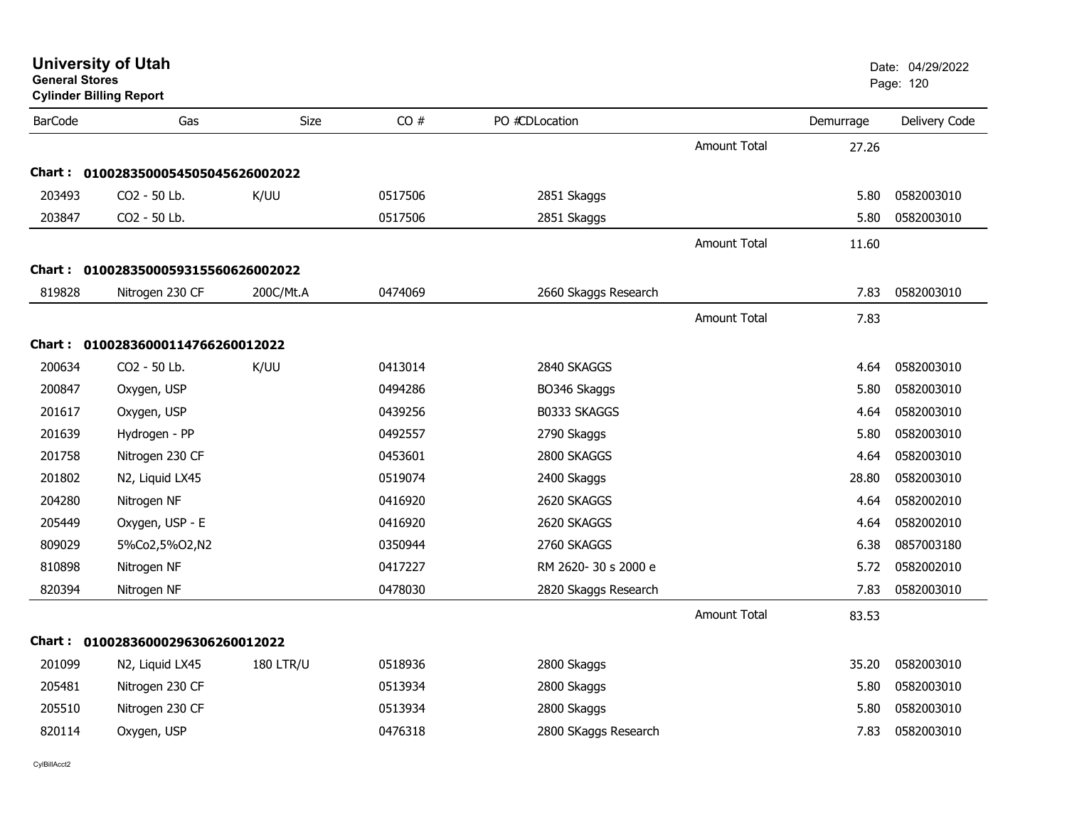|                 |                                                                                                                                                                                                                  |                                                                                                                                                      |                      |                     |           | Page: 120     |
|-----------------|------------------------------------------------------------------------------------------------------------------------------------------------------------------------------------------------------------------|------------------------------------------------------------------------------------------------------------------------------------------------------|----------------------|---------------------|-----------|---------------|
| Gas             | Size                                                                                                                                                                                                             | CO#                                                                                                                                                  | PO #CDLocation       |                     | Demurrage | Delivery Code |
|                 |                                                                                                                                                                                                                  |                                                                                                                                                      |                      | <b>Amount Total</b> | 27.26     |               |
|                 |                                                                                                                                                                                                                  |                                                                                                                                                      |                      |                     |           |               |
| CO2 - 50 Lb.    | K/UU                                                                                                                                                                                                             | 0517506                                                                                                                                              | 2851 Skaggs          |                     | 5.80      | 0582003010    |
| CO2 - 50 Lb.    |                                                                                                                                                                                                                  | 0517506                                                                                                                                              | 2851 Skaggs          |                     | 5.80      | 0582003010    |
|                 |                                                                                                                                                                                                                  |                                                                                                                                                      |                      | <b>Amount Total</b> | 11.60     |               |
|                 |                                                                                                                                                                                                                  |                                                                                                                                                      |                      |                     |           |               |
| Nitrogen 230 CF | 200C/Mt.A                                                                                                                                                                                                        | 0474069                                                                                                                                              | 2660 Skaggs Research |                     | 7.83      | 0582003010    |
|                 |                                                                                                                                                                                                                  |                                                                                                                                                      |                      | <b>Amount Total</b> | 7.83      |               |
|                 |                                                                                                                                                                                                                  |                                                                                                                                                      |                      |                     |           |               |
| CO2 - 50 Lb.    | K/UU                                                                                                                                                                                                             | 0413014                                                                                                                                              | 2840 SKAGGS          |                     | 4.64      | 0582003010    |
| Oxygen, USP     |                                                                                                                                                                                                                  | 0494286                                                                                                                                              | BO346 Skaggs         |                     | 5.80      | 0582003010    |
| Oxygen, USP     |                                                                                                                                                                                                                  | 0439256                                                                                                                                              | B0333 SKAGGS         |                     | 4.64      | 0582003010    |
| Hydrogen - PP   |                                                                                                                                                                                                                  | 0492557                                                                                                                                              | 2790 Skaggs          |                     | 5.80      | 0582003010    |
| Nitrogen 230 CF |                                                                                                                                                                                                                  | 0453601                                                                                                                                              | 2800 SKAGGS          |                     | 4.64      | 0582003010    |
| N2, Liquid LX45 |                                                                                                                                                                                                                  | 0519074                                                                                                                                              | 2400 Skaggs          |                     | 28.80     | 0582003010    |
| Nitrogen NF     |                                                                                                                                                                                                                  | 0416920                                                                                                                                              | 2620 SKAGGS          |                     | 4.64      | 0582002010    |
| Oxygen, USP - E |                                                                                                                                                                                                                  | 0416920                                                                                                                                              | 2620 SKAGGS          |                     | 4.64      | 0582002010    |
| 5%Co2,5%O2,N2   |                                                                                                                                                                                                                  | 0350944                                                                                                                                              | 2760 SKAGGS          |                     | 6.38      | 0857003180    |
| Nitrogen NF     |                                                                                                                                                                                                                  | 0417227                                                                                                                                              | RM 2620-30 s 2000 e  |                     | 5.72      | 0582002010    |
| Nitrogen NF     |                                                                                                                                                                                                                  | 0478030                                                                                                                                              | 2820 Skaggs Research |                     | 7.83      | 0582003010    |
|                 |                                                                                                                                                                                                                  |                                                                                                                                                      |                      | <b>Amount Total</b> | 83.53     |               |
|                 |                                                                                                                                                                                                                  |                                                                                                                                                      |                      |                     |           |               |
| N2, Liquid LX45 | <b>180 LTR/U</b>                                                                                                                                                                                                 | 0518936                                                                                                                                              | 2800 Skaggs          |                     | 35.20     | 0582003010    |
| Nitrogen 230 CF |                                                                                                                                                                                                                  | 0513934                                                                                                                                              | 2800 Skaggs          |                     | 5.80      | 0582003010    |
| Nitrogen 230 CF |                                                                                                                                                                                                                  | 0513934                                                                                                                                              | 2800 Skaggs          |                     | 5.80      | 0582003010    |
| Oxygen, USP     |                                                                                                                                                                                                                  | 0476318                                                                                                                                              | 2800 SKaggs Research |                     | 7.83      | 0582003010    |
|                 | General Stores<br><b>Cylinder Billing Report</b><br>203493<br>203847<br>200634<br>200847<br>201617<br>201639<br>201758<br>201802<br>204280<br>205449<br>809029<br>810898<br>820394<br>201099<br>205510<br>820114 | Chart: 0100283500054505045626002022<br>Chart: 0100283500059315560626002022<br>Chart: 01002836000114766260012022<br>Chart: 01002836000296306260012022 |                      |                     |           |               |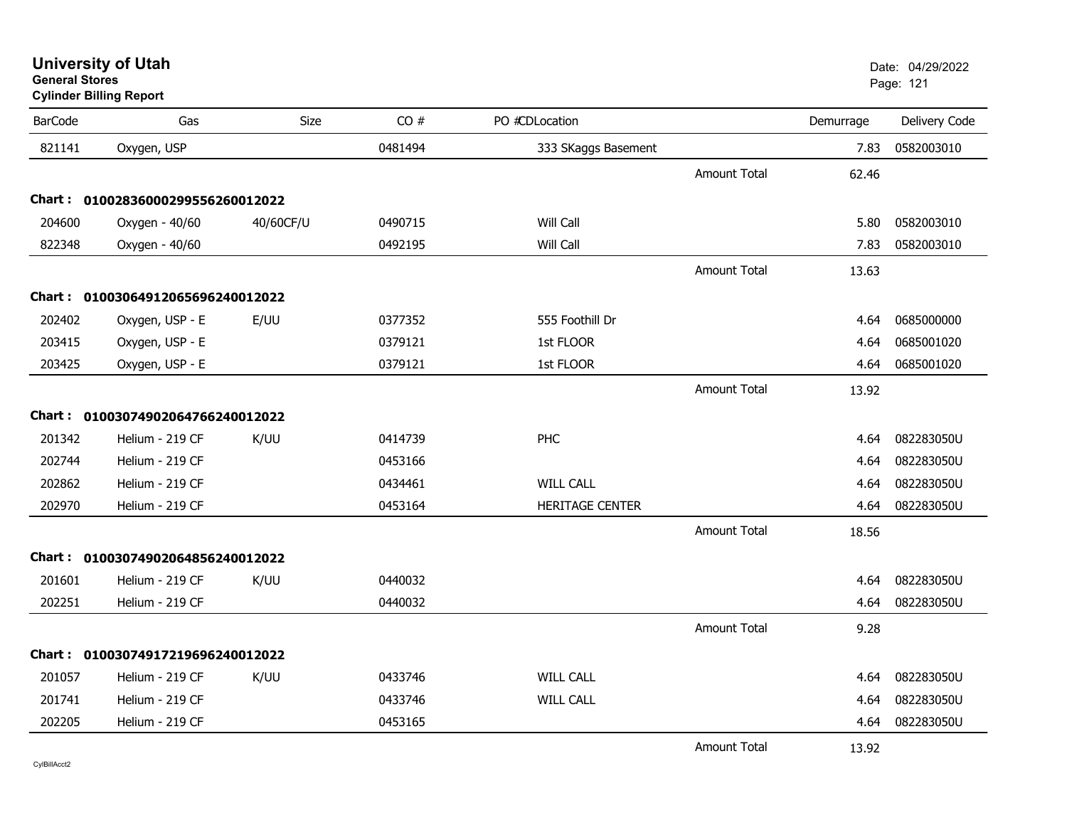#### **Cylinder Billing Report**

| <b>BarCode</b> | Gas                               | Size      | CO#     | PO #CDLocation      |                     | Demurrage | Delivery Code |
|----------------|-----------------------------------|-----------|---------|---------------------|---------------------|-----------|---------------|
| 821141         | Oxygen, USP                       |           | 0481494 | 333 SKaggs Basement |                     | 7.83      | 0582003010    |
|                |                                   |           |         |                     | <b>Amount Total</b> | 62.46     |               |
|                | Chart: 01002836000299556260012022 |           |         |                     |                     |           |               |
| 204600         | Oxygen - 40/60                    | 40/60CF/U | 0490715 | Will Call           |                     | 5.80      | 0582003010    |
| 822348         | Oxygen - 40/60                    |           | 0492195 | Will Call           |                     | 7.83      | 0582003010    |
|                |                                   |           |         |                     | <b>Amount Total</b> | 13.63     |               |
|                | Chart: 01003064912065696240012022 |           |         |                     |                     |           |               |
| 202402         | Oxygen, USP - E                   | E/UU      | 0377352 | 555 Foothill Dr     |                     | 4.64      | 0685000000    |
| 203415         | Oxygen, USP - E                   |           | 0379121 | 1st FLOOR           |                     | 4.64      | 0685001020    |
| 203425         | Oxygen, USP - E                   |           | 0379121 | 1st FLOOR           |                     | 4.64      | 0685001020    |
|                |                                   |           |         |                     | <b>Amount Total</b> | 13.92     |               |
|                | Chart: 01003074902064766240012022 |           |         |                     |                     |           |               |
| 201342         | Helium - 219 CF                   | K/UU      | 0414739 | PHC                 |                     | 4.64      | 082283050U    |
| 202744         | Helium - 219 CF                   |           | 0453166 |                     |                     | 4.64      | 082283050U    |
| 202862         | Helium - 219 CF                   |           | 0434461 | <b>WILL CALL</b>    |                     | 4.64      | 082283050U    |
| 202970         | Helium - 219 CF                   |           | 0453164 | HERITAGE CENTER     |                     | 4.64      | 082283050U    |
|                |                                   |           |         |                     | <b>Amount Total</b> | 18.56     |               |
|                | Chart: 01003074902064856240012022 |           |         |                     |                     |           |               |
| 201601         | Helium - 219 CF                   | K/UU      | 0440032 |                     |                     | 4.64      | 082283050U    |
| 202251         | Helium - 219 CF                   |           | 0440032 |                     |                     | 4.64      | 082283050U    |
|                |                                   |           |         |                     | <b>Amount Total</b> | 9.28      |               |
|                | Chart: 01003074917219696240012022 |           |         |                     |                     |           |               |
| 201057         | Helium - 219 CF                   | K/UU      | 0433746 | <b>WILL CALL</b>    |                     | 4.64      | 082283050U    |
| 201741         | Helium - 219 CF                   |           | 0433746 | <b>WILL CALL</b>    |                     | 4.64      | 082283050U    |
| 202205         | Helium - 219 CF                   |           | 0453165 |                     |                     | 4.64      | 082283050U    |
|                |                                   |           |         |                     | <b>Amount Total</b> | 13.92     |               |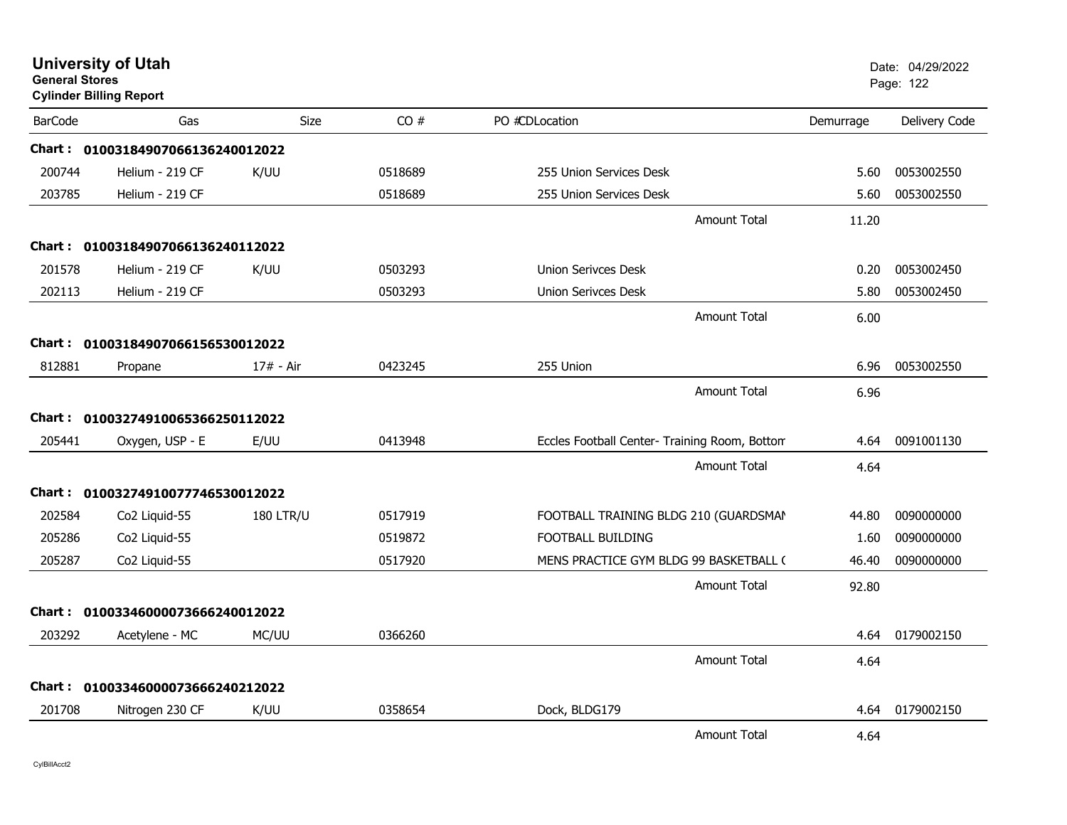| <b>General Stores</b> | <b>University of Utah</b><br><b>Cylinder Billing Report</b> |                  |         |                                               |           | Date: 04/29/2022<br>Page: 122 |
|-----------------------|-------------------------------------------------------------|------------------|---------|-----------------------------------------------|-----------|-------------------------------|
| <b>BarCode</b>        | Gas                                                         | Size             | CO#     | PO #CDLocation                                | Demurrage | Delivery Code                 |
|                       | Chart: 01003184907066136240012022                           |                  |         |                                               |           |                               |
| 200744                | Helium - 219 CF                                             | K/UU             | 0518689 | 255 Union Services Desk                       | 5.60      | 0053002550                    |
| 203785                | Helium - 219 CF                                             |                  | 0518689 | 255 Union Services Desk                       | 5.60      | 0053002550                    |
|                       |                                                             |                  |         | <b>Amount Total</b>                           | 11.20     |                               |
|                       | Chart: 01003184907066136240112022                           |                  |         |                                               |           |                               |
| 201578                | Helium - 219 CF                                             | K/UU             | 0503293 | Union Serivces Desk                           | 0.20      | 0053002450                    |
| 202113                | Helium - 219 CF                                             |                  | 0503293 | <b>Union Serivces Desk</b>                    | 5.80      | 0053002450                    |
|                       |                                                             |                  |         | <b>Amount Total</b>                           | 6.00      |                               |
|                       | Chart: 01003184907066156530012022                           |                  |         |                                               |           |                               |
| 812881                | Propane                                                     | 17# - Air        | 0423245 | 255 Union                                     | 6.96      | 0053002550                    |
|                       |                                                             |                  |         | <b>Amount Total</b>                           | 6.96      |                               |
|                       | Chart: 01003274910065366250112022                           |                  |         |                                               |           |                               |
| 205441                | Oxygen, USP - E                                             | E/UU             | 0413948 | Eccles Football Center- Training Room, Bottom | 4.64      | 0091001130                    |
|                       |                                                             |                  |         | Amount Total                                  | 4.64      |                               |
|                       | Chart: 01003274910077746530012022                           |                  |         |                                               |           |                               |
| 202584                | Co <sub>2</sub> Liquid-55                                   | <b>180 LTR/U</b> | 0517919 | FOOTBALL TRAINING BLDG 210 (GUARDSMAN         | 44.80     | 0090000000                    |
| 205286                | Co2 Liquid-55                                               |                  | 0519872 | FOOTBALL BUILDING                             | 1.60      | 0090000000                    |
| 205287                | Co2 Liquid-55                                               |                  | 0517920 | MENS PRACTICE GYM BLDG 99 BASKETBALL (        | 46.40     | 0090000000                    |
|                       |                                                             |                  |         | <b>Amount Total</b>                           | 92.80     |                               |
|                       | Chart: 01003346000073666240012022                           |                  |         |                                               |           |                               |
| 203292                | Acetylene - MC                                              | MC/UU            | 0366260 |                                               | 4.64      | 0179002150                    |
|                       |                                                             |                  |         | <b>Amount Total</b>                           | 4.64      |                               |
|                       | Chart: 01003346000073666240212022                           |                  |         |                                               |           |                               |
| 201708                | Nitrogen 230 CF                                             | K/UU             | 0358654 | Dock, BLDG179                                 | 4.64      | 0179002150                    |
|                       |                                                             |                  |         | <b>Amount Total</b>                           | 4.64      |                               |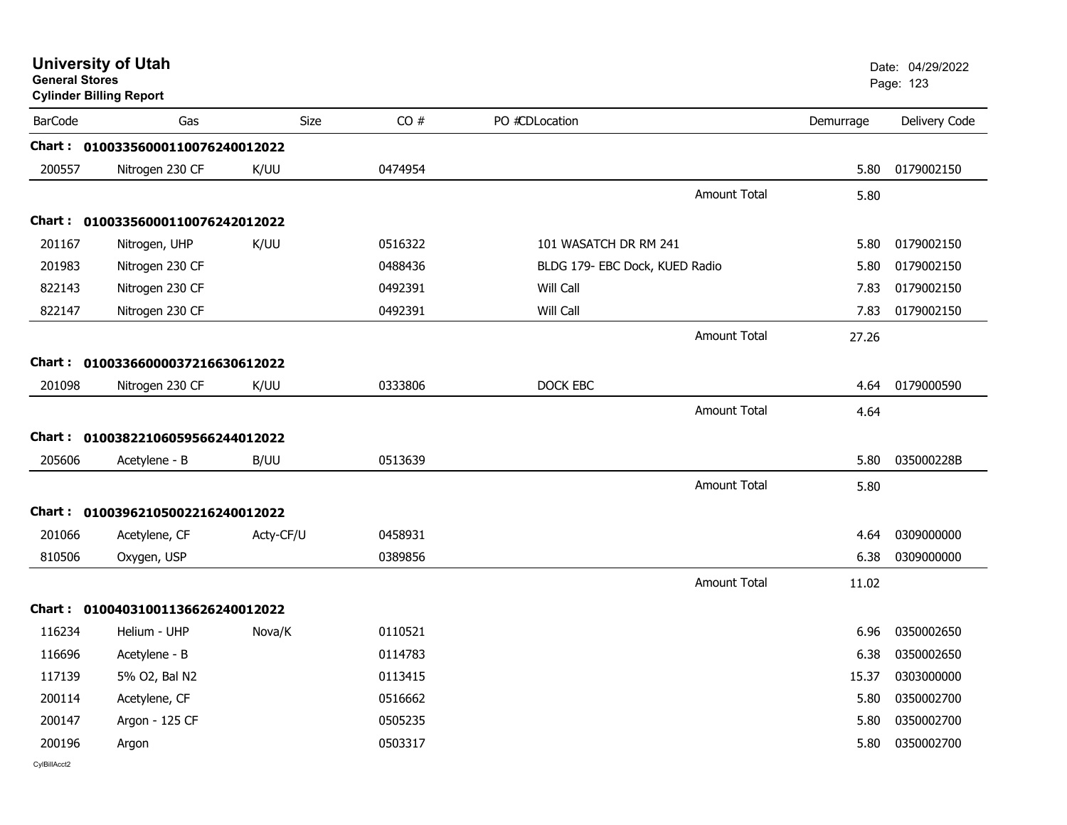| <b>General Stores</b> | <b>University of Utah</b><br><b>Cylinder Billing Report</b> |             |         |                                |                     |           | Date: 04/29/2022<br>Page: 123 |
|-----------------------|-------------------------------------------------------------|-------------|---------|--------------------------------|---------------------|-----------|-------------------------------|
| <b>BarCode</b>        | Gas                                                         | <b>Size</b> | CO#     | PO #CDLocation                 |                     | Demurrage | Delivery Code                 |
|                       | Chart: 01003356000110076240012022                           |             |         |                                |                     |           |                               |
| 200557                | Nitrogen 230 CF                                             | K/UU        | 0474954 |                                |                     | 5.80      | 0179002150                    |
|                       |                                                             |             |         |                                | <b>Amount Total</b> | 5.80      |                               |
|                       | Chart: 01003356000110076242012022                           |             |         |                                |                     |           |                               |
| 201167                | Nitrogen, UHP                                               | K/UU        | 0516322 | 101 WASATCH DR RM 241          |                     | 5.80      | 0179002150                    |
| 201983                | Nitrogen 230 CF                                             |             | 0488436 | BLDG 179- EBC Dock, KUED Radio |                     | 5.80      | 0179002150                    |
| 822143                | Nitrogen 230 CF                                             |             | 0492391 | Will Call                      |                     | 7.83      | 0179002150                    |
| 822147                | Nitrogen 230 CF                                             |             | 0492391 | Will Call                      |                     | 7.83      | 0179002150                    |
|                       |                                                             |             |         |                                | <b>Amount Total</b> | 27.26     |                               |
| <b>Chart:</b>         | 01003366000037216630612022                                  |             |         |                                |                     |           |                               |
| 201098                | Nitrogen 230 CF                                             | K/UU        | 0333806 | DOCK EBC                       |                     | 4.64      | 0179000590                    |
|                       |                                                             |             |         |                                | <b>Amount Total</b> | 4.64      |                               |
|                       |                                                             |             |         |                                |                     |           |                               |
| 205606                | Chart: 01003822106059566244012022                           | B/UU        | 0513639 |                                |                     | 5.80      | 035000228B                    |
|                       | Acetylene - B                                               |             |         |                                |                     |           |                               |
|                       |                                                             |             |         |                                | <b>Amount Total</b> | 5.80      |                               |
|                       | Chart: 01003962105002216240012022                           |             |         |                                |                     |           |                               |
| 201066                | Acetylene, CF                                               | Acty-CF/U   | 0458931 |                                |                     | 4.64      | 0309000000                    |
| 810506                | Oxygen, USP                                                 |             | 0389856 |                                |                     | 6.38      | 0309000000                    |
|                       |                                                             |             |         |                                | <b>Amount Total</b> | 11.02     |                               |
|                       | Chart: 01004031001136626240012022                           |             |         |                                |                     |           |                               |
| 116234                | Helium - UHP                                                | Nova/K      | 0110521 |                                |                     | 6.96      | 0350002650                    |
| 116696                | Acetylene - B                                               |             | 0114783 |                                |                     | 6.38      | 0350002650                    |
| 117139                | 5% O2, Bal N2                                               |             | 0113415 |                                |                     | 15.37     | 0303000000                    |
| 200114                | Acetylene, CF                                               |             | 0516662 |                                |                     | 5.80      | 0350002700                    |
| 200147                | Argon - 125 CF                                              |             | 0505235 |                                |                     | 5.80      | 0350002700                    |
| 200196                | Argon                                                       |             | 0503317 |                                |                     | 5.80      | 0350002700                    |
| CylBillAcct2          |                                                             |             |         |                                |                     |           |                               |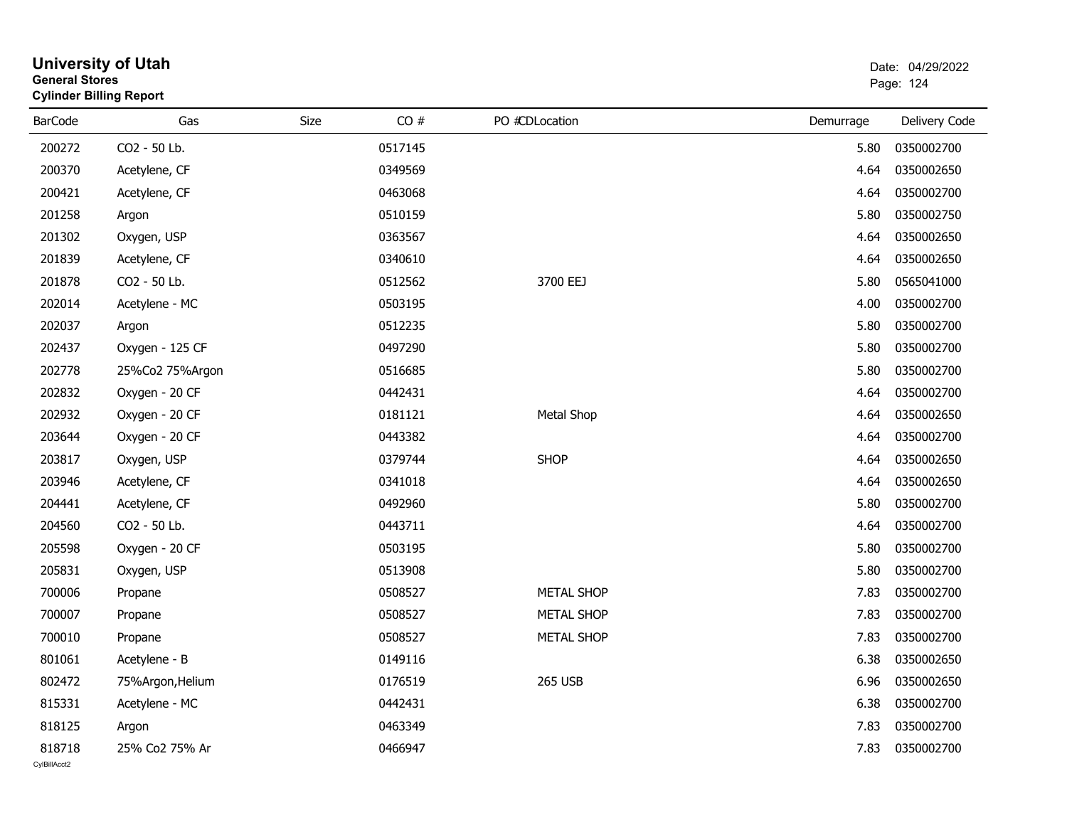| General Stores | <b>Cylinder Billing Report</b> |      | Page: 124 |                   |           |               |
|----------------|--------------------------------|------|-----------|-------------------|-----------|---------------|
| <b>BarCode</b> | Gas                            | Size | CO#       | PO #CDLocation    | Demurrage | Delivery Code |
| 200272         | CO2 - 50 Lb.                   |      | 0517145   |                   | 5.80      | 0350002700    |
| 200370         | Acetylene, CF                  |      | 0349569   |                   | 4.64      | 0350002650    |
| 200421         | Acetylene, CF                  |      | 0463068   |                   | 4.64      | 0350002700    |
| 201258         | Argon                          |      | 0510159   |                   | 5.80      | 0350002750    |
| 201302         | Oxygen, USP                    |      | 0363567   |                   | 4.64      | 0350002650    |
| 201839         | Acetylene, CF                  |      | 0340610   |                   | 4.64      | 0350002650    |
| 201878         | CO2 - 50 Lb.                   |      | 0512562   | 3700 EEJ          | 5.80      | 0565041000    |
| 202014         | Acetylene - MC                 |      | 0503195   |                   | 4.00      | 0350002700    |
| 202037         | Argon                          |      | 0512235   |                   | 5.80      | 0350002700    |
| 202437         | Oxygen - 125 CF                |      | 0497290   |                   | 5.80      | 0350002700    |
| 202778         | 25%Co2 75%Argon                |      | 0516685   |                   | 5.80      | 0350002700    |
| 202832         | Oxygen - 20 CF                 |      | 0442431   |                   | 4.64      | 0350002700    |
| 202932         | Oxygen - 20 CF                 |      | 0181121   | Metal Shop        | 4.64      | 0350002650    |
| 203644         | Oxygen - 20 CF                 |      | 0443382   |                   | 4.64      | 0350002700    |
| 203817         | Oxygen, USP                    |      | 0379744   | <b>SHOP</b>       | 4.64      | 0350002650    |
| 203946         | Acetylene, CF                  |      | 0341018   |                   | 4.64      | 0350002650    |
| 204441         | Acetylene, CF                  |      | 0492960   |                   | 5.80      | 0350002700    |
| 204560         | CO2 - 50 Lb.                   |      | 0443711   |                   | 4.64      | 0350002700    |
| 205598         | Oxygen - 20 CF                 |      | 0503195   |                   | 5.80      | 0350002700    |
| 205831         | Oxygen, USP                    |      | 0513908   |                   | 5.80      | 0350002700    |
| 700006         | Propane                        |      | 0508527   | <b>METAL SHOP</b> | 7.83      | 0350002700    |
| 700007         | Propane                        |      | 0508527   | <b>METAL SHOP</b> | 7.83      | 0350002700    |
| 700010         | Propane                        |      | 0508527   | <b>METAL SHOP</b> | 7.83      | 0350002700    |
| 801061         | Acetylene - B                  |      | 0149116   |                   | 6.38      | 0350002650    |
| 802472         | 75%Argon, Helium               |      | 0176519   | <b>265 USB</b>    | 6.96      | 0350002650    |
| 815331         | Acetylene - MC                 |      | 0442431   |                   | 6.38      | 0350002700    |
| 818125         | Argon                          |      | 0463349   |                   | 7.83      | 0350002700    |
| 818718         | 25% Co2 75% Ar                 |      | 0466947   |                   | 7.83      | 0350002700    |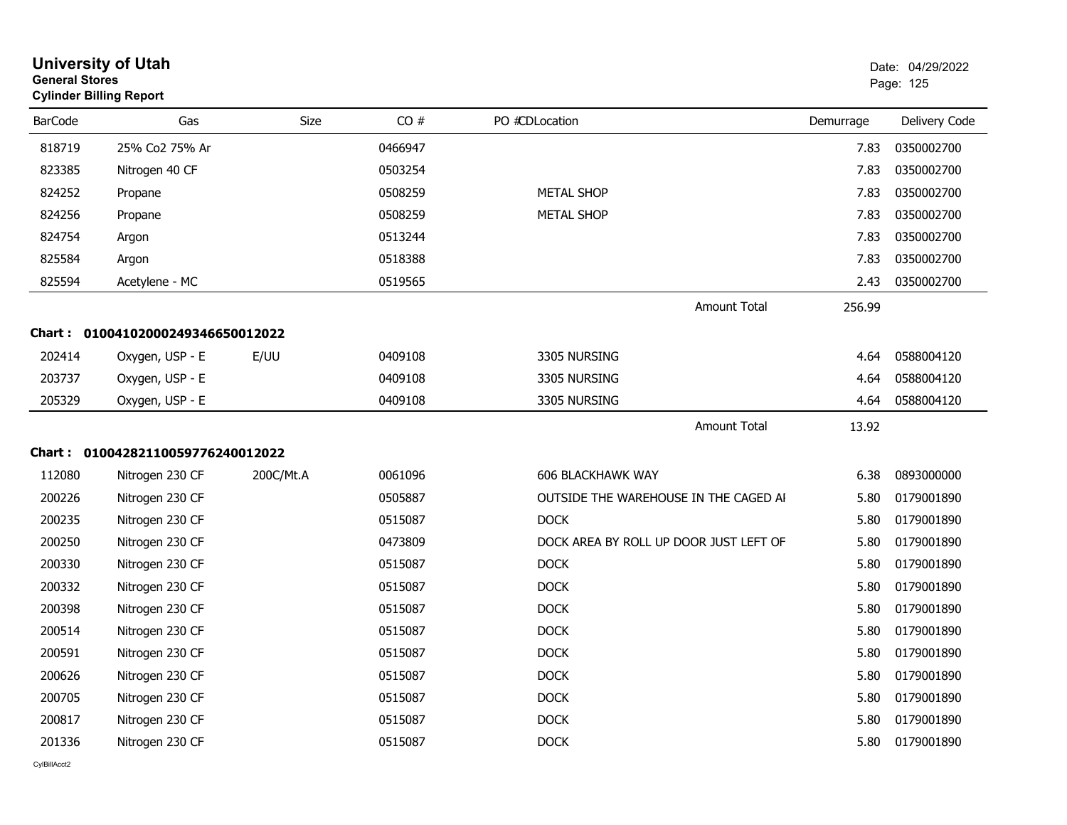| <b>General Stores</b> | <b>University of Utah</b><br><b>Cylinder Billing Report</b> |           |         |                                        |           | Date: 04/29/2022<br>Page: 125 |
|-----------------------|-------------------------------------------------------------|-----------|---------|----------------------------------------|-----------|-------------------------------|
| <b>BarCode</b>        | Gas                                                         | Size      | CO#     | PO #CDLocation                         | Demurrage | Delivery Code                 |
| 818719                | 25% Co2 75% Ar                                              |           | 0466947 |                                        | 7.83      | 0350002700                    |
| 823385                | Nitrogen 40 CF                                              |           | 0503254 |                                        | 7.83      | 0350002700                    |
| 824252                | Propane                                                     |           | 0508259 | <b>METAL SHOP</b>                      | 7.83      | 0350002700                    |
| 824256                | Propane                                                     |           | 0508259 | <b>METAL SHOP</b>                      | 7.83      | 0350002700                    |
| 824754                | Argon                                                       |           | 0513244 |                                        | 7.83      | 0350002700                    |
| 825584                | Argon                                                       |           | 0518388 |                                        | 7.83      | 0350002700                    |
| 825594                | Acetylene - MC                                              |           | 0519565 |                                        | 2.43      | 0350002700                    |
|                       |                                                             |           |         | <b>Amount Total</b>                    | 256.99    |                               |
| Chart :               | 01004102000249346650012022                                  |           |         |                                        |           |                               |
| 202414                | Oxygen, USP - E                                             | E/UU      | 0409108 | 3305 NURSING                           | 4.64      | 0588004120                    |
| 203737                | Oxygen, USP - E                                             |           | 0409108 | 3305 NURSING                           | 4.64      | 0588004120                    |
| 205329                | Oxygen, USP - E                                             |           | 0409108 | 3305 NURSING                           | 4.64      | 0588004120                    |
|                       |                                                             |           |         | <b>Amount Total</b>                    | 13.92     |                               |
| Chart :               | 01004282110059776240012022                                  |           |         |                                        |           |                               |
| 112080                | Nitrogen 230 CF                                             | 200C/Mt.A | 0061096 | <b>606 BLACKHAWK WAY</b>               | 6.38      | 0893000000                    |
| 200226                |                                                             |           | 0505887 |                                        | 5.80      |                               |
|                       | Nitrogen 230 CF                                             |           |         | OUTSIDE THE WAREHOUSE IN THE CAGED AI  |           | 0179001890                    |
| 200235                | Nitrogen 230 CF                                             |           | 0515087 | <b>DOCK</b>                            | 5.80      | 0179001890                    |
| 200250                | Nitrogen 230 CF                                             |           | 0473809 | DOCK AREA BY ROLL UP DOOR JUST LEFT OF | 5.80      | 0179001890                    |
| 200330                | Nitrogen 230 CF                                             |           | 0515087 | <b>DOCK</b>                            | 5.80      | 0179001890                    |
| 200332                | Nitrogen 230 CF                                             |           | 0515087 | <b>DOCK</b>                            | 5.80      | 0179001890                    |
| 200398                | Nitrogen 230 CF                                             |           | 0515087 | <b>DOCK</b>                            | 5.80      | 0179001890                    |
| 200514                | Nitrogen 230 CF                                             |           | 0515087 | <b>DOCK</b>                            | 5.80      | 0179001890                    |
| 200591                | Nitrogen 230 CF                                             |           | 0515087 | <b>DOCK</b>                            | 5.80      | 0179001890                    |
| 200626                | Nitrogen 230 CF                                             |           | 0515087 | <b>DOCK</b>                            | 5.80      | 0179001890                    |
| 200705                | Nitrogen 230 CF                                             |           | 0515087 | <b>DOCK</b>                            | 5.80      | 0179001890                    |
| 200817                | Nitrogen 230 CF                                             |           | 0515087 | <b>DOCK</b>                            | 5.80      | 0179001890                    |
| 201336                | Nitrogen 230 CF                                             |           | 0515087 | <b>DOCK</b>                            | 5.80      | 0179001890                    |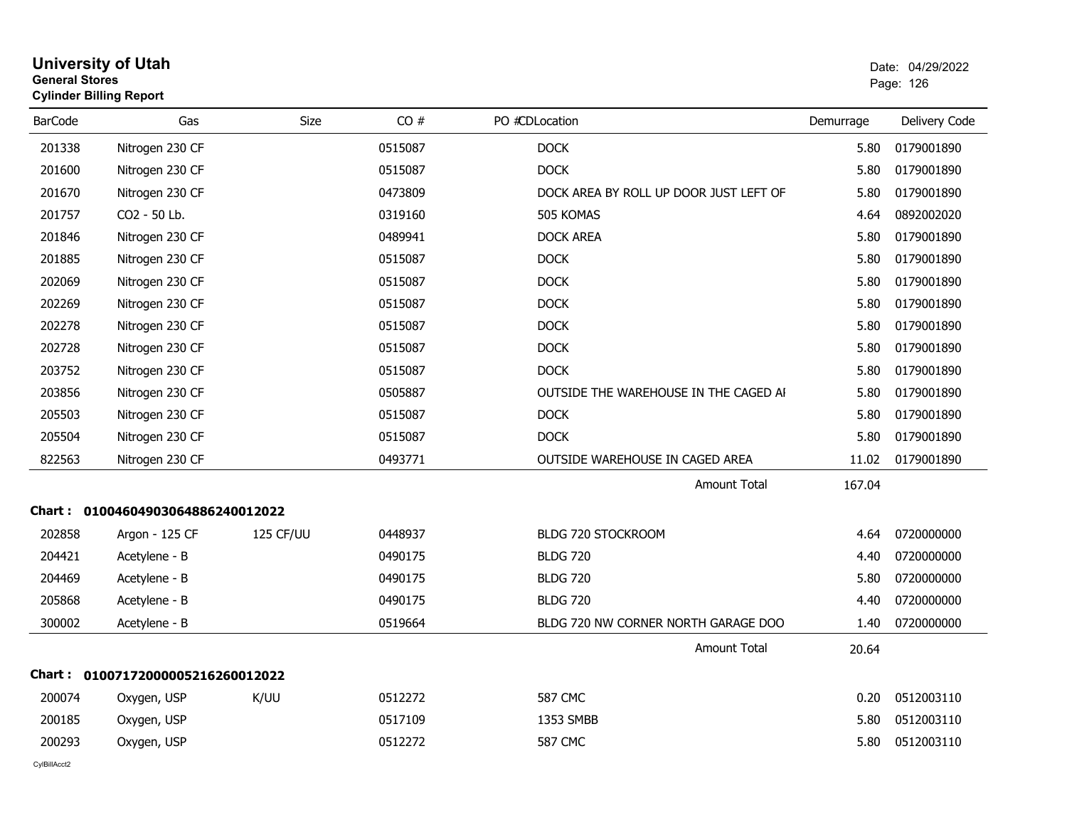| <b>General Stores</b> | <b>Cylinder Billing Report</b>    |           |         |                                        | Page: 126 |               |
|-----------------------|-----------------------------------|-----------|---------|----------------------------------------|-----------|---------------|
| <b>BarCode</b>        | Gas                               | Size      | CO#     | PO #CDLocation                         | Demurrage | Delivery Code |
| 201338                | Nitrogen 230 CF                   |           | 0515087 | <b>DOCK</b>                            | 5.80      | 0179001890    |
| 201600                | Nitrogen 230 CF                   |           | 0515087 | <b>DOCK</b>                            | 5.80      | 0179001890    |
| 201670                | Nitrogen 230 CF                   |           | 0473809 | DOCK AREA BY ROLL UP DOOR JUST LEFT OF | 5.80      | 0179001890    |
| 201757                | CO <sub>2</sub> - 50 Lb.          |           | 0319160 | 505 KOMAS                              | 4.64      | 0892002020    |
| 201846                | Nitrogen 230 CF                   |           | 0489941 | <b>DOCK AREA</b>                       | 5.80      | 0179001890    |
| 201885                | Nitrogen 230 CF                   |           | 0515087 | <b>DOCK</b>                            | 5.80      | 0179001890    |
| 202069                | Nitrogen 230 CF                   |           | 0515087 | <b>DOCK</b>                            | 5.80      | 0179001890    |
| 202269                | Nitrogen 230 CF                   |           | 0515087 | <b>DOCK</b>                            | 5.80      | 0179001890    |
| 202278                | Nitrogen 230 CF                   |           | 0515087 | <b>DOCK</b>                            | 5.80      | 0179001890    |
| 202728                | Nitrogen 230 CF                   |           | 0515087 | <b>DOCK</b>                            | 5.80      | 0179001890    |
| 203752                | Nitrogen 230 CF                   |           | 0515087 | <b>DOCK</b>                            | 5.80      | 0179001890    |
| 203856                | Nitrogen 230 CF                   |           | 0505887 | OUTSIDE THE WAREHOUSE IN THE CAGED AI  | 5.80      | 0179001890    |
| 205503                | Nitrogen 230 CF                   |           | 0515087 | <b>DOCK</b>                            | 5.80      | 0179001890    |
| 205504                | Nitrogen 230 CF                   |           | 0515087 | <b>DOCK</b>                            | 5.80      | 0179001890    |
| 822563                | Nitrogen 230 CF                   |           | 0493771 | OUTSIDE WAREHOUSE IN CAGED AREA        | 11.02     | 0179001890    |
|                       |                                   |           |         | <b>Amount Total</b>                    | 167.04    |               |
|                       | Chart: 01004604903064886240012022 |           |         |                                        |           |               |
| 202858                | Argon - 125 CF                    | 125 CF/UU | 0448937 | <b>BLDG 720 STOCKROOM</b>              | 4.64      | 0720000000    |
| 204421                | Acetylene - B                     |           | 0490175 | <b>BLDG 720</b>                        | 4.40      | 0720000000    |
| 204469                | Acetylene - B                     |           | 0490175 | <b>BLDG 720</b>                        | 5.80      | 0720000000    |
| 205868                | Acetylene - B                     |           | 0490175 | <b>BLDG 720</b>                        | 4.40      | 0720000000    |
| 300002                | Acetylene - B                     |           | 0519664 | BLDG 720 NW CORNER NORTH GARAGE DOO    | 1.40      | 0720000000    |
|                       |                                   |           |         | <b>Amount Total</b>                    | 20.64     |               |
|                       | Chart: 01007172000005216260012022 |           |         |                                        |           |               |
| 200074                | Oxygen, USP                       | K/UU      | 0512272 | <b>587 CMC</b>                         | 0.20      | 0512003110    |
| 200185                | Oxygen, USP                       |           | 0517109 | 1353 SMBB                              | 5.80      | 0512003110    |
| 200293                | Oxygen, USP                       |           | 0512272 | <b>587 CMC</b>                         | 5.80      | 0512003110    |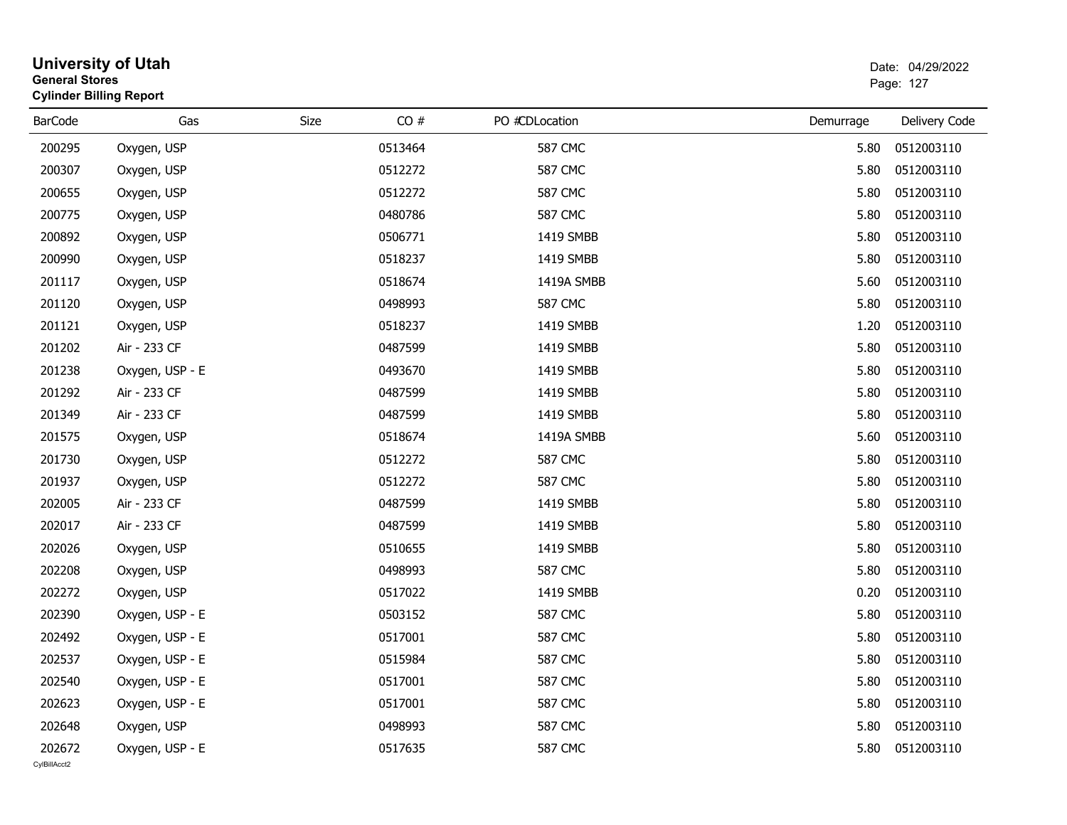|                        | <b>University of Utah</b><br>Date: 04/29/2022<br><b>General Stores</b><br>Page: 127<br><b>Cylinder Billing Report</b> |      |         |                |           |                  |
|------------------------|-----------------------------------------------------------------------------------------------------------------------|------|---------|----------------|-----------|------------------|
| <b>BarCode</b>         | Gas                                                                                                                   | Size | CO#     | PO #CDLocation | Demurrage | Delivery Code    |
| 200295                 | Oxygen, USP                                                                                                           |      | 0513464 | <b>587 CMC</b> | 5.80      | 0512003110       |
| 200307                 | Oxygen, USP                                                                                                           |      | 0512272 | <b>587 CMC</b> | 5.80      | 0512003110       |
| 200655                 | Oxygen, USP                                                                                                           |      | 0512272 | <b>587 CMC</b> | 5.80      | 0512003110       |
| 200775                 | Oxygen, USP                                                                                                           |      | 0480786 | <b>587 CMC</b> | 5.80      | 0512003110       |
| 200892                 | Oxygen, USP                                                                                                           |      | 0506771 | 1419 SMBB      | 5.80      | 0512003110       |
| 200990                 | Oxygen, USP                                                                                                           |      | 0518237 | 1419 SMBB      | 5.80      | 0512003110       |
| 201117                 | Oxygen, USP                                                                                                           |      | 0518674 | 1419A SMBB     | 5.60      | 0512003110       |
| 201120                 | Oxygen, USP                                                                                                           |      | 0498993 | <b>587 CMC</b> | 5.80      | 0512003110       |
| 201121                 | Oxygen, USP                                                                                                           |      | 0518237 | 1419 SMBB      | 1.20      | 0512003110       |
| 201202                 | Air - 233 CF                                                                                                          |      | 0487599 | 1419 SMBB      | 5.80      | 0512003110       |
| 201238                 | Oxygen, USP - E                                                                                                       |      | 0493670 | 1419 SMBB      | 5.80      | 0512003110       |
| 201292                 | Air - 233 CF                                                                                                          |      | 0487599 | 1419 SMBB      | 5.80      | 0512003110       |
| 201349                 | Air - 233 CF                                                                                                          |      | 0487599 | 1419 SMBB      | 5.80      | 0512003110       |
| 201575                 | Oxygen, USP                                                                                                           |      | 0518674 | 1419A SMBB     | 5.60      | 0512003110       |
| 201730                 | Oxygen, USP                                                                                                           |      | 0512272 | <b>587 CMC</b> | 5.80      | 0512003110       |
| 201937                 | Oxygen, USP                                                                                                           |      | 0512272 | <b>587 CMC</b> | 5.80      | 0512003110       |
| 202005                 | Air - 233 CF                                                                                                          |      | 0487599 | 1419 SMBB      | 5.80      | 0512003110       |
| 202017                 | Air - 233 CF                                                                                                          |      | 0487599 | 1419 SMBB      | 5.80      | 0512003110       |
| 202026                 | Oxygen, USP                                                                                                           |      | 0510655 | 1419 SMBB      | 5.80      | 0512003110       |
| 202208                 | Oxygen, USP                                                                                                           |      | 0498993 | <b>587 CMC</b> | 5.80      | 0512003110       |
| 202272                 | Oxygen, USP                                                                                                           |      | 0517022 | 1419 SMBB      | 0.20      | 0512003110       |
| 202390                 | Oxygen, USP - E                                                                                                       |      | 0503152 | <b>587 CMC</b> | 5.80      | 0512003110       |
| 202492                 | Oxygen, USP - E                                                                                                       |      | 0517001 | <b>587 CMC</b> | 5.80      | 0512003110       |
| 202537                 | Oxygen, USP - E                                                                                                       |      | 0515984 | <b>587 CMC</b> |           | 5.80  0512003110 |
| 202540                 | Oxygen, USP - E                                                                                                       |      | 0517001 | <b>587 CMC</b> | 5.80      | 0512003110       |
| 202623                 | Oxygen, USP - E                                                                                                       |      | 0517001 | <b>587 CMC</b> | 5.80      | 0512003110       |
| 202648                 | Oxygen, USP                                                                                                           |      | 0498993 | <b>587 CMC</b> | 5.80      | 0512003110       |
| 202672<br>CvIBillAcct2 | Oxygen, USP - E                                                                                                       |      | 0517635 | <b>587 CMC</b> | 5.80      | 0512003110       |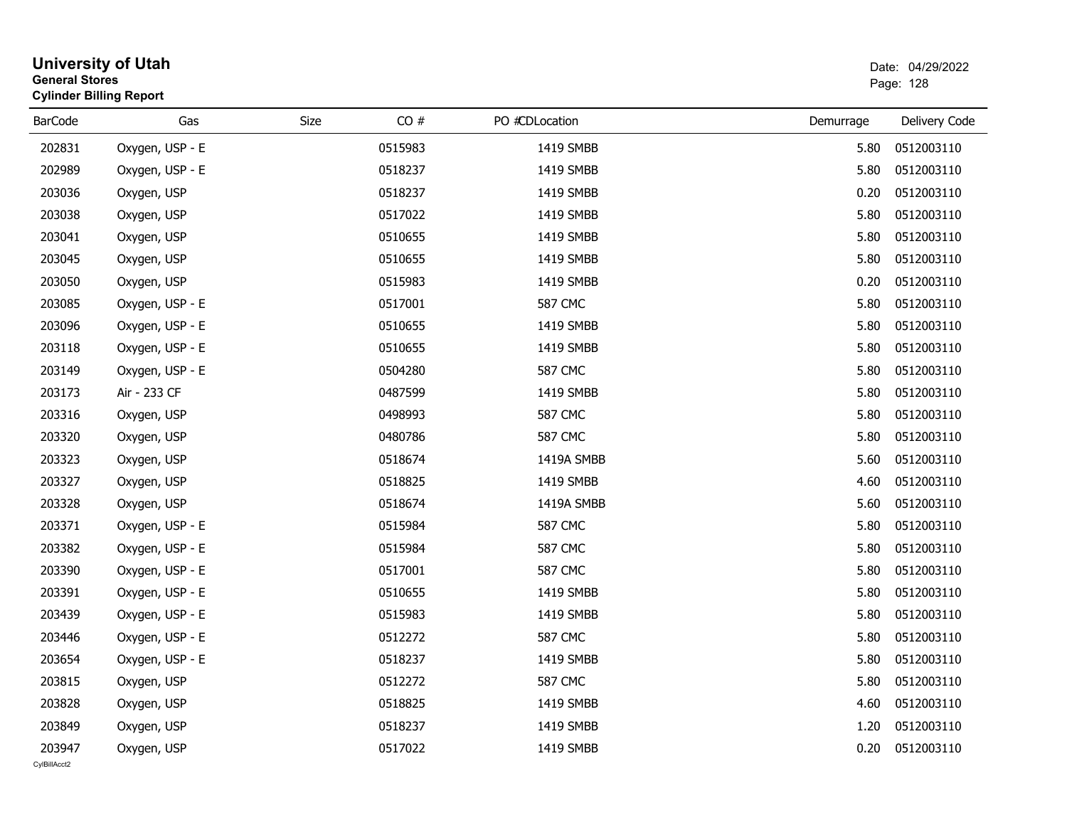| <b>General Stores</b>  | <b>University of Utah</b><br><b>Cylinder Billing Report</b> |      |         |                |           | Date: 04/29/2022<br>Page: 128 |
|------------------------|-------------------------------------------------------------|------|---------|----------------|-----------|-------------------------------|
| <b>BarCode</b>         | Gas                                                         | Size | CO#     | PO #CDLocation | Demurrage | Delivery Code                 |
| 202831                 | Oxygen, USP - E                                             |      | 0515983 | 1419 SMBB      | 5.80      | 0512003110                    |
| 202989                 | Oxygen, USP - E                                             |      | 0518237 | 1419 SMBB      | 5.80      | 0512003110                    |
| 203036                 | Oxygen, USP                                                 |      | 0518237 | 1419 SMBB      | 0.20      | 0512003110                    |
| 203038                 | Oxygen, USP                                                 |      | 0517022 | 1419 SMBB      | 5.80      | 0512003110                    |
| 203041                 | Oxygen, USP                                                 |      | 0510655 | 1419 SMBB      | 5.80      | 0512003110                    |
| 203045                 | Oxygen, USP                                                 |      | 0510655 | 1419 SMBB      | 5.80      | 0512003110                    |
| 203050                 | Oxygen, USP                                                 |      | 0515983 | 1419 SMBB      | 0.20      | 0512003110                    |
| 203085                 | Oxygen, USP - E                                             |      | 0517001 | <b>587 CMC</b> | 5.80      | 0512003110                    |
| 203096                 | Oxygen, USP - E                                             |      | 0510655 | 1419 SMBB      | 5.80      | 0512003110                    |
| 203118                 | Oxygen, USP - E                                             |      | 0510655 | 1419 SMBB      | 5.80      | 0512003110                    |
| 203149                 | Oxygen, USP - E                                             |      | 0504280 | <b>587 CMC</b> | 5.80      | 0512003110                    |
| 203173                 | Air - 233 CF                                                |      | 0487599 | 1419 SMBB      | 5.80      | 0512003110                    |
| 203316                 | Oxygen, USP                                                 |      | 0498993 | <b>587 CMC</b> | 5.80      | 0512003110                    |
| 203320                 | Oxygen, USP                                                 |      | 0480786 | <b>587 CMC</b> | 5.80      | 0512003110                    |
| 203323                 | Oxygen, USP                                                 |      | 0518674 | 1419A SMBB     | 5.60      | 0512003110                    |
| 203327                 | Oxygen, USP                                                 |      | 0518825 | 1419 SMBB      | 4.60      | 0512003110                    |
| 203328                 | Oxygen, USP                                                 |      | 0518674 | 1419A SMBB     | 5.60      | 0512003110                    |
| 203371                 | Oxygen, USP - E                                             |      | 0515984 | <b>587 CMC</b> | 5.80      | 0512003110                    |
| 203382                 | Oxygen, USP - E                                             |      | 0515984 | 587 CMC        | 5.80      | 0512003110                    |
| 203390                 | Oxygen, USP - E                                             |      | 0517001 | <b>587 CMC</b> | 5.80      | 0512003110                    |
| 203391                 | Oxygen, USP - E                                             |      | 0510655 | 1419 SMBB      | 5.80      | 0512003110                    |
| 203439                 | Oxygen, USP - E                                             |      | 0515983 | 1419 SMBB      | 5.80      | 0512003110                    |
| 203446                 | Oxygen, USP - E                                             |      | 0512272 | <b>587 CMC</b> | 5.80      | 0512003110                    |
| 203654                 | Oxygen, USP - E                                             |      | 0518237 | 1419 SMBB      | 5.80      | 0512003110                    |
| 203815                 | Oxygen, USP                                                 |      | 0512272 | 587 CMC        | 5.80      | 0512003110                    |
| 203828                 | Oxygen, USP                                                 |      | 0518825 | 1419 SMBB      | 4.60      | 0512003110                    |
| 203849                 | Oxygen, USP                                                 |      | 0518237 | 1419 SMBB      | 1.20      | 0512003110                    |
| 203947<br>CylBillAcct2 | Oxygen, USP                                                 |      | 0517022 | 1419 SMBB      | 0.20      | 0512003110                    |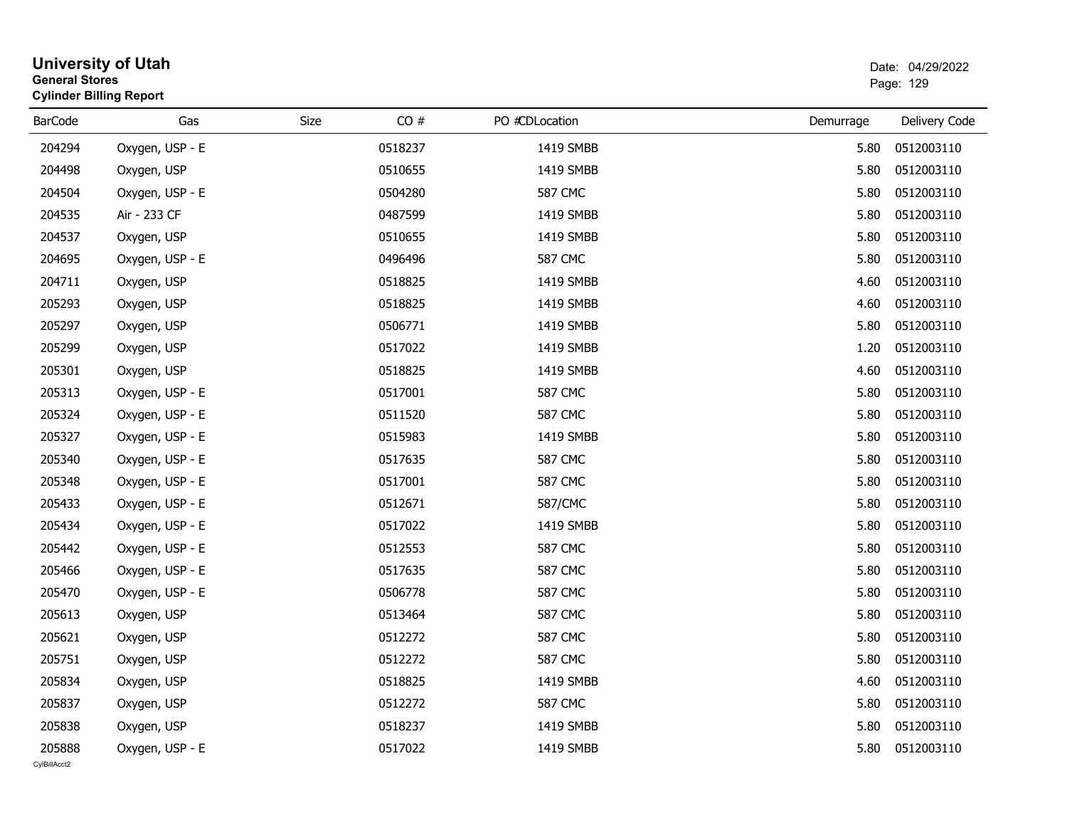|                        | <b>University of Utah</b><br><b>General Stores</b><br><b>Cylinder Billing Report</b> |      |         |                |           | Date: 04/29/2022<br>Page: 129 |  |  |
|------------------------|--------------------------------------------------------------------------------------|------|---------|----------------|-----------|-------------------------------|--|--|
| <b>BarCode</b>         | Gas                                                                                  | Size | CO#     | PO #CDLocation | Demurrage | Delivery Code                 |  |  |
| 204294                 | Oxygen, USP - E                                                                      |      | 0518237 | 1419 SMBB      | 5.80      | 0512003110                    |  |  |
| 204498                 | Oxygen, USP                                                                          |      | 0510655 | 1419 SMBB      | 5.80      | 0512003110                    |  |  |
| 204504                 | Oxygen, USP - E                                                                      |      | 0504280 | <b>587 CMC</b> | 5.80      | 0512003110                    |  |  |
| 204535                 | Air - 233 CF                                                                         |      | 0487599 | 1419 SMBB      | 5.80      | 0512003110                    |  |  |
| 204537                 | Oxygen, USP                                                                          |      | 0510655 | 1419 SMBB      | 5.80      | 0512003110                    |  |  |
| 204695                 | Oxygen, USP - E                                                                      |      | 0496496 | 587 CMC        | 5.80      | 0512003110                    |  |  |
| 204711                 | Oxygen, USP                                                                          |      | 0518825 | 1419 SMBB      | 4.60      | 0512003110                    |  |  |
| 205293                 | Oxygen, USP                                                                          |      | 0518825 | 1419 SMBB      | 4.60      | 0512003110                    |  |  |
| 205297                 | Oxygen, USP                                                                          |      | 0506771 | 1419 SMBB      | 5.80      | 0512003110                    |  |  |
| 205299                 | Oxygen, USP                                                                          |      | 0517022 | 1419 SMBB      | 1.20      | 0512003110                    |  |  |
| 205301                 | Oxygen, USP                                                                          |      | 0518825 | 1419 SMBB      | 4.60      | 0512003110                    |  |  |
| 205313                 | Oxygen, USP - E                                                                      |      | 0517001 | <b>587 CMC</b> | 5.80      | 0512003110                    |  |  |
| 205324                 | Oxygen, USP - E                                                                      |      | 0511520 | 587 CMC        | 5.80      | 0512003110                    |  |  |
| 205327                 | Oxygen, USP - E                                                                      |      | 0515983 | 1419 SMBB      | 5.80      | 0512003110                    |  |  |
| 205340                 | Oxygen, USP - E                                                                      |      | 0517635 | <b>587 CMC</b> | 5.80      | 0512003110                    |  |  |
| 205348                 | Oxygen, USP - E                                                                      |      | 0517001 | 587 CMC        | 5.80      | 0512003110                    |  |  |
| 205433                 | Oxygen, USP - E                                                                      |      | 0512671 | 587/CMC        | 5.80      | 0512003110                    |  |  |
| 205434                 | Oxygen, USP - E                                                                      |      | 0517022 | 1419 SMBB      | 5.80      | 0512003110                    |  |  |
| 205442                 | Oxygen, USP - E                                                                      |      | 0512553 | 587 CMC        | 5.80      | 0512003110                    |  |  |
| 205466                 | Oxygen, USP - E                                                                      |      | 0517635 | <b>587 CMC</b> | 5.80      | 0512003110                    |  |  |
| 205470                 | Oxygen, USP - E                                                                      |      | 0506778 | <b>587 CMC</b> | 5.80      | 0512003110                    |  |  |
| 205613                 | Oxygen, USP                                                                          |      | 0513464 | 587 CMC        | 5.80      | 0512003110                    |  |  |
| 205621                 | Oxygen, USP                                                                          |      | 0512272 | 587 CMC        | 5.80      | 0512003110                    |  |  |
| 205751                 | Oxygen, USP                                                                          |      | 0512272 | <b>587 CMC</b> | 5.80      | 0512003110                    |  |  |
| 205834                 | Oxygen, USP                                                                          |      | 0518825 | 1419 SMBB      | 4.60      | 0512003110                    |  |  |
| 205837                 | Oxygen, USP                                                                          |      | 0512272 | 587 CMC        | 5.80      | 0512003110                    |  |  |
| 205838                 | Oxygen, USP                                                                          |      | 0518237 | 1419 SMBB      | 5.80      | 0512003110                    |  |  |
| 205888<br>CylBillAcct2 | Oxygen, USP - E                                                                      |      | 0517022 | 1419 SMBB      | 5.80      | 0512003110                    |  |  |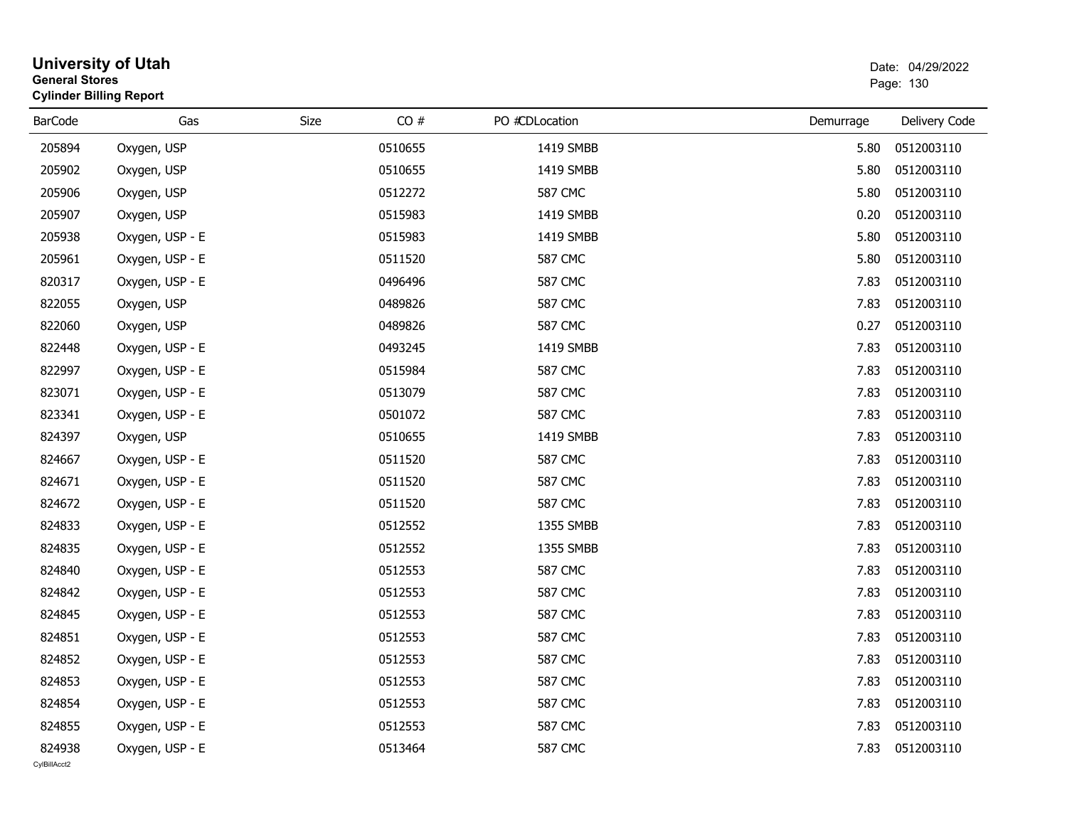| <b>General Stores</b>  | <b>University of Utah</b><br><b>Cylinder Billing Report</b> |      |         |                |           | Date: 04/29/2022<br>Page: 130 |
|------------------------|-------------------------------------------------------------|------|---------|----------------|-----------|-------------------------------|
| <b>BarCode</b>         | Gas                                                         | Size | CO#     | PO #CDLocation | Demurrage | Delivery Code                 |
| 205894                 | Oxygen, USP                                                 |      | 0510655 | 1419 SMBB      | 5.80      | 0512003110                    |
| 205902                 | Oxygen, USP                                                 |      | 0510655 | 1419 SMBB      | 5.80      | 0512003110                    |
| 205906                 | Oxygen, USP                                                 |      | 0512272 | <b>587 CMC</b> | 5.80      | 0512003110                    |
| 205907                 | Oxygen, USP                                                 |      | 0515983 | 1419 SMBB      | 0.20      | 0512003110                    |
| 205938                 | Oxygen, USP - E                                             |      | 0515983 | 1419 SMBB      | 5.80      | 0512003110                    |
| 205961                 | Oxygen, USP - E                                             |      | 0511520 | <b>587 CMC</b> | 5.80      | 0512003110                    |
| 820317                 | Oxygen, USP - E                                             |      | 0496496 | <b>587 CMC</b> | 7.83      | 0512003110                    |
| 822055                 | Oxygen, USP                                                 |      | 0489826 | <b>587 CMC</b> | 7.83      | 0512003110                    |
| 822060                 | Oxygen, USP                                                 |      | 0489826 | <b>587 CMC</b> | 0.27      | 0512003110                    |
| 822448                 | Oxygen, USP - E                                             |      | 0493245 | 1419 SMBB      | 7.83      | 0512003110                    |
| 822997                 | Oxygen, USP - E                                             |      | 0515984 | <b>587 CMC</b> | 7.83      | 0512003110                    |
| 823071                 | Oxygen, USP - E                                             |      | 0513079 | <b>587 CMC</b> | 7.83      | 0512003110                    |
| 823341                 | Oxygen, USP - E                                             |      | 0501072 | <b>587 CMC</b> | 7.83      | 0512003110                    |
| 824397                 | Oxygen, USP                                                 |      | 0510655 | 1419 SMBB      | 7.83      | 0512003110                    |
| 824667                 | Oxygen, USP - E                                             |      | 0511520 | <b>587 CMC</b> | 7.83      | 0512003110                    |
| 824671                 | Oxygen, USP - E                                             |      | 0511520 | <b>587 CMC</b> | 7.83      | 0512003110                    |
| 824672                 | Oxygen, USP - E                                             |      | 0511520 | <b>587 CMC</b> | 7.83      | 0512003110                    |
| 824833                 | Oxygen, USP - E                                             |      | 0512552 | 1355 SMBB      | 7.83      | 0512003110                    |
| 824835                 | Oxygen, USP - E                                             |      | 0512552 | 1355 SMBB      | 7.83      | 0512003110                    |
| 824840                 | Oxygen, USP - E                                             |      | 0512553 | <b>587 CMC</b> | 7.83      | 0512003110                    |
| 824842                 | Oxygen, USP - E                                             |      | 0512553 | <b>587 CMC</b> | 7.83      | 0512003110                    |
| 824845                 | Oxygen, USP - E                                             |      | 0512553 | <b>587 CMC</b> | 7.83      | 0512003110                    |
| 824851                 | Oxygen, USP - E                                             |      | 0512553 | <b>587 CMC</b> | 7.83      | 0512003110                    |
| 824852                 | Oxygen, USP - E                                             |      | 0512553 | <b>587 CMC</b> | 7.83      | 0512003110                    |
| 824853                 | Oxygen, USP - E                                             |      | 0512553 | <b>587 CMC</b> | 7.83      | 0512003110                    |
| 824854                 | Oxygen, USP - E                                             |      | 0512553 | <b>587 CMC</b> | 7.83      | 0512003110                    |
| 824855                 | Oxygen, USP - E                                             |      | 0512553 | <b>587 CMC</b> | 7.83      | 0512003110                    |
| 824938<br>CvIBillAcct2 | Oxygen, USP - E                                             |      | 0513464 | 587 CMC        | 7.83      | 0512003110                    |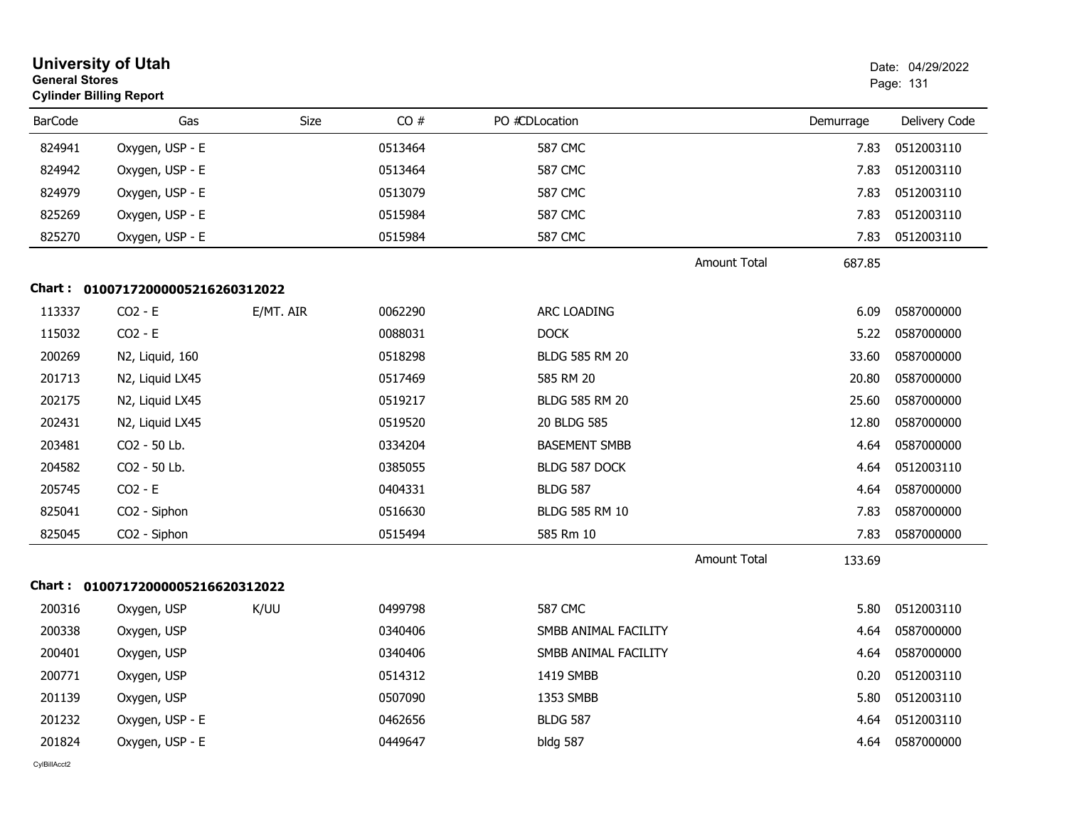|                | <b>University of Utah</b><br><b>General Stores</b><br><b>Cylinder Billing Report</b> |           |         |                       | Date: 04/29/2022<br>Page: 131 |           |                 |
|----------------|--------------------------------------------------------------------------------------|-----------|---------|-----------------------|-------------------------------|-----------|-----------------|
| <b>BarCode</b> | Gas                                                                                  | Size      | CO#     | PO #CDLocation        |                               | Demurrage | Delivery Code   |
| 824941         | Oxygen, USP - E                                                                      |           | 0513464 | <b>587 CMC</b>        |                               | 7.83      | 0512003110      |
| 824942         | Oxygen, USP - E                                                                      |           | 0513464 | 587 CMC               |                               | 7.83      | 0512003110      |
| 824979         | Oxygen, USP - E                                                                      |           | 0513079 | <b>587 CMC</b>        |                               | 7.83      | 0512003110      |
| 825269         | Oxygen, USP - E                                                                      |           | 0515984 | 587 CMC               |                               | 7.83      | 0512003110      |
| 825270         | Oxygen, USP - E                                                                      |           | 0515984 | <b>587 CMC</b>        |                               | 7.83      | 0512003110      |
|                |                                                                                      |           |         |                       | <b>Amount Total</b>           | 687.85    |                 |
|                | Chart: 01007172000005216260312022                                                    |           |         |                       |                               |           |                 |
| 113337         | $CO2 - E$                                                                            | E/MT. AIR | 0062290 | ARC LOADING           |                               | 6.09      | 0587000000      |
| 115032         | $CO2 - E$                                                                            |           | 0088031 | <b>DOCK</b>           |                               | 5.22      | 0587000000      |
| 200269         | N2, Liquid, 160                                                                      |           | 0518298 | <b>BLDG 585 RM 20</b> |                               | 33.60     | 0587000000      |
| 201713         | N2, Liquid LX45                                                                      |           | 0517469 | 585 RM 20             |                               | 20.80     | 0587000000      |
| 202175         | N2, Liquid LX45                                                                      |           | 0519217 | <b>BLDG 585 RM 20</b> |                               | 25.60     | 0587000000      |
| 202431         | N2, Liquid LX45                                                                      |           | 0519520 | 20 BLDG 585           |                               | 12.80     | 0587000000      |
| 203481         | CO2 - 50 Lb.                                                                         |           | 0334204 | <b>BASEMENT SMBB</b>  |                               | 4.64      | 0587000000      |
| 204582         | CO2 - 50 Lb.                                                                         |           | 0385055 | BLDG 587 DOCK         |                               | 4.64      | 0512003110      |
| 205745         | $CO2 - E$                                                                            |           | 0404331 | <b>BLDG 587</b>       |                               | 4.64      | 0587000000      |
| 825041         | CO2 - Siphon                                                                         |           | 0516630 | <b>BLDG 585 RM 10</b> |                               | 7.83      | 0587000000      |
| 825045         | CO <sub>2</sub> - Siphon                                                             |           | 0515494 | 585 Rm 10             |                               | 7.83      | 0587000000      |
|                |                                                                                      |           |         |                       | <b>Amount Total</b>           | 133.69    |                 |
|                | Chart: 01007172000005216620312022                                                    |           |         |                       |                               |           |                 |
| 200316         | Oxygen, USP                                                                          | K/UU      | 0499798 | <b>587 CMC</b>        |                               | 5.80      | 0512003110      |
| 200338         | Oxygen, USP                                                                          |           | 0340406 | SMBB ANIMAL FACILITY  |                               | 4.64      | 0587000000      |
| 200401         | Oxygen, USP                                                                          |           | 0340406 | SMBB ANIMAL FACILITY  |                               |           | 4.64 0587000000 |
| 200771         | Oxygen, USP                                                                          |           | 0514312 | 1419 SMBB             |                               | 0.20      | 0512003110      |
| 201139         | Oxygen, USP                                                                          |           | 0507090 | 1353 SMBB             |                               | 5.80      | 0512003110      |
| 201232         | Oxygen, USP - E                                                                      |           | 0462656 | <b>BLDG 587</b>       |                               | 4.64      | 0512003110      |
| 201824         | Oxygen, USP - E                                                                      |           | 0449647 | <b>bldg 587</b>       |                               | 4.64      | 0587000000      |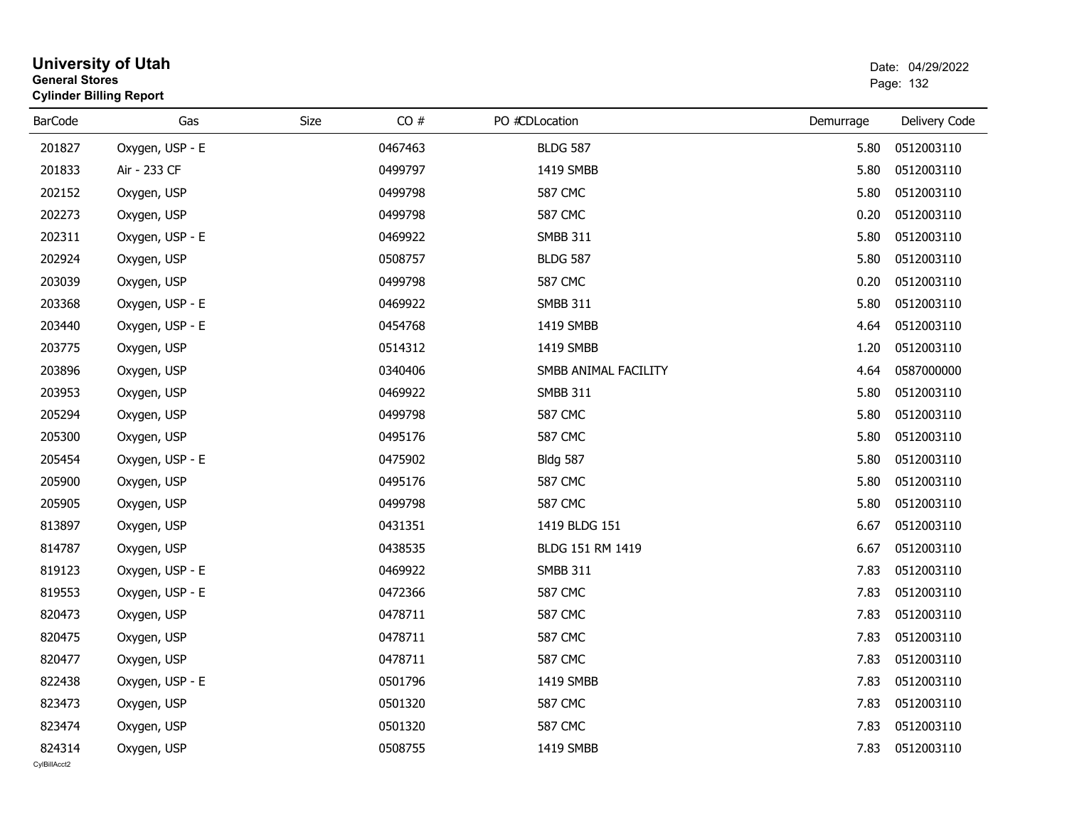| <b>General Stores</b>  | <b>University of Utah</b><br><b>Cylinder Billing Report</b> |      |         |                      |           | Date: 04/29/2022<br>Page: 132 |
|------------------------|-------------------------------------------------------------|------|---------|----------------------|-----------|-------------------------------|
| <b>BarCode</b>         | Gas                                                         | Size | CO#     | PO #CDLocation       | Demurrage | Delivery Code                 |
| 201827                 | Oxygen, USP - E                                             |      | 0467463 | <b>BLDG 587</b>      | 5.80      | 0512003110                    |
| 201833                 | Air - 233 CF                                                |      | 0499797 | 1419 SMBB            | 5.80      | 0512003110                    |
| 202152                 | Oxygen, USP                                                 |      | 0499798 | 587 CMC              | 5.80      | 0512003110                    |
| 202273                 | Oxygen, USP                                                 |      | 0499798 | <b>587 CMC</b>       | 0.20      | 0512003110                    |
| 202311                 | Oxygen, USP - E                                             |      | 0469922 | <b>SMBB 311</b>      | 5.80      | 0512003110                    |
| 202924                 | Oxygen, USP                                                 |      | 0508757 | <b>BLDG 587</b>      | 5.80      | 0512003110                    |
| 203039                 | Oxygen, USP                                                 |      | 0499798 | 587 CMC              | 0.20      | 0512003110                    |
| 203368                 | Oxygen, USP - E                                             |      | 0469922 | <b>SMBB 311</b>      | 5.80      | 0512003110                    |
| 203440                 | Oxygen, USP - E                                             |      | 0454768 | 1419 SMBB            | 4.64      | 0512003110                    |
| 203775                 | Oxygen, USP                                                 |      | 0514312 | 1419 SMBB            | 1.20      | 0512003110                    |
| 203896                 | Oxygen, USP                                                 |      | 0340406 | SMBB ANIMAL FACILITY | 4.64      | 0587000000                    |
| 203953                 | Oxygen, USP                                                 |      | 0469922 | <b>SMBB 311</b>      | 5.80      | 0512003110                    |
| 205294                 | Oxygen, USP                                                 |      | 0499798 | 587 CMC              | 5.80      | 0512003110                    |
| 205300                 | Oxygen, USP                                                 |      | 0495176 | <b>587 CMC</b>       | 5.80      | 0512003110                    |
| 205454                 | Oxygen, USP - E                                             |      | 0475902 | <b>Bldg 587</b>      | 5.80      | 0512003110                    |
| 205900                 | Oxygen, USP                                                 |      | 0495176 | 587 CMC              | 5.80      | 0512003110                    |
| 205905                 | Oxygen, USP                                                 |      | 0499798 | <b>587 CMC</b>       | 5.80      | 0512003110                    |
| 813897                 | Oxygen, USP                                                 |      | 0431351 | 1419 BLDG 151        | 6.67      | 0512003110                    |
| 814787                 | Oxygen, USP                                                 |      | 0438535 | BLDG 151 RM 1419     | 6.67      | 0512003110                    |
| 819123                 | Oxygen, USP - E                                             |      | 0469922 | <b>SMBB 311</b>      | 7.83      | 0512003110                    |
| 819553                 | Oxygen, USP - E                                             |      | 0472366 | <b>587 CMC</b>       | 7.83      | 0512003110                    |
| 820473                 | Oxygen, USP                                                 |      | 0478711 | <b>587 CMC</b>       | 7.83      | 0512003110                    |
| 820475                 | Oxygen, USP                                                 |      | 0478711 | <b>587 CMC</b>       | 7.83      | 0512003110                    |
| 820477                 | Oxygen, USP                                                 |      | 0478711 | <b>587 CMC</b>       |           | 7.83 0512003110               |
| 822438                 | Oxygen, USP - E                                             |      | 0501796 | 1419 SMBB            | 7.83      | 0512003110                    |
| 823473                 | Oxygen, USP                                                 |      | 0501320 | <b>587 CMC</b>       | 7.83      | 0512003110                    |
| 823474                 | Oxygen, USP                                                 |      | 0501320 | 587 CMC              | 7.83      | 0512003110                    |
| 824314<br>CvIBillAcct2 | Oxygen, USP                                                 |      | 0508755 | 1419 SMBB            | 7.83      | 0512003110                    |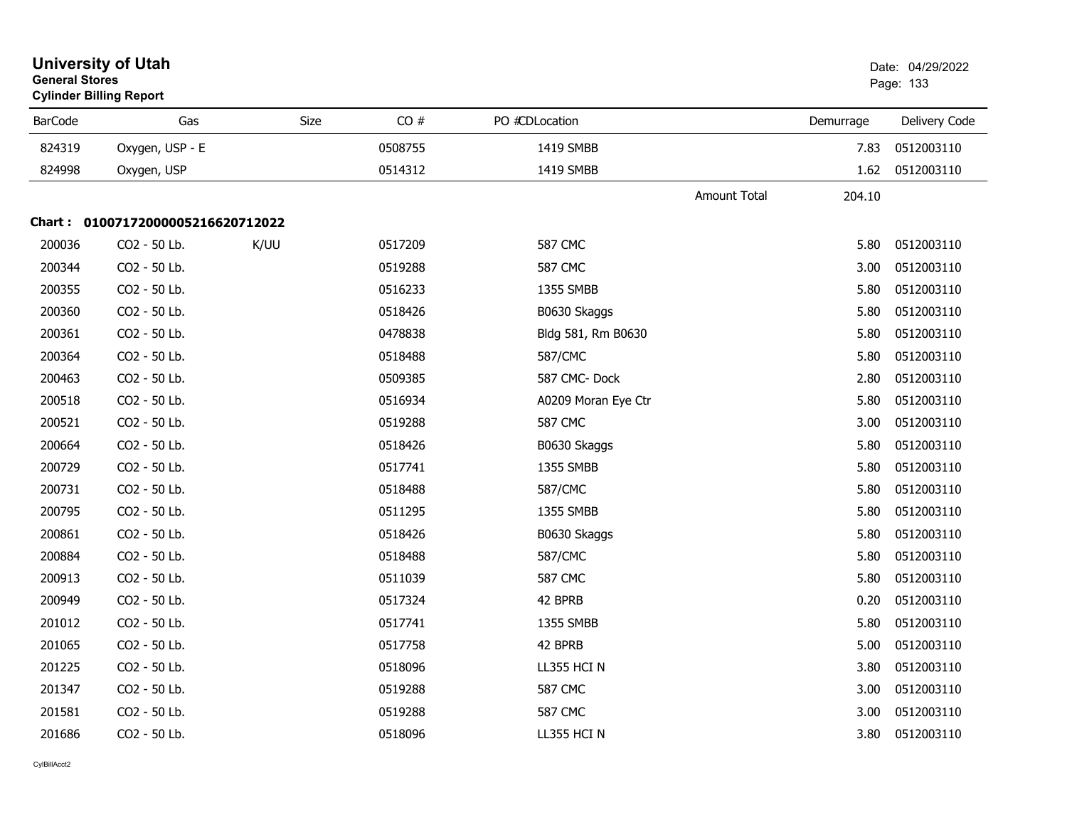| <b>General Stores</b> | <b>University of Utah</b><br><b>Cylinder Billing Report</b> |             |         |                     |                     |           | Date: 04/29/2022<br>Page: 133 |
|-----------------------|-------------------------------------------------------------|-------------|---------|---------------------|---------------------|-----------|-------------------------------|
| <b>BarCode</b>        | Gas                                                         | <b>Size</b> | CO#     | PO #CDLocation      |                     | Demurrage | Delivery Code                 |
| 824319                | Oxygen, USP - E                                             |             | 0508755 | 1419 SMBB           |                     | 7.83      | 0512003110                    |
| 824998                | Oxygen, USP                                                 |             | 0514312 | 1419 SMBB           |                     | 1.62      | 0512003110                    |
|                       |                                                             |             |         |                     | <b>Amount Total</b> | 204.10    |                               |
|                       | Chart: 01007172000005216620712022                           |             |         |                     |                     |           |                               |
| 200036                | CO2 - 50 Lb.                                                | K/UU        | 0517209 | <b>587 CMC</b>      |                     | 5.80      | 0512003110                    |
| 200344                | CO2 - 50 Lb.                                                |             | 0519288 | <b>587 CMC</b>      |                     | 3.00      | 0512003110                    |
| 200355                | CO2 - 50 Lb.                                                |             | 0516233 | 1355 SMBB           |                     | 5.80      | 0512003110                    |
| 200360                | CO2 - 50 Lb.                                                |             | 0518426 | B0630 Skaggs        |                     | 5.80      | 0512003110                    |
| 200361                | CO2 - 50 Lb.                                                |             | 0478838 | Bldg 581, Rm B0630  |                     | 5.80      | 0512003110                    |
| 200364                | CO2 - 50 Lb.                                                |             | 0518488 | 587/CMC             |                     | 5.80      | 0512003110                    |
| 200463                | CO2 - 50 Lb.                                                |             | 0509385 | 587 CMC-Dock        |                     | 2.80      | 0512003110                    |
| 200518                | CO2 - 50 Lb.                                                |             | 0516934 | A0209 Moran Eye Ctr |                     | 5.80      | 0512003110                    |
| 200521                | CO2 - 50 Lb.                                                |             | 0519288 | <b>587 CMC</b>      |                     | 3.00      | 0512003110                    |
| 200664                | CO2 - 50 Lb.                                                |             | 0518426 | B0630 Skaggs        |                     | 5.80      | 0512003110                    |
| 200729                | CO2 - 50 Lb.                                                |             | 0517741 | 1355 SMBB           |                     | 5.80      | 0512003110                    |
| 200731                | CO2 - 50 Lb.                                                |             | 0518488 | 587/CMC             |                     | 5.80      | 0512003110                    |
| 200795                | CO2 - 50 Lb.                                                |             | 0511295 | 1355 SMBB           |                     | 5.80      | 0512003110                    |
| 200861                | CO2 - 50 Lb.                                                |             | 0518426 | B0630 Skaggs        |                     | 5.80      | 0512003110                    |
| 200884                | CO2 - 50 Lb.                                                |             | 0518488 | 587/CMC             |                     | 5.80      | 0512003110                    |
| 200913                | CO2 - 50 Lb.                                                |             | 0511039 | <b>587 CMC</b>      |                     | 5.80      | 0512003110                    |
| 200949                | CO2 - 50 Lb.                                                |             | 0517324 | 42 BPRB             |                     | 0.20      | 0512003110                    |
| 201012                | CO2 - 50 Lb.                                                |             | 0517741 | 1355 SMBB           |                     | 5.80      | 0512003110                    |
| 201065                | CO2 - 50 Lb.                                                |             | 0517758 | 42 BPRB             |                     | 5.00      | 0512003110                    |
| 201225                | CO2 - 50 Lb.                                                |             | 0518096 | LL355 HCI N         |                     | 3.80      | 0512003110                    |
| 201347                | CO2 - 50 Lb.                                                |             | 0519288 | <b>587 CMC</b>      |                     | 3.00      | 0512003110                    |
| 201581                | CO2 - 50 Lb.                                                |             | 0519288 | <b>587 CMC</b>      |                     | 3.00      | 0512003110                    |
| 201686                | CO2 - 50 Lb.                                                |             | 0518096 | LL355 HCI N         |                     | 3.80      | 0512003110                    |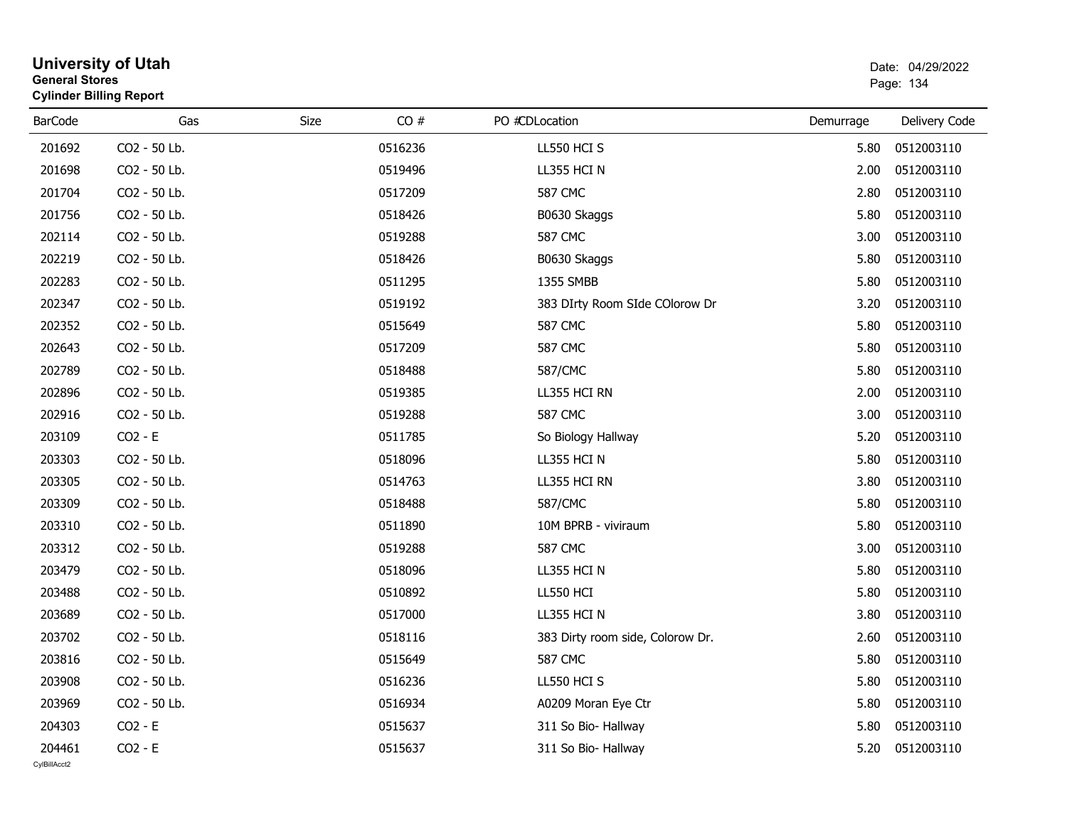| General Stores<br><b>Cylinder Billing Report</b> |              |      |         |                                  |           | Page: 134     |
|--------------------------------------------------|--------------|------|---------|----------------------------------|-----------|---------------|
| <b>BarCode</b>                                   | Gas          | Size | CO#     | PO #CDLocation                   | Demurrage | Delivery Code |
| 201692                                           | CO2 - 50 Lb. |      | 0516236 | LL550 HCI S                      | 5.80      | 0512003110    |
| 201698                                           | CO2 - 50 Lb. |      | 0519496 | LL355 HCI N                      | 2.00      | 0512003110    |
| 201704                                           | CO2 - 50 Lb. |      | 0517209 | <b>587 CMC</b>                   | 2.80      | 0512003110    |
| 201756                                           | CO2 - 50 Lb. |      | 0518426 | B0630 Skaggs                     | 5.80      | 0512003110    |
| 202114                                           | CO2 - 50 Lb. |      | 0519288 | <b>587 CMC</b>                   | 3.00      | 0512003110    |
| 202219                                           | CO2 - 50 Lb. |      | 0518426 | B0630 Skaggs                     | 5.80      | 0512003110    |
| 202283                                           | CO2 - 50 Lb. |      | 0511295 | 1355 SMBB                        | 5.80      | 0512003110    |
| 202347                                           | CO2 - 50 Lb. |      | 0519192 | 383 DIrty Room SIde COlorow Dr   | 3.20      | 0512003110    |
| 202352                                           | CO2 - 50 Lb. |      | 0515649 | <b>587 CMC</b>                   | 5.80      | 0512003110    |
| 202643                                           | CO2 - 50 Lb. |      | 0517209 | <b>587 CMC</b>                   | 5.80      | 0512003110    |
| 202789                                           | CO2 - 50 Lb. |      | 0518488 | 587/CMC                          | 5.80      | 0512003110    |
| 202896                                           | CO2 - 50 Lb. |      | 0519385 | LL355 HCI RN                     | 2.00      | 0512003110    |
| 202916                                           | CO2 - 50 Lb. |      | 0519288 | <b>587 CMC</b>                   | 3.00      | 0512003110    |
| 203109                                           | $CO2 - E$    |      | 0511785 | So Biology Hallway               | 5.20      | 0512003110    |
| 203303                                           | CO2 - 50 Lb. |      | 0518096 | LL355 HCI N                      | 5.80      | 0512003110    |
| 203305                                           | CO2 - 50 Lb. |      | 0514763 | LL355 HCI RN                     | 3.80      | 0512003110    |
| 203309                                           | CO2 - 50 Lb. |      | 0518488 | 587/CMC                          | 5.80      | 0512003110    |
| 203310                                           | CO2 - 50 Lb. |      | 0511890 | 10M BPRB - viviraum              | 5.80      | 0512003110    |
| 203312                                           | CO2 - 50 Lb. |      | 0519288 | <b>587 CMC</b>                   | 3.00      | 0512003110    |
| 203479                                           | CO2 - 50 Lb. |      | 0518096 | LL355 HCI N                      | 5.80      | 0512003110    |
| 203488                                           | CO2 - 50 Lb. |      | 0510892 | <b>LL550 HCI</b>                 | 5.80      | 0512003110    |
| 203689                                           | CO2 - 50 Lb. |      | 0517000 | LL355 HCI N                      | 3.80      | 0512003110    |
| 203702                                           | CO2 - 50 Lb. |      | 0518116 | 383 Dirty room side, Colorow Dr. | 2.60      | 0512003110    |
| 203816                                           | CO2 - 50 Lb. |      | 0515649 | <b>587 CMC</b>                   | 5.80      | 0512003110    |
| 203908                                           | CO2 - 50 Lb. |      | 0516236 | LL550 HCI S                      | 5.80      | 0512003110    |
| 203969                                           | CO2 - 50 Lb. |      | 0516934 | A0209 Moran Eye Ctr              | 5.80      | 0512003110    |
| 204303                                           | $CO2 - E$    |      | 0515637 | 311 So Bio- Hallway              | 5.80      | 0512003110    |
| 204461                                           | $CO2 - E$    |      | 0515637 | 311 So Bio- Hallway              | 5.20      | 0512003110    |
|                                                  |              |      |         |                                  |           |               |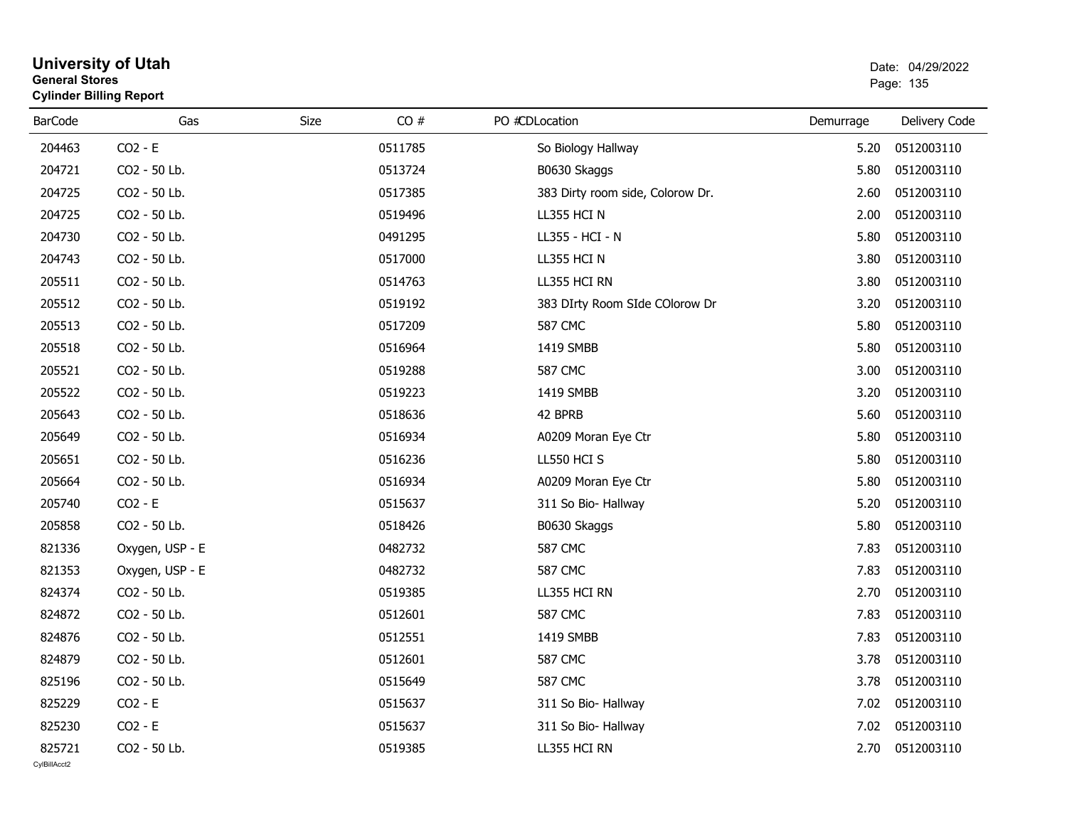| General Stores | <b>Cylinder Billing Report</b> |             |         |                                  |           | Page: 135     |
|----------------|--------------------------------|-------------|---------|----------------------------------|-----------|---------------|
| <b>BarCode</b> | Gas                            | <b>Size</b> | CO#     | PO #CDLocation                   | Demurrage | Delivery Code |
| 204463         | $CO2 - E$                      |             | 0511785 | So Biology Hallway               | 5.20      | 0512003110    |
| 204721         | CO2 - 50 Lb.                   |             | 0513724 | B0630 Skaggs                     | 5.80      | 0512003110    |
| 204725         | CO2 - 50 Lb.                   |             | 0517385 | 383 Dirty room side, Colorow Dr. | 2.60      | 0512003110    |
| 204725         | CO2 - 50 Lb.                   |             | 0519496 | LL355 HCI N                      | 2.00      | 0512003110    |
| 204730         | CO2 - 50 Lb.                   |             | 0491295 | LL355 - HCI - N                  | 5.80      | 0512003110    |
| 204743         | CO2 - 50 Lb.                   |             | 0517000 | LL355 HCI N                      | 3.80      | 0512003110    |
| 205511         | CO2 - 50 Lb.                   |             | 0514763 | LL355 HCI RN                     | 3.80      | 0512003110    |
| 205512         | CO2 - 50 Lb.                   |             | 0519192 | 383 DIrty Room SIde COlorow Dr   | 3.20      | 0512003110    |
| 205513         | CO2 - 50 Lb.                   |             | 0517209 | <b>587 CMC</b>                   | 5.80      | 0512003110    |
| 205518         | CO2 - 50 Lb.                   |             | 0516964 | 1419 SMBB                        | 5.80      | 0512003110    |
| 205521         | CO2 - 50 Lb.                   |             | 0519288 | <b>587 CMC</b>                   | 3.00      | 0512003110    |
| 205522         | CO2 - 50 Lb.                   |             | 0519223 | 1419 SMBB                        | 3.20      | 0512003110    |
| 205643         | CO2 - 50 Lb.                   |             | 0518636 | 42 BPRB                          | 5.60      | 0512003110    |
| 205649         | CO2 - 50 Lb.                   |             | 0516934 | A0209 Moran Eye Ctr              | 5.80      | 0512003110    |
| 205651         | CO2 - 50 Lb.                   |             | 0516236 | LL550 HCI S                      | 5.80      | 0512003110    |
| 205664         | CO2 - 50 Lb.                   |             | 0516934 | A0209 Moran Eye Ctr              | 5.80      | 0512003110    |
| 205740         | $CO2 - E$                      |             | 0515637 | 311 So Bio- Hallway              | 5.20      | 0512003110    |
| 205858         | CO2 - 50 Lb.                   |             | 0518426 | B0630 Skaggs                     | 5.80      | 0512003110    |
| 821336         | Oxygen, USP - E                |             | 0482732 | <b>587 CMC</b>                   | 7.83      | 0512003110    |
| 821353         | Oxygen, USP - E                |             | 0482732 | <b>587 CMC</b>                   | 7.83      | 0512003110    |
| 824374         | CO2 - 50 Lb.                   |             | 0519385 | LL355 HCI RN                     | 2.70      | 0512003110    |
| 824872         | CO2 - 50 Lb.                   |             | 0512601 | <b>587 CMC</b>                   | 7.83      | 0512003110    |
| 824876         | CO2 - 50 Lb.                   |             | 0512551 | 1419 SMBB                        | 7.83      | 0512003110    |
| 824879         | CO2 - 50 Lb.                   |             | 0512601 | <b>587 CMC</b>                   | 3.78      | 0512003110    |
| 825196         | CO2 - 50 Lb.                   |             | 0515649 | <b>587 CMC</b>                   | 3.78      | 0512003110    |
| 825229         | $CO2 - E$                      |             | 0515637 | 311 So Bio- Hallway              | 7.02      | 0512003110    |
| 825230         | $CO2 - E$                      |             | 0515637 | 311 So Bio- Hallway              | 7.02      | 0512003110    |
| 825721         | CO2 - 50 Lb.                   |             | 0519385 | LL355 HCI RN                     | 2.70      | 0512003110    |

# **General Stores**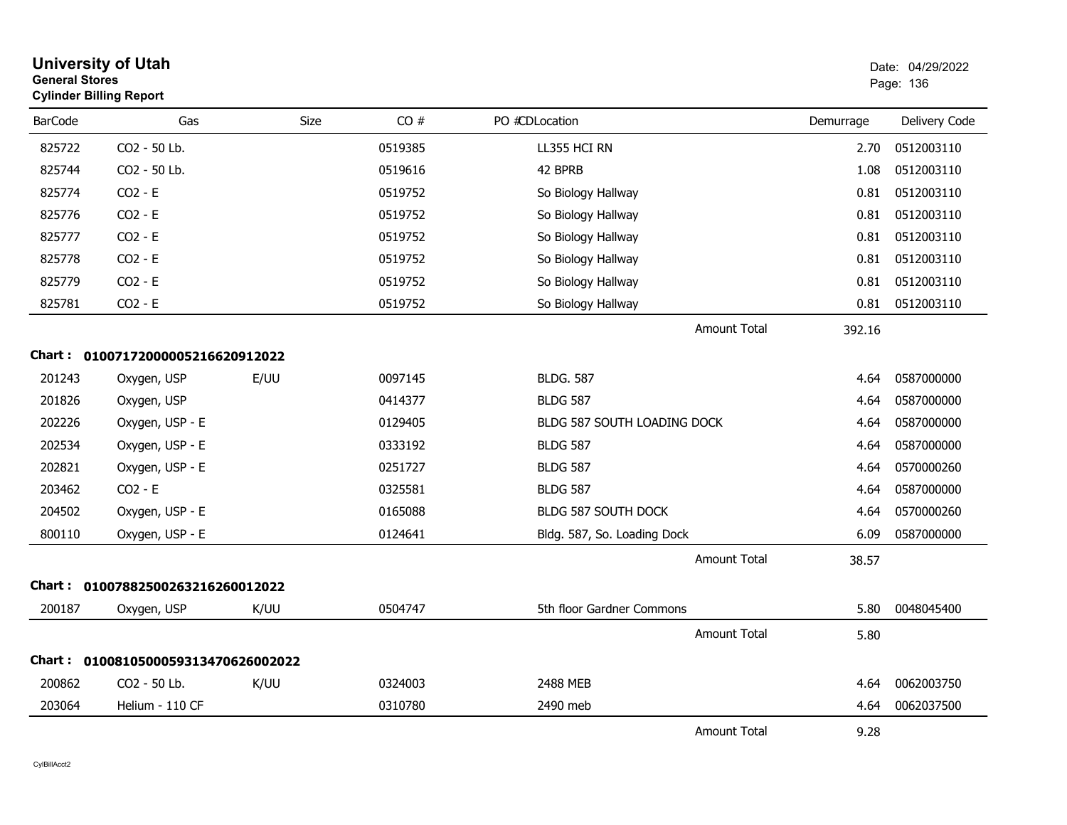| <b>General Stores</b> | <b>University of Utah</b><br><b>Cylinder Billing Report</b> |             |         |                                    |           | Date: 04/29/2022<br>Page: 136 |
|-----------------------|-------------------------------------------------------------|-------------|---------|------------------------------------|-----------|-------------------------------|
| <b>BarCode</b>        | Gas                                                         | <b>Size</b> | CO#     | PO #CDLocation                     | Demurrage | Delivery Code                 |
| 825722                | CO2 - 50 Lb.                                                |             | 0519385 | LL355 HCI RN                       | 2.70      | 0512003110                    |
| 825744                | CO2 - 50 Lb.                                                |             | 0519616 | 42 BPRB                            | 1.08      | 0512003110                    |
| 825774                | $CO2 - E$                                                   |             | 0519752 | So Biology Hallway                 | 0.81      | 0512003110                    |
| 825776                | $CO2 - E$                                                   |             | 0519752 | So Biology Hallway                 | 0.81      | 0512003110                    |
| 825777                | $CO2 - E$                                                   |             | 0519752 | So Biology Hallway                 | 0.81      | 0512003110                    |
| 825778                | $CO2 - E$                                                   |             | 0519752 | So Biology Hallway                 | 0.81      | 0512003110                    |
| 825779                | $CO2 - E$                                                   |             | 0519752 | So Biology Hallway                 | 0.81      | 0512003110                    |
| 825781                | $CO2 - E$                                                   |             | 0519752 | So Biology Hallway                 | 0.81      | 0512003110                    |
|                       |                                                             |             |         | <b>Amount Total</b>                | 392.16    |                               |
|                       | Chart: 01007172000005216620912022                           |             |         |                                    |           |                               |
| 201243                | Oxygen, USP                                                 | E/UU        | 0097145 | <b>BLDG, 587</b>                   | 4.64      | 0587000000                    |
| 201826                | Oxygen, USP                                                 |             | 0414377 | <b>BLDG 587</b>                    | 4.64      | 0587000000                    |
| 202226                | Oxygen, USP - E                                             |             | 0129405 | <b>BLDG 587 SOUTH LOADING DOCK</b> | 4.64      | 0587000000                    |
| 202534                | Oxygen, USP - E                                             |             | 0333192 | <b>BLDG 587</b>                    | 4.64      | 0587000000                    |
| 202821                | Oxygen, USP - E                                             |             | 0251727 | <b>BLDG 587</b>                    | 4.64      | 0570000260                    |
| 203462                | $CO2 - E$                                                   |             | 0325581 | <b>BLDG 587</b>                    | 4.64      | 0587000000                    |
| 204502                | Oxygen, USP - E                                             |             | 0165088 | <b>BLDG 587 SOUTH DOCK</b>         | 4.64      | 0570000260                    |
| 800110                | Oxygen, USP - E                                             |             | 0124641 | Bldg. 587, So. Loading Dock        | 6.09      | 0587000000                    |
|                       |                                                             |             |         | <b>Amount Total</b>                | 38.57     |                               |
|                       | Chart: 01007882500263216260012022                           |             |         |                                    |           |                               |
| 200187                | Oxygen, USP                                                 | K/UU        | 0504747 | 5th floor Gardner Commons          | 5.80      | 0048045400                    |
|                       |                                                             |             |         | <b>Amount Total</b>                | 5.80      |                               |
|                       | Chart: 0100810500059313470626002022                         |             |         |                                    |           |                               |
| 200862                | CO2 - 50 Lb.                                                | K/UU        | 0324003 | 2488 MEB                           | 4.64      | 0062003750                    |
| 203064                | Helium - 110 CF                                             |             | 0310780 | 2490 meb                           | 4.64      | 0062037500                    |
|                       |                                                             |             |         | <b>Amount Total</b>                | 9.28      |                               |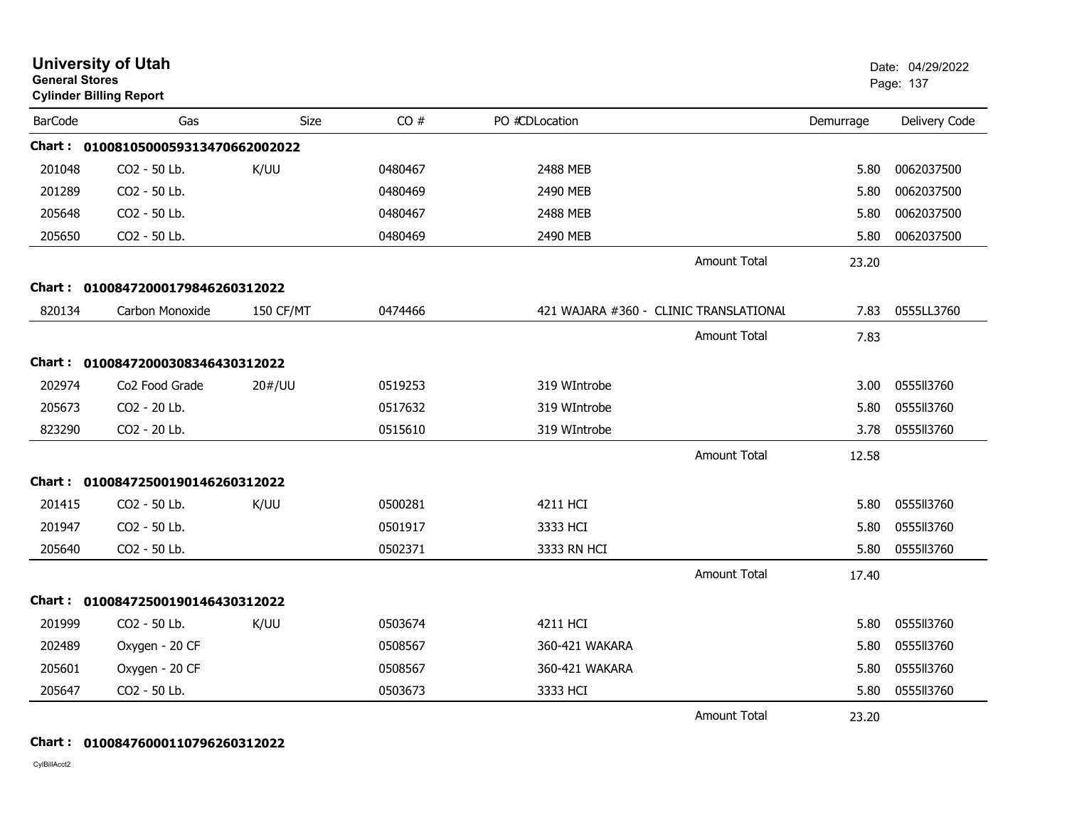| <b>General Stores</b> | <b>University of Utah</b><br><b>Cylinder Billing Report</b> |             |         |                                        |                     |           | Date: 04/29/2022<br>Page: 137 |
|-----------------------|-------------------------------------------------------------|-------------|---------|----------------------------------------|---------------------|-----------|-------------------------------|
| <b>BarCode</b>        | Gas                                                         | <b>Size</b> | CO#     | PO #CDLocation                         |                     | Demurrage | Delivery Code                 |
|                       | Chart: 0100810500059313470662002022                         |             |         |                                        |                     |           |                               |
| 201048                | CO <sub>2</sub> - 50 Lb.                                    | K/UU        | 0480467 | 2488 MEB                               |                     | 5.80      | 0062037500                    |
| 201289                | CO2 - 50 Lb.                                                |             | 0480469 | 2490 MEB                               |                     | 5.80      | 0062037500                    |
| 205648                | CO2 - 50 Lb.                                                |             | 0480467 | 2488 MEB                               |                     | 5.80      | 0062037500                    |
| 205650                | CO2 - 50 Lb.                                                |             | 0480469 | 2490 MEB                               |                     | 5.80      | 0062037500                    |
|                       |                                                             |             |         |                                        | <b>Amount Total</b> | 23.20     |                               |
|                       | Chart: 01008472000179846260312022                           |             |         |                                        |                     |           |                               |
| 820134                | Carbon Monoxide                                             | 150 CF/MT   | 0474466 | 421 WAJARA #360 - CLINIC TRANSLATIONAL |                     | 7.83      | 0555LL3760                    |
|                       |                                                             |             |         |                                        | <b>Amount Total</b> | 7.83      |                               |
| Chart :               | 01008472000308346430312022                                  |             |         |                                        |                     |           |                               |
| 202974                | Co <sub>2</sub> Food Grade                                  | 20#/UU      | 0519253 | 319 WIntrobe                           |                     | 3.00      | 0555113760                    |
| 205673                | CO2 - 20 Lb.                                                |             | 0517632 | 319 WIntrobe                           |                     | 5.80      | 0555113760                    |
| 823290                | CO2 - 20 Lb.                                                |             | 0515610 | 319 WIntrobe                           |                     | 3.78      | 0555113760                    |
|                       |                                                             |             |         |                                        | <b>Amount Total</b> | 12.58     |                               |
|                       | Chart: 01008472500190146260312022                           |             |         |                                        |                     |           |                               |
| 201415                | CO2 - 50 Lb.                                                | K/UU        | 0500281 | 4211 HCI                               |                     | 5.80      | 0555113760                    |
| 201947                | CO2 - 50 Lb.                                                |             | 0501917 | 3333 HCI                               |                     | 5.80      | 0555113760                    |
| 205640                | CO2 - 50 Lb.                                                |             | 0502371 | 3333 RN HCI                            |                     | 5.80      | 0555113760                    |
|                       |                                                             |             |         |                                        | <b>Amount Total</b> | 17.40     |                               |
|                       | Chart: 01008472500190146430312022                           |             |         |                                        |                     |           |                               |
| 201999                | CO2 - 50 Lb.                                                | K/UU        | 0503674 | 4211 HCI                               |                     | 5.80      | 0555113760                    |
| 202489                | Oxygen - 20 CF                                              |             | 0508567 | 360-421 WAKARA                         |                     | 5.80      | 0555113760                    |
| 205601                | Oxygen - 20 CF                                              |             | 0508567 | 360-421 WAKARA                         |                     | 5.80      | 0555113760                    |
| 205647                | CO2 - 50 Lb.                                                |             | 0503673 | 3333 HCI                               |                     | 5.80      | 0555113760                    |
|                       |                                                             |             |         |                                        | <b>Amount Total</b> | 23.20     |                               |

#### **Chart : 01008476000110796260312022**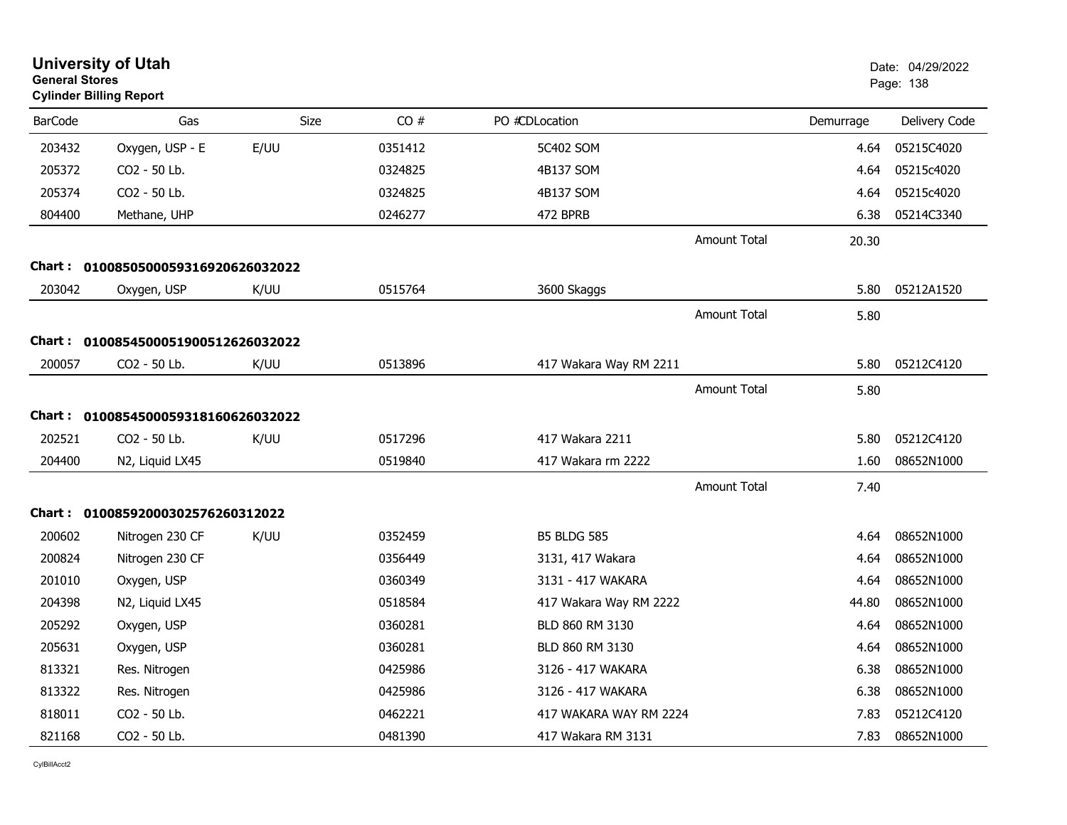| <b>General Stores</b> | <b>University of Utah</b><br><b>Cylinder Billing Report</b> |             |         |                        |                     |           | Date: 04/29/2022<br>Page: 138 |
|-----------------------|-------------------------------------------------------------|-------------|---------|------------------------|---------------------|-----------|-------------------------------|
| <b>BarCode</b>        | Gas                                                         | <b>Size</b> | CO#     | PO #CDLocation         |                     | Demurrage | Delivery Code                 |
| 203432                | Oxygen, USP - E                                             | E/UU        | 0351412 | 5C402 SOM              |                     | 4.64      | 05215C4020                    |
| 205372                | CO <sub>2</sub> - 50 Lb.                                    |             | 0324825 | 4B137 SOM              |                     | 4.64      | 05215c4020                    |
| 205374                | CO2 - 50 Lb.                                                |             | 0324825 | 4B137 SOM              |                     | 4.64      | 05215c4020                    |
| 804400                | Methane, UHP                                                |             | 0246277 | 472 BPRB               |                     | 6.38      | 05214C3340                    |
|                       |                                                             |             |         |                        | <b>Amount Total</b> | 20.30     |                               |
|                       | Chart: 0100850500059316920626032022                         |             |         |                        |                     |           |                               |
| 203042                | Oxygen, USP                                                 | K/UU        | 0515764 | 3600 Skaggs            |                     | 5.80      | 05212A1520                    |
|                       |                                                             |             |         |                        | <b>Amount Total</b> | 5.80      |                               |
|                       | Chart: 0100854500051900512626032022                         |             |         |                        |                     |           |                               |
| 200057                | CO2 - 50 Lb.                                                | K/UU        | 0513896 | 417 Wakara Way RM 2211 |                     | 5.80      | 05212C4120                    |
|                       |                                                             |             |         |                        | <b>Amount Total</b> | 5.80      |                               |
|                       | Chart: 0100854500059318160626032022                         |             |         |                        |                     |           |                               |
| 202521                | CO2 - 50 Lb.                                                | K/UU        | 0517296 | 417 Wakara 2211        |                     | 5.80      | 05212C4120                    |
| 204400                | N2, Liquid LX45                                             |             | 0519840 | 417 Wakara rm 2222     |                     | 1.60      | 08652N1000                    |
|                       |                                                             |             |         |                        | <b>Amount Total</b> | 7.40      |                               |
|                       | Chart: 01008592000302576260312022                           |             |         |                        |                     |           |                               |
| 200602                | Nitrogen 230 CF                                             | K/UU        | 0352459 | <b>B5 BLDG 585</b>     |                     | 4.64      | 08652N1000                    |
| 200824                | Nitrogen 230 CF                                             |             | 0356449 | 3131, 417 Wakara       |                     | 4.64      | 08652N1000                    |
| 201010                | Oxygen, USP                                                 |             | 0360349 | 3131 - 417 WAKARA      |                     | 4.64      | 08652N1000                    |
| 204398                | N2, Liquid LX45                                             |             | 0518584 | 417 Wakara Way RM 2222 |                     | 44.80     | 08652N1000                    |
| 205292                | Oxygen, USP                                                 |             | 0360281 | BLD 860 RM 3130        |                     | 4.64      | 08652N1000                    |
| 205631                | Oxygen, USP                                                 |             | 0360281 | BLD 860 RM 3130        |                     | 4.64      | 08652N1000                    |
| 813321                | Res. Nitrogen                                               |             | 0425986 | 3126 - 417 WAKARA      |                     | 6.38      | 08652N1000                    |
| 813322                | Res. Nitrogen                                               |             | 0425986 | 3126 - 417 WAKARA      |                     | 6.38      | 08652N1000                    |
| 818011                | CO2 - 50 Lb.                                                |             | 0462221 | 417 WAKARA WAY RM 2224 |                     | 7.83      | 05212C4120                    |
| 821168                | CO2 - 50 Lb.                                                |             | 0481390 | 417 Wakara RM 3131     |                     | 7.83      | 08652N1000                    |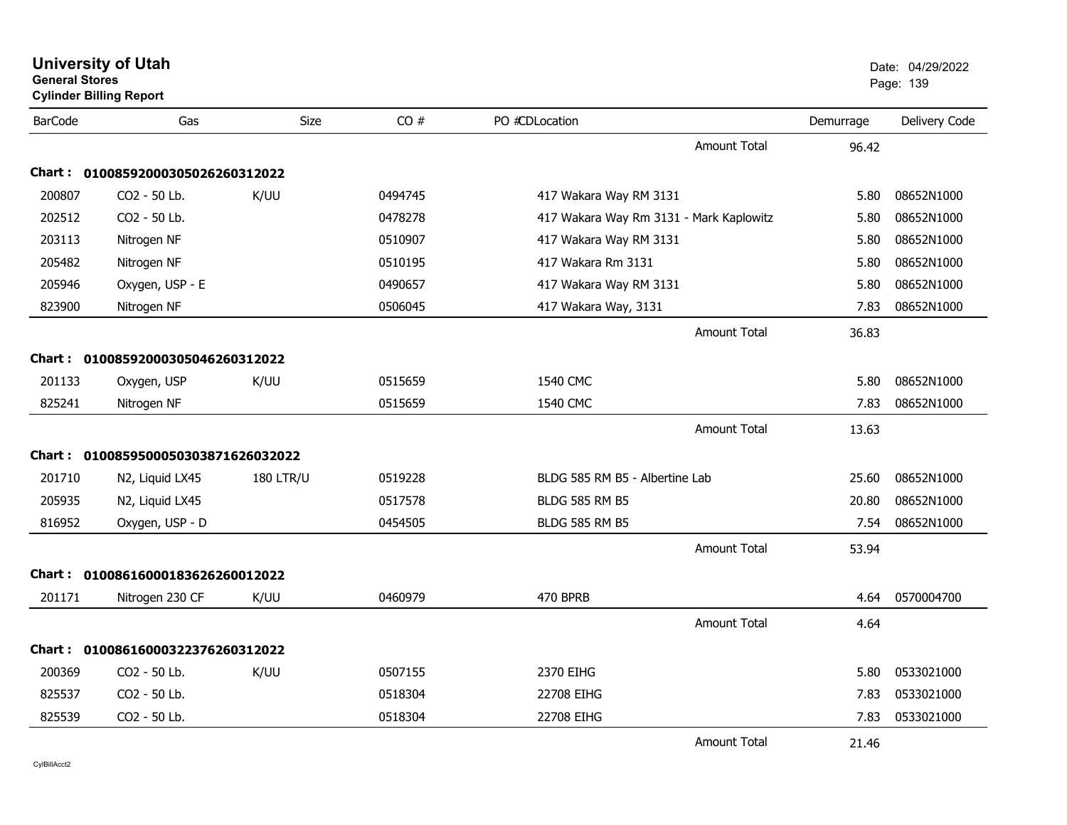| <b>General Stores</b> | <b>University of Utah</b><br><b>Cylinder Billing Report</b> |                  |         |                                         |                     |           | Date: 04/29/2022<br>Page: 139 |
|-----------------------|-------------------------------------------------------------|------------------|---------|-----------------------------------------|---------------------|-----------|-------------------------------|
| <b>BarCode</b>        | Gas                                                         | <b>Size</b>      | CO#     | PO #CDLocation                          |                     | Demurrage | Delivery Code                 |
|                       |                                                             |                  |         |                                         | Amount Total        | 96.42     |                               |
| Chart :               | 01008592000305026260312022                                  |                  |         |                                         |                     |           |                               |
| 200807                | CO <sub>2</sub> - 50 Lb.                                    | K/UU             | 0494745 | 417 Wakara Way RM 3131                  |                     | 5.80      | 08652N1000                    |
| 202512                | CO2 - 50 Lb.                                                |                  | 0478278 | 417 Wakara Way Rm 3131 - Mark Kaplowitz |                     | 5.80      | 08652N1000                    |
| 203113                | Nitrogen NF                                                 |                  | 0510907 | 417 Wakara Way RM 3131                  |                     | 5.80      | 08652N1000                    |
| 205482                | Nitrogen NF                                                 |                  | 0510195 | 417 Wakara Rm 3131                      |                     | 5.80      | 08652N1000                    |
| 205946                | Oxygen, USP - E                                             |                  | 0490657 | 417 Wakara Way RM 3131                  |                     | 5.80      | 08652N1000                    |
| 823900                | Nitrogen NF                                                 |                  | 0506045 | 417 Wakara Way, 3131                    |                     | 7.83      | 08652N1000                    |
|                       |                                                             |                  |         |                                         | <b>Amount Total</b> | 36.83     |                               |
|                       | Chart: 01008592000305046260312022                           |                  |         |                                         |                     |           |                               |
| 201133                | Oxygen, USP                                                 | K/UU             | 0515659 | 1540 CMC                                |                     | 5.80      | 08652N1000                    |
| 825241                | Nitrogen NF                                                 |                  | 0515659 | 1540 CMC                                |                     | 7.83      | 08652N1000                    |
|                       |                                                             |                  |         |                                         | <b>Amount Total</b> | 13.63     |                               |
|                       | Chart: 0100859500050303871626032022                         |                  |         |                                         |                     |           |                               |
| 201710                | N2, Liquid LX45                                             | <b>180 LTR/U</b> | 0519228 | BLDG 585 RM B5 - Albertine Lab          |                     | 25.60     | 08652N1000                    |
| 205935                | N2, Liquid LX45                                             |                  | 0517578 | <b>BLDG 585 RM B5</b>                   |                     | 20.80     | 08652N1000                    |
| 816952                | Oxygen, USP - D                                             |                  | 0454505 | <b>BLDG 585 RM B5</b>                   |                     | 7.54      | 08652N1000                    |
|                       |                                                             |                  |         |                                         | Amount Total        | 53.94     |                               |
| Chart :               | 01008616000183626260012022                                  |                  |         |                                         |                     |           |                               |
| 201171                | Nitrogen 230 CF                                             | K/UU             | 0460979 | 470 BPRB                                |                     | 4.64      | 0570004700                    |
|                       |                                                             |                  |         |                                         | Amount Total        | 4.64      |                               |
| <b>Chart :</b>        | 01008616000322376260312022                                  |                  |         |                                         |                     |           |                               |
| 200369                | CO2 - 50 Lb.                                                | K/UU             | 0507155 | 2370 EIHG                               |                     | 5.80      | 0533021000                    |
| 825537                | CO2 - 50 Lb.                                                |                  | 0518304 | 22708 EIHG                              |                     | 7.83      | 0533021000                    |
| 825539                | CO2 - 50 Lb.                                                |                  | 0518304 | 22708 EIHG                              |                     | 7.83      | 0533021000                    |
|                       |                                                             |                  |         |                                         | <b>Amount Total</b> | 21.46     |                               |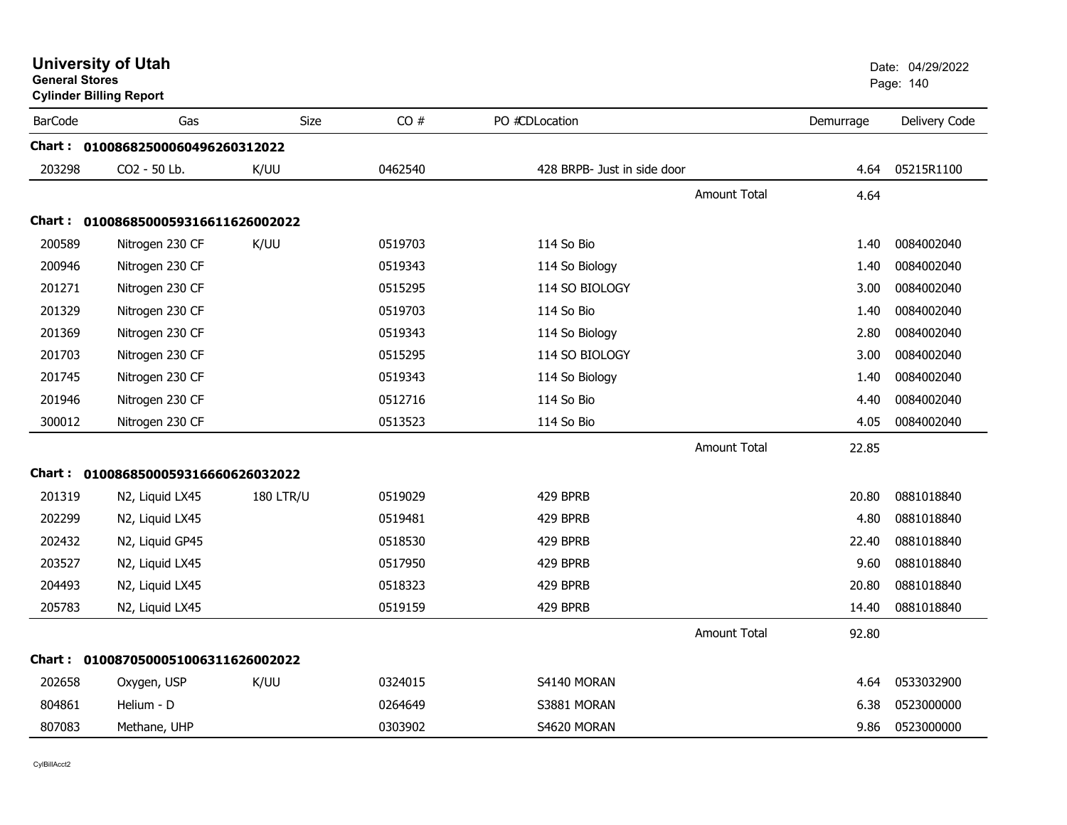| <b>General Stores</b> | <b>Cylinder Billing Report</b>      |                  |         |                             |           | Page: 140     |
|-----------------------|-------------------------------------|------------------|---------|-----------------------------|-----------|---------------|
| <b>BarCode</b>        | Gas                                 | Size             | CO#     | PO #CDLocation              | Demurrage | Delivery Code |
|                       | Chart: 01008682500060496260312022   |                  |         |                             |           |               |
| 203298                | CO2 - 50 Lb.                        | K/UU             | 0462540 | 428 BRPB- Just in side door | 4.64      | 05215R1100    |
|                       |                                     |                  |         | <b>Amount Total</b>         | 4.64      |               |
| Chart :               | 0100868500059316611626002022        |                  |         |                             |           |               |
| 200589                | Nitrogen 230 CF                     | K/UU             | 0519703 | 114 So Bio                  | 1.40      | 0084002040    |
| 200946                | Nitrogen 230 CF                     |                  | 0519343 | 114 So Biology              | 1.40      | 0084002040    |
| 201271                | Nitrogen 230 CF                     |                  | 0515295 | 114 SO BIOLOGY              | 3.00      | 0084002040    |
| 201329                | Nitrogen 230 CF                     |                  | 0519703 | 114 So Bio                  | 1.40      | 0084002040    |
| 201369                | Nitrogen 230 CF                     |                  | 0519343 | 114 So Biology              | 2.80      | 0084002040    |
| 201703                | Nitrogen 230 CF                     |                  | 0515295 | 114 SO BIOLOGY              | 3.00      | 0084002040    |
| 201745                | Nitrogen 230 CF                     |                  | 0519343 | 114 So Biology              | 1.40      | 0084002040    |
| 201946                | Nitrogen 230 CF                     |                  | 0512716 | 114 So Bio                  | 4.40      | 0084002040    |
| 300012                | Nitrogen 230 CF                     |                  | 0513523 | 114 So Bio                  | 4.05      | 0084002040    |
|                       |                                     |                  |         | <b>Amount Total</b>         | 22.85     |               |
|                       | Chart: 0100868500059316660626032022 |                  |         |                             |           |               |
| 201319                | N2, Liquid LX45                     | <b>180 LTR/U</b> | 0519029 | 429 BPRB                    | 20.80     | 0881018840    |
| 202299                | N2, Liquid LX45                     |                  | 0519481 | 429 BPRB                    | 4.80      | 0881018840    |
| 202432                | N2, Liquid GP45                     |                  | 0518530 | 429 BPRB                    | 22.40     | 0881018840    |
| 203527                | N2, Liquid LX45                     |                  | 0517950 | 429 BPRB                    | 9.60      | 0881018840    |
| 204493                | N2, Liquid LX45                     |                  | 0518323 | 429 BPRB                    | 20.80     | 0881018840    |
| 205783                | N2, Liquid LX45                     |                  | 0519159 | 429 BPRB                    | 14.40     | 0881018840    |
|                       |                                     |                  |         | <b>Amount Total</b>         | 92.80     |               |
| Chart :               | 0100870500051006311626002022        |                  |         |                             |           |               |
| 202658                | Oxygen, USP                         | K/UU             | 0324015 | S4140 MORAN                 | 4.64      | 0533032900    |
| 804861                | Helium - D                          |                  | 0264649 | S3881 MORAN                 | 6.38      | 0523000000    |
| 807083                | Methane, UHP                        |                  | 0303902 | S4620 MORAN                 | 9.86      | 0523000000    |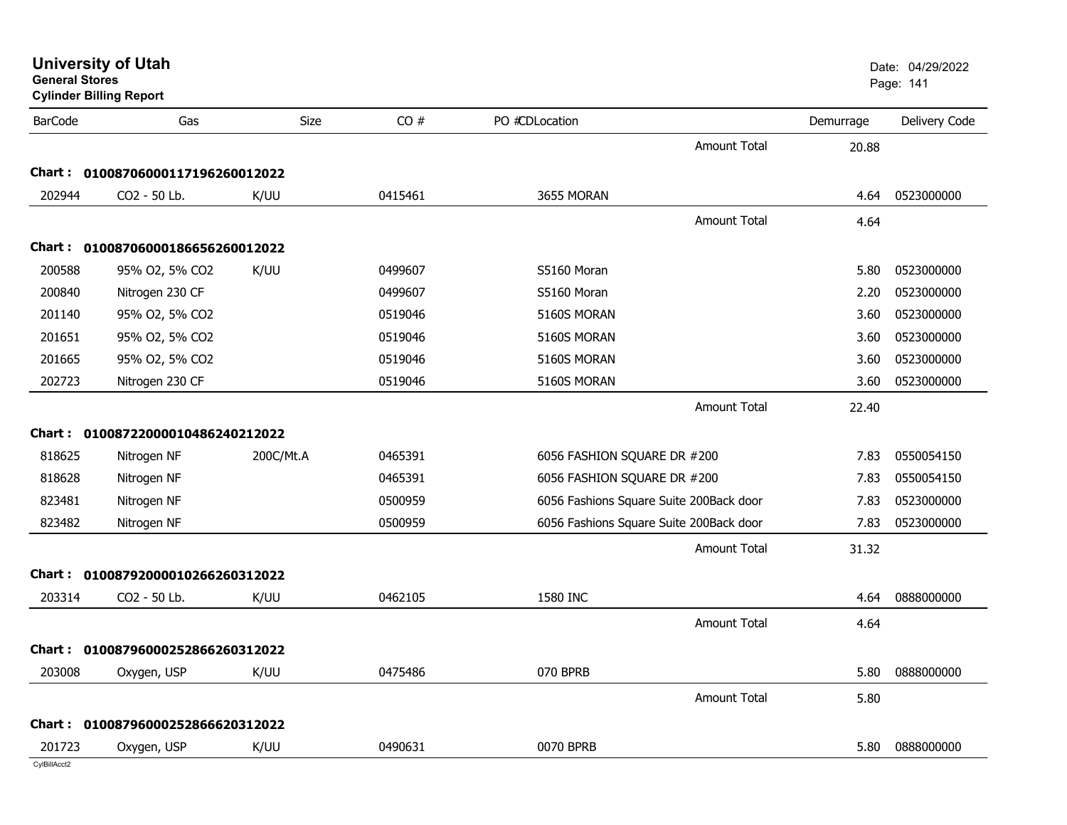| <b>BarCode</b> | Gas                               | Size      | CO#     | PO #CDLocation                          |                     | Demurrage | Delivery Code |
|----------------|-----------------------------------|-----------|---------|-----------------------------------------|---------------------|-----------|---------------|
|                |                                   |           |         |                                         | <b>Amount Total</b> | 20.88     |               |
|                | Chart: 01008706000117196260012022 |           |         |                                         |                     |           |               |
| 202944         | CO2 - 50 Lb.                      | K/UU      | 0415461 | 3655 MORAN                              |                     | 4.64      | 0523000000    |
|                |                                   |           |         |                                         | <b>Amount Total</b> | 4.64      |               |
|                | Chart: 01008706000186656260012022 |           |         |                                         |                     |           |               |
| 200588         | 95% O2, 5% CO2                    | K/UU      | 0499607 | S5160 Moran                             |                     | 5.80      | 0523000000    |
| 200840         | Nitrogen 230 CF                   |           | 0499607 | S5160 Moran                             |                     | 2.20      | 0523000000    |
| 201140         | 95% O2, 5% CO2                    |           | 0519046 | 5160S MORAN                             |                     | 3.60      | 0523000000    |
| 201651         | 95% O2, 5% CO2                    |           | 0519046 | 5160S MORAN                             |                     | 3.60      | 0523000000    |
| 201665         | 95% O2, 5% CO2                    |           | 0519046 | 5160S MORAN                             |                     | 3.60      | 0523000000    |
| 202723         | Nitrogen 230 CF                   |           | 0519046 | 5160S MORAN                             |                     | 3.60      | 0523000000    |
|                |                                   |           |         |                                         | <b>Amount Total</b> | 22.40     |               |
|                | Chart: 01008722000010486240212022 |           |         |                                         |                     |           |               |
| 818625         | Nitrogen NF                       | 200C/Mt.A | 0465391 | 6056 FASHION SQUARE DR #200             |                     | 7.83      | 0550054150    |
| 818628         | Nitrogen NF                       |           | 0465391 | 6056 FASHION SQUARE DR #200             |                     | 7.83      | 0550054150    |
| 823481         | Nitrogen NF                       |           | 0500959 | 6056 Fashions Square Suite 200Back door |                     | 7.83      | 0523000000    |
| 823482         | Nitrogen NF                       |           | 0500959 | 6056 Fashions Square Suite 200Back door |                     | 7.83      | 0523000000    |
|                |                                   |           |         |                                         | <b>Amount Total</b> | 31.32     |               |
| Chart :        | 01008792000010266260312022        |           |         |                                         |                     |           |               |
| 203314         | CO2 - 50 Lb.                      | K/UU      | 0462105 | 1580 INC                                |                     | 4.64      | 0888000000    |
|                |                                   |           |         |                                         | <b>Amount Total</b> | 4.64      |               |
|                | Chart: 01008796000252866260312022 |           |         |                                         |                     |           |               |
| 203008         | Oxygen, USP                       | K/UU      | 0475486 | 070 BPRB                                |                     | 5.80      | 0888000000    |
|                |                                   |           |         |                                         | <b>Amount Total</b> | 5.80      |               |
|                |                                   |           |         |                                         |                     |           |               |
| Chart :        | 01008796000252866620312022        |           |         |                                         |                     |           |               |
| 201723         | Oxygen, USP                       | K/UU      | 0490631 | 0070 BPRB                               |                     | 5.80      | 0888000000    |

**General StoresCylinder Billing Report**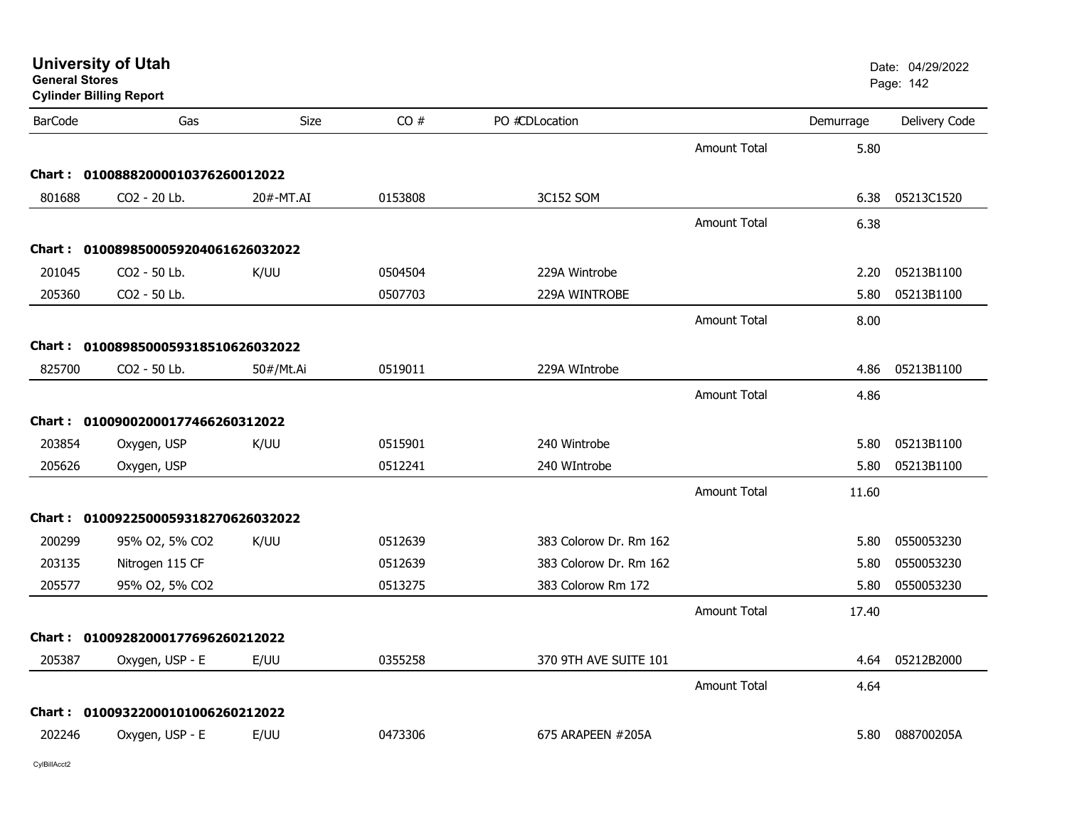| <b>University of Utah</b> |  |  |  |
|---------------------------|--|--|--|
|---------------------------|--|--|--|

| <b>BarCode</b> | Gas                               | Size      | CO#     | PO #CDLocation         |                     | Demurrage | Delivery Code |
|----------------|-----------------------------------|-----------|---------|------------------------|---------------------|-----------|---------------|
|                |                                   |           |         |                        | Amount Total        | 5.80      |               |
|                | Chart: 01008882000010376260012022 |           |         |                        |                     |           |               |
| 801688         | CO2 - 20 Lb.                      | 20#-MT.AI | 0153808 | 3C152 SOM              |                     | 6.38      | 05213C1520    |
|                |                                   |           |         |                        | <b>Amount Total</b> | 6.38      |               |
| Chart :        | 0100898500059204061626032022      |           |         |                        |                     |           |               |
| 201045         | CO2 - 50 Lb.                      | K/UU      | 0504504 | 229A Wintrobe          |                     | 2.20      | 05213B1100    |
| 205360         | CO2 - 50 Lb.                      |           | 0507703 | 229A WINTROBE          |                     | 5.80      | 05213B1100    |
|                |                                   |           |         |                        | <b>Amount Total</b> | 8.00      |               |
| Chart :        | 0100898500059318510626032022      |           |         |                        |                     |           |               |
| 825700         | CO2 - 50 Lb.                      | 50#/Mt.Ai | 0519011 | 229A WIntrobe          |                     | 4.86      | 05213B1100    |
|                |                                   |           |         |                        | <b>Amount Total</b> | 4.86      |               |
|                | Chart: 01009002000177466260312022 |           |         |                        |                     |           |               |
| 203854         | Oxygen, USP                       | K/UU      | 0515901 | 240 Wintrobe           |                     | 5.80      | 05213B1100    |
| 205626         | Oxygen, USP                       |           | 0512241 | 240 WIntrobe           |                     | 5.80      | 05213B1100    |
|                |                                   |           |         |                        | Amount Total        | 11.60     |               |
| Chart:         | 0100922500059318270626032022      |           |         |                        |                     |           |               |
| 200299         | 95% O2, 5% CO2                    | K/UU      | 0512639 | 383 Colorow Dr. Rm 162 |                     | 5.80      | 0550053230    |
| 203135         | Nitrogen 115 CF                   |           | 0512639 | 383 Colorow Dr. Rm 162 |                     | 5.80      | 0550053230    |
| 205577         | 95% O2, 5% CO2                    |           | 0513275 | 383 Colorow Rm 172     |                     | 5.80      | 0550053230    |
|                |                                   |           |         |                        | <b>Amount Total</b> | 17.40     |               |
|                |                                   |           |         |                        |                     |           |               |
|                | Chart: 01009282000177696260212022 |           |         |                        |                     |           |               |
| 205387         | Oxygen, USP - E                   | E/UU      | 0355258 | 370 9TH AVE SUITE 101  |                     | 4.64      | 05212B2000    |
|                |                                   |           |         |                        | <b>Amount Total</b> | 4.64      |               |
| Chart :        | 01009322000101006260212022        |           |         |                        |                     |           |               |
| 202246         | Oxygen, USP - E                   | E/UU      | 0473306 | 675 ARAPEEN #205A      |                     | 5.80      | 088700205A    |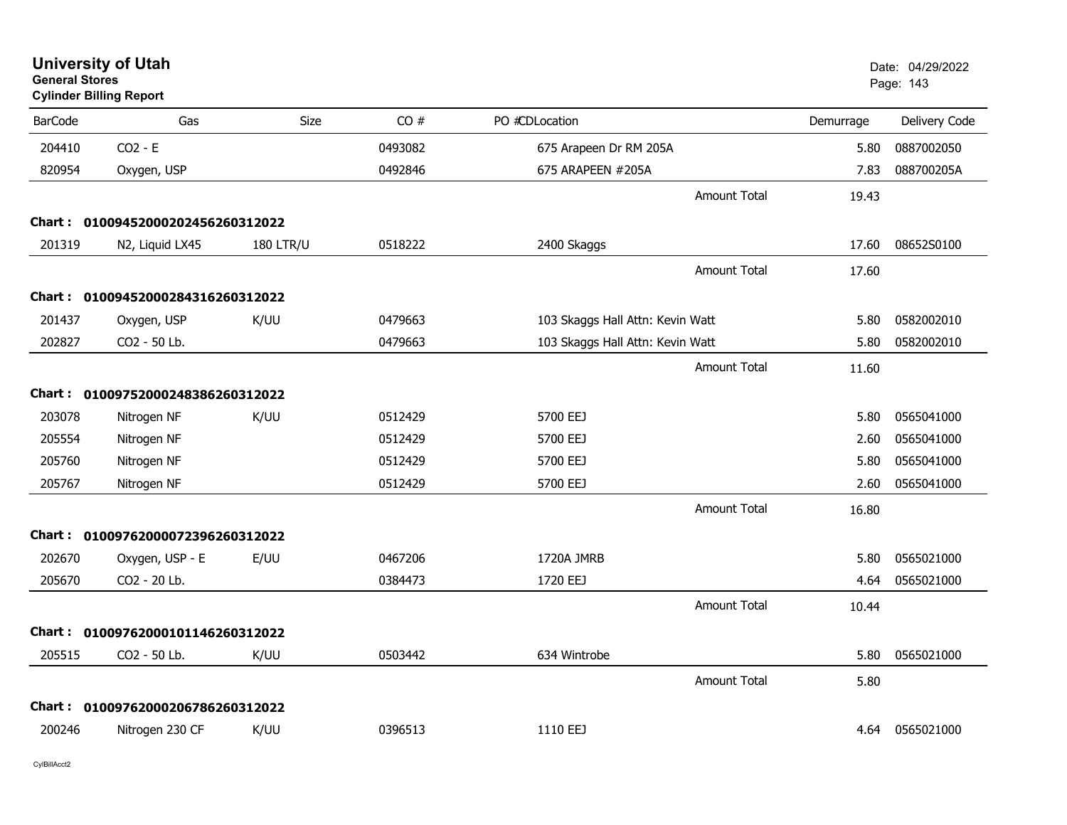| <b>General Stores</b> | <b>University of Utah</b><br><b>Cylinder Billing Report</b> |                  |         |                                  |           | Date: 04/29/2022<br>Page: 143 |
|-----------------------|-------------------------------------------------------------|------------------|---------|----------------------------------|-----------|-------------------------------|
| <b>BarCode</b>        | Gas                                                         | Size             | CO#     | PO #CDLocation                   | Demurrage | Delivery Code                 |
| 204410                | $CO2 - E$                                                   |                  | 0493082 | 675 Arapeen Dr RM 205A           | 5.80      | 0887002050                    |
| 820954                | Oxygen, USP                                                 |                  | 0492846 | 675 ARAPEEN #205A                | 7.83      | 088700205A                    |
|                       |                                                             |                  |         | <b>Amount Total</b>              | 19.43     |                               |
|                       | Chart: 01009452000202456260312022                           |                  |         |                                  |           |                               |
| 201319                | N2, Liquid LX45                                             | <b>180 LTR/U</b> | 0518222 | 2400 Skaggs                      | 17.60     | 08652S0100                    |
|                       |                                                             |                  |         | <b>Amount Total</b>              | 17.60     |                               |
|                       | Chart: 01009452000284316260312022                           |                  |         |                                  |           |                               |
| 201437                | Oxygen, USP                                                 | K/UU             | 0479663 | 103 Skaggs Hall Attn: Kevin Watt | 5.80      | 0582002010                    |
| 202827                | CO2 - 50 Lb.                                                |                  | 0479663 | 103 Skaggs Hall Attn: Kevin Watt | 5.80      | 0582002010                    |
|                       |                                                             |                  |         | <b>Amount Total</b>              | 11.60     |                               |
|                       | Chart: 01009752000248386260312022                           |                  |         |                                  |           |                               |
| 203078                | Nitrogen NF                                                 | K/UU             | 0512429 | 5700 EEJ                         | 5.80      | 0565041000                    |
| 205554                | Nitrogen NF                                                 |                  | 0512429 | 5700 EEJ                         | 2.60      | 0565041000                    |
| 205760                | Nitrogen NF                                                 |                  | 0512429 | 5700 EEJ                         | 5.80      | 0565041000                    |
| 205767                | Nitrogen NF                                                 |                  | 0512429 | 5700 EEJ                         | 2.60      | 0565041000                    |
|                       |                                                             |                  |         | <b>Amount Total</b>              | 16.80     |                               |
|                       | Chart: 01009762000072396260312022                           |                  |         |                                  |           |                               |
| 202670                | Oxygen, USP - E                                             | E/UU             | 0467206 | 1720A JMRB                       | 5.80      | 0565021000                    |
| 205670                | CO2 - 20 Lb.                                                |                  | 0384473 | 1720 EEJ                         | 4.64      | 0565021000                    |
|                       |                                                             |                  |         | <b>Amount Total</b>              | 10.44     |                               |
|                       | Chart: 01009762000101146260312022                           |                  |         |                                  |           |                               |
| 205515                | CO2 - 50 Lb.                                                | K/UU             | 0503442 | 634 Wintrobe                     | 5.80      | 0565021000                    |
|                       |                                                             |                  |         | <b>Amount Total</b>              | 5.80      |                               |
|                       | Chart: 01009762000206786260312022                           |                  |         |                                  |           |                               |
| 200246                | Nitrogen 230 CF                                             | K/UU             | 0396513 | 1110 EEJ                         |           | 4.64 0565021000               |
|                       |                                                             |                  |         |                                  |           |                               |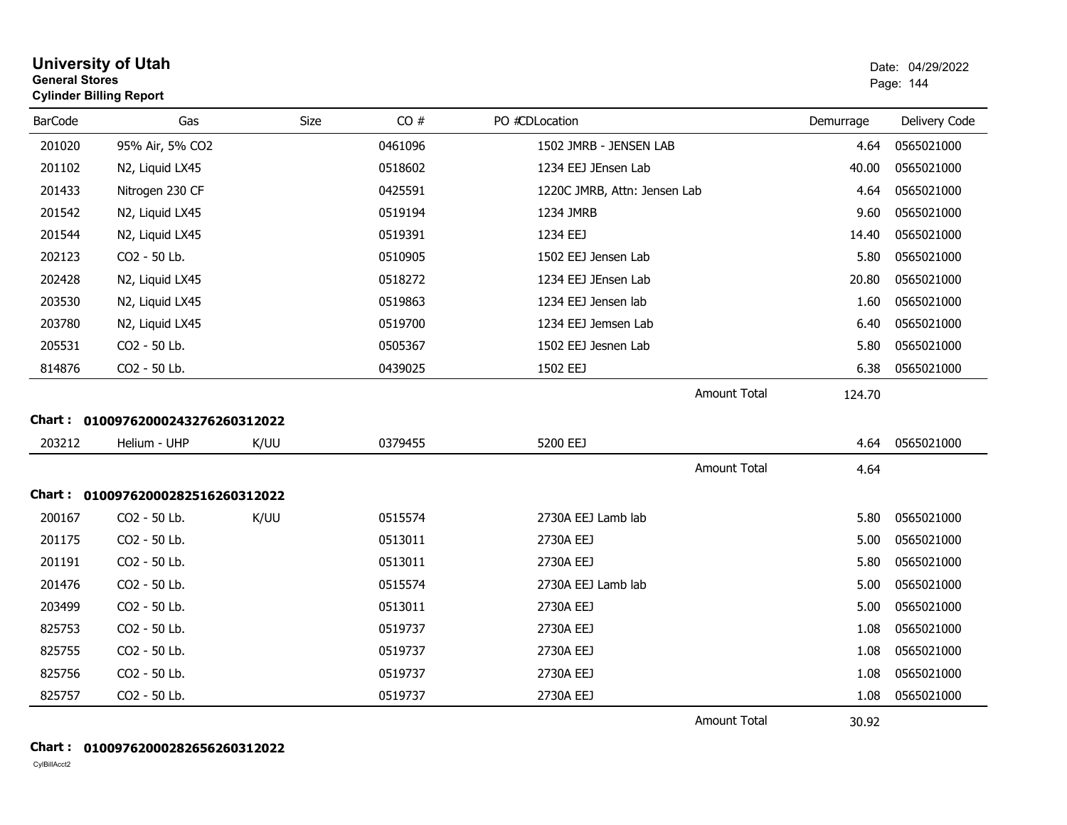| General Stores | <b>Cylinder Billing Report</b>    |      |         |                              |           | Page: 144     |
|----------------|-----------------------------------|------|---------|------------------------------|-----------|---------------|
| <b>BarCode</b> | Gas                               | Size | CO#     | PO #CDLocation               | Demurrage | Delivery Code |
| 201020         | 95% Air, 5% CO2                   |      | 0461096 | 1502 JMRB - JENSEN LAB       | 4.64      | 0565021000    |
| 201102         | N2, Liquid LX45                   |      | 0518602 | 1234 EEJ JEnsen Lab          | 40.00     | 0565021000    |
| 201433         | Nitrogen 230 CF                   |      | 0425591 | 1220C JMRB, Attn: Jensen Lab | 4.64      | 0565021000    |
| 201542         | N2, Liquid LX45                   |      | 0519194 | 1234 JMRB                    | 9.60      | 0565021000    |
| 201544         | N2, Liquid LX45                   |      | 0519391 | 1234 EEJ                     | 14.40     | 0565021000    |
| 202123         | CO2 - 50 Lb.                      |      | 0510905 | 1502 EEJ Jensen Lab          | 5.80      | 0565021000    |
| 202428         | N2, Liquid LX45                   |      | 0518272 | 1234 EEJ JEnsen Lab          | 20.80     | 0565021000    |
| 203530         | N2, Liquid LX45                   |      | 0519863 | 1234 EEJ Jensen lab          | 1.60      | 0565021000    |
| 203780         | N2, Liquid LX45                   |      | 0519700 | 1234 EEJ Jemsen Lab          | 6.40      | 0565021000    |
| 205531         | CO2 - 50 Lb.                      |      | 0505367 | 1502 EEJ Jesnen Lab          | 5.80      | 0565021000    |
| 814876         | CO2 - 50 Lb.                      |      | 0439025 | 1502 EEJ                     | 6.38      | 0565021000    |
|                |                                   |      |         | Amount Total                 | 124.70    |               |
|                | Chart: 01009762000243276260312022 |      |         |                              |           |               |
| 203212         | Helium - UHP                      | K/UU | 0379455 | 5200 EEJ                     | 4.64      | 0565021000    |
|                |                                   |      |         | <b>Amount Total</b>          | 4.64      |               |
|                | Chart: 01009762000282516260312022 |      |         |                              |           |               |
| 200167         | CO2 - 50 Lb.                      | K/UU | 0515574 | 2730A EEJ Lamb lab           | 5.80      | 0565021000    |
| 201175         | CO2 - 50 Lb.                      |      | 0513011 | 2730A EEJ                    | 5.00      | 0565021000    |
| 201191         | CO2 - 50 Lb.                      |      | 0513011 | 2730A EEJ                    | 5.80      | 0565021000    |
| 201476         | CO2 - 50 Lb.                      |      | 0515574 | 2730A EEJ Lamb lab           | 5.00      | 0565021000    |
| 203499         | CO2 - 50 Lb.                      |      | 0513011 | 2730A EEJ                    | 5.00      | 0565021000    |
| 825753         | CO2 - 50 Lb.                      |      | 0519737 | 2730A EEJ                    | 1.08      | 0565021000    |
| 825755         | CO2 - 50 Lb.                      |      | 0519737 | 2730A EEJ                    | 1.08      | 0565021000    |
| 825756         | CO2 - 50 Lb.                      |      | 0519737 | 2730A EEJ                    | 1.08      | 0565021000    |
| 825757         | CO2 - 50 Lb.                      |      | 0519737 | 2730A EEJ                    | 1.08      | 0565021000    |
|                |                                   |      |         | <b>Amount Total</b>          | 30.92     |               |

# **General Stores**

CylBillAcct2

**Chart : 01009762000282656260312022**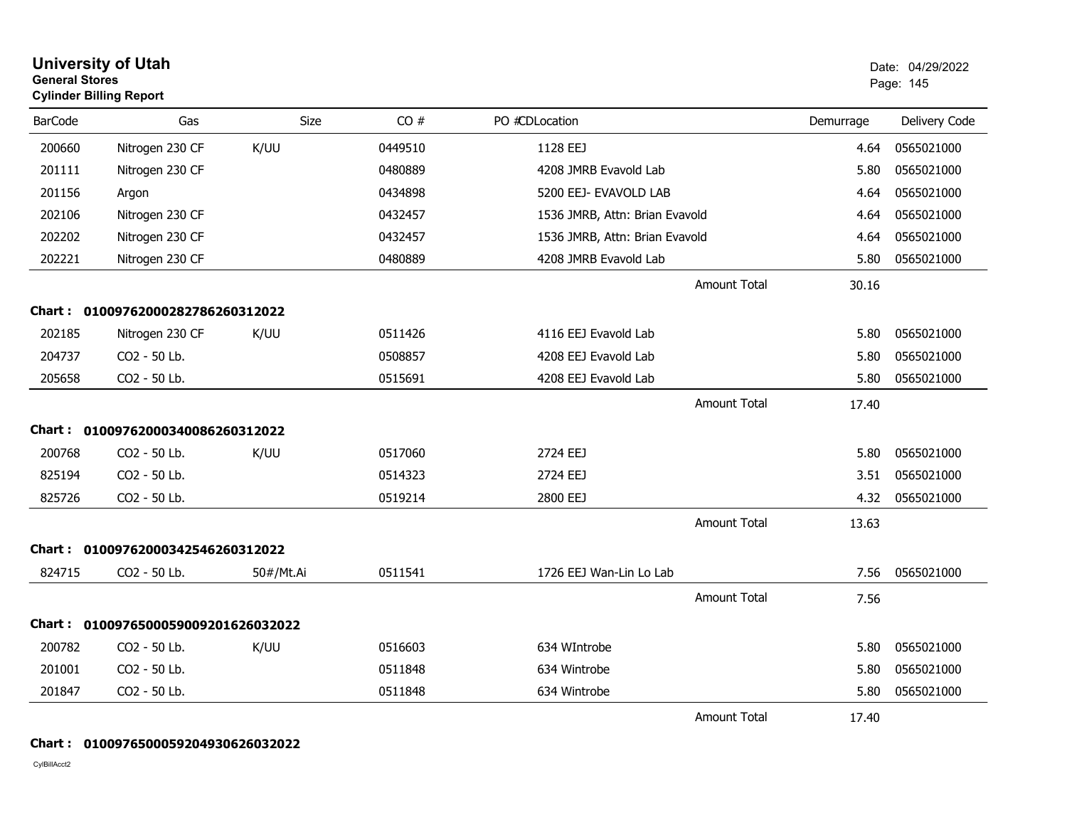| <b>General Stores</b> | <b>University of Utah</b><br><b>Cylinder Billing Report</b> | Date: 04/29/2022<br>Page: 145 |         |                                |                     |           |               |
|-----------------------|-------------------------------------------------------------|-------------------------------|---------|--------------------------------|---------------------|-----------|---------------|
| <b>BarCode</b>        | Gas                                                         | Size                          | CO#     | PO #CDLocation                 |                     | Demurrage | Delivery Code |
| 200660                | Nitrogen 230 CF                                             | K/UU                          | 0449510 | 1128 EEJ                       |                     | 4.64      | 0565021000    |
| 201111                | Nitrogen 230 CF                                             |                               | 0480889 | 4208 JMRB Evavold Lab          |                     | 5.80      | 0565021000    |
| 201156                | Argon                                                       |                               | 0434898 | 5200 EEJ- EVAVOLD LAB          |                     | 4.64      | 0565021000    |
| 202106                | Nitrogen 230 CF                                             |                               | 0432457 | 1536 JMRB, Attn: Brian Evavold |                     | 4.64      | 0565021000    |
| 202202                | Nitrogen 230 CF                                             |                               | 0432457 | 1536 JMRB, Attn: Brian Evavold |                     | 4.64      | 0565021000    |
| 202221                | Nitrogen 230 CF                                             |                               | 0480889 | 4208 JMRB Evavold Lab          |                     | 5.80      | 0565021000    |
|                       |                                                             |                               |         |                                | <b>Amount Total</b> | 30.16     |               |
|                       | Chart: 01009762000282786260312022                           |                               |         |                                |                     |           |               |
| 202185                | Nitrogen 230 CF                                             | K/UU                          | 0511426 | 4116 EEJ Evavold Lab           |                     | 5.80      | 0565021000    |
| 204737                | CO2 - 50 Lb.                                                |                               | 0508857 | 4208 EEJ Evavold Lab           |                     | 5.80      | 0565021000    |
| 205658                | CO2 - 50 Lb.                                                |                               | 0515691 | 4208 EEJ Evavold Lab           |                     | 5.80      | 0565021000    |
|                       |                                                             |                               |         |                                | <b>Amount Total</b> | 17.40     |               |
|                       | Chart: 01009762000340086260312022                           |                               |         |                                |                     |           |               |
| 200768                | CO2 - 50 Lb.                                                | K/UU                          | 0517060 | 2724 EEJ                       |                     | 5.80      | 0565021000    |
| 825194                | CO2 - 50 Lb.                                                |                               | 0514323 | 2724 EEJ                       |                     | 3.51      | 0565021000    |
| 825726                | CO2 - 50 Lb.                                                |                               | 0519214 | 2800 EEJ                       |                     | 4.32      | 0565021000    |
|                       |                                                             |                               |         |                                | <b>Amount Total</b> | 13.63     |               |
|                       | Chart: 01009762000342546260312022                           |                               |         |                                |                     |           |               |
| 824715                | CO2 - 50 Lb.                                                | 50#/Mt.Ai                     | 0511541 | 1726 EEJ Wan-Lin Lo Lab        |                     | 7.56      | 0565021000    |
|                       |                                                             |                               |         |                                | <b>Amount Total</b> | 7.56      |               |
|                       | Chart: 0100976500059009201626032022                         |                               |         |                                |                     |           |               |
| 200782                | CO2 - 50 Lb.                                                | K/UU                          | 0516603 | 634 WIntrobe                   |                     | 5.80      | 0565021000    |
| 201001                | CO2 - 50 Lb.                                                |                               | 0511848 | 634 Wintrobe                   |                     | 5.80      | 0565021000    |
| 201847                | CO2 - 50 Lb.                                                |                               | 0511848 | 634 Wintrobe                   |                     | 5.80      | 0565021000    |
|                       |                                                             |                               |         |                                | <b>Amount Total</b> | 17.40     |               |

## **Chart : 0100976500059204930626032022**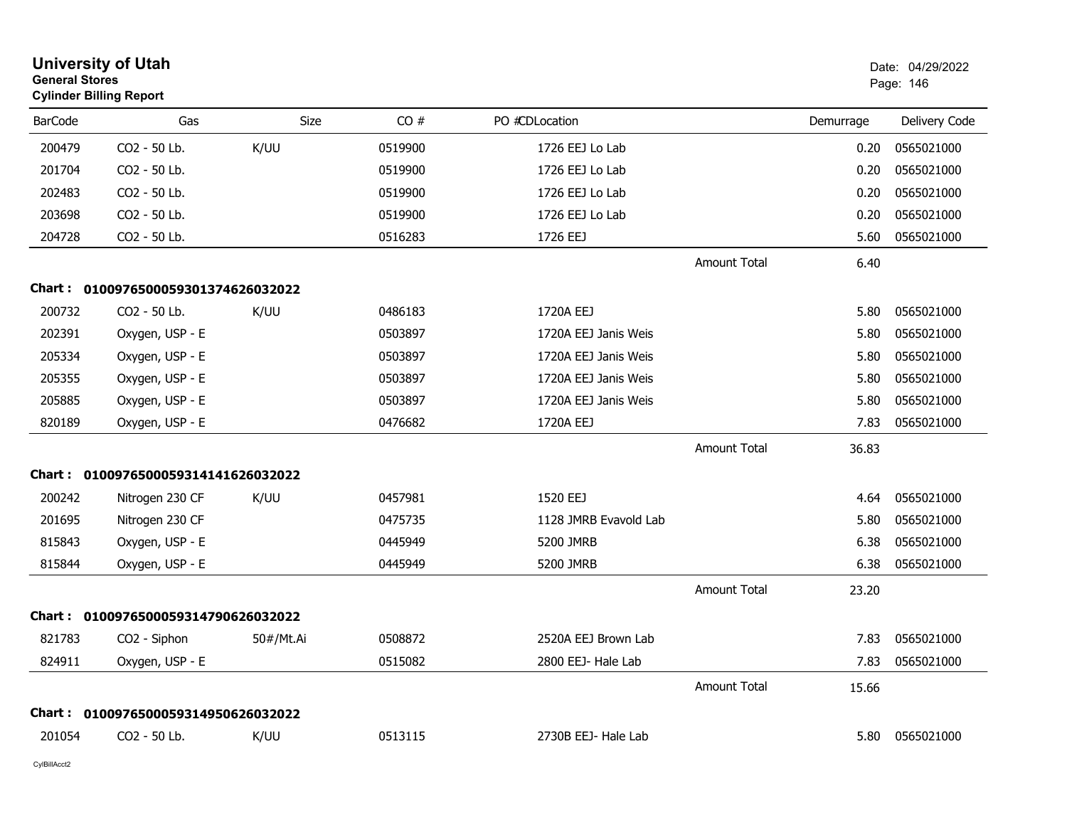| <b>General Stores</b> | <b>University of Utah</b><br><b>Cylinder Billing Report</b> |             |         |                       | Date: 04/29/2022<br>Page: 146 |           |               |
|-----------------------|-------------------------------------------------------------|-------------|---------|-----------------------|-------------------------------|-----------|---------------|
| <b>BarCode</b>        | Gas                                                         | <b>Size</b> | CO#     | PO #CDLocation        |                               | Demurrage | Delivery Code |
| 200479                | CO2 - 50 Lb.                                                | K/UU        | 0519900 | 1726 EEJ Lo Lab       |                               | 0.20      | 0565021000    |
| 201704                | CO <sub>2</sub> - 50 Lb.                                    |             | 0519900 | 1726 EEJ Lo Lab       |                               | 0.20      | 0565021000    |
| 202483                | CO2 - 50 Lb.                                                |             | 0519900 | 1726 EEJ Lo Lab       |                               | 0.20      | 0565021000    |
| 203698                | CO2 - 50 Lb.                                                |             | 0519900 | 1726 EEJ Lo Lab       |                               | 0.20      | 0565021000    |
| 204728                | CO2 - 50 Lb.                                                |             | 0516283 | 1726 EEJ              |                               | 5.60      | 0565021000    |
|                       |                                                             |             |         |                       | Amount Total                  | 6.40      |               |
|                       | Chart: 0100976500059301374626032022                         |             |         |                       |                               |           |               |
| 200732                | CO2 - 50 Lb.                                                | K/UU        | 0486183 | 1720A EEJ             |                               | 5.80      | 0565021000    |
| 202391                | Oxygen, USP - E                                             |             | 0503897 | 1720A EEJ Janis Weis  |                               | 5.80      | 0565021000    |
| 205334                | Oxygen, USP - E                                             |             | 0503897 | 1720A EEJ Janis Weis  |                               | 5.80      | 0565021000    |
| 205355                | Oxygen, USP - E                                             |             | 0503897 | 1720A EEJ Janis Weis  |                               | 5.80      | 0565021000    |
| 205885                | Oxygen, USP - E                                             |             | 0503897 | 1720A EEJ Janis Weis  |                               | 5.80      | 0565021000    |
| 820189                | Oxygen, USP - E                                             |             | 0476682 | 1720A EEJ             |                               | 7.83      | 0565021000    |
|                       |                                                             |             |         |                       | <b>Amount Total</b>           | 36.83     |               |
|                       | Chart: 0100976500059314141626032022                         |             |         |                       |                               |           |               |
| 200242                | Nitrogen 230 CF                                             | K/UU        | 0457981 | 1520 EEJ              |                               | 4.64      | 0565021000    |
| 201695                | Nitrogen 230 CF                                             |             | 0475735 | 1128 JMRB Evavold Lab |                               | 5.80      | 0565021000    |
| 815843                | Oxygen, USP - E                                             |             | 0445949 | 5200 JMRB             |                               | 6.38      | 0565021000    |
| 815844                | Oxygen, USP - E                                             |             | 0445949 | 5200 JMRB             |                               | 6.38      | 0565021000    |
|                       |                                                             |             |         |                       | <b>Amount Total</b>           | 23.20     |               |
| Chart :               | 0100976500059314790626032022                                |             |         |                       |                               |           |               |
| 821783                | CO2 - Siphon                                                | 50#/Mt.Ai   | 0508872 | 2520A EEJ Brown Lab   |                               | 7.83      | 0565021000    |
| 824911                | Oxygen, USP - E                                             |             | 0515082 | 2800 EEJ- Hale Lab    |                               | 7.83      | 0565021000    |
|                       |                                                             |             |         |                       | <b>Amount Total</b>           | 15.66     |               |
|                       | Chart: 0100976500059314950626032022                         |             |         |                       |                               |           |               |
| 201054                | CO <sub>2</sub> - 50 Lb.                                    | K/UU        | 0513115 | 2730B EEJ- Hale Lab   |                               | 5.80      | 0565021000    |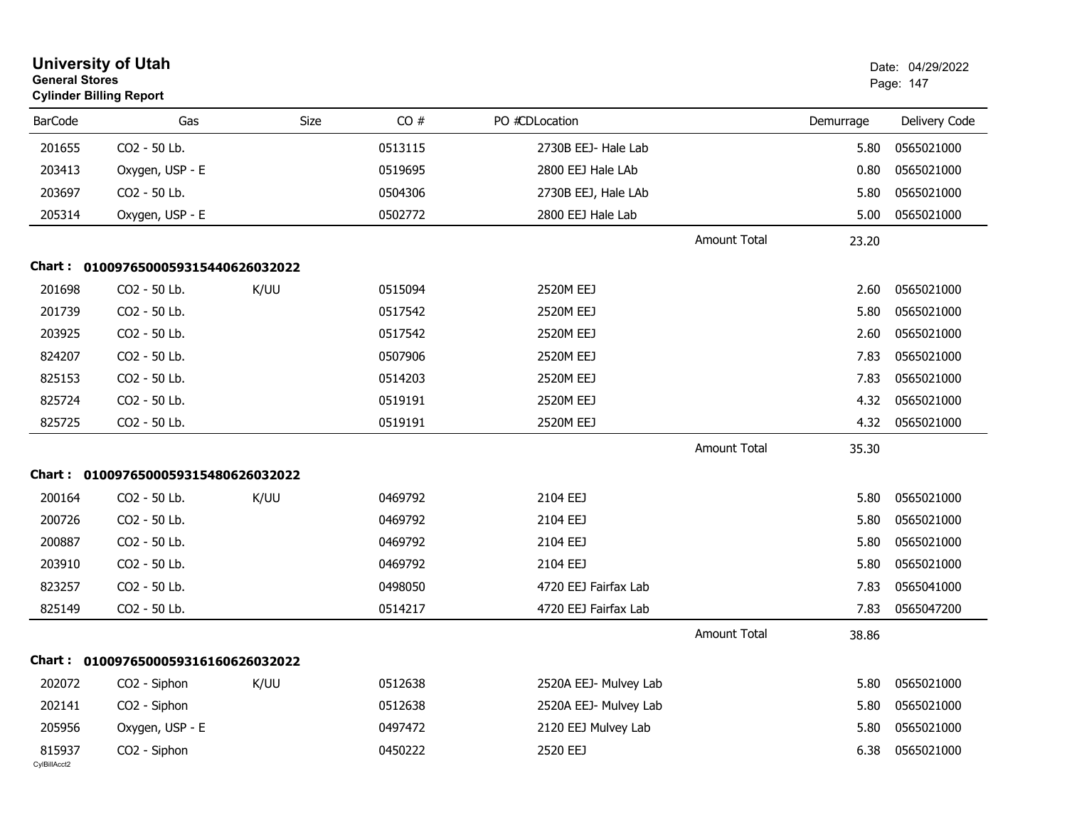| <b>General Stores</b>  | <b>University of Utah</b><br><b>Cylinder Billing Report</b> |             |         |                       |                     |           | Date: 04/29/2022<br>Page: 147 |
|------------------------|-------------------------------------------------------------|-------------|---------|-----------------------|---------------------|-----------|-------------------------------|
| <b>BarCode</b>         | Gas                                                         | <b>Size</b> | CO#     | PO #CDLocation        |                     | Demurrage | Delivery Code                 |
| 201655                 | CO2 - 50 Lb.                                                |             | 0513115 | 2730B EEJ- Hale Lab   |                     | 5.80      | 0565021000                    |
| 203413                 | Oxygen, USP - E                                             |             | 0519695 | 2800 EEJ Hale LAb     |                     | 0.80      | 0565021000                    |
| 203697                 | CO2 - 50 Lb.                                                |             | 0504306 | 2730B EEJ, Hale LAb   |                     | 5.80      | 0565021000                    |
| 205314                 | Oxygen, USP - E                                             |             | 0502772 | 2800 EEJ Hale Lab     |                     | 5.00      | 0565021000                    |
|                        |                                                             |             |         |                       | <b>Amount Total</b> | 23.20     |                               |
| Chart :                | 0100976500059315440626032022                                |             |         |                       |                     |           |                               |
| 201698                 | CO2 - 50 Lb.                                                | K/UU        | 0515094 | 2520M EEJ             |                     | 2.60      | 0565021000                    |
| 201739                 | CO2 - 50 Lb.                                                |             | 0517542 | 2520M EEJ             |                     | 5.80      | 0565021000                    |
| 203925                 | CO2 - 50 Lb.                                                |             | 0517542 | 2520M EEJ             |                     | 2.60      | 0565021000                    |
| 824207                 | CO2 - 50 Lb.                                                |             | 0507906 | 2520M EEJ             |                     | 7.83      | 0565021000                    |
| 825153                 | CO2 - 50 Lb.                                                |             | 0514203 | 2520M EEJ             |                     | 7.83      | 0565021000                    |
| 825724                 | CO2 - 50 Lb.                                                |             | 0519191 | 2520M EEJ             |                     | 4.32      | 0565021000                    |
| 825725                 | CO2 - 50 Lb.                                                |             | 0519191 | 2520M EEJ             |                     | 4.32      | 0565021000                    |
|                        |                                                             |             |         |                       | <b>Amount Total</b> | 35.30     |                               |
|                        | Chart: 0100976500059315480626032022                         |             |         |                       |                     |           |                               |
| 200164                 | CO2 - 50 Lb.                                                | K/UU        | 0469792 | 2104 EEJ              |                     | 5.80      | 0565021000                    |
| 200726                 | CO2 - 50 Lb.                                                |             | 0469792 | 2104 EEJ              |                     | 5.80      | 0565021000                    |
| 200887                 | CO2 - 50 Lb.                                                |             | 0469792 | 2104 EEJ              |                     | 5.80      | 0565021000                    |
| 203910                 | CO2 - 50 Lb.                                                |             | 0469792 | 2104 EEJ              |                     | 5.80      | 0565021000                    |
| 823257                 | CO2 - 50 Lb.                                                |             | 0498050 | 4720 EEJ Fairfax Lab  |                     | 7.83      | 0565041000                    |
| 825149                 | CO2 - 50 Lb.                                                |             | 0514217 | 4720 EEJ Fairfax Lab  |                     | 7.83      | 0565047200                    |
|                        |                                                             |             |         |                       | <b>Amount Total</b> | 38.86     |                               |
|                        | Chart: 0100976500059316160626032022                         |             |         |                       |                     |           |                               |
| 202072                 | CO <sub>2</sub> - Siphon                                    | K/UU        | 0512638 | 2520A EEJ- Mulvey Lab |                     | 5.80      | 0565021000                    |
| 202141                 | CO2 - Siphon                                                |             | 0512638 | 2520A EEJ- Mulvey Lab |                     | 5.80      | 0565021000                    |
| 205956                 | Oxygen, USP - E                                             |             | 0497472 | 2120 EEJ Mulvey Lab   |                     | 5.80      | 0565021000                    |
| 815937<br>CylBillAcct2 | CO2 - Siphon                                                |             | 0450222 | 2520 EEJ              |                     | 6.38      | 0565021000                    |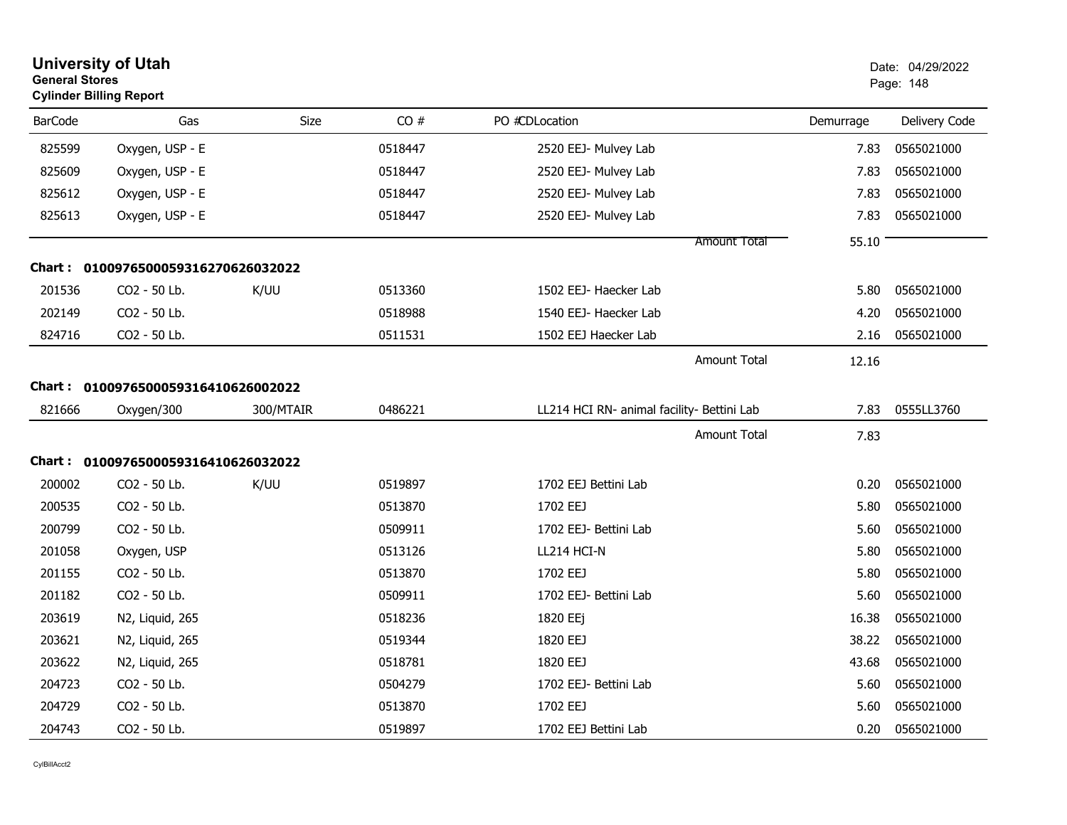|                | <b>University of Utah</b><br><b>General Stores</b><br><b>Cylinder Billing Report</b> |           |         |                                            |           |               |
|----------------|--------------------------------------------------------------------------------------|-----------|---------|--------------------------------------------|-----------|---------------|
| <b>BarCode</b> | Gas                                                                                  | Size      | CO#     | PO #CDLocation                             | Demurrage | Delivery Code |
| 825599         | Oxygen, USP - E                                                                      |           | 0518447 | 2520 EEJ- Mulvey Lab                       | 7.83      | 0565021000    |
| 825609         | Oxygen, USP - E                                                                      |           | 0518447 | 2520 EEJ- Mulvey Lab                       | 7.83      | 0565021000    |
| 825612         | Oxygen, USP - E                                                                      |           | 0518447 | 2520 EEJ- Mulvey Lab                       | 7.83      | 0565021000    |
| 825613         | Oxygen, USP - E                                                                      |           | 0518447 | 2520 EEJ- Mulvey Lab                       | 7.83      | 0565021000    |
|                |                                                                                      |           |         | Amount Total                               | 55.10     |               |
|                | Chart: 0100976500059316270626032022                                                  |           |         |                                            |           |               |
| 201536         | CO2 - 50 Lb.                                                                         | K/UU      | 0513360 | 1502 EEJ- Haecker Lab                      | 5.80      | 0565021000    |
| 202149         | CO2 - 50 Lb.                                                                         |           | 0518988 | 1540 EEJ- Haecker Lab                      | 4.20      | 0565021000    |
| 824716         | CO2 - 50 Lb.                                                                         |           | 0511531 | 1502 EEJ Haecker Lab                       | 2.16      | 0565021000    |
|                |                                                                                      |           |         | Amount Total                               | 12.16     |               |
|                | Chart: 0100976500059316410626002022                                                  |           |         |                                            |           |               |
| 821666         | Oxygen/300                                                                           | 300/MTAIR | 0486221 | LL214 HCI RN- animal facility- Bettini Lab | 7.83      | 0555LL3760    |
|                |                                                                                      |           |         | <b>Amount Total</b>                        | 7.83      |               |
|                | Chart: 0100976500059316410626032022                                                  |           |         |                                            |           |               |
| 200002         | CO <sub>2</sub> - 50 Lb.                                                             | K/UU      | 0519897 | 1702 EEJ Bettini Lab                       | 0.20      | 0565021000    |
| 200535         | CO2 - 50 Lb.                                                                         |           | 0513870 | 1702 EEJ                                   | 5.80      | 0565021000    |
| 200799         | CO2 - 50 Lb.                                                                         |           | 0509911 | 1702 EEJ- Bettini Lab                      | 5.60      | 0565021000    |
| 201058         | Oxygen, USP                                                                          |           | 0513126 | LL214 HCI-N                                | 5.80      | 0565021000    |
| 201155         | CO2 - 50 Lb.                                                                         |           | 0513870 | 1702 EEJ                                   | 5.80      | 0565021000    |
| 201182         | CO2 - 50 Lb.                                                                         |           | 0509911 | 1702 EEJ- Bettini Lab                      | 5.60      | 0565021000    |
| 203619         | N2, Liquid, 265                                                                      |           | 0518236 | 1820 EEj                                   | 16.38     | 0565021000    |
| 203621         | N2, Liquid, 265                                                                      |           | 0519344 | 1820 EEJ                                   | 38.22     | 0565021000    |
| 203622         | N2, Liquid, 265                                                                      |           | 0518781 | 1820 EEJ                                   | 43.68     | 0565021000    |
| 204723         | CO <sub>2</sub> - 50 Lb.                                                             |           | 0504279 | 1702 EEJ- Bettini Lab                      | 5.60      | 0565021000    |
| 204729         | CO2 - 50 Lb.                                                                         |           | 0513870 | 1702 EEJ                                   | 5.60      | 0565021000    |
| 204743         | CO2 - 50 Lb.                                                                         |           | 0519897 | 1702 EEJ Bettini Lab                       | 0.20      | 0565021000    |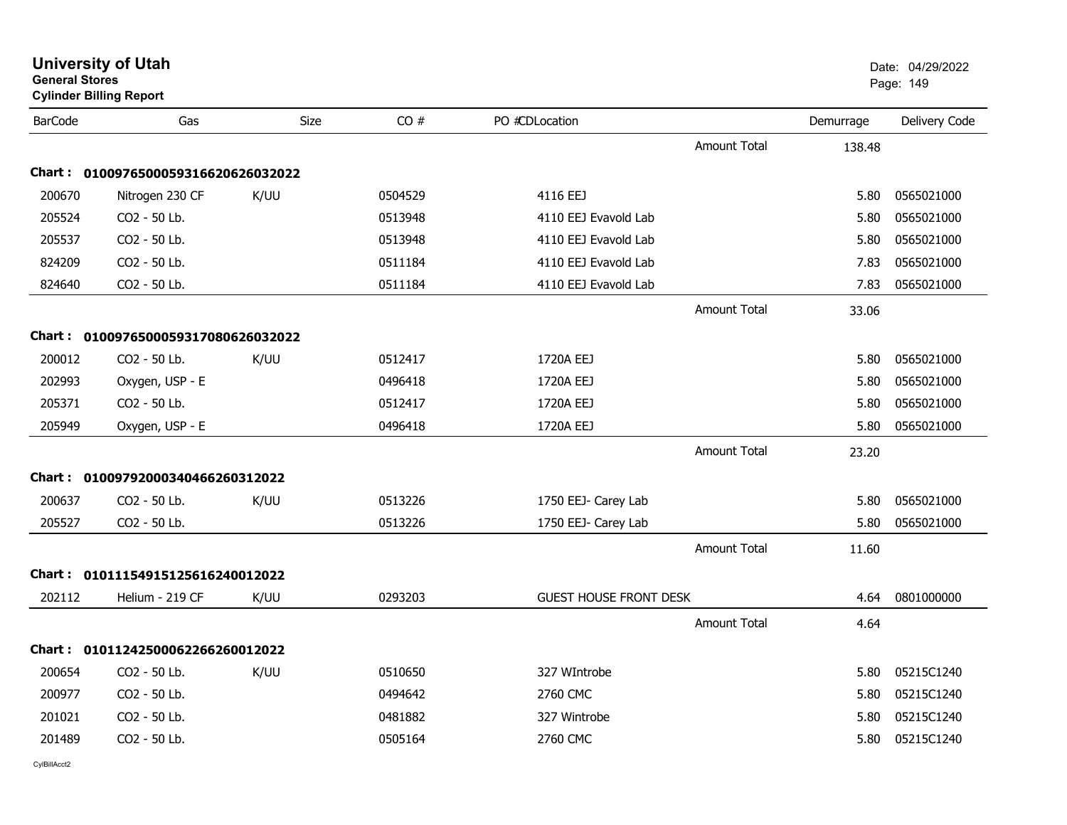| <b>General Stores</b> | <b>University of Utah</b><br><b>Cylinder Billing Report</b> |             |         |                               |                     |           | Date: 04/29/2022<br>Page: 149 |
|-----------------------|-------------------------------------------------------------|-------------|---------|-------------------------------|---------------------|-----------|-------------------------------|
| <b>BarCode</b>        | Gas                                                         | <b>Size</b> | CO#     | PO #CDLocation                |                     | Demurrage | Delivery Code                 |
|                       |                                                             |             |         |                               | <b>Amount Total</b> | 138.48    |                               |
| Chart :               | 0100976500059316620626032022                                |             |         |                               |                     |           |                               |
| 200670                | Nitrogen 230 CF                                             | K/UU        | 0504529 | 4116 EEJ                      |                     | 5.80      | 0565021000                    |
| 205524                | CO2 - 50 Lb.                                                |             | 0513948 | 4110 EEJ Evavold Lab          |                     | 5.80      | 0565021000                    |
| 205537                | CO2 - 50 Lb.                                                |             | 0513948 | 4110 EEJ Evavold Lab          |                     | 5.80      | 0565021000                    |
| 824209                | CO2 - 50 Lb.                                                |             | 0511184 | 4110 EEJ Evavold Lab          |                     | 7.83      | 0565021000                    |
| 824640                | CO2 - 50 Lb.                                                |             | 0511184 | 4110 EEJ Evavold Lab          |                     | 7.83      | 0565021000                    |
|                       |                                                             |             |         |                               | <b>Amount Total</b> | 33.06     |                               |
| Chart :               | 0100976500059317080626032022                                |             |         |                               |                     |           |                               |
| 200012                | CO2 - 50 Lb.                                                | K/UU        | 0512417 | 1720A EEJ                     |                     | 5.80      | 0565021000                    |
| 202993                | Oxygen, USP - E                                             |             | 0496418 | 1720A EEJ                     |                     | 5.80      | 0565021000                    |
| 205371                | CO2 - 50 Lb.                                                |             | 0512417 | 1720A EEJ                     |                     | 5.80      | 0565021000                    |
| 205949                | Oxygen, USP - E                                             |             | 0496418 | 1720A EEJ                     |                     | 5.80      | 0565021000                    |
|                       |                                                             |             |         |                               | <b>Amount Total</b> | 23.20     |                               |
| Chart :               | 01009792000340466260312022                                  |             |         |                               |                     |           |                               |
| 200637                | CO2 - 50 Lb.                                                | K/UU        | 0513226 | 1750 EEJ- Carey Lab           |                     | 5.80      | 0565021000                    |
| 205527                | CO2 - 50 Lb.                                                |             | 0513226 | 1750 EEJ- Carey Lab           |                     | 5.80      | 0565021000                    |
|                       |                                                             |             |         |                               | <b>Amount Total</b> | 11.60     |                               |
|                       | Chart: 01011154915125616240012022                           |             |         |                               |                     |           |                               |
| 202112                | Helium - 219 CF                                             | K/UU        | 0293203 | <b>GUEST HOUSE FRONT DESK</b> |                     | 4.64      | 0801000000                    |
|                       |                                                             |             |         |                               | <b>Amount Total</b> | 4.64      |                               |
|                       | Chart: 01011242500062266260012022                           |             |         |                               |                     |           |                               |
| 200654                | CO2 - 50 Lb.                                                | K/UU        | 0510650 | 327 WIntrobe                  |                     |           | 5.80 05215C1240               |
| 200977                | CO2 - 50 Lb.                                                |             | 0494642 | 2760 CMC                      |                     | 5.80      | 05215C1240                    |
| 201021                | CO2 - 50 Lb.                                                |             | 0481882 | 327 Wintrobe                  |                     | 5.80      | 05215C1240                    |
| 201489                | CO2 - 50 Lb.                                                |             | 0505164 | 2760 CMC                      |                     | 5.80      | 05215C1240                    |
| CvIBillAcct2          |                                                             |             |         |                               |                     |           |                               |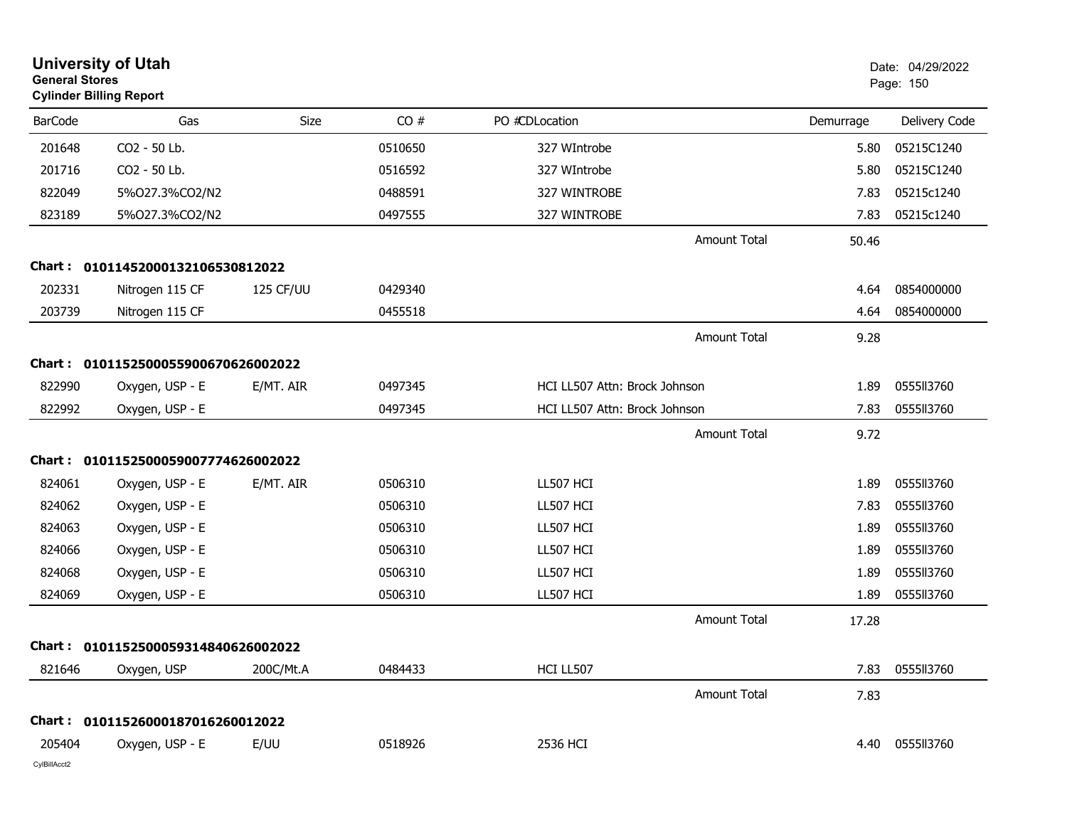| <b>General Stores</b> | <b>University of Utah</b><br><b>Cylinder Billing Report</b> |           |         | Date: 04/29/2022<br>Page: 150 |                     |           |               |
|-----------------------|-------------------------------------------------------------|-----------|---------|-------------------------------|---------------------|-----------|---------------|
| <b>BarCode</b>        | Gas                                                         | Size      | CO#     | PO #CDLocation                |                     | Demurrage | Delivery Code |
| 201648                | CO2 - 50 Lb.                                                |           | 0510650 | 327 WIntrobe                  |                     | 5.80      | 05215C1240    |
| 201716                | CO2 - 50 Lb.                                                |           | 0516592 | 327 WIntrobe                  |                     | 5.80      | 05215C1240    |
| 822049                | 5%027.3%CO2/N2                                              |           | 0488591 | 327 WINTROBE                  |                     | 7.83      | 05215c1240    |
| 823189                | 5%027.3%CO2/N2                                              |           | 0497555 | 327 WINTROBE                  |                     | 7.83      | 05215c1240    |
|                       |                                                             |           |         |                               | <b>Amount Total</b> | 50.46     |               |
|                       | Chart: 01011452000132106530812022                           |           |         |                               |                     |           |               |
| 202331                | Nitrogen 115 CF                                             | 125 CF/UU | 0429340 |                               |                     | 4.64      | 0854000000    |
| 203739                | Nitrogen 115 CF                                             |           | 0455518 |                               |                     | 4.64      | 0854000000    |
|                       |                                                             |           |         |                               | <b>Amount Total</b> | 9.28      |               |
|                       | Chart: 0101152500055900670626002022                         |           |         |                               |                     |           |               |
| 822990                | Oxygen, USP - E                                             | E/MT. AIR | 0497345 | HCI LL507 Attn: Brock Johnson |                     | 1.89      | 0555113760    |
| 822992                | Oxygen, USP - E                                             |           | 0497345 | HCI LL507 Attn: Brock Johnson |                     | 7.83      | 0555113760    |
|                       |                                                             |           |         |                               | <b>Amount Total</b> | 9.72      |               |
|                       | Chart: 0101152500059007774626002022                         |           |         |                               |                     |           |               |
| 824061                | Oxygen, USP - E                                             | E/MT. AIR | 0506310 | LL507 HCI                     |                     | 1.89      | 0555113760    |
| 824062                | Oxygen, USP - E                                             |           | 0506310 | LL507 HCI                     |                     | 7.83      | 0555II3760    |
| 824063                | Oxygen, USP - E                                             |           | 0506310 | LL507 HCI                     |                     | 1.89      | 0555113760    |
| 824066                | Oxygen, USP - E                                             |           | 0506310 | LL507 HCI                     |                     | 1.89      | 0555113760    |
| 824068                | Oxygen, USP - E                                             |           | 0506310 | LL507 HCI                     |                     | 1.89      | 0555113760    |
| 824069                | Oxygen, USP - E                                             |           | 0506310 | LL507 HCI                     |                     | 1.89      | 0555113760    |
|                       |                                                             |           |         |                               | <b>Amount Total</b> | 17.28     |               |
|                       | Chart: 0101152500059314840626002022                         |           |         |                               |                     |           |               |
| 821646                | Oxygen, USP                                                 | 200C/Mt.A | 0484433 | HCI LL507                     |                     | 7.83      | 0555113760    |
|                       |                                                             |           |         |                               | <b>Amount Total</b> | 7.83      |               |
|                       | Chart: 01011526000187016260012022                           |           |         |                               |                     |           |               |
| 205404                | Oxygen, USP - E                                             | E/UU      | 0518926 | 2536 HCI                      |                     | 4.40      | 0555113760    |
| CylBillAcct2          |                                                             |           |         |                               |                     |           |               |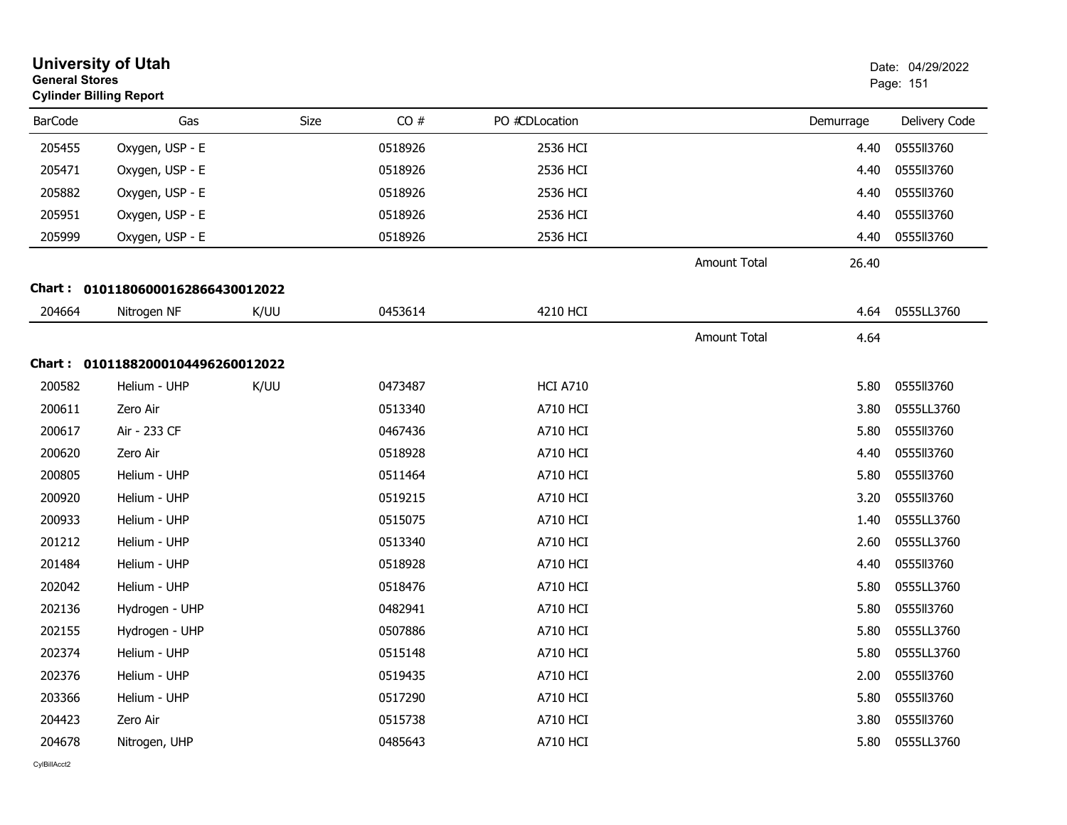|                | <b>University of Utah</b><br>Date: 04/29/2022<br><b>General Stores</b><br>Page: 151<br><b>Cylinder Billing Report</b> |      |         |                 |              |           |               |
|----------------|-----------------------------------------------------------------------------------------------------------------------|------|---------|-----------------|--------------|-----------|---------------|
| <b>BarCode</b> | Gas                                                                                                                   | Size | CO#     | PO #CDLocation  |              | Demurrage | Delivery Code |
| 205455         | Oxygen, USP - E                                                                                                       |      | 0518926 | 2536 HCI        |              | 4.40      | 0555113760    |
| 205471         | Oxygen, USP - E                                                                                                       |      | 0518926 | 2536 HCI        |              | 4.40      | 0555113760    |
| 205882         | Oxygen, USP - E                                                                                                       |      | 0518926 | 2536 HCI        |              | 4.40      | 0555113760    |
| 205951         | Oxygen, USP - E                                                                                                       |      | 0518926 | 2536 HCI        |              | 4.40      | 0555113760    |
| 205999         | Oxygen, USP - E                                                                                                       |      | 0518926 | 2536 HCI        |              | 4.40      | 0555113760    |
|                |                                                                                                                       |      |         |                 | Amount Total | 26.40     |               |
|                | Chart: 01011806000162866430012022                                                                                     |      |         |                 |              |           |               |
| 204664         | Nitrogen NF                                                                                                           | K/UU | 0453614 | 4210 HCI        |              | 4.64      | 0555LL3760    |
|                |                                                                                                                       |      |         |                 | Amount Total | 4.64      |               |
|                | Chart: 01011882000104496260012022                                                                                     |      |         |                 |              |           |               |
| 200582         | Helium - UHP                                                                                                          | K/UU | 0473487 | <b>HCI A710</b> |              | 5.80      | 0555113760    |
| 200611         | Zero Air                                                                                                              |      | 0513340 | <b>A710 HCI</b> |              | 3.80      | 0555LL3760    |
| 200617         | Air - 233 CF                                                                                                          |      | 0467436 | <b>A710 HCI</b> |              | 5.80      | 0555ll3760    |
| 200620         | Zero Air                                                                                                              |      | 0518928 | A710 HCI        |              | 4.40      | 0555113760    |
| 200805         | Helium - UHP                                                                                                          |      | 0511464 | A710 HCI        |              | 5.80      | 0555113760    |
| 200920         | Helium - UHP                                                                                                          |      | 0519215 | <b>A710 HCI</b> |              | 3.20      | 0555ll3760    |
| 200933         | Helium - UHP                                                                                                          |      | 0515075 | <b>A710 HCI</b> |              | 1.40      | 0555LL3760    |
| 201212         | Helium - UHP                                                                                                          |      | 0513340 | A710 HCI        |              | 2.60      | 0555LL3760    |
| 201484         | Helium - UHP                                                                                                          |      | 0518928 | A710 HCI        |              | 4.40      | 0555II3760    |
| 202042         | Helium - UHP                                                                                                          |      | 0518476 | <b>A710 HCI</b> |              | 5.80      | 0555LL3760    |
| 202136         | Hydrogen - UHP                                                                                                        |      | 0482941 | <b>A710 HCI</b> |              | 5.80      | 0555113760    |
| 202155         | Hydrogen - UHP                                                                                                        |      | 0507886 | A710 HCI        |              | 5.80      | 0555LL3760    |
| 202374         | Helium - UHP                                                                                                          |      | 0515148 | A710 HCI        |              | 5.80      | 0555LL3760    |
| 202376         | Helium - UHP                                                                                                          |      | 0519435 | <b>A710 HCI</b> |              | 2.00      | 0555113760    |
| 203366         | Helium - UHP                                                                                                          |      | 0517290 | <b>A710 HCI</b> |              | 5.80      | 0555113760    |
| 204423         | Zero Air                                                                                                              |      | 0515738 | A710 HCI        |              | 3.80      | 0555113760    |
| 204678         | Nitrogen, UHP                                                                                                         |      | 0485643 | A710 HCI        |              | 5.80      | 0555LL3760    |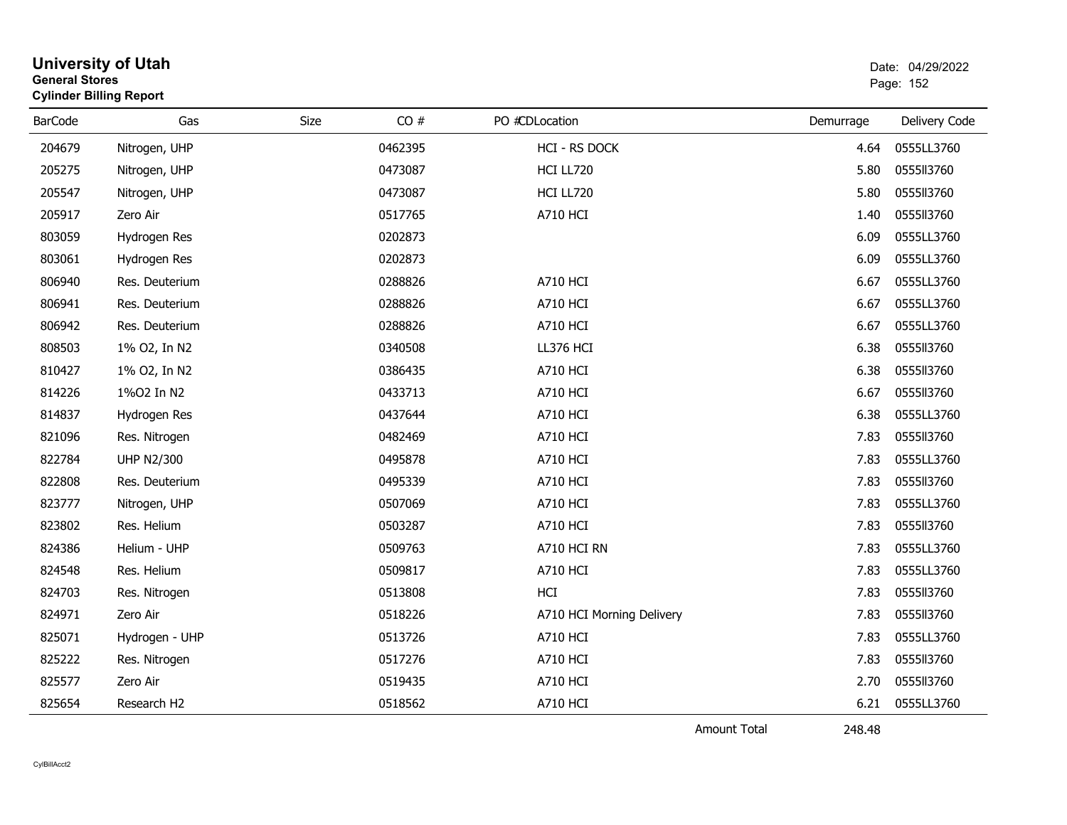| <b>University of Utah</b><br>Date: 04/29/2022<br><b>General Stores</b><br>Page: 152<br><b>Cylinder Billing Report</b> |                         |      |         |                           |           |               |
|-----------------------------------------------------------------------------------------------------------------------|-------------------------|------|---------|---------------------------|-----------|---------------|
| <b>BarCode</b>                                                                                                        | Gas                     | Size | CO#     | PO #CDLocation            | Demurrage | Delivery Code |
| 204679                                                                                                                | Nitrogen, UHP           |      | 0462395 | <b>HCI - RS DOCK</b>      | 4.64      | 0555LL3760    |
| 205275                                                                                                                | Nitrogen, UHP           |      | 0473087 | HCI LL720                 | 5.80      | 0555113760    |
| 205547                                                                                                                | Nitrogen, UHP           |      | 0473087 | HCI LL720                 | 5.80      | 0555113760    |
| 205917                                                                                                                | Zero Air                |      | 0517765 | <b>A710 HCI</b>           | 1.40      | 0555113760    |
| 803059                                                                                                                | Hydrogen Res            |      | 0202873 |                           | 6.09      | 0555LL3760    |
| 803061                                                                                                                | Hydrogen Res            |      | 0202873 |                           | 6.09      | 0555LL3760    |
| 806940                                                                                                                | Res. Deuterium          |      | 0288826 | <b>A710 HCI</b>           | 6.67      | 0555LL3760    |
| 806941                                                                                                                | Res. Deuterium          |      | 0288826 | A710 HCI                  | 6.67      | 0555LL3760    |
| 806942                                                                                                                | Res. Deuterium          |      | 0288826 | <b>A710 HCI</b>           | 6.67      | 0555LL3760    |
| 808503                                                                                                                | 1% O2, In N2            |      | 0340508 | LL376 HCI                 | 6.38      | 0555113760    |
| 810427                                                                                                                | 1% O2, In N2            |      | 0386435 | <b>A710 HCI</b>           | 6.38      | 0555113760    |
| 814226                                                                                                                | 1%02 In N2              |      | 0433713 | <b>A710 HCI</b>           | 6.67      | 0555113760    |
| 814837                                                                                                                | Hydrogen Res            |      | 0437644 | <b>A710 HCI</b>           | 6.38      | 0555LL3760    |
| 821096                                                                                                                | Res. Nitrogen           |      | 0482469 | <b>A710 HCI</b>           | 7.83      | 0555113760    |
| 822784                                                                                                                | <b>UHP N2/300</b>       |      | 0495878 | <b>A710 HCI</b>           | 7.83      | 0555LL3760    |
| 822808                                                                                                                | Res. Deuterium          |      | 0495339 | A710 HCI                  | 7.83      | 0555113760    |
| 823777                                                                                                                | Nitrogen, UHP           |      | 0507069 | <b>A710 HCI</b>           | 7.83      | 0555LL3760    |
| 823802                                                                                                                | Res. Helium             |      | 0503287 | <b>A710 HCI</b>           | 7.83      | 0555ll3760    |
| 824386                                                                                                                | Helium - UHP            |      | 0509763 | A710 HCI RN               | 7.83      | 0555LL3760    |
| 824548                                                                                                                | Res. Helium             |      | 0509817 | <b>A710 HCI</b>           | 7.83      | 0555LL3760    |
| 824703                                                                                                                | Res. Nitrogen           |      | 0513808 | HCI                       | 7.83      | 0555113760    |
| 824971                                                                                                                | Zero Air                |      | 0518226 | A710 HCI Morning Delivery | 7.83      | 0555113760    |
| 825071                                                                                                                | Hydrogen - UHP          |      | 0513726 | <b>A710 HCI</b>           | 7.83      | 0555LL3760    |
| 825222                                                                                                                | Res. Nitrogen           |      | 0517276 | <b>A710 HCI</b>           | 7.83      | 0555113760    |
| 825577                                                                                                                | Zero Air                |      | 0519435 | <b>A710 HCI</b>           | 2.70      | 0555113760    |
| 825654                                                                                                                | Research H <sub>2</sub> |      | 0518562 | <b>A710 HCI</b>           | 6.21      | 0555LL3760    |

Amount Total

248.48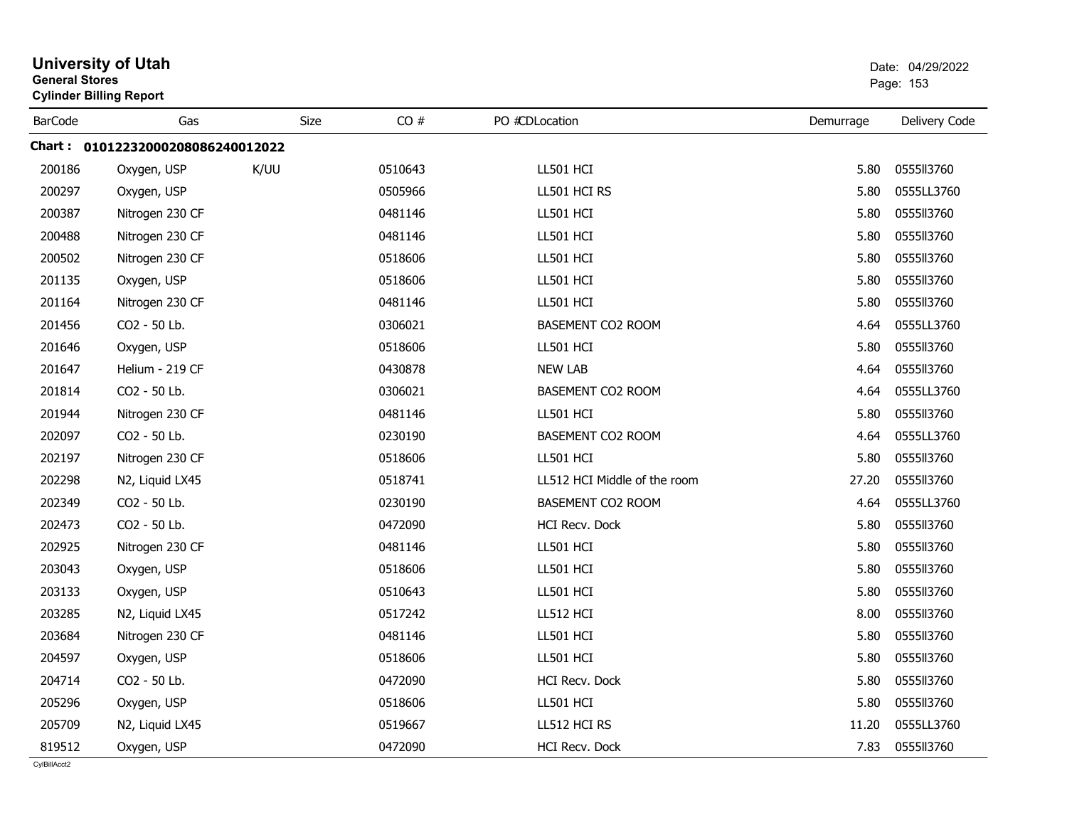| <b>General Stores</b> | <b>Cylinder Billing Report</b>    |      | Page: 153 |                              |           |               |
|-----------------------|-----------------------------------|------|-----------|------------------------------|-----------|---------------|
| <b>BarCode</b>        | Gas                               | Size | CO#       | PO #CDLocation               | Demurrage | Delivery Code |
|                       | Chart: 01012232000208086240012022 |      |           |                              |           |               |
| 200186                | Oxygen, USP                       | K/UU | 0510643   | LL501 HCI                    | 5.80      | 0555113760    |
| 200297                | Oxygen, USP                       |      | 0505966   | LL501 HCI RS                 | 5.80      | 0555LL3760    |
| 200387                | Nitrogen 230 CF                   |      | 0481146   | LL501 HCI                    | 5.80      | 0555113760    |
| 200488                | Nitrogen 230 CF                   |      | 0481146   | LL501 HCI                    | 5.80      | 0555113760    |
| 200502                | Nitrogen 230 CF                   |      | 0518606   | LL501 HCI                    | 5.80      | 0555113760    |
| 201135                | Oxygen, USP                       |      | 0518606   | LL501 HCI                    | 5.80      | 0555113760    |
| 201164                | Nitrogen 230 CF                   |      | 0481146   | LL501 HCI                    | 5.80      | 0555113760    |
| 201456                | CO2 - 50 Lb.                      |      | 0306021   | BASEMENT CO2 ROOM            | 4.64      | 0555LL3760    |
| 201646                | Oxygen, USP                       |      | 0518606   | LL501 HCI                    | 5.80      | 0555113760    |
| 201647                | Helium - 219 CF                   |      | 0430878   | <b>NEW LAB</b>               | 4.64      | 0555113760    |
| 201814                | CO2 - 50 Lb.                      |      | 0306021   | BASEMENT CO2 ROOM            | 4.64      | 0555LL3760    |
| 201944                | Nitrogen 230 CF                   |      | 0481146   | LL501 HCI                    | 5.80      | 0555113760    |
| 202097                | CO2 - 50 Lb.                      |      | 0230190   | BASEMENT CO2 ROOM            | 4.64      | 0555LL3760    |
| 202197                | Nitrogen 230 CF                   |      | 0518606   | LL501 HCI                    | 5.80      | 0555113760    |
| 202298                | N2, Liquid LX45                   |      | 0518741   | LL512 HCI Middle of the room | 27.20     | 0555113760    |
| 202349                | CO2 - 50 Lb.                      |      | 0230190   | BASEMENT CO2 ROOM            | 4.64      | 0555LL3760    |
| 202473                | CO2 - 50 Lb.                      |      | 0472090   | HCI Recv. Dock               | 5.80      | 0555113760    |
| 202925                | Nitrogen 230 CF                   |      | 0481146   | LL501 HCI                    | 5.80      | 0555113760    |
| 203043                | Oxygen, USP                       |      | 0518606   | LL501 HCI                    | 5.80      | 055513760     |
| 203133                | Oxygen, USP                       |      | 0510643   | LL501 HCI                    | 5.80      | 0555113760    |
| 203285                | N2, Liquid LX45                   |      | 0517242   | LL512 HCI                    | 8.00      | 0555113760    |
| 203684                | Nitrogen 230 CF                   |      | 0481146   | LL501 HCI                    | 5.80      | 0555113760    |
| 204597                | Oxygen, USP                       |      | 0518606   | LL501 HCI                    | 5.80      | 0555113760    |
| 204714                | CO2 - 50 Lb.                      |      | 0472090   | HCI Recv. Dock               | 5.80      | 0555113760    |
| 205296                | Oxygen, USP                       |      | 0518606   | LL501 HCI                    | 5.80      | 0555113760    |
| 205709                | N2, Liquid LX45                   |      | 0519667   | LL512 HCI RS                 | 11.20     | 0555LL3760    |
| 819512                | Oxygen, USP                       |      | 0472090   | <b>HCI Recv. Dock</b>        | 7.83      | 0555113760    |

# **University of Utah** Date: 04/29/2022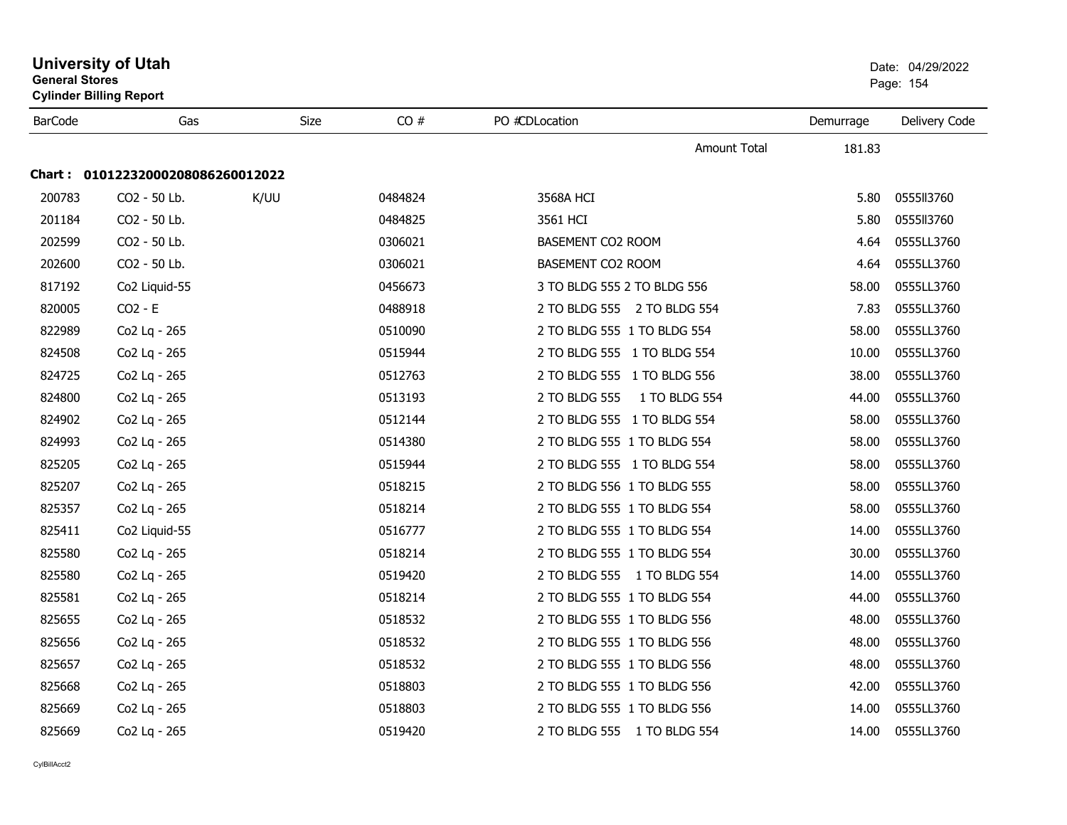| <b>General Stores</b> | <b>University of Utah</b><br><b>Cylinder Billing Report</b> |      | Date: 04/29/2022<br>Page: 154 |                                |           |               |
|-----------------------|-------------------------------------------------------------|------|-------------------------------|--------------------------------|-----------|---------------|
| <b>BarCode</b>        | Gas                                                         | Size | CO#                           | PO #CDLocation                 | Demurrage | Delivery Code |
|                       |                                                             |      |                               | <b>Amount Total</b>            | 181.83    |               |
|                       | Chart: 01012232000208086260012022                           |      |                               |                                |           |               |
| 200783                | CO2 - 50 Lb.                                                | K/UU | 0484824                       | 3568A HCI                      | 5.80      | 0555113760    |
| 201184                | CO2 - 50 Lb.                                                |      | 0484825                       | 3561 HCI                       | 5.80      | 0555113760    |
| 202599                | CO2 - 50 Lb.                                                |      | 0306021                       | BASEMENT CO2 ROOM              | 4.64      | 0555LL3760    |
| 202600                | CO2 - 50 Lb.                                                |      | 0306021                       | <b>BASEMENT CO2 ROOM</b>       | 4.64      | 0555LL3760    |
| 817192                | Co2 Liquid-55                                               |      | 0456673                       | 3 TO BLDG 555 2 TO BLDG 556    | 58.00     | 0555LL3760    |
| 820005                | $CO2 - E$                                                   |      | 0488918                       | 2 TO BLDG 555 2 TO BLDG 554    | 7.83      | 0555LL3760    |
| 822989                | Co2 Lq - 265                                                |      | 0510090                       | 2 TO BLDG 555 1 TO BLDG 554    | 58.00     | 0555LL3760    |
| 824508                | Co2 Lq - 265                                                |      | 0515944                       | 2 TO BLDG 555 1 TO BLDG 554    | 10.00     | 0555LL3760    |
| 824725                | Co2 Lq - 265                                                |      | 0512763                       | 2 TO BLDG 555 1 TO BLDG 556    | 38.00     | 0555LL3760    |
| 824800                | Co2 Lq - 265                                                |      | 0513193                       | 2 TO BLDG 555<br>1 TO BLDG 554 | 44.00     | 0555LL3760    |
| 824902                | Co2 Lq - 265                                                |      | 0512144                       | 2 TO BLDG 555 1 TO BLDG 554    | 58.00     | 0555LL3760    |
| 824993                | Co2 Lq - 265                                                |      | 0514380                       | 2 TO BLDG 555 1 TO BLDG 554    | 58.00     | 0555LL3760    |
| 825205                | Co2 Lq - 265                                                |      | 0515944                       | 2 TO BLDG 555 1 TO BLDG 554    | 58.00     | 0555LL3760    |
| 825207                | Co2 Lq - 265                                                |      | 0518215                       | 2 TO BLDG 556 1 TO BLDG 555    | 58.00     | 0555LL3760    |
| 825357                | Co2 Lq - 265                                                |      | 0518214                       | 2 TO BLDG 555 1 TO BLDG 554    | 58.00     | 0555LL3760    |
| 825411                | Co2 Liquid-55                                               |      | 0516777                       | 2 TO BLDG 555 1 TO BLDG 554    | 14.00     | 0555LL3760    |
| 825580                | Co2 Lq - 265                                                |      | 0518214                       | 2 TO BLDG 555 1 TO BLDG 554    | 30.00     | 0555LL3760    |
| 825580                | Co2 Lq - 265                                                |      | 0519420                       | 2 TO BLDG 555 1 TO BLDG 554    | 14.00     | 0555LL3760    |
| 825581                | Co2 Lq - 265                                                |      | 0518214                       | 2 TO BLDG 555 1 TO BLDG 554    | 44.00     | 0555LL3760    |
| 825655                | Co2 Lq - 265                                                |      | 0518532                       | 2 TO BLDG 555 1 TO BLDG 556    | 48.00     | 0555LL3760    |
| 825656                | Co2 Lq - 265                                                |      | 0518532                       | 2 TO BLDG 555 1 TO BLDG 556    | 48.00     | 0555LL3760    |
| 825657                | Co2 Lq - 265                                                |      | 0518532                       | 2 TO BLDG 555 1 TO BLDG 556    | 48.00     | 0555LL3760    |
| 825668                | Co2 Lq - 265                                                |      | 0518803                       | 2 TO BLDG 555 1 TO BLDG 556    | 42.00     | 0555LL3760    |
| 825669                | Co2 Lq - 265                                                |      | 0518803                       | 2 TO BLDG 555 1 TO BLDG 556    | 14.00     | 0555LL3760    |
| 825669                | Co2 Lq - 265                                                |      | 0519420                       | 2 TO BLDG 555 1 TO BLDG 554    | 14.00     | 0555LL3760    |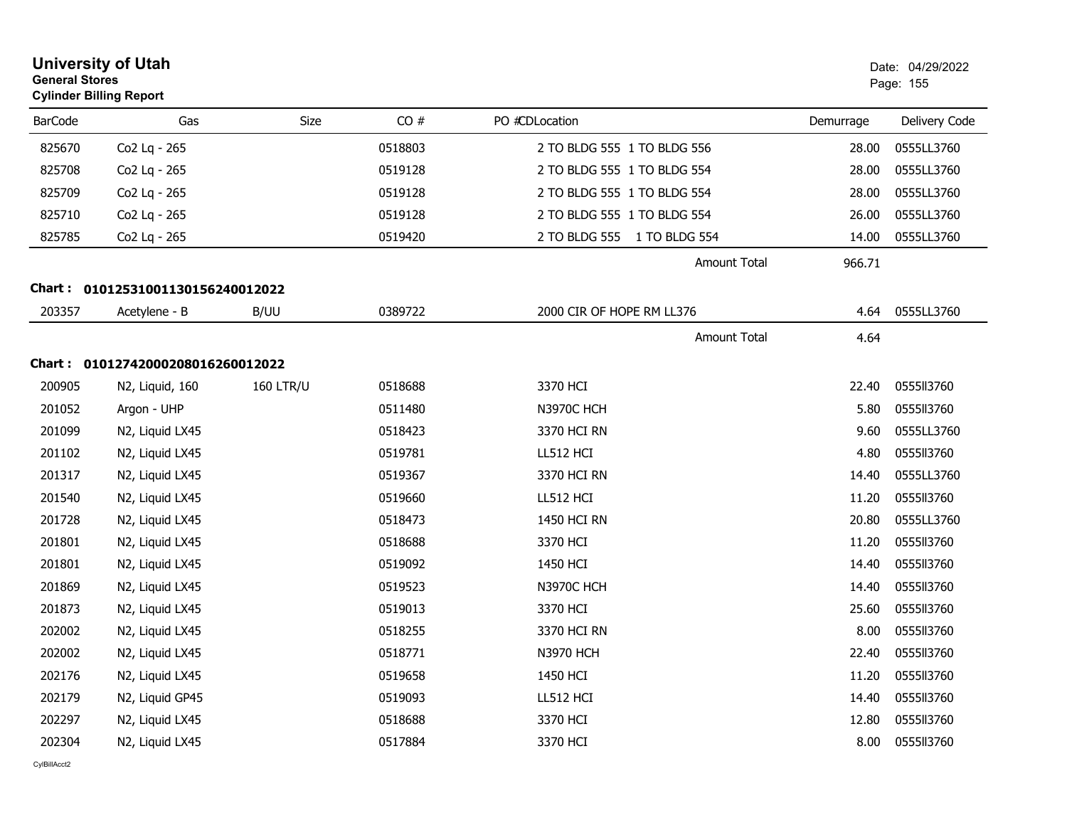|                | <b>University of Utah</b><br><b>General Stores</b><br><b>Cylinder Billing Report</b> |                  |         |                             |           |                  |
|----------------|--------------------------------------------------------------------------------------|------------------|---------|-----------------------------|-----------|------------------|
| <b>BarCode</b> | Gas                                                                                  | Size             | CO#     | PO #CDLocation              | Demurrage | Delivery Code    |
| 825670         | Co2 Lq - 265                                                                         |                  | 0518803 | 2 TO BLDG 555 1 TO BLDG 556 | 28.00     | 0555LL3760       |
| 825708         | Co2 Lq - 265                                                                         |                  | 0519128 | 2 TO BLDG 555 1 TO BLDG 554 | 28.00     | 0555LL3760       |
| 825709         | Co <sub>2</sub> Lg - 265                                                             |                  | 0519128 | 2 TO BLDG 555 1 TO BLDG 554 | 28.00     | 0555LL3760       |
| 825710         | Co2 Lq - 265                                                                         |                  | 0519128 | 2 TO BLDG 555 1 TO BLDG 554 | 26.00     | 0555LL3760       |
| 825785         | Co2 Lq - 265                                                                         |                  | 0519420 | 2 TO BLDG 555 1 TO BLDG 554 | 14.00     | 0555LL3760       |
|                |                                                                                      |                  |         | <b>Amount Total</b>         | 966.71    |                  |
|                | Chart: 01012531001130156240012022                                                    |                  |         |                             |           |                  |
| 203357         | Acetylene - B                                                                        | B/UU             | 0389722 | 2000 CIR OF HOPE RM LL376   | 4.64      | 0555LL3760       |
|                |                                                                                      |                  |         | <b>Amount Total</b>         | 4.64      |                  |
|                | Chart: 01012742000208016260012022                                                    |                  |         |                             |           |                  |
| 200905         | N2, Liquid, 160                                                                      | <b>160 LTR/U</b> | 0518688 | 3370 HCI                    | 22.40     | 0555113760       |
| 201052         | Argon - UHP                                                                          |                  | 0511480 | N3970C HCH                  | 5.80      | 0555113760       |
| 201099         | N2, Liquid LX45                                                                      |                  | 0518423 | 3370 HCI RN                 | 9.60      | 0555LL3760       |
| 201102         | N2, Liquid LX45                                                                      |                  | 0519781 | LL512 HCI                   | 4.80      | 0555113760       |
| 201317         | N2, Liquid LX45                                                                      |                  | 0519367 | 3370 HCI RN                 | 14.40     | 0555LL3760       |
| 201540         | N2, Liquid LX45                                                                      |                  | 0519660 | LL512 HCI                   | 11.20     | 0555113760       |
| 201728         | N2, Liquid LX45                                                                      |                  | 0518473 | 1450 HCI RN                 | 20.80     | 0555LL3760       |
| 201801         | N2, Liquid LX45                                                                      |                  | 0518688 | 3370 HCI                    | 11.20     | 0555113760       |
| 201801         | N2, Liquid LX45                                                                      |                  | 0519092 | 1450 HCI                    | 14.40     | 0555113760       |
| 201869         | N2, Liquid LX45                                                                      |                  | 0519523 | N3970C HCH                  | 14.40     | 0555113760       |
| 201873         | N2, Liquid LX45                                                                      |                  | 0519013 | 3370 HCI                    | 25.60     | 0555113760       |
| 202002         | N2, Liquid LX45                                                                      |                  | 0518255 | 3370 HCI RN                 | 8.00      | 0555113760       |
| 202002         | N2, Liquid LX45                                                                      |                  | 0518771 | <b>N3970 HCH</b>            |           | 22.40 0555ll3760 |
| 202176         | N2, Liquid LX45                                                                      |                  | 0519658 | 1450 HCI                    | 11.20     | 0555113760       |
| 202179         | N2, Liquid GP45                                                                      |                  | 0519093 | LL512 HCI                   | 14.40     | 0555113760       |
| 202297         | N2, Liquid LX45                                                                      |                  | 0518688 | 3370 HCI                    | 12.80     | 0555113760       |
| 202304         | N2, Liquid LX45                                                                      |                  | 0517884 | 3370 HCI                    | 8.00      | 0555113760       |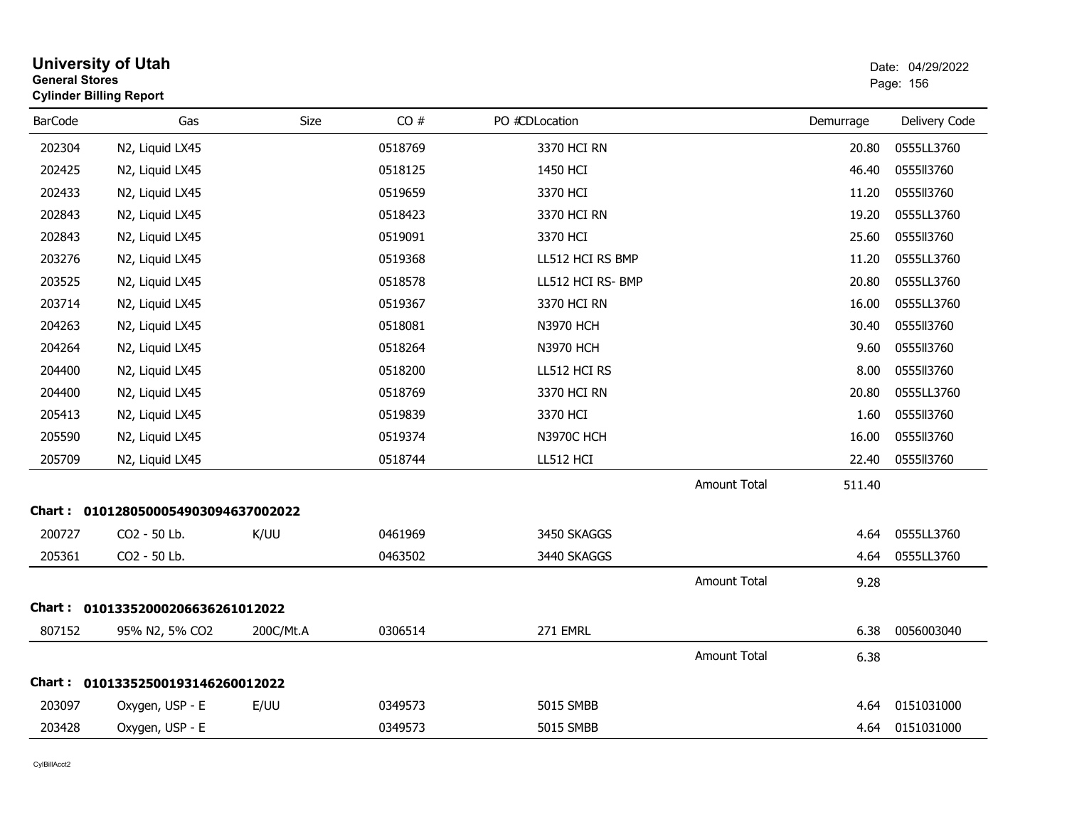|                | <b>University of Utah</b><br><b>General Stores</b><br><b>Cylinder Billing Report</b> |           |         |                   |                     |           | Date: 04/29/2022<br>Page: 156 |
|----------------|--------------------------------------------------------------------------------------|-----------|---------|-------------------|---------------------|-----------|-------------------------------|
| <b>BarCode</b> | Gas                                                                                  | Size      | CO#     | PO #CDLocation    |                     | Demurrage | Delivery Code                 |
| 202304         | N2, Liquid LX45                                                                      |           | 0518769 | 3370 HCI RN       |                     | 20.80     | 0555LL3760                    |
| 202425         | N2, Liquid LX45                                                                      |           | 0518125 | 1450 HCI          |                     | 46.40     | 0555113760                    |
| 202433         | N2, Liquid LX45                                                                      |           | 0519659 | 3370 HCI          |                     | 11.20     | 0555113760                    |
| 202843         | N2, Liquid LX45                                                                      |           | 0518423 | 3370 HCI RN       |                     | 19.20     | 0555LL3760                    |
| 202843         | N2, Liquid LX45                                                                      |           | 0519091 | 3370 HCI          |                     | 25.60     | 0555113760                    |
| 203276         | N2, Liquid LX45                                                                      |           | 0519368 | LL512 HCI RS BMP  |                     | 11.20     | 0555LL3760                    |
| 203525         | N2, Liquid LX45                                                                      |           | 0518578 | LL512 HCI RS- BMP |                     | 20.80     | 0555LL3760                    |
| 203714         | N2, Liquid LX45                                                                      |           | 0519367 | 3370 HCI RN       |                     | 16.00     | 0555LL3760                    |
| 204263         | N2, Liquid LX45                                                                      |           | 0518081 | <b>N3970 HCH</b>  |                     | 30.40     | 0555113760                    |
| 204264         | N2, Liquid LX45                                                                      |           | 0518264 | <b>N3970 HCH</b>  |                     | 9.60      | 0555113760                    |
| 204400         | N2, Liquid LX45                                                                      |           | 0518200 | LL512 HCI RS      |                     | 8.00      | 0555113760                    |
| 204400         | N2, Liquid LX45                                                                      |           | 0518769 | 3370 HCI RN       |                     | 20.80     | 0555LL3760                    |
| 205413         | N2, Liquid LX45                                                                      |           | 0519839 | 3370 HCI          |                     | 1.60      | 0555113760                    |
| 205590         | N2, Liquid LX45                                                                      |           | 0519374 | <b>N3970C HCH</b> |                     | 16.00     | 0555113760                    |
| 205709         | N2, Liquid LX45                                                                      |           | 0518744 | LL512 HCI         |                     | 22.40     | 0555ll3760                    |
|                |                                                                                      |           |         |                   | Amount Total        | 511.40    |                               |
|                | Chart: 0101280500054903094637002022                                                  |           |         |                   |                     |           |                               |
| 200727         | CO2 - 50 Lb.                                                                         | K/UU      | 0461969 | 3450 SKAGGS       |                     | 4.64      | 0555LL3760                    |
| 205361         | CO2 - 50 Lb.                                                                         |           | 0463502 | 3440 SKAGGS       |                     | 4.64      | 0555LL3760                    |
|                |                                                                                      |           |         |                   | <b>Amount Total</b> | 9.28      |                               |
| Chart :        | 01013352000206636261012022                                                           |           |         |                   |                     |           |                               |
| 807152         | 95% N2, 5% CO2                                                                       | 200C/Mt.A | 0306514 | 271 EMRL          |                     | 6.38      | 0056003040                    |
|                |                                                                                      |           |         |                   | Amount Total        | 6.38      |                               |
| Chart :        | 01013352500193146260012022                                                           |           |         |                   |                     |           |                               |
| 203097         | Oxygen, USP - E                                                                      | E/UU      | 0349573 | <b>5015 SMBB</b>  |                     | 4.64      | 0151031000                    |
| 203428         | Oxygen, USP - E                                                                      |           | 0349573 | 5015 SMBB         |                     | 4.64      | 0151031000                    |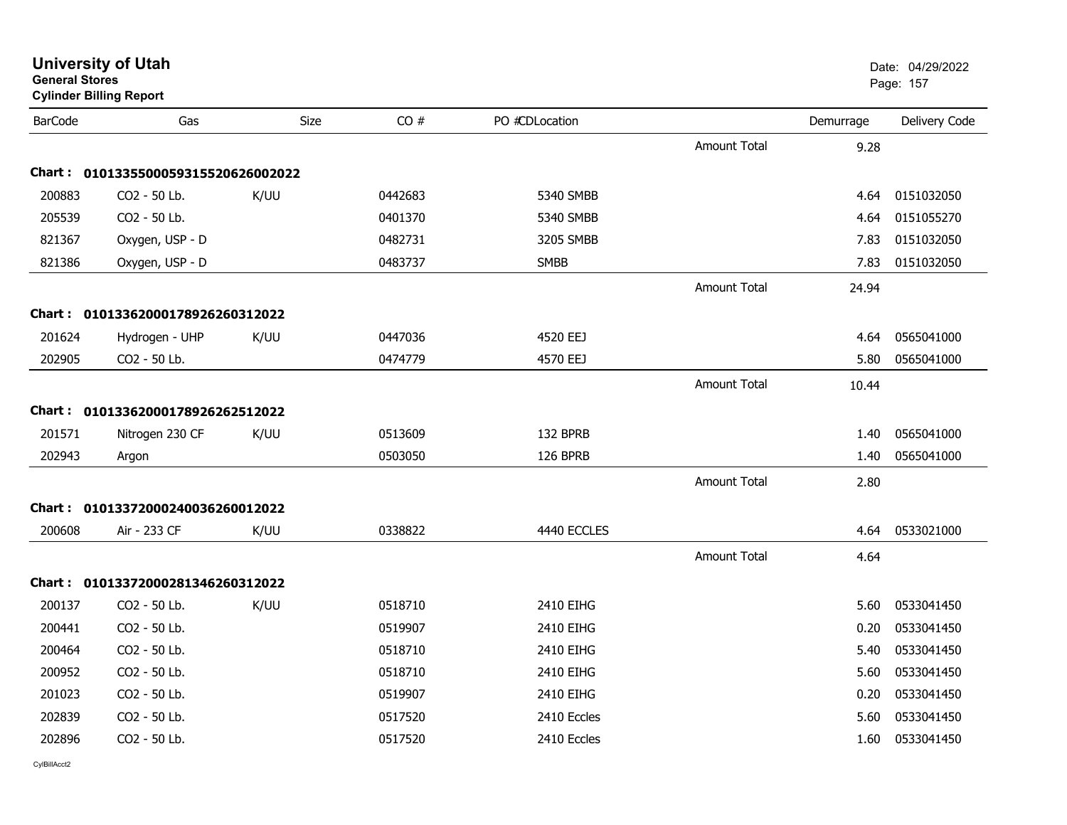| General Stores | <b>Cylinder Billing Report</b>      |             |         |                |                     |           | Page: 157     |
|----------------|-------------------------------------|-------------|---------|----------------|---------------------|-----------|---------------|
| <b>BarCode</b> | Gas                                 | <b>Size</b> | CO#     | PO #CDLocation |                     | Demurrage | Delivery Code |
|                |                                     |             |         |                | <b>Amount Total</b> | 9.28      |               |
|                | Chart: 0101335500059315520626002022 |             |         |                |                     |           |               |
| 200883         | CO2 - 50 Lb.                        | K/UU        | 0442683 | 5340 SMBB      |                     | 4.64      | 0151032050    |
| 205539         | CO2 - 50 Lb.                        |             | 0401370 | 5340 SMBB      |                     | 4.64      | 0151055270    |
| 821367         | Oxygen, USP - D                     |             | 0482731 | 3205 SMBB      |                     | 7.83      | 0151032050    |
| 821386         | Oxygen, USP - D                     |             | 0483737 | <b>SMBB</b>    |                     | 7.83      | 0151032050    |
|                |                                     |             |         |                | Amount Total        | 24.94     |               |
|                | Chart: 01013362000178926260312022   |             |         |                |                     |           |               |
| 201624         | Hydrogen - UHP                      | K/UU        | 0447036 | 4520 EEJ       |                     | 4.64      | 0565041000    |
| 202905         | CO2 - 50 Lb.                        |             | 0474779 | 4570 EEJ       |                     | 5.80      | 0565041000    |
|                |                                     |             |         |                | <b>Amount Total</b> | 10.44     |               |
|                | Chart: 01013362000178926262512022   |             |         |                |                     |           |               |
| 201571         | Nitrogen 230 CF                     | K/UU        | 0513609 | 132 BPRB       |                     | 1.40      | 0565041000    |
| 202943         | Argon                               |             | 0503050 | 126 BPRB       |                     | 1.40      | 0565041000    |
|                |                                     |             |         |                | <b>Amount Total</b> | 2.80      |               |
|                | Chart: 01013372000240036260012022   |             |         |                |                     |           |               |
| 200608         | Air - 233 CF                        | K/UU        | 0338822 | 4440 ECCLES    |                     | 4.64      | 0533021000    |
|                |                                     |             |         |                | Amount Total        | 4.64      |               |
|                | Chart: 01013372000281346260312022   |             |         |                |                     |           |               |
| 200137         | CO2 - 50 Lb.                        | K/UU        | 0518710 | 2410 EIHG      |                     | 5.60      | 0533041450    |
| 200441         | CO2 - 50 Lb.                        |             | 0519907 | 2410 EIHG      |                     | 0.20      | 0533041450    |
| 200464         | CO2 - 50 Lb.                        |             | 0518710 | 2410 EIHG      |                     | 5.40      | 0533041450    |
| 200952         | CO2 - 50 Lb.                        |             | 0518710 | 2410 EIHG      |                     | 5.60      | 0533041450    |
| 201023         | CO2 - 50 Lb.                        |             | 0519907 | 2410 EIHG      |                     | 0.20      | 0533041450    |
| 202839         | CO2 - 50 Lb.                        |             | 0517520 | 2410 Eccles    |                     | 5.60      | 0533041450    |
| 202896         | CO2 - 50 Lb.                        |             | 0517520 | 2410 Eccles    |                     | 1.60      | 0533041450    |
|                |                                     |             |         |                |                     |           |               |

# **General Stores**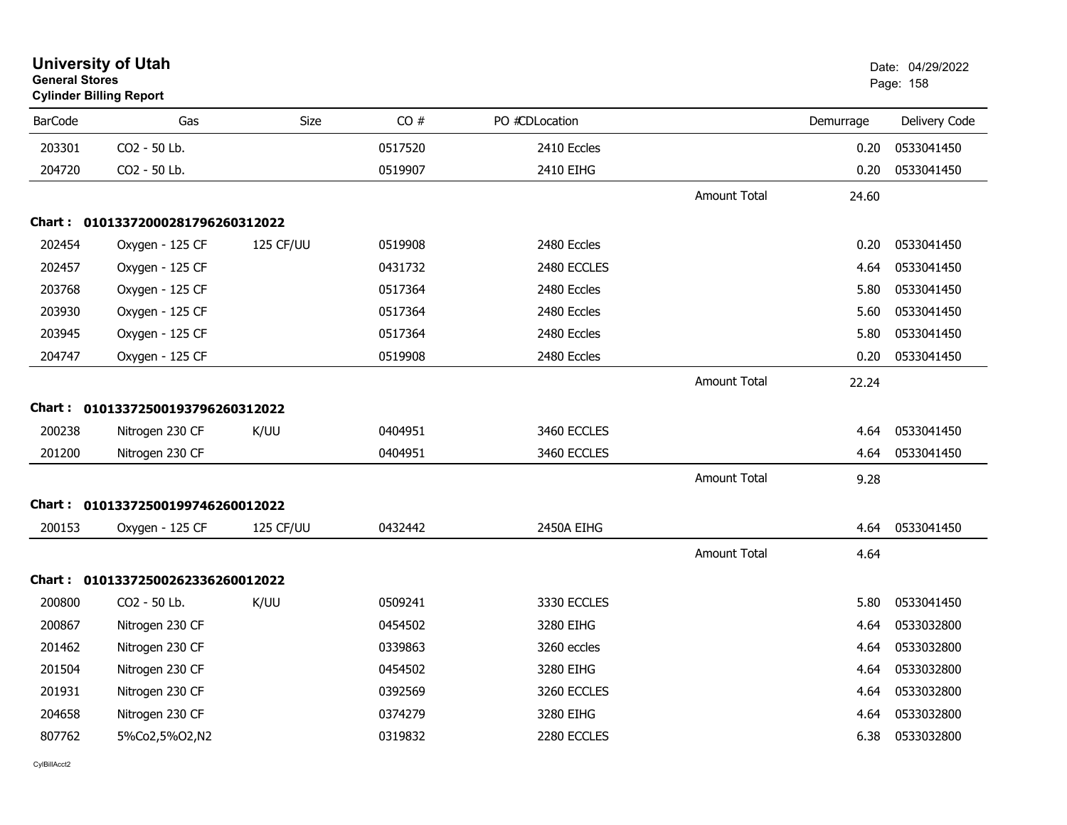| <b>General Stores</b> | <b>University of Utah</b><br><b>Cylinder Billing Report</b> |           |         |                |                     |           | Date: 04/29/2022<br>Page: 158 |
|-----------------------|-------------------------------------------------------------|-----------|---------|----------------|---------------------|-----------|-------------------------------|
| <b>BarCode</b>        | Gas                                                         | Size      | CO#     | PO #CDLocation |                     | Demurrage | Delivery Code                 |
| 203301                | CO2 - 50 Lb.                                                |           | 0517520 | 2410 Eccles    |                     | 0.20      | 0533041450                    |
| 204720                | CO2 - 50 Lb.                                                |           | 0519907 | 2410 EIHG      |                     | 0.20      | 0533041450                    |
|                       |                                                             |           |         |                | Amount Total        | 24.60     |                               |
|                       | Chart: 01013372000281796260312022                           |           |         |                |                     |           |                               |
| 202454                | Oxygen - 125 CF                                             | 125 CF/UU | 0519908 | 2480 Eccles    |                     | 0.20      | 0533041450                    |
| 202457                | Oxygen - 125 CF                                             |           | 0431732 | 2480 ECCLES    |                     | 4.64      | 0533041450                    |
| 203768                | Oxygen - 125 CF                                             |           | 0517364 | 2480 Eccles    |                     | 5.80      | 0533041450                    |
| 203930                | Oxygen - 125 CF                                             |           | 0517364 | 2480 Eccles    |                     | 5.60      | 0533041450                    |
| 203945                | Oxygen - 125 CF                                             |           | 0517364 | 2480 Eccles    |                     | 5.80      | 0533041450                    |
| 204747                | Oxygen - 125 CF                                             |           | 0519908 | 2480 Eccles    |                     | 0.20      | 0533041450                    |
|                       |                                                             |           |         |                | <b>Amount Total</b> | 22.24     |                               |
|                       | Chart: 01013372500193796260312022                           |           |         |                |                     |           |                               |
| 200238                | Nitrogen 230 CF                                             | K/UU      | 0404951 | 3460 ECCLES    |                     | 4.64      | 0533041450                    |
| 201200                | Nitrogen 230 CF                                             |           | 0404951 | 3460 ECCLES    |                     | 4.64      | 0533041450                    |
|                       |                                                             |           |         |                | <b>Amount Total</b> | 9.28      |                               |
| Chart :               | 01013372500199746260012022                                  |           |         |                |                     |           |                               |
| 200153                | Oxygen - 125 CF                                             | 125 CF/UU | 0432442 | 2450A EIHG     |                     | 4.64      | 0533041450                    |
|                       |                                                             |           |         |                | <b>Amount Total</b> | 4.64      |                               |
|                       | Chart: 01013372500262336260012022                           |           |         |                |                     |           |                               |
| 200800                | CO2 - 50 Lb.                                                | K/UU      | 0509241 | 3330 ECCLES    |                     | 5.80      | 0533041450                    |
| 200867                | Nitrogen 230 CF                                             |           | 0454502 | 3280 EIHG      |                     | 4.64      | 0533032800                    |
| 201462                | Nitrogen 230 CF                                             |           | 0339863 | 3260 eccles    |                     | 4.64      | 0533032800                    |
| 201504                | Nitrogen 230 CF                                             |           | 0454502 | 3280 EIHG      |                     | 4.64      | 0533032800                    |
| 201931                | Nitrogen 230 CF                                             |           | 0392569 | 3260 ECCLES    |                     | 4.64      | 0533032800                    |
| 204658                | Nitrogen 230 CF                                             |           | 0374279 | 3280 EIHG      |                     | 4.64      | 0533032800                    |
| 807762                | 5%Co2,5%O2,N2                                               |           | 0319832 | 2280 ECCLES    |                     | 6.38      | 0533032800                    |
|                       |                                                             |           |         |                |                     |           |                               |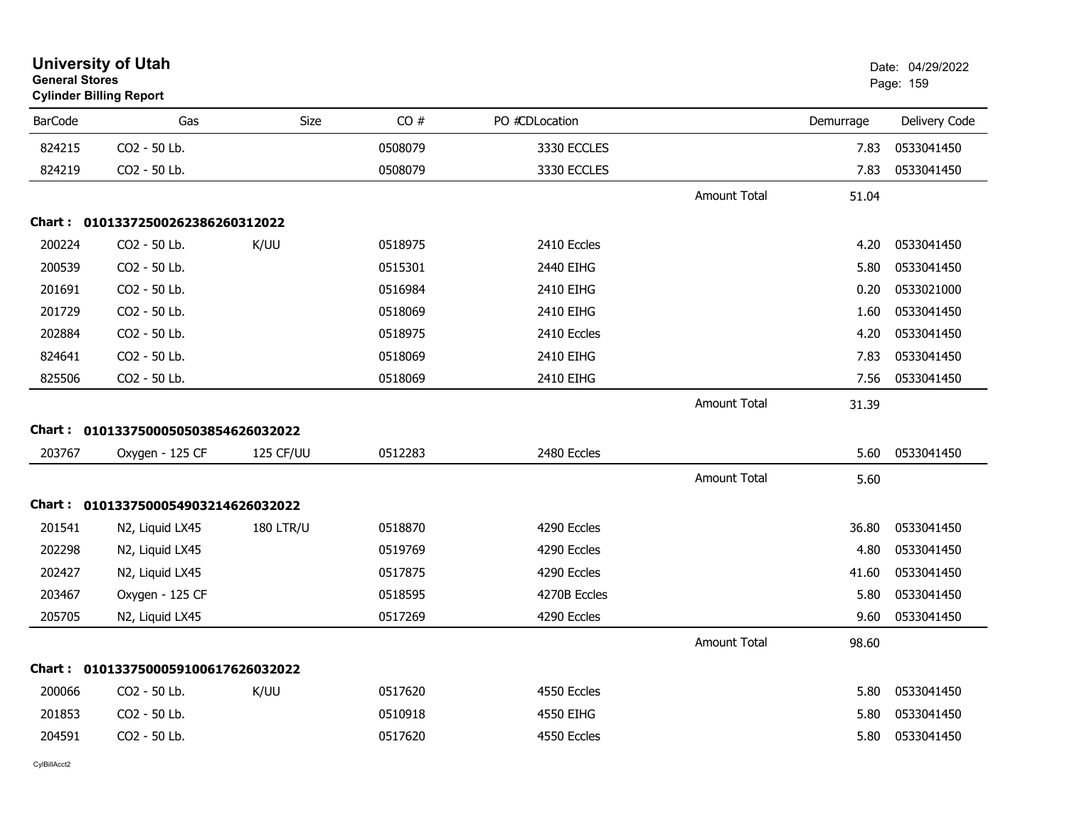| <b>General Stores</b> | <b>University of Utah</b><br><b>Cylinder Billing Report</b> |                  |         |                |                     |           | Date: 04/29/2022<br>Page: 159 |
|-----------------------|-------------------------------------------------------------|------------------|---------|----------------|---------------------|-----------|-------------------------------|
| <b>BarCode</b>        | Gas                                                         | Size             | CO#     | PO #CDLocation |                     | Demurrage | Delivery Code                 |
| 824215                | CO2 - 50 Lb.                                                |                  | 0508079 | 3330 ECCLES    |                     | 7.83      | 0533041450                    |
| 824219                | CO2 - 50 Lb.                                                |                  | 0508079 | 3330 ECCLES    |                     | 7.83      | 0533041450                    |
|                       |                                                             |                  |         |                | <b>Amount Total</b> | 51.04     |                               |
|                       | Chart: 01013372500262386260312022                           |                  |         |                |                     |           |                               |
| 200224                | CO2 - 50 Lb.                                                | K/UU             | 0518975 | 2410 Eccles    |                     | 4.20      | 0533041450                    |
| 200539                | CO2 - 50 Lb.                                                |                  | 0515301 | 2440 EIHG      |                     | 5.80      | 0533041450                    |
| 201691                | CO2 - 50 Lb.                                                |                  | 0516984 | 2410 EIHG      |                     | 0.20      | 0533021000                    |
| 201729                | CO2 - 50 Lb.                                                |                  | 0518069 | 2410 EIHG      |                     | 1.60      | 0533041450                    |
| 202884                | CO2 - 50 Lb.                                                |                  | 0518975 | 2410 Eccles    |                     | 4.20      | 0533041450                    |
| 824641                | CO2 - 50 Lb.                                                |                  | 0518069 | 2410 EIHG      |                     | 7.83      | 0533041450                    |
| 825506                | CO2 - 50 Lb.                                                |                  | 0518069 | 2410 EIHG      |                     | 7.56      | 0533041450                    |
|                       |                                                             |                  |         |                | <b>Amount Total</b> | 31.39     |                               |
|                       | Chart: 0101337500050503854626032022                         |                  |         |                |                     |           |                               |
| 203767                | Oxygen - 125 CF                                             | 125 CF/UU        | 0512283 | 2480 Eccles    |                     | 5.60      | 0533041450                    |
|                       |                                                             |                  |         |                | <b>Amount Total</b> | 5.60      |                               |
|                       | Chart: 0101337500054903214626032022                         |                  |         |                |                     |           |                               |
| 201541                | N2, Liquid LX45                                             | <b>180 LTR/U</b> | 0518870 | 4290 Eccles    |                     | 36.80     | 0533041450                    |
| 202298                | N2, Liquid LX45                                             |                  | 0519769 | 4290 Eccles    |                     | 4.80      | 0533041450                    |
| 202427                | N2, Liquid LX45                                             |                  | 0517875 | 4290 Eccles    |                     | 41.60     | 0533041450                    |
| 203467                | Oxygen - 125 CF                                             |                  | 0518595 | 4270B Eccles   |                     | 5.80      | 0533041450                    |
| 205705                | N2, Liquid LX45                                             |                  | 0517269 | 4290 Eccles    |                     | 9.60      | 0533041450                    |
|                       |                                                             |                  |         |                | <b>Amount Total</b> | 98.60     |                               |
|                       | Chart: 0101337500059100617626032022                         |                  |         |                |                     |           |                               |
| 200066                | CO2 - 50 Lb.                                                | K/UU             | 0517620 | 4550 Eccles    |                     | 5.80      | 0533041450                    |
| 201853                | CO2 - 50 Lb.                                                |                  | 0510918 | 4550 EIHG      |                     | 5.80      | 0533041450                    |
| 204591                | CO2 - 50 Lb.                                                |                  | 0517620 | 4550 Eccles    |                     | 5.80      | 0533041450                    |
|                       |                                                             |                  |         |                |                     |           |                               |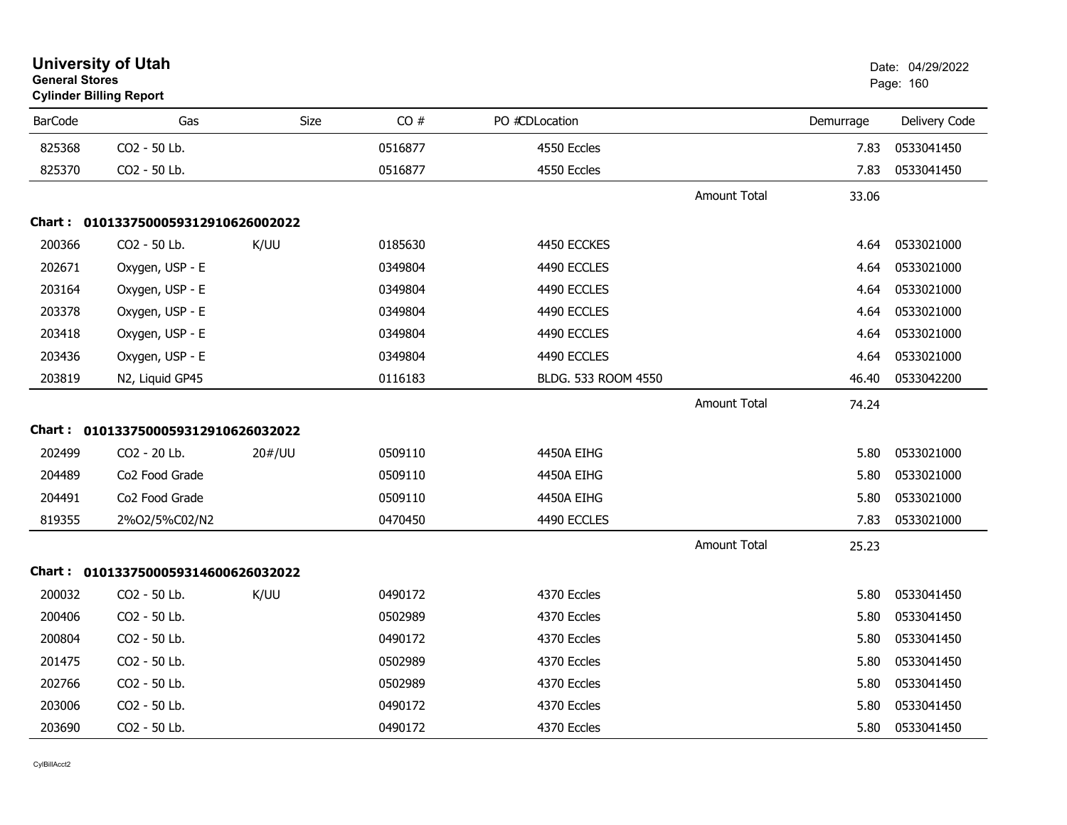| <b>General Stores</b> | <b>University of Utah</b><br><b>Cylinder Billing Report</b> |        |         |                     |                     |           | Date: 04/29/2022<br>Page: 160 |
|-----------------------|-------------------------------------------------------------|--------|---------|---------------------|---------------------|-----------|-------------------------------|
| <b>BarCode</b>        | Gas                                                         | Size   | CO#     | PO #CDLocation      |                     | Demurrage | Delivery Code                 |
| 825368                | CO2 - 50 Lb.                                                |        | 0516877 | 4550 Eccles         |                     | 7.83      | 0533041450                    |
| 825370                | CO <sub>2</sub> - 50 Lb.                                    |        | 0516877 | 4550 Eccles         |                     | 7.83      | 0533041450                    |
|                       |                                                             |        |         |                     | <b>Amount Total</b> | 33.06     |                               |
|                       | Chart: 0101337500059312910626002022                         |        |         |                     |                     |           |                               |
| 200366                | CO2 - 50 Lb.                                                | K/UU   | 0185630 | 4450 ECCKES         |                     | 4.64      | 0533021000                    |
| 202671                | Oxygen, USP - E                                             |        | 0349804 | 4490 ECCLES         |                     | 4.64      | 0533021000                    |
| 203164                | Oxygen, USP - E                                             |        | 0349804 | 4490 ECCLES         |                     | 4.64      | 0533021000                    |
| 203378                | Oxygen, USP - E                                             |        | 0349804 | 4490 ECCLES         |                     | 4.64      | 0533021000                    |
| 203418                | Oxygen, USP - E                                             |        | 0349804 | 4490 ECCLES         |                     | 4.64      | 0533021000                    |
| 203436                | Oxygen, USP - E                                             |        | 0349804 | 4490 ECCLES         |                     | 4.64      | 0533021000                    |
| 203819                | N2, Liquid GP45                                             |        | 0116183 | BLDG. 533 ROOM 4550 |                     | 46.40     | 0533042200                    |
|                       |                                                             |        |         |                     | <b>Amount Total</b> | 74.24     |                               |
|                       | Chart: 0101337500059312910626032022                         |        |         |                     |                     |           |                               |
| 202499                | CO2 - 20 Lb.                                                | 20#/UU | 0509110 | 4450A EIHG          |                     | 5.80      | 0533021000                    |
| 204489                | Co2 Food Grade                                              |        | 0509110 | 4450A EIHG          |                     | 5.80      | 0533021000                    |
| 204491                | Co2 Food Grade                                              |        | 0509110 | 4450A EIHG          |                     | 5.80      | 0533021000                    |
| 819355                | 2%O2/5%C02/N2                                               |        | 0470450 | 4490 ECCLES         |                     | 7.83      | 0533021000                    |
|                       |                                                             |        |         |                     | <b>Amount Total</b> | 25.23     |                               |
|                       | Chart: 0101337500059314600626032022                         |        |         |                     |                     |           |                               |
| 200032                | CO2 - 50 Lb.                                                | K/UU   | 0490172 | 4370 Eccles         |                     | 5.80      | 0533041450                    |
| 200406                | CO2 - 50 Lb.                                                |        | 0502989 | 4370 Eccles         |                     | 5.80      | 0533041450                    |
| 200804                | CO2 - 50 Lb.                                                |        | 0490172 | 4370 Eccles         |                     | 5.80      | 0533041450                    |
| 201475                | CO2 - 50 Lb.                                                |        | 0502989 | 4370 Eccles         |                     | 5.80      | 0533041450                    |
| 202766                | CO2 - 50 Lb.                                                |        | 0502989 | 4370 Eccles         |                     | 5.80      | 0533041450                    |
| 203006                | CO2 - 50 Lb.                                                |        | 0490172 | 4370 Eccles         |                     | 5.80      | 0533041450                    |
| 203690                | CO2 - 50 Lb.                                                |        | 0490172 | 4370 Eccles         |                     | 5.80      | 0533041450                    |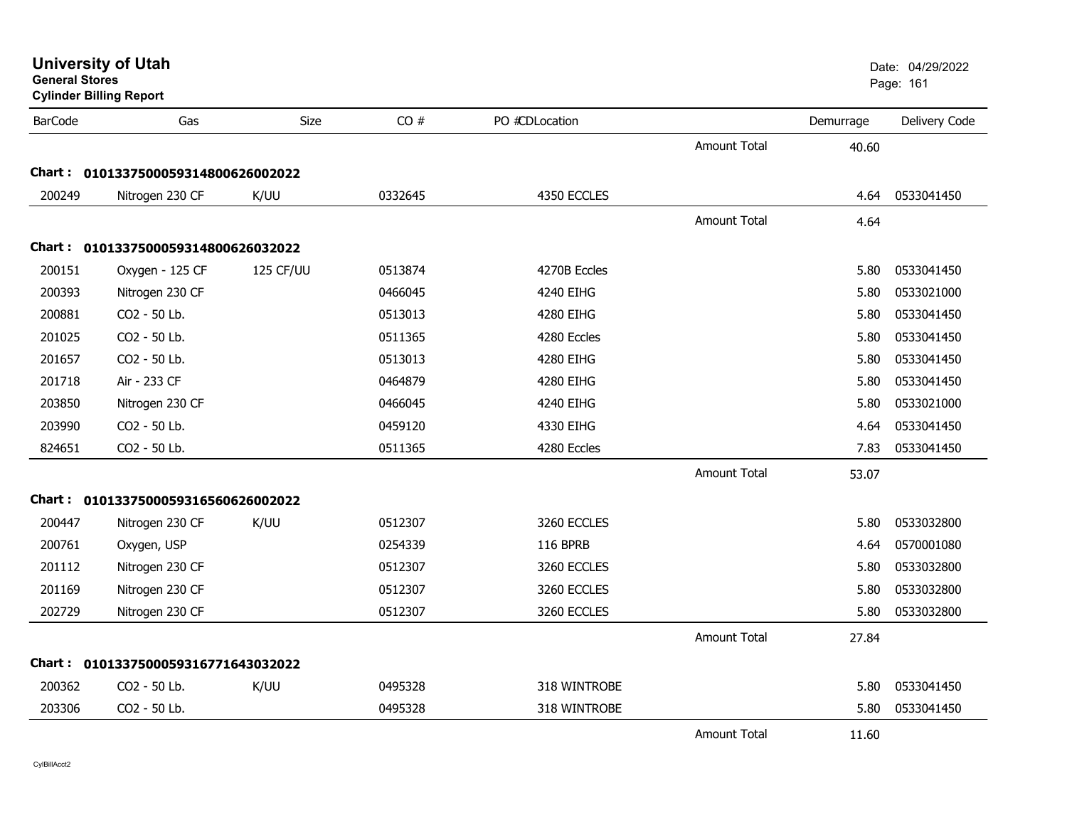| General Stores | <b>Cylinder Billing Report</b>      |           |         |                 |                     |           | Page: 161     |
|----------------|-------------------------------------|-----------|---------|-----------------|---------------------|-----------|---------------|
| <b>BarCode</b> | Gas                                 | Size      | CO#     | PO #CDLocation  |                     | Demurrage | Delivery Code |
|                |                                     |           |         |                 | Amount Total        | 40.60     |               |
|                | Chart: 0101337500059314800626002022 |           |         |                 |                     |           |               |
| 200249         | Nitrogen 230 CF                     | K/UU      | 0332645 | 4350 ECCLES     |                     | 4.64      | 0533041450    |
|                |                                     |           |         |                 | <b>Amount Total</b> | 4.64      |               |
|                | Chart: 0101337500059314800626032022 |           |         |                 |                     |           |               |
| 200151         | Oxygen - 125 CF                     | 125 CF/UU | 0513874 | 4270B Eccles    |                     | 5.80      | 0533041450    |
| 200393         | Nitrogen 230 CF                     |           | 0466045 | 4240 EIHG       |                     | 5.80      | 0533021000    |
| 200881         | CO2 - 50 Lb.                        |           | 0513013 | 4280 EIHG       |                     | 5.80      | 0533041450    |
| 201025         | CO2 - 50 Lb.                        |           | 0511365 | 4280 Eccles     |                     | 5.80      | 0533041450    |
| 201657         | CO2 - 50 Lb.                        |           | 0513013 | 4280 EIHG       |                     | 5.80      | 0533041450    |
| 201718         | Air - 233 CF                        |           | 0464879 | 4280 EIHG       |                     | 5.80      | 0533041450    |
| 203850         | Nitrogen 230 CF                     |           | 0466045 | 4240 EIHG       |                     | 5.80      | 0533021000    |
| 203990         | CO2 - 50 Lb.                        |           | 0459120 | 4330 EIHG       |                     | 4.64      | 0533041450    |
| 824651         | CO2 - 50 Lb.                        |           | 0511365 | 4280 Eccles     |                     | 7.83      | 0533041450    |
|                |                                     |           |         |                 | <b>Amount Total</b> | 53.07     |               |
|                | Chart: 0101337500059316560626002022 |           |         |                 |                     |           |               |
| 200447         | Nitrogen 230 CF                     | K/UU      | 0512307 | 3260 ECCLES     |                     | 5.80      | 0533032800    |
| 200761         | Oxygen, USP                         |           | 0254339 | <b>116 BPRB</b> |                     | 4.64      | 0570001080    |
| 201112         | Nitrogen 230 CF                     |           | 0512307 | 3260 ECCLES     |                     | 5.80      | 0533032800    |
| 201169         | Nitrogen 230 CF                     |           | 0512307 | 3260 ECCLES     |                     | 5.80      | 0533032800    |
| 202729         | Nitrogen 230 CF                     |           | 0512307 | 3260 ECCLES     |                     | 5.80      | 0533032800    |
|                |                                     |           |         |                 | <b>Amount Total</b> | 27.84     |               |
|                | Chart: 0101337500059316771643032022 |           |         |                 |                     |           |               |
| 200362         | CO2 - 50 Lb.                        | K/UU      | 0495328 | 318 WINTROBE    |                     | 5.80      | 0533041450    |
| 203306         | CO2 - 50 Lb.                        |           | 0495328 | 318 WINTROBE    |                     | 5.80      | 0533041450    |
|                |                                     |           |         |                 | <b>Amount Total</b> | 11.60     |               |

# **University of Utah** Date: 04/29/2022

**General Stores**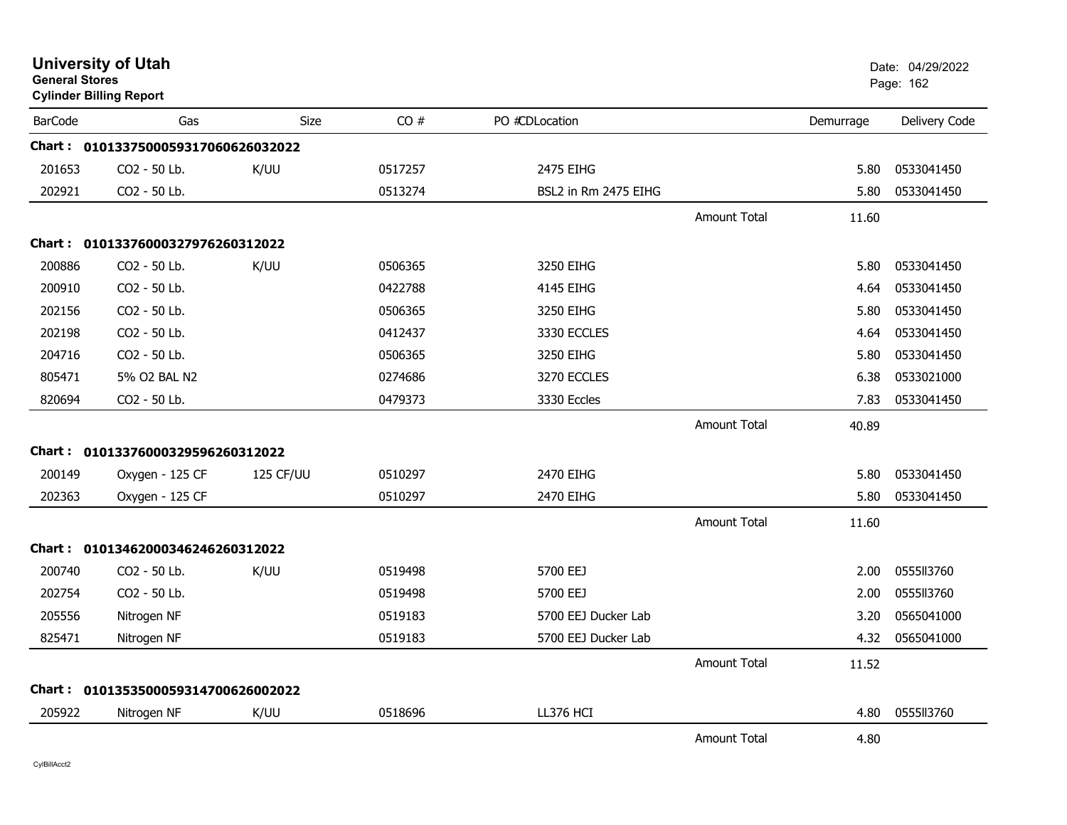| <b>General Stores</b> | <b>University of Utah</b><br><b>Cylinder Billing Report</b> |             |         |                      |                     |           | Date: 04/29/2022<br>Page: 162 |
|-----------------------|-------------------------------------------------------------|-------------|---------|----------------------|---------------------|-----------|-------------------------------|
| <b>BarCode</b>        | Gas                                                         | <b>Size</b> | CO#     | PO #CDLocation       |                     | Demurrage | Delivery Code                 |
|                       | Chart: 0101337500059317060626032022                         |             |         |                      |                     |           |                               |
| 201653                | CO <sub>2</sub> - 50 Lb.                                    | K/UU        | 0517257 | 2475 EIHG            |                     | 5.80      | 0533041450                    |
| 202921                | CO2 - 50 Lb.                                                |             | 0513274 | BSL2 in Rm 2475 EIHG |                     | 5.80      | 0533041450                    |
|                       |                                                             |             |         |                      | <b>Amount Total</b> | 11.60     |                               |
|                       | Chart: 01013376000327976260312022                           |             |         |                      |                     |           |                               |
| 200886                | CO2 - 50 Lb.                                                | K/UU        | 0506365 | 3250 EIHG            |                     | 5.80      | 0533041450                    |
| 200910                | CO2 - 50 Lb.                                                |             | 0422788 | 4145 EIHG            |                     | 4.64      | 0533041450                    |
| 202156                | CO2 - 50 Lb.                                                |             | 0506365 | 3250 EIHG            |                     | 5.80      | 0533041450                    |
| 202198                | CO2 - 50 Lb.                                                |             | 0412437 | 3330 ECCLES          |                     | 4.64      | 0533041450                    |
| 204716                | CO2 - 50 Lb.                                                |             | 0506365 | 3250 EIHG            |                     | 5.80      | 0533041450                    |
| 805471                | 5% O2 BAL N2                                                |             | 0274686 | 3270 ECCLES          |                     | 6.38      | 0533021000                    |
| 820694                | CO2 - 50 Lb.                                                |             | 0479373 | 3330 Eccles          |                     | 7.83      | 0533041450                    |
|                       |                                                             |             |         |                      | <b>Amount Total</b> | 40.89     |                               |
|                       | Chart: 01013376000329596260312022                           |             |         |                      |                     |           |                               |
| 200149                | Oxygen - 125 CF                                             | 125 CF/UU   | 0510297 | 2470 EIHG            |                     | 5.80      | 0533041450                    |
| 202363                | Oxygen - 125 CF                                             |             | 0510297 | 2470 EIHG            |                     | 5.80      | 0533041450                    |
|                       |                                                             |             |         |                      | <b>Amount Total</b> | 11.60     |                               |
|                       | Chart: 01013462000346246260312022                           |             |         |                      |                     |           |                               |
| 200740                | CO2 - 50 Lb.                                                | K/UU        | 0519498 | 5700 EEJ             |                     | 2.00      | 0555II3760                    |
| 202754                | CO2 - 50 Lb.                                                |             | 0519498 | 5700 EEJ             |                     | 2.00      | 0555113760                    |
| 205556                | Nitrogen NF                                                 |             | 0519183 | 5700 EEJ Ducker Lab  |                     | 3.20      | 0565041000                    |
| 825471                | Nitrogen NF                                                 |             | 0519183 | 5700 EEJ Ducker Lab  |                     | 4.32      | 0565041000                    |
|                       |                                                             |             |         |                      | <b>Amount Total</b> | 11.52     |                               |
|                       | Chart: 0101353500059314700626002022                         |             |         |                      |                     |           |                               |
| 205922                | Nitrogen NF                                                 | K/UU        | 0518696 | LL376 HCI            |                     | 4.80      | 0555113760                    |
|                       |                                                             |             |         |                      | <b>Amount Total</b> | 4.80      |                               |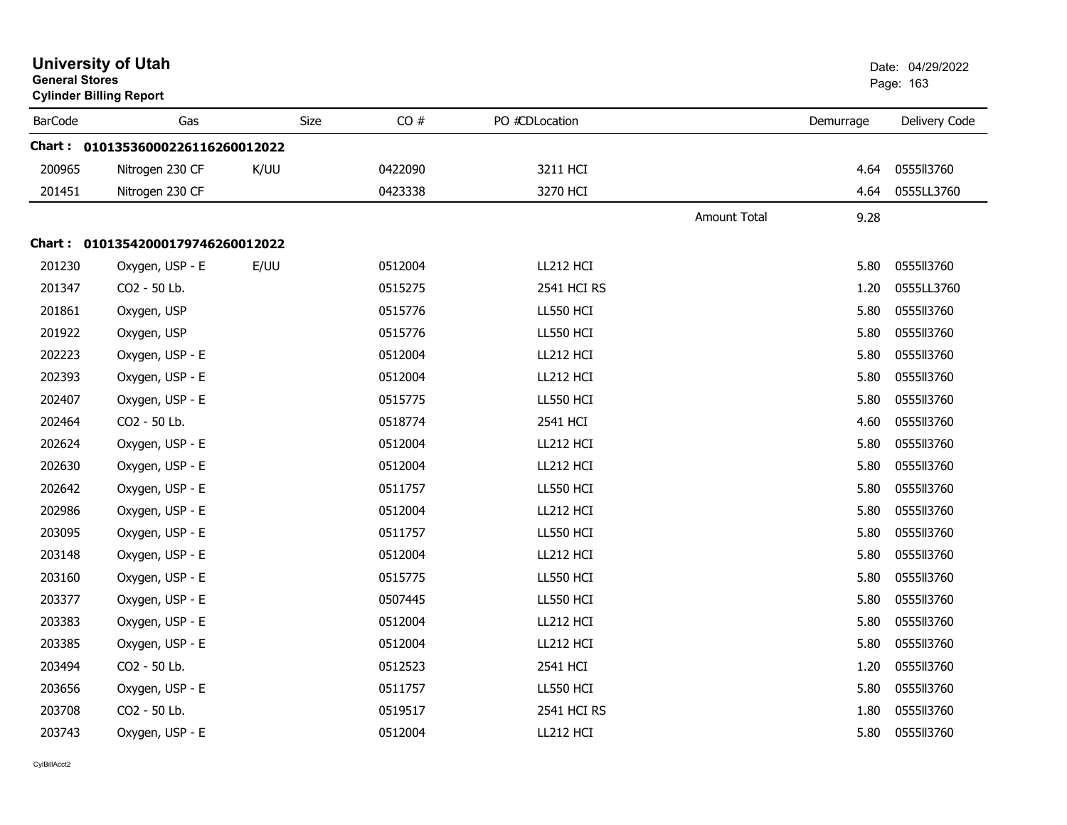|                | <b>University of Utah</b><br><b>General Stores</b><br><b>Cylinder Billing Report</b> |      |             |         |                  |                     |           | Date: 04/29/2022<br>Page: 163 |
|----------------|--------------------------------------------------------------------------------------|------|-------------|---------|------------------|---------------------|-----------|-------------------------------|
| <b>BarCode</b> | Gas                                                                                  |      | <b>Size</b> | CO#     | PO #CDLocation   |                     | Demurrage | Delivery Code                 |
|                | Chart: 01013536000226116260012022                                                    |      |             |         |                  |                     |           |                               |
| 200965         | Nitrogen 230 CF                                                                      | K/UU |             | 0422090 | 3211 HCI         |                     | 4.64      | 0555113760                    |
| 201451         | Nitrogen 230 CF                                                                      |      |             | 0423338 | 3270 HCI         |                     | 4.64      | 0555LL3760                    |
|                |                                                                                      |      |             |         |                  | <b>Amount Total</b> | 9.28      |                               |
|                | Chart: 01013542000179746260012022                                                    |      |             |         |                  |                     |           |                               |
| 201230         | Oxygen, USP - E                                                                      | E/UU |             | 0512004 | LL212 HCI        |                     | 5.80      | 0555113760                    |
| 201347         | CO2 - 50 Lb.                                                                         |      |             | 0515275 | 2541 HCI RS      |                     | 1.20      | 0555LL3760                    |
| 201861         | Oxygen, USP                                                                          |      |             | 0515776 | LL550 HCI        |                     | 5.80      | 0555113760                    |
| 201922         | Oxygen, USP                                                                          |      |             | 0515776 | <b>LL550 HCI</b> |                     | 5.80      | 0555113760                    |
| 202223         | Oxygen, USP - E                                                                      |      |             | 0512004 | LL212 HCI        |                     | 5.80      | 0555113760                    |
| 202393         | Oxygen, USP - E                                                                      |      |             | 0512004 | LL212 HCI        |                     | 5.80      | 0555113760                    |
| 202407         | Oxygen, USP - E                                                                      |      |             | 0515775 | <b>LL550 HCI</b> |                     | 5.80      | 0555113760                    |
| 202464         | CO2 - 50 Lb.                                                                         |      |             | 0518774 | 2541 HCI         |                     | 4.60      | 0555113760                    |
| 202624         | Oxygen, USP - E                                                                      |      |             | 0512004 | LL212 HCI        |                     | 5.80      | 0555113760                    |
| 202630         | Oxygen, USP - E                                                                      |      |             | 0512004 | LL212 HCI        |                     | 5.80      | 0555113760                    |
| 202642         | Oxygen, USP - E                                                                      |      |             | 0511757 | <b>LL550 HCI</b> |                     | 5.80      | 0555113760                    |
| 202986         | Oxygen, USP - E                                                                      |      |             | 0512004 | LL212 HCI        |                     | 5.80      | 0555113760                    |
| 203095         | Oxygen, USP - E                                                                      |      |             | 0511757 | <b>LL550 HCI</b> |                     | 5.80      | 0555113760                    |
| 203148         | Oxygen, USP - E                                                                      |      |             | 0512004 | LL212 HCI        |                     | 5.80      | 0555113760                    |
| 203160         | Oxygen, USP - E                                                                      |      |             | 0515775 | <b>LL550 HCI</b> |                     | 5.80      | 0555113760                    |
| 203377         | Oxygen, USP - E                                                                      |      |             | 0507445 | LL550 HCI        |                     | 5.80      | 0555113760                    |
| 203383         | Oxygen, USP - E                                                                      |      |             | 0512004 | LL212 HCI        |                     | 5.80      | 0555113760                    |
| 203385         | Oxygen, USP - E                                                                      |      |             | 0512004 | LL212 HCI        |                     | 5.80      | 0555113760                    |
| 203494         | CO2 - 50 Lb.                                                                         |      |             | 0512523 | 2541 HCI         |                     | 1.20      | 0555113760                    |
| 203656         | Oxygen, USP - E                                                                      |      |             | 0511757 | LL550 HCI        |                     | 5.80      | 0555113760                    |
| 203708         | CO2 - 50 Lb.                                                                         |      |             | 0519517 | 2541 HCI RS      |                     | 1.80      | 0555113760                    |
| 203743         | Oxygen, USP - E                                                                      |      |             | 0512004 | LL212 HCI        |                     | 5.80      | 0555113760                    |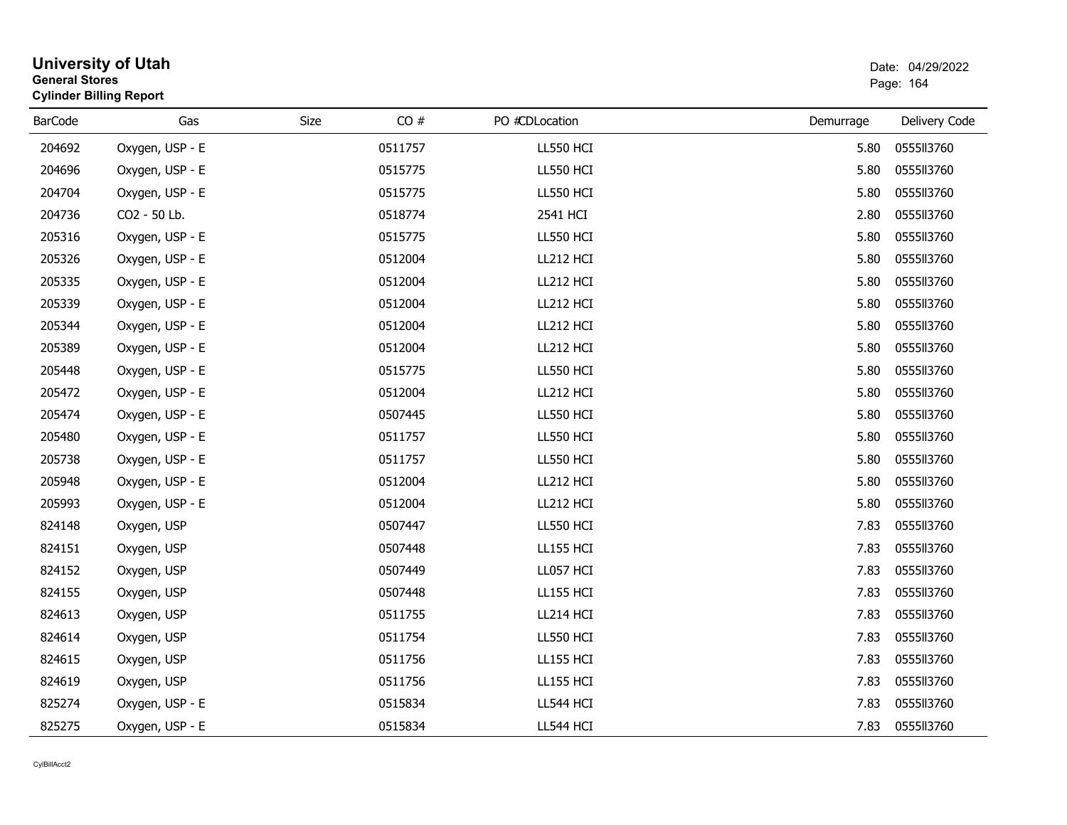| <b>General Stores</b> | <b>Cylinder Billing Report</b> |      |         |                  |           | Page: 164     |
|-----------------------|--------------------------------|------|---------|------------------|-----------|---------------|
| <b>BarCode</b>        | Gas                            | Size | CO#     | PO #CDLocation   | Demurrage | Delivery Code |
| 204692                | Oxygen, USP - E                |      | 0511757 | <b>LL550 HCI</b> | 5.80      | 0555113760    |
| 204696                | Oxygen, USP - E                |      | 0515775 | <b>LL550 HCI</b> | 5.80      | 0555113760    |
| 204704                | Oxygen, USP - E                |      | 0515775 | <b>LL550 HCI</b> | 5.80      | 0555113760    |
| 204736                | CO2 - 50 Lb.                   |      | 0518774 | 2541 HCI         | 2.80      | 0555113760    |
| 205316                | Oxygen, USP - E                |      | 0515775 | <b>LL550 HCI</b> | 5.80      | 0555113760    |
| 205326                | Oxygen, USP - E                |      | 0512004 | LL212 HCI        | 5.80      | 0555113760    |
| 205335                | Oxygen, USP - E                |      | 0512004 | LL212 HCI        | 5.80      | 0555113760    |
| 205339                | Oxygen, USP - E                |      | 0512004 | LL212 HCI        | 5.80      | 0555113760    |
| 205344                | Oxygen, USP - E                |      | 0512004 | LL212 HCI        | 5.80      | 0555113760    |
| 205389                | Oxygen, USP - E                |      | 0512004 | LL212 HCI        | 5.80      | 0555113760    |
| 205448                | Oxygen, USP - E                |      | 0515775 | LL550 HCI        | 5.80      | 0555113760    |
| 205472                | Oxygen, USP - E                |      | 0512004 | LL212 HCI        | 5.80      | 0555113760    |
| 205474                | Oxygen, USP - E                |      | 0507445 | <b>LL550 HCI</b> | 5.80      | 0555113760    |
| 205480                | Oxygen, USP - E                |      | 0511757 | <b>LL550 HCI</b> | 5.80      | 0555113760    |
| 205738                | Oxygen, USP - E                |      | 0511757 | <b>LL550 HCI</b> | 5.80      | 0555113760    |
| 205948                | Oxygen, USP - E                |      | 0512004 | LL212 HCI        | 5.80      | 0555113760    |
| 205993                | Oxygen, USP - E                |      | 0512004 | LL212 HCI        | 5.80      | 0555113760    |
| 824148                | Oxygen, USP                    |      | 0507447 | LL550 HCI        | 7.83      | 0555113760    |
| 824151                | Oxygen, USP                    |      | 0507448 | <b>LL155 HCI</b> | 7.83      | 0555113760    |
| 824152                | Oxygen, USP                    |      | 0507449 | LL057 HCI        | 7.83      | 0555113760    |
| 824155                | Oxygen, USP                    |      | 0507448 | <b>LL155 HCI</b> | 7.83      | 0555113760    |
| 824613                | Oxygen, USP                    |      | 0511755 | LL214 HCI        | 7.83      | 0555113760    |
| 824614                | Oxygen, USP                    |      | 0511754 | <b>LL550 HCI</b> | 7.83      | 0555113760    |
| 824615                | Oxygen, USP                    |      | 0511756 | <b>LL155 HCI</b> | 7.83      | 0555113760    |
| 824619                | Oxygen, USP                    |      | 0511756 | <b>LL155 HCI</b> | 7.83      | 0555113760    |
| 825274                | Oxygen, USP - E                |      | 0515834 | LL544 HCI        | 7.83      | 0555113760    |
| 825275                | Oxygen, USP - E                |      | 0515834 | LL544 HCI        | 7.83      | 0555113760    |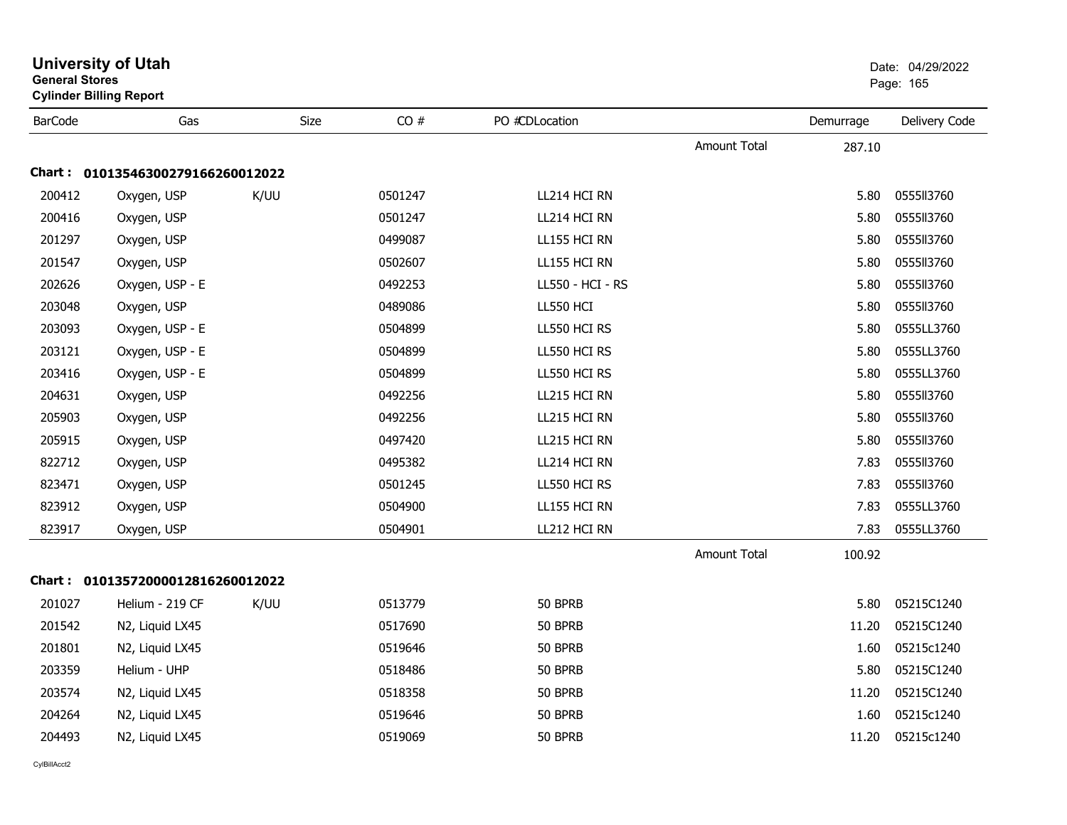| <b>General Stores</b> | <b>Cylinder Billing Report</b>    |      |         |                  |                     |           | Page: 165     |
|-----------------------|-----------------------------------|------|---------|------------------|---------------------|-----------|---------------|
| <b>BarCode</b>        | Gas                               | Size | CO#     | PO #CDLocation   |                     | Demurrage | Delivery Code |
|                       |                                   |      |         |                  | Amount Total        | 287.10    |               |
|                       | Chart: 01013546300279166260012022 |      |         |                  |                     |           |               |
| 200412                | Oxygen, USP                       | K/UU | 0501247 | LL214 HCI RN     |                     | 5.80      | 0555113760    |
| 200416                | Oxygen, USP                       |      | 0501247 | LL214 HCI RN     |                     | 5.80      | 0555113760    |
| 201297                | Oxygen, USP                       |      | 0499087 | LL155 HCI RN     |                     | 5.80      | 0555113760    |
| 201547                | Oxygen, USP                       |      | 0502607 | LL155 HCI RN     |                     | 5.80      | 0555113760    |
| 202626                | Oxygen, USP - E                   |      | 0492253 | LL550 - HCI - RS |                     | 5.80      | 0555113760    |
| 203048                | Oxygen, USP                       |      | 0489086 | <b>LL550 HCI</b> |                     | 5.80      | 0555113760    |
| 203093                | Oxygen, USP - E                   |      | 0504899 | LL550 HCI RS     |                     | 5.80      | 0555LL3760    |
| 203121                | Oxygen, USP - E                   |      | 0504899 | LL550 HCI RS     |                     | 5.80      | 0555LL3760    |
| 203416                | Oxygen, USP - E                   |      | 0504899 | LL550 HCI RS     |                     | 5.80      | 0555LL3760    |
| 204631                | Oxygen, USP                       |      | 0492256 | LL215 HCI RN     |                     | 5.80      | 0555113760    |
| 205903                | Oxygen, USP                       |      | 0492256 | LL215 HCI RN     |                     | 5.80      | 0555113760    |
| 205915                | Oxygen, USP                       |      | 0497420 | LL215 HCI RN     |                     | 5.80      | 0555113760    |
| 822712                | Oxygen, USP                       |      | 0495382 | LL214 HCI RN     |                     | 7.83      | 0555113760    |
| 823471                | Oxygen, USP                       |      | 0501245 | LL550 HCI RS     |                     | 7.83      | 0555113760    |
| 823912                | Oxygen, USP                       |      | 0504900 | LL155 HCI RN     |                     | 7.83      | 0555LL3760    |
| 823917                | Oxygen, USP                       |      | 0504901 | LL212 HCI RN     |                     | 7.83      | 0555LL3760    |
|                       |                                   |      |         |                  | <b>Amount Total</b> | 100.92    |               |
|                       | Chart: 01013572000012816260012022 |      |         |                  |                     |           |               |
| 201027                | Helium - 219 CF                   | K/UU | 0513779 | 50 BPRB          |                     | 5.80      | 05215C1240    |
| 201542                | N2, Liquid LX45                   |      | 0517690 | 50 BPRB          |                     | 11.20     | 05215C1240    |
| 201801                | N2, Liquid LX45                   |      | 0519646 | 50 BPRB          |                     | 1.60      | 05215c1240    |
| 203359                | Helium - UHP                      |      | 0518486 | 50 BPRB          |                     | 5.80      | 05215C1240    |
| 203574                | N2, Liquid LX45                   |      | 0518358 | 50 BPRB          |                     | 11.20     | 05215C1240    |
| 204264                | N2, Liquid LX45                   |      | 0519646 | 50 BPRB          |                     | 1.60      | 05215c1240    |
| 204493                | N2, Liquid LX45                   |      | 0519069 | 50 BPRB          |                     | 11.20     | 05215c1240    |
|                       |                                   |      |         |                  |                     |           |               |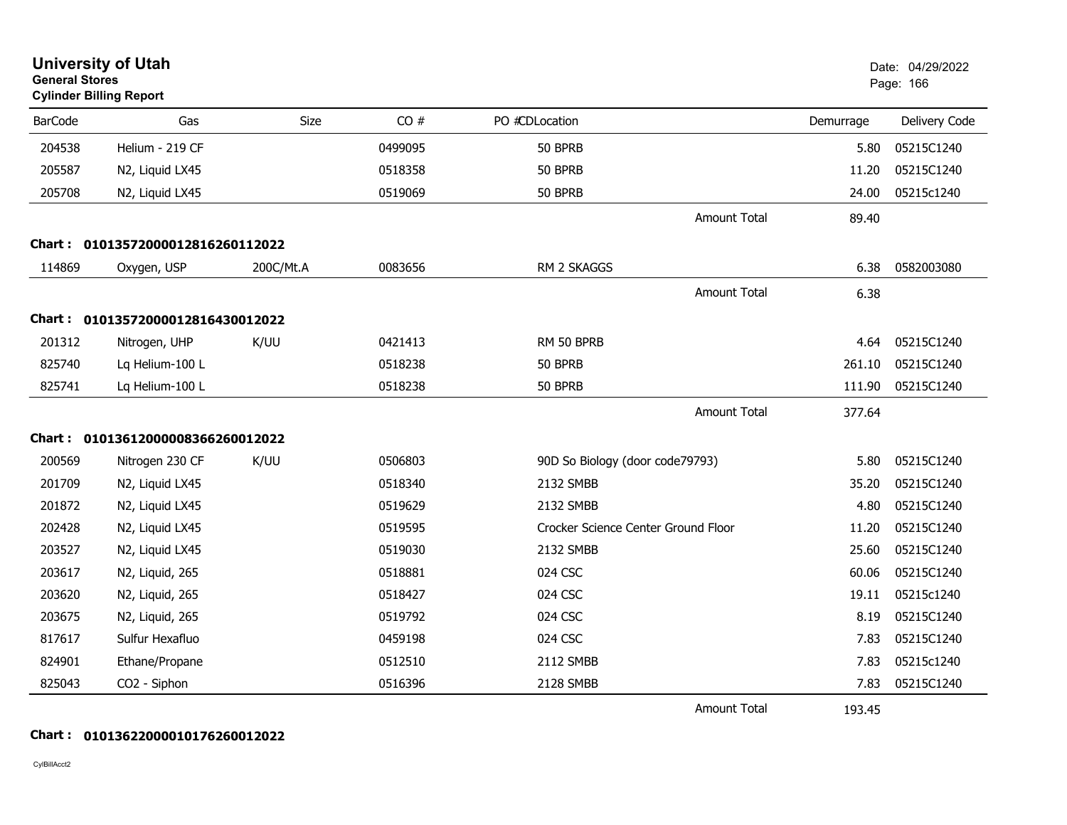| <b>General Stores</b> | <b>University of Utah</b><br><b>Cylinder Billing Report</b> |           |         |                                     |           | Date: 04/29/2022<br>Page: 166 |
|-----------------------|-------------------------------------------------------------|-----------|---------|-------------------------------------|-----------|-------------------------------|
| <b>BarCode</b>        | Gas                                                         | Size      | CO#     | PO #CDLocation                      | Demurrage | Delivery Code                 |
| 204538                | Helium - 219 CF                                             |           | 0499095 | 50 BPRB                             | 5.80      | 05215C1240                    |
| 205587                | N2, Liquid LX45                                             |           | 0518358 | 50 BPRB                             | 11.20     | 05215C1240                    |
| 205708                | N2, Liquid LX45                                             |           | 0519069 | 50 BPRB                             | 24.00     | 05215c1240                    |
|                       |                                                             |           |         | <b>Amount Total</b>                 | 89.40     |                               |
|                       | Chart: 01013572000012816260112022                           |           |         |                                     |           |                               |
| 114869                | Oxygen, USP                                                 | 200C/Mt.A | 0083656 | RM 2 SKAGGS                         | 6.38      | 0582003080                    |
|                       |                                                             |           |         | <b>Amount Total</b>                 | 6.38      |                               |
|                       | Chart: 01013572000012816430012022                           |           |         |                                     |           |                               |
| 201312                | Nitrogen, UHP                                               | K/UU      | 0421413 | RM 50 BPRB                          | 4.64      | 05215C1240                    |
| 825740                | Lq Helium-100 L                                             |           | 0518238 | 50 BPRB                             | 261.10    | 05215C1240                    |
| 825741                | Lq Helium-100 L                                             |           | 0518238 | 50 BPRB                             | 111.90    | 05215C1240                    |
|                       |                                                             |           |         | <b>Amount Total</b>                 | 377.64    |                               |
|                       | Chart: 01013612000008366260012022                           |           |         |                                     |           |                               |
| 200569                | Nitrogen 230 CF                                             | K/UU      | 0506803 | 90D So Biology (door code79793)     | 5.80      | 05215C1240                    |
| 201709                | N2, Liquid LX45                                             |           | 0518340 | 2132 SMBB                           | 35.20     | 05215C1240                    |
| 201872                | N2, Liquid LX45                                             |           | 0519629 | 2132 SMBB                           | 4.80      | 05215C1240                    |
| 202428                | N2, Liquid LX45                                             |           | 0519595 | Crocker Science Center Ground Floor | 11.20     | 05215C1240                    |
| 203527                | N2, Liquid LX45                                             |           | 0519030 | 2132 SMBB                           | 25.60     | 05215C1240                    |
| 203617                | N2, Liquid, 265                                             |           | 0518881 | 024 CSC                             | 60.06     | 05215C1240                    |
| 203620                | N2, Liquid, 265                                             |           | 0518427 | 024 CSC                             | 19.11     | 05215c1240                    |
| 203675                | N2, Liquid, 265                                             |           | 0519792 | 024 CSC                             | 8.19      | 05215C1240                    |
| 817617                | Sulfur Hexafluo                                             |           | 0459198 | 024 CSC                             | 7.83      | 05215C1240                    |
| 824901                | Ethane/Propane                                              |           | 0512510 | 2112 SMBB                           | 7.83      | 05215c1240                    |
| 825043                | CO2 - Siphon                                                |           | 0516396 | 2128 SMBB                           | 7.83      | 05215C1240                    |
|                       |                                                             |           |         | <b>Amount Total</b>                 | 193.45    |                               |

## **Chart : 01013622000010176260012022**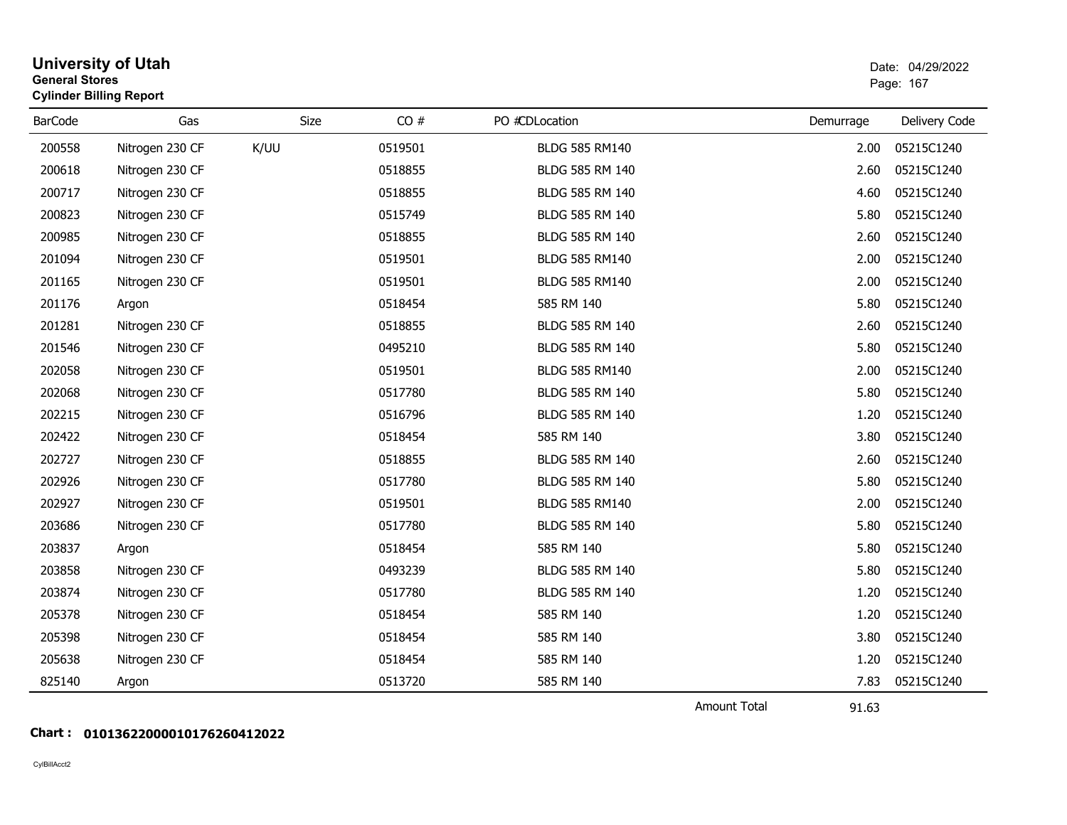| <b>General Stores</b> | <b>University of Utah</b><br><b>Cylinder Billing Report</b> |             |         |                        |           | Date: 04/29/2022<br>Page: 167 |
|-----------------------|-------------------------------------------------------------|-------------|---------|------------------------|-----------|-------------------------------|
| <b>BarCode</b>        | Gas                                                         | <b>Size</b> | CO#     | PO #CDLocation         | Demurrage | Delivery Code                 |
| 200558                | Nitrogen 230 CF                                             | K/UU        | 0519501 | <b>BLDG 585 RM140</b>  | 2.00      | 05215C1240                    |
| 200618                | Nitrogen 230 CF                                             |             | 0518855 | BLDG 585 RM 140        | 2.60      | 05215C1240                    |
| 200717                | Nitrogen 230 CF                                             |             | 0518855 | BLDG 585 RM 140        | 4.60      | 05215C1240                    |
| 200823                | Nitrogen 230 CF                                             |             | 0515749 | BLDG 585 RM 140        | 5.80      | 05215C1240                    |
| 200985                | Nitrogen 230 CF                                             |             | 0518855 | BLDG 585 RM 140        | 2.60      | 05215C1240                    |
| 201094                | Nitrogen 230 CF                                             |             | 0519501 | <b>BLDG 585 RM140</b>  | 2.00      | 05215C1240                    |
| 201165                | Nitrogen 230 CF                                             |             | 0519501 | <b>BLDG 585 RM140</b>  | 2.00      | 05215C1240                    |
| 201176                | Argon                                                       |             | 0518454 | 585 RM 140             | 5.80      | 05215C1240                    |
| 201281                | Nitrogen 230 CF                                             |             | 0518855 | <b>BLDG 585 RM 140</b> | 2.60      | 05215C1240                    |
| 201546                | Nitrogen 230 CF                                             |             | 0495210 | BLDG 585 RM 140        | 5.80      | 05215C1240                    |
| 202058                | Nitrogen 230 CF                                             |             | 0519501 | <b>BLDG 585 RM140</b>  | 2.00      | 05215C1240                    |
| 202068                | Nitrogen 230 CF                                             |             | 0517780 | BLDG 585 RM 140        | 5.80      | 05215C1240                    |
| 202215                | Nitrogen 230 CF                                             |             | 0516796 | BLDG 585 RM 140        | 1.20      | 05215C1240                    |
| 202422                | Nitrogen 230 CF                                             |             | 0518454 | 585 RM 140             | 3.80      | 05215C1240                    |
| 202727                | Nitrogen 230 CF                                             |             | 0518855 | BLDG 585 RM 140        | 2.60      | 05215C1240                    |
| 202926                | Nitrogen 230 CF                                             |             | 0517780 | BLDG 585 RM 140        | 5.80      | 05215C1240                    |
| 202927                | Nitrogen 230 CF                                             |             | 0519501 | <b>BLDG 585 RM140</b>  | 2.00      | 05215C1240                    |
| 203686                | Nitrogen 230 CF                                             |             | 0517780 | BLDG 585 RM 140        | 5.80      | 05215C1240                    |
| 203837                | Argon                                                       |             | 0518454 | 585 RM 140             | 5.80      | 05215C1240                    |
| 203858                | Nitrogen 230 CF                                             |             | 0493239 | BLDG 585 RM 140        | 5.80      | 05215C1240                    |
| 203874                | Nitrogen 230 CF                                             |             | 0517780 | BLDG 585 RM 140        | 1.20      | 05215C1240                    |
| 205378                | Nitrogen 230 CF                                             |             | 0518454 | 585 RM 140             | 1.20      | 05215C1240                    |
| 205398                | Nitrogen 230 CF                                             |             | 0518454 | 585 RM 140             | 3.80      | 05215C1240                    |
| 205638                | Nitrogen 230 CF                                             |             | 0518454 | 585 RM 140             | 1.20      | 05215C1240                    |
| 825140                | Argon                                                       |             | 0513720 | 585 RM 140             | 7.83      | 05215C1240                    |
|                       |                                                             |             |         |                        | .         |                               |

Amount Total

91.63

## **Chart : 01013622000010176260412022**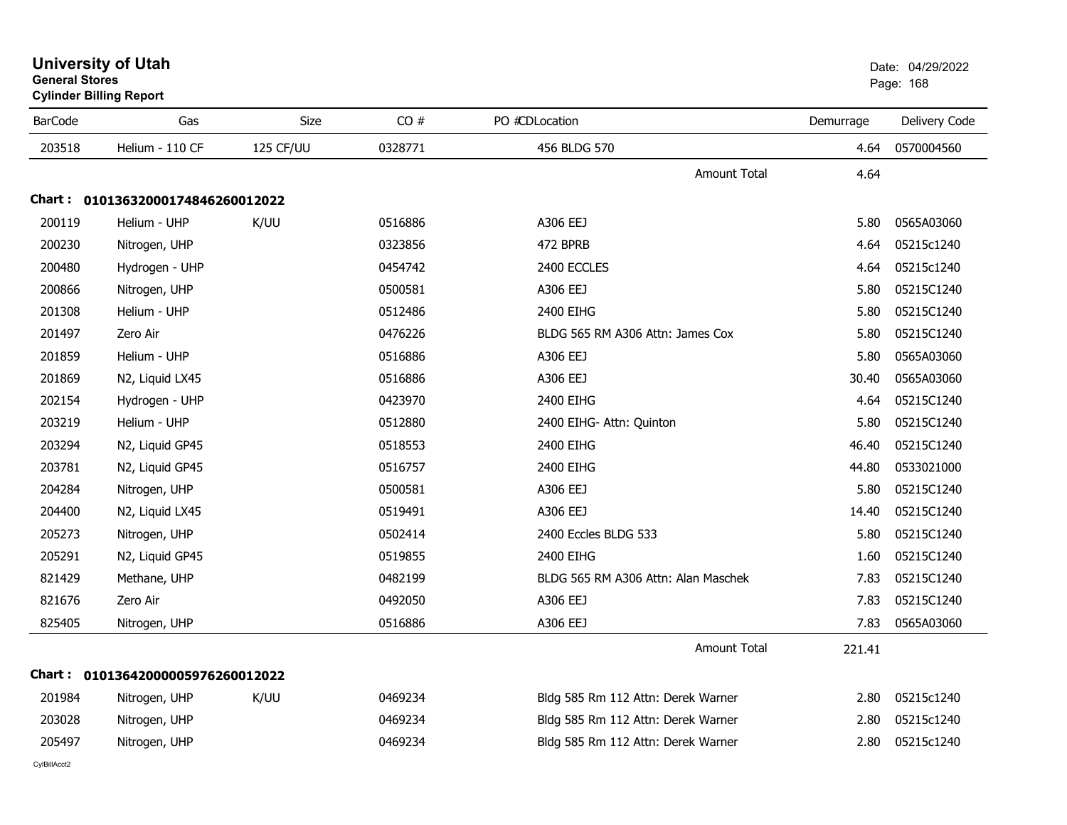| <b>General Stores</b> | <b>Cylinder Billing Report</b>    |           |         |                                     |           | Page: 168     |
|-----------------------|-----------------------------------|-----------|---------|-------------------------------------|-----------|---------------|
| <b>BarCode</b>        | Gas                               | Size      | CO#     | PO #CDLocation                      | Demurrage | Delivery Code |
| 203518                | Helium - 110 CF                   | 125 CF/UU | 0328771 | 456 BLDG 570                        | 4.64      | 0570004560    |
|                       |                                   |           |         | <b>Amount Total</b>                 | 4.64      |               |
|                       | Chart: 01013632000174846260012022 |           |         |                                     |           |               |
| 200119                | Helium - UHP                      | K/UU      | 0516886 | A306 EEJ                            | 5.80      | 0565A03060    |
| 200230                | Nitrogen, UHP                     |           | 0323856 | 472 BPRB                            | 4.64      | 05215c1240    |
| 200480                | Hydrogen - UHP                    |           | 0454742 | 2400 ECCLES                         | 4.64      | 05215c1240    |
| 200866                | Nitrogen, UHP                     |           | 0500581 | A306 EEJ                            | 5.80      | 05215C1240    |
| 201308                | Helium - UHP                      |           | 0512486 | 2400 EIHG                           | 5.80      | 05215C1240    |
| 201497                | Zero Air                          |           | 0476226 | BLDG 565 RM A306 Attn: James Cox    | 5.80      | 05215C1240    |
| 201859                | Helium - UHP                      |           | 0516886 | A306 EEJ                            | 5.80      | 0565A03060    |
| 201869                | N2, Liquid LX45                   |           | 0516886 | A306 EEJ                            | 30.40     | 0565A03060    |
| 202154                | Hydrogen - UHP                    |           | 0423970 | 2400 EIHG                           | 4.64      | 05215C1240    |
| 203219                | Helium - UHP                      |           | 0512880 | 2400 EIHG- Attn: Quinton            | 5.80      | 05215C1240    |
| 203294                | N2, Liquid GP45                   |           | 0518553 | 2400 EIHG                           | 46.40     | 05215C1240    |
| 203781                | N2, Liquid GP45                   |           | 0516757 | 2400 EIHG                           | 44.80     | 0533021000    |
| 204284                | Nitrogen, UHP                     |           | 0500581 | A306 EEJ                            | 5.80      | 05215C1240    |
| 204400                | N2, Liquid LX45                   |           | 0519491 | A306 EEJ                            | 14.40     | 05215C1240    |
| 205273                | Nitrogen, UHP                     |           | 0502414 | 2400 Eccles BLDG 533                | 5.80      | 05215C1240    |
| 205291                | N2, Liquid GP45                   |           | 0519855 | 2400 EIHG                           | 1.60      | 05215C1240    |
| 821429                | Methane, UHP                      |           | 0482199 | BLDG 565 RM A306 Attn: Alan Maschek | 7.83      | 05215C1240    |
| 821676                | Zero Air                          |           | 0492050 | A306 EEJ                            | 7.83      | 05215C1240    |
| 825405                | Nitrogen, UHP                     |           | 0516886 | A306 EEJ                            | 7.83      | 0565A03060    |
|                       |                                   |           |         | <b>Amount Total</b>                 | 221.41    |               |
|                       | Chart: 01013642000005976260012022 |           |         |                                     |           |               |
| 201984                | Nitrogen, UHP                     | K/UU      | 0469234 | Bldg 585 Rm 112 Attn: Derek Warner  | 2.80      | 05215c1240    |
| 203028                | Nitrogen, UHP                     |           | 0469234 | Bldg 585 Rm 112 Attn: Derek Warner  | 2.80      | 05215c1240    |
| 205497                | Nitrogen, UHP                     |           | 0469234 | Bldg 585 Rm 112 Attn: Derek Warner  | 2.80      | 05215c1240    |
|                       |                                   |           |         |                                     |           |               |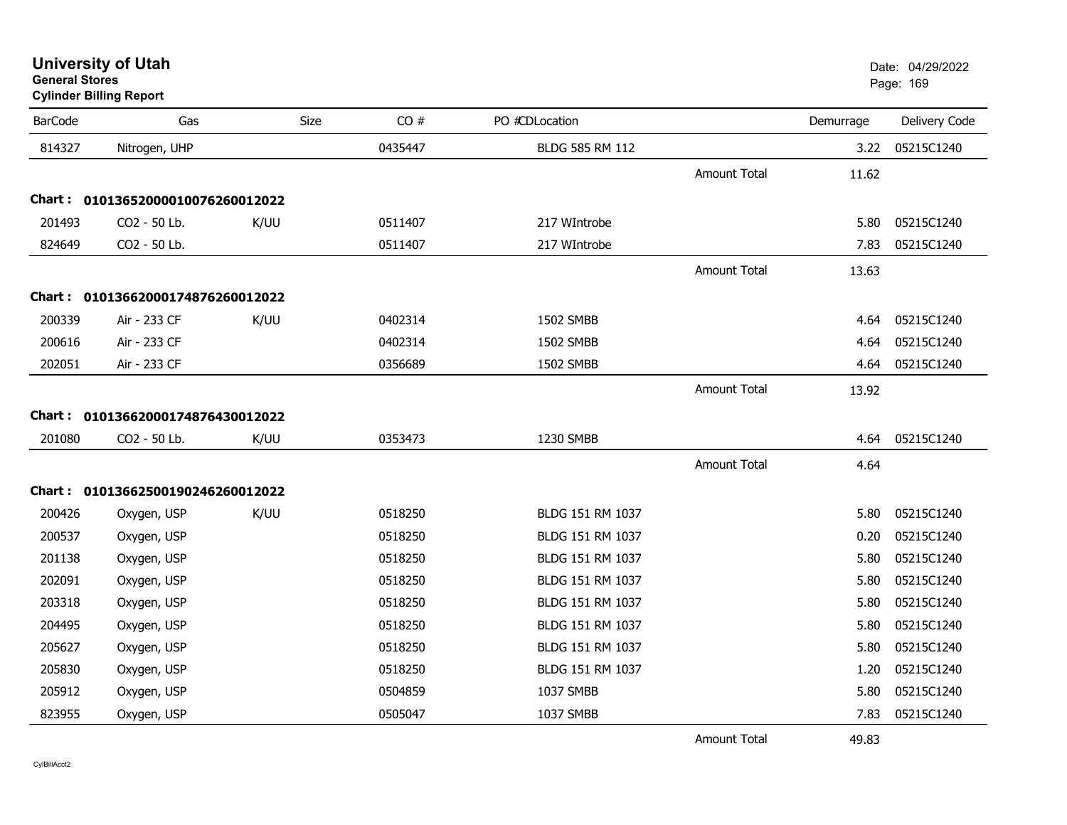# **Cylinder Billing Report**

| <b>BarCode</b> | Gas                               | Size | CO#     | PO #CDLocation   |                     | Demurrage | Delivery Code |
|----------------|-----------------------------------|------|---------|------------------|---------------------|-----------|---------------|
| 814327         | Nitrogen, UHP                     |      | 0435447 | BLDG 585 RM 112  |                     | 3.22      | 05215C1240    |
|                |                                   |      |         |                  | <b>Amount Total</b> | 11.62     |               |
|                | Chart: 01013652000010076260012022 |      |         |                  |                     |           |               |
| 201493         | CO2 - 50 Lb.                      | K/UU | 0511407 | 217 WIntrobe     |                     | 5.80      | 05215C1240    |
| 824649         | CO2 - 50 Lb.                      |      | 0511407 | 217 WIntrobe     |                     | 7.83      | 05215C1240    |
|                |                                   |      |         |                  | <b>Amount Total</b> | 13.63     |               |
|                | Chart: 01013662000174876260012022 |      |         |                  |                     |           |               |
| 200339         | Air - 233 CF                      | K/UU | 0402314 | 1502 SMBB        |                     | 4.64      | 05215C1240    |
| 200616         | Air - 233 CF                      |      | 0402314 | 1502 SMBB        |                     | 4.64      | 05215C1240    |
| 202051         | Air - 233 CF                      |      | 0356689 | 1502 SMBB        |                     | 4.64      | 05215C1240    |
|                |                                   |      |         |                  | <b>Amount Total</b> | 13.92     |               |
|                | Chart: 01013662000174876430012022 |      |         |                  |                     |           |               |
| 201080         | CO2 - 50 Lb.                      | K/UU | 0353473 | 1230 SMBB        |                     | 4.64      | 05215C1240    |
|                |                                   |      |         |                  | Amount Total        | 4.64      |               |
|                | Chart: 01013662500190246260012022 |      |         |                  |                     |           |               |
| 200426         | Oxygen, USP                       | K/UU | 0518250 | BLDG 151 RM 1037 |                     | 5.80      | 05215C1240    |
| 200537         | Oxygen, USP                       |      | 0518250 | BLDG 151 RM 1037 |                     | 0.20      | 05215C1240    |
| 201138         | Oxygen, USP                       |      | 0518250 | BLDG 151 RM 1037 |                     | 5.80      | 05215C1240    |
| 202091         | Oxygen, USP                       |      | 0518250 | BLDG 151 RM 1037 |                     | 5.80      | 05215C1240    |
| 203318         | Oxygen, USP                       |      | 0518250 | BLDG 151 RM 1037 |                     | 5.80      | 05215C1240    |
| 204495         | Oxygen, USP                       |      | 0518250 | BLDG 151 RM 1037 |                     | 5.80      | 05215C1240    |
| 205627         | Oxygen, USP                       |      | 0518250 | BLDG 151 RM 1037 |                     | 5.80      | 05215C1240    |
| 205830         | Oxygen, USP                       |      | 0518250 | BLDG 151 RM 1037 |                     | 1.20      | 05215C1240    |
| 205912         | Oxygen, USP                       |      | 0504859 | 1037 SMBB        |                     | 5.80      | 05215C1240    |
| 823955         | Oxygen, USP                       |      | 0505047 | 1037 SMBB        |                     | 7.83      | 05215C1240    |
|                |                                   |      |         |                  | <b>Amount Total</b> | 49.83     |               |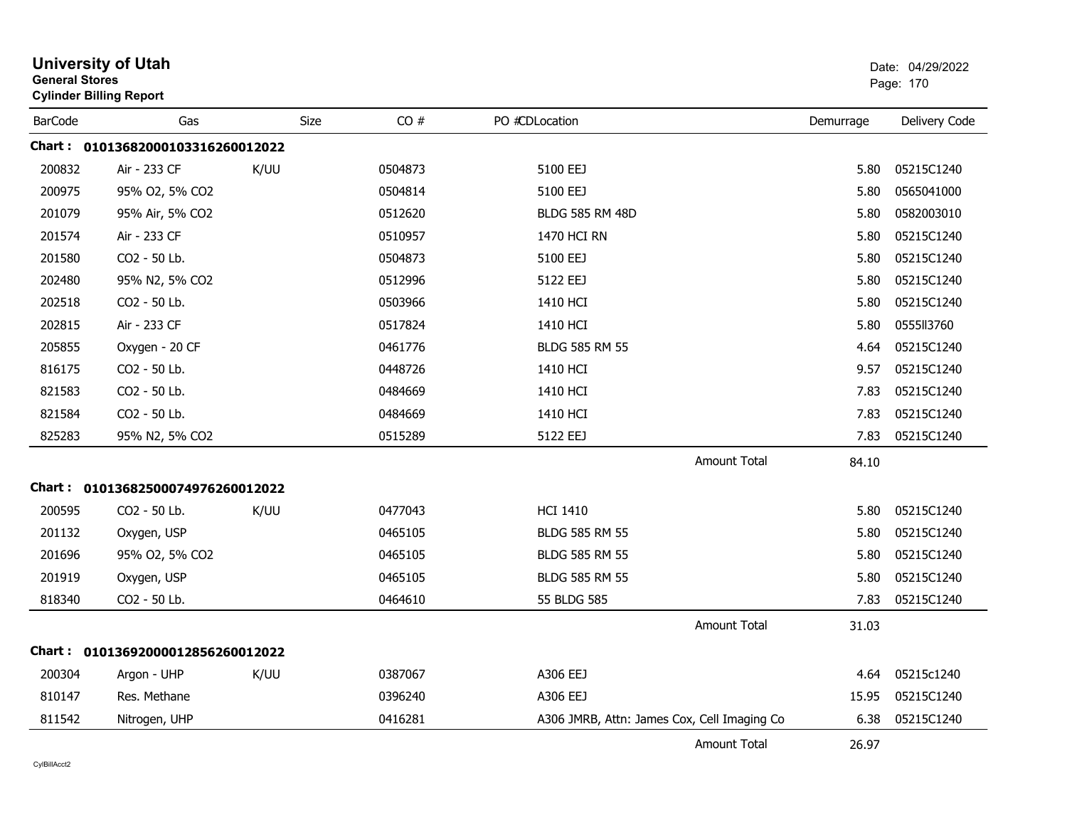|                | <b>University of Utah</b><br><b>General Stores</b><br><b>Cylinder Billing Report</b> |      |         |                                             |                     |           | Date: 04/29/2022<br>Page: 170 |  |
|----------------|--------------------------------------------------------------------------------------|------|---------|---------------------------------------------|---------------------|-----------|-------------------------------|--|
| <b>BarCode</b> | Gas                                                                                  | Size | CO#     | PO #CDLocation                              |                     | Demurrage | Delivery Code                 |  |
|                | Chart: 01013682000103316260012022                                                    |      |         |                                             |                     |           |                               |  |
| 200832         | Air - 233 CF                                                                         | K/UU | 0504873 | 5100 EEJ                                    |                     | 5.80      | 05215C1240                    |  |
| 200975         | 95% O2, 5% CO2                                                                       |      | 0504814 | 5100 EEJ                                    |                     | 5.80      | 0565041000                    |  |
| 201079         | 95% Air, 5% CO2                                                                      |      | 0512620 | <b>BLDG 585 RM 48D</b>                      |                     | 5.80      | 0582003010                    |  |
| 201574         | Air - 233 CF                                                                         |      | 0510957 | 1470 HCI RN                                 |                     | 5.80      | 05215C1240                    |  |
| 201580         | CO2 - 50 Lb.                                                                         |      | 0504873 | 5100 EEJ                                    |                     | 5.80      | 05215C1240                    |  |
| 202480         | 95% N2, 5% CO2                                                                       |      | 0512996 | 5122 EEJ                                    |                     | 5.80      | 05215C1240                    |  |
| 202518         | CO2 - 50 Lb.                                                                         |      | 0503966 | 1410 HCI                                    |                     | 5.80      | 05215C1240                    |  |
| 202815         | Air - 233 CF                                                                         |      | 0517824 | 1410 HCI                                    |                     | 5.80      | 0555113760                    |  |
| 205855         | Oxygen - 20 CF                                                                       |      | 0461776 | <b>BLDG 585 RM 55</b>                       |                     | 4.64      | 05215C1240                    |  |
| 816175         | CO2 - 50 Lb.                                                                         |      | 0448726 | 1410 HCI                                    |                     | 9.57      | 05215C1240                    |  |
| 821583         | CO <sub>2</sub> - 50 Lb.                                                             |      | 0484669 | 1410 HCI                                    |                     | 7.83      | 05215C1240                    |  |
| 821584         | CO2 - 50 Lb.                                                                         |      | 0484669 | 1410 HCI                                    |                     | 7.83      | 05215C1240                    |  |
| 825283         | 95% N2, 5% CO2                                                                       |      | 0515289 | 5122 EEJ                                    |                     | 7.83      | 05215C1240                    |  |
|                |                                                                                      |      |         |                                             | <b>Amount Total</b> | 84.10     |                               |  |
|                | Chart: 01013682500074976260012022                                                    |      |         |                                             |                     |           |                               |  |
| 200595         | CO2 - 50 Lb.                                                                         | K/UU | 0477043 | <b>HCI 1410</b>                             |                     | 5.80      | 05215C1240                    |  |
| 201132         | Oxygen, USP                                                                          |      | 0465105 | <b>BLDG 585 RM 55</b>                       |                     | 5.80      | 05215C1240                    |  |
| 201696         | 95% O2, 5% CO2                                                                       |      | 0465105 | <b>BLDG 585 RM 55</b>                       |                     | 5.80      | 05215C1240                    |  |
| 201919         | Oxygen, USP                                                                          |      | 0465105 | BLDG 585 RM 55                              |                     | 5.80      | 05215C1240                    |  |
| 818340         | CO <sub>2</sub> - 50 Lb.                                                             |      | 0464610 | 55 BLDG 585                                 |                     | 7.83      | 05215C1240                    |  |
|                |                                                                                      |      |         |                                             | <b>Amount Total</b> | 31.03     |                               |  |
|                | Chart: 01013692000012856260012022                                                    |      |         |                                             |                     |           |                               |  |
| 200304         | Argon - UHP                                                                          | K/UU | 0387067 | A306 EEJ                                    |                     | 4.64      | 05215c1240                    |  |
| 810147         | Res. Methane                                                                         |      | 0396240 | A306 EEJ                                    |                     | 15.95     | 05215C1240                    |  |
| 811542         | Nitrogen, UHP                                                                        |      | 0416281 | A306 JMRB, Attn: James Cox, Cell Imaging Co |                     | 6.38      | 05215C1240                    |  |
|                |                                                                                      |      |         |                                             | <b>Amount Total</b> | 26.97     |                               |  |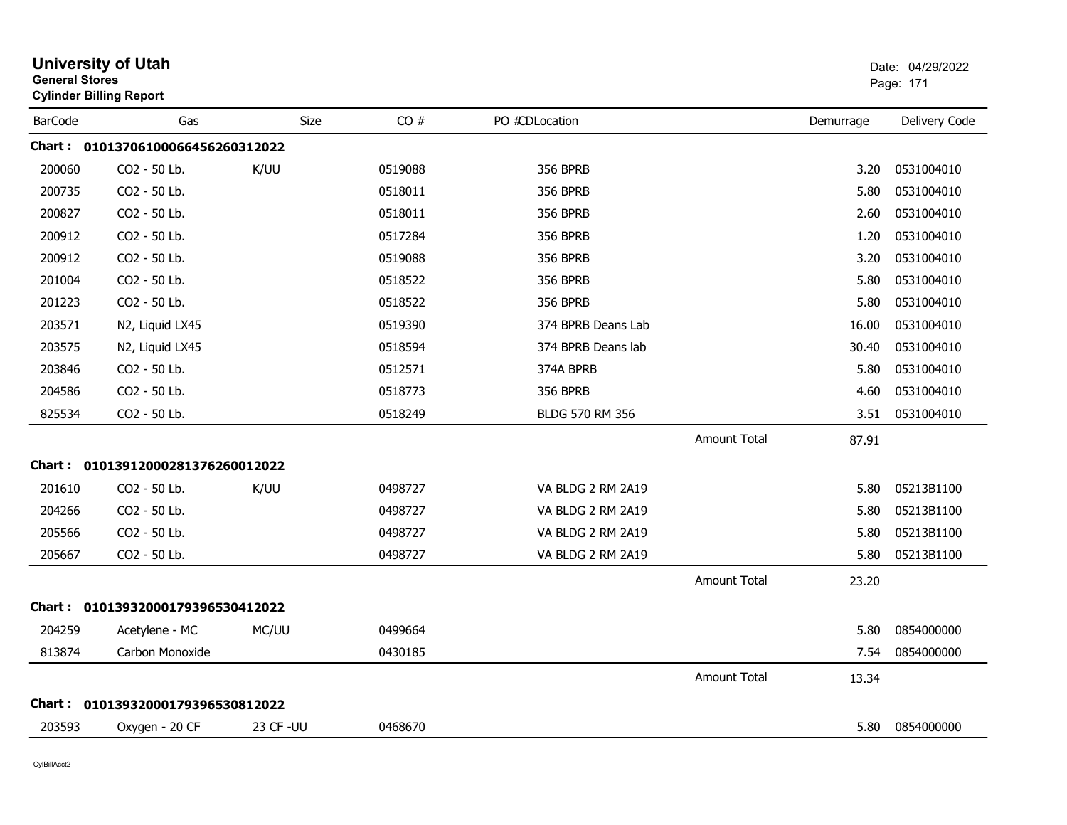|                | <b>University of Utah</b><br><b>General Stores</b><br><b>Cylinder Billing Report</b> |             |         |                    |                     |           | Date: 04/29/2022<br>Page: 171 |
|----------------|--------------------------------------------------------------------------------------|-------------|---------|--------------------|---------------------|-----------|-------------------------------|
| <b>BarCode</b> | Gas                                                                                  | <b>Size</b> | CO#     | PO #CDLocation     |                     | Demurrage | Delivery Code                 |
|                | Chart: 01013706100066456260312022                                                    |             |         |                    |                     |           |                               |
| 200060         | CO2 - 50 Lb.                                                                         | K/UU        | 0519088 | <b>356 BPRB</b>    |                     | 3.20      | 0531004010                    |
| 200735         | CO2 - 50 Lb.                                                                         |             | 0518011 | <b>356 BPRB</b>    |                     | 5.80      | 0531004010                    |
| 200827         | CO <sub>2</sub> - 50 Lb.                                                             |             | 0518011 | <b>356 BPRB</b>    |                     | 2.60      | 0531004010                    |
| 200912         | CO2 - 50 Lb.                                                                         |             | 0517284 | <b>356 BPRB</b>    |                     | 1.20      | 0531004010                    |
| 200912         | CO2 - 50 Lb.                                                                         |             | 0519088 | <b>356 BPRB</b>    |                     | 3.20      | 0531004010                    |
| 201004         | CO2 - 50 Lb.                                                                         |             | 0518522 | <b>356 BPRB</b>    |                     | 5.80      | 0531004010                    |
| 201223         | CO2 - 50 Lb.                                                                         |             | 0518522 | <b>356 BPRB</b>    |                     | 5.80      | 0531004010                    |
| 203571         | N2, Liquid LX45                                                                      |             | 0519390 | 374 BPRB Deans Lab |                     | 16.00     | 0531004010                    |
| 203575         | N2, Liquid LX45                                                                      |             | 0518594 | 374 BPRB Deans lab |                     | 30.40     | 0531004010                    |
| 203846         | CO2 - 50 Lb.                                                                         |             | 0512571 | 374A BPRB          |                     | 5.80      | 0531004010                    |
| 204586         | CO2 - 50 Lb.                                                                         |             | 0518773 | <b>356 BPRB</b>    |                     | 4.60      | 0531004010                    |
| 825534         | CO2 - 50 Lb.                                                                         |             | 0518249 | BLDG 570 RM 356    |                     | 3.51      | 0531004010                    |
|                |                                                                                      |             |         |                    | <b>Amount Total</b> | 87.91     |                               |
|                | Chart: 01013912000281376260012022                                                    |             |         |                    |                     |           |                               |
| 201610         | CO2 - 50 Lb.                                                                         | K/UU        | 0498727 | VA BLDG 2 RM 2A19  |                     | 5.80      | 05213B1100                    |
| 204266         | CO2 - 50 Lb.                                                                         |             | 0498727 | VA BLDG 2 RM 2A19  |                     | 5.80      | 05213B1100                    |
| 205566         | CO2 - 50 Lb.                                                                         |             | 0498727 | VA BLDG 2 RM 2A19  |                     | 5.80      | 05213B1100                    |
| 205667         | CO2 - 50 Lb.                                                                         |             | 0498727 | VA BLDG 2 RM 2A19  |                     | 5.80      | 05213B1100                    |
|                |                                                                                      |             |         |                    | <b>Amount Total</b> | 23.20     |                               |
|                | Chart: 01013932000179396530412022                                                    |             |         |                    |                     |           |                               |
| 204259         | Acetylene - MC                                                                       | MC/UU       | 0499664 |                    |                     | 5.80      | 0854000000                    |
| 813874         | Carbon Monoxide                                                                      |             | 0430185 |                    |                     | 7.54      | 0854000000                    |
|                |                                                                                      |             |         |                    | <b>Amount Total</b> | 13.34     |                               |
|                | Chart: 01013932000179396530812022                                                    |             |         |                    |                     |           |                               |
| 203593         | Oxygen - 20 CF                                                                       | 23 CF - UU  | 0468670 |                    |                     | 5.80      | 0854000000                    |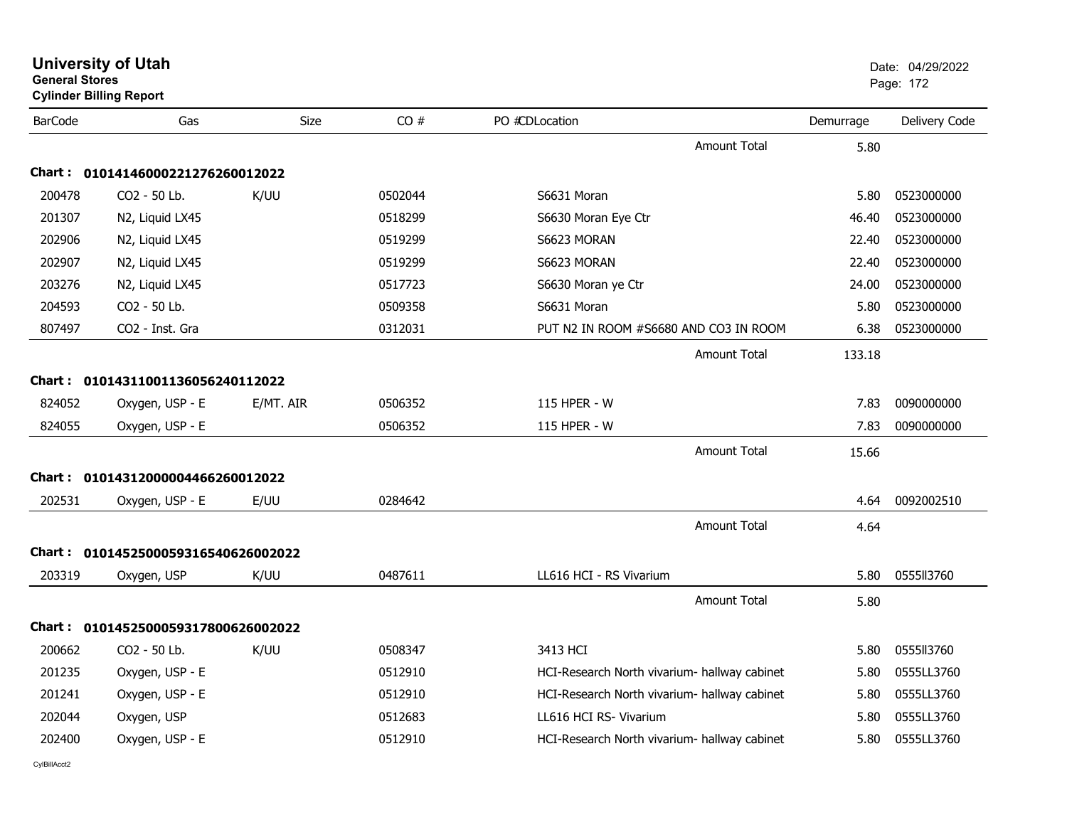|                | <b>University of Utah</b><br><b>General Stores</b><br><b>Cylinder Billing Report</b> |           |         |                                              |           | Date: 04/29/2022<br>Page: 172 |  |
|----------------|--------------------------------------------------------------------------------------|-----------|---------|----------------------------------------------|-----------|-------------------------------|--|
| <b>BarCode</b> | Gas                                                                                  | Size      | CO#     | PO #CDLocation                               | Demurrage | Delivery Code                 |  |
|                |                                                                                      |           |         | <b>Amount Total</b>                          | 5.80      |                               |  |
|                | Chart: 01014146000221276260012022                                                    |           |         |                                              |           |                               |  |
| 200478         | CO2 - 50 Lb.                                                                         | K/UU      | 0502044 | S6631 Moran                                  | 5.80      | 0523000000                    |  |
| 201307         | N2, Liquid LX45                                                                      |           | 0518299 | S6630 Moran Eye Ctr                          | 46.40     | 0523000000                    |  |
| 202906         | N2, Liquid LX45                                                                      |           | 0519299 | S6623 MORAN                                  | 22.40     | 0523000000                    |  |
| 202907         | N2, Liquid LX45                                                                      |           | 0519299 | S6623 MORAN                                  | 22.40     | 0523000000                    |  |
| 203276         | N2, Liquid LX45                                                                      |           | 0517723 | S6630 Moran ye Ctr                           | 24.00     | 0523000000                    |  |
| 204593         | CO2 - 50 Lb.                                                                         |           | 0509358 | S6631 Moran                                  | 5.80      | 0523000000                    |  |
| 807497         | CO2 - Inst. Gra                                                                      |           | 0312031 | PUT N2 IN ROOM #S6680 AND CO3 IN ROOM        | 6.38      | 0523000000                    |  |
|                |                                                                                      |           |         | <b>Amount Total</b>                          | 133.18    |                               |  |
|                | Chart: 01014311001136056240112022                                                    |           |         |                                              |           |                               |  |
| 824052         | Oxygen, USP - E                                                                      | E/MT. AIR | 0506352 | 115 HPER - W                                 | 7.83      | 0090000000                    |  |
| 824055         | Oxygen, USP - E                                                                      |           | 0506352 | 115 HPER - W                                 | 7.83      | 0090000000                    |  |
|                |                                                                                      |           |         | <b>Amount Total</b>                          | 15.66     |                               |  |
|                | Chart: 01014312000004466260012022                                                    |           |         |                                              |           |                               |  |
| 202531         | Oxygen, USP - E                                                                      | E/UU      | 0284642 |                                              | 4.64      | 0092002510                    |  |
|                |                                                                                      |           |         | <b>Amount Total</b>                          | 4.64      |                               |  |
|                | Chart: 0101452500059316540626002022                                                  |           |         |                                              |           |                               |  |
| 203319         | Oxygen, USP                                                                          | K/UU      | 0487611 | LL616 HCI - RS Vivarium                      | 5.80      | 0555113760                    |  |
|                |                                                                                      |           |         | <b>Amount Total</b>                          | 5.80      |                               |  |
|                | Chart: 0101452500059317800626002022                                                  |           |         |                                              |           |                               |  |
| 200662         | CO2 - 50 Lb.                                                                         | K/UU      | 0508347 | 3413 HCI                                     | 5.80      | 0555113760                    |  |
| 201235         | Oxygen, USP - E                                                                      |           | 0512910 | HCI-Research North vivarium- hallway cabinet | 5.80      | 0555LL3760                    |  |
| 201241         | Oxygen, USP - E                                                                      |           | 0512910 | HCI-Research North vivarium- hallway cabinet | 5.80      | 0555LL3760                    |  |
| 202044         | Oxygen, USP                                                                          |           | 0512683 | LL616 HCI RS- Vivarium                       | 5.80      | 0555LL3760                    |  |
| 202400         | Oxygen, USP - E                                                                      |           | 0512910 | HCI-Research North vivarium- hallway cabinet | 5.80      | 0555LL3760                    |  |
| CvIBillAcct2   |                                                                                      |           |         |                                              |           |                               |  |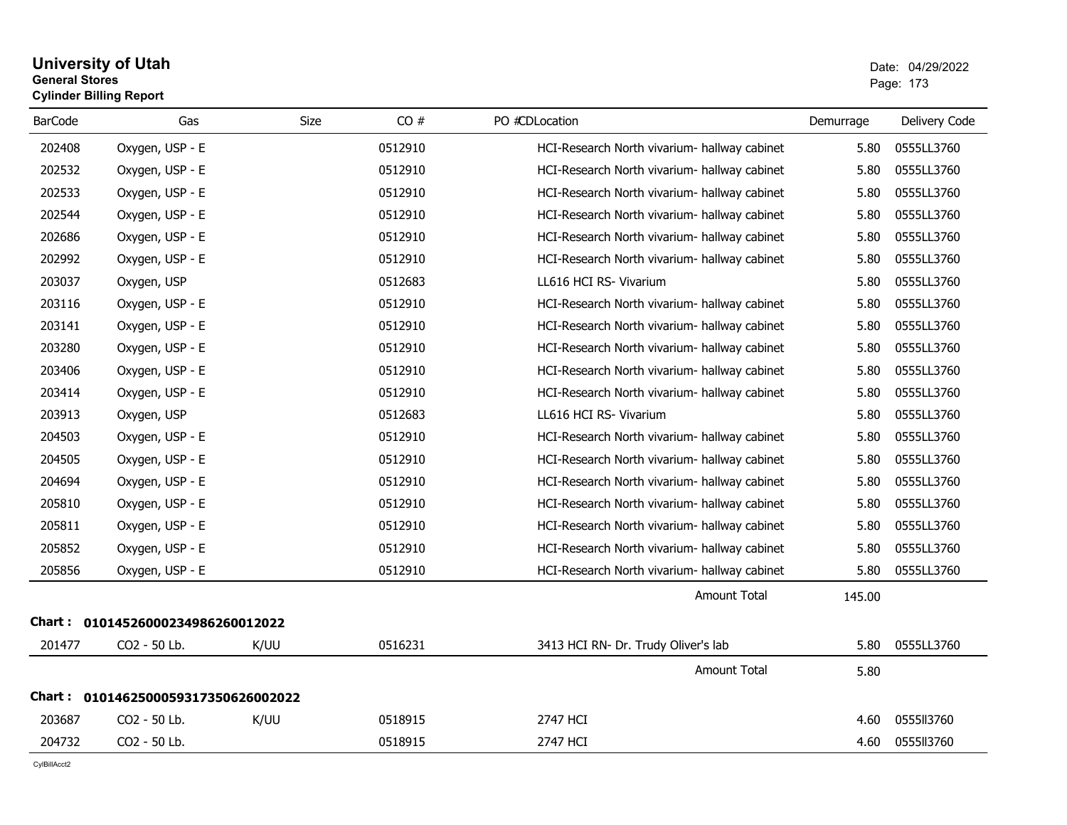### **University of Utah** Date: 04/29/2022 **General Stores**end and the state of the state of the state of the state of the state of the state of the state of the state of the state of the state of the state of the state of the state of the state of the state of the state of the st **Cylinder Billing Report**

| <b>BarCode</b> | Gas                                 | <b>Size</b> | CO#     | PO #CDLocation                               | Demurrage | Delivery Code |
|----------------|-------------------------------------|-------------|---------|----------------------------------------------|-----------|---------------|
| 202408         | Oxygen, USP - E                     |             | 0512910 | HCI-Research North vivarium- hallway cabinet | 5.80      | 0555LL3760    |
| 202532         | Oxygen, USP - E                     |             | 0512910 | HCI-Research North vivarium- hallway cabinet | 5.80      | 0555LL3760    |
| 202533         | Oxygen, USP - E                     |             | 0512910 | HCI-Research North vivarium- hallway cabinet | 5.80      | 0555LL3760    |
| 202544         | Oxygen, USP - E                     |             | 0512910 | HCI-Research North vivarium- hallway cabinet | 5.80      | 0555LL3760    |
| 202686         | Oxygen, USP - E                     |             | 0512910 | HCI-Research North vivarium- hallway cabinet | 5.80      | 0555LL3760    |
| 202992         | Oxygen, USP - E                     |             | 0512910 | HCI-Research North vivarium- hallway cabinet | 5.80      | 0555LL3760    |
| 203037         | Oxygen, USP                         |             | 0512683 | LL616 HCI RS- Vivarium                       | 5.80      | 0555LL3760    |
| 203116         | Oxygen, USP - E                     |             | 0512910 | HCI-Research North vivarium- hallway cabinet | 5.80      | 0555LL3760    |
| 203141         | Oxygen, USP - E                     |             | 0512910 | HCI-Research North vivarium- hallway cabinet | 5.80      | 0555LL3760    |
| 203280         | Oxygen, USP - E                     |             | 0512910 | HCI-Research North vivarium- hallway cabinet | 5.80      | 0555LL3760    |
| 203406         | Oxygen, USP - E                     |             | 0512910 | HCI-Research North vivarium- hallway cabinet | 5.80      | 0555LL3760    |
| 203414         | Oxygen, USP - E                     |             | 0512910 | HCI-Research North vivarium- hallway cabinet | 5.80      | 0555LL3760    |
| 203913         | Oxygen, USP                         |             | 0512683 | LL616 HCI RS- Vivarium                       | 5.80      | 0555LL3760    |
| 204503         | Oxygen, USP - E                     |             | 0512910 | HCI-Research North vivarium- hallway cabinet | 5.80      | 0555LL3760    |
| 204505         | Oxygen, USP - E                     |             | 0512910 | HCI-Research North vivarium- hallway cabinet | 5.80      | 0555LL3760    |
| 204694         | Oxygen, USP - E                     |             | 0512910 | HCI-Research North vivarium- hallway cabinet | 5.80      | 0555LL3760    |
| 205810         | Oxygen, USP - E                     |             | 0512910 | HCI-Research North vivarium- hallway cabinet | 5.80      | 0555LL3760    |
| 205811         | Oxygen, USP - E                     |             | 0512910 | HCI-Research North vivarium- hallway cabinet | 5.80      | 0555LL3760    |
| 205852         | Oxygen, USP - E                     |             | 0512910 | HCI-Research North vivarium- hallway cabinet | 5.80      | 0555LL3760    |
| 205856         | Oxygen, USP - E                     |             | 0512910 | HCI-Research North vivarium- hallway cabinet | 5.80      | 0555LL3760    |
|                |                                     |             |         | <b>Amount Total</b>                          | 145.00    |               |
| Chart : _      | 01014526000234986260012022          |             |         |                                              |           |               |
| 201477         | CO2 - 50 Lb.                        | K/UU        | 0516231 | 3413 HCI RN- Dr. Trudy Oliver's lab          | 5.80      | 0555LL3760    |
|                |                                     |             |         | <b>Amount Total</b>                          | 5.80      |               |
|                | Chart: 0101462500059317350626002022 |             |         |                                              |           |               |
| 203687         | CO2 - 50 Lb.                        | K/UU        | 0518915 | 2747 HCI                                     | 4.60      | 0555113760    |
| 204732         | CO2 - 50 Lb.                        |             | 0518915 | 2747 HCI                                     | 4.60      | 0555113760    |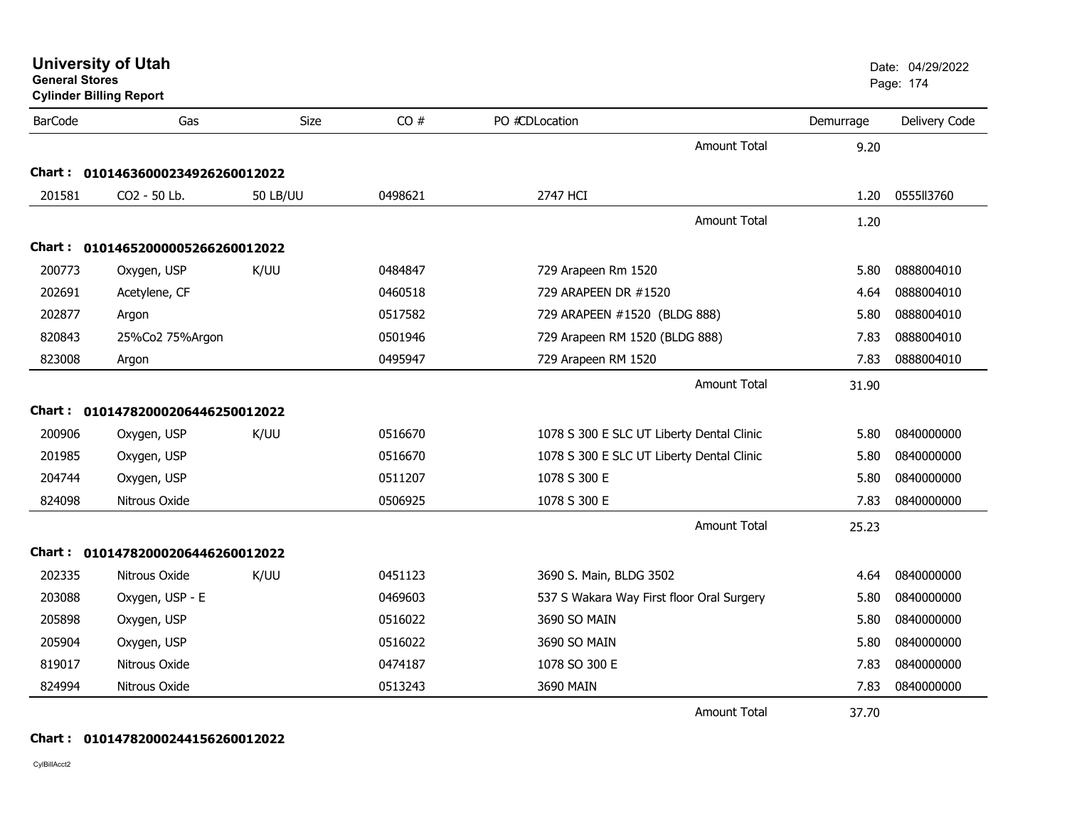| <b>University of Utah</b> |  |  |
|---------------------------|--|--|
|---------------------------|--|--|

| <b>BarCode</b> | Gas                               | Size            | CO#     | PO #CDLocation                            | Demurrage | Delivery Code |
|----------------|-----------------------------------|-----------------|---------|-------------------------------------------|-----------|---------------|
|                |                                   |                 |         | <b>Amount Total</b>                       | 9.20      |               |
|                | Chart: 01014636000234926260012022 |                 |         |                                           |           |               |
| 201581         | CO2 - 50 Lb.                      | <b>50 LB/UU</b> | 0498621 | 2747 HCI                                  | 1.20      | 0555113760    |
|                |                                   |                 |         | <b>Amount Total</b>                       | 1.20      |               |
|                | Chart: 01014652000005266260012022 |                 |         |                                           |           |               |
| 200773         | Oxygen, USP                       | K/UU            | 0484847 | 729 Arapeen Rm 1520                       | 5.80      | 0888004010    |
| 202691         | Acetylene, CF                     |                 | 0460518 | 729 ARAPEEN DR #1520                      | 4.64      | 0888004010    |
| 202877         | Argon                             |                 | 0517582 | 729 ARAPEEN #1520 (BLDG 888)              | 5.80      | 0888004010    |
| 820843         | 25%Co2 75%Argon                   |                 | 0501946 | 729 Arapeen RM 1520 (BLDG 888)            | 7.83      | 0888004010    |
| 823008         | Argon                             |                 | 0495947 | 729 Arapeen RM 1520                       | 7.83      | 0888004010    |
|                |                                   |                 |         | <b>Amount Total</b>                       | 31.90     |               |
|                | Chart: 01014782000206446250012022 |                 |         |                                           |           |               |
| 200906         | Oxygen, USP                       | K/UU            | 0516670 | 1078 S 300 E SLC UT Liberty Dental Clinic | 5.80      | 0840000000    |
| 201985         | Oxygen, USP                       |                 | 0516670 | 1078 S 300 E SLC UT Liberty Dental Clinic | 5.80      | 0840000000    |
| 204744         | Oxygen, USP                       |                 | 0511207 | 1078 S 300 E                              | 5.80      | 0840000000    |
| 824098         | Nitrous Oxide                     |                 | 0506925 | 1078 S 300 E                              | 7.83      | 0840000000    |
|                |                                   |                 |         | <b>Amount Total</b>                       | 25.23     |               |
|                | Chart: 01014782000206446260012022 |                 |         |                                           |           |               |
| 202335         | Nitrous Oxide                     | K/UU            | 0451123 | 3690 S. Main, BLDG 3502                   | 4.64      | 0840000000    |
| 203088         | Oxygen, USP - E                   |                 | 0469603 | 537 S Wakara Way First floor Oral Surgery | 5.80      | 0840000000    |
| 205898         | Oxygen, USP                       |                 | 0516022 | 3690 SO MAIN                              | 5.80      | 0840000000    |
| 205904         | Oxygen, USP                       |                 | 0516022 | 3690 SO MAIN                              | 5.80      | 0840000000    |
| 819017         | Nitrous Oxide                     |                 | 0474187 | 1078 SO 300 E                             | 7.83      | 0840000000    |
| 824994         | Nitrous Oxide                     |                 | 0513243 | 3690 MAIN                                 | 7.83      | 0840000000    |
|                |                                   |                 |         | $ -$                                      |           |               |

Amount Total37.70

### **Chart : 01014782000244156260012022**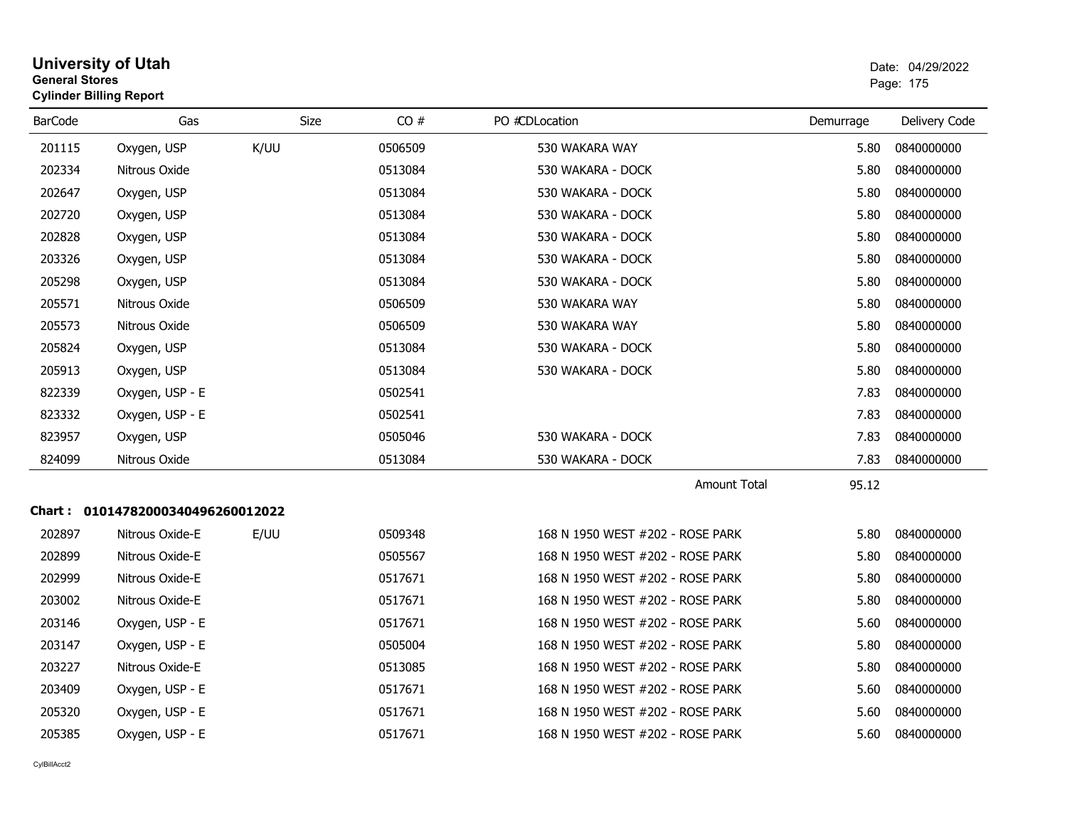| <b>General Stores</b> | <b>Cylinder Billing Report</b>    |             |         |                                  |           | Page: 175     |
|-----------------------|-----------------------------------|-------------|---------|----------------------------------|-----------|---------------|
| <b>BarCode</b>        | Gas                               | <b>Size</b> | CO#     | PO #CDLocation                   | Demurrage | Delivery Code |
| 201115                | Oxygen, USP                       | K/UU        | 0506509 | 530 WAKARA WAY                   | 5.80      | 0840000000    |
| 202334                | Nitrous Oxide                     |             | 0513084 | 530 WAKARA - DOCK                | 5.80      | 0840000000    |
| 202647                | Oxygen, USP                       |             | 0513084 | 530 WAKARA - DOCK                | 5.80      | 0840000000    |
| 202720                | Oxygen, USP                       |             | 0513084 | 530 WAKARA - DOCK                | 5.80      | 0840000000    |
| 202828                | Oxygen, USP                       |             | 0513084 | 530 WAKARA - DOCK                | 5.80      | 0840000000    |
| 203326                | Oxygen, USP                       |             | 0513084 | 530 WAKARA - DOCK                | 5.80      | 0840000000    |
| 205298                | Oxygen, USP                       |             | 0513084 | 530 WAKARA - DOCK                | 5.80      | 0840000000    |
| 205571                | Nitrous Oxide                     |             | 0506509 | 530 WAKARA WAY                   | 5.80      | 0840000000    |
| 205573                | Nitrous Oxide                     |             | 0506509 | 530 WAKARA WAY                   | 5.80      | 0840000000    |
| 205824                | Oxygen, USP                       |             | 0513084 | 530 WAKARA - DOCK                | 5.80      | 0840000000    |
| 205913                | Oxygen, USP                       |             | 0513084 | 530 WAKARA - DOCK                | 5.80      | 0840000000    |
| 822339                | Oxygen, USP - E                   |             | 0502541 |                                  | 7.83      | 0840000000    |
| 823332                | Oxygen, USP - E                   |             | 0502541 |                                  | 7.83      | 0840000000    |
| 823957                | Oxygen, USP                       |             | 0505046 | 530 WAKARA - DOCK                | 7.83      | 0840000000    |
| 824099                | Nitrous Oxide                     |             | 0513084 | 530 WAKARA - DOCK                | 7.83      | 0840000000    |
|                       |                                   |             |         | <b>Amount Total</b>              | 95.12     |               |
|                       | Chart: 01014782000340496260012022 |             |         |                                  |           |               |
| 202897                | Nitrous Oxide-E                   | E/UU        | 0509348 | 168 N 1950 WEST #202 - ROSE PARK | 5.80      | 0840000000    |
| 202899                | Nitrous Oxide-E                   |             | 0505567 | 168 N 1950 WEST #202 - ROSE PARK | 5.80      | 0840000000    |
| 202999                | Nitrous Oxide-E                   |             | 0517671 | 168 N 1950 WEST #202 - ROSE PARK | 5.80      | 0840000000    |
| 203002                | Nitrous Oxide-E                   |             | 0517671 | 168 N 1950 WEST #202 - ROSE PARK | 5.80      | 0840000000    |
| 203146                | Oxygen, USP - E                   |             | 0517671 | 168 N 1950 WEST #202 - ROSE PARK | 5.60      | 0840000000    |
| 203147                | Oxygen, USP - E                   |             | 0505004 | 168 N 1950 WEST #202 - ROSE PARK | 5.80      | 0840000000    |
| 203227                | Nitrous Oxide-E                   |             | 0513085 | 168 N 1950 WEST #202 - ROSE PARK | 5.80      | 0840000000    |
| 203409                | Oxygen, USP - E                   |             | 0517671 | 168 N 1950 WEST #202 - ROSE PARK | 5.60      | 0840000000    |
| 205320                | Oxygen, USP - E                   |             | 0517671 | 168 N 1950 WEST #202 - ROSE PARK | 5.60      | 0840000000    |
| 205385                | Oxygen, USP - E                   |             | 0517671 | 168 N 1950 WEST #202 - ROSE PARK | 5.60      | 0840000000    |

# **University of Utah** <br>
Date: 04/29/2022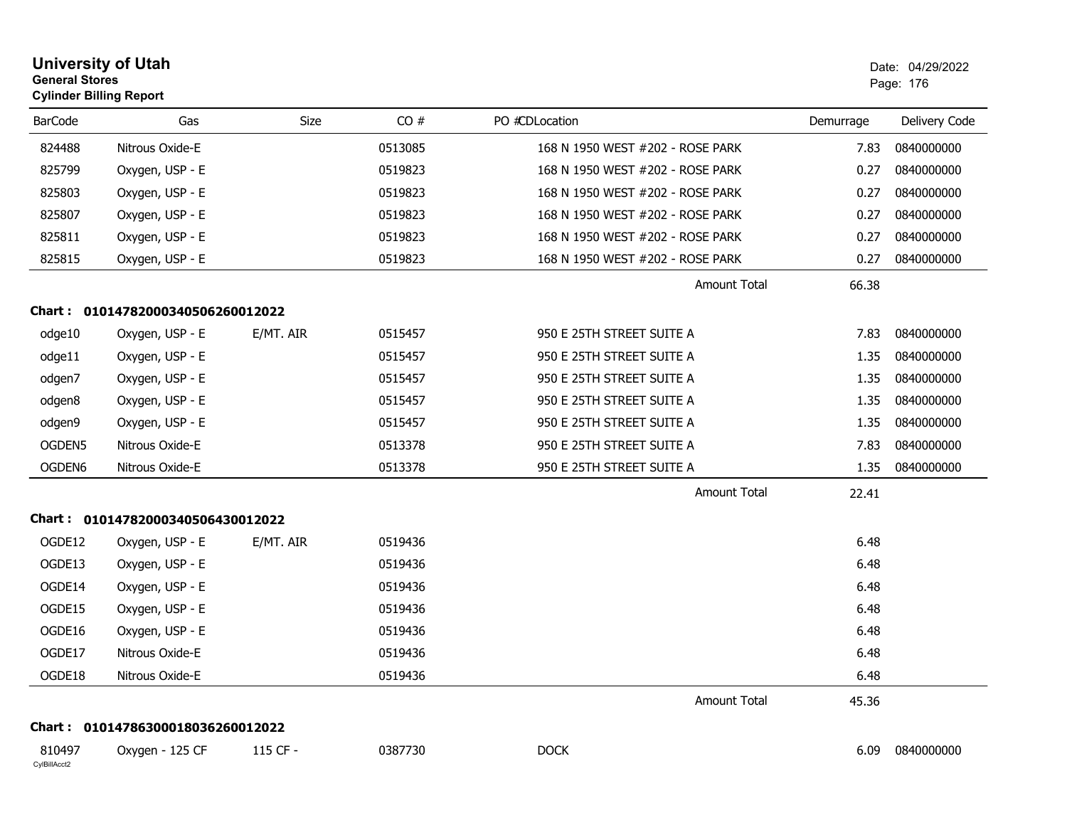| <b>General Stores</b><br><b>Cylinder Billing Report</b> | <b>University of Utah</b>         |             |         |                                  |           | Date: 04/29/2022<br>Page: 176 |
|---------------------------------------------------------|-----------------------------------|-------------|---------|----------------------------------|-----------|-------------------------------|
| <b>BarCode</b>                                          | Gas                               | <b>Size</b> | CO#     | PO #CDLocation                   | Demurrage | Delivery Code                 |
| 824488                                                  | Nitrous Oxide-E                   |             | 0513085 | 168 N 1950 WEST #202 - ROSE PARK | 7.83      | 0840000000                    |
| 825799                                                  | Oxygen, USP - E                   |             | 0519823 | 168 N 1950 WEST #202 - ROSE PARK | 0.27      | 0840000000                    |
| 825803                                                  | Oxygen, USP - E                   |             | 0519823 | 168 N 1950 WEST #202 - ROSE PARK | 0.27      | 0840000000                    |
| 825807                                                  | Oxygen, USP - E                   |             | 0519823 | 168 N 1950 WEST #202 - ROSE PARK | 0.27      | 0840000000                    |
| 825811                                                  | Oxygen, USP - E                   |             | 0519823 | 168 N 1950 WEST #202 - ROSE PARK | 0.27      | 0840000000                    |
| 825815                                                  | Oxygen, USP - E                   |             | 0519823 | 168 N 1950 WEST #202 - ROSE PARK | 0.27      | 0840000000                    |
|                                                         |                                   |             |         | <b>Amount Total</b>              | 66.38     |                               |
|                                                         | Chart: 01014782000340506260012022 |             |         |                                  |           |                               |
| odge10                                                  | Oxygen, USP - E                   | E/MT. AIR   | 0515457 | 950 E 25TH STREET SUITE A        | 7.83      | 0840000000                    |
| odge11                                                  | Oxygen, USP - E                   |             | 0515457 | 950 E 25TH STREET SUITE A        | 1.35      | 0840000000                    |
| odgen7                                                  | Oxygen, USP - E                   |             | 0515457 | 950 E 25TH STREET SUITE A        | 1.35      | 0840000000                    |
| odgen8                                                  | Oxygen, USP - E                   |             | 0515457 | 950 E 25TH STREET SUITE A        | 1.35      | 0840000000                    |
| odgen9                                                  | Oxygen, USP - E                   |             | 0515457 | 950 E 25TH STREET SUITE A        | 1.35      | 0840000000                    |
| OGDEN5                                                  | Nitrous Oxide-E                   |             | 0513378 | 950 E 25TH STREET SUITE A        | 7.83      | 0840000000                    |
| OGDEN6                                                  | Nitrous Oxide-E                   |             | 0513378 | 950 E 25TH STREET SUITE A        | 1.35      | 0840000000                    |
|                                                         |                                   |             |         | Amount Total                     | 22.41     |                               |
|                                                         | Chart: 01014782000340506430012022 |             |         |                                  |           |                               |
| OGDE12                                                  | Oxygen, USP - E                   | E/MT. AIR   | 0519436 |                                  | 6.48      |                               |
| OGDE13                                                  | Oxygen, USP - E                   |             | 0519436 |                                  | 6.48      |                               |
| OGDE14                                                  | Oxygen, USP - E                   |             | 0519436 |                                  | 6.48      |                               |
| OGDE15                                                  | Oxygen, USP - E                   |             | 0519436 |                                  | 6.48      |                               |
| OGDE16                                                  | Oxygen, USP - E                   |             | 0519436 |                                  | 6.48      |                               |
| OGDE17                                                  | Nitrous Oxide-E                   |             | 0519436 |                                  | 6.48      |                               |
| OGDE18                                                  | Nitrous Oxide-E                   |             | 0519436 |                                  | 6.48      |                               |
|                                                         |                                   |             |         | Amount Total                     | 45.36     |                               |
|                                                         | Chart: 01014786300018036260012022 |             |         |                                  |           |                               |
| 810497<br>CylBillAcct2                                  | Oxygen - 125 CF                   | 115 CF -    | 0387730 | <b>DOCK</b>                      | 6.09      | 0840000000                    |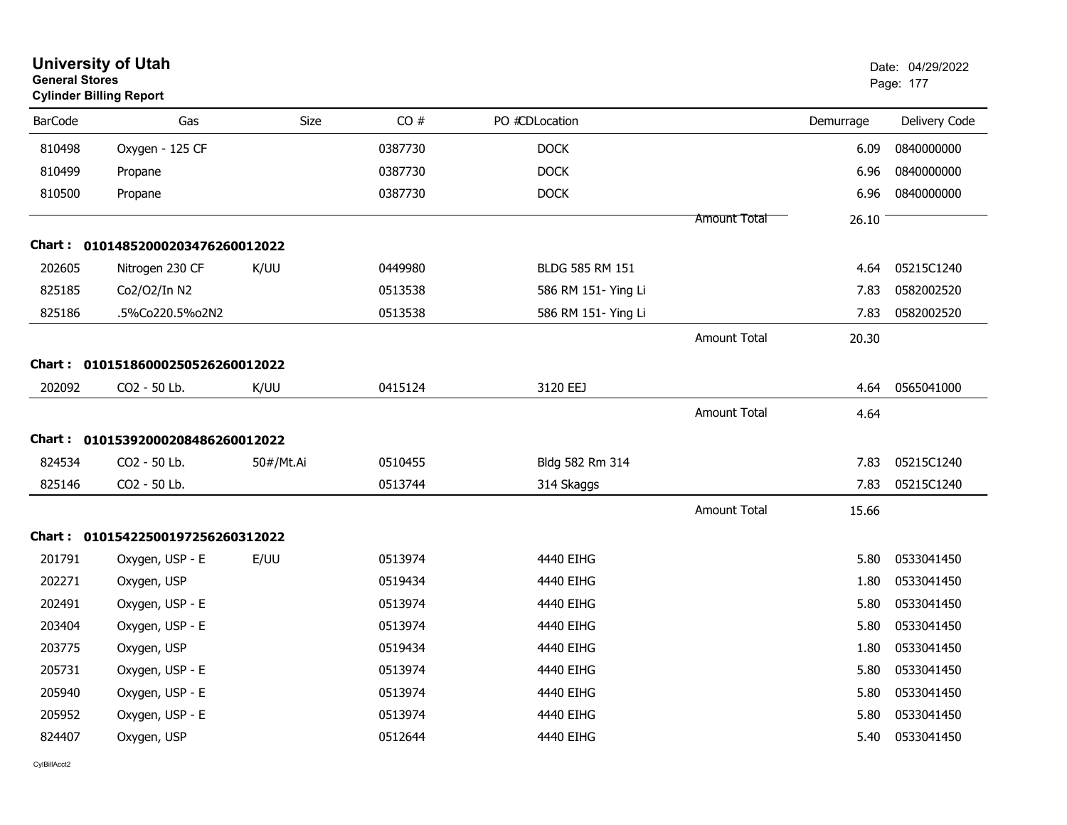| <b>General Stores</b><br><b>Cylinder Billing Report</b> | <b>University of Utah</b>         |           |         |                     |                     |           | Date: 04/29/2022<br>Page: 177 |
|---------------------------------------------------------|-----------------------------------|-----------|---------|---------------------|---------------------|-----------|-------------------------------|
| <b>BarCode</b>                                          | Gas                               | Size      | CO#     | PO #CDLocation      |                     | Demurrage | Delivery Code                 |
| 810498                                                  | Oxygen - 125 CF                   |           | 0387730 | <b>DOCK</b>         |                     | 6.09      | 0840000000                    |
| 810499                                                  | Propane                           |           | 0387730 | <b>DOCK</b>         |                     | 6.96      | 0840000000                    |
| 810500                                                  | Propane                           |           | 0387730 | <b>DOCK</b>         |                     | 6.96      | 0840000000                    |
|                                                         |                                   |           |         |                     | Amount Total        | 26.10     |                               |
|                                                         | Chart: 01014852000203476260012022 |           |         |                     |                     |           |                               |
| 202605                                                  | Nitrogen 230 CF                   | K/UU      | 0449980 | BLDG 585 RM 151     |                     | 4.64      | 05215C1240                    |
| 825185                                                  | Co2/O2/In N2                      |           | 0513538 | 586 RM 151- Ying Li |                     | 7.83      | 0582002520                    |
| 825186                                                  | .5%Co220.5%o2N2                   |           | 0513538 | 586 RM 151- Ying Li |                     | 7.83      | 0582002520                    |
|                                                         |                                   |           |         |                     | <b>Amount Total</b> | 20.30     |                               |
|                                                         | Chart: 01015186000250526260012022 |           |         |                     |                     |           |                               |
| 202092                                                  | CO2 - 50 Lb.                      | K/UU      | 0415124 | 3120 EEJ            |                     | 4.64      | 0565041000                    |
|                                                         |                                   |           |         |                     | <b>Amount Total</b> | 4.64      |                               |
|                                                         | Chart: 01015392000208486260012022 |           |         |                     |                     |           |                               |
| 824534                                                  | CO2 - 50 Lb.                      | 50#/Mt.Ai | 0510455 | Bldg 582 Rm 314     |                     | 7.83      | 05215C1240                    |
| 825146                                                  | CO2 - 50 Lb.                      |           | 0513744 | 314 Skaggs          |                     | 7.83      | 05215C1240                    |
|                                                         |                                   |           |         |                     | <b>Amount Total</b> | 15.66     |                               |
|                                                         | Chart: 01015422500197256260312022 |           |         |                     |                     |           |                               |
| 201791                                                  | Oxygen, USP - E                   | E/UU      | 0513974 | 4440 EIHG           |                     | 5.80      | 0533041450                    |
| 202271                                                  | Oxygen, USP                       |           | 0519434 | 4440 EIHG           |                     | 1.80      | 0533041450                    |
| 202491                                                  | Oxygen, USP - E                   |           | 0513974 | 4440 EIHG           |                     | 5.80      | 0533041450                    |
| 203404                                                  | Oxygen, USP - E                   |           | 0513974 | 4440 EIHG           |                     | 5.80      | 0533041450                    |
| 203775                                                  | Oxygen, USP                       |           | 0519434 | 4440 EIHG           |                     | 1.80      | 0533041450                    |
| 205731                                                  | Oxygen, USP - E                   |           | 0513974 | 4440 EIHG           |                     | 5.80      | 0533041450                    |
| 205940                                                  | Oxygen, USP - E                   |           | 0513974 | 4440 EIHG           |                     | 5.80      | 0533041450                    |
| 205952                                                  | Oxygen, USP - E                   |           | 0513974 | 4440 EIHG           |                     | 5.80      | 0533041450                    |
| 824407                                                  | Oxygen, USP                       |           | 0512644 | 4440 EIHG           |                     | 5.40      | 0533041450                    |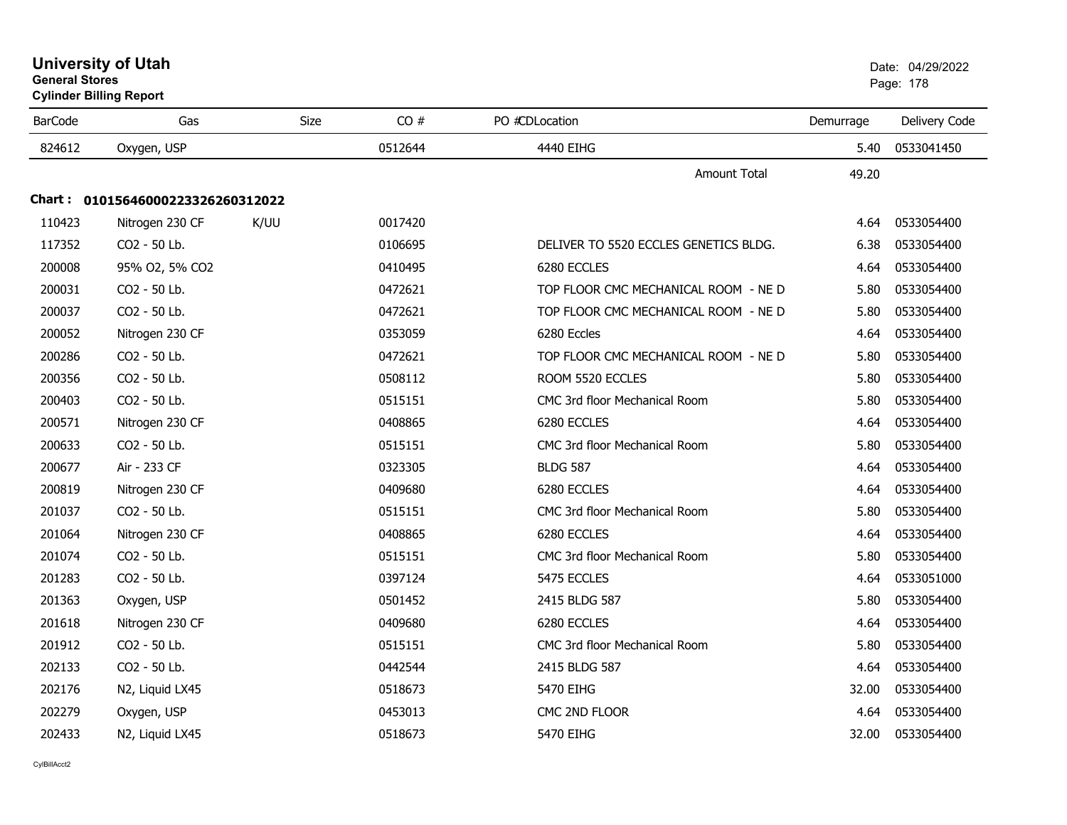|                | General Stores<br><b>Cylinder Billing Report</b> |             |         |                                       |           |               |
|----------------|--------------------------------------------------|-------------|---------|---------------------------------------|-----------|---------------|
| <b>BarCode</b> | Gas                                              | <b>Size</b> | CO#     | PO #CDLocation                        | Demurrage | Delivery Code |
| 824612         | Oxygen, USP                                      |             | 0512644 | 4440 EIHG                             | 5.40      | 0533041450    |
|                |                                                  |             |         | <b>Amount Total</b>                   | 49.20     |               |
|                | Chart: 01015646000223326260312022                |             |         |                                       |           |               |
| 110423         | Nitrogen 230 CF                                  | K/UU        | 0017420 |                                       | 4.64      | 0533054400    |
| 117352         | CO2 - 50 Lb.                                     |             | 0106695 | DELIVER TO 5520 ECCLES GENETICS BLDG. | 6.38      | 0533054400    |
| 200008         | 95% O2, 5% CO2                                   |             | 0410495 | 6280 ECCLES                           | 4.64      | 0533054400    |
| 200031         | CO2 - 50 Lb.                                     |             | 0472621 | TOP FLOOR CMC MECHANICAL ROOM - NE D  | 5.80      | 0533054400    |
| 200037         | CO2 - 50 Lb.                                     |             | 0472621 | TOP FLOOR CMC MECHANICAL ROOM - NE D  | 5.80      | 0533054400    |
| 200052         | Nitrogen 230 CF                                  |             | 0353059 | 6280 Eccles                           | 4.64      | 0533054400    |
| 200286         | CO2 - 50 Lb.                                     |             | 0472621 | TOP FLOOR CMC MECHANICAL ROOM - NE D  | 5.80      | 0533054400    |
| 200356         | CO2 - 50 Lb.                                     |             | 0508112 | ROOM 5520 ECCLES                      | 5.80      | 0533054400    |
| 200403         | CO2 - 50 Lb.                                     |             | 0515151 | CMC 3rd floor Mechanical Room         | 5.80      | 0533054400    |
| 200571         | Nitrogen 230 CF                                  |             | 0408865 | 6280 ECCLES                           | 4.64      | 0533054400    |
| 200633         | CO2 - 50 Lb.                                     |             | 0515151 | CMC 3rd floor Mechanical Room         | 5.80      | 0533054400    |
| 200677         | Air - 233 CF                                     |             | 0323305 | <b>BLDG 587</b>                       | 4.64      | 0533054400    |
| 200819         | Nitrogen 230 CF                                  |             | 0409680 | 6280 ECCLES                           | 4.64      | 0533054400    |
| 201037         | CO2 - 50 Lb.                                     |             | 0515151 | CMC 3rd floor Mechanical Room         | 5.80      | 0533054400    |
| 201064         | Nitrogen 230 CF                                  |             | 0408865 | 6280 ECCLES                           | 4.64      | 0533054400    |
| 201074         | CO2 - 50 Lb.                                     |             | 0515151 | CMC 3rd floor Mechanical Room         | 5.80      | 0533054400    |
| 201283         | CO2 - 50 Lb.                                     |             | 0397124 | 5475 ECCLES                           | 4.64      | 0533051000    |
| 201363         | Oxygen, USP                                      |             | 0501452 | 2415 BLDG 587                         | 5.80      | 0533054400    |
| 201618         | Nitrogen 230 CF                                  |             | 0409680 | 6280 ECCLES                           | 4.64      | 0533054400    |
| 201912         | CO2 - 50 Lb.                                     |             | 0515151 | CMC 3rd floor Mechanical Room         | 5.80      | 0533054400    |
| 202133         | CO2 - 50 Lb.                                     |             | 0442544 | 2415 BLDG 587                         | 4.64      | 0533054400    |
| 202176         | N2, Liquid LX45                                  |             | 0518673 | 5470 EIHG                             | 32.00     | 0533054400    |
| 202279         | Oxygen, USP                                      |             | 0453013 | CMC 2ND FLOOR                         | 4.64      | 0533054400    |
| 202433         | N <sub>2</sub> , Liquid LX <sub>45</sub>         |             | 0518673 | 5470 EIHG                             | 32.00     | 0533054400    |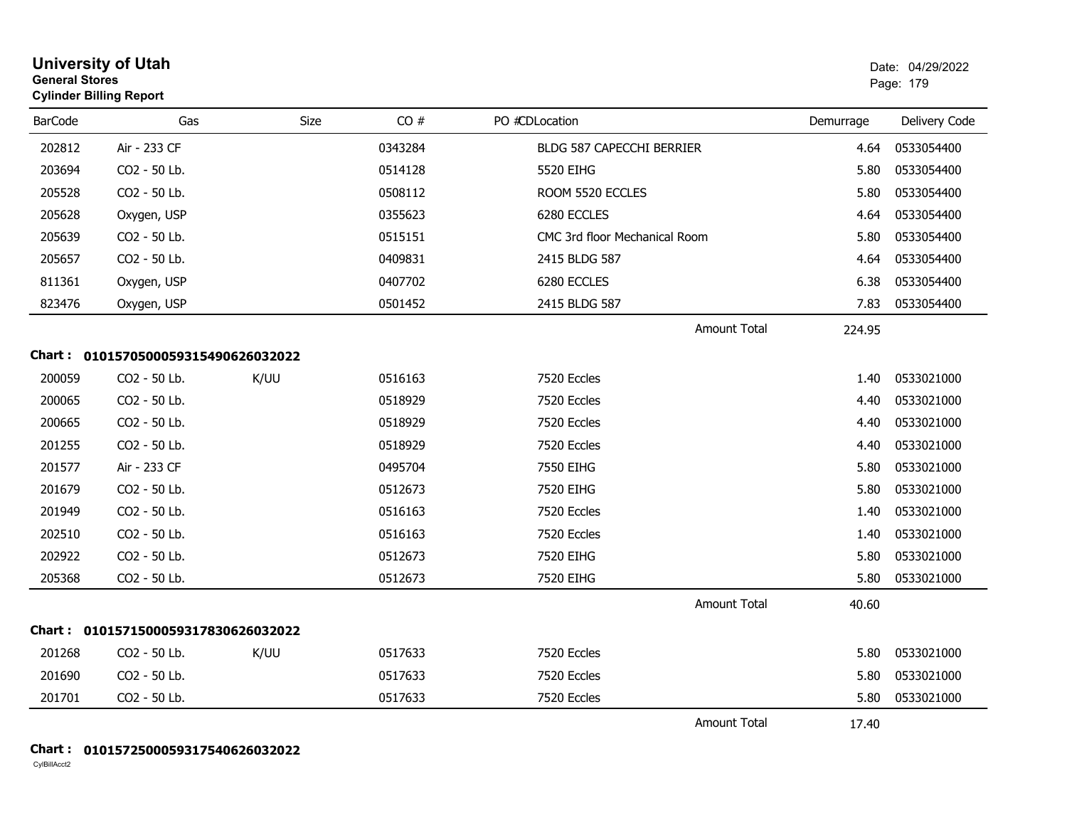| <b>University of Utah</b><br><b>General Stores</b><br><b>Cylinder Billing Report</b> |                                     |      |         | Date: 04/29/2022<br>Page: 179    |                     |           |               |
|--------------------------------------------------------------------------------------|-------------------------------------|------|---------|----------------------------------|---------------------|-----------|---------------|
| <b>BarCode</b>                                                                       | Gas                                 | Size | CO#     | PO #CDLocation                   |                     | Demurrage | Delivery Code |
| 202812                                                                               | Air - 233 CF                        |      | 0343284 | <b>BLDG 587 CAPECCHI BERRIER</b> |                     | 4.64      | 0533054400    |
| 203694                                                                               | CO2 - 50 Lb.                        |      | 0514128 | 5520 EIHG                        |                     | 5.80      | 0533054400    |
| 205528                                                                               | CO2 - 50 Lb.                        |      | 0508112 | ROOM 5520 ECCLES                 |                     | 5.80      | 0533054400    |
| 205628                                                                               | Oxygen, USP                         |      | 0355623 | 6280 ECCLES                      |                     | 4.64      | 0533054400    |
| 205639                                                                               | CO2 - 50 Lb.                        |      | 0515151 | CMC 3rd floor Mechanical Room    |                     | 5.80      | 0533054400    |
| 205657                                                                               | CO2 - 50 Lb.                        |      | 0409831 | 2415 BLDG 587                    |                     | 4.64      | 0533054400    |
| 811361                                                                               | Oxygen, USP                         |      | 0407702 | 6280 ECCLES                      |                     | 6.38      | 0533054400    |
| 823476                                                                               | Oxygen, USP                         |      | 0501452 | 2415 BLDG 587                    |                     | 7.83      | 0533054400    |
|                                                                                      |                                     |      |         |                                  | <b>Amount Total</b> | 224.95    |               |
|                                                                                      | Chart: 0101570500059315490626032022 |      |         |                                  |                     |           |               |
| 200059                                                                               | CO2 - 50 Lb.                        | K/UU | 0516163 | 7520 Eccles                      |                     | 1.40      | 0533021000    |
| 200065                                                                               | CO2 - 50 Lb.                        |      | 0518929 | 7520 Eccles                      |                     | 4.40      | 0533021000    |
| 200665                                                                               | CO2 - 50 Lb.                        |      | 0518929 | 7520 Eccles                      |                     | 4.40      | 0533021000    |
| 201255                                                                               | CO2 - 50 Lb.                        |      | 0518929 | 7520 Eccles                      |                     | 4.40      | 0533021000    |
| 201577                                                                               | Air - 233 CF                        |      | 0495704 | 7550 EIHG                        |                     | 5.80      | 0533021000    |
| 201679                                                                               | CO2 - 50 Lb.                        |      | 0512673 | 7520 EIHG                        |                     | 5.80      | 0533021000    |
| 201949                                                                               | CO2 - 50 Lb.                        |      | 0516163 | 7520 Eccles                      |                     | 1.40      | 0533021000    |
| 202510                                                                               | CO2 - 50 Lb.                        |      | 0516163 | 7520 Eccles                      |                     | 1.40      | 0533021000    |
| 202922                                                                               | CO2 - 50 Lb.                        |      | 0512673 | 7520 EIHG                        |                     | 5.80      | 0533021000    |
| 205368                                                                               | CO2 - 50 Lb.                        |      | 0512673 | 7520 EIHG                        |                     | 5.80      | 0533021000    |
|                                                                                      |                                     |      |         |                                  | <b>Amount Total</b> | 40.60     |               |
|                                                                                      | Chart: 0101571500059317830626032022 |      |         |                                  |                     |           |               |
| 201268                                                                               | CO2 - 50 Lb.                        | K/UU | 0517633 | 7520 Eccles                      |                     | 5.80      | 0533021000    |
| 201690                                                                               | CO2 - 50 Lb.                        |      | 0517633 | 7520 Eccles                      |                     | 5.80      | 0533021000    |
| 201701                                                                               | CO2 - 50 Lb.                        |      | 0517633 | 7520 Eccles                      |                     | 5.80      | 0533021000    |
|                                                                                      |                                     |      |         |                                  | <b>Amount Total</b> | 17.40     |               |

#### **Chart : 0101572500059317540626032022**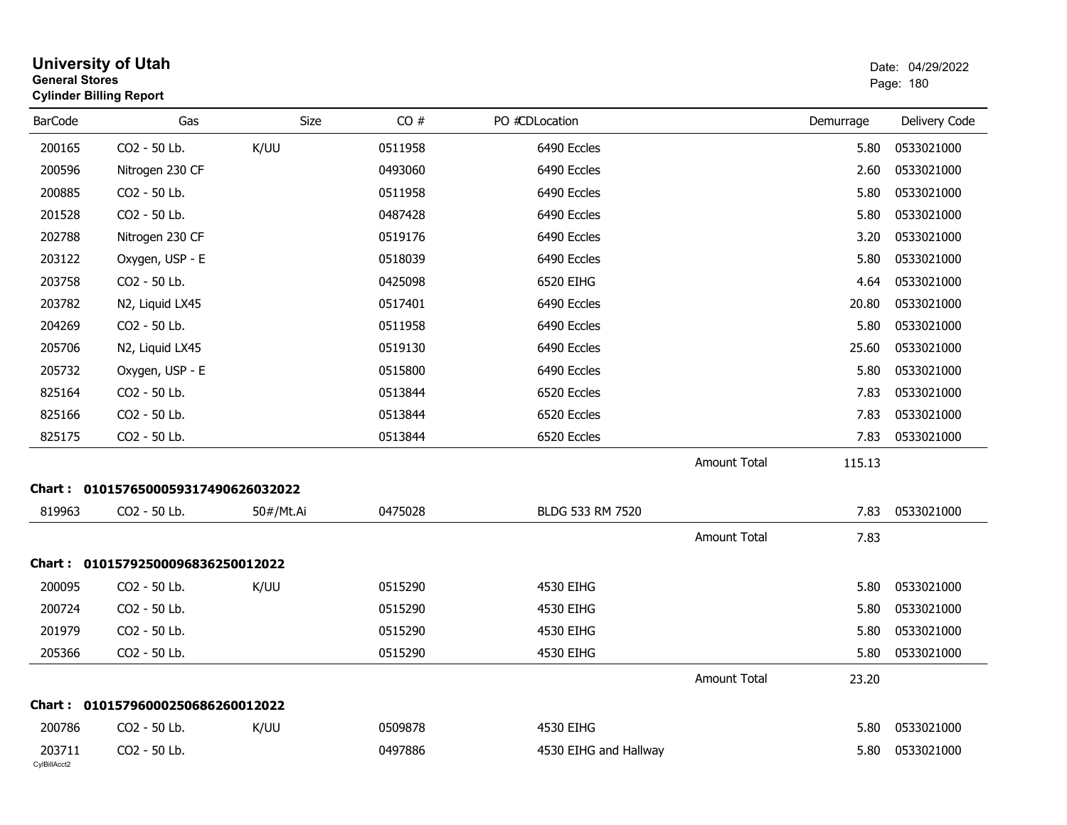| <b>University of Utah</b><br><b>General Stores</b><br><b>Cylinder Billing Report</b> |                                     |           |         |                       |                     | Date: 04/29/2022<br>Page: 180 |               |
|--------------------------------------------------------------------------------------|-------------------------------------|-----------|---------|-----------------------|---------------------|-------------------------------|---------------|
| <b>BarCode</b>                                                                       | Gas                                 | Size      | CO#     | PO #CDLocation        |                     | Demurrage                     | Delivery Code |
| 200165                                                                               | CO2 - 50 Lb.                        | K/UU      | 0511958 | 6490 Eccles           |                     | 5.80                          | 0533021000    |
| 200596                                                                               | Nitrogen 230 CF                     |           | 0493060 | 6490 Eccles           |                     | 2.60                          | 0533021000    |
| 200885                                                                               | CO2 - 50 Lb.                        |           | 0511958 | 6490 Eccles           |                     | 5.80                          | 0533021000    |
| 201528                                                                               | CO2 - 50 Lb.                        |           | 0487428 | 6490 Eccles           |                     | 5.80                          | 0533021000    |
| 202788                                                                               | Nitrogen 230 CF                     |           | 0519176 | 6490 Eccles           |                     | 3.20                          | 0533021000    |
| 203122                                                                               | Oxygen, USP - E                     |           | 0518039 | 6490 Eccles           |                     | 5.80                          | 0533021000    |
| 203758                                                                               | CO2 - 50 Lb.                        |           | 0425098 | 6520 EIHG             |                     | 4.64                          | 0533021000    |
| 203782                                                                               | N2, Liquid LX45                     |           | 0517401 | 6490 Eccles           |                     | 20.80                         | 0533021000    |
| 204269                                                                               | CO2 - 50 Lb.                        |           | 0511958 | 6490 Eccles           |                     | 5.80                          | 0533021000    |
| 205706                                                                               | N2, Liquid LX45                     |           | 0519130 | 6490 Eccles           |                     | 25.60                         | 0533021000    |
| 205732                                                                               | Oxygen, USP - E                     |           | 0515800 | 6490 Eccles           |                     | 5.80                          | 0533021000    |
| 825164                                                                               | CO2 - 50 Lb.                        |           | 0513844 | 6520 Eccles           |                     | 7.83                          | 0533021000    |
| 825166                                                                               | CO2 - 50 Lb.                        |           | 0513844 | 6520 Eccles           |                     | 7.83                          | 0533021000    |
| 825175                                                                               | CO2 - 50 Lb.                        |           | 0513844 | 6520 Eccles           |                     | 7.83                          | 0533021000    |
|                                                                                      |                                     |           |         |                       | <b>Amount Total</b> | 115.13                        |               |
|                                                                                      | Chart: 0101576500059317490626032022 |           |         |                       |                     |                               |               |
| 819963                                                                               | CO2 - 50 Lb.                        | 50#/Mt.Ai | 0475028 | BLDG 533 RM 7520      |                     | 7.83                          | 0533021000    |
|                                                                                      |                                     |           |         |                       | <b>Amount Total</b> | 7.83                          |               |
|                                                                                      | Chart: 01015792500096836250012022   |           |         |                       |                     |                               |               |
| 200095                                                                               | CO2 - 50 Lb.                        | K/UU      | 0515290 | 4530 EIHG             |                     | 5.80                          | 0533021000    |
| 200724                                                                               | CO2 - 50 Lb.                        |           | 0515290 | 4530 EIHG             |                     | 5.80                          | 0533021000    |
| 201979                                                                               | CO2 - 50 Lb.                        |           | 0515290 | 4530 EIHG             |                     | 5.80                          | 0533021000    |
| 205366                                                                               | CO2 - 50 Lb.                        |           | 0515290 | 4530 EIHG             |                     | 5.80                          | 0533021000    |
|                                                                                      |                                     |           |         |                       | <b>Amount Total</b> | 23.20                         |               |
| <b>Chart :</b>                                                                       | 01015796000250686260012022          |           |         |                       |                     |                               |               |
| 200786                                                                               | CO2 - 50 Lb.                        | K/UU      | 0509878 | 4530 EIHG             |                     | 5.80                          | 0533021000    |
| 203711<br>CylBillAcct2                                                               | CO2 - 50 Lb.                        |           | 0497886 | 4530 EIHG and Hallway |                     | 5.80                          | 0533021000    |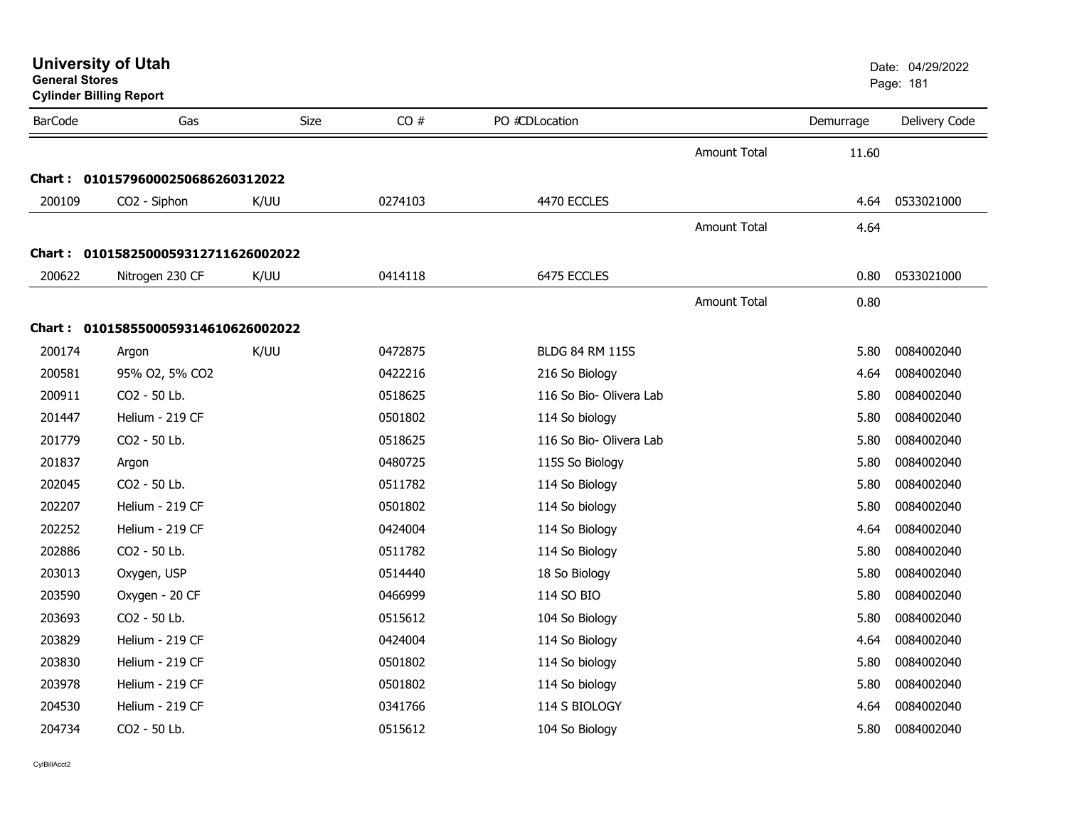|                | General Stores<br><b>Cylinder Billing Report</b> |      |         |                         |                     | Page: 181 |               |
|----------------|--------------------------------------------------|------|---------|-------------------------|---------------------|-----------|---------------|
| <b>BarCode</b> | Gas                                              | Size | CO#     | PO #CDLocation          |                     | Demurrage | Delivery Code |
|                |                                                  |      |         |                         | Amount Total        | 11.60     |               |
|                | Chart: 01015796000250686260312022                |      |         |                         |                     |           |               |
| 200109         | CO2 - Siphon                                     | K/UU | 0274103 | 4470 ECCLES             |                     | 4.64      | 0533021000    |
|                |                                                  |      |         |                         | <b>Amount Total</b> | 4.64      |               |
|                | Chart: 0101582500059312711626002022              |      |         |                         |                     |           |               |
| 200622         | Nitrogen 230 CF                                  | K/UU | 0414118 | 6475 ECCLES             |                     | 0.80      | 0533021000    |
|                |                                                  |      |         |                         | <b>Amount Total</b> | 0.80      |               |
|                | Chart: 0101585500059314610626002022              |      |         |                         |                     |           |               |
| 200174         | Argon                                            | K/UU | 0472875 | <b>BLDG 84 RM 115S</b>  |                     | 5.80      | 0084002040    |
| 200581         | 95% O2, 5% CO2                                   |      | 0422216 | 216 So Biology          |                     | 4.64      | 0084002040    |
| 200911         | CO2 - 50 Lb.                                     |      | 0518625 | 116 So Bio- Olivera Lab |                     | 5.80      | 0084002040    |
| 201447         | Helium - 219 CF                                  |      | 0501802 | 114 So biology          |                     | 5.80      | 0084002040    |
| 201779         | CO2 - 50 Lb.                                     |      | 0518625 | 116 So Bio- Olivera Lab |                     | 5.80      | 0084002040    |
| 201837         | Argon                                            |      | 0480725 | 115S So Biology         |                     | 5.80      | 0084002040    |
| 202045         | CO2 - 50 Lb.                                     |      | 0511782 | 114 So Biology          |                     | 5.80      | 0084002040    |
| 202207         | Helium - 219 CF                                  |      | 0501802 | 114 So biology          |                     | 5.80      | 0084002040    |
| 202252         | Helium - 219 CF                                  |      | 0424004 | 114 So Biology          |                     | 4.64      | 0084002040    |
| 202886         | CO2 - 50 Lb.                                     |      | 0511782 | 114 So Biology          |                     | 5.80      | 0084002040    |
| 203013         | Oxygen, USP                                      |      | 0514440 | 18 So Biology           |                     | 5.80      | 0084002040    |
| 203590         | Oxygen - 20 CF                                   |      | 0466999 | 114 SO BIO              |                     | 5.80      | 0084002040    |
| 203693         | CO2 - 50 Lb.                                     |      | 0515612 | 104 So Biology          |                     | 5.80      | 0084002040    |
| 203829         | Helium - 219 CF                                  |      | 0424004 | 114 So Biology          |                     | 4.64      | 0084002040    |
| 203830         | Helium - 219 CF                                  |      | 0501802 | 114 So biology          |                     | 5.80      | 0084002040    |
| 203978         | Helium - 219 CF                                  |      | 0501802 | 114 So biology          |                     | 5.80      | 0084002040    |
| 204530         | Helium - 219 CF                                  |      | 0341766 | 114 S BIOLOGY           |                     | 4.64      | 0084002040    |
| 204734         | CO2 - 50 Lb.                                     |      | 0515612 | 104 So Biology          |                     | 5.80      | 0084002040    |

**General Stores**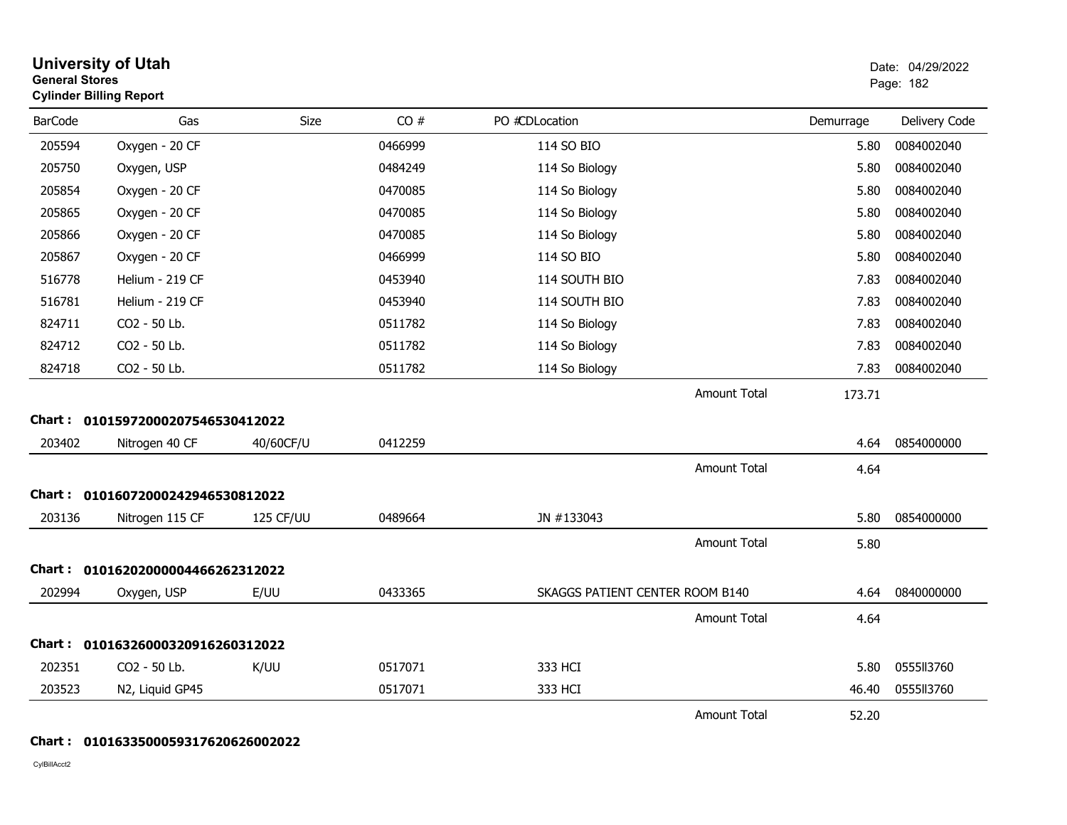| <b>General Stores</b> | <b>University of Utah</b><br><b>Cylinder Billing Report</b> |           |         |                                 |                     |           | Date: 04/29/2022<br>Page: 182 |
|-----------------------|-------------------------------------------------------------|-----------|---------|---------------------------------|---------------------|-----------|-------------------------------|
| <b>BarCode</b>        | Gas                                                         | Size      | CO#     | PO #CDLocation                  |                     | Demurrage | Delivery Code                 |
| 205594                | Oxygen - 20 CF                                              |           | 0466999 | 114 SO BIO                      |                     | 5.80      | 0084002040                    |
| 205750                | Oxygen, USP                                                 |           | 0484249 | 114 So Biology                  |                     | 5.80      | 0084002040                    |
| 205854                | Oxygen - 20 CF                                              |           | 0470085 | 114 So Biology                  |                     | 5.80      | 0084002040                    |
| 205865                | Oxygen - 20 CF                                              |           | 0470085 | 114 So Biology                  |                     | 5.80      | 0084002040                    |
| 205866                | Oxygen - 20 CF                                              |           | 0470085 | 114 So Biology                  |                     | 5.80      | 0084002040                    |
| 205867                | Oxygen - 20 CF                                              |           | 0466999 | 114 SO BIO                      |                     | 5.80      | 0084002040                    |
| 516778                | Helium - 219 CF                                             |           | 0453940 | 114 SOUTH BIO                   |                     | 7.83      | 0084002040                    |
| 516781                | Helium - 219 CF                                             |           | 0453940 | 114 SOUTH BIO                   |                     | 7.83      | 0084002040                    |
| 824711                | CO2 - 50 Lb.                                                |           | 0511782 | 114 So Biology                  |                     | 7.83      | 0084002040                    |
| 824712                | CO2 - 50 Lb.                                                |           | 0511782 | 114 So Biology                  |                     | 7.83      | 0084002040                    |
| 824718                | CO2 - 50 Lb.                                                |           | 0511782 | 114 So Biology                  |                     | 7.83      | 0084002040                    |
|                       |                                                             |           |         |                                 | Amount Total        | 173.71    |                               |
|                       | Chart: 01015972000207546530412022                           |           |         |                                 |                     |           |                               |
| 203402                | Nitrogen 40 CF                                              | 40/60CF/U | 0412259 |                                 |                     | 4.64      | 0854000000                    |
|                       |                                                             |           |         |                                 | <b>Amount Total</b> | 4.64      |                               |
|                       | Chart: 01016072000242946530812022                           |           |         |                                 |                     |           |                               |
| 203136                | Nitrogen 115 CF                                             | 125 CF/UU | 0489664 | JN #133043                      |                     | 5.80      | 0854000000                    |
|                       |                                                             |           |         |                                 | <b>Amount Total</b> | 5.80      |                               |
|                       | Chart: 01016202000004466262312022                           |           |         |                                 |                     |           |                               |
| 202994                | Oxygen, USP                                                 | E/UU      | 0433365 | SKAGGS PATIENT CENTER ROOM B140 |                     | 4.64      | 0840000000                    |
|                       |                                                             |           |         |                                 | <b>Amount Total</b> | 4.64      |                               |
|                       | Chart: 01016326000320916260312022                           |           |         |                                 |                     |           |                               |
| 202351                | CO2 - 50 Lb.                                                | K/UU      | 0517071 | 333 HCI                         |                     | 5.80      | 0555113760                    |
| 203523                | N2, Liquid GP45                                             |           | 0517071 | 333 HCI                         |                     | 46.40     | 0555113760                    |
|                       |                                                             |           |         |                                 | <b>Amount Total</b> | 52.20     |                               |

# **Chart : 0101633500059317620626002022**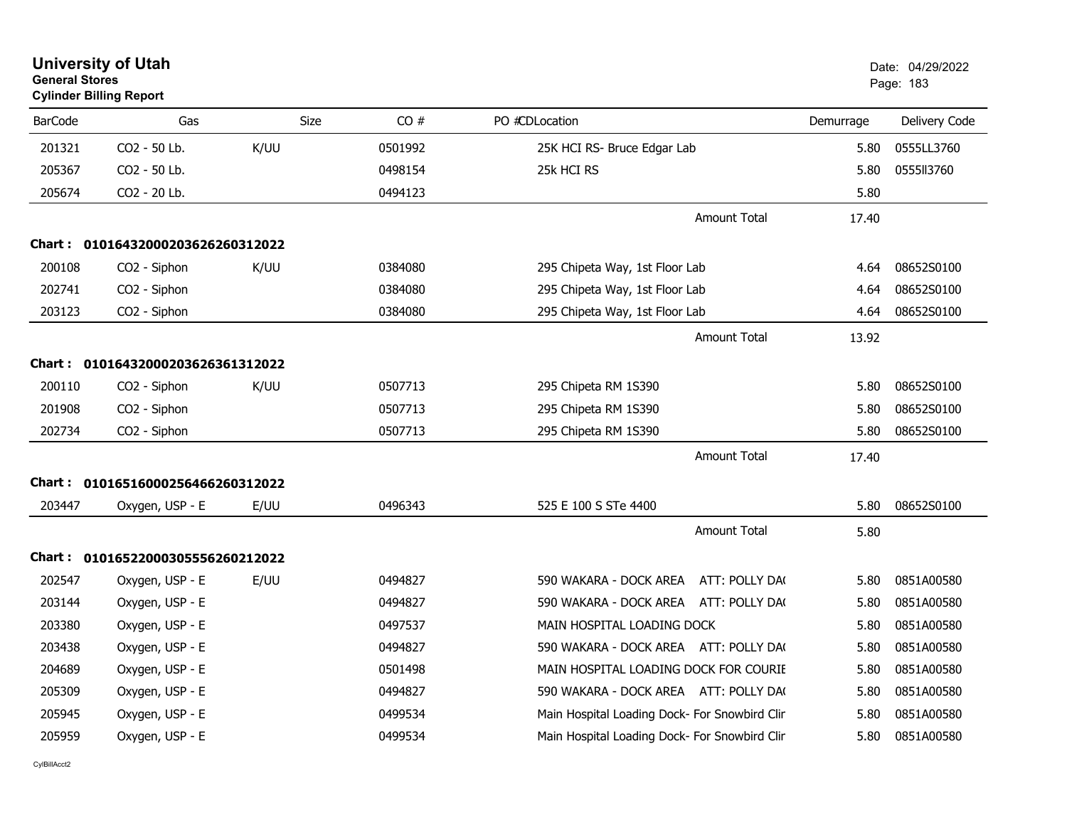| General Stores | <b>Cylinder Billing Report</b>    |      |         |                                               |           | Page: 183     |
|----------------|-----------------------------------|------|---------|-----------------------------------------------|-----------|---------------|
| <b>BarCode</b> | Gas                               | Size | CO#     | PO #CDLocation                                | Demurrage | Delivery Code |
| 201321         | CO2 - 50 Lb.                      | K/UU | 0501992 | 25K HCI RS- Bruce Edgar Lab                   | 5.80      | 0555LL3760    |
| 205367         | CO2 - 50 Lb.                      |      | 0498154 | 25k HCI RS                                    | 5.80      | 0555113760    |
| 205674         | CO2 - 20 Lb.                      |      | 0494123 |                                               | 5.80      |               |
|                |                                   |      |         | <b>Amount Total</b>                           | 17.40     |               |
| <b>Chart :</b> | 01016432000203626260312022        |      |         |                                               |           |               |
| 200108         | CO <sub>2</sub> - Siphon          | K/UU | 0384080 | 295 Chipeta Way, 1st Floor Lab                | 4.64      | 08652S0100    |
| 202741         | CO2 - Siphon                      |      | 0384080 | 295 Chipeta Way, 1st Floor Lab                | 4.64      | 08652S0100    |
| 203123         | CO2 - Siphon                      |      | 0384080 | 295 Chipeta Way, 1st Floor Lab                | 4.64      | 08652S0100    |
|                |                                   |      |         | <b>Amount Total</b>                           | 13.92     |               |
|                | Chart: 01016432000203626361312022 |      |         |                                               |           |               |
| 200110         | CO2 - Siphon                      | K/UU | 0507713 | 295 Chipeta RM 1S390                          | 5.80      | 08652S0100    |
| 201908         | CO2 - Siphon                      |      | 0507713 | 295 Chipeta RM 1S390                          | 5.80      | 08652S0100    |
| 202734         | CO2 - Siphon                      |      | 0507713 | 295 Chipeta RM 1S390                          | 5.80      | 08652S0100    |
|                |                                   |      |         | <b>Amount Total</b>                           | 17.40     |               |
| Chart :        | 01016516000256466260312022        |      |         |                                               |           |               |
| 203447         | Oxygen, USP - E                   | E/UU | 0496343 | 525 E 100 S STe 4400                          | 5.80      | 08652S0100    |
|                |                                   |      |         | <b>Amount Total</b>                           | 5.80      |               |
|                | Chart: 01016522000305556260212022 |      |         |                                               |           |               |
| 202547         | Oxygen, USP - E                   | E/UU | 0494827 | 590 WAKARA - DOCK AREA<br>ATT: POLLY DA(      | 5.80      | 0851A00580    |
| 203144         | Oxygen, USP - E                   |      | 0494827 | 590 WAKARA - DOCK AREA ATT: POLLY DA(         | 5.80      | 0851A00580    |
| 203380         | Oxygen, USP - E                   |      | 0497537 | MAIN HOSPITAL LOADING DOCK                    | 5.80      | 0851A00580    |
| 203438         | Oxygen, USP - E                   |      | 0494827 | 590 WAKARA - DOCK AREA ATT: POLLY DA(         | 5.80      | 0851A00580    |
| 204689         | Oxygen, USP - E                   |      | 0501498 | MAIN HOSPITAL LOADING DOCK FOR COURIE         | 5.80      | 0851A00580    |
| 205309         | Oxygen, USP - E                   |      | 0494827 | 590 WAKARA - DOCK AREA ATT: POLLY DA(         | 5.80      | 0851A00580    |
| 205945         | Oxygen, USP - E                   |      | 0499534 | Main Hospital Loading Dock- For Snowbird Clin | 5.80      | 0851A00580    |
| 205959         | Oxygen, USP - E                   |      | 0499534 | Main Hospital Loading Dock- For Snowbird Clin | 5.80      | 0851A00580    |

**General Stores**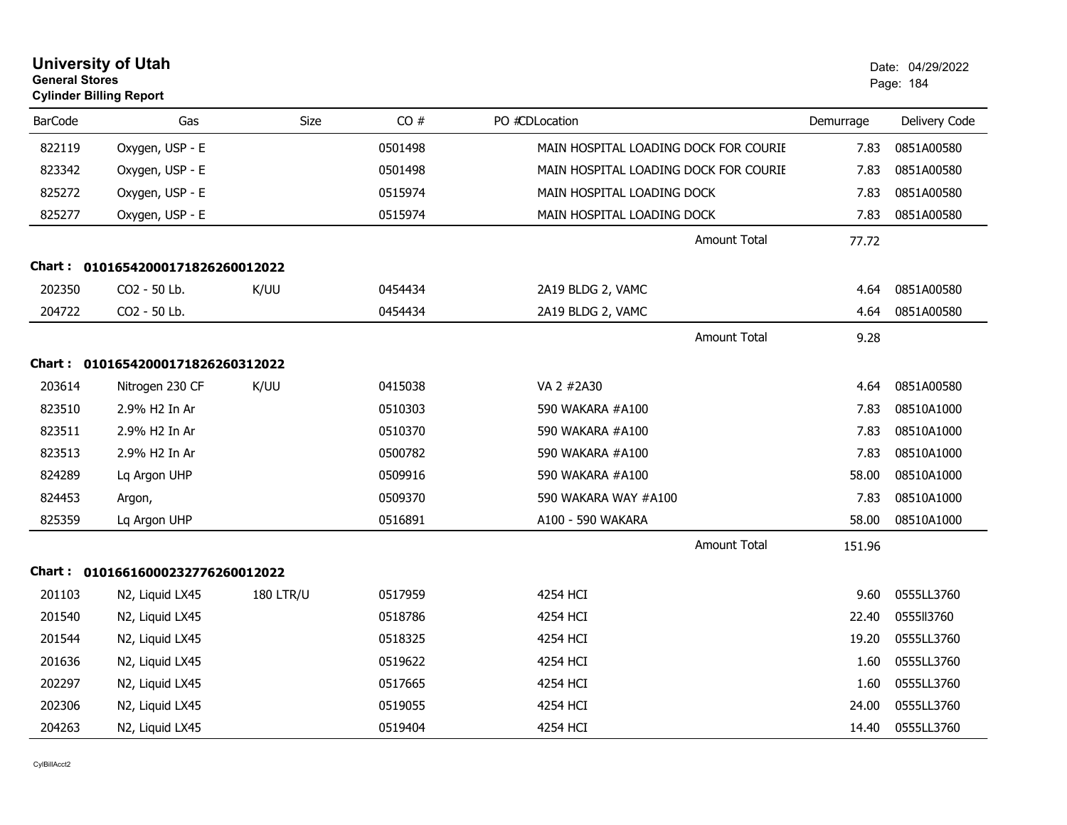| <b>General Stores</b> | <b>University of Utah</b><br><b>Cylinder Billing Report</b> |                  |         |                                       |           | Date: 04/29/2022<br>Page: 184 |
|-----------------------|-------------------------------------------------------------|------------------|---------|---------------------------------------|-----------|-------------------------------|
| <b>BarCode</b>        | Gas                                                         | <b>Size</b>      | CO#     | PO #CDLocation                        | Demurrage | Delivery Code                 |
| 822119                | Oxygen, USP - E                                             |                  | 0501498 | MAIN HOSPITAL LOADING DOCK FOR COURIE | 7.83      | 0851A00580                    |
| 823342                | Oxygen, USP - E                                             |                  | 0501498 | MAIN HOSPITAL LOADING DOCK FOR COURIE | 7.83      | 0851A00580                    |
| 825272                | Oxygen, USP - E                                             |                  | 0515974 | MAIN HOSPITAL LOADING DOCK            | 7.83      | 0851A00580                    |
| 825277                | Oxygen, USP - E                                             |                  | 0515974 | MAIN HOSPITAL LOADING DOCK            | 7.83      | 0851A00580                    |
|                       |                                                             |                  |         | <b>Amount Total</b>                   | 77.72     |                               |
|                       | Chart: 01016542000171826260012022                           |                  |         |                                       |           |                               |
| 202350                | CO2 - 50 Lb.                                                | K/UU             | 0454434 | 2A19 BLDG 2, VAMC                     | 4.64      | 0851A00580                    |
| 204722                | CO2 - 50 Lb.                                                |                  | 0454434 | 2A19 BLDG 2, VAMC                     | 4.64      | 0851A00580                    |
|                       |                                                             |                  |         | Amount Total                          | 9.28      |                               |
|                       | Chart: 01016542000171826260312022                           |                  |         |                                       |           |                               |
| 203614                | Nitrogen 230 CF                                             | K/UU             | 0415038 | VA 2 #2A30                            | 4.64      | 0851A00580                    |
| 823510                | 2.9% H2 In Ar                                               |                  | 0510303 | 590 WAKARA #A100                      | 7.83      | 08510A1000                    |
| 823511                | 2.9% H <sub>2</sub> In Ar                                   |                  | 0510370 | 590 WAKARA #A100                      | 7.83      | 08510A1000                    |
| 823513                | 2.9% H <sub>2</sub> In Ar                                   |                  | 0500782 | 590 WAKARA #A100                      | 7.83      | 08510A1000                    |
| 824289                | Lq Argon UHP                                                |                  | 0509916 | 590 WAKARA #A100                      | 58.00     | 08510A1000                    |
| 824453                | Argon,                                                      |                  | 0509370 | 590 WAKARA WAY #A100                  | 7.83      | 08510A1000                    |
| 825359                | Lq Argon UHP                                                |                  | 0516891 | A100 - 590 WAKARA                     | 58.00     | 08510A1000                    |
|                       |                                                             |                  |         | <b>Amount Total</b>                   | 151.96    |                               |
|                       | Chart: 01016616000232776260012022                           |                  |         |                                       |           |                               |
| 201103                | N2, Liquid LX45                                             | <b>180 LTR/U</b> | 0517959 | 4254 HCI                              | 9.60      | 0555LL3760                    |
| 201540                | N2, Liquid LX45                                             |                  | 0518786 | 4254 HCI                              | 22.40     | 0555113760                    |
| 201544                | N2, Liquid LX45                                             |                  | 0518325 | 4254 HCI                              | 19.20     | 0555LL3760                    |
| 201636                | N2, Liquid LX45                                             |                  | 0519622 | 4254 HCI                              | 1.60      | 0555LL3760                    |
| 202297                | N2, Liquid LX45                                             |                  | 0517665 | 4254 HCI                              | 1.60      | 0555LL3760                    |
| 202306                | N2, Liquid LX45                                             |                  | 0519055 | 4254 HCI                              | 24.00     | 0555LL3760                    |
| 204263                | N2, Liquid LX45                                             |                  | 0519404 | 4254 HCI                              | 14.40     | 0555LL3760                    |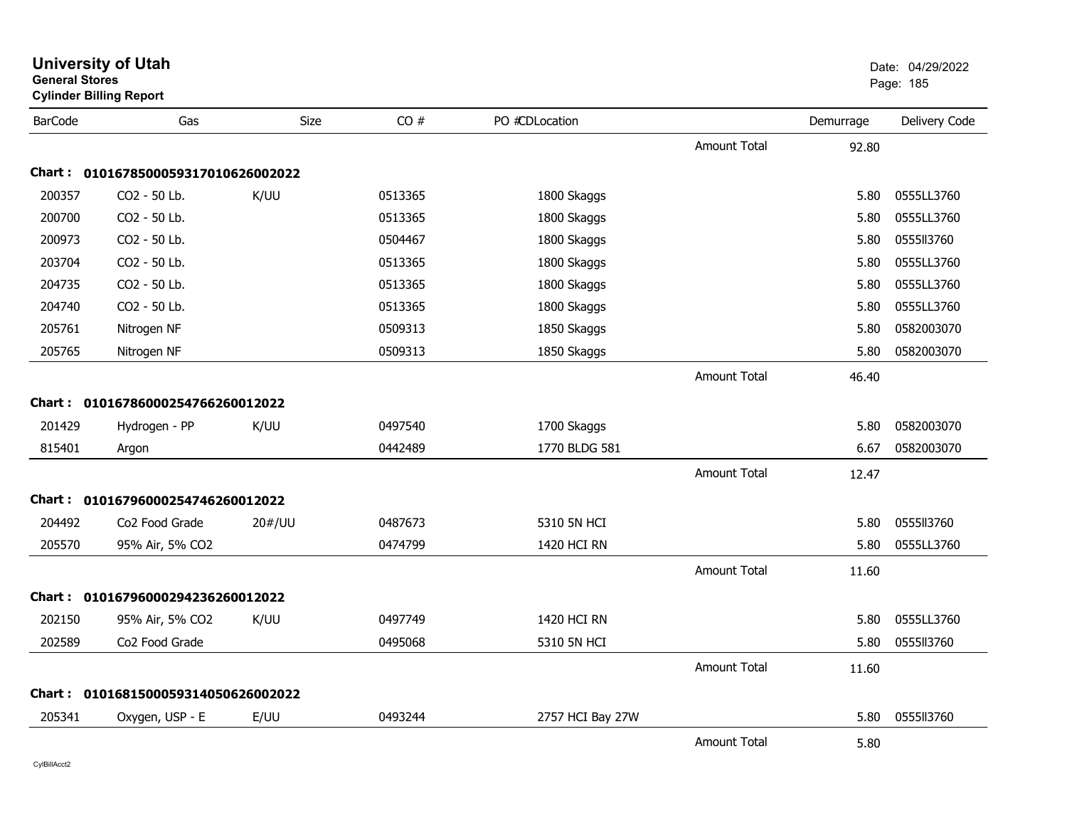| <b>General Stores</b> | <b>Cylinder Billing Report</b>      |        |         |                    |                     |           | Page: 185     |
|-----------------------|-------------------------------------|--------|---------|--------------------|---------------------|-----------|---------------|
| <b>BarCode</b>        | Gas                                 | Size   | CO#     | PO #CDLocation     |                     | Demurrage | Delivery Code |
|                       |                                     |        |         |                    | <b>Amount Total</b> | 92.80     |               |
|                       | Chart: 0101678500059317010626002022 |        |         |                    |                     |           |               |
| 200357                | CO2 - 50 Lb.                        | K/UU   | 0513365 | 1800 Skaggs        |                     | 5.80      | 0555LL3760    |
| 200700                | CO2 - 50 Lb.                        |        | 0513365 | 1800 Skaggs        |                     | 5.80      | 0555LL3760    |
| 200973                | CO2 - 50 Lb.                        |        | 0504467 | 1800 Skaggs        |                     | 5.80      | 0555113760    |
| 203704                | CO2 - 50 Lb.                        |        | 0513365 | 1800 Skaggs        |                     | 5.80      | 0555LL3760    |
| 204735                | CO2 - 50 Lb.                        |        | 0513365 | 1800 Skaggs        |                     | 5.80      | 0555LL3760    |
| 204740                | CO2 - 50 Lb.                        |        | 0513365 | 1800 Skaggs        |                     | 5.80      | 0555LL3760    |
| 205761                | Nitrogen NF                         |        | 0509313 | 1850 Skaggs        |                     | 5.80      | 0582003070    |
| 205765                | Nitrogen NF                         |        | 0509313 | 1850 Skaggs        |                     | 5.80      | 0582003070    |
|                       |                                     |        |         |                    | <b>Amount Total</b> | 46.40     |               |
| Chart :               | 01016786000254766260012022          |        |         |                    |                     |           |               |
| 201429                | Hydrogen - PP                       | K/UU   | 0497540 | 1700 Skaggs        |                     | 5.80      | 0582003070    |
| 815401                | Argon                               |        | 0442489 | 1770 BLDG 581      |                     | 6.67      | 0582003070    |
|                       |                                     |        |         |                    | <b>Amount Total</b> | 12.47     |               |
|                       | Chart: 01016796000254746260012022   |        |         |                    |                     |           |               |
| 204492                | Co <sub>2</sub> Food Grade          | 20#/UU | 0487673 | 5310 5N HCI        |                     | 5.80      | 0555113760    |
| 205570                | 95% Air, 5% CO2                     |        | 0474799 | 1420 HCI RN        |                     | 5.80      | 0555LL3760    |
|                       |                                     |        |         |                    | <b>Amount Total</b> | 11.60     |               |
|                       | Chart: 01016796000294236260012022   |        |         |                    |                     |           |               |
| 202150                | 95% Air, 5% CO2                     | K/UU   | 0497749 | <b>1420 HCI RN</b> |                     | 5.80      | 0555LL3760    |
| 202589                | Co <sub>2</sub> Food Grade          |        | 0495068 | 5310 5N HCI        |                     | 5.80      | 0555113760    |
|                       |                                     |        |         |                    | <b>Amount Total</b> | 11.60     |               |
|                       | Chart: 0101681500059314050626002022 |        |         |                    |                     |           |               |
| 205341                | Oxygen, USP - E                     | E/UU   | 0493244 | 2757 HCI Bay 27W   |                     | 5.80      | 0555113760    |
|                       |                                     |        |         |                    | <b>Amount Total</b> | 5.80      |               |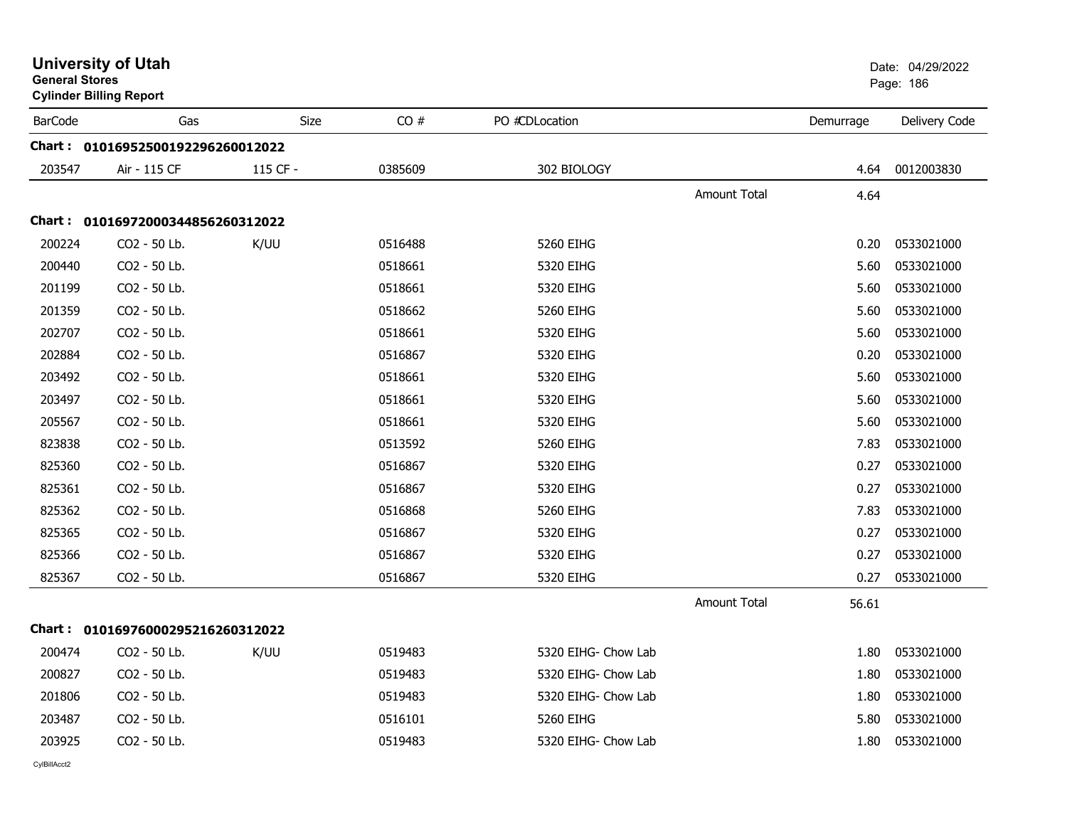| <b>General Stores</b> | <b>University of Utah</b><br><b>Cylinder Billing Report</b> |          |         |                     |                     |           | Date: 04/29/2022<br>Page: 186 |
|-----------------------|-------------------------------------------------------------|----------|---------|---------------------|---------------------|-----------|-------------------------------|
| <b>BarCode</b>        | Gas                                                         | Size     | CO#     | PO #CDLocation      |                     | Demurrage | Delivery Code                 |
|                       | Chart: 01016952500192296260012022                           |          |         |                     |                     |           |                               |
| 203547                | Air - 115 CF                                                | 115 CF - | 0385609 | 302 BIOLOGY         |                     | 4.64      | 0012003830                    |
|                       |                                                             |          |         |                     | <b>Amount Total</b> | 4.64      |                               |
|                       | Chart: 01016972000344856260312022                           |          |         |                     |                     |           |                               |
| 200224                | CO2 - 50 Lb.                                                | K/UU     | 0516488 | 5260 EIHG           |                     | 0.20      | 0533021000                    |
| 200440                | CO2 - 50 Lb.                                                |          | 0518661 | 5320 EIHG           |                     | 5.60      | 0533021000                    |
| 201199                | CO2 - 50 Lb.                                                |          | 0518661 | 5320 EIHG           |                     | 5.60      | 0533021000                    |
| 201359                | CO2 - 50 Lb.                                                |          | 0518662 | 5260 EIHG           |                     | 5.60      | 0533021000                    |
| 202707                | CO2 - 50 Lb.                                                |          | 0518661 | 5320 EIHG           |                     | 5.60      | 0533021000                    |
| 202884                | CO2 - 50 Lb.                                                |          | 0516867 | 5320 EIHG           |                     | 0.20      | 0533021000                    |
| 203492                | CO2 - 50 Lb.                                                |          | 0518661 | 5320 EIHG           |                     | 5.60      | 0533021000                    |
| 203497                | CO2 - 50 Lb.                                                |          | 0518661 | 5320 EIHG           |                     | 5.60      | 0533021000                    |
| 205567                | CO2 - 50 Lb.                                                |          | 0518661 | 5320 EIHG           |                     | 5.60      | 0533021000                    |
| 823838                | CO2 - 50 Lb.                                                |          | 0513592 | 5260 EIHG           |                     | 7.83      | 0533021000                    |
| 825360                | CO2 - 50 Lb.                                                |          | 0516867 | 5320 EIHG           |                     | 0.27      | 0533021000                    |
| 825361                | CO2 - 50 Lb.                                                |          | 0516867 | 5320 EIHG           |                     | 0.27      | 0533021000                    |
| 825362                | CO2 - 50 Lb.                                                |          | 0516868 | 5260 EIHG           |                     | 7.83      | 0533021000                    |
| 825365                | CO2 - 50 Lb.                                                |          | 0516867 | 5320 EIHG           |                     | 0.27      | 0533021000                    |
| 825366                | CO2 - 50 Lb.                                                |          | 0516867 | 5320 EIHG           |                     | 0.27      | 0533021000                    |
| 825367                | CO2 - 50 Lb.                                                |          | 0516867 | 5320 EIHG           |                     | 0.27      | 0533021000                    |
|                       |                                                             |          |         |                     | Amount Total        | 56.61     |                               |
|                       | Chart: 01016976000295216260312022                           |          |         |                     |                     |           |                               |
| 200474                | CO2 - 50 Lb.                                                | K/UU     | 0519483 | 5320 EIHG- Chow Lab |                     | 1.80      | 0533021000                    |
| 200827                | CO2 - 50 Lb.                                                |          | 0519483 | 5320 EIHG- Chow Lab |                     | 1.80      | 0533021000                    |
| 201806                | CO2 - 50 Lb.                                                |          | 0519483 | 5320 EIHG- Chow Lab |                     | 1.80      | 0533021000                    |
| 203487                | CO2 - 50 Lb.                                                |          | 0516101 | 5260 EIHG           |                     | 5.80      | 0533021000                    |
| 203925                | CO2 - 50 Lb.                                                |          | 0519483 | 5320 EIHG- Chow Lab |                     | 1.80      | 0533021000                    |
| CvIBillAcct2          |                                                             |          |         |                     |                     |           |                               |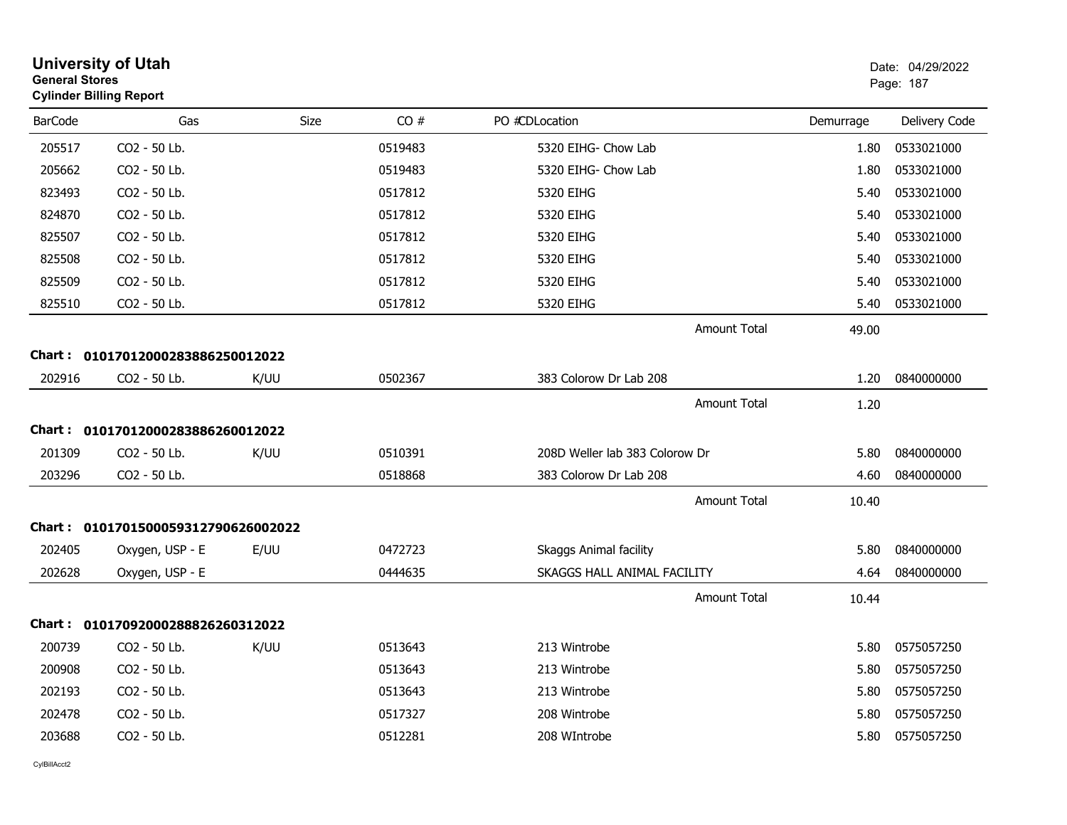| <b>General Stores</b> | <b>University of Utah</b><br><b>Cylinder Billing Report</b> |             |         |                                |           | Date: 04/29/2022<br>Page: 187 |
|-----------------------|-------------------------------------------------------------|-------------|---------|--------------------------------|-----------|-------------------------------|
| <b>BarCode</b>        | Gas                                                         | <b>Size</b> | CO#     | PO #CDLocation                 | Demurrage | Delivery Code                 |
| 205517                | CO2 - 50 Lb.                                                |             | 0519483 | 5320 EIHG- Chow Lab            | 1.80      | 0533021000                    |
| 205662                | CO <sub>2</sub> - 50 Lb.                                    |             | 0519483 | 5320 EIHG- Chow Lab            | 1.80      | 0533021000                    |
| 823493                | CO2 - 50 Lb.                                                |             | 0517812 | 5320 EIHG                      | 5.40      | 0533021000                    |
| 824870                | CO2 - 50 Lb.                                                |             | 0517812 | 5320 EIHG                      | 5.40      | 0533021000                    |
| 825507                | CO2 - 50 Lb.                                                |             | 0517812 | 5320 EIHG                      | 5.40      | 0533021000                    |
| 825508                | CO2 - 50 Lb.                                                |             | 0517812 | 5320 EIHG                      | 5.40      | 0533021000                    |
| 825509                | CO2 - 50 Lb.                                                |             | 0517812 | 5320 EIHG                      | 5.40      | 0533021000                    |
| 825510                | CO2 - 50 Lb.                                                |             | 0517812 | 5320 EIHG                      | 5.40      | 0533021000                    |
|                       |                                                             |             |         | <b>Amount Total</b>            | 49.00     |                               |
|                       | Chart: 01017012000283886250012022                           |             |         |                                |           |                               |
| 202916                | CO2 - 50 Lb.                                                | K/UU        | 0502367 | 383 Colorow Dr Lab 208         | 1.20      | 0840000000                    |
|                       |                                                             |             |         | <b>Amount Total</b>            | 1.20      |                               |
|                       | Chart: 01017012000283886260012022                           |             |         |                                |           |                               |
| 201309                | CO <sub>2</sub> - 50 Lb.                                    | K/UU        | 0510391 | 208D Weller lab 383 Colorow Dr | 5.80      | 0840000000                    |
| 203296                | CO2 - 50 Lb.                                                |             | 0518868 | 383 Colorow Dr Lab 208         | 4.60      | 0840000000                    |
|                       |                                                             |             |         | <b>Amount Total</b>            | 10.40     |                               |
|                       | Chart: 0101701500059312790626002022                         |             |         |                                |           |                               |
| 202405                | Oxygen, USP - E                                             | E/UU        | 0472723 | Skaggs Animal facility         | 5.80      | 0840000000                    |
| 202628                | Oxygen, USP - E                                             |             | 0444635 | SKAGGS HALL ANIMAL FACILITY    | 4.64      | 0840000000                    |
|                       |                                                             |             |         | <b>Amount Total</b>            | 10.44     |                               |
|                       | Chart: 01017092000288826260312022                           |             |         |                                |           |                               |
| 200739                | CO2 - 50 Lb.                                                | K/UU        | 0513643 | 213 Wintrobe                   | 5.80      | 0575057250                    |
| 200908                | CO2 - 50 Lb.                                                |             | 0513643 | 213 Wintrobe                   | 5.80      | 0575057250                    |
| 202193                | CO2 - 50 Lb.                                                |             | 0513643 | 213 Wintrobe                   | 5.80      | 0575057250                    |
| 202478                | CO2 - 50 Lb.                                                |             | 0517327 | 208 Wintrobe                   | 5.80      | 0575057250                    |
| 203688                | CO2 - 50 Lb.                                                |             | 0512281 | 208 WIntrobe                   | 5.80      | 0575057250                    |
|                       |                                                             |             |         |                                |           |                               |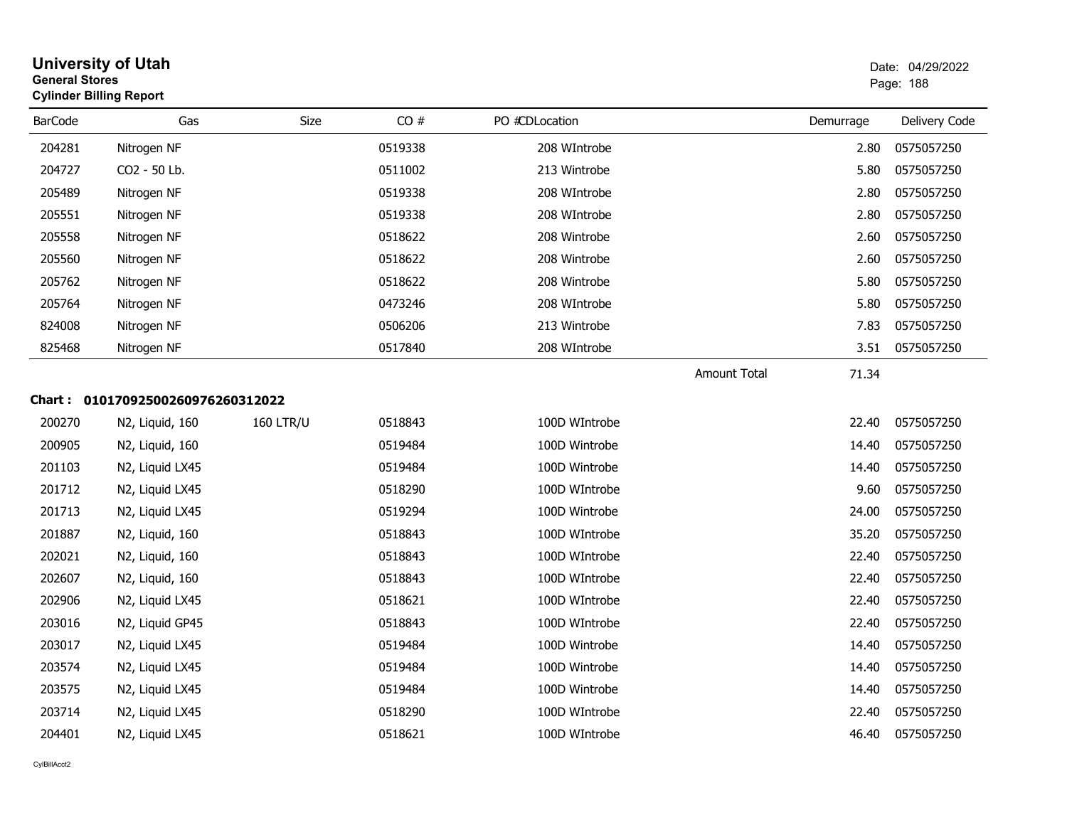| <b>General Stores</b><br><b>Cylinder Billing Report</b> |                            |                  |         | Page: 188      |                     |           |               |
|---------------------------------------------------------|----------------------------|------------------|---------|----------------|---------------------|-----------|---------------|
| <b>BarCode</b>                                          | Gas                        | Size             | CO#     | PO #CDLocation |                     | Demurrage | Delivery Code |
| 204281                                                  | Nitrogen NF                |                  | 0519338 | 208 WIntrobe   |                     | 2.80      | 0575057250    |
| 204727                                                  | CO <sub>2</sub> - 50 Lb.   |                  | 0511002 | 213 Wintrobe   |                     | 5.80      | 0575057250    |
| 205489                                                  | Nitrogen NF                |                  | 0519338 | 208 WIntrobe   |                     | 2.80      | 0575057250    |
| 205551                                                  | Nitrogen NF                |                  | 0519338 | 208 WIntrobe   |                     | 2.80      | 0575057250    |
| 205558                                                  | Nitrogen NF                |                  | 0518622 | 208 Wintrobe   |                     | 2.60      | 0575057250    |
| 205560                                                  | Nitrogen NF                |                  | 0518622 | 208 Wintrobe   |                     | 2.60      | 0575057250    |
| 205762                                                  | Nitrogen NF                |                  | 0518622 | 208 Wintrobe   |                     | 5.80      | 0575057250    |
| 205764                                                  | Nitrogen NF                |                  | 0473246 | 208 WIntrobe   |                     | 5.80      | 0575057250    |
| 824008                                                  | Nitrogen NF                |                  | 0506206 | 213 Wintrobe   |                     | 7.83      | 0575057250    |
| 825468                                                  | Nitrogen NF                |                  | 0517840 | 208 WIntrobe   |                     | 3.51      | 0575057250    |
|                                                         |                            |                  |         |                | <b>Amount Total</b> | 71.34     |               |
| Chart :                                                 | 01017092500260976260312022 |                  |         |                |                     |           |               |
| 200270                                                  | N2, Liquid, 160            | <b>160 LTR/U</b> | 0518843 | 100D WIntrobe  |                     | 22.40     | 0575057250    |
| 200905                                                  | N2, Liquid, 160            |                  | 0519484 | 100D Wintrobe  |                     | 14.40     | 0575057250    |
| 201103                                                  | N2, Liquid LX45            |                  | 0519484 | 100D Wintrobe  |                     | 14.40     | 0575057250    |
| 201712                                                  | N2, Liquid LX45            |                  | 0518290 | 100D WIntrobe  |                     | 9.60      | 0575057250    |
| 201713                                                  | N2, Liquid LX45            |                  | 0519294 | 100D Wintrobe  |                     | 24.00     | 0575057250    |
| 201887                                                  | N2, Liquid, 160            |                  | 0518843 | 100D WIntrobe  |                     | 35.20     | 0575057250    |
| 202021                                                  | N2, Liquid, 160            |                  | 0518843 | 100D WIntrobe  |                     | 22.40     | 0575057250    |
| 202607                                                  | N2, Liquid, 160            |                  | 0518843 | 100D WIntrobe  |                     | 22.40     | 0575057250    |
| 202906                                                  | N2, Liquid LX45            |                  | 0518621 | 100D WIntrobe  |                     | 22.40     | 0575057250    |
| 203016                                                  | N2, Liquid GP45            |                  | 0518843 | 100D WIntrobe  |                     | 22.40     | 0575057250    |
| 203017                                                  | N2, Liquid LX45            |                  | 0519484 | 100D Wintrobe  |                     | 14.40     | 0575057250    |
| 203574                                                  | N2, Liquid LX45            |                  | 0519484 | 100D Wintrobe  |                     | 14.40     | 0575057250    |
| 203575                                                  | N2, Liquid LX45            |                  | 0519484 | 100D Wintrobe  |                     | 14.40     | 0575057250    |
| 203714                                                  | N2, Liquid LX45            |                  | 0518290 | 100D WIntrobe  |                     | 22.40     | 0575057250    |
| 204401                                                  | N2, Liquid LX45            |                  | 0518621 | 100D WIntrobe  |                     | 46.40     | 0575057250    |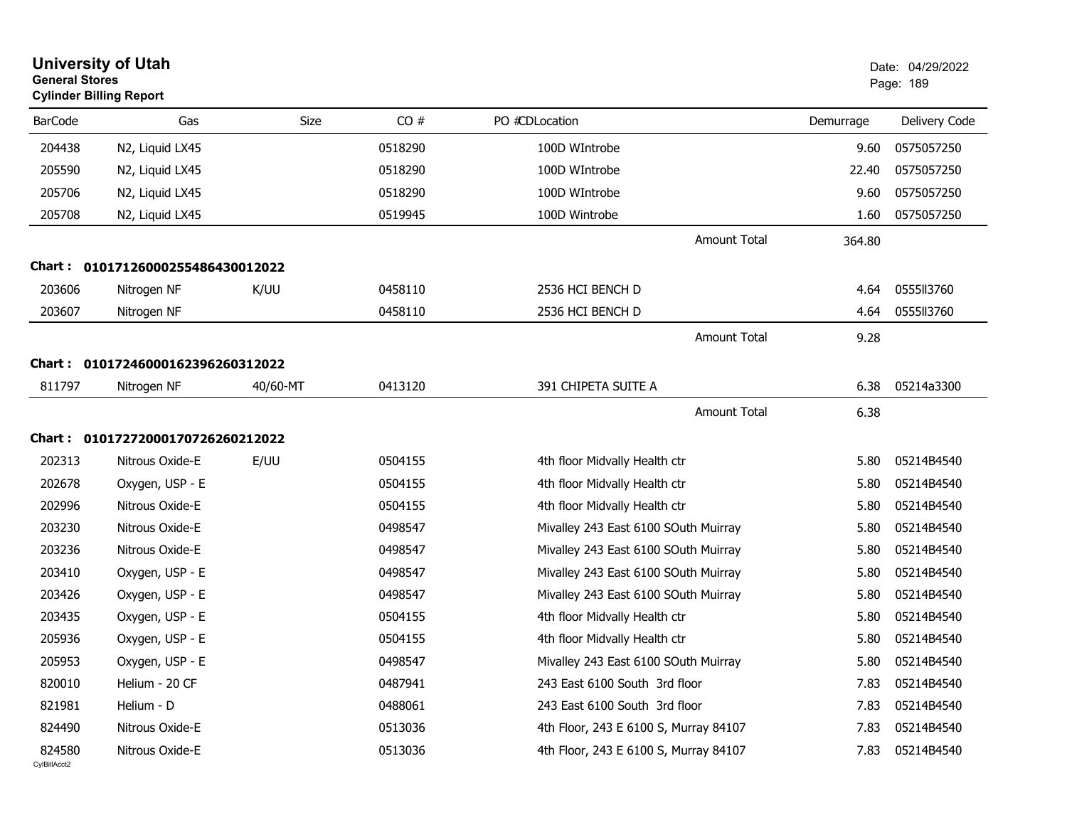| <b>General Stores</b>  | <b>University of Utah</b><br><b>Cylinder Billing Report</b> |          |         |                                       |           | Date: 04/29/2022<br>Page: 189 |
|------------------------|-------------------------------------------------------------|----------|---------|---------------------------------------|-----------|-------------------------------|
| <b>BarCode</b>         | Gas                                                         | Size     | CO#     | PO #CDLocation                        | Demurrage | Delivery Code                 |
| 204438                 | N2, Liquid LX45                                             |          | 0518290 | 100D WIntrobe                         | 9.60      | 0575057250                    |
| 205590                 | N2, Liquid LX45                                             |          | 0518290 | 100D WIntrobe                         | 22.40     | 0575057250                    |
| 205706                 | N2, Liquid LX45                                             |          | 0518290 | 100D WIntrobe                         | 9.60      | 0575057250                    |
| 205708                 | N2, Liquid LX45                                             |          | 0519945 | 100D Wintrobe                         | 1.60      | 0575057250                    |
|                        |                                                             |          |         | <b>Amount Total</b>                   | 364.80    |                               |
| Chart :                | 01017126000255486430012022                                  |          |         |                                       |           |                               |
| 203606                 | Nitrogen NF                                                 | K/UU     | 0458110 | 2536 HCI BENCH D                      | 4.64      | 0555II3760                    |
| 203607                 | Nitrogen NF                                                 |          | 0458110 | 2536 HCI BENCH D                      | 4.64      | 0555113760                    |
|                        |                                                             |          |         | <b>Amount Total</b>                   | 9.28      |                               |
| Chart :                | 01017246000162396260312022                                  |          |         |                                       |           |                               |
| 811797                 | Nitrogen NF                                                 | 40/60-MT | 0413120 | 391 CHIPETA SUITE A                   | 6.38      | 05214a3300                    |
|                        |                                                             |          |         | <b>Amount Total</b>                   | 6.38      |                               |
| Chart :                | 01017272000170726260212022                                  |          |         |                                       |           |                               |
| 202313                 | Nitrous Oxide-E                                             | E/UU     | 0504155 | 4th floor Midvally Health ctr         | 5.80      | 05214B4540                    |
| 202678                 | Oxygen, USP - E                                             |          | 0504155 | 4th floor Midvally Health ctr         | 5.80      | 05214B4540                    |
| 202996                 | Nitrous Oxide-E                                             |          | 0504155 | 4th floor Midvally Health ctr         | 5.80      | 05214B4540                    |
| 203230                 | Nitrous Oxide-E                                             |          | 0498547 | Mivalley 243 East 6100 SOuth Muirray  | 5.80      | 05214B4540                    |
| 203236                 | Nitrous Oxide-E                                             |          | 0498547 | Mivalley 243 East 6100 SOuth Muirray  | 5.80      | 05214B4540                    |
| 203410                 | Oxygen, USP - E                                             |          | 0498547 | Mivalley 243 East 6100 SOuth Muirray  | 5.80      | 05214B4540                    |
| 203426                 | Oxygen, USP - E                                             |          | 0498547 | Mivalley 243 East 6100 SOuth Muirray  | 5.80      | 05214B4540                    |
| 203435                 | Oxygen, USP - E                                             |          | 0504155 | 4th floor Midvally Health ctr         | 5.80      | 05214B4540                    |
| 205936                 | Oxygen, USP - E                                             |          | 0504155 | 4th floor Midvally Health ctr         | 5.80      | 05214B4540                    |
| 205953                 | Oxygen, USP - E                                             |          | 0498547 | Mivalley 243 East 6100 SOuth Muirray  | 5.80      | 05214B4540                    |
| 820010                 | Helium - 20 CF                                              |          | 0487941 | 243 East 6100 South 3rd floor         | 7.83      | 05214B4540                    |
| 821981                 | Helium - D                                                  |          | 0488061 | 243 East 6100 South 3rd floor         | 7.83      | 05214B4540                    |
| 824490                 | Nitrous Oxide-E                                             |          | 0513036 | 4th Floor, 243 E 6100 S, Murray 84107 | 7.83      | 05214B4540                    |
| 824580<br>CylBillAcct2 | Nitrous Oxide-E                                             |          | 0513036 | 4th Floor, 243 E 6100 S, Murray 84107 | 7.83      | 05214B4540                    |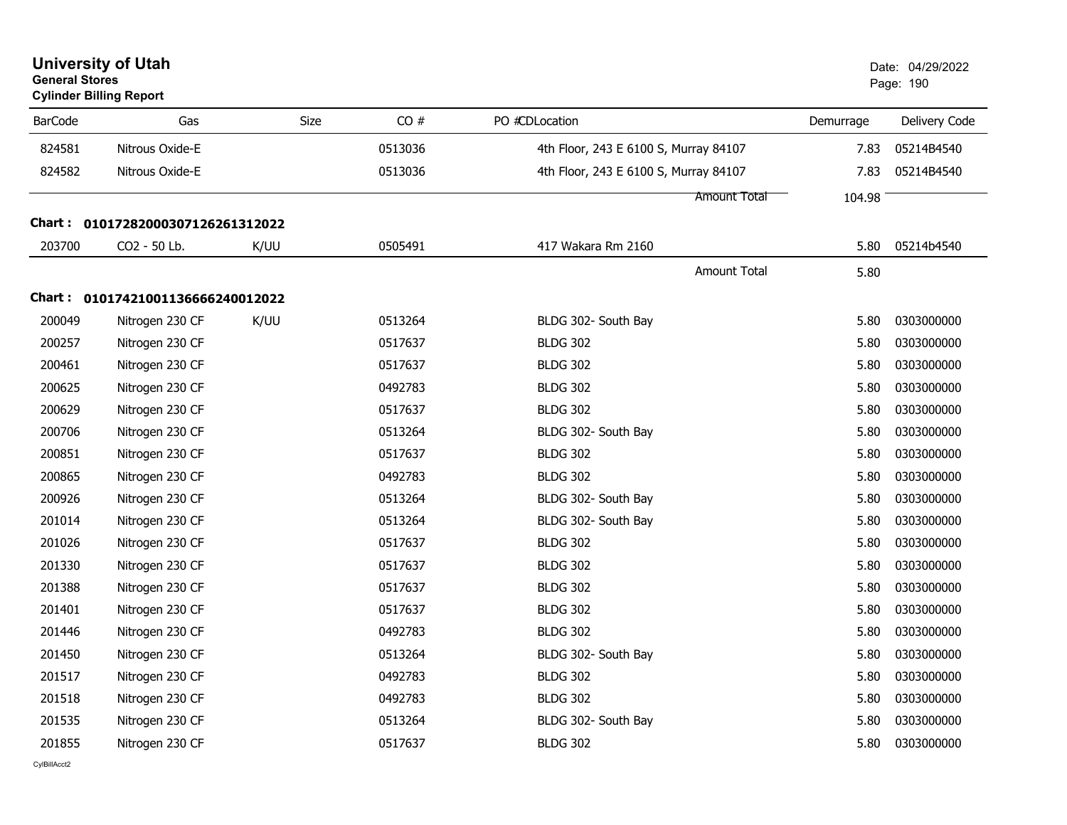| <b>General Stores</b> | <b>University of Utah</b><br><b>Cylinder Billing Report</b> |      |         |                                       | Date: 04/29/2022<br>Page: 190 |               |
|-----------------------|-------------------------------------------------------------|------|---------|---------------------------------------|-------------------------------|---------------|
| <b>BarCode</b>        | Gas                                                         | Size | CO#     | PO #CDLocation                        | Demurrage                     | Delivery Code |
| 824581                | Nitrous Oxide-E                                             |      | 0513036 | 4th Floor, 243 E 6100 S, Murray 84107 | 7.83                          | 05214B4540    |
| 824582                | Nitrous Oxide-E                                             |      | 0513036 | 4th Floor, 243 E 6100 S, Murray 84107 | 7.83                          | 05214B4540    |
|                       |                                                             |      |         | <b>Amount Total</b>                   | 104.98                        |               |
|                       | Chart: 01017282000307126261312022                           |      |         |                                       |                               |               |
| 203700                | CO2 - 50 Lb.                                                | K/UU | 0505491 | 417 Wakara Rm 2160                    | 5.80                          | 05214b4540    |
|                       |                                                             |      |         | <b>Amount Total</b>                   | 5.80                          |               |
|                       | Chart: 01017421001136666240012022                           |      |         |                                       |                               |               |
| 200049                | Nitrogen 230 CF                                             | K/UU | 0513264 | BLDG 302- South Bay                   | 5.80                          | 0303000000    |
| 200257                | Nitrogen 230 CF                                             |      | 0517637 | <b>BLDG 302</b>                       | 5.80                          | 0303000000    |
| 200461                | Nitrogen 230 CF                                             |      | 0517637 | <b>BLDG 302</b>                       | 5.80                          | 0303000000    |
| 200625                | Nitrogen 230 CF                                             |      | 0492783 | <b>BLDG 302</b>                       | 5.80                          | 0303000000    |
| 200629                | Nitrogen 230 CF                                             |      | 0517637 | <b>BLDG 302</b>                       | 5.80                          | 0303000000    |
| 200706                | Nitrogen 230 CF                                             |      | 0513264 | BLDG 302- South Bay                   | 5.80                          | 0303000000    |
| 200851                | Nitrogen 230 CF                                             |      | 0517637 | <b>BLDG 302</b>                       | 5.80                          | 0303000000    |
| 200865                | Nitrogen 230 CF                                             |      | 0492783 | <b>BLDG 302</b>                       | 5.80                          | 0303000000    |
| 200926                | Nitrogen 230 CF                                             |      | 0513264 | BLDG 302- South Bay                   | 5.80                          | 0303000000    |
| 201014                | Nitrogen 230 CF                                             |      | 0513264 | BLDG 302- South Bay                   | 5.80                          | 0303000000    |
| 201026                | Nitrogen 230 CF                                             |      | 0517637 | <b>BLDG 302</b>                       | 5.80                          | 0303000000    |
| 201330                | Nitrogen 230 CF                                             |      | 0517637 | <b>BLDG 302</b>                       | 5.80                          | 0303000000    |
| 201388                | Nitrogen 230 CF                                             |      | 0517637 | <b>BLDG 302</b>                       | 5.80                          | 0303000000    |
| 201401                | Nitrogen 230 CF                                             |      | 0517637 | <b>BLDG 302</b>                       | 5.80                          | 0303000000    |
| 201446                | Nitrogen 230 CF                                             |      | 0492783 | <b>BLDG 302</b>                       | 5.80                          | 0303000000    |
| 201450                | Nitrogen 230 CF                                             |      | 0513264 | BLDG 302- South Bay                   | 5.80                          | 0303000000    |
| 201517                | Nitrogen 230 CF                                             |      | 0492783 | <b>BLDG 302</b>                       | 5.80                          | 0303000000    |
| 201518                | Nitrogen 230 CF                                             |      | 0492783 | <b>BLDG 302</b>                       | 5.80                          | 0303000000    |
| 201535                | Nitrogen 230 CF                                             |      | 0513264 | BLDG 302- South Bay                   | 5.80                          | 0303000000    |
| 201855                | Nitrogen 230 CF                                             |      | 0517637 | <b>BLDG 302</b>                       | 5.80                          | 0303000000    |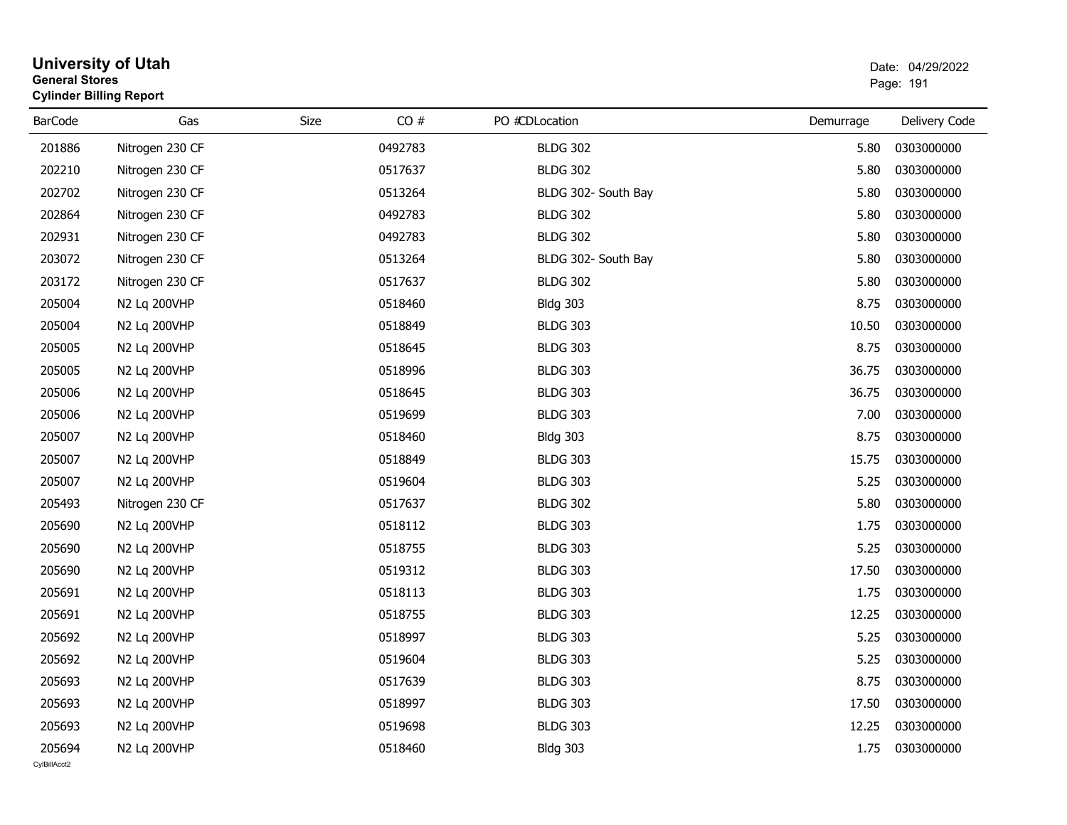| <b>General Stores</b> | <b>University of Utah</b><br><b>Cylinder Billing Report</b> |      |         |                     |           | Date: 04/29/2022<br>Page: 191 |
|-----------------------|-------------------------------------------------------------|------|---------|---------------------|-----------|-------------------------------|
| <b>BarCode</b>        | Gas                                                         | Size | CO#     | PO #CDLocation      | Demurrage | Delivery Code                 |
| 201886                | Nitrogen 230 CF                                             |      | 0492783 | <b>BLDG 302</b>     | 5.80      | 0303000000                    |
| 202210                | Nitrogen 230 CF                                             |      | 0517637 | <b>BLDG 302</b>     | 5.80      | 0303000000                    |
| 202702                | Nitrogen 230 CF                                             |      | 0513264 | BLDG 302- South Bay | 5.80      | 0303000000                    |
| 202864                | Nitrogen 230 CF                                             |      | 0492783 | <b>BLDG 302</b>     | 5.80      | 0303000000                    |
| 202931                | Nitrogen 230 CF                                             |      | 0492783 | <b>BLDG 302</b>     | 5.80      | 0303000000                    |
| 203072                | Nitrogen 230 CF                                             |      | 0513264 | BLDG 302- South Bay | 5.80      | 0303000000                    |
| 203172                | Nitrogen 230 CF                                             |      | 0517637 | <b>BLDG 302</b>     | 5.80      | 0303000000                    |
| 205004                | N2 Lq 200VHP                                                |      | 0518460 | <b>Bldg 303</b>     | 8.75      | 0303000000                    |
| 205004                | N2 Lq 200VHP                                                |      | 0518849 | <b>BLDG 303</b>     | 10.50     | 0303000000                    |
| 205005                | N2 Lq 200VHP                                                |      | 0518645 | <b>BLDG 303</b>     | 8.75      | 0303000000                    |
| 205005                | N2 Lq 200VHP                                                |      | 0518996 | <b>BLDG 303</b>     | 36.75     | 0303000000                    |
| 205006                | N2 Lq 200VHP                                                |      | 0518645 | <b>BLDG 303</b>     | 36.75     | 0303000000                    |
| 205006                | N2 Lq 200VHP                                                |      | 0519699 | <b>BLDG 303</b>     | 7.00      | 0303000000                    |
| 205007                | N2 Lq 200VHP                                                |      | 0518460 | <b>Bldg 303</b>     | 8.75      | 0303000000                    |
| 205007                | N2 Lq 200VHP                                                |      | 0518849 | <b>BLDG 303</b>     | 15.75     | 0303000000                    |
| 205007                | N2 Lq 200VHP                                                |      | 0519604 | <b>BLDG 303</b>     | 5.25      | 0303000000                    |
| 205493                | Nitrogen 230 CF                                             |      | 0517637 | <b>BLDG 302</b>     | 5.80      | 0303000000                    |
| 205690                | N2 Lq 200VHP                                                |      | 0518112 | <b>BLDG 303</b>     | 1.75      | 0303000000                    |
| 205690                | N2 Lq 200VHP                                                |      | 0518755 | <b>BLDG 303</b>     | 5.25      | 0303000000                    |
| 205690                | N2 Lq 200VHP                                                |      | 0519312 | <b>BLDG 303</b>     | 17.50     | 0303000000                    |
| 205691                | N2 Lq 200VHP                                                |      | 0518113 | <b>BLDG 303</b>     | 1.75      | 0303000000                    |
| 205691                | N2 Lq 200VHP                                                |      | 0518755 | <b>BLDG 303</b>     | 12.25     | 0303000000                    |
| 205692                | N2 Lq 200VHP                                                |      | 0518997 | <b>BLDG 303</b>     | 5.25      | 0303000000                    |
| 205692                | N2 Lq 200VHP                                                |      | 0519604 | <b>BLDG 303</b>     | 5.25      | 0303000000                    |
| 205693                | N2 Lq 200VHP                                                |      | 0517639 | <b>BLDG 303</b>     | 8.75      | 0303000000                    |
| 205693                | N2 Lq 200VHP                                                |      | 0518997 | <b>BLDG 303</b>     | 17.50     | 0303000000                    |
| 205693                | N2 Lq 200VHP                                                |      | 0519698 | <b>BLDG 303</b>     | 12.25     | 0303000000                    |
| 205694                | N2 Lq 200VHP                                                |      | 0518460 | <b>Bldg 303</b>     | 1.75      | 0303000000                    |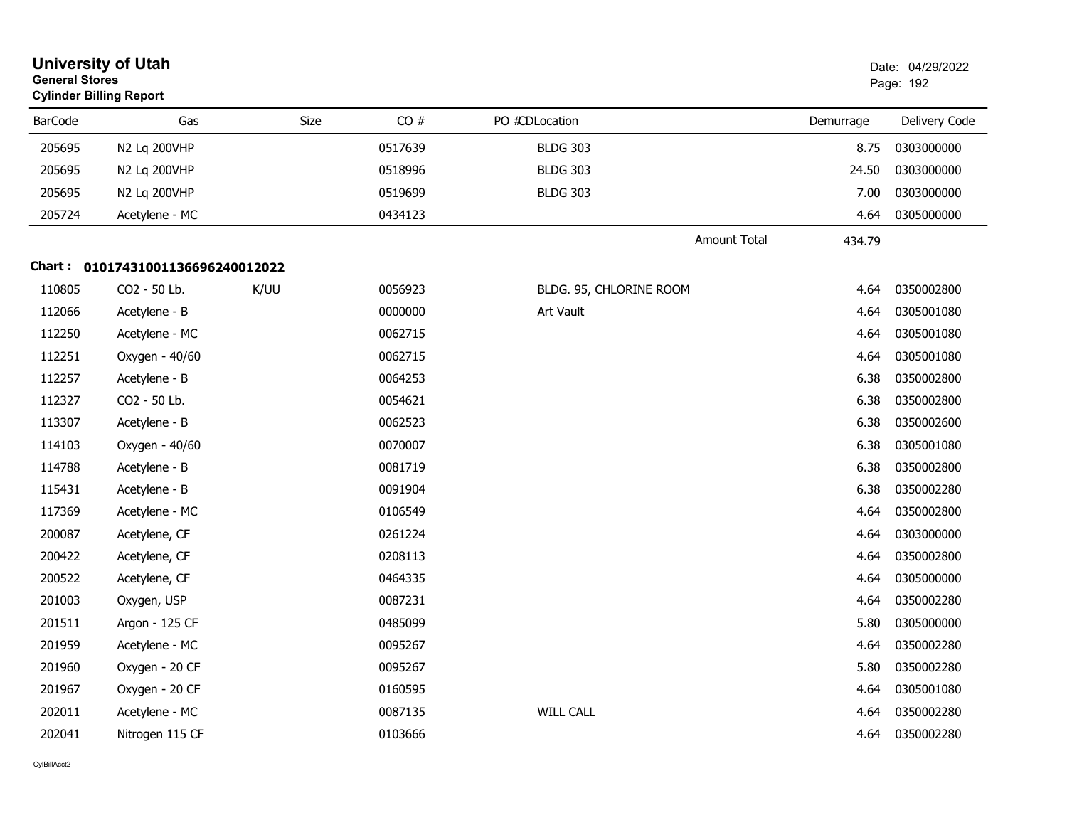| <b>University of Utah</b><br><b>General Stores</b><br><b>Cylinder Billing Report</b> |                                   |      |         |                         |                               | Date: 04/29/2022<br>Page: 192 |  |
|--------------------------------------------------------------------------------------|-----------------------------------|------|---------|-------------------------|-------------------------------|-------------------------------|--|
| <b>BarCode</b>                                                                       | Gas                               | Size | CO#     | PO #CDLocation          | Demurrage                     | Delivery Code                 |  |
| 205695                                                                               | N2 Lq 200VHP                      |      | 0517639 | <b>BLDG 303</b>         |                               | 0303000000<br>8.75            |  |
| 205695                                                                               | N2 Lq 200VHP                      |      | 0518996 | <b>BLDG 303</b>         | 24.50                         | 0303000000                    |  |
| 205695                                                                               | N2 Lq 200VHP                      |      | 0519699 | <b>BLDG 303</b>         | 7.00                          | 0303000000                    |  |
| 205724                                                                               | Acetylene - MC                    |      | 0434123 |                         |                               | 0305000000<br>4.64            |  |
|                                                                                      |                                   |      |         |                         | <b>Amount Total</b><br>434.79 |                               |  |
|                                                                                      | Chart: 01017431001136696240012022 |      |         |                         |                               |                               |  |
| 110805                                                                               | CO2 - 50 Lb.                      | K/UU | 0056923 | BLDG. 95, CHLORINE ROOM |                               | 0350002800<br>4.64            |  |
| 112066                                                                               | Acetylene - B                     |      | 0000000 | Art Vault               |                               | 4.64<br>0305001080            |  |
| 112250                                                                               | Acetylene - MC                    |      | 0062715 |                         |                               | 4.64<br>0305001080            |  |
| 112251                                                                               | Oxygen - 40/60                    |      | 0062715 |                         | 4.64                          | 0305001080                    |  |
| 112257                                                                               | Acetylene - B                     |      | 0064253 |                         | 6.38                          | 0350002800                    |  |
| 112327                                                                               | CO2 - 50 Lb.                      |      | 0054621 |                         | 6.38                          | 0350002800                    |  |
| 113307                                                                               | Acetylene - B                     |      | 0062523 |                         | 6.38                          | 0350002600                    |  |
| 114103                                                                               | Oxygen - 40/60                    |      | 0070007 |                         | 6.38                          | 0305001080                    |  |
| 114788                                                                               | Acetylene - B                     |      | 0081719 |                         |                               | 6.38<br>0350002800            |  |
| 115431                                                                               | Acetylene - B                     |      | 0091904 |                         | 6.38                          | 0350002280                    |  |
| 117369                                                                               | Acetylene - MC                    |      | 0106549 |                         |                               | 0350002800<br>4.64            |  |
| 200087                                                                               | Acetylene, CF                     |      | 0261224 |                         |                               | 4.64<br>0303000000            |  |
| 200422                                                                               | Acetylene, CF                     |      | 0208113 |                         | 4.64                          | 0350002800                    |  |
| 200522                                                                               | Acetylene, CF                     |      | 0464335 |                         |                               | 4.64<br>0305000000            |  |
| 201003                                                                               | Oxygen, USP                       |      | 0087231 |                         |                               | 4.64<br>0350002280            |  |
| 201511                                                                               | Argon - 125 CF                    |      | 0485099 |                         |                               | 5.80<br>0305000000            |  |
| 201959                                                                               | Acetylene - MC                    |      | 0095267 |                         |                               | 0350002280<br>4.64            |  |
| 201960                                                                               | Oxygen - 20 CF                    |      | 0095267 |                         |                               | 5.80<br>0350002280            |  |
| 201967                                                                               | Oxygen - 20 CF                    |      | 0160595 |                         |                               | 4.64<br>0305001080            |  |
| 202011                                                                               | Acetylene - MC                    |      | 0087135 | <b>WILL CALL</b>        |                               | 0350002280<br>4.64            |  |
| 202041                                                                               | Nitrogen 115 CF                   |      | 0103666 |                         |                               | 0350002280<br>4.64            |  |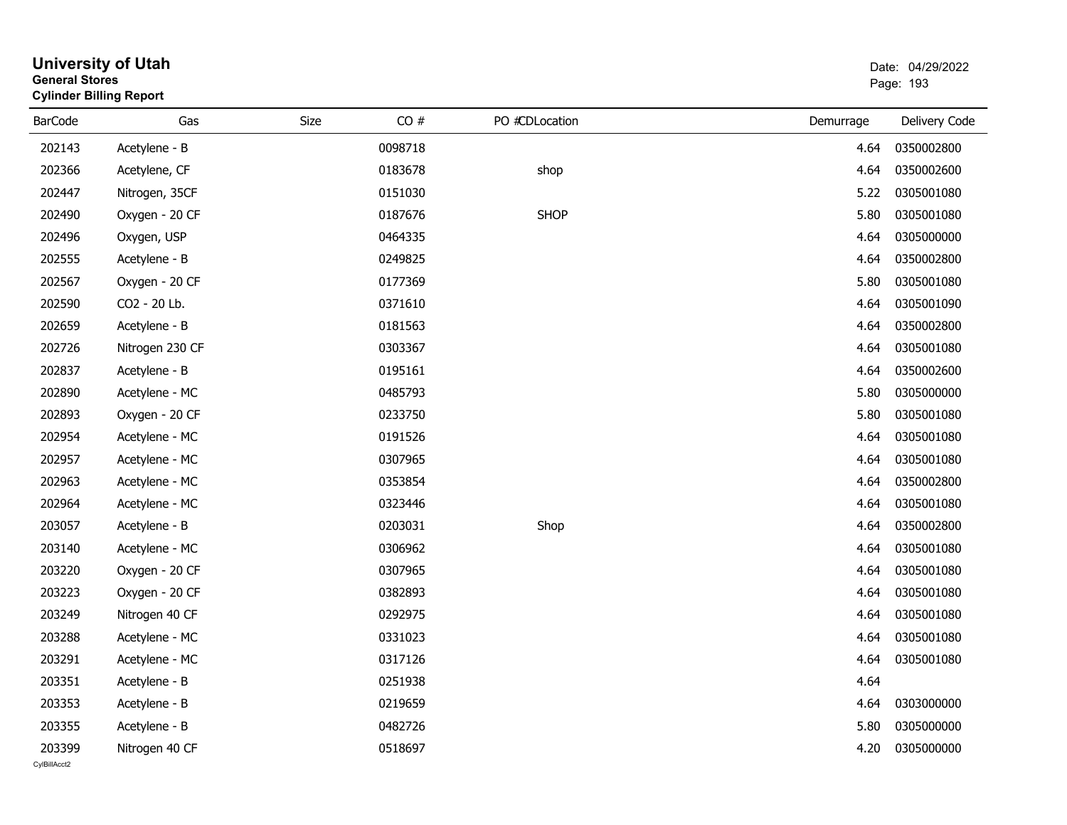| <b>General Stores</b>  | <b>University of Utah</b><br><b>Cylinder Billing Report</b> |      |         |                |           | Date: 04/29/2022<br>Page: 193 |
|------------------------|-------------------------------------------------------------|------|---------|----------------|-----------|-------------------------------|
| <b>BarCode</b>         | Gas                                                         | Size | CO#     | PO #CDLocation | Demurrage | Delivery Code                 |
| 202143                 | Acetylene - B                                               |      | 0098718 |                | 4.64      | 0350002800                    |
| 202366                 | Acetylene, CF                                               |      | 0183678 | shop           | 4.64      | 0350002600                    |
| 202447                 | Nitrogen, 35CF                                              |      | 0151030 |                | 5.22      | 0305001080                    |
| 202490                 | Oxygen - 20 CF                                              |      | 0187676 | <b>SHOP</b>    | 5.80      | 0305001080                    |
| 202496                 | Oxygen, USP                                                 |      | 0464335 |                | 4.64      | 0305000000                    |
| 202555                 | Acetylene - B                                               |      | 0249825 |                | 4.64      | 0350002800                    |
| 202567                 | Oxygen - 20 CF                                              |      | 0177369 |                | 5.80      | 0305001080                    |
| 202590                 | CO2 - 20 Lb.                                                |      | 0371610 |                | 4.64      | 0305001090                    |
| 202659                 | Acetylene - B                                               |      | 0181563 |                | 4.64      | 0350002800                    |
| 202726                 | Nitrogen 230 CF                                             |      | 0303367 |                | 4.64      | 0305001080                    |
| 202837                 | Acetylene - B                                               |      | 0195161 |                | 4.64      | 0350002600                    |
| 202890                 | Acetylene - MC                                              |      | 0485793 |                | 5.80      | 0305000000                    |
| 202893                 | Oxygen - 20 CF                                              |      | 0233750 |                | 5.80      | 0305001080                    |
| 202954                 | Acetylene - MC                                              |      | 0191526 |                | 4.64      | 0305001080                    |
| 202957                 | Acetylene - MC                                              |      | 0307965 |                | 4.64      | 0305001080                    |
| 202963                 | Acetylene - MC                                              |      | 0353854 |                | 4.64      | 0350002800                    |
| 202964                 | Acetylene - MC                                              |      | 0323446 |                | 4.64      | 0305001080                    |
| 203057                 | Acetylene - B                                               |      | 0203031 | Shop           | 4.64      | 0350002800                    |
| 203140                 | Acetylene - MC                                              |      | 0306962 |                | 4.64      | 0305001080                    |
| 203220                 | Oxygen - 20 CF                                              |      | 0307965 |                | 4.64      | 0305001080                    |
| 203223                 | Oxygen - 20 CF                                              |      | 0382893 |                | 4.64      | 0305001080                    |
| 203249                 | Nitrogen 40 CF                                              |      | 0292975 |                | 4.64      | 0305001080                    |
| 203288                 | Acetylene - MC                                              |      | 0331023 |                | 4.64      | 0305001080                    |
| 203291                 | Acetylene - MC                                              |      | 0317126 |                | 4.64      | 0305001080                    |
| 203351                 | Acetylene - B                                               |      | 0251938 |                | 4.64      |                               |
| 203353                 | Acetylene - B                                               |      | 0219659 |                | 4.64      | 0303000000                    |
| 203355                 | Acetylene - B                                               |      | 0482726 |                | 5.80      | 0305000000                    |
| 203399<br>CvIBillAcct2 | Nitrogen 40 CF                                              |      | 0518697 |                | 4.20      | 0305000000                    |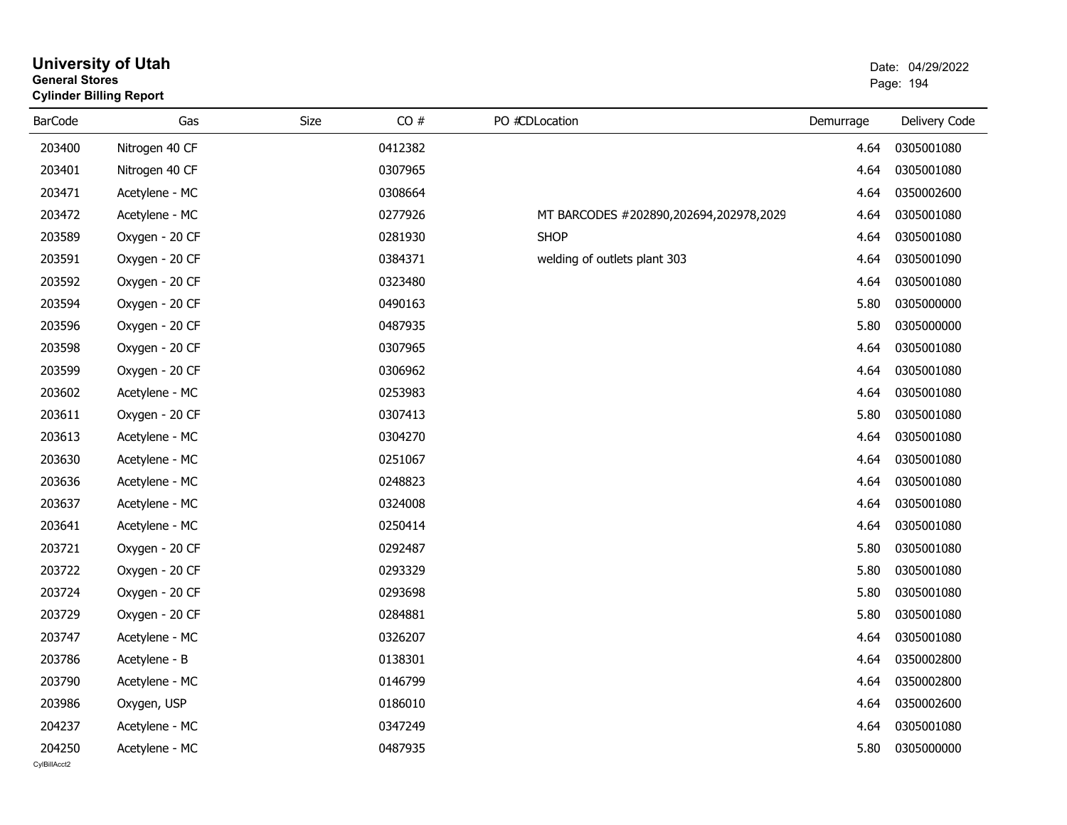| <b>General Stores</b>  | <b>University of Utah</b><br><b>Cylinder Billing Report</b> |      |         |                                        |           | Date: 04/29/2022<br>Page: 194 |
|------------------------|-------------------------------------------------------------|------|---------|----------------------------------------|-----------|-------------------------------|
| <b>BarCode</b>         | Gas                                                         | Size | CO#     | PO #CDLocation                         | Demurrage | Delivery Code                 |
| 203400                 | Nitrogen 40 CF                                              |      | 0412382 |                                        | 4.64      | 0305001080                    |
| 203401                 | Nitrogen 40 CF                                              |      | 0307965 |                                        | 4.64      | 0305001080                    |
| 203471                 | Acetylene - MC                                              |      | 0308664 |                                        | 4.64      | 0350002600                    |
| 203472                 | Acetylene - MC                                              |      | 0277926 | MT BARCODES #202890,202694,202978,2029 | 4.64      | 0305001080                    |
| 203589                 | Oxygen - 20 CF                                              |      | 0281930 | <b>SHOP</b>                            | 4.64      | 0305001080                    |
| 203591                 | Oxygen - 20 CF                                              |      | 0384371 | welding of outlets plant 303           | 4.64      | 0305001090                    |
| 203592                 | Oxygen - 20 CF                                              |      | 0323480 |                                        | 4.64      | 0305001080                    |
| 203594                 | Oxygen - 20 CF                                              |      | 0490163 |                                        | 5.80      | 0305000000                    |
| 203596                 | Oxygen - 20 CF                                              |      | 0487935 |                                        | 5.80      | 0305000000                    |
| 203598                 | Oxygen - 20 CF                                              |      | 0307965 |                                        | 4.64      | 0305001080                    |
| 203599                 | Oxygen - 20 CF                                              |      | 0306962 |                                        | 4.64      | 0305001080                    |
| 203602                 | Acetylene - MC                                              |      | 0253983 |                                        | 4.64      | 0305001080                    |
| 203611                 | Oxygen - 20 CF                                              |      | 0307413 |                                        | 5.80      | 0305001080                    |
| 203613                 | Acetylene - MC                                              |      | 0304270 |                                        | 4.64      | 0305001080                    |
| 203630                 | Acetylene - MC                                              |      | 0251067 |                                        | 4.64      | 0305001080                    |
| 203636                 | Acetylene - MC                                              |      | 0248823 |                                        | 4.64      | 0305001080                    |
| 203637                 | Acetylene - MC                                              |      | 0324008 |                                        | 4.64      | 0305001080                    |
| 203641                 | Acetylene - MC                                              |      | 0250414 |                                        | 4.64      | 0305001080                    |
| 203721                 | Oxygen - 20 CF                                              |      | 0292487 |                                        | 5.80      | 0305001080                    |
| 203722                 | Oxygen - 20 CF                                              |      | 0293329 |                                        | 5.80      | 0305001080                    |
| 203724                 | Oxygen - 20 CF                                              |      | 0293698 |                                        | 5.80      | 0305001080                    |
| 203729                 | Oxygen - 20 CF                                              |      | 0284881 |                                        | 5.80      | 0305001080                    |
| 203747                 | Acetylene - MC                                              |      | 0326207 |                                        | 4.64      | 0305001080                    |
| 203786                 | Acetylene - B                                               |      | 0138301 |                                        |           | 4.64 0350002800               |
| 203790                 | Acetylene - MC                                              |      | 0146799 |                                        | 4.64      | 0350002800                    |
| 203986                 | Oxygen, USP                                                 |      | 0186010 |                                        | 4.64      | 0350002600                    |
| 204237                 | Acetylene - MC                                              |      | 0347249 |                                        | 4.64      | 0305001080                    |
| 204250<br>CvIBillAcct2 | Acetylene - MC                                              |      | 0487935 |                                        | 5.80      | 0305000000                    |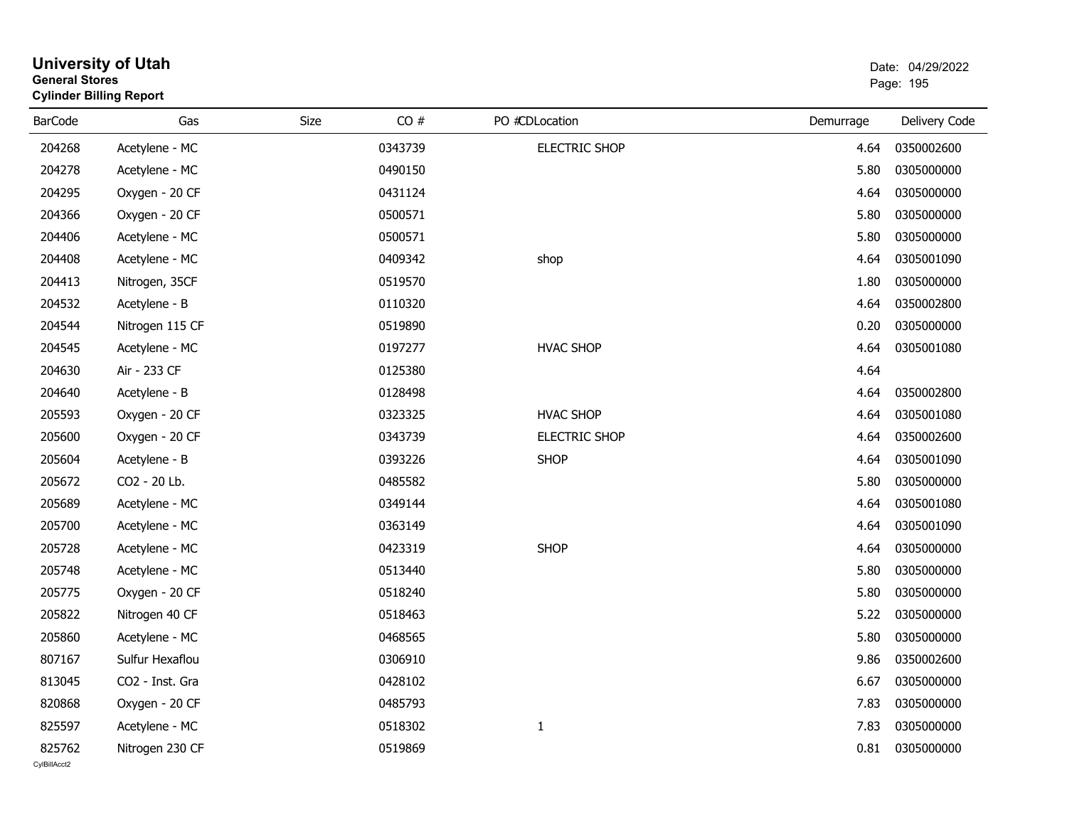| General Stores | <b>Cylinder Billing Report</b> |      |         |                      |           | Page: 195     |
|----------------|--------------------------------|------|---------|----------------------|-----------|---------------|
| <b>BarCode</b> | Gas                            | Size | CO#     | PO #CDLocation       | Demurrage | Delivery Code |
| 204268         | Acetylene - MC                 |      | 0343739 | <b>ELECTRIC SHOP</b> | 4.64      | 0350002600    |
| 204278         | Acetylene - MC                 |      | 0490150 |                      | 5.80      | 0305000000    |
| 204295         | Oxygen - 20 CF                 |      | 0431124 |                      | 4.64      | 0305000000    |
| 204366         | Oxygen - 20 CF                 |      | 0500571 |                      | 5.80      | 0305000000    |
| 204406         | Acetylene - MC                 |      | 0500571 |                      | 5.80      | 0305000000    |
| 204408         | Acetylene - MC                 |      | 0409342 | shop                 | 4.64      | 0305001090    |
| 204413         | Nitrogen, 35CF                 |      | 0519570 |                      | 1.80      | 0305000000    |
| 204532         | Acetylene - B                  |      | 0110320 |                      | 4.64      | 0350002800    |
| 204544         | Nitrogen 115 CF                |      | 0519890 |                      | 0.20      | 0305000000    |
| 204545         | Acetylene - MC                 |      | 0197277 | <b>HVAC SHOP</b>     | 4.64      | 0305001080    |
| 204630         | Air - 233 CF                   |      | 0125380 |                      | 4.64      |               |
| 204640         | Acetylene - B                  |      | 0128498 |                      | 4.64      | 0350002800    |
| 205593         | Oxygen - 20 CF                 |      | 0323325 | <b>HVAC SHOP</b>     | 4.64      | 0305001080    |
| 205600         | Oxygen - 20 CF                 |      | 0343739 | <b>ELECTRIC SHOP</b> | 4.64      | 0350002600    |
| 205604         | Acetylene - B                  |      | 0393226 | <b>SHOP</b>          | 4.64      | 0305001090    |
| 205672         | CO2 - 20 Lb.                   |      | 0485582 |                      | 5.80      | 0305000000    |
| 205689         | Acetylene - MC                 |      | 0349144 |                      | 4.64      | 0305001080    |
| 205700         | Acetylene - MC                 |      | 0363149 |                      | 4.64      | 0305001090    |
| 205728         | Acetylene - MC                 |      | 0423319 | <b>SHOP</b>          | 4.64      | 0305000000    |
| 205748         | Acetylene - MC                 |      | 0513440 |                      | 5.80      | 0305000000    |
| 205775         | Oxygen - 20 CF                 |      | 0518240 |                      | 5.80      | 0305000000    |
| 205822         | Nitrogen 40 CF                 |      | 0518463 |                      | 5.22      | 0305000000    |
| 205860         | Acetylene - MC                 |      | 0468565 |                      | 5.80      | 0305000000    |
| 807167         | Sulfur Hexaflou                |      | 0306910 |                      | 9.86      | 0350002600    |
| 813045         | CO2 - Inst. Gra                |      | 0428102 |                      | 6.67      | 0305000000    |
| 820868         | Oxygen - 20 CF                 |      | 0485793 |                      | 7.83      | 0305000000    |
| 825597         | Acetylene - MC                 |      | 0518302 | $\mathbf{1}$         | 7.83      | 0305000000    |
| 825762         | Nitrogen 230 CF                |      | 0519869 |                      | 0.81      | 0305000000    |

# **University of Utah** Date: 04/29/2022 **General Stores**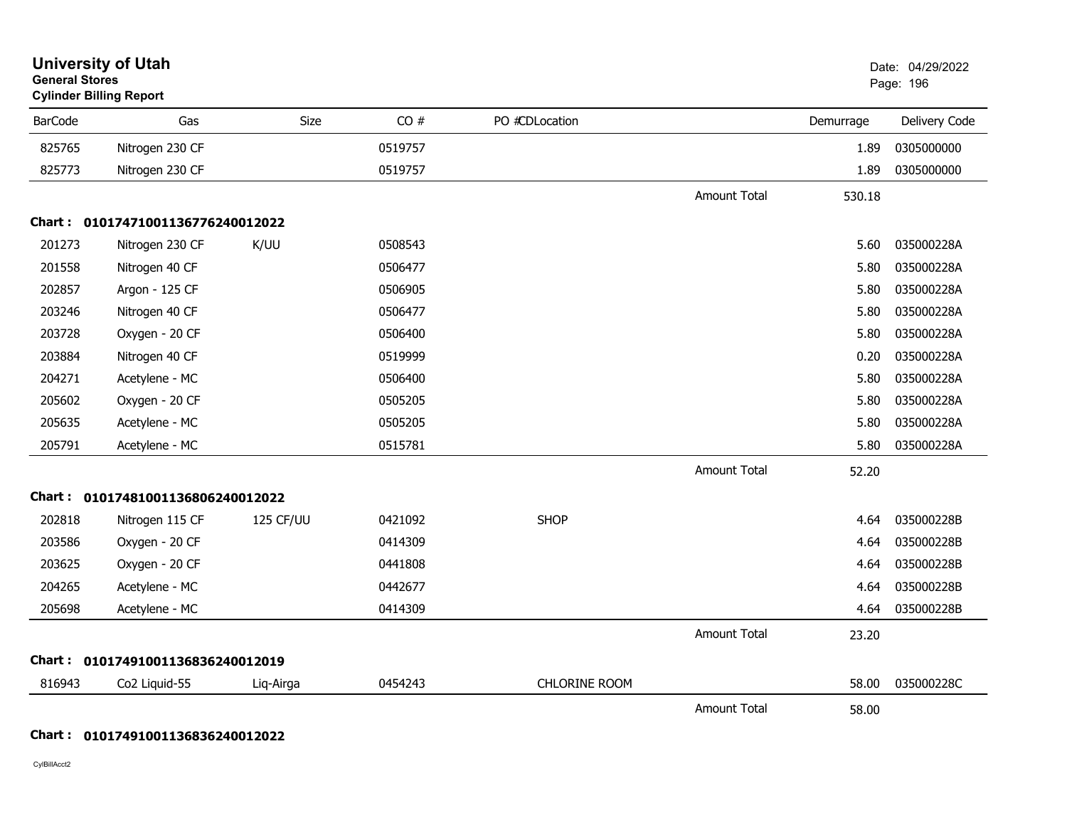| <b>General Stores</b> | <b>University of Utah</b><br><b>Cylinder Billing Report</b> |           |         |                      |                     |           | Date: 04/29/2022<br>Page: 196 |
|-----------------------|-------------------------------------------------------------|-----------|---------|----------------------|---------------------|-----------|-------------------------------|
| <b>BarCode</b>        | Gas                                                         | Size      | CO#     | PO #CDLocation       |                     | Demurrage | Delivery Code                 |
| 825765                | Nitrogen 230 CF                                             |           | 0519757 |                      |                     | 1.89      | 0305000000                    |
| 825773                | Nitrogen 230 CF                                             |           | 0519757 |                      |                     | 1.89      | 0305000000                    |
|                       |                                                             |           |         |                      | <b>Amount Total</b> | 530.18    |                               |
|                       | Chart: 01017471001136776240012022                           |           |         |                      |                     |           |                               |
| 201273                | Nitrogen 230 CF                                             | K/UU      | 0508543 |                      |                     | 5.60      | 035000228A                    |
| 201558                | Nitrogen 40 CF                                              |           | 0506477 |                      |                     | 5.80      | 035000228A                    |
| 202857                | Argon - 125 CF                                              |           | 0506905 |                      |                     | 5.80      | 035000228A                    |
| 203246                | Nitrogen 40 CF                                              |           | 0506477 |                      |                     | 5.80      | 035000228A                    |
| 203728                | Oxygen - 20 CF                                              |           | 0506400 |                      |                     | 5.80      | 035000228A                    |
| 203884                | Nitrogen 40 CF                                              |           | 0519999 |                      |                     | 0.20      | 035000228A                    |
| 204271                | Acetylene - MC                                              |           | 0506400 |                      |                     | 5.80      | 035000228A                    |
| 205602                | Oxygen - 20 CF                                              |           | 0505205 |                      |                     | 5.80      | 035000228A                    |
| 205635                | Acetylene - MC                                              |           | 0505205 |                      |                     | 5.80      | 035000228A                    |
| 205791                | Acetylene - MC                                              |           | 0515781 |                      |                     | 5.80      | 035000228A                    |
|                       |                                                             |           |         |                      | <b>Amount Total</b> | 52.20     |                               |
|                       | Chart: 01017481001136806240012022                           |           |         |                      |                     |           |                               |
| 202818                | Nitrogen 115 CF                                             | 125 CF/UU | 0421092 | <b>SHOP</b>          |                     | 4.64      | 035000228B                    |
| 203586                | Oxygen - 20 CF                                              |           | 0414309 |                      |                     | 4.64      | 035000228B                    |
| 203625                | Oxygen - 20 CF                                              |           | 0441808 |                      |                     | 4.64      | 035000228B                    |
| 204265                | Acetylene - MC                                              |           | 0442677 |                      |                     | 4.64      | 035000228B                    |
| 205698                | Acetylene - MC                                              |           | 0414309 |                      |                     | 4.64      | 035000228B                    |
|                       |                                                             |           |         |                      | <b>Amount Total</b> | 23.20     |                               |
| Chart :               | 01017491001136836240012019                                  |           |         |                      |                     |           |                               |
| 816943                | Co2 Liquid-55                                               | Lig-Airga | 0454243 | <b>CHLORINE ROOM</b> |                     | 58.00     | 035000228C                    |
|                       |                                                             |           |         |                      | <b>Amount Total</b> | 58.00     |                               |

# **Chart : 01017491001136836240012022**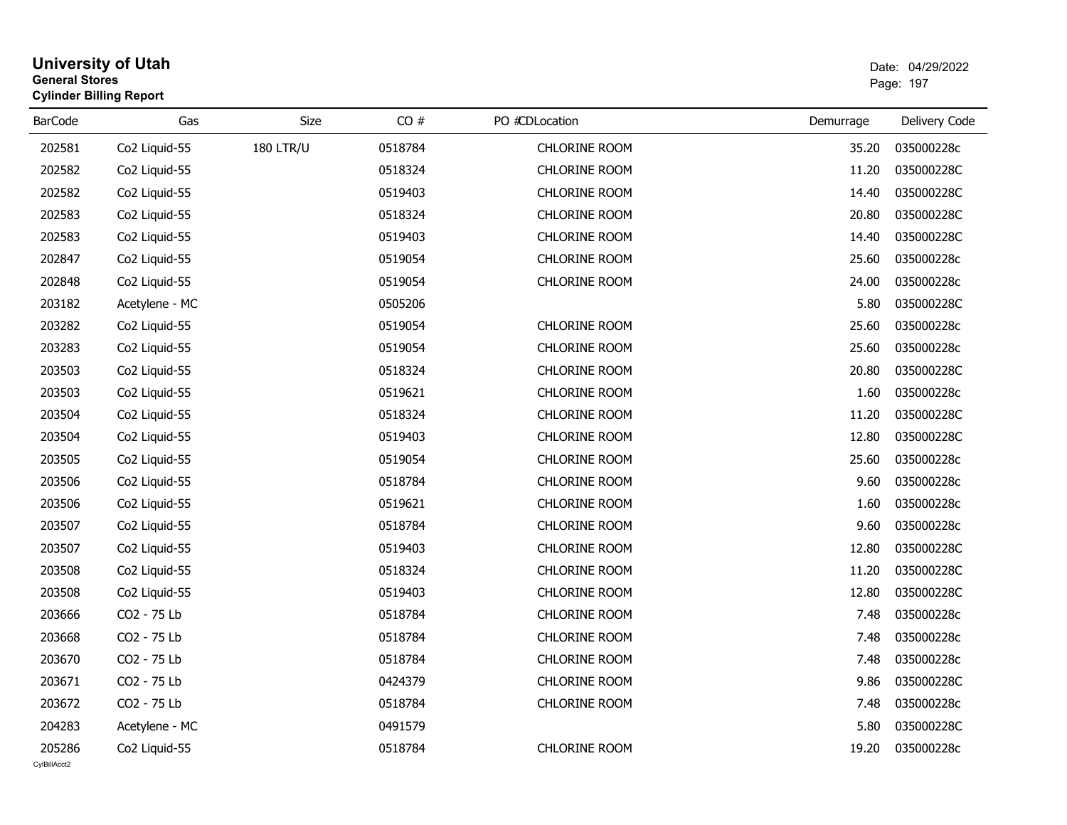| <b>General Stores</b> | <b>University of Utah</b><br><b>Cylinder Billing Report</b> |                  |         |                      |           | Date: 04/29/2022<br>Page: 197 |
|-----------------------|-------------------------------------------------------------|------------------|---------|----------------------|-----------|-------------------------------|
| <b>BarCode</b>        | Gas                                                         | Size             | CO#     | PO #CDLocation       | Demurrage | Delivery Code                 |
| 202581                | Co2 Liquid-55                                               | <b>180 LTR/U</b> | 0518784 | <b>CHLORINE ROOM</b> | 35.20     | 035000228c                    |
| 202582                | Co2 Liquid-55                                               |                  | 0518324 | <b>CHLORINE ROOM</b> | 11.20     | 035000228C                    |
| 202582                | Co2 Liquid-55                                               |                  | 0519403 | <b>CHLORINE ROOM</b> | 14.40     | 035000228C                    |
| 202583                | Co2 Liquid-55                                               |                  | 0518324 | <b>CHLORINE ROOM</b> | 20.80     | 035000228C                    |
| 202583                | Co2 Liquid-55                                               |                  | 0519403 | <b>CHLORINE ROOM</b> | 14.40     | 035000228C                    |
| 202847                | Co <sub>2</sub> Liquid-55                                   |                  | 0519054 | <b>CHLORINE ROOM</b> | 25.60     | 035000228c                    |
| 202848                | Co2 Liquid-55                                               |                  | 0519054 | <b>CHLORINE ROOM</b> | 24.00     | 035000228c                    |
| 203182                | Acetylene - MC                                              |                  | 0505206 |                      | 5.80      | 035000228C                    |
| 203282                | Co2 Liquid-55                                               |                  | 0519054 | <b>CHLORINE ROOM</b> | 25.60     | 035000228c                    |
| 203283                | Co2 Liquid-55                                               |                  | 0519054 | <b>CHLORINE ROOM</b> | 25.60     | 035000228c                    |
| 203503                | Co2 Liquid-55                                               |                  | 0518324 | <b>CHLORINE ROOM</b> | 20.80     | 035000228C                    |
| 203503                | Co2 Liquid-55                                               |                  | 0519621 | <b>CHLORINE ROOM</b> | 1.60      | 035000228c                    |
| 203504                | Co2 Liquid-55                                               |                  | 0518324 | <b>CHLORINE ROOM</b> | 11.20     | 035000228C                    |
| 203504                | Co2 Liquid-55                                               |                  | 0519403 | <b>CHLORINE ROOM</b> | 12.80     | 035000228C                    |
| 203505                | Co2 Liquid-55                                               |                  | 0519054 | CHLORINE ROOM        | 25.60     | 035000228c                    |
| 203506                | Co2 Liquid-55                                               |                  | 0518784 | <b>CHLORINE ROOM</b> | 9.60      | 035000228c                    |
| 203506                | Co2 Liquid-55                                               |                  | 0519621 | <b>CHLORINE ROOM</b> | 1.60      | 035000228c                    |
| 203507                | Co2 Liquid-55                                               |                  | 0518784 | <b>CHLORINE ROOM</b> | 9.60      | 035000228c                    |
| 203507                | Co2 Liquid-55                                               |                  | 0519403 | <b>CHLORINE ROOM</b> | 12.80     | 035000228C                    |
| 203508                | Co2 Liquid-55                                               |                  | 0518324 | <b>CHLORINE ROOM</b> | 11.20     | 035000228C                    |
| 203508                | Co2 Liquid-55                                               |                  | 0519403 | <b>CHLORINE ROOM</b> | 12.80     | 035000228C                    |
| 203666                | CO2 - 75 Lb                                                 |                  | 0518784 | <b>CHLORINE ROOM</b> | 7.48      | 035000228c                    |
| 203668                | CO2 - 75 Lb                                                 |                  | 0518784 | <b>CHLORINE ROOM</b> | 7.48      | 035000228c                    |
| 203670                | CO2 - 75 Lb                                                 |                  | 0518784 | <b>CHLORINE ROOM</b> | 7.48      | 035000228c                    |
| 203671                | CO2 - 75 Lb                                                 |                  | 0424379 | <b>CHLORINE ROOM</b> | 9.86      | 035000228C                    |
| 203672                | CO2 - 75 Lb                                                 |                  | 0518784 | <b>CHLORINE ROOM</b> | 7.48      | 035000228c                    |
| 204283                | Acetylene - MC                                              |                  | 0491579 |                      | 5.80      | 035000228C                    |
| 205286                | Co2 Liquid-55                                               |                  | 0518784 | <b>CHLORINE ROOM</b> | 19.20     | 035000228c                    |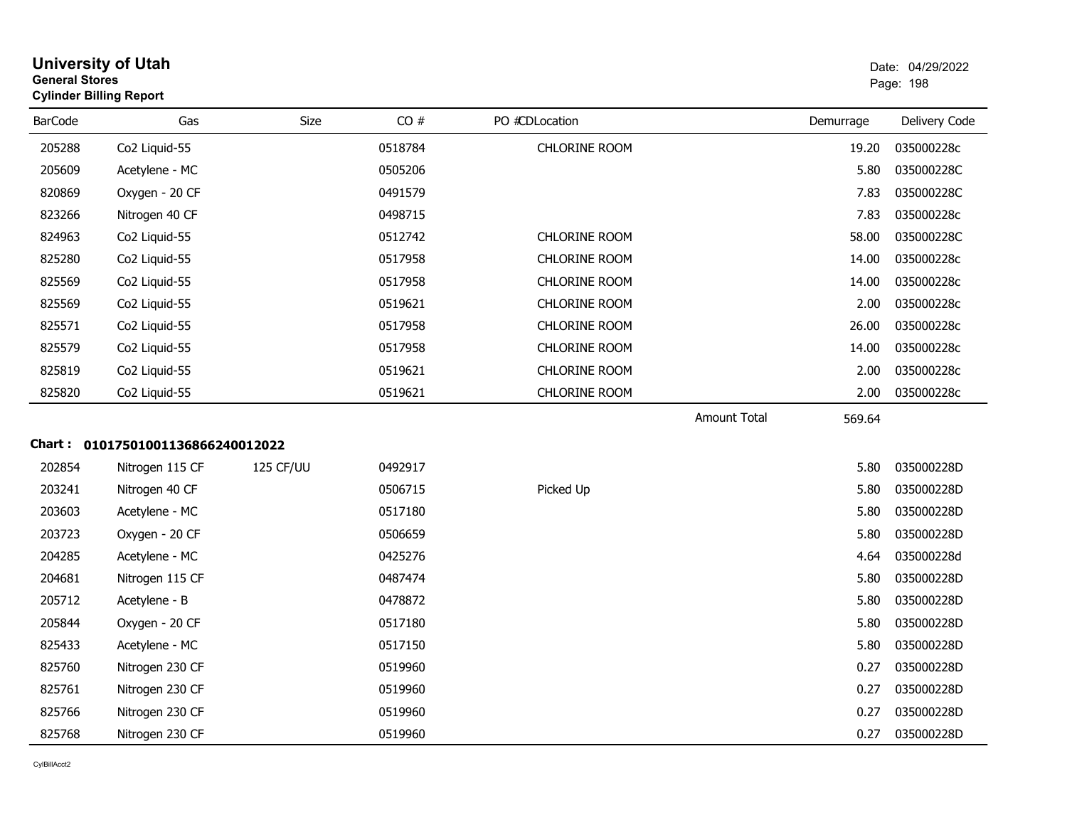| <b>University of Utah</b><br><b>General Stores</b> | Date: 04/2 |
|----------------------------------------------------|------------|
| <b>Cylinder Billing Report</b>                     | Page: 198  |

| <b>BarCode</b> | Gas                               | Size      | CO#     | PO #CDLocation       |                     | Demurrage | Delivery Code |
|----------------|-----------------------------------|-----------|---------|----------------------|---------------------|-----------|---------------|
| 205288         | Co2 Liquid-55                     |           | 0518784 | CHLORINE ROOM        |                     | 19.20     | 035000228c    |
| 205609         | Acetylene - MC                    |           | 0505206 |                      |                     | 5.80      | 035000228C    |
| 820869         | Oxygen - 20 CF                    |           | 0491579 |                      |                     | 7.83      | 035000228C    |
| 823266         | Nitrogen 40 CF                    |           | 0498715 |                      |                     | 7.83      | 035000228c    |
| 824963         | Co <sub>2</sub> Liquid-55         |           | 0512742 | <b>CHLORINE ROOM</b> |                     | 58.00     | 035000228C    |
| 825280         | Co2 Liquid-55                     |           | 0517958 | <b>CHLORINE ROOM</b> |                     | 14.00     | 035000228c    |
| 825569         | Co2 Liquid-55                     |           | 0517958 | CHLORINE ROOM        |                     | 14.00     | 035000228c    |
| 825569         | Co2 Liquid-55                     |           | 0519621 | <b>CHLORINE ROOM</b> |                     | 2.00      | 035000228c    |
| 825571         | Co2 Liquid-55                     |           | 0517958 | CHLORINE ROOM        |                     | 26.00     | 035000228c    |
| 825579         | Co2 Liquid-55                     |           | 0517958 | <b>CHLORINE ROOM</b> |                     | 14.00     | 035000228c    |
| 825819         | Co2 Liquid-55                     |           | 0519621 | <b>CHLORINE ROOM</b> |                     | 2.00      | 035000228c    |
| 825820         | Co2 Liquid-55                     |           | 0519621 | CHLORINE ROOM        |                     | 2.00      | 035000228c    |
|                |                                   |           |         |                      | <b>Amount Total</b> | 569.64    |               |
|                | Chart: 01017501001136866240012022 |           |         |                      |                     |           |               |
| 202854         | Nitrogen 115 CF                   | 125 CF/UU | 0492917 |                      |                     | 5.80      | 035000228D    |
| 203241         | Nitrogen 40 CF                    |           | 0506715 | Picked Up            |                     | 5.80      | 035000228D    |
| 203603         | Acetylene - MC                    |           | 0517180 |                      |                     | 5.80      | 035000228D    |
| 203723         | Oxygen - 20 CF                    |           | 0506659 |                      |                     | 5.80      | 035000228D    |
| 204285         | Acetylene - MC                    |           | 0425276 |                      |                     | 4.64      | 035000228d    |
| 204681         | Nitrogen 115 CF                   |           | 0487474 |                      |                     | 5.80      | 035000228D    |
| 205712         | Acetylene - B                     |           | 0478872 |                      |                     | 5.80      | 035000228D    |
| 205844         | Oxygen - 20 CF                    |           | 0517180 |                      |                     | 5.80      | 035000228D    |
| 825433         | Acetylene - MC                    |           | 0517150 |                      |                     | 5.80      | 035000228D    |
| 825760         | Nitrogen 230 CF                   |           | 0519960 |                      |                     | 0.27      | 035000228D    |
| 825761         | Nitrogen 230 CF                   |           | 0519960 |                      |                     | 0.27      | 035000228D    |
| 825766         | Nitrogen 230 CF                   |           | 0519960 |                      |                     | 0.27      | 035000228D    |
| 825768         | Nitrogen 230 CF                   |           | 0519960 |                      |                     | 0.27      | 035000228D    |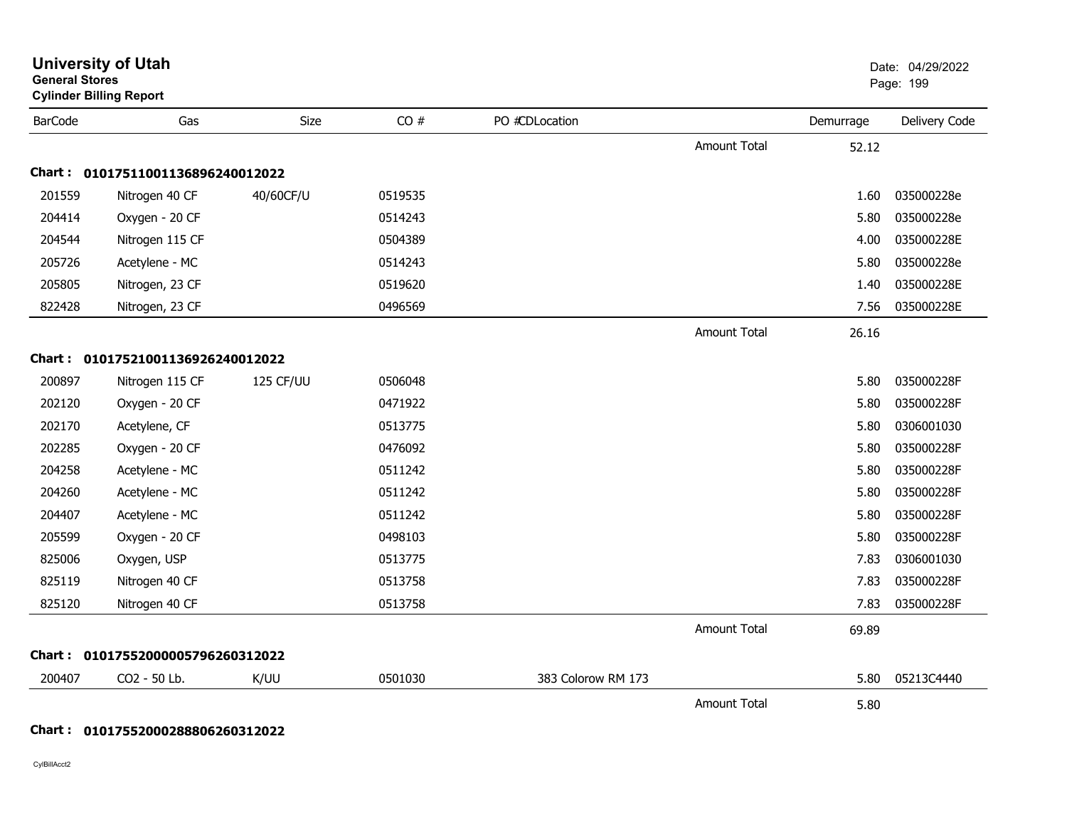| <b>General Stores</b> | <b>University of Utah</b><br><b>Cylinder Billing Report</b> |           |         |                    |                     |           | Date: 04/29/2022<br>Page: 199 |
|-----------------------|-------------------------------------------------------------|-----------|---------|--------------------|---------------------|-----------|-------------------------------|
| <b>BarCode</b>        | Gas                                                         | Size      | CO#     | PO #CDLocation     |                     | Demurrage | Delivery Code                 |
|                       |                                                             |           |         |                    | <b>Amount Total</b> | 52.12     |                               |
|                       | Chart: 01017511001136896240012022                           |           |         |                    |                     |           |                               |
| 201559                | Nitrogen 40 CF                                              | 40/60CF/U | 0519535 |                    |                     | 1.60      | 035000228e                    |
| 204414                | Oxygen - 20 CF                                              |           | 0514243 |                    |                     | 5.80      | 035000228e                    |
| 204544                | Nitrogen 115 CF                                             |           | 0504389 |                    |                     | 4.00      | 035000228E                    |
| 205726                | Acetylene - MC                                              |           | 0514243 |                    |                     | 5.80      | 035000228e                    |
| 205805                | Nitrogen, 23 CF                                             |           | 0519620 |                    |                     | 1.40      | 035000228E                    |
| 822428                | Nitrogen, 23 CF                                             |           | 0496569 |                    |                     | 7.56      | 035000228E                    |
|                       |                                                             |           |         |                    | <b>Amount Total</b> | 26.16     |                               |
|                       | Chart: 01017521001136926240012022                           |           |         |                    |                     |           |                               |
| 200897                | Nitrogen 115 CF                                             | 125 CF/UU | 0506048 |                    |                     | 5.80      | 035000228F                    |
| 202120                | Oxygen - 20 CF                                              |           | 0471922 |                    |                     | 5.80      | 035000228F                    |
| 202170                | Acetylene, CF                                               |           | 0513775 |                    |                     | 5.80      | 0306001030                    |
| 202285                | Oxygen - 20 CF                                              |           | 0476092 |                    |                     | 5.80      | 035000228F                    |
| 204258                | Acetylene - MC                                              |           | 0511242 |                    |                     | 5.80      | 035000228F                    |
| 204260                | Acetylene - MC                                              |           | 0511242 |                    |                     | 5.80      | 035000228F                    |
| 204407                | Acetylene - MC                                              |           | 0511242 |                    |                     | 5.80      | 035000228F                    |
| 205599                | Oxygen - 20 CF                                              |           | 0498103 |                    |                     | 5.80      | 035000228F                    |
| 825006                | Oxygen, USP                                                 |           | 0513775 |                    |                     | 7.83      | 0306001030                    |
| 825119                | Nitrogen 40 CF                                              |           | 0513758 |                    |                     | 7.83      | 035000228F                    |
| 825120                | Nitrogen 40 CF                                              |           | 0513758 |                    |                     | 7.83      | 035000228F                    |
|                       |                                                             |           |         |                    | <b>Amount Total</b> | 69.89     |                               |
|                       | Chart: 01017552000005796260312022                           |           |         |                    |                     |           |                               |
| 200407                | CO2 - 50 Lb.                                                | K/UU      | 0501030 | 383 Colorow RM 173 |                     | 5.80      | 05213C4440                    |
|                       |                                                             |           |         |                    | <b>Amount Total</b> | 5.80      |                               |

# **Chart : 01017552000288806260312022**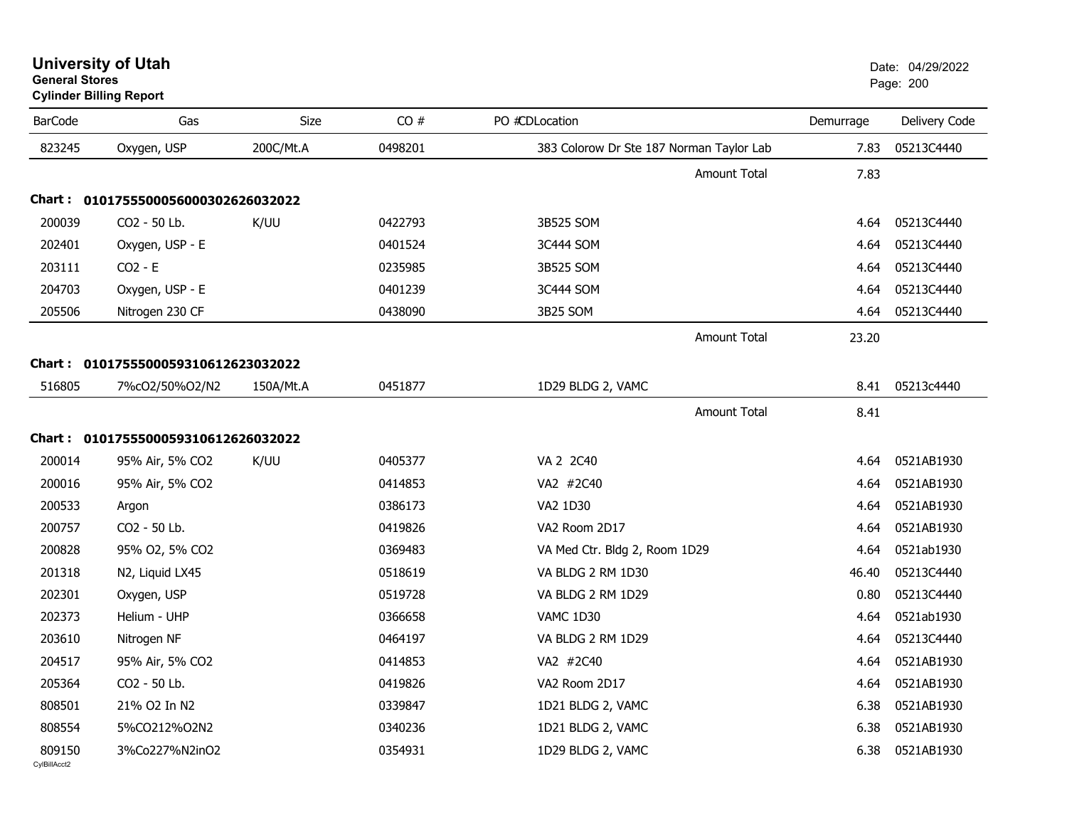| <b>University of Utah</b>      | Date: 04/2 |
|--------------------------------|------------|
| <b>General Stores</b>          | Page: 200  |
| <b>Cylinder Billing Report</b> |            |

| <b>BarCode</b> | Gas                                 | Size      | CO#     | PO #CDLocation                           | Demurrage | Delivery Code |
|----------------|-------------------------------------|-----------|---------|------------------------------------------|-----------|---------------|
| 823245         | Oxygen, USP                         | 200C/Mt.A | 0498201 | 383 Colorow Dr Ste 187 Norman Taylor Lab | 7.83      | 05213C4440    |
|                |                                     |           |         | <b>Amount Total</b>                      | 7.83      |               |
|                | Chart: 0101755500056000302626032022 |           |         |                                          |           |               |
| 200039         | CO2 - 50 Lb.                        | K/UU      | 0422793 | 3B525 SOM                                | 4.64      | 05213C4440    |
| 202401         | Oxygen, USP - E                     |           | 0401524 | 3C444 SOM                                | 4.64      | 05213C4440    |
| 203111         | $CO2 - E$                           |           | 0235985 | 3B525 SOM                                | 4.64      | 05213C4440    |
| 204703         | Oxygen, USP - E                     |           | 0401239 | 3C444 SOM                                | 4.64      | 05213C4440    |
| 205506         | Nitrogen 230 CF                     |           | 0438090 | 3B25 SOM                                 | 4.64      | 05213C4440    |
|                |                                     |           |         | <b>Amount Total</b>                      | 23.20     |               |
|                | Chart: 0101755500059310612623032022 |           |         |                                          |           |               |
| 516805         | 7%cO2/50%O2/N2                      | 150A/Mt.A | 0451877 | 1D29 BLDG 2, VAMC                        | 8.41      | 05213c4440    |
|                |                                     |           |         | Amount Total                             | 8.41      |               |
|                | Chart: 0101755500059310612626032022 |           |         |                                          |           |               |
| 200014         | 95% Air, 5% CO2                     | K/UU      | 0405377 | VA 2 2C40                                | 4.64      | 0521AB1930    |
| 200016         | 95% Air, 5% CO2                     |           | 0414853 | VA2 #2C40                                | 4.64      | 0521AB1930    |
| 200533         | Argon                               |           | 0386173 | VA2 1D30                                 | 4.64      | 0521AB1930    |
| 200757         | CO2 - 50 Lb.                        |           | 0419826 | VA2 Room 2D17                            | 4.64      | 0521AB1930    |
| 200828         | 95% O2, 5% CO2                      |           | 0369483 | VA Med Ctr. Bldg 2, Room 1D29            | 4.64      | 0521ab1930    |
| 201318         | N2, Liquid LX45                     |           | 0518619 | VA BLDG 2 RM 1D30                        | 46.40     | 05213C4440    |
| 202301         | Oxygen, USP                         |           | 0519728 | VA BLDG 2 RM 1D29                        | 0.80      | 05213C4440    |
| 202373         | Helium - UHP                        |           | 0366658 | VAMC 1D30                                | 4.64      | 0521ab1930    |
| 203610         | Nitrogen NF                         |           | 0464197 | VA BLDG 2 RM 1D29                        | 4.64      | 05213C4440    |
| 204517         | 95% Air, 5% CO2                     |           | 0414853 | VA2 #2C40                                | 4.64      | 0521AB1930    |
| 205364         | CO2 - 50 Lb.                        |           | 0419826 | VA2 Room 2D17                            | 4.64      | 0521AB1930    |
| 808501         | 21% O2 In N2                        |           | 0339847 | 1D21 BLDG 2, VAMC                        | 6.38      | 0521AB1930    |
| 808554         | 5%CO212%O2N2                        |           | 0340236 | 1D21 BLDG 2, VAMC                        | 6.38      | 0521AB1930    |
| 809150         | 3%Co227%N2inO2                      |           | 0354931 | 1D29 BLDG 2, VAMC                        | 6.38      | 0521AB1930    |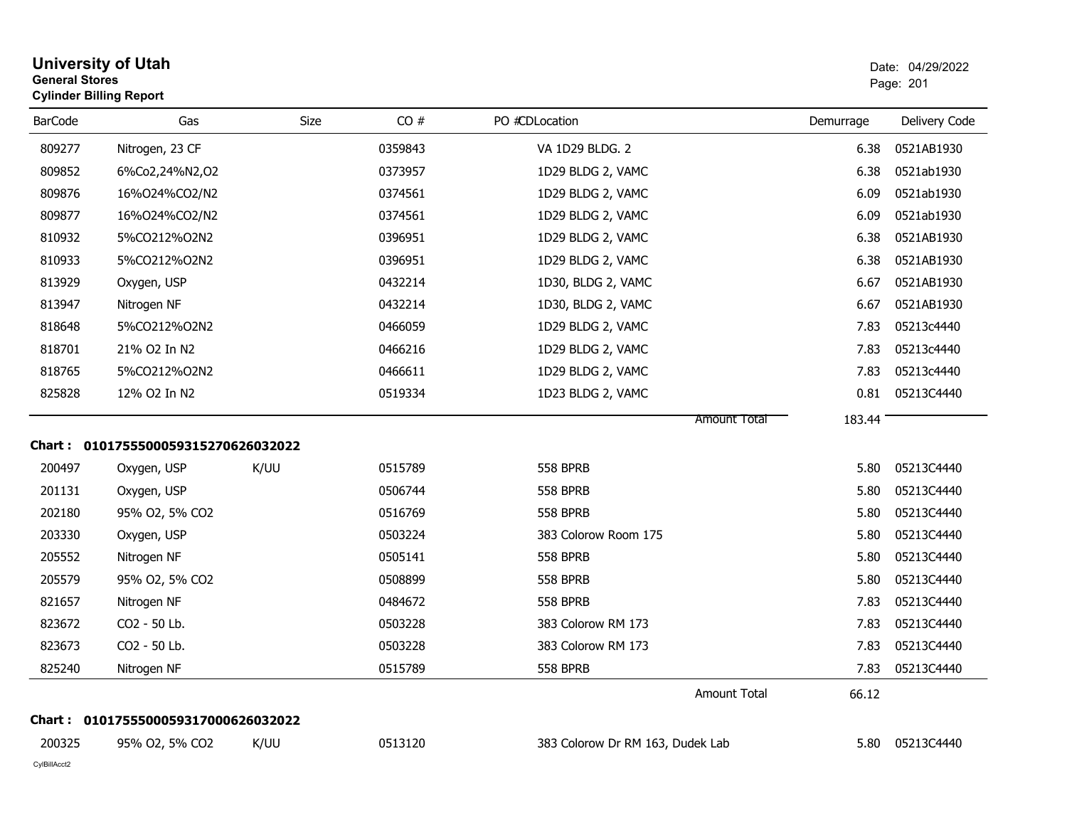| <b>General Stores</b> | <b>University of Utah</b><br><b>Cylinder Billing Report</b> |      |         |                                  |           | Date: 04/29/2022<br>Page: 201 |
|-----------------------|-------------------------------------------------------------|------|---------|----------------------------------|-----------|-------------------------------|
| <b>BarCode</b>        | Gas                                                         | Size | CO#     | PO #CDLocation                   | Demurrage | Delivery Code                 |
| 809277                | Nitrogen, 23 CF                                             |      | 0359843 | VA 1D29 BLDG. 2                  | 6.38      | 0521AB1930                    |
| 809852                | 6%Co2,24%N2,02                                              |      | 0373957 | 1D29 BLDG 2, VAMC                | 6.38      | 0521ab1930                    |
| 809876                | 16%024%CO2/N2                                               |      | 0374561 | 1D29 BLDG 2, VAMC                | 6.09      | 0521ab1930                    |
| 809877                | 16%024%CO2/N2                                               |      | 0374561 | 1D29 BLDG 2, VAMC                | 6.09      | 0521ab1930                    |
| 810932                | 5%CO212%O2N2                                                |      | 0396951 | 1D29 BLDG 2, VAMC                | 6.38      | 0521AB1930                    |
| 810933                | 5%CO212%O2N2                                                |      | 0396951 | 1D29 BLDG 2, VAMC                | 6.38      | 0521AB1930                    |
| 813929                | Oxygen, USP                                                 |      | 0432214 | 1D30, BLDG 2, VAMC               | 6.67      | 0521AB1930                    |
| 813947                | Nitrogen NF                                                 |      | 0432214 | 1D30, BLDG 2, VAMC               | 6.67      | 0521AB1930                    |
| 818648                | 5%CO212%O2N2                                                |      | 0466059 | 1D29 BLDG 2, VAMC                | 7.83      | 05213c4440                    |
| 818701                | 21% O2 In N2                                                |      | 0466216 | 1D29 BLDG 2, VAMC                | 7.83      | 05213c4440                    |
| 818765                | 5%CO212%O2N2                                                |      | 0466611 | 1D29 BLDG 2, VAMC                | 7.83      | 05213c4440                    |
| 825828                | 12% O2 In N2                                                |      | 0519334 | 1D23 BLDG 2, VAMC                | 0.81      | 05213C4440                    |
|                       |                                                             |      |         | <b>Amount Total</b>              | 183.44    |                               |
|                       | Chart: 0101755500059315270626032022                         |      |         |                                  |           |                               |
| 200497                | Oxygen, USP                                                 | K/UU | 0515789 | <b>558 BPRB</b>                  | 5.80      | 05213C4440                    |
| 201131                | Oxygen, USP                                                 |      | 0506744 | <b>558 BPRB</b>                  | 5.80      | 05213C4440                    |
| 202180                | 95% O2, 5% CO2                                              |      | 0516769 | <b>558 BPRB</b>                  | 5.80      | 05213C4440                    |
| 203330                | Oxygen, USP                                                 |      | 0503224 | 383 Colorow Room 175             | 5.80      | 05213C4440                    |
| 205552                | Nitrogen NF                                                 |      | 0505141 | <b>558 BPRB</b>                  | 5.80      | 05213C4440                    |
| 205579                | 95% O2, 5% CO2                                              |      | 0508899 | <b>558 BPRB</b>                  | 5.80      | 05213C4440                    |
| 821657                | Nitrogen NF                                                 |      | 0484672 | <b>558 BPRB</b>                  | 7.83      | 05213C4440                    |
| 823672                | CO2 - 50 Lb.                                                |      | 0503228 | 383 Colorow RM 173               | 7.83      | 05213C4440                    |
| 823673                | CO2 - 50 Lb.                                                |      | 0503228 | 383 Colorow RM 173               | 7.83      | 05213C4440                    |
| 825240                | Nitrogen NF                                                 |      | 0515789 | <b>558 BPRB</b>                  | 7.83      | 05213C4440                    |
|                       |                                                             |      |         | Amount Total                     | 66.12     |                               |
|                       | Chart: 0101755500059317000626032022                         |      |         |                                  |           |                               |
| 200325                | 95% O2, 5% CO2                                              | K/UU | 0513120 | 383 Colorow Dr RM 163, Dudek Lab | 5.80      | 05213C4440                    |
| CylBillAcct2          |                                                             |      |         |                                  |           |                               |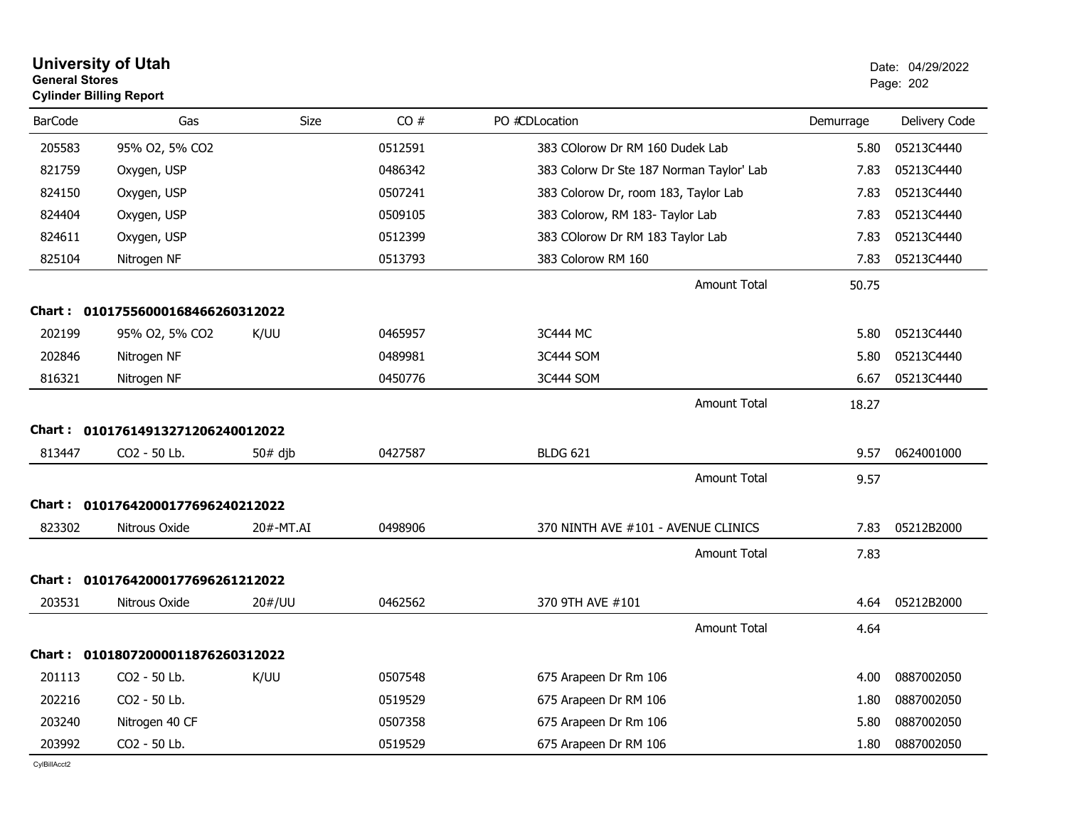| <b>General Stores</b> | <b>University of Utah</b><br><b>Cylinder Billing Report</b> |           |         |                                          |           | Date: 04/29/2022<br>Page: 202 |
|-----------------------|-------------------------------------------------------------|-----------|---------|------------------------------------------|-----------|-------------------------------|
| <b>BarCode</b>        | Gas                                                         | Size      | CO#     | PO #CDLocation                           | Demurrage | Delivery Code                 |
| 205583                | 95% O2, 5% CO2                                              |           | 0512591 | 383 COlorow Dr RM 160 Dudek Lab          | 5.80      | 05213C4440                    |
| 821759                | Oxygen, USP                                                 |           | 0486342 | 383 Colorw Dr Ste 187 Norman Taylor' Lab | 7.83      | 05213C4440                    |
| 824150                | Oxygen, USP                                                 |           | 0507241 | 383 Colorow Dr, room 183, Taylor Lab     | 7.83      | 05213C4440                    |
| 824404                | Oxygen, USP                                                 |           | 0509105 | 383 Colorow, RM 183- Taylor Lab          | 7.83      | 05213C4440                    |
| 824611                | Oxygen, USP                                                 |           | 0512399 | 383 COlorow Dr RM 183 Taylor Lab         | 7.83      | 05213C4440                    |
| 825104                | Nitrogen NF                                                 |           | 0513793 | 383 Colorow RM 160                       | 7.83      | 05213C4440                    |
|                       |                                                             |           |         | <b>Amount Total</b>                      | 50.75     |                               |
|                       | Chart: 01017556000168466260312022                           |           |         |                                          |           |                               |
| 202199                | 95% O2, 5% CO2                                              | K/UU      | 0465957 | 3C444 MC                                 | 5.80      | 05213C4440                    |
| 202846                | Nitrogen NF                                                 |           | 0489981 | 3C444 SOM                                | 5.80      | 05213C4440                    |
| 816321                | Nitrogen NF                                                 |           | 0450776 | 3C444 SOM                                | 6.67      | 05213C4440                    |
|                       |                                                             |           |         | <b>Amount Total</b>                      | 18.27     |                               |
|                       | Chart: 01017614913271206240012022                           |           |         |                                          |           |                               |
| 813447                | CO2 - 50 Lb.                                                | $50#$ djb | 0427587 | <b>BLDG 621</b>                          | 9.57      | 0624001000                    |
|                       |                                                             |           |         | <b>Amount Total</b>                      | 9.57      |                               |
|                       | Chart: 01017642000177696240212022                           |           |         |                                          |           |                               |
| 823302                | Nitrous Oxide                                               | 20#-MT.AI | 0498906 | 370 NINTH AVE #101 - AVENUE CLINICS      | 7.83      | 05212B2000                    |
|                       |                                                             |           |         | <b>Amount Total</b>                      | 7.83      |                               |
|                       | Chart: 01017642000177696261212022                           |           |         |                                          |           |                               |
| 203531                | Nitrous Oxide                                               | 20#/UU    | 0462562 | 370 9TH AVE #101                         | 4.64      | 05212B2000                    |
|                       |                                                             |           |         | <b>Amount Total</b>                      | 4.64      |                               |
|                       | Chart: 01018072000011876260312022                           |           |         |                                          |           |                               |
| 201113                | CO <sub>2</sub> - 50 Lb.                                    | K/UU      | 0507548 | 675 Arapeen Dr Rm 106                    | 4.00      | 0887002050                    |
| 202216                | CO2 - 50 Lb.                                                |           | 0519529 | 675 Arapeen Dr RM 106                    | 1.80      | 0887002050                    |
| 203240                | Nitrogen 40 CF                                              |           | 0507358 | 675 Arapeen Dr Rm 106                    | 5.80      | 0887002050                    |
| 203992                | CO2 - 50 Lb.                                                |           | 0519529 | 675 Arapeen Dr RM 106                    | 1.80      | 0887002050                    |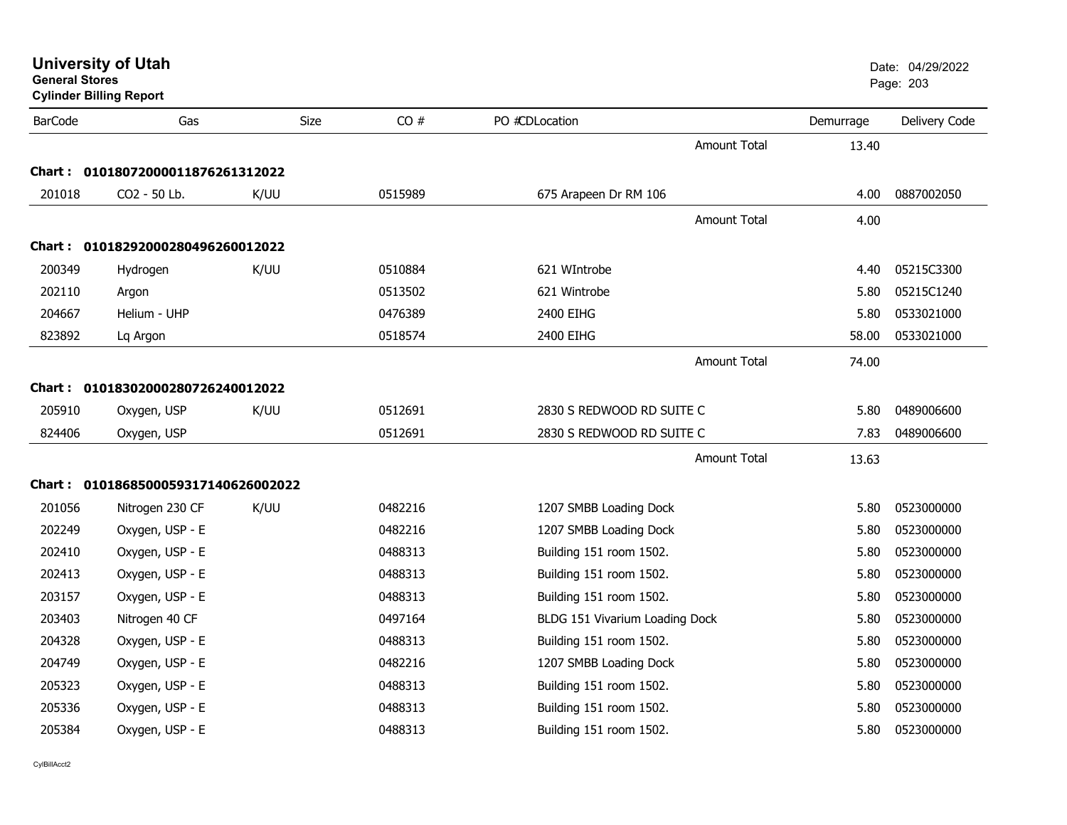| <b>General Stores</b> | <b>University of Utah</b><br><b>Cylinder Billing Report</b> |      |         |                                |           | Date: 04/29/2022<br>Page: 203 |
|-----------------------|-------------------------------------------------------------|------|---------|--------------------------------|-----------|-------------------------------|
| <b>BarCode</b>        | Gas                                                         | Size | CO#     | PO #CDLocation                 | Demurrage | Delivery Code                 |
|                       |                                                             |      |         | <b>Amount Total</b>            | 13.40     |                               |
|                       | Chart: 01018072000011876261312022                           |      |         |                                |           |                               |
| 201018                | CO2 - 50 Lb.                                                | K/UU | 0515989 | 675 Arapeen Dr RM 106          | 4.00      | 0887002050                    |
|                       |                                                             |      |         | <b>Amount Total</b>            | 4.00      |                               |
|                       | Chart: 01018292000280496260012022                           |      |         |                                |           |                               |
| 200349                | Hydrogen                                                    | K/UU | 0510884 | 621 WIntrobe                   | 4.40      | 05215C3300                    |
| 202110                | Argon                                                       |      | 0513502 | 621 Wintrobe                   | 5.80      | 05215C1240                    |
| 204667                | Helium - UHP                                                |      | 0476389 | 2400 EIHG                      | 5.80      | 0533021000                    |
| 823892                | Lq Argon                                                    |      | 0518574 | 2400 EIHG                      | 58.00     | 0533021000                    |
|                       |                                                             |      |         | Amount Total                   | 74.00     |                               |
|                       | Chart: 01018302000280726240012022                           |      |         |                                |           |                               |
| 205910                | Oxygen, USP                                                 | K/UU | 0512691 | 2830 S REDWOOD RD SUITE C      | 5.80      | 0489006600                    |
| 824406                | Oxygen, USP                                                 |      | 0512691 | 2830 S REDWOOD RD SUITE C      | 7.83      | 0489006600                    |
|                       |                                                             |      |         | Amount Total                   | 13.63     |                               |
|                       | Chart: 0101868500059317140626002022                         |      |         |                                |           |                               |
| 201056                | Nitrogen 230 CF                                             | K/UU | 0482216 | 1207 SMBB Loading Dock         | 5.80      | 0523000000                    |
| 202249                | Oxygen, USP - E                                             |      | 0482216 | 1207 SMBB Loading Dock         | 5.80      | 0523000000                    |
| 202410                | Oxygen, USP - E                                             |      | 0488313 | Building 151 room 1502.        | 5.80      | 0523000000                    |
| 202413                | Oxygen, USP - E                                             |      | 0488313 | Building 151 room 1502.        | 5.80      | 0523000000                    |
| 203157                | Oxygen, USP - E                                             |      | 0488313 | Building 151 room 1502.        | 5.80      | 0523000000                    |
| 203403                | Nitrogen 40 CF                                              |      | 0497164 | BLDG 151 Vivarium Loading Dock | 5.80      | 0523000000                    |
| 204328                | Oxygen, USP - E                                             |      | 0488313 | Building 151 room 1502.        | 5.80      | 0523000000                    |
| 204749                | Oxygen, USP - E                                             |      | 0482216 | 1207 SMBB Loading Dock         | 5.80      | 0523000000                    |
| 205323                | Oxygen, USP - E                                             |      | 0488313 | Building 151 room 1502.        | 5.80      | 0523000000                    |
| 205336                | Oxygen, USP - E                                             |      | 0488313 | Building 151 room 1502.        | 5.80      | 0523000000                    |
| 205384                | Oxygen, USP - E                                             |      | 0488313 | Building 151 room 1502.        | 5.80      | 0523000000                    |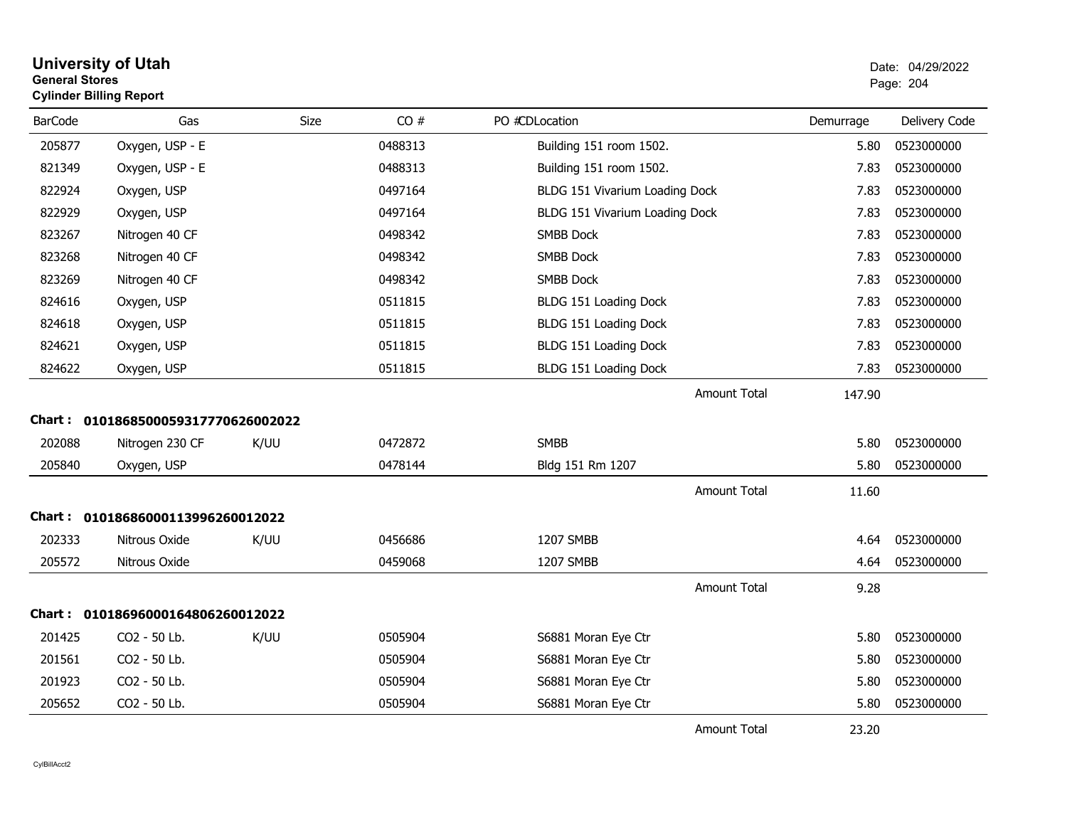| <b>General Stores</b> | <b>Cylinder Billing Report</b>                         |      |         |                                |           | Page: 204     |
|-----------------------|--------------------------------------------------------|------|---------|--------------------------------|-----------|---------------|
| <b>BarCode</b>        | Gas                                                    | Size | CO#     | PO #CDLocation                 | Demurrage | Delivery Code |
| 205877                | Oxygen, USP - E                                        |      | 0488313 | Building 151 room 1502.        | 5.80      | 0523000000    |
| 821349                | Oxygen, USP - E                                        |      | 0488313 | Building 151 room 1502.        | 7.83      | 0523000000    |
| 822924                | Oxygen, USP                                            |      | 0497164 | BLDG 151 Vivarium Loading Dock | 7.83      | 0523000000    |
| 822929                | Oxygen, USP                                            |      | 0497164 | BLDG 151 Vivarium Loading Dock | 7.83      | 0523000000    |
| 823267                | Nitrogen 40 CF                                         |      | 0498342 | <b>SMBB Dock</b>               | 7.83      | 0523000000    |
| 823268                | Nitrogen 40 CF                                         |      | 0498342 | <b>SMBB Dock</b>               | 7.83      | 0523000000    |
| 823269                | Nitrogen 40 CF                                         |      | 0498342 | <b>SMBB Dock</b>               | 7.83      | 0523000000    |
| 824616                | Oxygen, USP                                            |      | 0511815 | BLDG 151 Loading Dock          | 7.83      | 0523000000    |
| 824618                | Oxygen, USP                                            |      | 0511815 | BLDG 151 Loading Dock          | 7.83      | 0523000000    |
| 824621                | Oxygen, USP                                            |      | 0511815 | BLDG 151 Loading Dock          | 7.83      | 0523000000    |
| 824622                | Oxygen, USP                                            |      | 0511815 | BLDG 151 Loading Dock          | 7.83      | 0523000000    |
| 202088                | Chart: 0101868500059317770626002022<br>Nitrogen 230 CF | K/UU | 0472872 | <b>SMBB</b>                    | 5.80      | 0523000000    |
| 205840                | Oxygen, USP                                            |      | 0478144 | Bldg 151 Rm 1207               | 5.80      | 0523000000    |
|                       |                                                        |      |         | <b>Amount Total</b>            | 11.60     |               |
|                       | Chart: 01018686000113996260012022                      |      |         |                                |           |               |
| 202333                | Nitrous Oxide                                          | K/UU | 0456686 | 1207 SMBB                      | 4.64      | 0523000000    |
| 205572                | Nitrous Oxide                                          |      | 0459068 | 1207 SMBB                      | 4.64      | 0523000000    |
|                       |                                                        |      |         | <b>Amount Total</b>            | 9.28      |               |
|                       | Chart: 01018696000164806260012022                      |      |         |                                |           |               |
| 201425                | CO2 - 50 Lb.                                           | K/UU | 0505904 | S6881 Moran Eye Ctr            | 5.80      | 0523000000    |
| 201561                | CO2 - 50 Lb.                                           |      | 0505904 | S6881 Moran Eye Ctr            | 5.80      | 0523000000    |
| 201923                | CO2 - 50 Lb.                                           |      | 0505904 | S6881 Moran Eye Ctr            | 5.80      | 0523000000    |
| 205652                | CO2 - 50 Lb.                                           |      | 0505904 | S6881 Moran Eye Ctr            | 5.80      | 0523000000    |
|                       |                                                        |      |         | Amount Total                   | 23.20     |               |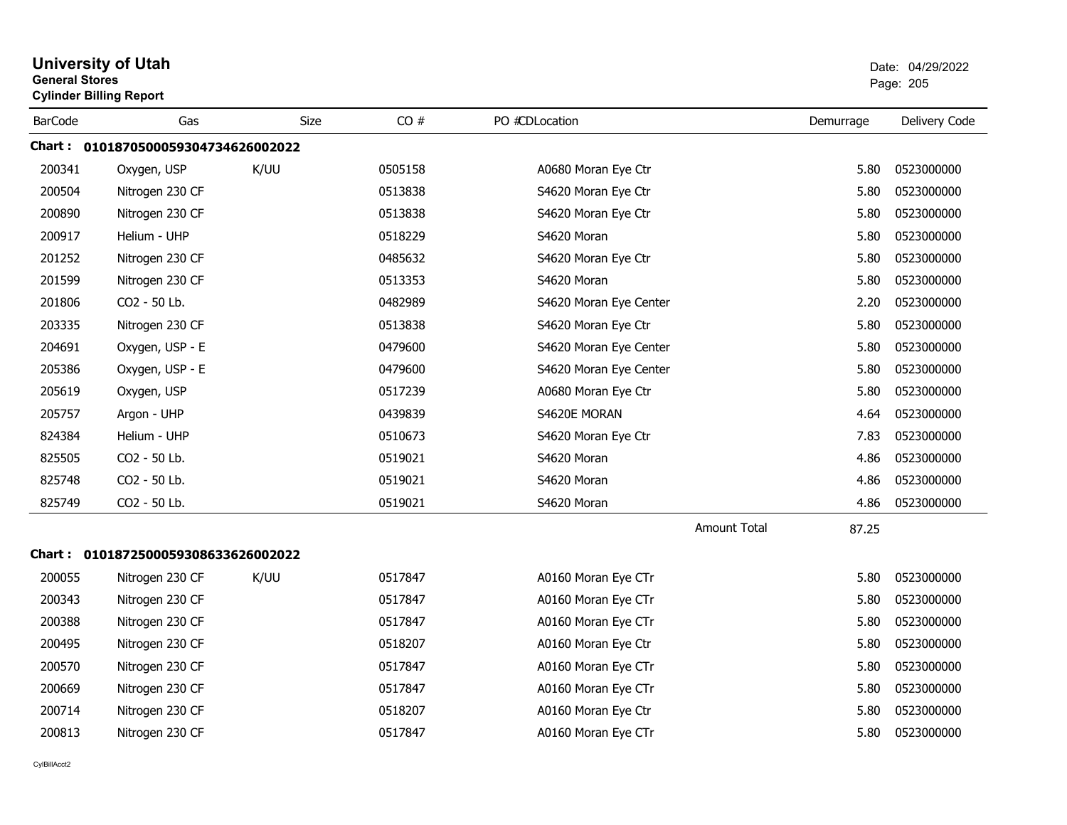| <b>General Stores</b> | <b>University of Utah</b><br><b>Cylinder Billing Report</b> |             |         |                        |           | Date: 04/29/2022<br>Page: 205 |
|-----------------------|-------------------------------------------------------------|-------------|---------|------------------------|-----------|-------------------------------|
| <b>BarCode</b>        | Gas                                                         | <b>Size</b> | CO#     | PO #CDLocation         | Demurrage | Delivery Code                 |
|                       | Chart: 0101870500059304734626002022                         |             |         |                        |           |                               |
| 200341                | Oxygen, USP                                                 | K/UU        | 0505158 | A0680 Moran Eye Ctr    | 5.80      | 0523000000                    |
| 200504                | Nitrogen 230 CF                                             |             | 0513838 | S4620 Moran Eye Ctr    | 5.80      | 0523000000                    |
| 200890                | Nitrogen 230 CF                                             |             | 0513838 | S4620 Moran Eye Ctr    | 5.80      | 0523000000                    |
| 200917                | Helium - UHP                                                |             | 0518229 | S4620 Moran            | 5.80      | 0523000000                    |
| 201252                | Nitrogen 230 CF                                             |             | 0485632 | S4620 Moran Eye Ctr    | 5.80      | 0523000000                    |
| 201599                | Nitrogen 230 CF                                             |             | 0513353 | S4620 Moran            | 5.80      | 0523000000                    |
| 201806                | CO2 - 50 Lb.                                                |             | 0482989 | S4620 Moran Eye Center | 2.20      | 0523000000                    |
| 203335                | Nitrogen 230 CF                                             |             | 0513838 | S4620 Moran Eye Ctr    | 5.80      | 0523000000                    |
| 204691                | Oxygen, USP - E                                             |             | 0479600 | S4620 Moran Eye Center | 5.80      | 0523000000                    |
| 205386                | Oxygen, USP - E                                             |             | 0479600 | S4620 Moran Eye Center | 5.80      | 0523000000                    |
| 205619                | Oxygen, USP                                                 |             | 0517239 | A0680 Moran Eye Ctr    | 5.80      | 0523000000                    |
| 205757                | Argon - UHP                                                 |             | 0439839 | S4620E MORAN           | 4.64      | 0523000000                    |
| 824384                | Helium - UHP                                                |             | 0510673 | S4620 Moran Eye Ctr    | 7.83      | 0523000000                    |
| 825505                | CO2 - 50 Lb.                                                |             | 0519021 | S4620 Moran            | 4.86      | 0523000000                    |
| 825748                | CO2 - 50 Lb.                                                |             | 0519021 | S4620 Moran            | 4.86      | 0523000000                    |
| 825749                | CO2 - 50 Lb.                                                |             | 0519021 | S4620 Moran            | 4.86      | 0523000000                    |
|                       |                                                             |             |         | <b>Amount Total</b>    | 87.25     |                               |
|                       |                                                             |             |         |                        |           |                               |
| 200055                | Nitrogen 230 CF                                             | K/UU        | 0517847 | A0160 Moran Eye CTr    | 5.80      | 0523000000                    |
| 200343                | Nitrogen 230 CF                                             |             | 0517847 | A0160 Moran Eye CTr    | 5.80      | 0523000000                    |
| 200388                | Nitrogen 230 CF                                             |             | 0517847 | A0160 Moran Eye CTr    | 5.80      | 0523000000                    |
| 200495                | Nitrogen 230 CF                                             |             | 0518207 | A0160 Moran Eye Ctr    | 5.80      | 0523000000                    |
| 200570                | Nitrogen 230 CF                                             |             | 0517847 | A0160 Moran Eye CTr    | 5.80      | 0523000000                    |
| 200669                | Nitrogen 230 CF                                             |             | 0517847 | A0160 Moran Eye CTr    | 5.80      | 0523000000                    |
| 200714                | Nitrogen 230 CF                                             |             | 0518207 | A0160 Moran Eye Ctr    | 5.80      | 0523000000                    |
| 200813                | Nitrogen 230 CF                                             |             | 0517847 | A0160 Moran Eye CTr    | 5.80      | 0523000000                    |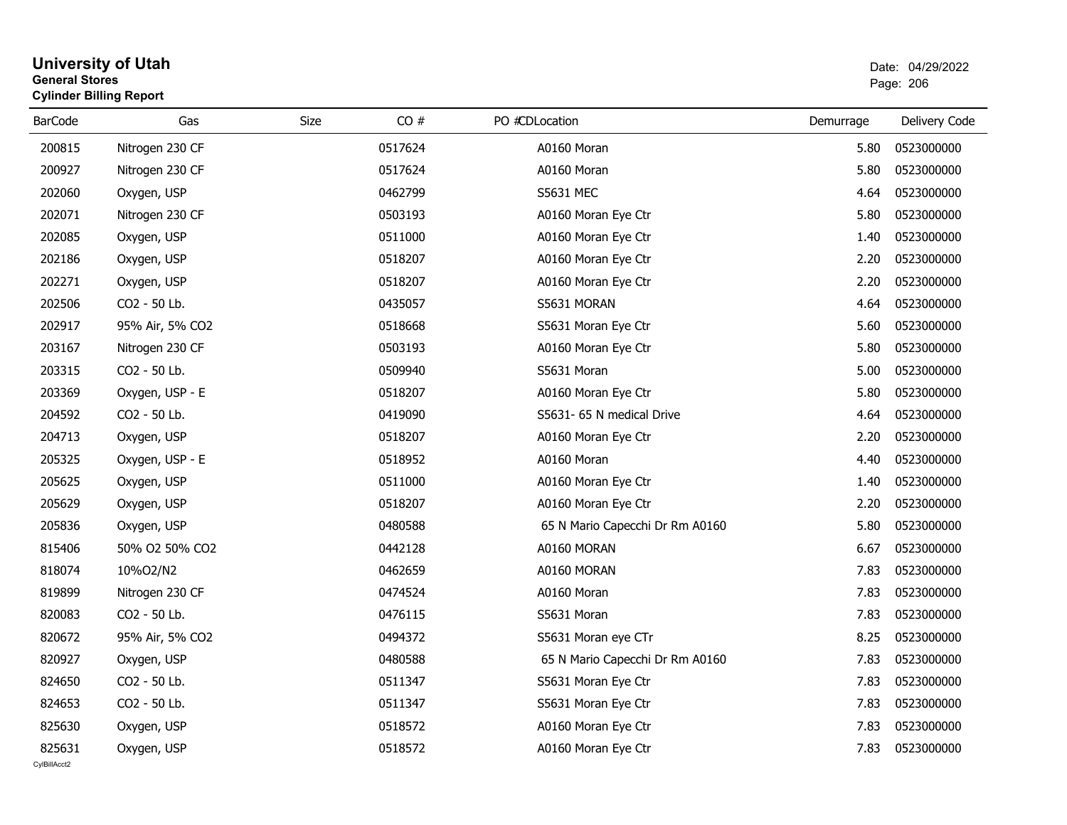# **University of Utah** Date: 04/29/2022 **General Stores**entry of the contract of the contract of the contract of the contract of the contract of the contract of the contract of the contract of the contract of the contract of the contract of the contract of the contract of the c **Cylinder Billing Report**

| <b>BarCode</b> | Gas             | CO#<br>Size | PO #CDLocation                  | Demurrage | Delivery Code |
|----------------|-----------------|-------------|---------------------------------|-----------|---------------|
| 200815         | Nitrogen 230 CF | 0517624     | A0160 Moran                     | 5.80      | 0523000000    |
| 200927         | Nitrogen 230 CF | 0517624     | A0160 Moran                     | 5.80      | 0523000000    |
| 202060         | Oxygen, USP     | 0462799     | <b>S5631 MEC</b>                | 4.64      | 0523000000    |
| 202071         | Nitrogen 230 CF | 0503193     | A0160 Moran Eye Ctr             | 5.80      | 0523000000    |
| 202085         | Oxygen, USP     | 0511000     | A0160 Moran Eye Ctr             | 1.40      | 0523000000    |
| 202186         | Oxygen, USP     | 0518207     | A0160 Moran Eye Ctr             | 2.20      | 0523000000    |
| 202271         | Oxygen, USP     | 0518207     | A0160 Moran Eye Ctr             | 2.20      | 0523000000    |
| 202506         | CO2 - 50 Lb.    | 0435057     | S5631 MORAN                     | 4.64      | 0523000000    |
| 202917         | 95% Air, 5% CO2 | 0518668     | S5631 Moran Eye Ctr             | 5.60      | 0523000000    |
| 203167         | Nitrogen 230 CF | 0503193     | A0160 Moran Eye Ctr             | 5.80      | 0523000000    |
| 203315         | CO2 - 50 Lb.    | 0509940     | S5631 Moran                     | 5.00      | 0523000000    |
| 203369         | Oxygen, USP - E | 0518207     | A0160 Moran Eye Ctr             | 5.80      | 0523000000    |
| 204592         | CO2 - 50 Lb.    | 0419090     | S5631- 65 N medical Drive       | 4.64      | 0523000000    |
| 204713         | Oxygen, USP     | 0518207     | A0160 Moran Eye Ctr             | 2.20      | 0523000000    |
| 205325         | Oxygen, USP - E | 0518952     | A0160 Moran                     | 4.40      | 0523000000    |
| 205625         | Oxygen, USP     | 0511000     | A0160 Moran Eye Ctr             | 1.40      | 0523000000    |
| 205629         | Oxygen, USP     | 0518207     | A0160 Moran Eye Ctr             | 2.20      | 0523000000    |
| 205836         | Oxygen, USP     | 0480588     | 65 N Mario Capecchi Dr Rm A0160 | 5.80      | 0523000000    |
| 815406         | 50% O2 50% CO2  | 0442128     | A0160 MORAN                     | 6.67      | 0523000000    |
| 818074         | 10%O2/N2        | 0462659     | A0160 MORAN                     | 7.83      | 0523000000    |
| 819899         | Nitrogen 230 CF | 0474524     | A0160 Moran                     | 7.83      | 0523000000    |
| 820083         | CO2 - 50 Lb.    | 0476115     | S5631 Moran                     | 7.83      | 0523000000    |
| 820672         | 95% Air, 5% CO2 | 0494372     | S5631 Moran eye CTr             | 8.25      | 0523000000    |
| 820927         | Oxygen, USP     | 0480588     | 65 N Mario Capecchi Dr Rm A0160 | 7.83      | 0523000000    |
| 824650         | CO2 - 50 Lb.    | 0511347     | S5631 Moran Eye Ctr             | 7.83      | 0523000000    |
| 824653         | CO2 - 50 Lb.    | 0511347     | S5631 Moran Eye Ctr             | 7.83      | 0523000000    |
| 825630         | Oxygen, USP     | 0518572     | A0160 Moran Eye Ctr             | 7.83      | 0523000000    |
| 825631         | Oxygen, USP     | 0518572     | A0160 Moran Eye Ctr             | 7.83      | 0523000000    |
| CvIBillAcct2   |                 |             |                                 |           |               |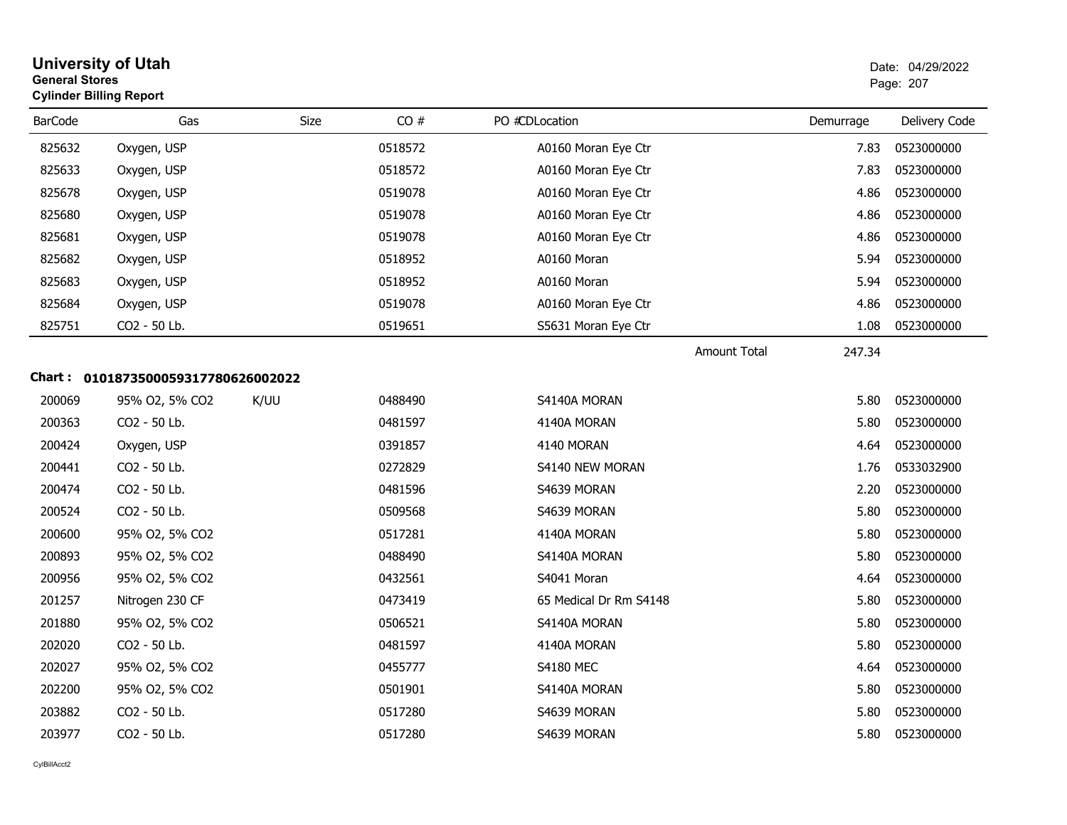| <b>General Stores</b> | <b>University of Utah</b><br><b>Cylinder Billing Report</b> |      | Date: 04/29/2022<br>Page: 207 |                        |                     |           |               |
|-----------------------|-------------------------------------------------------------|------|-------------------------------|------------------------|---------------------|-----------|---------------|
| <b>BarCode</b>        | Gas                                                         | Size | CO#                           | PO #CDLocation         |                     | Demurrage | Delivery Code |
| 825632                | Oxygen, USP                                                 |      | 0518572                       | A0160 Moran Eye Ctr    |                     | 7.83      | 0523000000    |
| 825633                | Oxygen, USP                                                 |      | 0518572                       | A0160 Moran Eye Ctr    |                     | 7.83      | 0523000000    |
| 825678                | Oxygen, USP                                                 |      | 0519078                       | A0160 Moran Eye Ctr    |                     | 4.86      | 0523000000    |
| 825680                | Oxygen, USP                                                 |      | 0519078                       | A0160 Moran Eye Ctr    |                     | 4.86      | 0523000000    |
| 825681                | Oxygen, USP                                                 |      | 0519078                       | A0160 Moran Eye Ctr    |                     | 4.86      | 0523000000    |
| 825682                | Oxygen, USP                                                 |      | 0518952                       | A0160 Moran            |                     | 5.94      | 0523000000    |
| 825683                | Oxygen, USP                                                 |      | 0518952                       | A0160 Moran            |                     | 5.94      | 0523000000    |
| 825684                | Oxygen, USP                                                 |      | 0519078                       | A0160 Moran Eye Ctr    |                     | 4.86      | 0523000000    |
| 825751                | CO2 - 50 Lb.                                                |      | 0519651                       | S5631 Moran Eye Ctr    |                     | 1.08      | 0523000000    |
|                       |                                                             |      |                               |                        | <b>Amount Total</b> | 247.34    |               |
|                       | Chart: 0101873500059317780626002022                         |      |                               |                        |                     |           |               |
| 200069                | 95% O2, 5% CO2                                              | K/UU | 0488490                       | S4140A MORAN           |                     | 5.80      | 0523000000    |
| 200363                | CO2 - 50 Lb.                                                |      | 0481597                       | 4140A MORAN            |                     | 5.80      | 0523000000    |
| 200424                | Oxygen, USP                                                 |      | 0391857                       | 4140 MORAN             |                     | 4.64      | 0523000000    |
| 200441                | CO2 - 50 Lb.                                                |      | 0272829                       | S4140 NEW MORAN        |                     | 1.76      | 0533032900    |
| 200474                | CO2 - 50 Lb.                                                |      | 0481596                       | S4639 MORAN            |                     | 2.20      | 0523000000    |
| 200524                | CO2 - 50 Lb.                                                |      | 0509568                       | S4639 MORAN            |                     | 5.80      | 0523000000    |
| 200600                | 95% O2, 5% CO2                                              |      | 0517281                       | 4140A MORAN            |                     | 5.80      | 0523000000    |
| 200893                | 95% O2, 5% CO2                                              |      | 0488490                       | S4140A MORAN           |                     | 5.80      | 0523000000    |
| 200956                | 95% O2, 5% CO2                                              |      | 0432561                       | S4041 Moran            |                     | 4.64      | 0523000000    |
| 201257                | Nitrogen 230 CF                                             |      | 0473419                       | 65 Medical Dr Rm S4148 |                     | 5.80      | 0523000000    |
| 201880                | 95% O2, 5% CO2                                              |      | 0506521                       | S4140A MORAN           |                     | 5.80      | 0523000000    |
| 202020                | CO2 - 50 Lb.                                                |      | 0481597                       | 4140A MORAN            |                     | 5.80      | 0523000000    |
| 202027                | 95% O2, 5% CO2                                              |      | 0455777                       | <b>S4180 MEC</b>       |                     | 4.64      | 0523000000    |
| 202200                | 95% O2, 5% CO2                                              |      | 0501901                       | S4140A MORAN           |                     | 5.80      | 0523000000    |
| 203882                | CO2 - 50 Lb.                                                |      | 0517280                       | S4639 MORAN            |                     | 5.80      | 0523000000    |
| 203977                | CO <sub>2</sub> - 50 Lb.                                    |      | 0517280                       | S4639 MORAN            |                     | 5.80      | 0523000000    |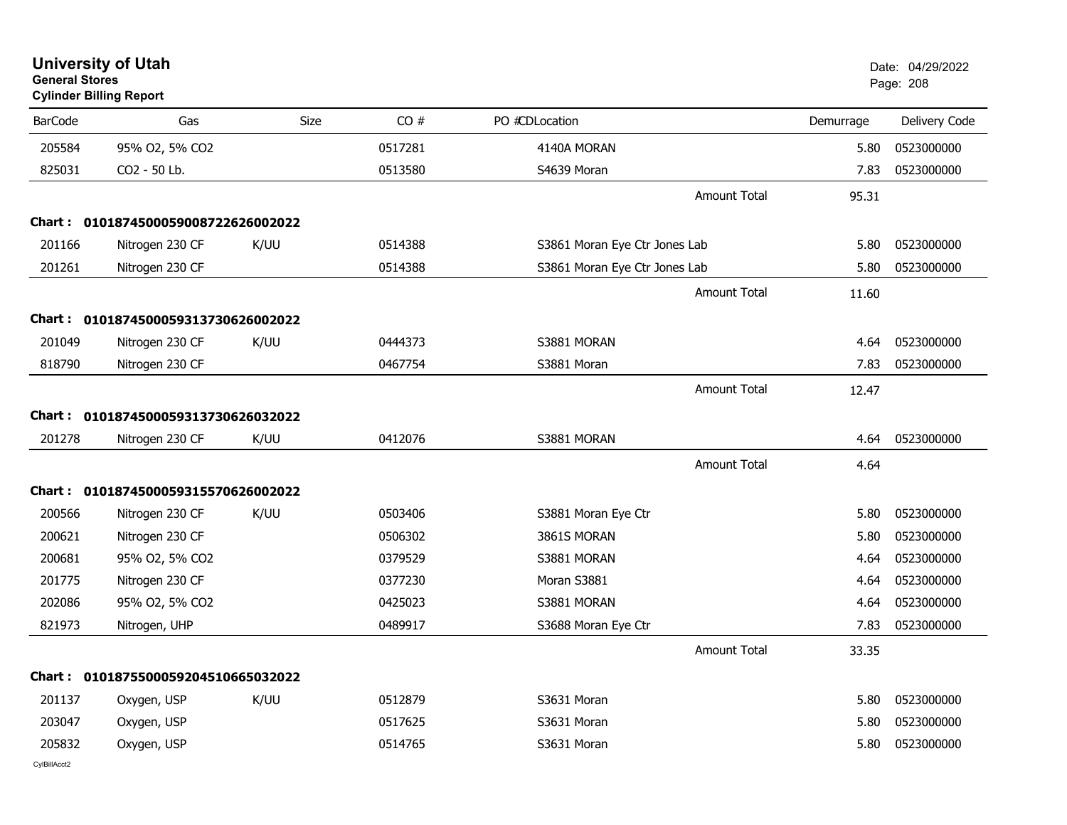|                | <b>University of Utah</b><br><b>General Stores</b><br><b>Cylinder Billing Report</b> |      |         |                               |                     | Date: 04/29/2022<br>Page: 208 |               |
|----------------|--------------------------------------------------------------------------------------|------|---------|-------------------------------|---------------------|-------------------------------|---------------|
| <b>BarCode</b> | Gas                                                                                  | Size | CO#     | PO #CDLocation                |                     | Demurrage                     | Delivery Code |
| 205584         | 95% O2, 5% CO2                                                                       |      | 0517281 | 4140A MORAN                   |                     | 5.80                          | 0523000000    |
| 825031         | CO2 - 50 Lb.                                                                         |      | 0513580 | S4639 Moran                   |                     | 7.83                          | 0523000000    |
|                |                                                                                      |      |         |                               | Amount Total        | 95.31                         |               |
| Chart :        | 0101874500059008722626002022                                                         |      |         |                               |                     |                               |               |
| 201166         | Nitrogen 230 CF                                                                      | K/UU | 0514388 | S3861 Moran Eye Ctr Jones Lab |                     | 5.80                          | 0523000000    |
| 201261         | Nitrogen 230 CF                                                                      |      | 0514388 | S3861 Moran Eye Ctr Jones Lab |                     | 5.80                          | 0523000000    |
|                |                                                                                      |      |         |                               | Amount Total        | 11.60                         |               |
| Chart :        | 0101874500059313730626002022                                                         |      |         |                               |                     |                               |               |
| 201049         | Nitrogen 230 CF                                                                      | K/UU | 0444373 | S3881 MORAN                   |                     | 4.64                          | 0523000000    |
| 818790         | Nitrogen 230 CF                                                                      |      | 0467754 | S3881 Moran                   |                     | 7.83                          | 0523000000    |
|                |                                                                                      |      |         |                               | Amount Total        | 12.47                         |               |
| Chart :        | 0101874500059313730626032022                                                         |      |         |                               |                     |                               |               |
| 201278         | Nitrogen 230 CF                                                                      | K/UU | 0412076 | S3881 MORAN                   |                     | 4.64                          | 0523000000    |
|                |                                                                                      |      |         |                               | <b>Amount Total</b> | 4.64                          |               |
| Chart :        | 0101874500059315570626002022                                                         |      |         |                               |                     |                               |               |
| 200566         | Nitrogen 230 CF                                                                      | K/UU | 0503406 | S3881 Moran Eye Ctr           |                     | 5.80                          | 0523000000    |
| 200621         | Nitrogen 230 CF                                                                      |      | 0506302 | 3861S MORAN                   |                     | 5.80                          | 0523000000    |
| 200681         | 95% O2, 5% CO2                                                                       |      | 0379529 | S3881 MORAN                   |                     | 4.64                          | 0523000000    |
| 201775         | Nitrogen 230 CF                                                                      |      | 0377230 | Moran S3881                   |                     | 4.64                          | 0523000000    |
| 202086         | 95% O2, 5% CO2                                                                       |      | 0425023 | S3881 MORAN                   |                     | 4.64                          | 0523000000    |
| 821973         | Nitrogen, UHP                                                                        |      | 0489917 | S3688 Moran Eye Ctr           |                     | 7.83                          | 0523000000    |
|                |                                                                                      |      |         |                               | <b>Amount Total</b> | 33.35                         |               |
|                | Chart: 0101875500059204510665032022                                                  |      |         |                               |                     |                               |               |
| 201137         | Oxygen, USP                                                                          | K/UU | 0512879 | S3631 Moran                   |                     | 5.80                          | 0523000000    |
| 203047         | Oxygen, USP                                                                          |      | 0517625 | S3631 Moran                   |                     | 5.80                          | 0523000000    |
| 205832         | Oxygen, USP                                                                          |      | 0514765 | S3631 Moran                   |                     | 5.80                          | 0523000000    |
| CylBillAcct2   |                                                                                      |      |         |                               |                     |                               |               |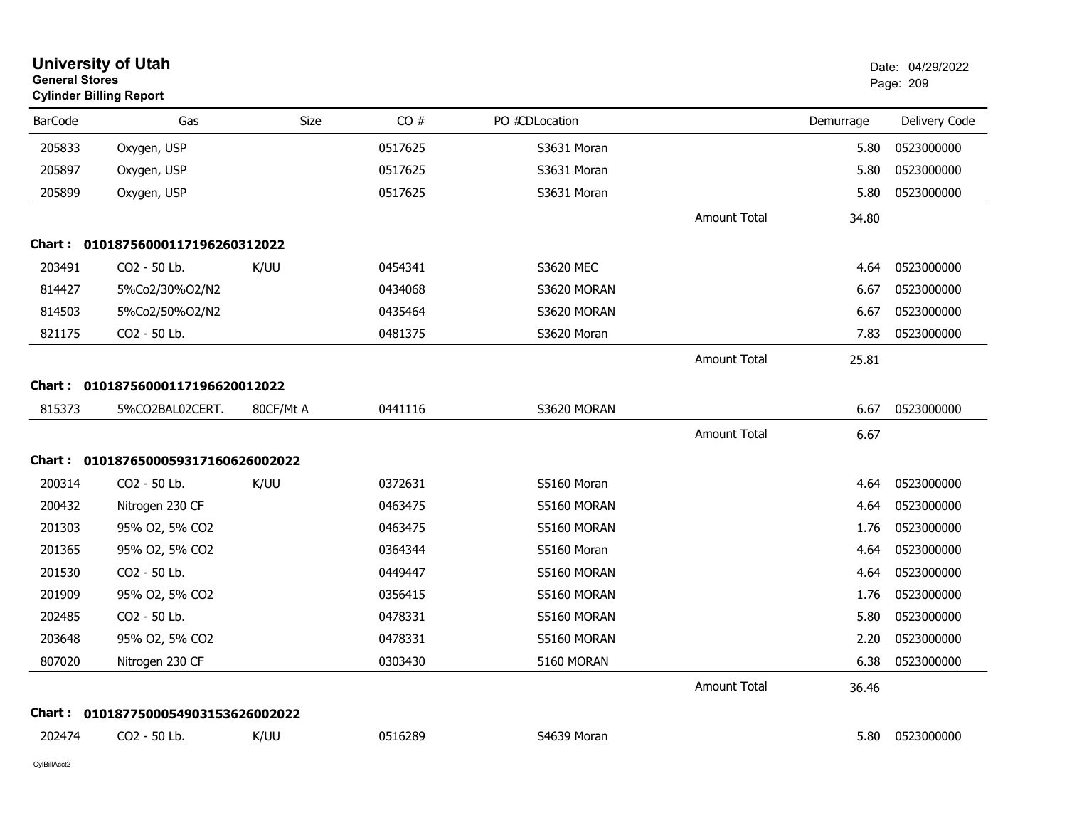| <b>General Stores</b> | <b>University of Utah</b><br><b>Cylinder Billing Report</b> |           |         |                |                     |           | Date: 04/29/2022<br>Page: 209 |
|-----------------------|-------------------------------------------------------------|-----------|---------|----------------|---------------------|-----------|-------------------------------|
| <b>BarCode</b>        | Gas                                                         | Size      | CO#     | PO #CDLocation |                     | Demurrage | Delivery Code                 |
| 205833                | Oxygen, USP                                                 |           | 0517625 | S3631 Moran    |                     | 5.80      | 0523000000                    |
| 205897                | Oxygen, USP                                                 |           | 0517625 | S3631 Moran    |                     | 5.80      | 0523000000                    |
| 205899                | Oxygen, USP                                                 |           | 0517625 | S3631 Moran    |                     | 5.80      | 0523000000                    |
|                       |                                                             |           |         |                | <b>Amount Total</b> | 34.80     |                               |
|                       | Chart: 01018756000117196260312022                           |           |         |                |                     |           |                               |
| 203491                | CO2 - 50 Lb.                                                | K/UU      | 0454341 | S3620 MEC      |                     | 4.64      | 0523000000                    |
| 814427                | 5%Co2/30%O2/N2                                              |           | 0434068 | S3620 MORAN    |                     | 6.67      | 0523000000                    |
| 814503                | 5%Co2/50%O2/N2                                              |           | 0435464 | S3620 MORAN    |                     | 6.67      | 0523000000                    |
| 821175                | CO2 - 50 Lb.                                                |           | 0481375 | S3620 Moran    |                     | 7.83      | 0523000000                    |
|                       |                                                             |           |         |                | <b>Amount Total</b> | 25.81     |                               |
|                       | Chart: 01018756000117196620012022                           |           |         |                |                     |           |                               |
| 815373                | 5%CO2BAL02CERT.                                             | 80CF/Mt A | 0441116 | S3620 MORAN    |                     | 6.67      | 0523000000                    |
|                       |                                                             |           |         |                | <b>Amount Total</b> | 6.67      |                               |
| Chart :               | 0101876500059317160626002022                                |           |         |                |                     |           |                               |
| 200314                | CO2 - 50 Lb.                                                | K/UU      | 0372631 | S5160 Moran    |                     | 4.64      | 0523000000                    |
| 200432                | Nitrogen 230 CF                                             |           | 0463475 | S5160 MORAN    |                     | 4.64      | 0523000000                    |
| 201303                | 95% 02, 5% CO2                                              |           | 0463475 | S5160 MORAN    |                     | 1.76      | 0523000000                    |
| 201365                | 95% O2, 5% CO2                                              |           | 0364344 | S5160 Moran    |                     | 4.64      | 0523000000                    |
| 201530                | CO2 - 50 Lb.                                                |           | 0449447 | S5160 MORAN    |                     | 4.64      | 0523000000                    |
| 201909                | 95% O2, 5% CO2                                              |           | 0356415 | S5160 MORAN    |                     | 1.76      | 0523000000                    |
| 202485                | CO2 - 50 Lb.                                                |           | 0478331 | S5160 MORAN    |                     | 5.80      | 0523000000                    |
| 203648                | 95% O2, 5% CO2                                              |           | 0478331 | S5160 MORAN    |                     | 2.20      | 0523000000                    |
| 807020                | Nitrogen 230 CF                                             |           | 0303430 | 5160 MORAN     |                     | 6.38      | 0523000000                    |
|                       |                                                             |           |         |                | Amount Total        | 36.46     |                               |
|                       | Chart: 0101877500054903153626002022                         |           |         |                |                     |           |                               |
| 202474                | CO2 - 50 Lb.                                                | K/UU      | 0516289 | S4639 Moran    |                     |           | 5.80  0523000000              |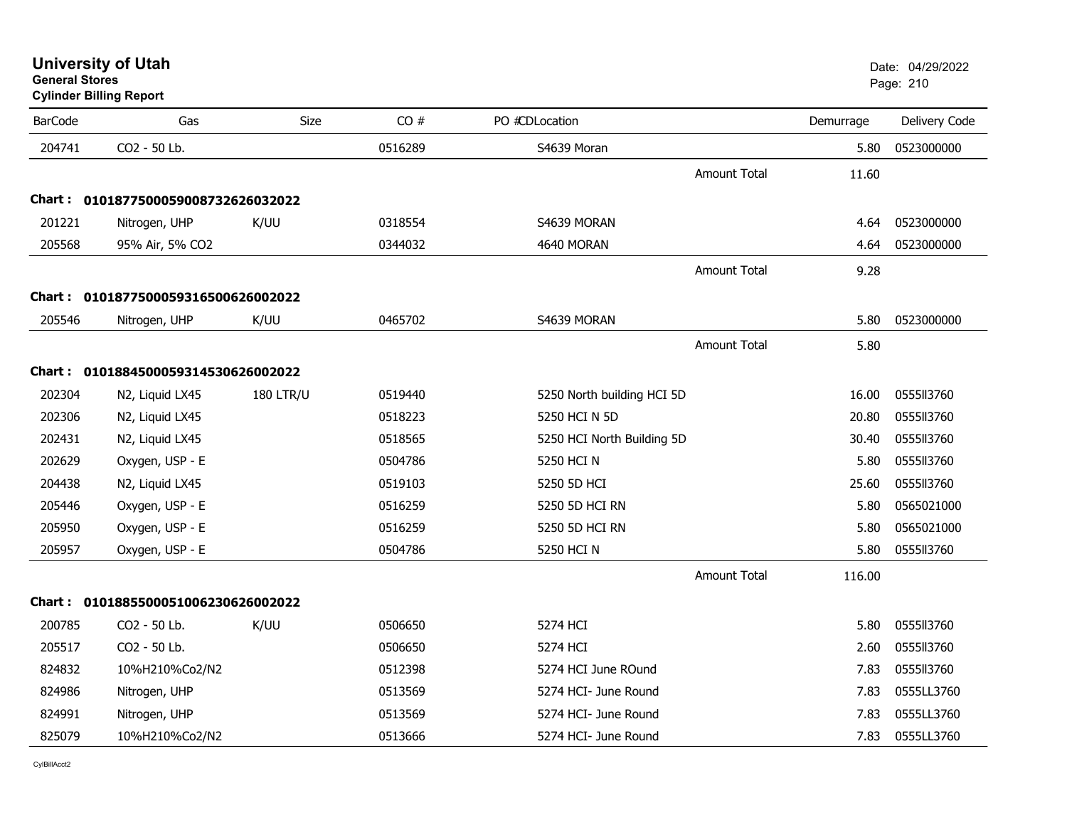|                | Cylinder Billing Report             |                  |         |                            |           |               |
|----------------|-------------------------------------|------------------|---------|----------------------------|-----------|---------------|
| <b>BarCode</b> | Gas                                 | Size             | CO#     | PO #CDLocation             | Demurrage | Delivery Code |
| 204741         | CO2 - 50 Lb.                        |                  | 0516289 | S4639 Moran                | 5.80      | 0523000000    |
|                |                                     |                  |         | <b>Amount Total</b>        | 11.60     |               |
|                | Chart: 0101877500059008732626032022 |                  |         |                            |           |               |
| 201221         | Nitrogen, UHP                       | K/UU             | 0318554 | S4639 MORAN                | 4.64      | 0523000000    |
| 205568         | 95% Air, 5% CO2                     |                  | 0344032 | 4640 MORAN                 | 4.64      | 0523000000    |
|                |                                     |                  |         | <b>Amount Total</b>        | 9.28      |               |
|                | Chart: 0101877500059316500626002022 |                  |         |                            |           |               |
| 205546         | Nitrogen, UHP                       | K/UU             | 0465702 | S4639 MORAN                | 5.80      | 0523000000    |
|                |                                     |                  |         | <b>Amount Total</b>        | 5.80      |               |
|                | Chart: 0101884500059314530626002022 |                  |         |                            |           |               |
| 202304         | N2, Liquid LX45                     | <b>180 LTR/U</b> | 0519440 | 5250 North building HCI 5D | 16.00     | 0555113760    |
| 202306         | N2, Liquid LX45                     |                  | 0518223 | 5250 HCI N 5D              | 20.80     | 0555113760    |
| 202431         | N2, Liquid LX45                     |                  | 0518565 | 5250 HCI North Building 5D | 30.40     | 0555113760    |
| 202629         | Oxygen, USP - E                     |                  | 0504786 | 5250 HCI N                 | 5.80      | 0555113760    |
| 204438         | N2, Liquid LX45                     |                  | 0519103 | 5250 5D HCI                | 25.60     | 0555113760    |
| 205446         | Oxygen, USP - E                     |                  | 0516259 | 5250 5D HCI RN             | 5.80      | 0565021000    |
| 205950         | Oxygen, USP - E                     |                  | 0516259 | 5250 5D HCI RN             | 5.80      | 0565021000    |
| 205957         | Oxygen, USP - E                     |                  | 0504786 | 5250 HCI N                 | 5.80      | 0555113760    |
|                |                                     |                  |         | <b>Amount Total</b>        | 116.00    |               |
|                | Chart: 0101885500051006230626002022 |                  |         |                            |           |               |
| 200785         | CO2 - 50 Lb.                        | K/UU             | 0506650 | 5274 HCI                   | 5.80      | 0555113760    |
| 205517         | CO2 - 50 Lb.                        |                  | 0506650 | 5274 HCI                   | 2.60      | 0555113760    |
| 824832         | 10%H210%Co2/N2                      |                  | 0512398 | 5274 HCI June ROund        | 7.83      | 0555113760    |
| 824986         | Nitrogen, UHP                       |                  | 0513569 | 5274 HCI- June Round       | 7.83      | 0555LL3760    |
| 824991         | Nitrogen, UHP                       |                  | 0513569 | 5274 HCI- June Round       | 7.83      | 0555LL3760    |

10%H210%Co2/N2 0513666 0513666 5274 HCI- June Round 7.83 0555LL3760

# **University of Utah** Date: 04/29/2022 **General Stores**

**Cylinder Billing Report**

825079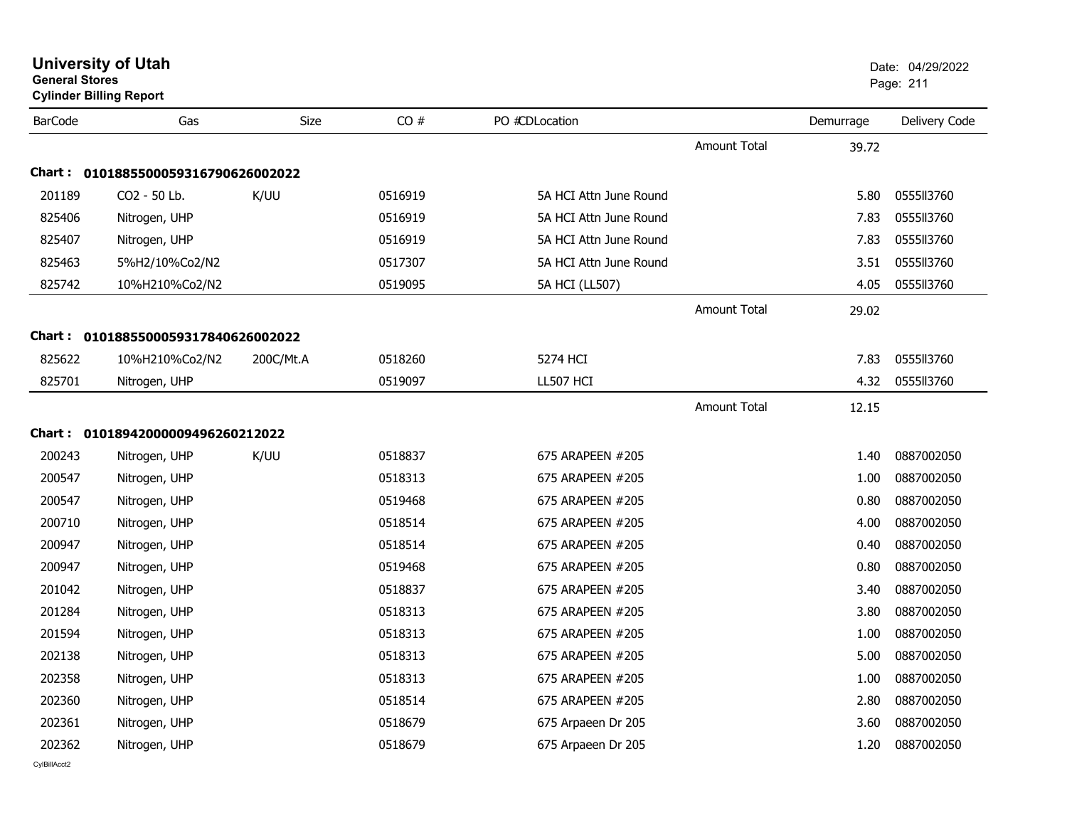| <b>General Stores</b> | <b>Cylinder Billing Report</b>    |             |         |                        |                     |           | Page: 211     |
|-----------------------|-----------------------------------|-------------|---------|------------------------|---------------------|-----------|---------------|
| <b>BarCode</b>        | Gas                               | <b>Size</b> | CO#     | PO #CDLocation         |                     | Demurrage | Delivery Code |
|                       |                                   |             |         |                        | Amount Total        | 39.72     |               |
| Chart :               | 0101885500059316790626002022      |             |         |                        |                     |           |               |
| 201189                | CO2 - 50 Lb.                      | K/UU        | 0516919 | 5A HCI Attn June Round |                     | 5.80      | 0555113760    |
| 825406                | Nitrogen, UHP                     |             | 0516919 | 5A HCI Attn June Round |                     | 7.83      | 0555113760    |
| 825407                | Nitrogen, UHP                     |             | 0516919 | 5A HCI Attn June Round |                     | 7.83      | 0555113760    |
| 825463                | 5%H2/10%Co2/N2                    |             | 0517307 | 5A HCI Attn June Round |                     | 3.51      | 0555ll3760    |
| 825742                | 10%H210%Co2/N2                    |             | 0519095 | 5A HCI (LL507)         |                     | 4.05      | 0555113760    |
|                       |                                   |             |         |                        | <b>Amount Total</b> | 29.02     |               |
| Chart :               | 0101885500059317840626002022      |             |         |                        |                     |           |               |
| 825622                | 10%H210%Co2/N2                    | 200C/Mt.A   | 0518260 | 5274 HCI               |                     | 7.83      | 0555113760    |
| 825701                | Nitrogen, UHP                     |             | 0519097 | LL507 HCI              |                     | 4.32      | 0555113760    |
|                       |                                   |             |         |                        | <b>Amount Total</b> | 12.15     |               |
|                       | Chart: 01018942000009496260212022 |             |         |                        |                     |           |               |
| 200243                | Nitrogen, UHP                     | K/UU        | 0518837 | 675 ARAPEEN #205       |                     | 1.40      | 0887002050    |
| 200547                | Nitrogen, UHP                     |             | 0518313 | 675 ARAPEEN #205       |                     | 1.00      | 0887002050    |
| 200547                | Nitrogen, UHP                     |             | 0519468 | 675 ARAPEEN #205       |                     | 0.80      | 0887002050    |
| 200710                | Nitrogen, UHP                     |             | 0518514 | 675 ARAPEEN #205       |                     | 4.00      | 0887002050    |
| 200947                | Nitrogen, UHP                     |             | 0518514 | 675 ARAPEEN #205       |                     | 0.40      | 0887002050    |
| 200947                | Nitrogen, UHP                     |             | 0519468 | 675 ARAPEEN #205       |                     | 0.80      | 0887002050    |
| 201042                | Nitrogen, UHP                     |             | 0518837 | 675 ARAPEEN #205       |                     | 3.40      | 0887002050    |
| 201284                | Nitrogen, UHP                     |             | 0518313 | 675 ARAPEEN #205       |                     | 3.80      | 0887002050    |
| 201594                | Nitrogen, UHP                     |             | 0518313 | 675 ARAPEEN #205       |                     | 1.00      | 0887002050    |
| 202138                | Nitrogen, UHP                     |             | 0518313 | 675 ARAPEEN #205       |                     | 5.00      | 0887002050    |
| 202358                | Nitrogen, UHP                     |             | 0518313 | 675 ARAPEEN #205       |                     | 1.00      | 0887002050    |
| 202360                | Nitrogen, UHP                     |             | 0518514 | 675 ARAPEEN #205       |                     | 2.80      | 0887002050    |
| 202361                | Nitrogen, UHP                     |             | 0518679 | 675 Arpaeen Dr 205     |                     | 3.60      | 0887002050    |
| 202362                | Nitrogen, UHP                     |             | 0518679 | 675 Arpaeen Dr 205     |                     | 1.20      | 0887002050    |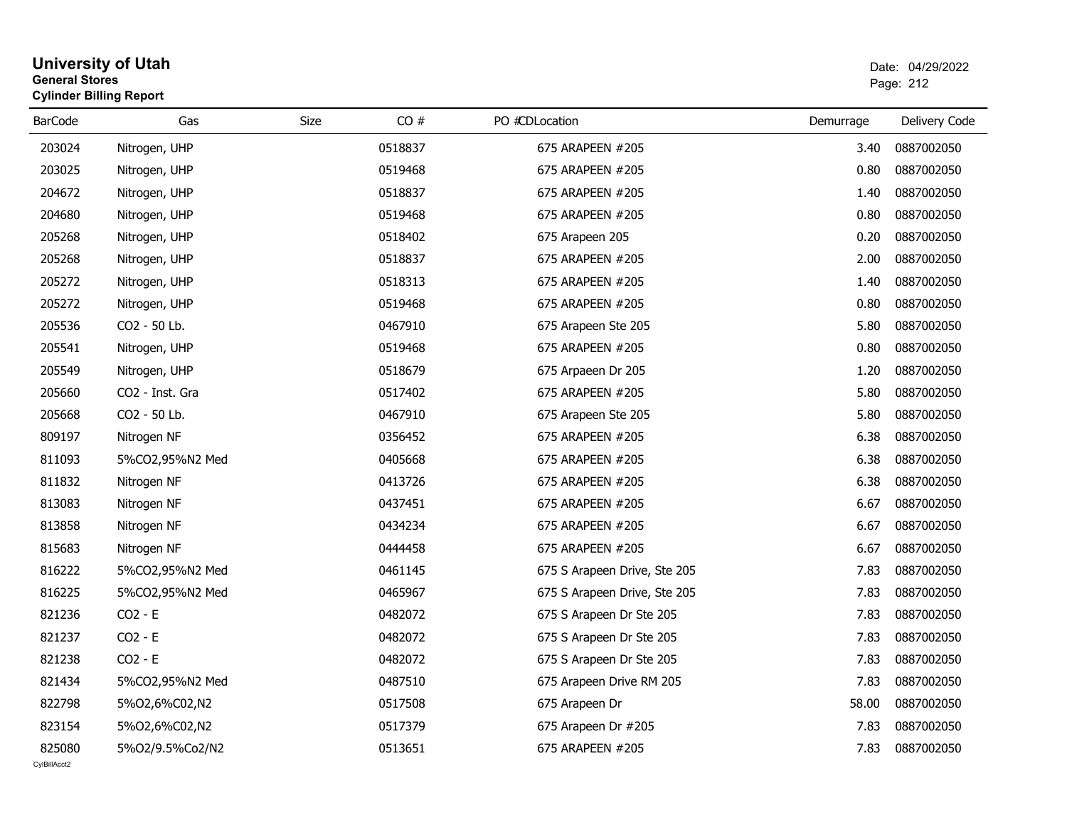| <b>General Stores</b> | <b>University of Utah</b><br><b>Cylinder Billing Report</b> |      |         |                              |           | Date: 04/29/2022<br>Page: 212 |  |
|-----------------------|-------------------------------------------------------------|------|---------|------------------------------|-----------|-------------------------------|--|
| <b>BarCode</b>        | Gas                                                         | Size | CO#     | PO #CDLocation               | Demurrage | Delivery Code                 |  |
| 203024                | Nitrogen, UHP                                               |      | 0518837 | 675 ARAPEEN #205             | 3.40      | 0887002050                    |  |
| 203025                | Nitrogen, UHP                                               |      | 0519468 | 675 ARAPEEN #205             | 0.80      | 0887002050                    |  |
| 204672                | Nitrogen, UHP                                               |      | 0518837 | 675 ARAPEEN #205             | 1.40      | 0887002050                    |  |
| 204680                | Nitrogen, UHP                                               |      | 0519468 | 675 ARAPEEN #205             | 0.80      | 0887002050                    |  |
| 205268                | Nitrogen, UHP                                               |      | 0518402 | 675 Arapeen 205              | 0.20      | 0887002050                    |  |
| 205268                | Nitrogen, UHP                                               |      | 0518837 | 675 ARAPEEN #205             | 2.00      | 0887002050                    |  |
| 205272                | Nitrogen, UHP                                               |      | 0518313 | 675 ARAPEEN #205             | 1.40      | 0887002050                    |  |
| 205272                | Nitrogen, UHP                                               |      | 0519468 | 675 ARAPEEN #205             | 0.80      | 0887002050                    |  |
| 205536                | CO2 - 50 Lb.                                                |      | 0467910 | 675 Arapeen Ste 205          | 5.80      | 0887002050                    |  |
| 205541                | Nitrogen, UHP                                               |      | 0519468 | 675 ARAPEEN #205             | 0.80      | 0887002050                    |  |
| 205549                | Nitrogen, UHP                                               |      | 0518679 | 675 Arpaeen Dr 205           | 1.20      | 0887002050                    |  |
| 205660                | CO2 - Inst. Gra                                             |      | 0517402 | 675 ARAPEEN #205             | 5.80      | 0887002050                    |  |
| 205668                | CO2 - 50 Lb.                                                |      | 0467910 | 675 Arapeen Ste 205          | 5.80      | 0887002050                    |  |
| 809197                | Nitrogen NF                                                 |      | 0356452 | 675 ARAPEEN #205             | 6.38      | 0887002050                    |  |
| 811093                | 5%CO2,95%N2 Med                                             |      | 0405668 | 675 ARAPEEN #205             | 6.38      | 0887002050                    |  |
| 811832                | Nitrogen NF                                                 |      | 0413726 | 675 ARAPEEN #205             | 6.38      | 0887002050                    |  |
| 813083                | Nitrogen NF                                                 |      | 0437451 | 675 ARAPEEN #205             | 6.67      | 0887002050                    |  |
| 813858                | Nitrogen NF                                                 |      | 0434234 | 675 ARAPEEN #205             | 6.67      | 0887002050                    |  |
| 815683                | Nitrogen NF                                                 |      | 0444458 | 675 ARAPEEN #205             | 6.67      | 0887002050                    |  |
| 816222                | 5%CO2,95%N2 Med                                             |      | 0461145 | 675 S Arapeen Drive, Ste 205 | 7.83      | 0887002050                    |  |
| 816225                | 5%CO2,95%N2 Med                                             |      | 0465967 | 675 S Arapeen Drive, Ste 205 | 7.83      | 0887002050                    |  |
| 821236                | $CO2 - E$                                                   |      | 0482072 | 675 S Arapeen Dr Ste 205     | 7.83      | 0887002050                    |  |
| 821237                | $CO2 - E$                                                   |      | 0482072 | 675 S Arapeen Dr Ste 205     | 7.83      | 0887002050                    |  |
| 821238                | $CO2 - E$                                                   |      | 0482072 | 675 S Arapeen Dr Ste 205     | 7.83      | 0887002050                    |  |
| 821434                | 5%CO2,95%N2 Med                                             |      | 0487510 | 675 Arapeen Drive RM 205     | 7.83      | 0887002050                    |  |
| 822798                | 5%02,6%C02,N2                                               |      | 0517508 | 675 Arapeen Dr               | 58.00     | 0887002050                    |  |
| 823154                | 5%02,6%C02,N2                                               |      | 0517379 | 675 Arapeen Dr #205          | 7.83      | 0887002050                    |  |
| 825080                | 5%O2/9.5%Co2/N2                                             |      | 0513651 | 675 ARAPEEN #205             | 7.83      | 0887002050                    |  |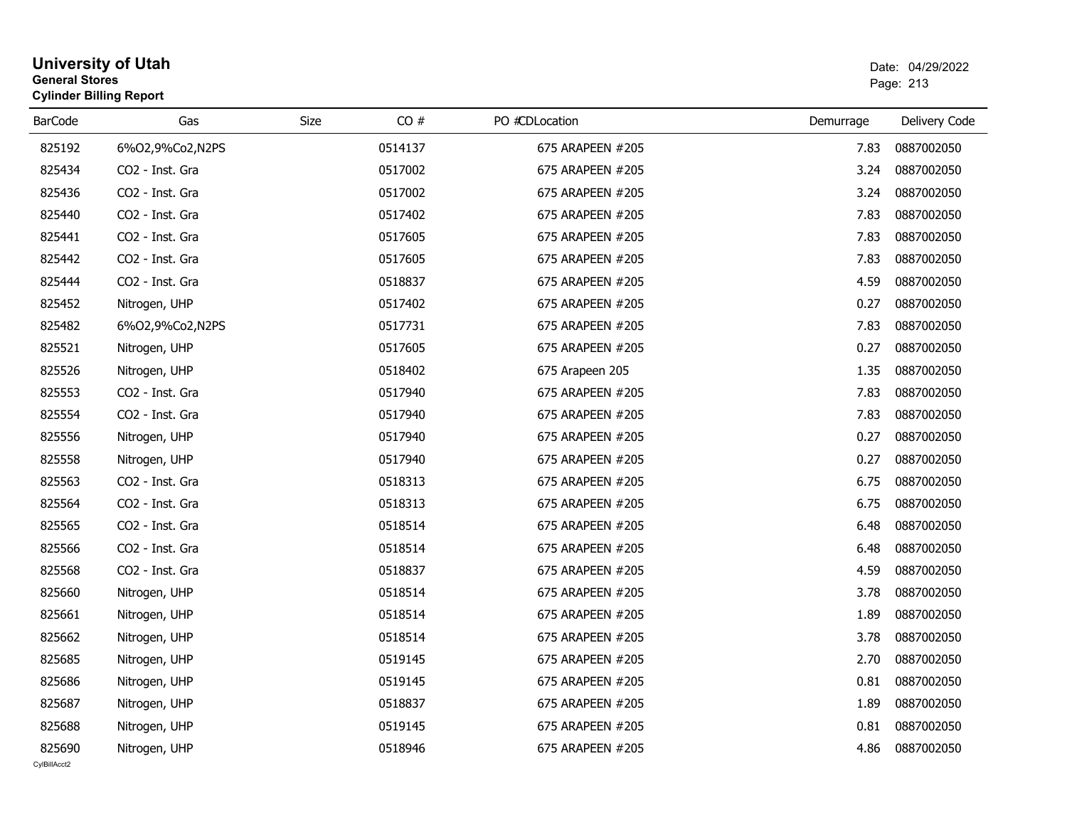| <b>General Stores</b> | <b>University of Utah</b><br><b>Cylinder Billing Report</b> |      |         |                  |           | Date: 04/29/2022<br>Page: 213 |
|-----------------------|-------------------------------------------------------------|------|---------|------------------|-----------|-------------------------------|
| <b>BarCode</b>        | Gas                                                         | Size | CO#     | PO #CDLocation   | Demurrage | Delivery Code                 |
| 825192                | 6%O2,9%Co2,N2PS                                             |      | 0514137 | 675 ARAPEEN #205 | 7.83      | 0887002050                    |
| 825434                | CO2 - Inst. Gra                                             |      | 0517002 | 675 ARAPEEN #205 | 3.24      | 0887002050                    |
| 825436                | CO2 - Inst. Gra                                             |      | 0517002 | 675 ARAPEEN #205 | 3.24      | 0887002050                    |
| 825440                | CO2 - Inst. Gra                                             |      | 0517402 | 675 ARAPEEN #205 | 7.83      | 0887002050                    |
| 825441                | CO2 - Inst. Gra                                             |      | 0517605 | 675 ARAPEEN #205 | 7.83      | 0887002050                    |
| 825442                | CO2 - Inst. Gra                                             |      | 0517605 | 675 ARAPEEN #205 | 7.83      | 0887002050                    |
| 825444                | CO <sub>2</sub> - Inst. Gra                                 |      | 0518837 | 675 ARAPEEN #205 | 4.59      | 0887002050                    |
| 825452                | Nitrogen, UHP                                               |      | 0517402 | 675 ARAPEEN #205 | 0.27      | 0887002050                    |
| 825482                | 6%O2,9%Co2,N2PS                                             |      | 0517731 | 675 ARAPEEN #205 | 7.83      | 0887002050                    |
| 825521                | Nitrogen, UHP                                               |      | 0517605 | 675 ARAPEEN #205 | 0.27      | 0887002050                    |
| 825526                | Nitrogen, UHP                                               |      | 0518402 | 675 Arapeen 205  | 1.35      | 0887002050                    |
| 825553                | CO <sub>2</sub> - Inst. Gra                                 |      | 0517940 | 675 ARAPEEN #205 | 7.83      | 0887002050                    |
| 825554                | CO2 - Inst. Gra                                             |      | 0517940 | 675 ARAPEEN #205 | 7.83      | 0887002050                    |
| 825556                | Nitrogen, UHP                                               |      | 0517940 | 675 ARAPEEN #205 | 0.27      | 0887002050                    |
| 825558                | Nitrogen, UHP                                               |      | 0517940 | 675 ARAPEEN #205 | 0.27      | 0887002050                    |
| 825563                | CO2 - Inst. Gra                                             |      | 0518313 | 675 ARAPEEN #205 | 6.75      | 0887002050                    |
| 825564                | CO2 - Inst. Gra                                             |      | 0518313 | 675 ARAPEEN #205 | 6.75      | 0887002050                    |
| 825565                | CO2 - Inst. Gra                                             |      | 0518514 | 675 ARAPEEN #205 | 6.48      | 0887002050                    |
| 825566                | CO2 - Inst. Gra                                             |      | 0518514 | 675 ARAPEEN #205 | 6.48      | 0887002050                    |
| 825568                | CO2 - Inst. Gra                                             |      | 0518837 | 675 ARAPEEN #205 | 4.59      | 0887002050                    |
| 825660                | Nitrogen, UHP                                               |      | 0518514 | 675 ARAPEEN #205 | 3.78      | 0887002050                    |
| 825661                | Nitrogen, UHP                                               |      | 0518514 | 675 ARAPEEN #205 | 1.89      | 0887002050                    |
| 825662                | Nitrogen, UHP                                               |      | 0518514 | 675 ARAPEEN #205 | 3.78      | 0887002050                    |
| 825685                | Nitrogen, UHP                                               |      | 0519145 | 675 ARAPEEN #205 | 2.70      | 0887002050                    |
| 825686                | Nitrogen, UHP                                               |      | 0519145 | 675 ARAPEEN #205 | 0.81      | 0887002050                    |
| 825687                | Nitrogen, UHP                                               |      | 0518837 | 675 ARAPEEN #205 | 1.89      | 0887002050                    |
| 825688                | Nitrogen, UHP                                               |      | 0519145 | 675 ARAPEEN #205 | 0.81      | 0887002050                    |
| 825690                | Nitrogen, UHP                                               |      | 0518946 | 675 ARAPEEN #205 | 4.86      | 0887002050                    |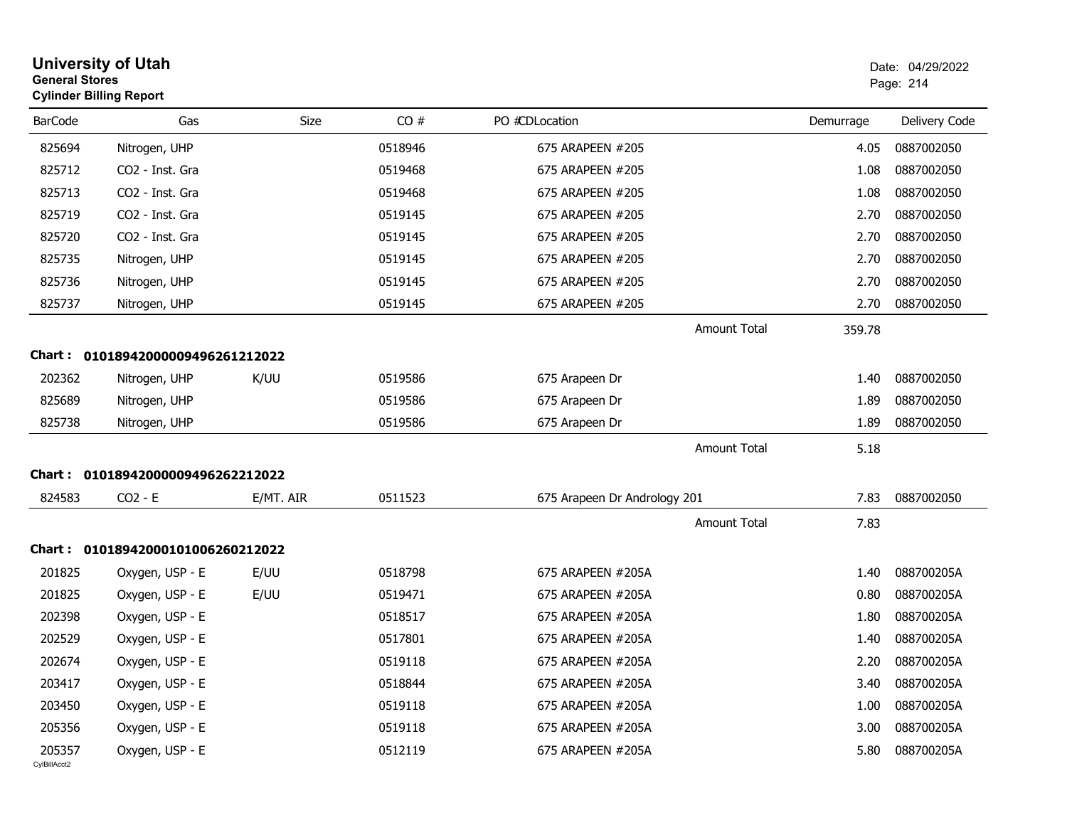| <b>General Stores</b>  | <b>University of Utah</b><br><b>Cylinder Billing Report</b> |             |         |                              |           | Date: 04/29/2022<br>Page: 214 |
|------------------------|-------------------------------------------------------------|-------------|---------|------------------------------|-----------|-------------------------------|
| <b>BarCode</b>         | Gas                                                         | <b>Size</b> | CO#     | PO #CDLocation               | Demurrage | Delivery Code                 |
| 825694                 | Nitrogen, UHP                                               |             | 0518946 | 675 ARAPEEN #205             | 4.05      | 0887002050                    |
| 825712                 | CO2 - Inst. Gra                                             |             | 0519468 | 675 ARAPEEN #205             | 1.08      | 0887002050                    |
| 825713                 | CO2 - Inst. Gra                                             |             | 0519468 | 675 ARAPEEN #205             | 1.08      | 0887002050                    |
| 825719                 | CO2 - Inst. Gra                                             |             | 0519145 | 675 ARAPEEN #205             | 2.70      | 0887002050                    |
| 825720                 | CO2 - Inst. Gra                                             |             | 0519145 | 675 ARAPEEN #205             | 2.70      | 0887002050                    |
| 825735                 | Nitrogen, UHP                                               |             | 0519145 | 675 ARAPEEN #205             | 2.70      | 0887002050                    |
| 825736                 | Nitrogen, UHP                                               |             | 0519145 | 675 ARAPEEN #205             | 2.70      | 0887002050                    |
| 825737                 | Nitrogen, UHP                                               |             | 0519145 | 675 ARAPEEN #205             | 2.70      | 0887002050                    |
|                        |                                                             |             |         | Amount Total                 | 359.78    |                               |
|                        | Chart: 01018942000009496261212022                           |             |         |                              |           |                               |
| 202362                 | Nitrogen, UHP                                               | K/UU        | 0519586 | 675 Arapeen Dr               | 1.40      | 0887002050                    |
| 825689                 | Nitrogen, UHP                                               |             | 0519586 | 675 Arapeen Dr               | 1.89      | 0887002050                    |
| 825738                 | Nitrogen, UHP                                               |             | 0519586 | 675 Arapeen Dr               | 1.89      | 0887002050                    |
|                        |                                                             |             |         | <b>Amount Total</b>          | 5.18      |                               |
| Chart :                | 01018942000009496262212022                                  |             |         |                              |           |                               |
| 824583                 | $CO2 - E$                                                   | E/MT. AIR   | 0511523 | 675 Arapeen Dr Andrology 201 | 7.83      | 0887002050                    |
|                        |                                                             |             |         | Amount Total                 | 7.83      |                               |
| Chart :                | 01018942000101006260212022                                  |             |         |                              |           |                               |
| 201825                 | Oxygen, USP - E                                             | E/UU        | 0518798 | 675 ARAPEEN #205A            | 1.40      | 088700205A                    |
| 201825                 | Oxygen, USP - E                                             | E/UU        | 0519471 | 675 ARAPEEN #205A            | 0.80      | 088700205A                    |
| 202398                 | Oxygen, USP - E                                             |             | 0518517 | 675 ARAPEEN #205A            | 1.80      | 088700205A                    |
| 202529                 | Oxygen, USP - E                                             |             | 0517801 | 675 ARAPEEN #205A            | 1.40      | 088700205A                    |
| 202674                 | Oxygen, USP - E                                             |             | 0519118 | 675 ARAPEEN #205A            | 2.20      | 088700205A                    |
| 203417                 | Oxygen, USP - E                                             |             | 0518844 | 675 ARAPEEN #205A            | 3.40      | 088700205A                    |
| 203450                 | Oxygen, USP - E                                             |             | 0519118 | 675 ARAPEEN #205A            | 1.00      | 088700205A                    |
| 205356                 | Oxygen, USP - E                                             |             | 0519118 | 675 ARAPEEN #205A            | 3.00      | 088700205A                    |
| 205357<br>CvIBillAcct2 | Oxygen, USP - E                                             |             | 0512119 | 675 ARAPEEN #205A            | 5.80      | 088700205A                    |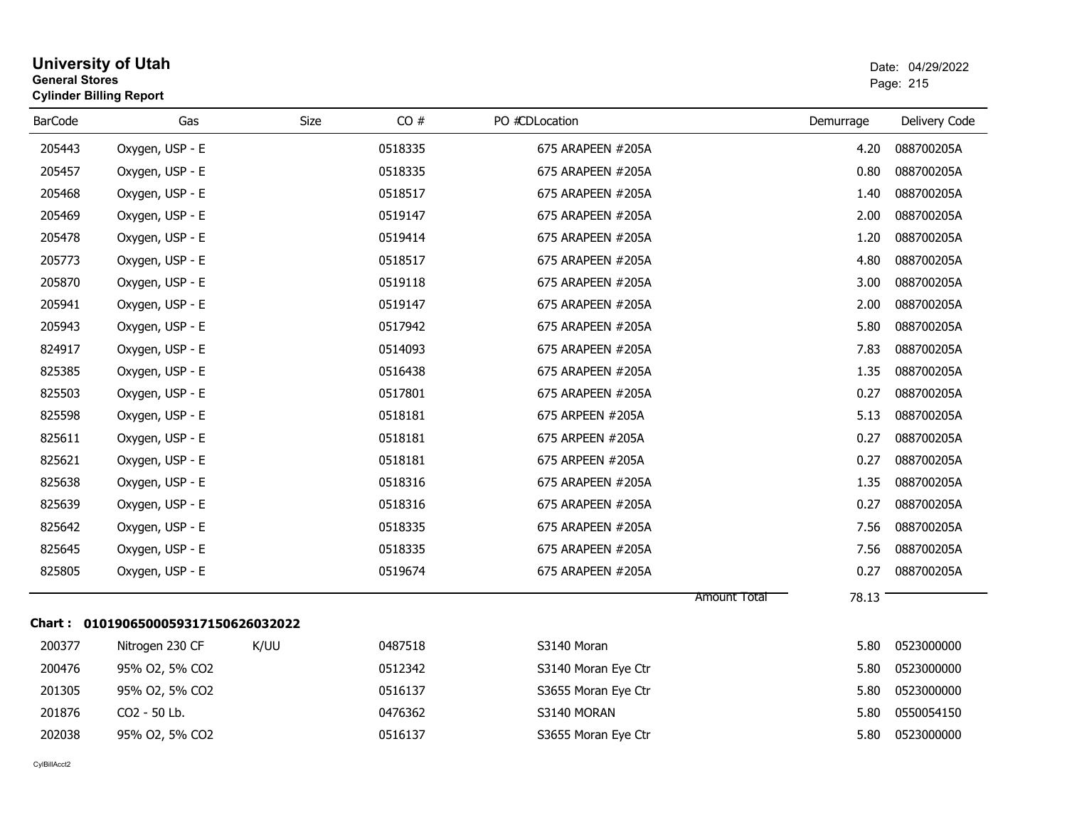| <b>University of Utah</b><br><b>General Stores</b><br><b>Cylinder Billing Report</b> |             |                                     |                     |           | Date: 04/29/2022<br>Page: 215 |
|--------------------------------------------------------------------------------------|-------------|-------------------------------------|---------------------|-----------|-------------------------------|
| <b>BarCode</b><br>Gas                                                                | <b>Size</b> | CO#                                 | PO #CDLocation      | Demurrage | Delivery Code                 |
| 205443<br>Oxygen, USP - E                                                            |             | 0518335                             | 675 ARAPEEN #205A   | 4.20      | 088700205A                    |
| 205457<br>Oxygen, USP - E                                                            |             | 0518335                             | 675 ARAPEEN #205A   | 0.80      | 088700205A                    |
| 205468<br>Oxygen, USP - E                                                            |             | 0518517                             | 675 ARAPEEN #205A   | 1.40      | 088700205A                    |
| 205469<br>Oxygen, USP - E                                                            |             | 0519147                             | 675 ARAPEEN #205A   | 2.00      | 088700205A                    |
| 205478<br>Oxygen, USP - E                                                            |             | 0519414                             | 675 ARAPEEN #205A   | 1.20      | 088700205A                    |
| 205773<br>Oxygen, USP - E                                                            |             | 0518517                             | 675 ARAPEEN #205A   | 4.80      | 088700205A                    |
| 205870<br>Oxygen, USP - E                                                            |             | 0519118                             | 675 ARAPEEN #205A   | 3.00      | 088700205A                    |
| 205941<br>Oxygen, USP - E                                                            |             | 0519147                             | 675 ARAPEEN #205A   | 2.00      | 088700205A                    |
| 205943<br>Oxygen, USP - E                                                            |             | 0517942                             | 675 ARAPEEN #205A   | 5.80      | 088700205A                    |
| 824917<br>Oxygen, USP - E                                                            |             | 0514093                             | 675 ARAPEEN #205A   | 7.83      | 088700205A                    |
| 825385<br>Oxygen, USP - E                                                            |             | 0516438                             | 675 ARAPEEN #205A   | 1.35      | 088700205A                    |
| 825503<br>Oxygen, USP - E                                                            |             | 0517801                             | 675 ARAPEEN #205A   | 0.27      | 088700205A                    |
| 825598<br>Oxygen, USP - E                                                            |             | 0518181                             | 675 ARPEEN #205A    | 5.13      | 088700205A                    |
| 825611<br>Oxygen, USP - E                                                            |             | 0518181                             | 675 ARPEEN #205A    | 0.27      | 088700205A                    |
| 825621<br>Oxygen, USP - E                                                            |             | 0518181                             | 675 ARPEEN #205A    | 0.27      | 088700205A                    |
| 825638<br>Oxygen, USP - E                                                            |             | 0518316                             | 675 ARAPEEN #205A   | 1.35      | 088700205A                    |
| 825639<br>Oxygen, USP - E                                                            |             | 0518316                             | 675 ARAPEEN #205A   | 0.27      | 088700205A                    |
| 825642<br>Oxygen, USP - E                                                            |             | 0518335                             | 675 ARAPEEN #205A   | 7.56      | 088700205A                    |
| 825645<br>Oxygen, USP - E                                                            |             | 0518335                             | 675 ARAPEEN #205A   | 7.56      | 088700205A                    |
| 825805<br>Oxygen, USP - E                                                            |             | 0519674                             | 675 ARAPEEN #205A   | 0.27      | 088700205A                    |
|                                                                                      |             |                                     |                     | 78.13     |                               |
|                                                                                      |             |                                     |                     |           |                               |
| 200377<br>Nitrogen 230 CF                                                            | K/UU        | 0487518                             | S3140 Moran         | 5.80      | 0523000000                    |
| 200476<br>95% O2, 5% CO2                                                             |             | 0512342                             | S3140 Moran Eye Ctr | 5.80      | 0523000000                    |
| 201305<br>95% O2, 5% CO2                                                             |             | 0516137                             | S3655 Moran Eye Ctr | 5.80      | 0523000000                    |
| 201876<br>CO2 - 50 Lb.                                                               |             | 0476362                             | S3140 MORAN         | 5.80      | 0550054150                    |
| 202038<br>95% O2, 5% CO2                                                             |             | 0516137                             | S3655 Moran Eye Ctr | 5.80      | 0523000000                    |
|                                                                                      |             | Chart: 0101906500059317150626032022 |                     |           | Amount Total                  |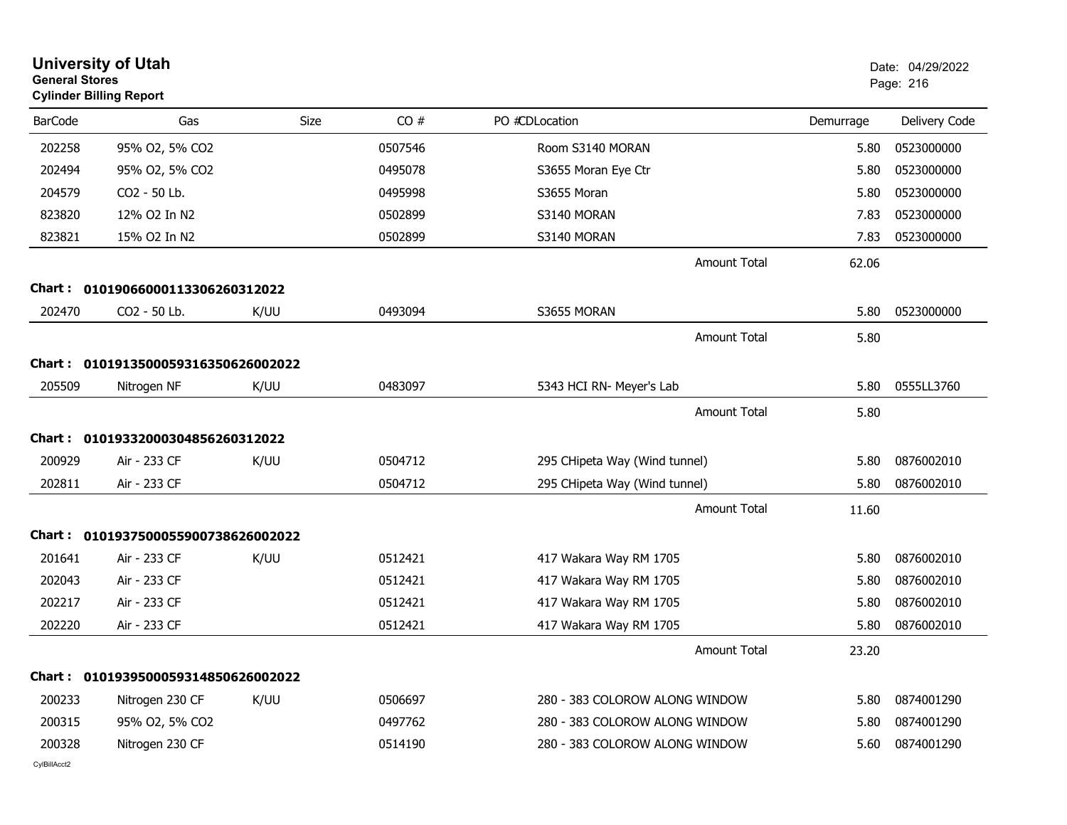| <b>General Stores</b> | <b>University of Utah</b><br><b>Cylinder Billing Report</b> |      |         |                                |           | Date: 04/29/2022<br>Page: 216 |
|-----------------------|-------------------------------------------------------------|------|---------|--------------------------------|-----------|-------------------------------|
| <b>BarCode</b>        | Gas                                                         | Size | CO#     | PO #CDLocation                 | Demurrage | Delivery Code                 |
| 202258                | 95% O2, 5% CO2                                              |      | 0507546 | Room S3140 MORAN               | 5.80      | 0523000000                    |
| 202494                | 95% O2, 5% CO2                                              |      | 0495078 | S3655 Moran Eye Ctr            | 5.80      | 0523000000                    |
| 204579                | CO2 - 50 Lb.                                                |      | 0495998 | S3655 Moran                    | 5.80      | 0523000000                    |
| 823820                | 12% O2 In N2                                                |      | 0502899 | S3140 MORAN                    | 7.83      | 0523000000                    |
| 823821                | 15% O2 In N2                                                |      | 0502899 | S3140 MORAN                    | 7.83      | 0523000000                    |
|                       |                                                             |      |         | <b>Amount Total</b>            | 62.06     |                               |
|                       | Chart: 01019066000113306260312022                           |      |         |                                |           |                               |
| 202470                | CO2 - 50 Lb.                                                | K/UU | 0493094 | S3655 MORAN                    | 5.80      | 0523000000                    |
|                       |                                                             |      |         | <b>Amount Total</b>            | 5.80      |                               |
|                       | Chart: 0101913500059316350626002022                         |      |         |                                |           |                               |
| 205509                | Nitrogen NF                                                 | K/UU | 0483097 | 5343 HCI RN- Meyer's Lab       | 5.80      | 0555LL3760                    |
|                       |                                                             |      |         | <b>Amount Total</b>            | 5.80      |                               |
| Chart :               | 01019332000304856260312022                                  |      |         |                                |           |                               |
| 200929                | Air - 233 CF                                                | K/UU | 0504712 | 295 CHipeta Way (Wind tunnel)  | 5.80      | 0876002010                    |
| 202811                | Air - 233 CF                                                |      | 0504712 | 295 CHipeta Way (Wind tunnel)  | 5.80      | 0876002010                    |
|                       |                                                             |      |         | <b>Amount Total</b>            | 11.60     |                               |
|                       | Chart: 0101937500055900738626002022                         |      |         |                                |           |                               |
| 201641                | Air - 233 CF                                                | K/UU | 0512421 | 417 Wakara Way RM 1705         | 5.80      | 0876002010                    |
| 202043                | Air - 233 CF                                                |      | 0512421 | 417 Wakara Way RM 1705         | 5.80      | 0876002010                    |
| 202217                | Air - 233 CF                                                |      | 0512421 | 417 Wakara Way RM 1705         | 5.80      | 0876002010                    |
| 202220                | Air - 233 CF                                                |      | 0512421 | 417 Wakara Way RM 1705         | 5.80      | 0876002010                    |
|                       |                                                             |      |         | Amount Total                   | 23.20     |                               |
|                       | Chart: 0101939500059314850626002022                         |      |         |                                |           |                               |
| 200233                | Nitrogen 230 CF                                             | K/UU | 0506697 | 280 - 383 COLOROW ALONG WINDOW | 5.80      | 0874001290                    |
| 200315                | 95% O2, 5% CO2                                              |      | 0497762 | 280 - 383 COLOROW ALONG WINDOW | 5.80      | 0874001290                    |
| 200328                | Nitrogen 230 CF                                             |      | 0514190 | 280 - 383 COLOROW ALONG WINDOW | 5.60      | 0874001290                    |
| CvIBillAcct2          |                                                             |      |         |                                |           |                               |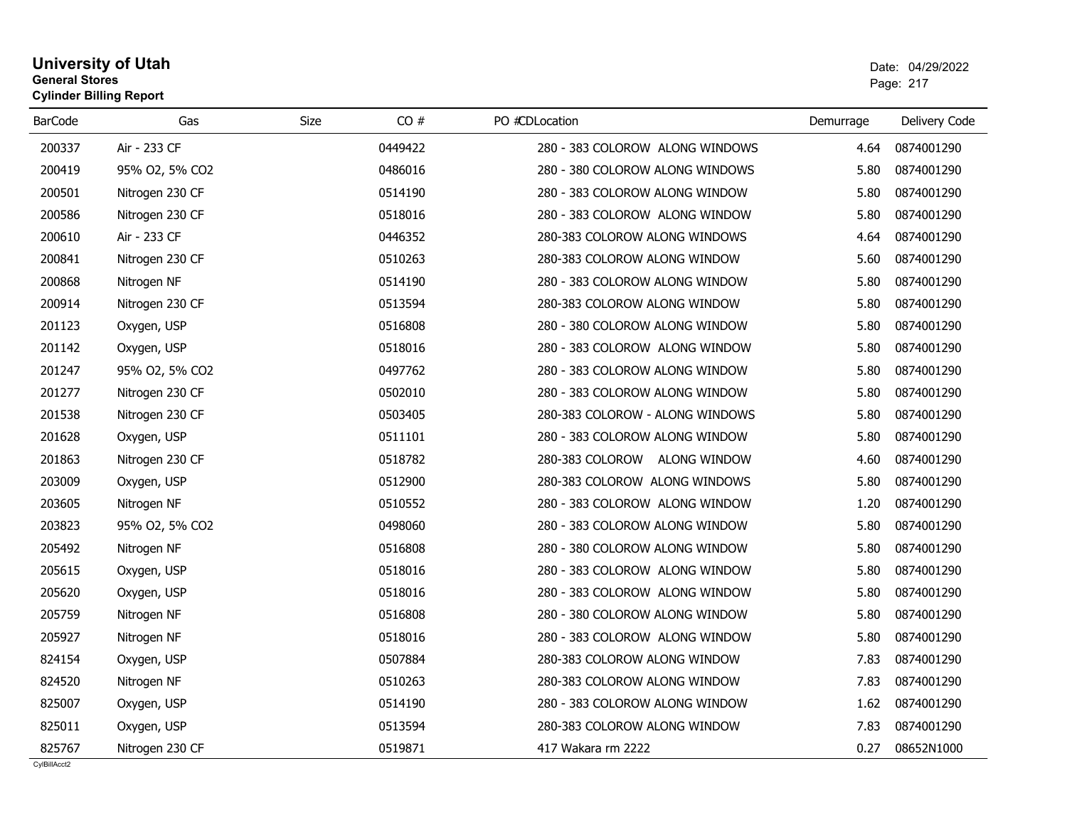# **University of Utah** Date: 04/29/2022 **General Stores**s and the contract of the contract of the contract of the contract of the contract of the contract of the contract of the contract of the contract of the contract of the contract of the contract of the contract of the cont **Cylinder Billing Report**

| <b>BarCode</b> | Gas             | Size | CO#     | PO #CDLocation                  | Demurrage | Delivery Code |
|----------------|-----------------|------|---------|---------------------------------|-----------|---------------|
| 200337         | Air - 233 CF    |      | 0449422 | 280 - 383 COLOROW ALONG WINDOWS | 4.64      | 0874001290    |
| 200419         | 95% O2, 5% CO2  |      | 0486016 | 280 - 380 COLOROW ALONG WINDOWS | 5.80      | 0874001290    |
| 200501         | Nitrogen 230 CF |      | 0514190 | 280 - 383 COLOROW ALONG WINDOW  | 5.80      | 0874001290    |
| 200586         | Nitrogen 230 CF |      | 0518016 | 280 - 383 COLOROW ALONG WINDOW  | 5.80      | 0874001290    |
| 200610         | Air - 233 CF    |      | 0446352 | 280-383 COLOROW ALONG WINDOWS   | 4.64      | 0874001290    |
| 200841         | Nitrogen 230 CF |      | 0510263 | 280-383 COLOROW ALONG WINDOW    | 5.60      | 0874001290    |
| 200868         | Nitrogen NF     |      | 0514190 | 280 - 383 COLOROW ALONG WINDOW  | 5.80      | 0874001290    |
| 200914         | Nitrogen 230 CF |      | 0513594 | 280-383 COLOROW ALONG WINDOW    | 5.80      | 0874001290    |
| 201123         | Oxygen, USP     |      | 0516808 | 280 - 380 COLOROW ALONG WINDOW  | 5.80      | 0874001290    |
| 201142         | Oxygen, USP     |      | 0518016 | 280 - 383 COLOROW ALONG WINDOW  | 5.80      | 0874001290    |
| 201247         | 95% O2, 5% CO2  |      | 0497762 | 280 - 383 COLOROW ALONG WINDOW  | 5.80      | 0874001290    |
| 201277         | Nitrogen 230 CF |      | 0502010 | 280 - 383 COLOROW ALONG WINDOW  | 5.80      | 0874001290    |
| 201538         | Nitrogen 230 CF |      | 0503405 | 280-383 COLOROW - ALONG WINDOWS | 5.80      | 0874001290    |
| 201628         | Oxygen, USP     |      | 0511101 | 280 - 383 COLOROW ALONG WINDOW  | 5.80      | 0874001290    |
| 201863         | Nitrogen 230 CF |      | 0518782 | 280-383 COLOROW ALONG WINDOW    | 4.60      | 0874001290    |
| 203009         | Oxygen, USP     |      | 0512900 | 280-383 COLOROW ALONG WINDOWS   | 5.80      | 0874001290    |
| 203605         | Nitrogen NF     |      | 0510552 | 280 - 383 COLOROW ALONG WINDOW  | 1.20      | 0874001290    |
| 203823         | 95% O2, 5% CO2  |      | 0498060 | 280 - 383 COLOROW ALONG WINDOW  | 5.80      | 0874001290    |
| 205492         | Nitrogen NF     |      | 0516808 | 280 - 380 COLOROW ALONG WINDOW  | 5.80      | 0874001290    |
| 205615         | Oxygen, USP     |      | 0518016 | 280 - 383 COLOROW ALONG WINDOW  | 5.80      | 0874001290    |
| 205620         | Oxygen, USP     |      | 0518016 | 280 - 383 COLOROW ALONG WINDOW  | 5.80      | 0874001290    |
| 205759         | Nitrogen NF     |      | 0516808 | 280 - 380 COLOROW ALONG WINDOW  | 5.80      | 0874001290    |
| 205927         | Nitrogen NF     |      | 0518016 | 280 - 383 COLOROW ALONG WINDOW  | 5.80      | 0874001290    |
| 824154         | Oxygen, USP     |      | 0507884 | 280-383 COLOROW ALONG WINDOW    | 7.83      | 0874001290    |
| 824520         | Nitrogen NF     |      | 0510263 | 280-383 COLOROW ALONG WINDOW    | 7.83      | 0874001290    |
| 825007         | Oxygen, USP     |      | 0514190 | 280 - 383 COLOROW ALONG WINDOW  | 1.62      | 0874001290    |
| 825011         | Oxygen, USP     |      | 0513594 | 280-383 COLOROW ALONG WINDOW    | 7.83      | 0874001290    |
| 825767         | Nitrogen 230 CF |      | 0519871 | 417 Wakara rm 2222              | 0.27      | 08652N1000    |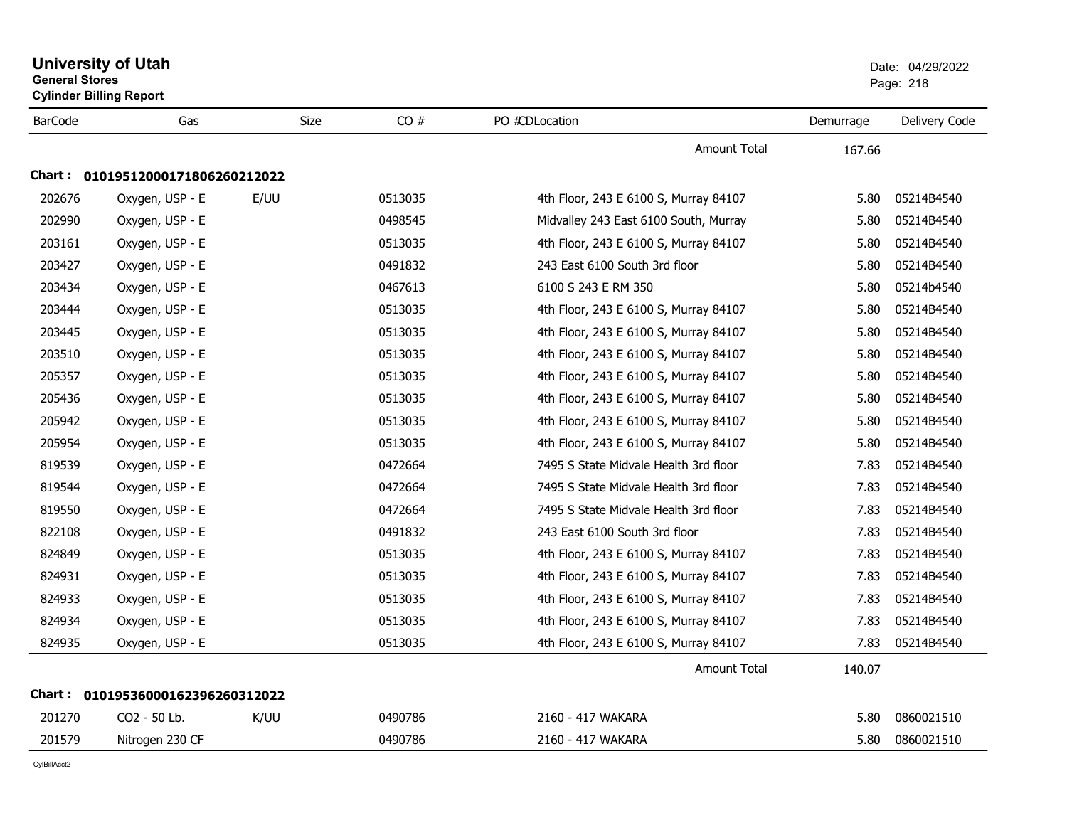| <b>General Stores</b> | <b>University of Utah</b><br><b>Cylinder Billing Report</b> |             |         |                                       |           | Date: 04/29/2022<br>Page: 218 |
|-----------------------|-------------------------------------------------------------|-------------|---------|---------------------------------------|-----------|-------------------------------|
| <b>BarCode</b>        | Gas                                                         | <b>Size</b> | CO#     | PO #CDLocation                        | Demurrage | Delivery Code                 |
|                       |                                                             |             |         | <b>Amount Total</b>                   | 167.66    |                               |
|                       | Chart: 01019512000171806260212022                           |             |         |                                       |           |                               |
| 202676                | Oxygen, USP - E                                             | E/UU        | 0513035 | 4th Floor, 243 E 6100 S, Murray 84107 | 5.80      | 05214B4540                    |
| 202990                | Oxygen, USP - E                                             |             | 0498545 | Midvalley 243 East 6100 South, Murray | 5.80      | 05214B4540                    |
| 203161                | Oxygen, USP - E                                             |             | 0513035 | 4th Floor, 243 E 6100 S, Murray 84107 | 5.80      | 05214B4540                    |
| 203427                | Oxygen, USP - E                                             |             | 0491832 | 243 East 6100 South 3rd floor         | 5.80      | 05214B4540                    |
| 203434                | Oxygen, USP - E                                             |             | 0467613 | 6100 S 243 E RM 350                   | 5.80      | 05214b4540                    |
| 203444                | Oxygen, USP - E                                             |             | 0513035 | 4th Floor, 243 E 6100 S, Murray 84107 | 5.80      | 05214B4540                    |
| 203445                | Oxygen, USP - E                                             |             | 0513035 | 4th Floor, 243 E 6100 S, Murray 84107 | 5.80      | 05214B4540                    |
| 203510                | Oxygen, USP - E                                             |             | 0513035 | 4th Floor, 243 E 6100 S, Murray 84107 | 5.80      | 05214B4540                    |
| 205357                | Oxygen, USP - E                                             |             | 0513035 | 4th Floor, 243 E 6100 S, Murray 84107 | 5.80      | 05214B4540                    |
| 205436                | Oxygen, USP - E                                             |             | 0513035 | 4th Floor, 243 E 6100 S, Murray 84107 | 5.80      | 05214B4540                    |
| 205942                | Oxygen, USP - E                                             |             | 0513035 | 4th Floor, 243 E 6100 S, Murray 84107 | 5.80      | 05214B4540                    |
| 205954                | Oxygen, USP - E                                             |             | 0513035 | 4th Floor, 243 E 6100 S, Murray 84107 | 5.80      | 05214B4540                    |
| 819539                | Oxygen, USP - E                                             |             | 0472664 | 7495 S State Midvale Health 3rd floor | 7.83      | 05214B4540                    |
| 819544                | Oxygen, USP - E                                             |             | 0472664 | 7495 S State Midvale Health 3rd floor | 7.83      | 05214B4540                    |
| 819550                | Oxygen, USP - E                                             |             | 0472664 | 7495 S State Midvale Health 3rd floor | 7.83      | 05214B4540                    |
| 822108                | Oxygen, USP - E                                             |             | 0491832 | 243 East 6100 South 3rd floor         | 7.83      | 05214B4540                    |
| 824849                | Oxygen, USP - E                                             |             | 0513035 | 4th Floor, 243 E 6100 S, Murray 84107 | 7.83      | 05214B4540                    |
| 824931                | Oxygen, USP - E                                             |             | 0513035 | 4th Floor, 243 E 6100 S, Murray 84107 | 7.83      | 05214B4540                    |
| 824933                | Oxygen, USP - E                                             |             | 0513035 | 4th Floor, 243 E 6100 S, Murray 84107 | 7.83      | 05214B4540                    |
| 824934                | Oxygen, USP - E                                             |             | 0513035 | 4th Floor, 243 E 6100 S, Murray 84107 | 7.83      | 05214B4540                    |
| 824935                | Oxygen, USP - E                                             |             | 0513035 | 4th Floor, 243 E 6100 S, Murray 84107 | 7.83      | 05214B4540                    |
|                       |                                                             |             |         | <b>Amount Total</b>                   | 140.07    |                               |
|                       | Chart: 01019536000162396260312022                           |             |         |                                       |           |                               |
| 201270                | CO2 - 50 Lb.                                                | K/UU        | 0490786 | 2160 - 417 WAKARA                     | 5.80      | 0860021510                    |
| 201579                | Nitrogen 230 CF                                             |             | 0490786 | 2160 - 417 WAKARA                     | 5.80      | 0860021510                    |
|                       |                                                             |             |         |                                       |           |                               |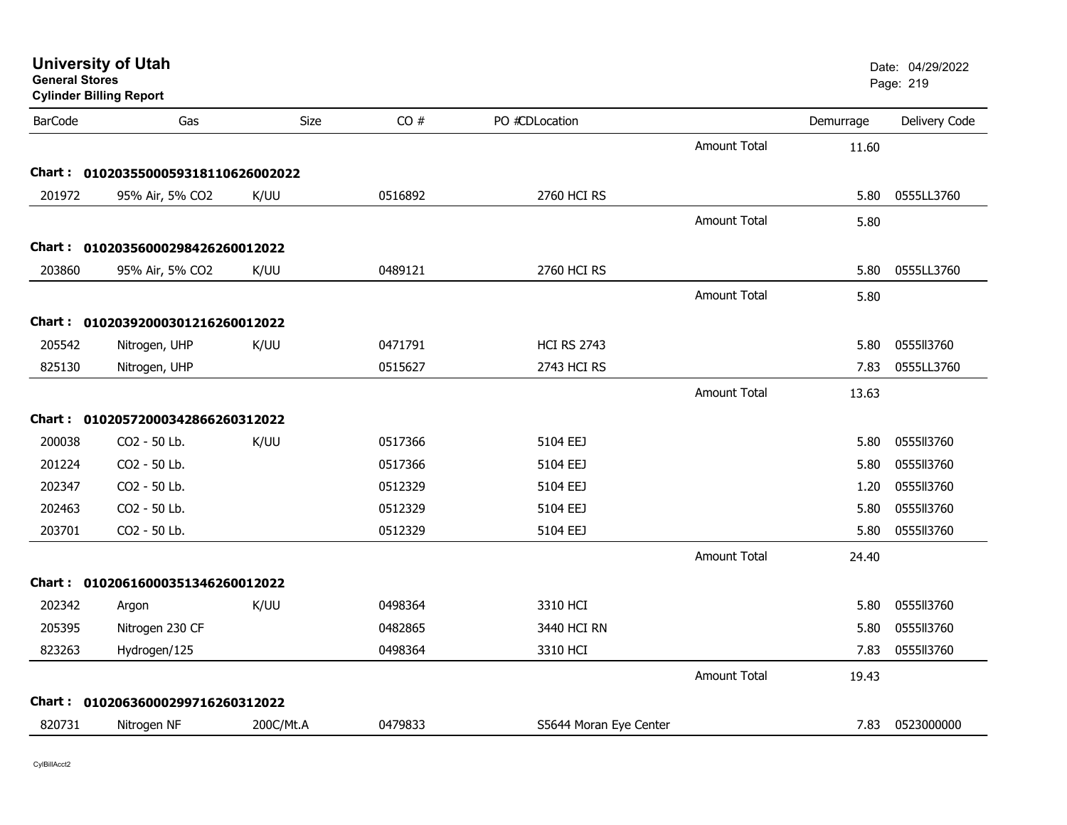| <b>General Stores</b> | <b>University of Utah</b><br><b>Cylinder Billing Report</b> |             |         |                        |                     |           | Date: 04/29/2022<br>Page: 219 |
|-----------------------|-------------------------------------------------------------|-------------|---------|------------------------|---------------------|-----------|-------------------------------|
| <b>BarCode</b>        | Gas                                                         | <b>Size</b> | CO#     | PO #CDLocation         |                     | Demurrage | Delivery Code                 |
|                       |                                                             |             |         |                        | <b>Amount Total</b> | 11.60     |                               |
|                       | Chart: 0102035500059318110626002022                         |             |         |                        |                     |           |                               |
| 201972                | 95% Air, 5% CO2                                             | K/UU        | 0516892 | 2760 HCI RS            |                     | 5.80      | 0555LL3760                    |
|                       |                                                             |             |         |                        | <b>Amount Total</b> | 5.80      |                               |
|                       | Chart: 01020356000298426260012022                           |             |         |                        |                     |           |                               |
| 203860                | 95% Air, 5% CO2                                             | K/UU        | 0489121 | 2760 HCI RS            |                     | 5.80      | 0555LL3760                    |
|                       |                                                             |             |         |                        | <b>Amount Total</b> | 5.80      |                               |
|                       | Chart: 01020392000301216260012022                           |             |         |                        |                     |           |                               |
| 205542                | Nitrogen, UHP                                               | K/UU        | 0471791 | <b>HCI RS 2743</b>     |                     | 5.80      | 0555113760                    |
| 825130                | Nitrogen, UHP                                               |             | 0515627 | 2743 HCI RS            |                     | 7.83      | 0555LL3760                    |
|                       |                                                             |             |         |                        | <b>Amount Total</b> | 13.63     |                               |
|                       | Chart: 01020572000342866260312022                           |             |         |                        |                     |           |                               |
| 200038                | CO2 - 50 Lb.                                                | K/UU        | 0517366 | 5104 EEJ               |                     | 5.80      | 0555113760                    |
| 201224                | CO2 - 50 Lb.                                                |             | 0517366 | 5104 EEJ               |                     | 5.80      | 0555113760                    |
| 202347                | CO2 - 50 Lb.                                                |             | 0512329 | 5104 EEJ               |                     | 1.20      | 0555113760                    |
| 202463                | CO2 - 50 Lb.                                                |             | 0512329 | 5104 EEJ               |                     | 5.80      | 0555113760                    |
| 203701                | CO2 - 50 Lb.                                                |             | 0512329 | 5104 EEJ               |                     | 5.80      | 0555113760                    |
|                       |                                                             |             |         |                        | <b>Amount Total</b> | 24.40     |                               |
|                       | Chart: 01020616000351346260012022                           |             |         |                        |                     |           |                               |
| 202342                | Argon                                                       | K/UU        | 0498364 | 3310 HCI               |                     | 5.80      | 0555113760                    |
| 205395                | Nitrogen 230 CF                                             |             | 0482865 | 3440 HCI RN            |                     | 5.80      | 0555113760                    |
| 823263                | Hydrogen/125                                                |             | 0498364 | 3310 HCI               |                     | 7.83      | 0555113760                    |
|                       |                                                             |             |         |                        | <b>Amount Total</b> | 19.43     |                               |
|                       | Chart: 01020636000299716260312022                           |             |         |                        |                     |           |                               |
| 820731                | Nitrogen NF                                                 | 200C/Mt.A   | 0479833 | S5644 Moran Eye Center |                     | 7.83      | 0523000000                    |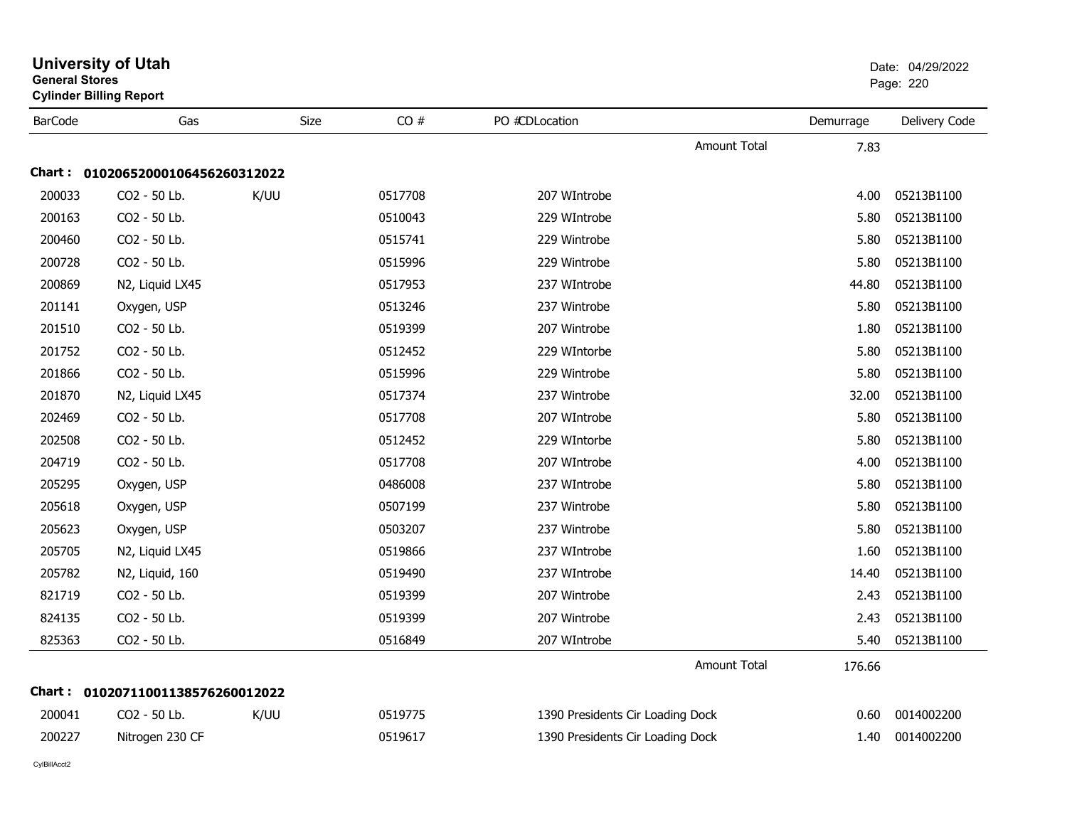| General Stores | <b>Cylinder Billing Report</b>    |             |         |                                  |                     |           | Page: 220     |
|----------------|-----------------------------------|-------------|---------|----------------------------------|---------------------|-----------|---------------|
| <b>BarCode</b> | Gas                               | <b>Size</b> | CO#     | PO #CDLocation                   |                     | Demurrage | Delivery Code |
|                |                                   |             |         |                                  | <b>Amount Total</b> | 7.83      |               |
|                | Chart: 01020652000106456260312022 |             |         |                                  |                     |           |               |
| 200033         | CO2 - 50 Lb.                      | K/UU        | 0517708 | 207 WIntrobe                     |                     | 4.00      | 05213B1100    |
| 200163         | CO2 - 50 Lb.                      |             | 0510043 | 229 WIntrobe                     |                     | 5.80      | 05213B1100    |
| 200460         | CO2 - 50 Lb.                      |             | 0515741 | 229 Wintrobe                     |                     | 5.80      | 05213B1100    |
| 200728         | CO2 - 50 Lb.                      |             | 0515996 | 229 Wintrobe                     |                     | 5.80      | 05213B1100    |
| 200869         | N2, Liquid LX45                   |             | 0517953 | 237 WIntrobe                     |                     | 44.80     | 05213B1100    |
| 201141         | Oxygen, USP                       |             | 0513246 | 237 Wintrobe                     |                     | 5.80      | 05213B1100    |
| 201510         | CO2 - 50 Lb.                      |             | 0519399 | 207 Wintrobe                     |                     | 1.80      | 05213B1100    |
| 201752         | CO2 - 50 Lb.                      |             | 0512452 | 229 WIntorbe                     |                     | 5.80      | 05213B1100    |
| 201866         | CO2 - 50 Lb.                      |             | 0515996 | 229 Wintrobe                     |                     | 5.80      | 05213B1100    |
| 201870         | N2, Liquid LX45                   |             | 0517374 | 237 Wintrobe                     |                     | 32.00     | 05213B1100    |
| 202469         | CO2 - 50 Lb.                      |             | 0517708 | 207 WIntrobe                     |                     | 5.80      | 05213B1100    |
| 202508         | CO2 - 50 Lb.                      |             | 0512452 | 229 WIntorbe                     |                     | 5.80      | 05213B1100    |
| 204719         | CO2 - 50 Lb.                      |             | 0517708 | 207 WIntrobe                     |                     | 4.00      | 05213B1100    |
| 205295         | Oxygen, USP                       |             | 0486008 | 237 WIntrobe                     |                     | 5.80      | 05213B1100    |
| 205618         | Oxygen, USP                       |             | 0507199 | 237 Wintrobe                     |                     | 5.80      | 05213B1100    |
| 205623         | Oxygen, USP                       |             | 0503207 | 237 Wintrobe                     |                     | 5.80      | 05213B1100    |
| 205705         | N2, Liquid LX45                   |             | 0519866 | 237 WIntrobe                     |                     | 1.60      | 05213B1100    |
| 205782         | N2, Liquid, 160                   |             | 0519490 | 237 WIntrobe                     |                     | 14.40     | 05213B1100    |
| 821719         | CO2 - 50 Lb.                      |             | 0519399 | 207 Wintrobe                     |                     | 2.43      | 05213B1100    |
| 824135         | CO2 - 50 Lb.                      |             | 0519399 | 207 Wintrobe                     |                     | 2.43      | 05213B1100    |
| 825363         | CO2 - 50 Lb.                      |             | 0516849 | 207 WIntrobe                     |                     | 5.40      | 05213B1100    |
|                |                                   |             |         |                                  | <b>Amount Total</b> | 176.66    |               |
|                | Chart: 01020711001138576260012022 |             |         |                                  |                     |           |               |
| 200041         | CO2 - 50 Lb.                      | K/UU        | 0519775 | 1390 Presidents Cir Loading Dock |                     | 0.60      | 0014002200    |
| 200227         | Nitrogen 230 CF                   |             | 0519617 | 1390 Presidents Cir Loading Dock |                     | 1.40      | 0014002200    |
|                |                                   |             |         |                                  |                     |           |               |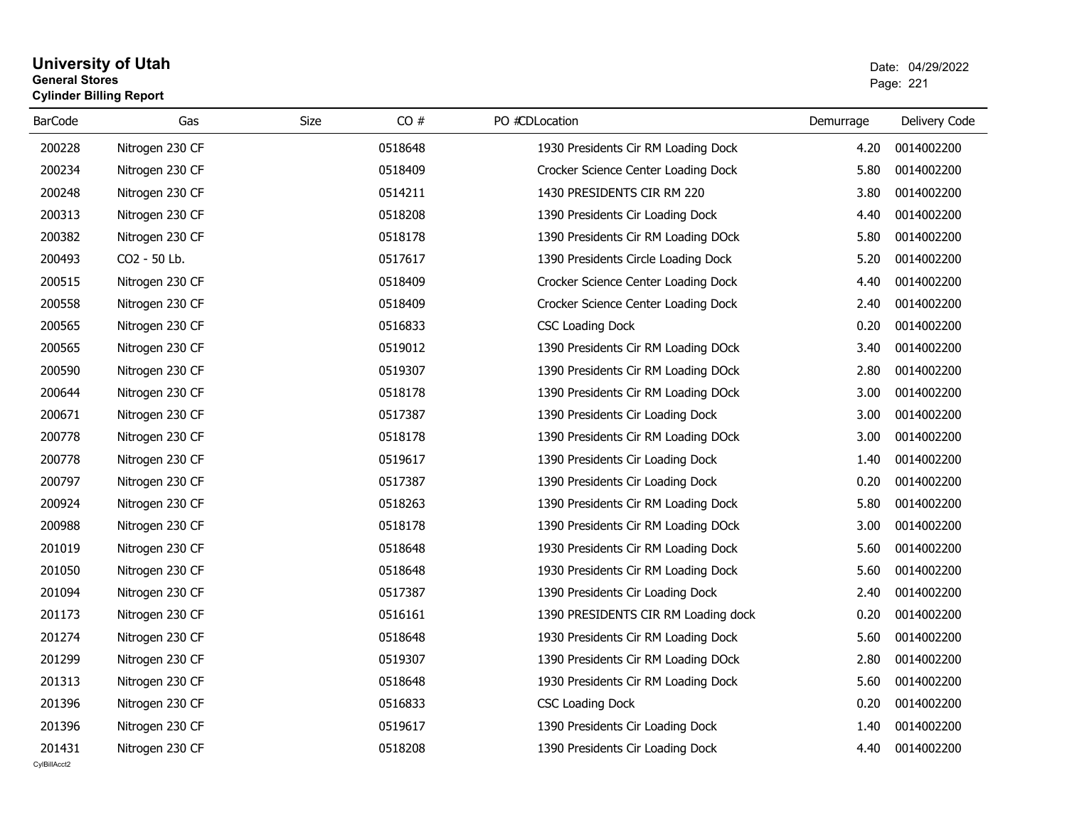# **University of Utah** Date: 04/29/2022 **General Stores**es and the contract of the contract of the contract of the contract of the contract of the contract of the contract of the contract of the contract of the contract of the contract of the contract of the contract of the con **Cylinder Billing Report**

| <b>BarCode</b> | Gas             | CO#<br>Size | PO #CDLocation                      | Demurrage | Delivery Code |
|----------------|-----------------|-------------|-------------------------------------|-----------|---------------|
| 200228         | Nitrogen 230 CF | 0518648     | 1930 Presidents Cir RM Loading Dock | 4.20      | 0014002200    |
| 200234         | Nitrogen 230 CF | 0518409     | Crocker Science Center Loading Dock | 5.80      | 0014002200    |
| 200248         | Nitrogen 230 CF | 0514211     | 1430 PRESIDENTS CIR RM 220          | 3.80      | 0014002200    |
| 200313         | Nitrogen 230 CF | 0518208     | 1390 Presidents Cir Loading Dock    | 4.40      | 0014002200    |
| 200382         | Nitrogen 230 CF | 0518178     | 1390 Presidents Cir RM Loading DOck | 5.80      | 0014002200    |
| 200493         | CO2 - 50 Lb.    | 0517617     | 1390 Presidents Circle Loading Dock | 5.20      | 0014002200    |
| 200515         | Nitrogen 230 CF | 0518409     | Crocker Science Center Loading Dock | 4.40      | 0014002200    |
| 200558         | Nitrogen 230 CF | 0518409     | Crocker Science Center Loading Dock | 2.40      | 0014002200    |
| 200565         | Nitrogen 230 CF | 0516833     | <b>CSC Loading Dock</b>             | 0.20      | 0014002200    |
| 200565         | Nitrogen 230 CF | 0519012     | 1390 Presidents Cir RM Loading DOck | 3.40      | 0014002200    |
| 200590         | Nitrogen 230 CF | 0519307     | 1390 Presidents Cir RM Loading DOck | 2.80      | 0014002200    |
| 200644         | Nitrogen 230 CF | 0518178     | 1390 Presidents Cir RM Loading DOck | 3.00      | 0014002200    |
| 200671         | Nitrogen 230 CF | 0517387     | 1390 Presidents Cir Loading Dock    | 3.00      | 0014002200    |
| 200778         | Nitrogen 230 CF | 0518178     | 1390 Presidents Cir RM Loading DOck | 3.00      | 0014002200    |
| 200778         | Nitrogen 230 CF | 0519617     | 1390 Presidents Cir Loading Dock    | 1.40      | 0014002200    |
| 200797         | Nitrogen 230 CF | 0517387     | 1390 Presidents Cir Loading Dock    | 0.20      | 0014002200    |
| 200924         | Nitrogen 230 CF | 0518263     | 1390 Presidents Cir RM Loading Dock | 5.80      | 0014002200    |
| 200988         | Nitrogen 230 CF | 0518178     | 1390 Presidents Cir RM Loading DOck | 3.00      | 0014002200    |
| 201019         | Nitrogen 230 CF | 0518648     | 1930 Presidents Cir RM Loading Dock | 5.60      | 0014002200    |
| 201050         | Nitrogen 230 CF | 0518648     | 1930 Presidents Cir RM Loading Dock | 5.60      | 0014002200    |
| 201094         | Nitrogen 230 CF | 0517387     | 1390 Presidents Cir Loading Dock    | 2.40      | 0014002200    |
| 201173         | Nitrogen 230 CF | 0516161     | 1390 PRESIDENTS CIR RM Loading dock | 0.20      | 0014002200    |
| 201274         | Nitrogen 230 CF | 0518648     | 1930 Presidents Cir RM Loading Dock | 5.60      | 0014002200    |
| 201299         | Nitrogen 230 CF | 0519307     | 1390 Presidents Cir RM Loading DOck | 2.80      | 0014002200    |
| 201313         | Nitrogen 230 CF | 0518648     | 1930 Presidents Cir RM Loading Dock | 5.60      | 0014002200    |
| 201396         | Nitrogen 230 CF | 0516833     | <b>CSC Loading Dock</b>             | 0.20      | 0014002200    |
| 201396         | Nitrogen 230 CF | 0519617     | 1390 Presidents Cir Loading Dock    | 1.40      | 0014002200    |
| 201431         | Nitrogen 230 CF | 0518208     | 1390 Presidents Cir Loading Dock    | 4.40      | 0014002200    |
| CvIBillAcct2   |                 |             |                                     |           |               |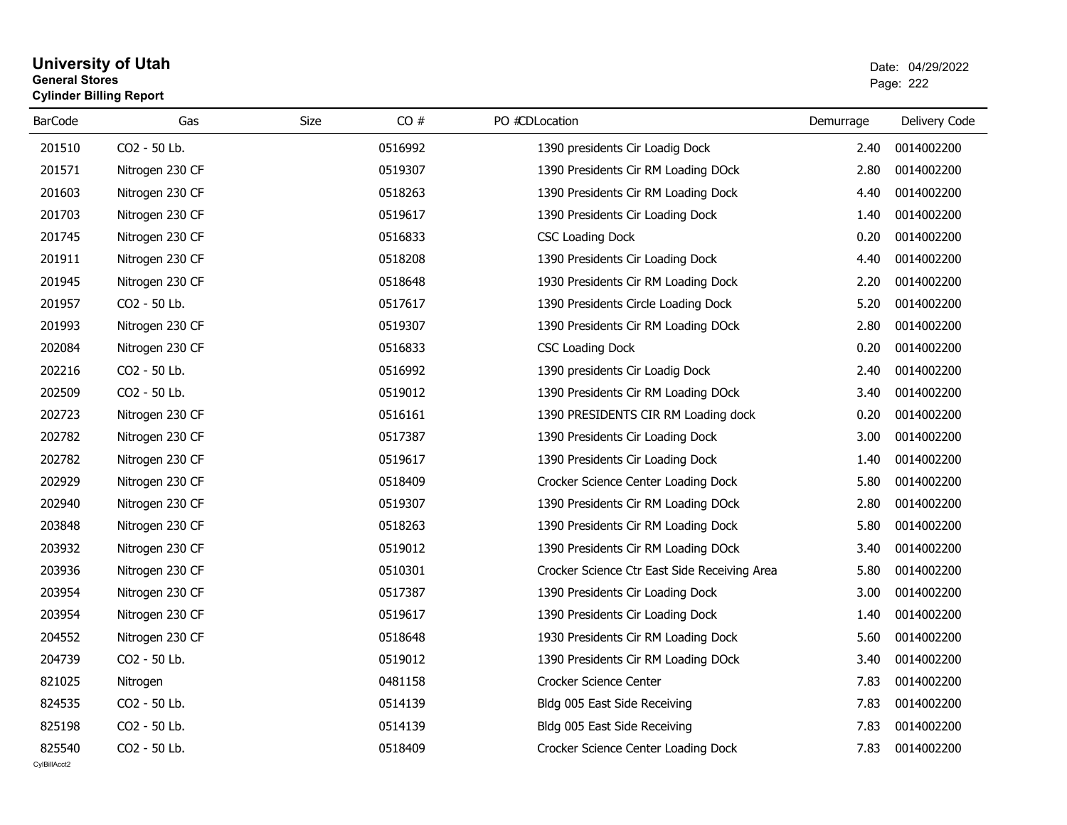# **University of Utah** Date: 04/29/2022 **General Stores**estate the control of the control of the control of the control of the control of the control of the control of the control of the control of the control of the control of the control of the control of the control of the c **Cylinder Billing Report**

| <b>BarCode</b> | Gas             | CO#<br>Size | PO #CDLocation                               | Demurrage | Delivery Code |
|----------------|-----------------|-------------|----------------------------------------------|-----------|---------------|
| 201510         | CO2 - 50 Lb.    | 0516992     | 1390 presidents Cir Loadig Dock              | 2.40      | 0014002200    |
| 201571         | Nitrogen 230 CF | 0519307     | 1390 Presidents Cir RM Loading DOck          | 2.80      | 0014002200    |
| 201603         | Nitrogen 230 CF | 0518263     | 1390 Presidents Cir RM Loading Dock          | 4.40      | 0014002200    |
| 201703         | Nitrogen 230 CF | 0519617     | 1390 Presidents Cir Loading Dock             | 1.40      | 0014002200    |
| 201745         | Nitrogen 230 CF | 0516833     | <b>CSC Loading Dock</b>                      | 0.20      | 0014002200    |
| 201911         | Nitrogen 230 CF | 0518208     | 1390 Presidents Cir Loading Dock             | 4.40      | 0014002200    |
| 201945         | Nitrogen 230 CF | 0518648     | 1930 Presidents Cir RM Loading Dock          | 2.20      | 0014002200    |
| 201957         | CO2 - 50 Lb.    | 0517617     | 1390 Presidents Circle Loading Dock          | 5.20      | 0014002200    |
| 201993         | Nitrogen 230 CF | 0519307     | 1390 Presidents Cir RM Loading DOck          | 2.80      | 0014002200    |
| 202084         | Nitrogen 230 CF | 0516833     | <b>CSC Loading Dock</b>                      | 0.20      | 0014002200    |
| 202216         | CO2 - 50 Lb.    | 0516992     | 1390 presidents Cir Loadig Dock              | 2.40      | 0014002200    |
| 202509         | CO2 - 50 Lb.    | 0519012     | 1390 Presidents Cir RM Loading DOck          | 3.40      | 0014002200    |
| 202723         | Nitrogen 230 CF | 0516161     | 1390 PRESIDENTS CIR RM Loading dock          | 0.20      | 0014002200    |
| 202782         | Nitrogen 230 CF | 0517387     | 1390 Presidents Cir Loading Dock             | 3.00      | 0014002200    |
| 202782         | Nitrogen 230 CF | 0519617     | 1390 Presidents Cir Loading Dock             | 1.40      | 0014002200    |
| 202929         | Nitrogen 230 CF | 0518409     | Crocker Science Center Loading Dock          | 5.80      | 0014002200    |
| 202940         | Nitrogen 230 CF | 0519307     | 1390 Presidents Cir RM Loading DOck          | 2.80      | 0014002200    |
| 203848         | Nitrogen 230 CF | 0518263     | 1390 Presidents Cir RM Loading Dock          | 5.80      | 0014002200    |
| 203932         | Nitrogen 230 CF | 0519012     | 1390 Presidents Cir RM Loading DOck          | 3.40      | 0014002200    |
| 203936         | Nitrogen 230 CF | 0510301     | Crocker Science Ctr East Side Receiving Area | 5.80      | 0014002200    |
| 203954         | Nitrogen 230 CF | 0517387     | 1390 Presidents Cir Loading Dock             | 3.00      | 0014002200    |
| 203954         | Nitrogen 230 CF | 0519617     | 1390 Presidents Cir Loading Dock             | 1.40      | 0014002200    |
| 204552         | Nitrogen 230 CF | 0518648     | 1930 Presidents Cir RM Loading Dock          | 5.60      | 0014002200    |
| 204739         | CO2 - 50 Lb.    | 0519012     | 1390 Presidents Cir RM Loading DOck          | 3.40      | 0014002200    |
| 821025         | Nitrogen        | 0481158     | Crocker Science Center                       | 7.83      | 0014002200    |
| 824535         | CO2 - 50 Lb.    | 0514139     | Bldg 005 East Side Receiving                 | 7.83      | 0014002200    |
| 825198         | CO2 - 50 Lb.    | 0514139     | Bldg 005 East Side Receiving                 | 7.83      | 0014002200    |
| 825540         | CO2 - 50 Lb.    | 0518409     | Crocker Science Center Loading Dock          | 7.83      | 0014002200    |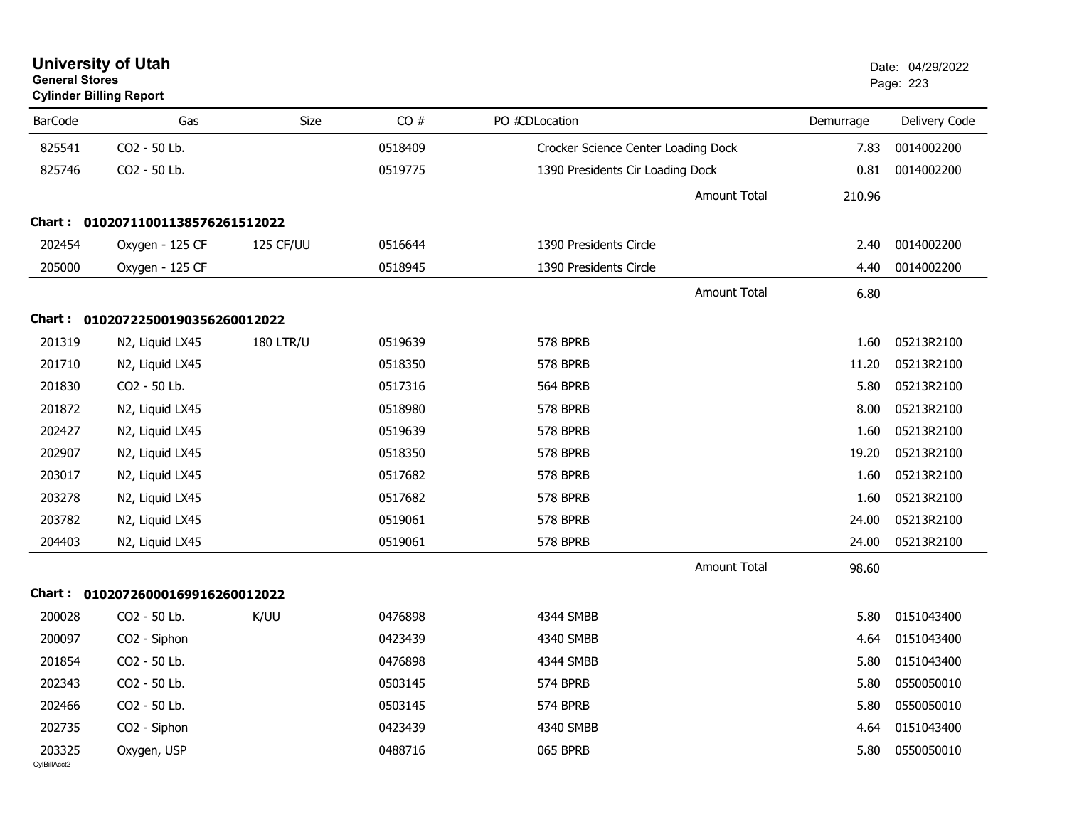| <b>General Stores</b>  | <b>Cylinder Billing Report</b>    |                  |         |                                     |                     | Page: 223 |               |
|------------------------|-----------------------------------|------------------|---------|-------------------------------------|---------------------|-----------|---------------|
| <b>BarCode</b>         | Gas                               | <b>Size</b>      | CO#     | PO #CDLocation                      |                     | Demurrage | Delivery Code |
| 825541                 | CO2 - 50 Lb.                      |                  | 0518409 | Crocker Science Center Loading Dock |                     | 7.83      | 0014002200    |
| 825746                 | CO2 - 50 Lb.                      |                  | 0519775 | 1390 Presidents Cir Loading Dock    |                     | 0.81      | 0014002200    |
|                        |                                   |                  |         |                                     | Amount Total        | 210.96    |               |
|                        | Chart: 01020711001138576261512022 |                  |         |                                     |                     |           |               |
| 202454                 | Oxygen - 125 CF                   | 125 CF/UU        | 0516644 | 1390 Presidents Circle              |                     | 2.40      | 0014002200    |
| 205000                 | Oxygen - 125 CF                   |                  | 0518945 | 1390 Presidents Circle              |                     | 4.40      | 0014002200    |
|                        |                                   |                  |         |                                     | <b>Amount Total</b> | 6.80      |               |
|                        | Chart: 01020722500190356260012022 |                  |         |                                     |                     |           |               |
| 201319                 | N2, Liquid LX45                   | <b>180 LTR/U</b> | 0519639 | 578 BPRB                            |                     | 1.60      | 05213R2100    |
| 201710                 | N2, Liquid LX45                   |                  | 0518350 | <b>578 BPRB</b>                     |                     | 11.20     | 05213R2100    |
| 201830                 | CO2 - 50 Lb.                      |                  | 0517316 | 564 BPRB                            |                     | 5.80      | 05213R2100    |
| 201872                 | N2, Liquid LX45                   |                  | 0518980 | 578 BPRB                            |                     | 8.00      | 05213R2100    |
| 202427                 | N2, Liquid LX45                   |                  | 0519639 | 578 BPRB                            |                     | 1.60      | 05213R2100    |
| 202907                 | N2, Liquid LX45                   |                  | 0518350 | 578 BPRB                            |                     | 19.20     | 05213R2100    |
| 203017                 | N2, Liquid LX45                   |                  | 0517682 | 578 BPRB                            |                     | 1.60      | 05213R2100    |
| 203278                 | N2, Liquid LX45                   |                  | 0517682 | 578 BPRB                            |                     | 1.60      | 05213R2100    |
| 203782                 | N2, Liquid LX45                   |                  | 0519061 | 578 BPRB                            |                     | 24.00     | 05213R2100    |
| 204403                 | N2, Liquid LX45                   |                  | 0519061 | 578 BPRB                            |                     | 24.00     | 05213R2100    |
|                        |                                   |                  |         |                                     | <b>Amount Total</b> | 98.60     |               |
|                        | Chart: 01020726000169916260012022 |                  |         |                                     |                     |           |               |
| 200028                 | CO2 - 50 Lb.                      | K/UU             | 0476898 | 4344 SMBB                           |                     | 5.80      | 0151043400    |
| 200097                 | CO2 - Siphon                      |                  | 0423439 | 4340 SMBB                           |                     | 4.64      | 0151043400    |
| 201854                 | CO2 - 50 Lb.                      |                  | 0476898 | 4344 SMBB                           |                     | 5.80      | 0151043400    |
| 202343                 | CO <sub>2</sub> - 50 Lb.          |                  | 0503145 | 574 BPRB                            |                     | 5.80      | 0550050010    |
| 202466                 | CO2 - 50 Lb.                      |                  | 0503145 | 574 BPRB                            |                     | 5.80      | 0550050010    |
| 202735                 | CO2 - Siphon                      |                  | 0423439 | 4340 SMBB                           |                     | 4.64      | 0151043400    |
| 203325<br>CylBillAcct2 | Oxygen, USP                       |                  | 0488716 | 065 BPRB                            |                     | 5.80      | 0550050010    |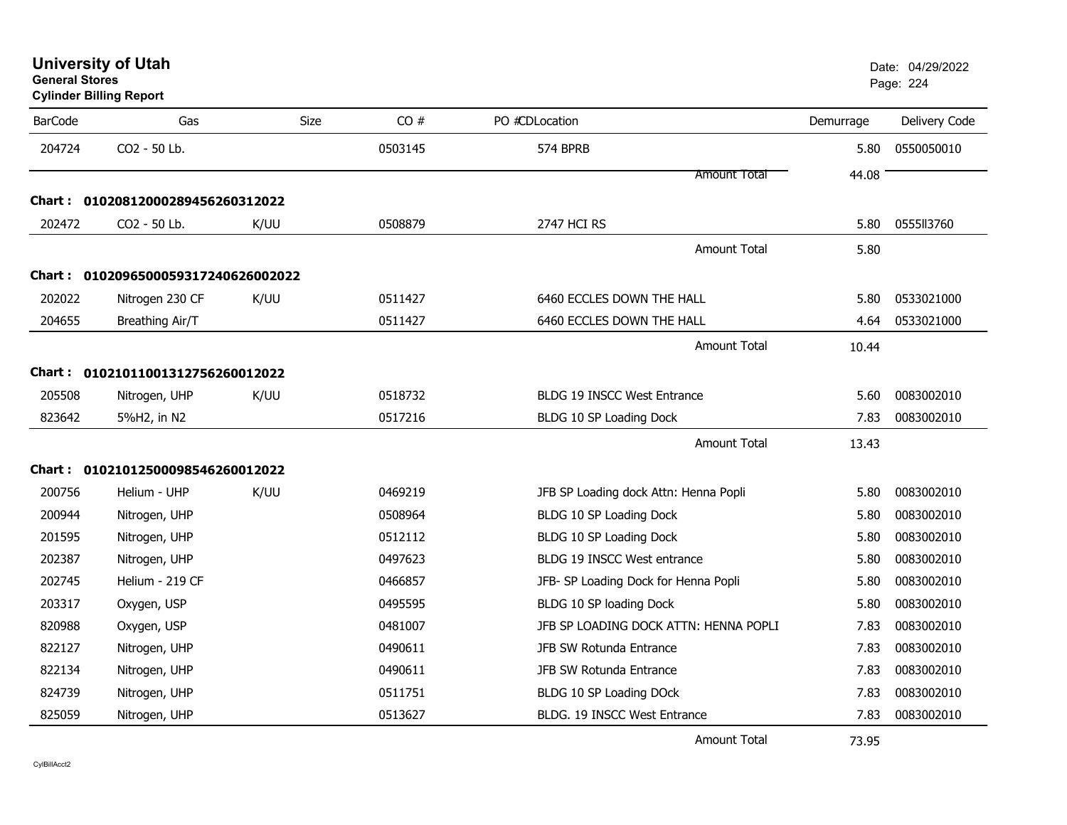| <b>University of Utah</b> |  |
|---------------------------|--|
| <b>General Stores</b>     |  |

# **Cylinder Billing Report**

| <b>BarCode</b> | Gas                                 | <b>Size</b> | CO#     | PO #CDLocation                        | Demurrage | Delivery Code |
|----------------|-------------------------------------|-------------|---------|---------------------------------------|-----------|---------------|
| 204724         | CO2 - 50 Lb.                        |             | 0503145 | 574 BPRB                              | 5.80      | 0550050010    |
|                |                                     |             |         | Amount Total                          | 44.08     |               |
|                | Chart: 01020812000289456260312022   |             |         |                                       |           |               |
| 202472         | CO2 - 50 Lb.                        | K/UU        | 0508879 | 2747 HCI RS                           | 5.80      | 0555113760    |
|                |                                     |             |         | <b>Amount Total</b>                   | 5.80      |               |
|                | Chart: 0102096500059317240626002022 |             |         |                                       |           |               |
| 202022         | Nitrogen 230 CF                     | K/UU        | 0511427 | 6460 ECCLES DOWN THE HALL             | 5.80      | 0533021000    |
| 204655         | Breathing Air/T                     |             | 0511427 | 6460 ECCLES DOWN THE HALL             | 4.64      | 0533021000    |
|                |                                     |             |         | <b>Amount Total</b>                   | 10.44     |               |
|                | Chart: 01021011001312756260012022   |             |         |                                       |           |               |
| 205508         | Nitrogen, UHP                       | K/UU        | 0518732 | <b>BLDG 19 INSCC West Entrance</b>    | 5.60      | 0083002010    |
| 823642         | 5%H2, in N2                         |             | 0517216 | BLDG 10 SP Loading Dock               | 7.83      | 0083002010    |
|                |                                     |             |         | <b>Amount Total</b>                   | 13.43     |               |
|                | Chart: 01021012500098546260012022   |             |         |                                       |           |               |
| 200756         | Helium - UHP                        | K/UU        | 0469219 | JFB SP Loading dock Attn: Henna Popli | 5.80      | 0083002010    |
| 200944         | Nitrogen, UHP                       |             | 0508964 | BLDG 10 SP Loading Dock               | 5.80      | 0083002010    |
| 201595         | Nitrogen, UHP                       |             | 0512112 | BLDG 10 SP Loading Dock               | 5.80      | 0083002010    |
| 202387         | Nitrogen, UHP                       |             | 0497623 | BLDG 19 INSCC West entrance           | 5.80      | 0083002010    |
| 202745         | Helium - 219 CF                     |             | 0466857 | JFB- SP Loading Dock for Henna Popli  | 5.80      | 0083002010    |
| 203317         | Oxygen, USP                         |             | 0495595 | BLDG 10 SP loading Dock               | 5.80      | 0083002010    |
| 820988         | Oxygen, USP                         |             | 0481007 | JFB SP LOADING DOCK ATTN: HENNA POPLI | 7.83      | 0083002010    |
| 822127         | Nitrogen, UHP                       |             | 0490611 | JFB SW Rotunda Entrance               | 7.83      | 0083002010    |
| 822134         | Nitrogen, UHP                       |             | 0490611 | JFB SW Rotunda Entrance               | 7.83      | 0083002010    |
| 824739         | Nitrogen, UHP                       |             | 0511751 | BLDG 10 SP Loading DOck               | 7.83      | 0083002010    |
| 825059         | Nitrogen, UHP                       |             | 0513627 | BLDG. 19 INSCC West Entrance          | 7.83      | 0083002010    |

Amount Total

73.95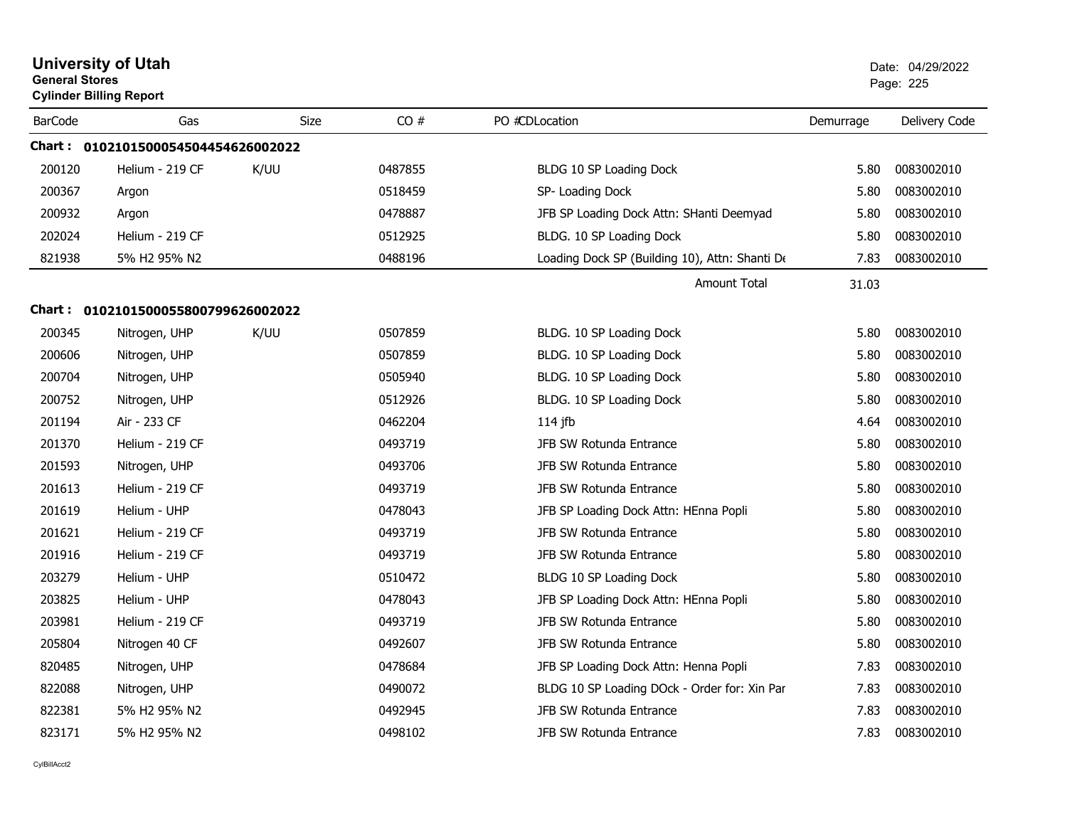| <b>General Stores</b> | <b>University of Utah</b><br><b>Cylinder Billing Report</b> |             |         |                                                |           | Date: 04/29/2022<br>Page: 225 |
|-----------------------|-------------------------------------------------------------|-------------|---------|------------------------------------------------|-----------|-------------------------------|
| <b>BarCode</b>        | Gas                                                         | <b>Size</b> | CO#     | PO #CDLocation                                 | Demurrage | Delivery Code                 |
|                       | Chart: 0102101500054504454626002022                         |             |         |                                                |           |                               |
| 200120                | Helium - 219 CF                                             | K/UU        | 0487855 | BLDG 10 SP Loading Dock                        | 5.80      | 0083002010                    |
| 200367                | Argon                                                       |             | 0518459 | SP- Loading Dock                               | 5.80      | 0083002010                    |
| 200932                | Argon                                                       |             | 0478887 | JFB SP Loading Dock Attn: SHanti Deemyad       | 5.80      | 0083002010                    |
| 202024                | Helium - 219 CF                                             |             | 0512925 | BLDG. 10 SP Loading Dock                       | 5.80      | 0083002010                    |
| 821938                | 5% H2 95% N2                                                |             | 0488196 | Loading Dock SP (Building 10), Attn: Shanti De | 7.83      | 0083002010                    |
|                       |                                                             |             |         | <b>Amount Total</b>                            | 31.03     |                               |
|                       | Chart: 0102101500055800799626002022                         |             |         |                                                |           |                               |
| 200345                | Nitrogen, UHP                                               | K/UU        | 0507859 | BLDG. 10 SP Loading Dock                       | 5.80      | 0083002010                    |
| 200606                | Nitrogen, UHP                                               |             | 0507859 | BLDG. 10 SP Loading Dock                       | 5.80      | 0083002010                    |
| 200704                | Nitrogen, UHP                                               |             | 0505940 | BLDG. 10 SP Loading Dock                       | 5.80      | 0083002010                    |
| 200752                | Nitrogen, UHP                                               |             | 0512926 | BLDG. 10 SP Loading Dock                       | 5.80      | 0083002010                    |
| 201194                | Air - 233 CF                                                |             | 0462204 | $114$ jfb                                      | 4.64      | 0083002010                    |
| 201370                | Helium - 219 CF                                             |             | 0493719 | JFB SW Rotunda Entrance                        | 5.80      | 0083002010                    |
| 201593                | Nitrogen, UHP                                               |             | 0493706 | JFB SW Rotunda Entrance                        | 5.80      | 0083002010                    |
| 201613                | Helium - 219 CF                                             |             | 0493719 | JFB SW Rotunda Entrance                        | 5.80      | 0083002010                    |
| 201619                | Helium - UHP                                                |             | 0478043 | JFB SP Loading Dock Attn: HEnna Popli          | 5.80      | 0083002010                    |
| 201621                | Helium - 219 CF                                             |             | 0493719 | JFB SW Rotunda Entrance                        | 5.80      | 0083002010                    |
| 201916                | Helium - 219 CF                                             |             | 0493719 | JFB SW Rotunda Entrance                        | 5.80      | 0083002010                    |
| 203279                | Helium - UHP                                                |             | 0510472 | BLDG 10 SP Loading Dock                        | 5.80      | 0083002010                    |
| 203825                | Helium - UHP                                                |             | 0478043 | JFB SP Loading Dock Attn: HEnna Popli          | 5.80      | 0083002010                    |
| 203981                | Helium - 219 CF                                             |             | 0493719 | JFB SW Rotunda Entrance                        | 5.80      | 0083002010                    |
| 205804                | Nitrogen 40 CF                                              |             | 0492607 | JFB SW Rotunda Entrance                        | 5.80      | 0083002010                    |
| 820485                | Nitrogen, UHP                                               |             | 0478684 | JFB SP Loading Dock Attn: Henna Popli          | 7.83      | 0083002010                    |
| 822088                | Nitrogen, UHP                                               |             | 0490072 | BLDG 10 SP Loading DOck - Order for: Xin Par   | 7.83      | 0083002010                    |
| 822381                | 5% H2 95% N2                                                |             | 0492945 | JFB SW Rotunda Entrance                        | 7.83      | 0083002010                    |
| 823171                | 5% H2 95% N2                                                |             | 0498102 | JFB SW Rotunda Entrance                        | 7.83      | 0083002010                    |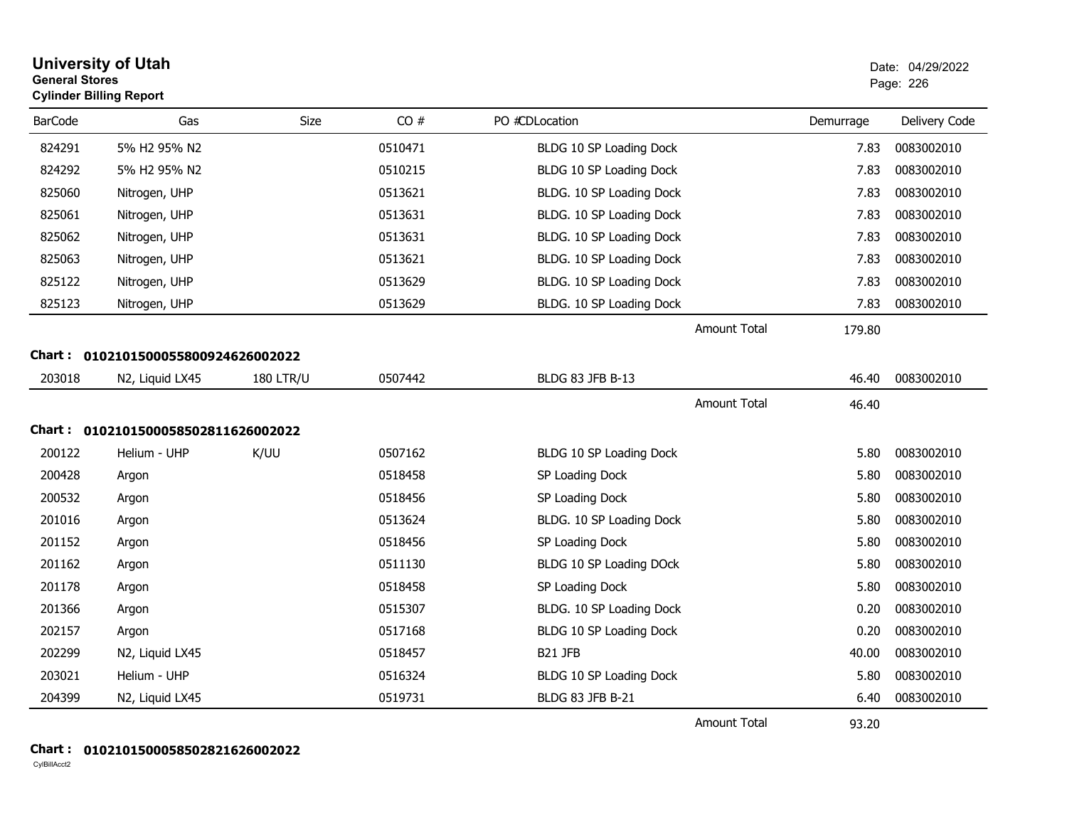| <b>General Stores</b> | <b>University of Utah</b><br><b>Cylinder Billing Report</b> |                  |         |                          |                     |           | Date: 04/29/2022<br>Page: 226 |
|-----------------------|-------------------------------------------------------------|------------------|---------|--------------------------|---------------------|-----------|-------------------------------|
| <b>BarCode</b>        | Gas                                                         | Size             | CO#     | PO #CDLocation           |                     | Demurrage | Delivery Code                 |
| 824291                | 5% H2 95% N2                                                |                  | 0510471 | BLDG 10 SP Loading Dock  |                     | 7.83      | 0083002010                    |
| 824292                | 5% H2 95% N2                                                |                  | 0510215 | BLDG 10 SP Loading Dock  |                     | 7.83      | 0083002010                    |
| 825060                | Nitrogen, UHP                                               |                  | 0513621 | BLDG. 10 SP Loading Dock |                     | 7.83      | 0083002010                    |
| 825061                | Nitrogen, UHP                                               |                  | 0513631 | BLDG. 10 SP Loading Dock |                     | 7.83      | 0083002010                    |
| 825062                | Nitrogen, UHP                                               |                  | 0513631 | BLDG. 10 SP Loading Dock |                     | 7.83      | 0083002010                    |
| 825063                | Nitrogen, UHP                                               |                  | 0513621 | BLDG. 10 SP Loading Dock |                     | 7.83      | 0083002010                    |
| 825122                | Nitrogen, UHP                                               |                  | 0513629 | BLDG. 10 SP Loading Dock |                     | 7.83      | 0083002010                    |
| 825123                | Nitrogen, UHP                                               |                  | 0513629 | BLDG. 10 SP Loading Dock |                     | 7.83      | 0083002010                    |
|                       |                                                             |                  |         |                          | <b>Amount Total</b> | 179.80    |                               |
| Chart :               | 0102101500055800924626002022                                |                  |         |                          |                     |           |                               |
| 203018                | N2, Liquid LX45                                             | <b>180 LTR/U</b> | 0507442 | BLDG 83 JFB B-13         |                     | 46.40     | 0083002010                    |
|                       |                                                             |                  |         |                          | <b>Amount Total</b> | 46.40     |                               |
|                       | Chart: 0102101500058502811626002022                         |                  |         |                          |                     |           |                               |
| 200122                | Helium - UHP                                                | K/UU             | 0507162 | BLDG 10 SP Loading Dock  |                     | 5.80      | 0083002010                    |
| 200428                | Argon                                                       |                  | 0518458 | SP Loading Dock          |                     | 5.80      | 0083002010                    |
| 200532                | Argon                                                       |                  | 0518456 | SP Loading Dock          |                     | 5.80      | 0083002010                    |
| 201016                | Argon                                                       |                  | 0513624 | BLDG. 10 SP Loading Dock |                     | 5.80      | 0083002010                    |
| 201152                | Argon                                                       |                  | 0518456 | SP Loading Dock          |                     | 5.80      | 0083002010                    |
| 201162                | Argon                                                       |                  | 0511130 | BLDG 10 SP Loading DOck  |                     | 5.80      | 0083002010                    |
| 201178                | Argon                                                       |                  | 0518458 | SP Loading Dock          |                     | 5.80      | 0083002010                    |
| 201366                | Argon                                                       |                  | 0515307 | BLDG. 10 SP Loading Dock |                     | 0.20      | 0083002010                    |
| 202157                | Argon                                                       |                  | 0517168 | BLDG 10 SP Loading Dock  |                     | 0.20      | 0083002010                    |
| 202299                | N2, Liquid LX45                                             |                  | 0518457 | B21 JFB                  |                     | 40.00     | 0083002010                    |
| 203021                | Helium - UHP                                                |                  | 0516324 | BLDG 10 SP Loading Dock  |                     | 5.80      | 0083002010                    |
| 204399                | N2, Liquid LX45                                             |                  | 0519731 | <b>BLDG 83 JFB B-21</b>  |                     | 6.40      | 0083002010                    |
|                       |                                                             |                  |         |                          | <b>Amount Total</b> | 93.20     |                               |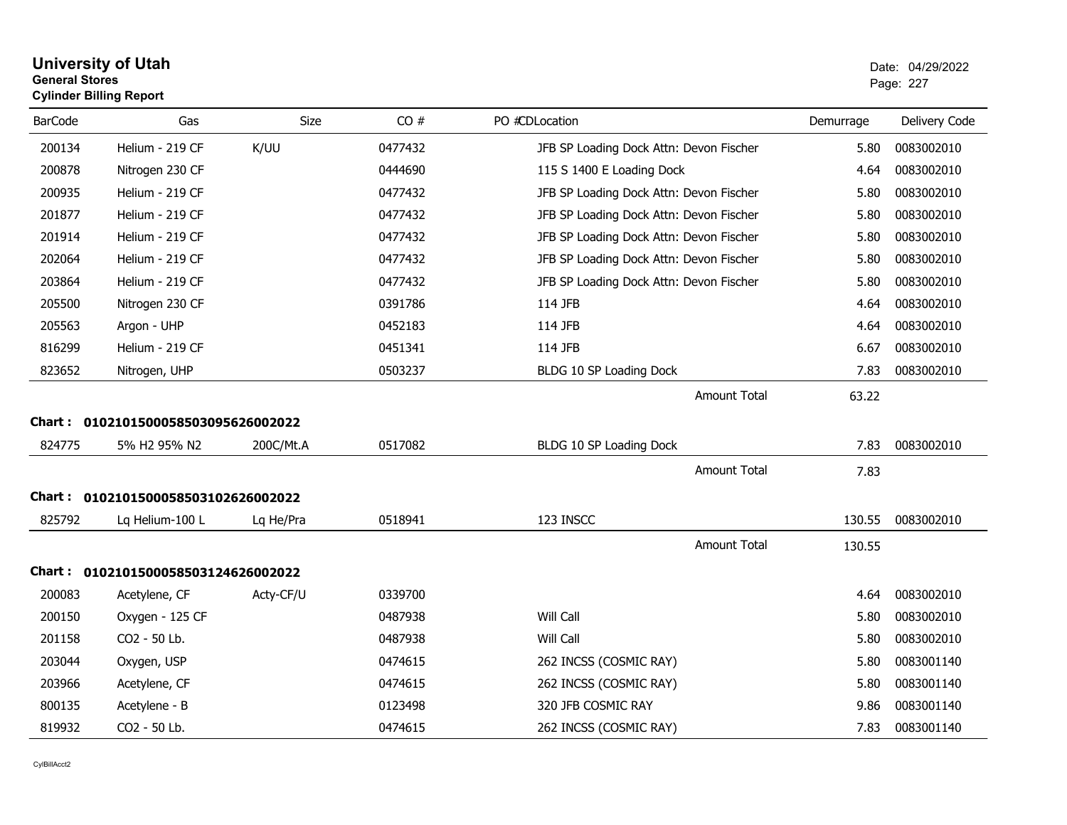| <b>General Stores</b><br><b>Cylinder Billing Report</b> | <b>University of Utah</b>           |             |         |                                         |           | Date: 04/29/2022<br>Page: 227 |
|---------------------------------------------------------|-------------------------------------|-------------|---------|-----------------------------------------|-----------|-------------------------------|
| <b>BarCode</b>                                          | Gas                                 | <b>Size</b> | CO#     | PO #CDLocation                          | Demurrage | Delivery Code                 |
| 200134                                                  | Helium - 219 CF                     | K/UU        | 0477432 | JFB SP Loading Dock Attn: Devon Fischer | 5.80      | 0083002010                    |
| 200878                                                  | Nitrogen 230 CF                     |             | 0444690 | 115 S 1400 E Loading Dock               | 4.64      | 0083002010                    |
| 200935                                                  | Helium - 219 CF                     |             | 0477432 | JFB SP Loading Dock Attn: Devon Fischer | 5.80      | 0083002010                    |
| 201877                                                  | Helium - 219 CF                     |             | 0477432 | JFB SP Loading Dock Attn: Devon Fischer | 5.80      | 0083002010                    |
| 201914                                                  | Helium - 219 CF                     |             | 0477432 | JFB SP Loading Dock Attn: Devon Fischer | 5.80      | 0083002010                    |
| 202064                                                  | Helium - 219 CF                     |             | 0477432 | JFB SP Loading Dock Attn: Devon Fischer | 5.80      | 0083002010                    |
| 203864                                                  | Helium - 219 CF                     |             | 0477432 | JFB SP Loading Dock Attn: Devon Fischer | 5.80      | 0083002010                    |
| 205500                                                  | Nitrogen 230 CF                     |             | 0391786 | 114 JFB                                 | 4.64      | 0083002010                    |
| 205563                                                  | Argon - UHP                         |             | 0452183 | 114 JFB                                 | 4.64      | 0083002010                    |
| 816299                                                  | Helium - 219 CF                     |             | 0451341 | 114 JFB                                 | 6.67      | 0083002010                    |
| 823652                                                  | Nitrogen, UHP                       |             | 0503237 | BLDG 10 SP Loading Dock                 | 7.83      | 0083002010                    |
|                                                         |                                     |             |         | <b>Amount Total</b>                     | 63.22     |                               |
|                                                         | Chart: 0102101500058503095626002022 |             |         |                                         |           |                               |
| 824775                                                  | 5% H2 95% N2                        | 200C/Mt.A   | 0517082 | BLDG 10 SP Loading Dock                 | 7.83      | 0083002010                    |
|                                                         |                                     |             |         | Amount Total                            | 7.83      |                               |
|                                                         | Chart: 0102101500058503102626002022 |             |         |                                         |           |                               |
| 825792                                                  | Lg Helium-100 L                     | Lq He/Pra   | 0518941 | 123 INSCC                               | 130.55    | 0083002010                    |
|                                                         |                                     |             |         | <b>Amount Total</b>                     | 130.55    |                               |

# Lq PhyHs Lq Helium-100 L Lq He/Pra <sup>0518941</sup> 123 INSCC 130.55 <sup>0083002010</sup> 130.55 **Chart : 0102101500058503124626002022**200083Acetylene, CF Acty-CF/U 0339700 2013 2020 12:00 20339700 4.64 0083002010 200150 Phys Oxygen - 125 CF <sup>0487938</sup> Will Call 5.80 <sup>0083002010</sup> 201158 Phys CO2 - 50 Lb. 0487938 Will Call 5.80 0083002010 203044 Phys Oxygen, USP <sup>0474615</sup> 262 INCSS (COSMIC RAY) 5.80 <sup>0083001140</sup> 203966Acetylene, CF 0474615 0474615 262 INCSS (COSMIC RAY) 5.80 0083001140 800135Acetylene - B 0123498 0083001140 819932Phys CO2 - 50 Lb. <sup>0474615</sup> 262 INCSS (COSMIC RAY) 7.83 <sup>0083001140</sup>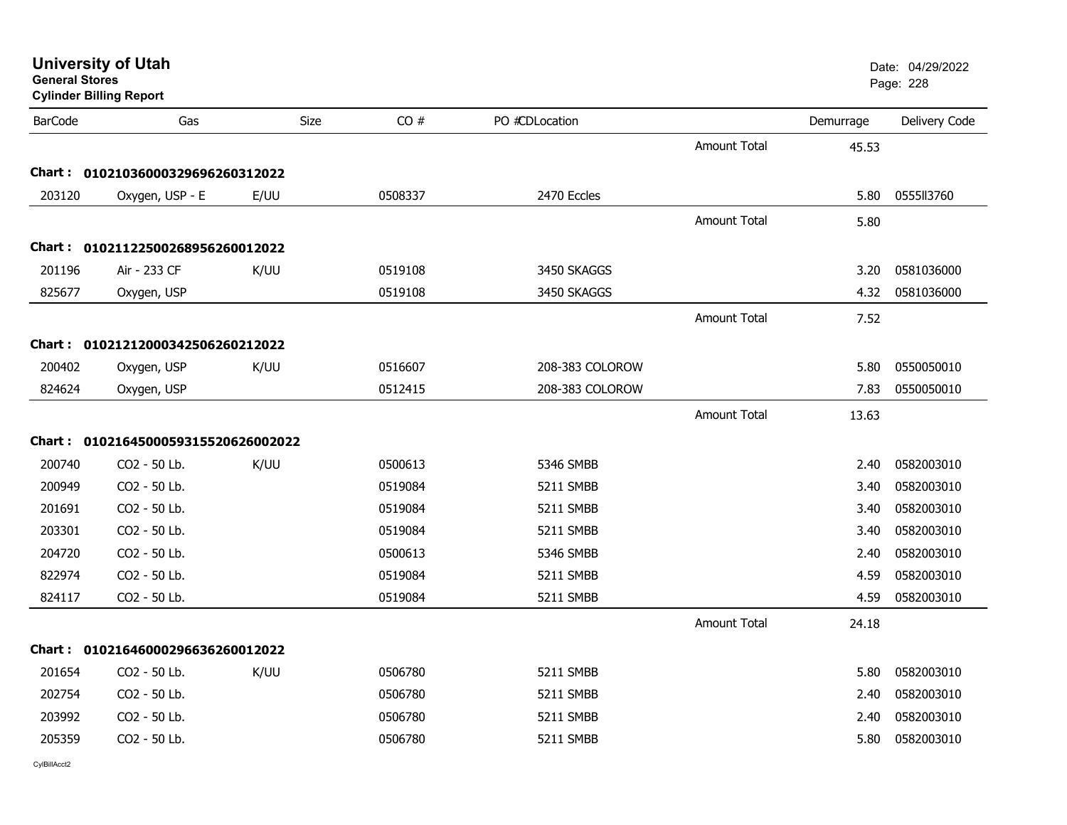| <b>General Stores</b> | <b>Cylinder Billing Report</b>    |      |         |                 |                     |           | Page: 228     |
|-----------------------|-----------------------------------|------|---------|-----------------|---------------------|-----------|---------------|
| <b>BarCode</b>        | Gas                               | Size | CO#     | PO #CDLocation  |                     | Demurrage | Delivery Code |
|                       |                                   |      |         |                 | <b>Amount Total</b> | 45.53     |               |
|                       | Chart: 01021036000329696260312022 |      |         |                 |                     |           |               |
| 203120                | Oxygen, USP - E                   | E/UU | 0508337 | 2470 Eccles     |                     | 5.80      | 0555113760    |
|                       |                                   |      |         |                 | <b>Amount Total</b> | 5.80      |               |
|                       | Chart: 01021122500268956260012022 |      |         |                 |                     |           |               |
| 201196                | Air - 233 CF                      | K/UU | 0519108 | 3450 SKAGGS     |                     | 3.20      | 0581036000    |
| 825677                | Oxygen, USP                       |      | 0519108 | 3450 SKAGGS     |                     | 4.32      | 0581036000    |
|                       |                                   |      |         |                 | <b>Amount Total</b> | 7.52      |               |
|                       | Chart: 01021212000342506260212022 |      |         |                 |                     |           |               |
| 200402                | Oxygen, USP                       | K/UU | 0516607 | 208-383 COLOROW |                     | 5.80      | 0550050010    |
| 824624                | Oxygen, USP                       |      | 0512415 | 208-383 COLOROW |                     | 7.83      | 0550050010    |
|                       |                                   |      |         |                 | <b>Amount Total</b> | 13.63     |               |
| <b>Chart :</b>        | 0102164500059315520626002022      |      |         |                 |                     |           |               |
| 200740                | CO2 - 50 Lb.                      | K/UU | 0500613 | 5346 SMBB       |                     | 2.40      | 0582003010    |
| 200949                | CO2 - 50 Lb.                      |      | 0519084 | 5211 SMBB       |                     | 3.40      | 0582003010    |
| 201691                | CO2 - 50 Lb.                      |      | 0519084 | 5211 SMBB       |                     | 3.40      | 0582003010    |
| 203301                | CO2 - 50 Lb.                      |      | 0519084 | 5211 SMBB       |                     | 3.40      | 0582003010    |
| 204720                | CO2 - 50 Lb.                      |      | 0500613 | 5346 SMBB       |                     | 2.40      | 0582003010    |
| 822974                | CO2 - 50 Lb.                      |      | 0519084 | 5211 SMBB       |                     | 4.59      | 0582003010    |
| 824117                | CO2 - 50 Lb.                      |      | 0519084 | 5211 SMBB       |                     | 4.59      | 0582003010    |
|                       |                                   |      |         |                 | <b>Amount Total</b> | 24.18     |               |
|                       | Chart: 01021646000296636260012022 |      |         |                 |                     |           |               |
| 201654                | CO <sub>2</sub> - 50 Lb.          | K/UU | 0506780 | 5211 SMBB       |                     | 5.80      | 0582003010    |
| 202754                | CO2 - 50 Lb.                      |      | 0506780 | 5211 SMBB       |                     | 2.40      | 0582003010    |
| 203992                | CO2 - 50 Lb.                      |      | 0506780 | 5211 SMBB       |                     | 2.40      | 0582003010    |
| 205359                | CO2 - 50 Lb.                      |      | 0506780 | 5211 SMBB       |                     | 5.80      | 0582003010    |
|                       |                                   |      |         |                 |                     |           |               |

**University of Utah** Date: 04/29/2022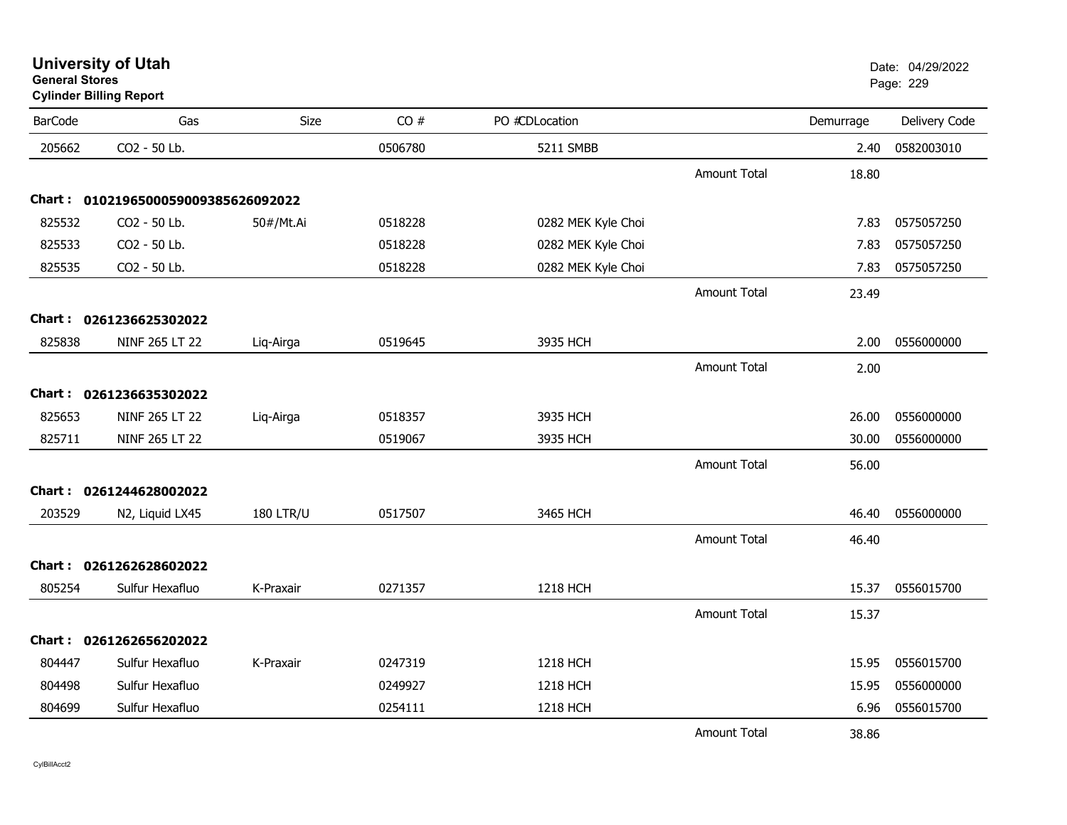# **Cylinder Billing Report**

| <b>BarCode</b> | Gas                          | Size             | CO#     | PO #CDLocation     |                     | Demurrage | Delivery Code |
|----------------|------------------------------|------------------|---------|--------------------|---------------------|-----------|---------------|
| 205662         | CO2 - 50 Lb.                 |                  | 0506780 | 5211 SMBB          |                     | 2.40      | 0582003010    |
|                |                              |                  |         |                    | <b>Amount Total</b> | 18.80     |               |
| <b>Chart :</b> | 0102196500059009385626092022 |                  |         |                    |                     |           |               |
| 825532         | CO2 - 50 Lb.                 | 50#/Mt.Ai        | 0518228 | 0282 MEK Kyle Choi |                     | 7.83      | 0575057250    |
| 825533         | CO2 - 50 Lb.                 |                  | 0518228 | 0282 MEK Kyle Choi |                     | 7.83      | 0575057250    |
| 825535         | CO2 - 50 Lb.                 |                  | 0518228 | 0282 MEK Kyle Choi |                     | 7.83      | 0575057250    |
|                |                              |                  |         |                    | <b>Amount Total</b> | 23.49     |               |
| Chart :        | 0261236625302022             |                  |         |                    |                     |           |               |
| 825838         | NINF 265 LT 22               | Liq-Airga        | 0519645 | 3935 HCH           |                     | 2.00      | 0556000000    |
|                |                              |                  |         |                    | <b>Amount Total</b> | 2.00      |               |
|                | Chart: 0261236635302022      |                  |         |                    |                     |           |               |
| 825653         | NINF 265 LT 22               | Liq-Airga        | 0518357 | 3935 HCH           |                     | 26.00     | 0556000000    |
| 825711         | NINF 265 LT 22               |                  | 0519067 | 3935 HCH           |                     | 30.00     | 0556000000    |
|                |                              |                  |         |                    | <b>Amount Total</b> | 56.00     |               |
|                | Chart: 0261244628002022      |                  |         |                    |                     |           |               |
| 203529         | N2, Liquid LX45              | <b>180 LTR/U</b> | 0517507 | 3465 HCH           |                     | 46.40     | 0556000000    |
|                |                              |                  |         |                    | <b>Amount Total</b> | 46.40     |               |
| Chart :        | 0261262628602022             |                  |         |                    |                     |           |               |
| 805254         | Sulfur Hexafluo              | K-Praxair        | 0271357 | 1218 HCH           |                     | 15.37     | 0556015700    |
|                |                              |                  |         |                    | <b>Amount Total</b> | 15.37     |               |
|                | Chart: 0261262656202022      |                  |         |                    |                     |           |               |
| 804447         | Sulfur Hexafluo              | K-Praxair        | 0247319 | 1218 HCH           |                     | 15.95     | 0556015700    |
| 804498         | Sulfur Hexafluo              |                  | 0249927 | 1218 HCH           |                     | 15.95     | 0556000000    |
|                |                              |                  |         |                    |                     |           |               |
| 804699         | Sulfur Hexafluo              |                  | 0254111 | 1218 HCH           |                     | 6.96      | 0556015700    |
|                |                              |                  |         |                    | <b>Amount Total</b> | 38.86     |               |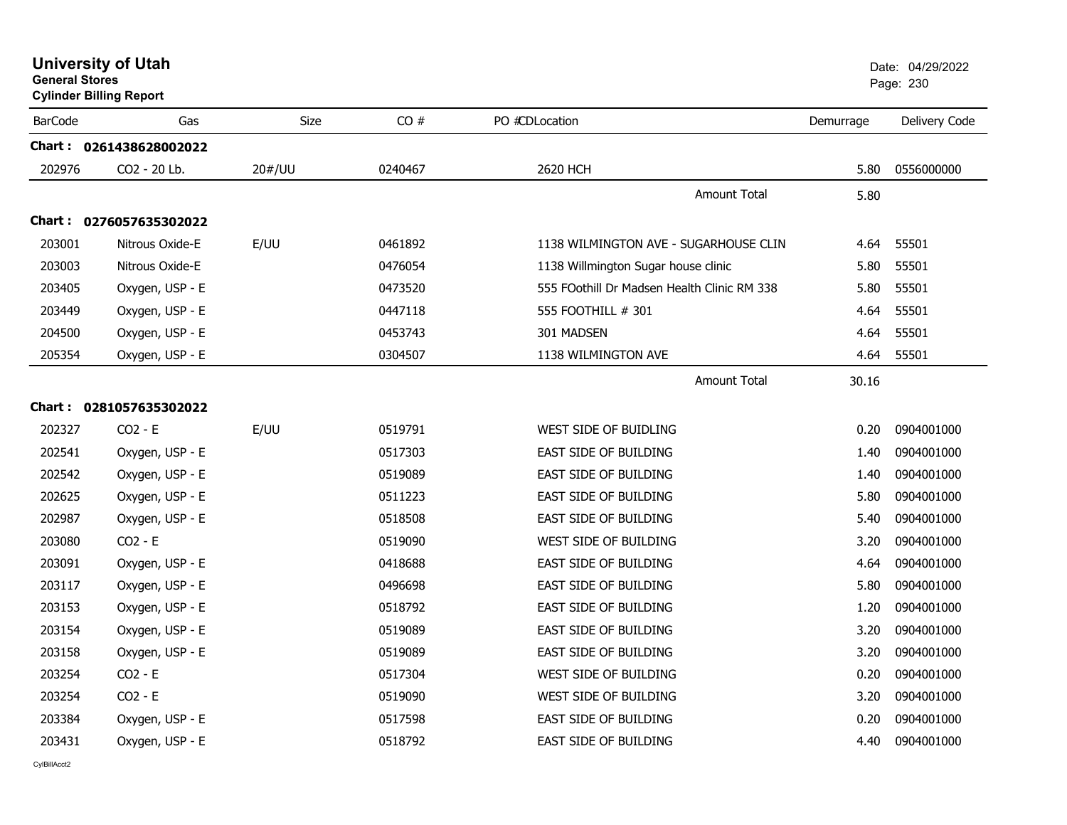|                | <b>Cylinder Billing Report</b> |             | ı ayu. zuu |                                             |           |               |
|----------------|--------------------------------|-------------|------------|---------------------------------------------|-----------|---------------|
| <b>BarCode</b> | Gas                            | <b>Size</b> | CO#        | PO #CDLocation                              | Demurrage | Delivery Code |
|                | Chart: 0261438628002022        |             |            |                                             |           |               |
| 202976         | CO2 - 20 Lb.                   | 20#/UU      | 0240467    | 2620 HCH                                    | 5.80      | 0556000000    |
|                |                                |             |            | Amount Total                                | 5.80      |               |
|                | Chart: 0276057635302022        |             |            |                                             |           |               |
| 203001         | Nitrous Oxide-E                | E/UU        | 0461892    | 1138 WILMINGTON AVE - SUGARHOUSE CLIN       | 4.64      | 55501         |
| 203003         | Nitrous Oxide-E                |             | 0476054    | 1138 Willmington Sugar house clinic         | 5.80      | 55501         |
| 203405         | Oxygen, USP - E                |             | 0473520    | 555 FOothill Dr Madsen Health Clinic RM 338 | 5.80      | 55501         |
| 203449         | Oxygen, USP - E                |             | 0447118    | 555 FOOTHILL # 301                          | 4.64      | 55501         |
| 204500         | Oxygen, USP - E                |             | 0453743    | 301 MADSEN                                  | 4.64      | 55501         |
| 205354         | Oxygen, USP - E                |             | 0304507    | 1138 WILMINGTON AVE                         | 4.64      | 55501         |
|                |                                |             |            | <b>Amount Total</b>                         | 30.16     |               |
|                | Chart: 0281057635302022        |             |            |                                             |           |               |
| 202327         | $CO2 - E$                      | E/UU        | 0519791    | WEST SIDE OF BUIDLING                       | 0.20      | 0904001000    |
| 202541         | Oxygen, USP - E                |             | 0517303    | EAST SIDE OF BUILDING                       | 1.40      | 0904001000    |
| 202542         | Oxygen, USP - E                |             | 0519089    | EAST SIDE OF BUILDING                       | 1.40      | 0904001000    |
| 202625         | Oxygen, USP - E                |             | 0511223    | EAST SIDE OF BUILDING                       | 5.80      | 0904001000    |
| 202987         | Oxygen, USP - E                |             | 0518508    | EAST SIDE OF BUILDING                       | 5.40      | 0904001000    |
| 203080         | $CO2 - E$                      |             | 0519090    | WEST SIDE OF BUILDING                       | 3.20      | 0904001000    |
| 203091         | Oxygen, USP - E                |             | 0418688    | EAST SIDE OF BUILDING                       | 4.64      | 0904001000    |
| 203117         | Oxygen, USP - E                |             | 0496698    | EAST SIDE OF BUILDING                       | 5.80      | 0904001000    |
| 203153         | Oxygen, USP - E                |             | 0518792    | <b>EAST SIDE OF BUILDING</b>                | 1.20      | 0904001000    |
| 203154         | Oxygen, USP - E                |             | 0519089    | <b>EAST SIDE OF BUILDING</b>                | 3.20      | 0904001000    |
| 203158         | Oxygen, USP - E                |             | 0519089    | EAST SIDE OF BUILDING                       | 3.20      | 0904001000    |
| 203254         | $CO2 - E$                      |             | 0517304    | WEST SIDE OF BUILDING                       | 0.20      | 0904001000    |
| 203254         | $CO2 - E$                      |             | 0519090    | WEST SIDE OF BUILDING                       | 3.20      | 0904001000    |
| 203384         | Oxygen, USP - E                |             | 0517598    | EAST SIDE OF BUILDING                       | 0.20      | 0904001000    |
| 203431         | Oxygen, USP - E                |             | 0518792    | <b>EAST SIDE OF BUILDING</b>                | 4.40      | 0904001000    |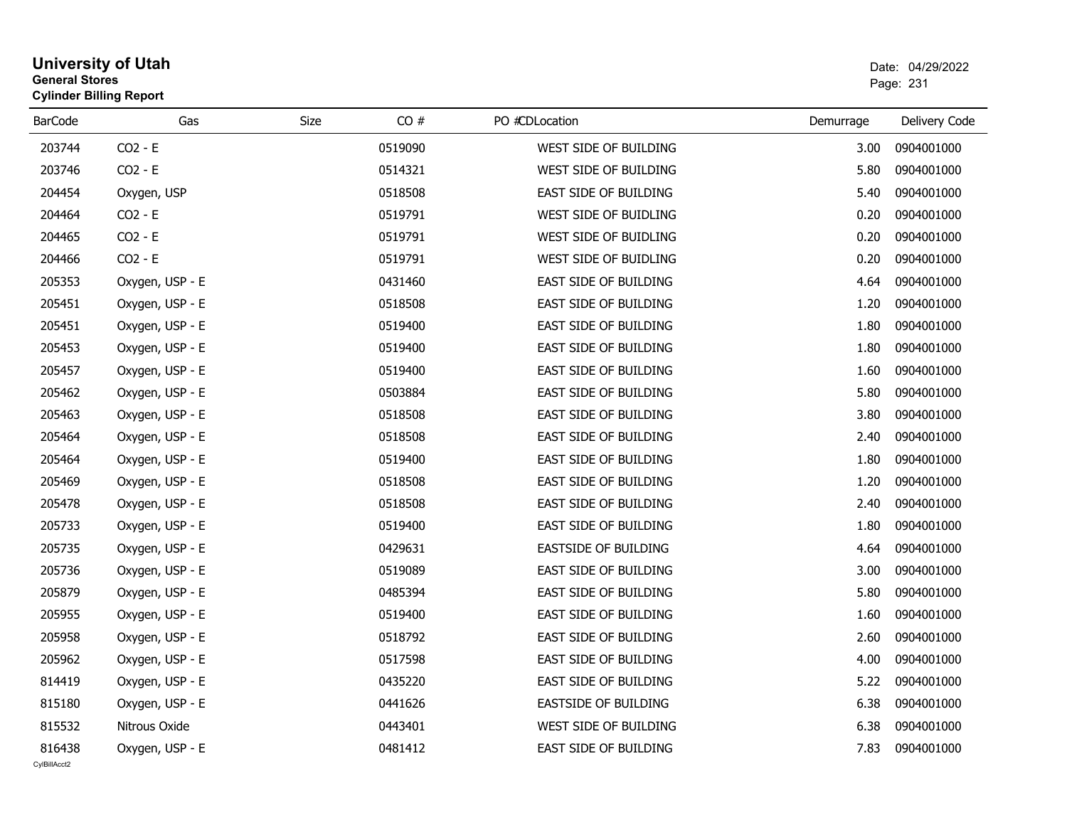# **University of Utah** Date: 04/29/2022 **General Stores**er and the state of the state of the state of the state of the state of the state of the Page: 231  $\,$ **Cylinder Billing Report**

| <b>BarCode</b> | Gas             | Size | CO#     | PO #CDLocation              | Demurrage | Delivery Code |
|----------------|-----------------|------|---------|-----------------------------|-----------|---------------|
| 203744         | $CO2 - E$       |      | 0519090 | WEST SIDE OF BUILDING       | 3.00      | 0904001000    |
| 203746         | $CO2 - E$       |      | 0514321 | WEST SIDE OF BUILDING       | 5.80      | 0904001000    |
| 204454         | Oxygen, USP     |      | 0518508 | EAST SIDE OF BUILDING       | 5.40      | 0904001000    |
| 204464         | $CO2 - E$       |      | 0519791 | WEST SIDE OF BUIDLING       | 0.20      | 0904001000    |
| 204465         | $CO2 - E$       |      | 0519791 | WEST SIDE OF BUIDLING       | 0.20      | 0904001000    |
| 204466         | $CO2 - E$       |      | 0519791 | WEST SIDE OF BUIDLING       | 0.20      | 0904001000    |
| 205353         | Oxygen, USP - E |      | 0431460 | EAST SIDE OF BUILDING       | 4.64      | 0904001000    |
| 205451         | Oxygen, USP - E |      | 0518508 | EAST SIDE OF BUILDING       | 1.20      | 0904001000    |
| 205451         | Oxygen, USP - E |      | 0519400 | EAST SIDE OF BUILDING       | 1.80      | 0904001000    |
| 205453         | Oxygen, USP - E |      | 0519400 | EAST SIDE OF BUILDING       | 1.80      | 0904001000    |
| 205457         | Oxygen, USP - E |      | 0519400 | EAST SIDE OF BUILDING       | 1.60      | 0904001000    |
| 205462         | Oxygen, USP - E |      | 0503884 | EAST SIDE OF BUILDING       | 5.80      | 0904001000    |
| 205463         | Oxygen, USP - E |      | 0518508 | EAST SIDE OF BUILDING       | 3.80      | 0904001000    |
| 205464         | Oxygen, USP - E |      | 0518508 | EAST SIDE OF BUILDING       | 2.40      | 0904001000    |
| 205464         | Oxygen, USP - E |      | 0519400 | EAST SIDE OF BUILDING       | 1.80      | 0904001000    |
| 205469         | Oxygen, USP - E |      | 0518508 | EAST SIDE OF BUILDING       | 1.20      | 0904001000    |
| 205478         | Oxygen, USP - E |      | 0518508 | EAST SIDE OF BUILDING       | 2.40      | 0904001000    |
| 205733         | Oxygen, USP - E |      | 0519400 | EAST SIDE OF BUILDING       | 1.80      | 0904001000    |
| 205735         | Oxygen, USP - E |      | 0429631 | EASTSIDE OF BUILDING        | 4.64      | 0904001000    |
| 205736         | Oxygen, USP - E |      | 0519089 | EAST SIDE OF BUILDING       | 3.00      | 0904001000    |
| 205879         | Oxygen, USP - E |      | 0485394 | EAST SIDE OF BUILDING       | 5.80      | 0904001000    |
| 205955         | Oxygen, USP - E |      | 0519400 | EAST SIDE OF BUILDING       | 1.60      | 0904001000    |
| 205958         | Oxygen, USP - E |      | 0518792 | EAST SIDE OF BUILDING       | 2.60      | 0904001000    |
| 205962         | Oxygen, USP - E |      | 0517598 | EAST SIDE OF BUILDING       | 4.00      | 0904001000    |
| 814419         | Oxygen, USP - E |      | 0435220 | EAST SIDE OF BUILDING       | 5.22      | 0904001000    |
| 815180         | Oxygen, USP - E |      | 0441626 | <b>EASTSIDE OF BUILDING</b> | 6.38      | 0904001000    |
| 815532         | Nitrous Oxide   |      | 0443401 | WEST SIDE OF BUILDING       | 6.38      | 0904001000    |
| 816438         | Oxygen, USP - E |      | 0481412 | EAST SIDE OF BUILDING       | 7.83      | 0904001000    |
| CvIBillAcct2   |                 |      |         |                             |           |               |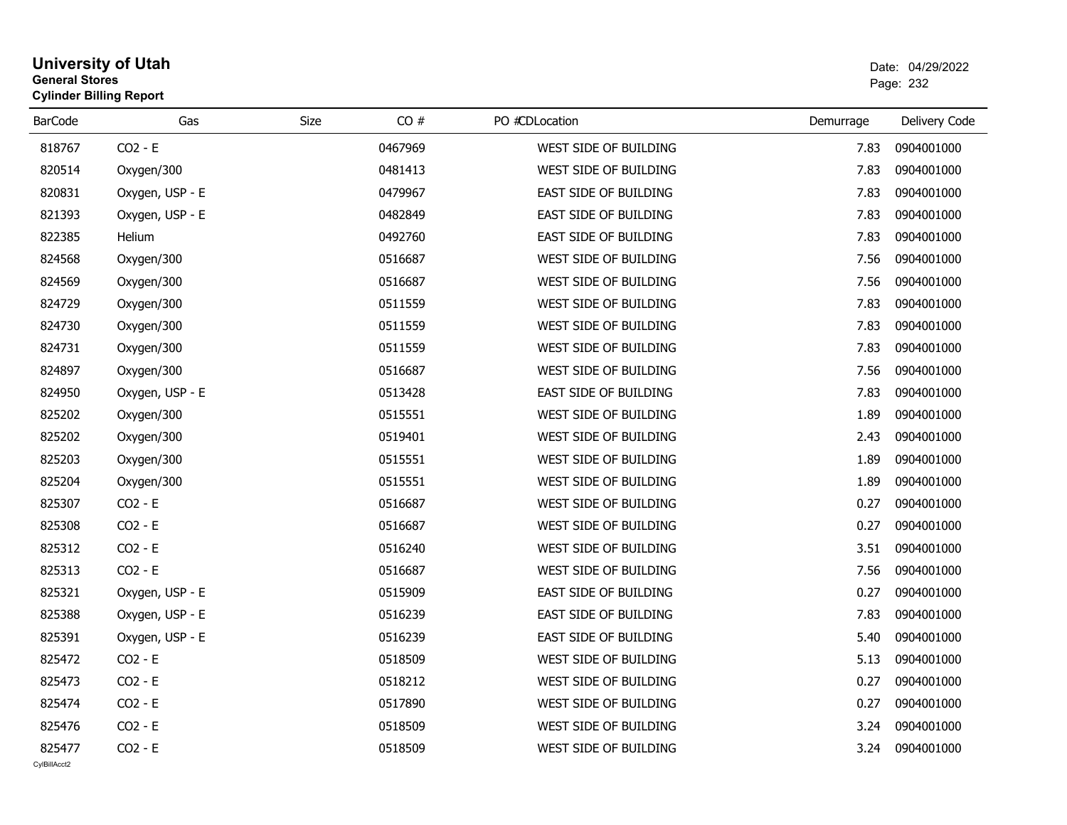# **University of Utah** Date: 04/29/2022 **General Stores**estate the control of the control of the control of the control of the control of the control of the control of the control of the control of the control of the control of the control of the control of the control of the c **Cylinder Billing Report**

| <b>BarCode</b>         | Gas             | CO#<br>Size | PO #CDLocation        | Demurrage | Delivery Code |
|------------------------|-----------------|-------------|-----------------------|-----------|---------------|
| 818767                 | $CO2 - E$       | 0467969     | WEST SIDE OF BUILDING | 7.83      | 0904001000    |
| 820514                 | Oxygen/300      | 0481413     | WEST SIDE OF BUILDING | 7.83      | 0904001000    |
| 820831                 | Oxygen, USP - E | 0479967     | EAST SIDE OF BUILDING | 7.83      | 0904001000    |
| 821393                 | Oxygen, USP - E | 0482849     | EAST SIDE OF BUILDING | 7.83      | 0904001000    |
| 822385                 | Helium          | 0492760     | EAST SIDE OF BUILDING | 7.83      | 0904001000    |
| 824568                 | Oxygen/300      | 0516687     | WEST SIDE OF BUILDING | 7.56      | 0904001000    |
| 824569                 | Oxygen/300      | 0516687     | WEST SIDE OF BUILDING | 7.56      | 0904001000    |
| 824729                 | Oxygen/300      | 0511559     | WEST SIDE OF BUILDING | 7.83      | 0904001000    |
| 824730                 | Oxygen/300      | 0511559     | WEST SIDE OF BUILDING | 7.83      | 0904001000    |
| 824731                 | Oxygen/300      | 0511559     | WEST SIDE OF BUILDING | 7.83      | 0904001000    |
| 824897                 | Oxygen/300      | 0516687     | WEST SIDE OF BUILDING | 7.56      | 0904001000    |
| 824950                 | Oxygen, USP - E | 0513428     | EAST SIDE OF BUILDING | 7.83      | 0904001000    |
| 825202                 | Oxygen/300      | 0515551     | WEST SIDE OF BUILDING | 1.89      | 0904001000    |
| 825202                 | Oxygen/300      | 0519401     | WEST SIDE OF BUILDING | 2.43      | 0904001000    |
| 825203                 | Oxygen/300      | 0515551     | WEST SIDE OF BUILDING | 1.89      | 0904001000    |
| 825204                 | Oxygen/300      | 0515551     | WEST SIDE OF BUILDING | 1.89      | 0904001000    |
| 825307                 | $CO2 - E$       | 0516687     | WEST SIDE OF BUILDING | 0.27      | 0904001000    |
| 825308                 | $CO2 - E$       | 0516687     | WEST SIDE OF BUILDING | 0.27      | 0904001000    |
| 825312                 | $CO2 - E$       | 0516240     | WEST SIDE OF BUILDING | 3.51      | 0904001000    |
| 825313                 | $CO2 - E$       | 0516687     | WEST SIDE OF BUILDING | 7.56      | 0904001000    |
| 825321                 | Oxygen, USP - E | 0515909     | EAST SIDE OF BUILDING | 0.27      | 0904001000    |
| 825388                 | Oxygen, USP - E | 0516239     | EAST SIDE OF BUILDING | 7.83      | 0904001000    |
| 825391                 | Oxygen, USP - E | 0516239     | EAST SIDE OF BUILDING | 5.40      | 0904001000    |
| 825472                 | $CO2 - E$       | 0518509     | WEST SIDE OF BUILDING | 5.13      | 0904001000    |
| 825473                 | $CO2 - E$       | 0518212     | WEST SIDE OF BUILDING | 0.27      | 0904001000    |
| 825474                 | $CO2 - E$       | 0517890     | WEST SIDE OF BUILDING | 0.27      | 0904001000    |
| 825476                 | $CO2 - E$       | 0518509     | WEST SIDE OF BUILDING | 3.24      | 0904001000    |
| 825477<br>CvIBillAcct2 | $CO2 - E$       | 0518509     | WEST SIDE OF BUILDING | 3.24      | 0904001000    |
|                        |                 |             |                       |           |               |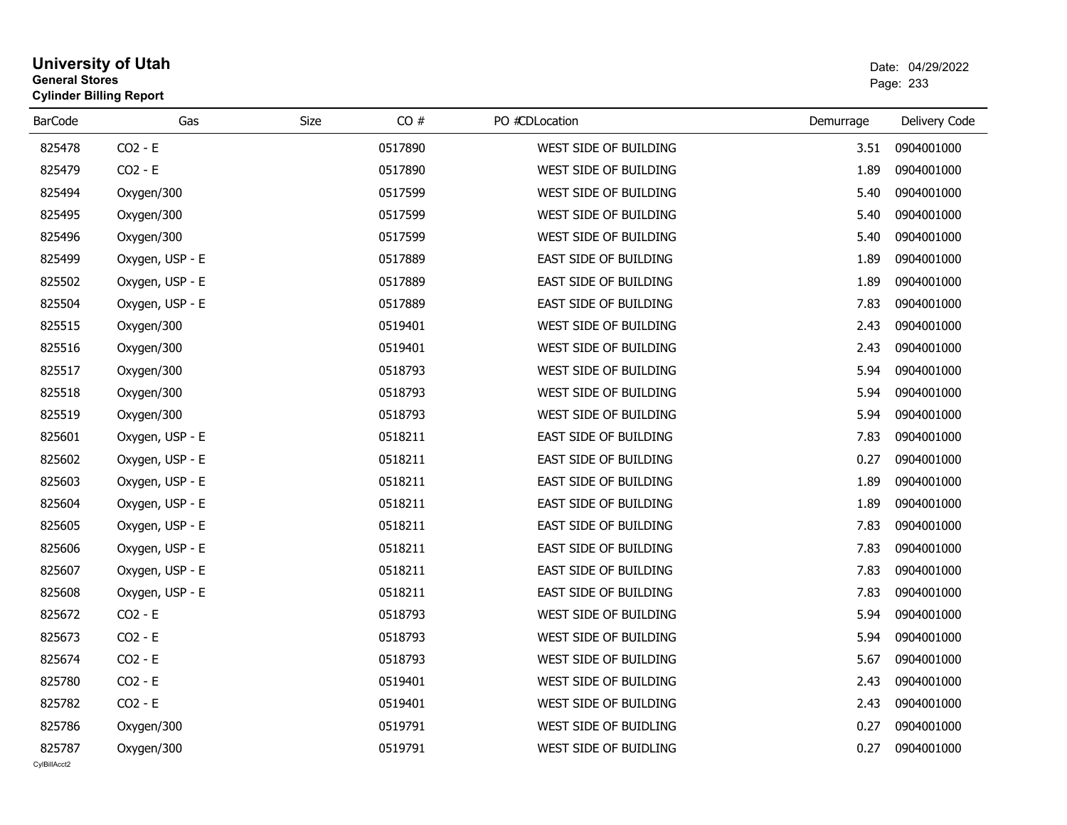# **University of Utah** Date: 04/29/2022 **General Stores**s and the contract of the contract of the contract of the contract of the contract of the contract of the contract of the contract of the contract of the contract of the contract of the contract of the contract of the cont **Cylinder Billing Report**

| <b>BarCode</b> | Gas             | CO#<br>Size | PO #CDLocation        | Demurrage | Delivery Code |
|----------------|-----------------|-------------|-----------------------|-----------|---------------|
|                |                 |             |                       |           |               |
| 825478         | $CO2 - E$       | 0517890     | WEST SIDE OF BUILDING | 3.51      | 0904001000    |
| 825479         | $CO2 - E$       | 0517890     | WEST SIDE OF BUILDING | 1.89      | 0904001000    |
| 825494         | Oxygen/300      | 0517599     | WEST SIDE OF BUILDING | 5.40      | 0904001000    |
| 825495         | Oxygen/300      | 0517599     | WEST SIDE OF BUILDING | 5.40      | 0904001000    |
| 825496         | Oxygen/300      | 0517599     | WEST SIDE OF BUILDING | 5.40      | 0904001000    |
| 825499         | Oxygen, USP - E | 0517889     | EAST SIDE OF BUILDING | 1.89      | 0904001000    |
| 825502         | Oxygen, USP - E | 0517889     | EAST SIDE OF BUILDING | 1.89      | 0904001000    |
| 825504         | Oxygen, USP - E | 0517889     | EAST SIDE OF BUILDING | 7.83      | 0904001000    |
| 825515         | Oxygen/300      | 0519401     | WEST SIDE OF BUILDING | 2.43      | 0904001000    |
| 825516         | Oxygen/300      | 0519401     | WEST SIDE OF BUILDING | 2.43      | 0904001000    |
| 825517         | Oxygen/300      | 0518793     | WEST SIDE OF BUILDING | 5.94      | 0904001000    |
| 825518         | Oxygen/300      | 0518793     | WEST SIDE OF BUILDING | 5.94      | 0904001000    |
| 825519         | Oxygen/300      | 0518793     | WEST SIDE OF BUILDING | 5.94      | 0904001000    |
| 825601         | Oxygen, USP - E | 0518211     | EAST SIDE OF BUILDING | 7.83      | 0904001000    |
| 825602         | Oxygen, USP - E | 0518211     | EAST SIDE OF BUILDING | 0.27      | 0904001000    |
| 825603         | Oxygen, USP - E | 0518211     | EAST SIDE OF BUILDING | 1.89      | 0904001000    |
| 825604         | Oxygen, USP - E | 0518211     | EAST SIDE OF BUILDING | 1.89      | 0904001000    |
| 825605         | Oxygen, USP - E | 0518211     | EAST SIDE OF BUILDING | 7.83      | 0904001000    |
| 825606         | Oxygen, USP - E | 0518211     | EAST SIDE OF BUILDING | 7.83      | 0904001000    |
| 825607         | Oxygen, USP - E | 0518211     | EAST SIDE OF BUILDING | 7.83      | 0904001000    |
| 825608         | Oxygen, USP - E | 0518211     | EAST SIDE OF BUILDING | 7.83      | 0904001000    |
| 825672         | $CO2 - E$       | 0518793     | WEST SIDE OF BUILDING | 5.94      | 0904001000    |
| 825673         | $CO2 - E$       | 0518793     | WEST SIDE OF BUILDING | 5.94      | 0904001000    |
| 825674         | $CO2 - E$       | 0518793     | WEST SIDE OF BUILDING | 5.67      | 0904001000    |
| 825780         | $CO2 - E$       | 0519401     | WEST SIDE OF BUILDING | 2.43      | 0904001000    |
| 825782         | $CO2 - E$       | 0519401     | WEST SIDE OF BUILDING | 2.43      | 0904001000    |
| 825786         | Oxygen/300      | 0519791     | WEST SIDE OF BUIDLING | 0.27      | 0904001000    |
| 825787         | Oxygen/300      | 0519791     | WEST SIDE OF BUIDLING | 0.27      | 0904001000    |
| CvIBillAcct2   |                 |             |                       |           |               |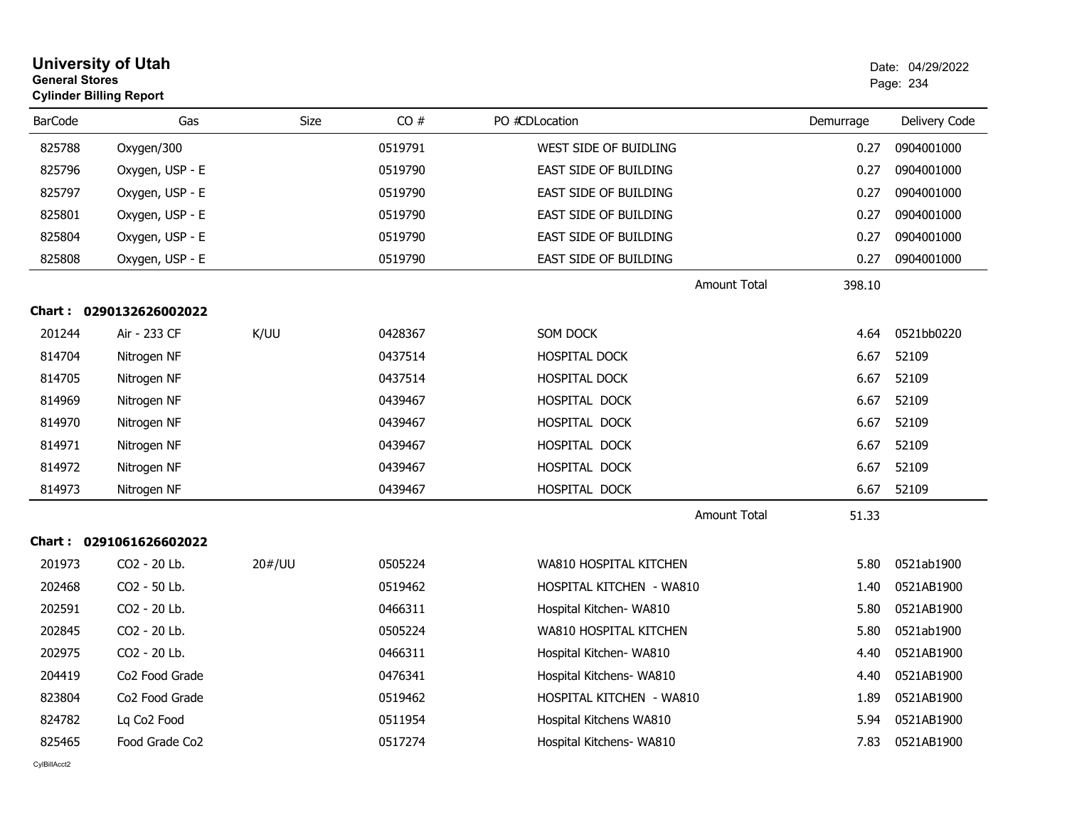| <b>University of Utah</b><br><b>General Stores</b><br><b>Cylinder Billing Report</b> |                            |        |         |                                 |           | Date: 04/29/2022<br>Page: 234 |  |
|--------------------------------------------------------------------------------------|----------------------------|--------|---------|---------------------------------|-----------|-------------------------------|--|
| <b>BarCode</b>                                                                       | Gas                        | Size   | CO#     | PO #CDLocation                  | Demurrage | Delivery Code                 |  |
| 825788                                                                               | Oxygen/300                 |        | 0519791 | WEST SIDE OF BUIDLING           | 0.27      | 0904001000                    |  |
| 825796                                                                               | Oxygen, USP - E            |        | 0519790 | <b>EAST SIDE OF BUILDING</b>    | 0.27      | 0904001000                    |  |
| 825797                                                                               | Oxygen, USP - E            |        | 0519790 | EAST SIDE OF BUILDING           | 0.27      | 0904001000                    |  |
| 825801                                                                               | Oxygen, USP - E            |        | 0519790 | EAST SIDE OF BUILDING           | 0.27      | 0904001000                    |  |
| 825804                                                                               | Oxygen, USP - E            |        | 0519790 | EAST SIDE OF BUILDING           | 0.27      | 0904001000                    |  |
| 825808                                                                               | Oxygen, USP - E            |        | 0519790 | EAST SIDE OF BUILDING           | 0.27      | 0904001000                    |  |
|                                                                                      |                            |        |         | <b>Amount Total</b>             | 398.10    |                               |  |
|                                                                                      | Chart: 0290132626002022    |        |         |                                 |           |                               |  |
| 201244                                                                               | Air - 233 CF               | K/UU   | 0428367 | SOM DOCK                        | 4.64      | 0521bb0220                    |  |
| 814704                                                                               | Nitrogen NF                |        | 0437514 | <b>HOSPITAL DOCK</b>            | 6.67      | 52109                         |  |
| 814705                                                                               | Nitrogen NF                |        | 0437514 | <b>HOSPITAL DOCK</b>            | 6.67      | 52109                         |  |
| 814969                                                                               | Nitrogen NF                |        | 0439467 | HOSPITAL DOCK                   | 6.67      | 52109                         |  |
| 814970                                                                               | Nitrogen NF                |        | 0439467 | HOSPITAL DOCK                   | 6.67      | 52109                         |  |
| 814971                                                                               | Nitrogen NF                |        | 0439467 | HOSPITAL DOCK                   | 6.67      | 52109                         |  |
| 814972                                                                               | Nitrogen NF                |        | 0439467 | HOSPITAL DOCK                   | 6.67      | 52109                         |  |
| 814973                                                                               | Nitrogen NF                |        | 0439467 | HOSPITAL DOCK                   | 6.67      | 52109                         |  |
|                                                                                      |                            |        |         | <b>Amount Total</b>             | 51.33     |                               |  |
|                                                                                      | Chart: 0291061626602022    |        |         |                                 |           |                               |  |
| 201973                                                                               | CO <sub>2</sub> - 20 Lb.   | 20#/UU | 0505224 | WA810 HOSPITAL KITCHEN          | 5.80      | 0521ab1900                    |  |
| 202468                                                                               | CO2 - 50 Lb.               |        | 0519462 | HOSPITAL KITCHEN - WA810        | 1.40      | 0521AB1900                    |  |
| 202591                                                                               | CO2 - 20 Lb.               |        | 0466311 | Hospital Kitchen- WA810         | 5.80      | 0521AB1900                    |  |
| 202845                                                                               | CO2 - 20 Lb.               |        | 0505224 | WA810 HOSPITAL KITCHEN          | 5.80      | 0521ab1900                    |  |
| 202975                                                                               | CO2 - 20 Lb.               |        | 0466311 | Hospital Kitchen- WA810         | 4.40      | 0521AB1900                    |  |
| 204419                                                                               | Co <sub>2</sub> Food Grade |        | 0476341 | Hospital Kitchens- WA810        | 4.40      | 0521AB1900                    |  |
| 823804                                                                               | Co <sub>2</sub> Food Grade |        | 0519462 | <b>HOSPITAL KITCHEN - WA810</b> | 1.89      | 0521AB1900                    |  |
| 824782                                                                               | Lq Co2 Food                |        | 0511954 | Hospital Kitchens WA810         | 5.94      | 0521AB1900                    |  |
| 825465                                                                               | Food Grade Co2             |        | 0517274 | Hospital Kitchens- WA810        | 7.83      | 0521AB1900                    |  |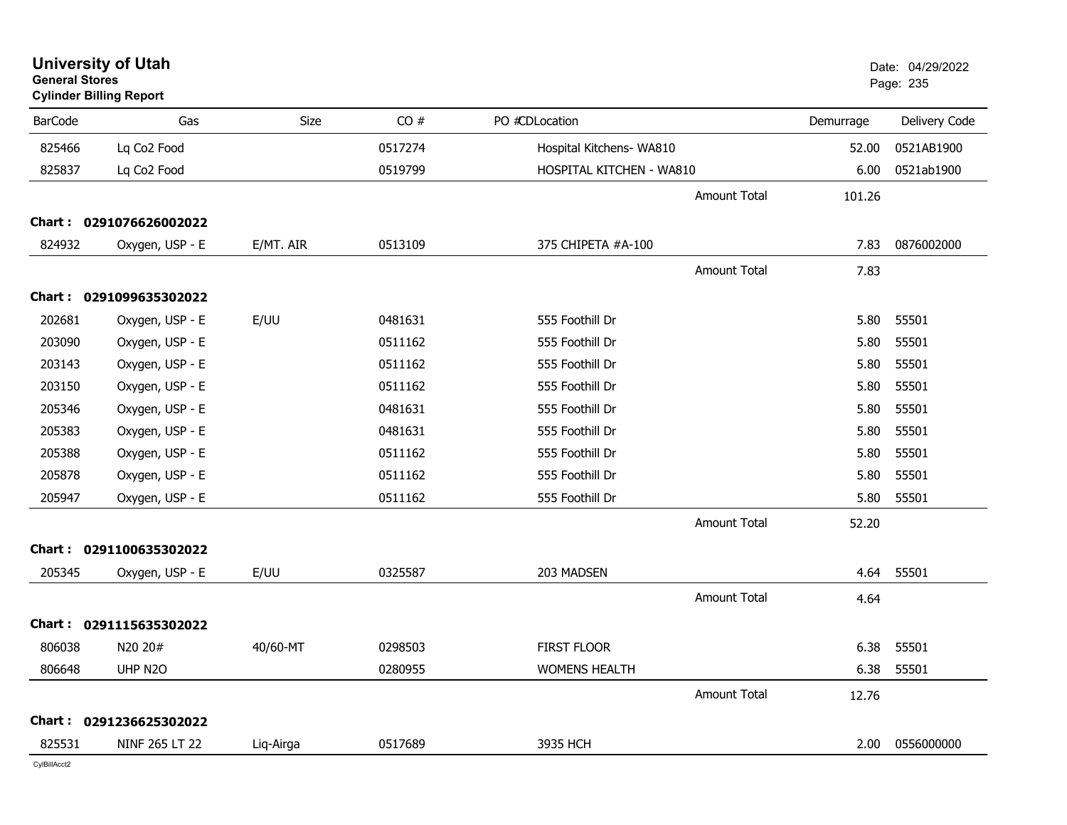| <b>University of Utah</b><br><b>General Stores</b><br><b>Cylinder Billing Report</b> |                         |           |         |                          |                     | Date: 04/29/2022<br>Page: 235 |               |
|--------------------------------------------------------------------------------------|-------------------------|-----------|---------|--------------------------|---------------------|-------------------------------|---------------|
| <b>BarCode</b>                                                                       | Gas                     | Size      | CO#     | PO #CDLocation           |                     | Demurrage                     | Delivery Code |
| 825466                                                                               | Lq Co <sub>2</sub> Food |           | 0517274 | Hospital Kitchens- WA810 |                     | 52.00                         | 0521AB1900    |
| 825837                                                                               | Lq Co <sub>2</sub> Food |           | 0519799 | HOSPITAL KITCHEN - WA810 |                     | 6.00                          | 0521ab1900    |
|                                                                                      |                         |           |         |                          | <b>Amount Total</b> | 101.26                        |               |
|                                                                                      | Chart: 0291076626002022 |           |         |                          |                     |                               |               |
| 824932                                                                               | Oxygen, USP - E         | E/MT. AIR | 0513109 | 375 CHIPETA #A-100       |                     | 7.83                          | 0876002000    |
|                                                                                      |                         |           |         |                          | <b>Amount Total</b> | 7.83                          |               |
|                                                                                      | Chart: 0291099635302022 |           |         |                          |                     |                               |               |
| 202681                                                                               | Oxygen, USP - E         | E/UU      | 0481631 | 555 Foothill Dr          |                     | 5.80                          | 55501         |
| 203090                                                                               | Oxygen, USP - E         |           | 0511162 | 555 Foothill Dr          |                     | 5.80                          | 55501         |
| 203143                                                                               | Oxygen, USP - E         |           | 0511162 | 555 Foothill Dr          |                     | 5.80                          | 55501         |
| 203150                                                                               | Oxygen, USP - E         |           | 0511162 | 555 Foothill Dr          |                     | 5.80                          | 55501         |
| 205346                                                                               | Oxygen, USP - E         |           | 0481631 | 555 Foothill Dr          |                     | 5.80                          | 55501         |
| 205383                                                                               | Oxygen, USP - E         |           | 0481631 | 555 Foothill Dr          |                     | 5.80                          | 55501         |
| 205388                                                                               | Oxygen, USP - E         |           | 0511162 | 555 Foothill Dr          |                     | 5.80                          | 55501         |
| 205878                                                                               | Oxygen, USP - E         |           | 0511162 | 555 Foothill Dr          |                     | 5.80                          | 55501         |
| 205947                                                                               | Oxygen, USP - E         |           | 0511162 | 555 Foothill Dr          |                     | 5.80                          | 55501         |
|                                                                                      |                         |           |         |                          | <b>Amount Total</b> | 52.20                         |               |
|                                                                                      | Chart: 0291100635302022 |           |         |                          |                     |                               |               |
| 205345                                                                               | Oxygen, USP - E         | E/UU      | 0325587 | 203 MADSEN               |                     | 4.64                          | 55501         |
|                                                                                      |                         |           |         |                          | <b>Amount Total</b> | 4.64                          |               |
|                                                                                      | Chart: 0291115635302022 |           |         |                          |                     |                               |               |
| 806038                                                                               | N20 20#                 | 40/60-MT  | 0298503 | <b>FIRST FLOOR</b>       |                     | 6.38                          | 55501         |
| 806648                                                                               | UHP N2O                 |           | 0280955 | <b>WOMENS HEALTH</b>     |                     | 6.38                          | 55501         |
|                                                                                      |                         |           |         |                          | <b>Amount Total</b> | 12.76                         |               |
|                                                                                      | Chart: 0291236625302022 |           |         |                          |                     |                               |               |
| 825531                                                                               | NINF 265 LT 22          | Liq-Airga | 0517689 | 3935 HCH                 |                     | 2.00                          | 0556000000    |
|                                                                                      |                         |           |         |                          |                     |                               |               |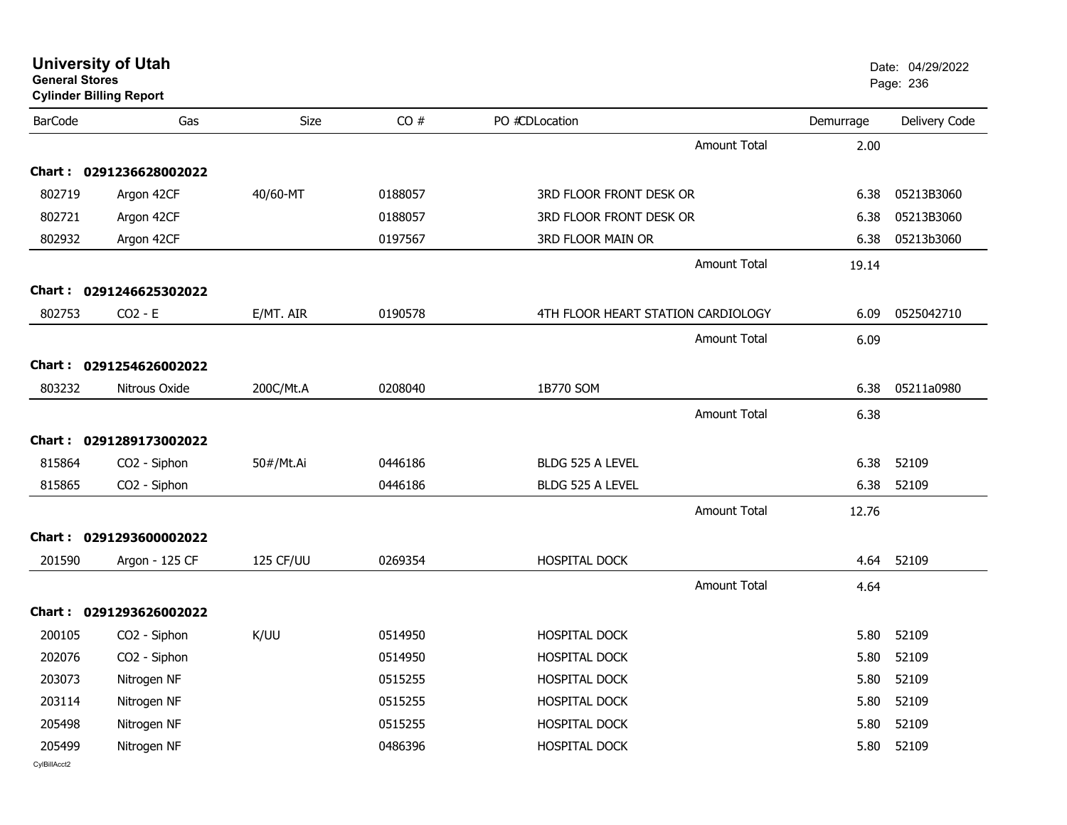| <b>University of Utah</b><br><b>General Stores</b><br><b>Cylinder Billing Report</b> |                          |           |         |                                    |           | Date: 04/29/2022<br>Page: 236 |
|--------------------------------------------------------------------------------------|--------------------------|-----------|---------|------------------------------------|-----------|-------------------------------|
| <b>BarCode</b>                                                                       | Gas                      | Size      | CO#     | PO #CDLocation                     | Demurrage | Delivery Code                 |
|                                                                                      |                          |           |         | Amount Total                       | 2.00      |                               |
|                                                                                      | Chart: 0291236628002022  |           |         |                                    |           |                               |
| 802719                                                                               | Argon 42CF               | 40/60-MT  | 0188057 | 3RD FLOOR FRONT DESK OR            | 6.38      | 05213B3060                    |
| 802721                                                                               | Argon 42CF               |           | 0188057 | 3RD FLOOR FRONT DESK OR            | 6.38      | 05213B3060                    |
| 802932                                                                               | Argon 42CF               |           | 0197567 | 3RD FLOOR MAIN OR                  | 6.38      | 05213b3060                    |
|                                                                                      |                          |           |         | Amount Total                       | 19.14     |                               |
|                                                                                      | Chart: 0291246625302022  |           |         |                                    |           |                               |
| 802753                                                                               | $CO2 - E$                | E/MT. AIR | 0190578 | 4TH FLOOR HEART STATION CARDIOLOGY | 6.09      | 0525042710                    |
|                                                                                      |                          |           |         | Amount Total                       | 6.09      |                               |
|                                                                                      | Chart: 0291254626002022  |           |         |                                    |           |                               |
| 803232                                                                               | Nitrous Oxide            | 200C/Mt.A | 0208040 | 1B770 SOM                          | 6.38      | 05211a0980                    |
|                                                                                      |                          |           |         | <b>Amount Total</b>                | 6.38      |                               |
|                                                                                      | Chart: 0291289173002022  |           |         |                                    |           |                               |
| 815864                                                                               | CO2 - Siphon             | 50#/Mt.Ai | 0446186 | BLDG 525 A LEVEL                   | 6.38      | 52109                         |
| 815865                                                                               | CO2 - Siphon             |           | 0446186 | BLDG 525 A LEVEL                   | 6.38      | 52109                         |
|                                                                                      |                          |           |         | <b>Amount Total</b>                | 12.76     |                               |
|                                                                                      | Chart: 0291293600002022  |           |         |                                    |           |                               |
| 201590                                                                               | Argon - 125 CF           | 125 CF/UU | 0269354 | HOSPITAL DOCK                      | 4.64      | 52109                         |
|                                                                                      |                          |           |         | <b>Amount Total</b>                | 4.64      |                               |
|                                                                                      | Chart: 0291293626002022  |           |         |                                    |           |                               |
| 200105                                                                               | CO <sub>2</sub> - Siphon | K/UU      | 0514950 | HOSPITAL DOCK                      | 5.80      | 52109                         |
| 202076                                                                               | CO2 - Siphon             |           | 0514950 | HOSPITAL DOCK                      | 5.80      | 52109                         |
| 203073                                                                               | Nitrogen NF              |           | 0515255 | HOSPITAL DOCK                      | 5.80      | 52109                         |
| 203114                                                                               | Nitrogen NF              |           | 0515255 | HOSPITAL DOCK                      | 5.80      | 52109                         |
| 205498                                                                               | Nitrogen NF              |           | 0515255 | HOSPITAL DOCK                      | 5.80      | 52109                         |
| 205499                                                                               | Nitrogen NF              |           | 0486396 | HOSPITAL DOCK                      | 5.80      | 52109                         |
| CvIBillAcct2                                                                         |                          |           |         |                                    |           |                               |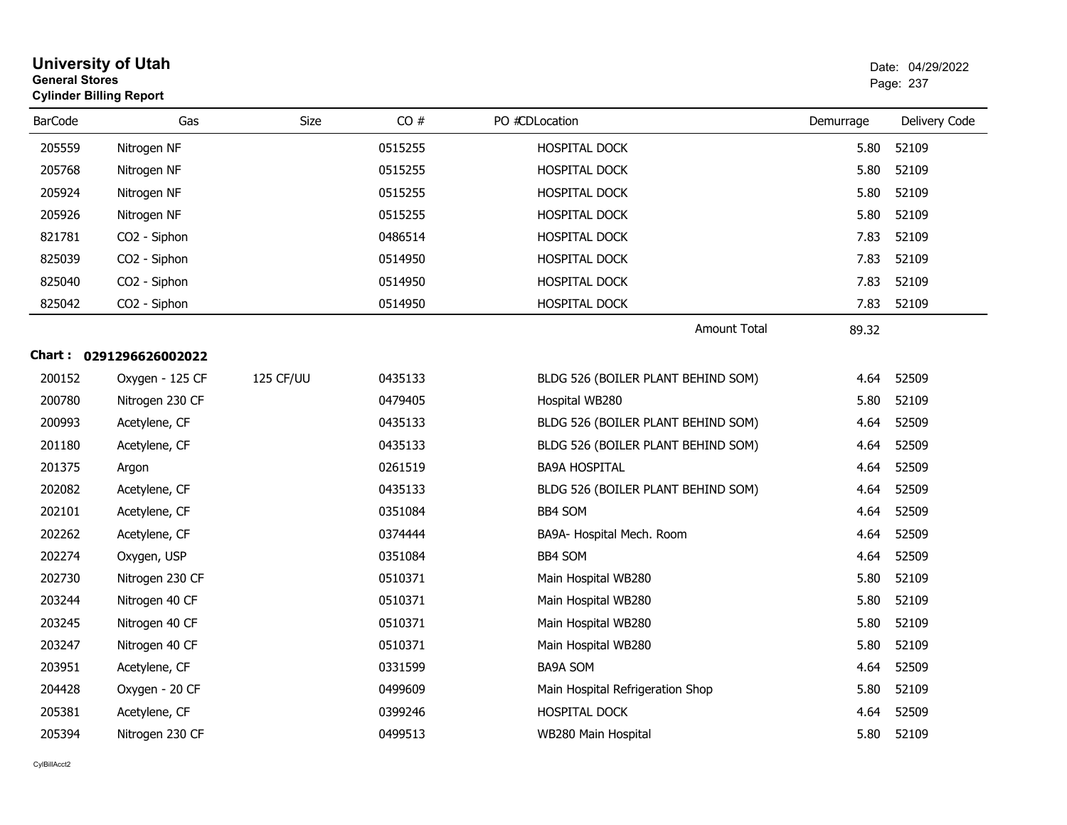|                | <b>University of Utah</b><br><b>General Stores</b><br><b>Cylinder Billing Report</b> |           |         |                                    |           | Date: 04/29/2022<br>Page: 237 |
|----------------|--------------------------------------------------------------------------------------|-----------|---------|------------------------------------|-----------|-------------------------------|
| <b>BarCode</b> | Gas                                                                                  | Size      | CO#     | PO #CDLocation                     | Demurrage | Delivery Code                 |
| 205559         | Nitrogen NF                                                                          |           | 0515255 | <b>HOSPITAL DOCK</b>               | 5.80      | 52109                         |
| 205768         | Nitrogen NF                                                                          |           | 0515255 | HOSPITAL DOCK                      | 5.80      | 52109                         |
| 205924         | Nitrogen NF                                                                          |           | 0515255 | <b>HOSPITAL DOCK</b>               | 5.80      | 52109                         |
| 205926         | Nitrogen NF                                                                          |           | 0515255 | HOSPITAL DOCK                      | 5.80      | 52109                         |
| 821781         | CO2 - Siphon                                                                         |           | 0486514 | <b>HOSPITAL DOCK</b>               | 7.83      | 52109                         |
| 825039         | CO2 - Siphon                                                                         |           | 0514950 | HOSPITAL DOCK                      | 7.83      | 52109                         |
| 825040         | CO2 - Siphon                                                                         |           | 0514950 | HOSPITAL DOCK                      | 7.83      | 52109                         |
| 825042         | CO2 - Siphon                                                                         |           | 0514950 | HOSPITAL DOCK                      | 7.83      | 52109                         |
|                |                                                                                      |           |         | Amount Total                       | 89.32     |                               |
|                | Chart: 0291296626002022                                                              |           |         |                                    |           |                               |
| 200152         | Oxygen - 125 CF                                                                      | 125 CF/UU | 0435133 | BLDG 526 (BOILER PLANT BEHIND SOM) | 4.64      | 52509                         |
| 200780         | Nitrogen 230 CF                                                                      |           | 0479405 | Hospital WB280                     | 5.80      | 52109                         |
| 200993         | Acetylene, CF                                                                        |           | 0435133 | BLDG 526 (BOILER PLANT BEHIND SOM) | 4.64      | 52509                         |
| 201180         | Acetylene, CF                                                                        |           | 0435133 | BLDG 526 (BOILER PLANT BEHIND SOM) | 4.64      | 52509                         |
| 201375         | Argon                                                                                |           | 0261519 | <b>BA9A HOSPITAL</b>               | 4.64      | 52509                         |
| 202082         | Acetylene, CF                                                                        |           | 0435133 | BLDG 526 (BOILER PLANT BEHIND SOM) | 4.64      | 52509                         |
| 202101         | Acetylene, CF                                                                        |           | 0351084 | <b>BB4 SOM</b>                     | 4.64      | 52509                         |
| 202262         | Acetylene, CF                                                                        |           | 0374444 | BA9A- Hospital Mech. Room          | 4.64      | 52509                         |
| 202274         | Oxygen, USP                                                                          |           | 0351084 | BB4 SOM                            | 4.64      | 52509                         |
| 202730         | Nitrogen 230 CF                                                                      |           | 0510371 | Main Hospital WB280                | 5.80      | 52109                         |
| 203244         | Nitrogen 40 CF                                                                       |           | 0510371 | Main Hospital WB280                | 5.80      | 52109                         |
| 203245         | Nitrogen 40 CF                                                                       |           | 0510371 | Main Hospital WB280                | 5.80      | 52109                         |
| 203247         | Nitrogen 40 CF                                                                       |           | 0510371 | Main Hospital WB280                | 5.80      | 52109                         |
| 203951         | Acetylene, CF                                                                        |           | 0331599 | <b>BA9A SOM</b>                    | 4.64      | 52509                         |
| 204428         | Oxygen - 20 CF                                                                       |           | 0499609 | Main Hospital Refrigeration Shop   | 5.80      | 52109                         |
| 205381         | Acetylene, CF                                                                        |           | 0399246 | HOSPITAL DOCK                      | 4.64      | 52509                         |
| 205394         | Nitrogen 230 CF                                                                      |           | 0499513 | WB280 Main Hospital                | 5.80      | 52109                         |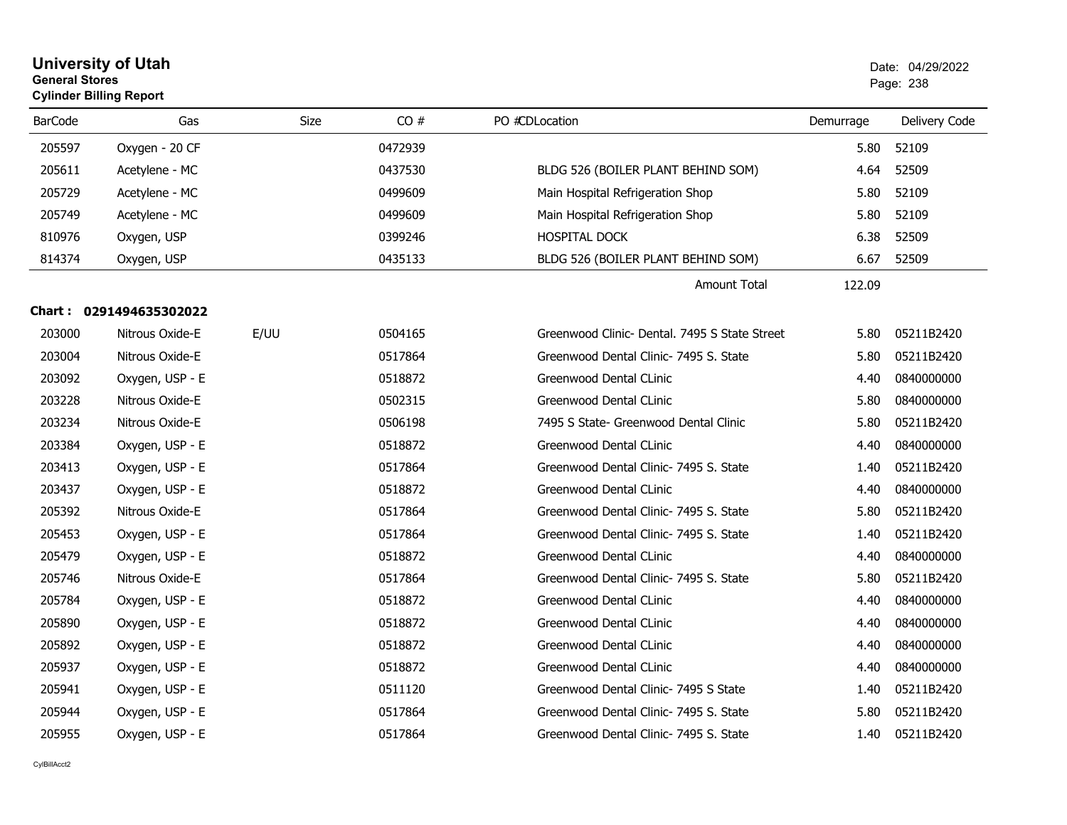|                | <b>General Stores</b><br><b>Cylinder Billing Report</b> |      |         |                                               |           |               |
|----------------|---------------------------------------------------------|------|---------|-----------------------------------------------|-----------|---------------|
| <b>BarCode</b> | Gas                                                     | Size | CO#     | PO #CDLocation                                | Demurrage | Delivery Code |
| 205597         | Oxygen - 20 CF                                          |      | 0472939 |                                               | 5.80      | 52109         |
| 205611         | Acetylene - MC                                          |      | 0437530 | BLDG 526 (BOILER PLANT BEHIND SOM)            | 4.64      | 52509         |
| 205729         | Acetylene - MC                                          |      | 0499609 | Main Hospital Refrigeration Shop              | 5.80      | 52109         |
| 205749         | Acetylene - MC                                          |      | 0499609 | Main Hospital Refrigeration Shop              | 5.80      | 52109         |
| 810976         | Oxygen, USP                                             |      | 0399246 | <b>HOSPITAL DOCK</b>                          | 6.38      | 52509         |
| 814374         | Oxygen, USP                                             |      | 0435133 | BLDG 526 (BOILER PLANT BEHIND SOM)            | 6.67      | 52509         |
|                |                                                         |      |         | <b>Amount Total</b>                           | 122.09    |               |
|                | Chart: 0291494635302022                                 |      |         |                                               |           |               |
| 203000         | Nitrous Oxide-E                                         | E/UU | 0504165 | Greenwood Clinic- Dental. 7495 S State Street | 5.80      | 05211B2420    |
| 203004         | Nitrous Oxide-E                                         |      | 0517864 | Greenwood Dental Clinic- 7495 S. State        | 5.80      | 05211B2420    |
| 203092         | Oxygen, USP - E                                         |      | 0518872 | Greenwood Dental CLinic                       | 4.40      | 0840000000    |
| 203228         | Nitrous Oxide-E                                         |      | 0502315 | Greenwood Dental CLinic                       | 5.80      | 0840000000    |
| 203234         | Nitrous Oxide-E                                         |      | 0506198 | 7495 S State- Greenwood Dental Clinic         | 5.80      | 05211B2420    |
| 203384         | Oxygen, USP - E                                         |      | 0518872 | Greenwood Dental CLinic                       | 4.40      | 0840000000    |
| 203413         | Oxygen, USP - E                                         |      | 0517864 | Greenwood Dental Clinic- 7495 S. State        | 1.40      | 05211B2420    |
| 203437         | Oxygen, USP - E                                         |      | 0518872 | Greenwood Dental CLinic                       | 4.40      | 0840000000    |
| 205392         | Nitrous Oxide-E                                         |      | 0517864 | Greenwood Dental Clinic- 7495 S. State        | 5.80      | 05211B2420    |
| 205453         | Oxygen, USP - E                                         |      | 0517864 | Greenwood Dental Clinic- 7495 S. State        | 1.40      | 05211B2420    |
| 205479         | Oxygen, USP - E                                         |      | 0518872 | Greenwood Dental CLinic                       | 4.40      | 0840000000    |
| 205746         | Nitrous Oxide-E                                         |      | 0517864 | Greenwood Dental Clinic- 7495 S. State        | 5.80      | 05211B2420    |
| 205784         | Oxygen, USP - E                                         |      | 0518872 | Greenwood Dental CLinic                       | 4.40      | 0840000000    |
| 205890         | Oxygen, USP - E                                         |      | 0518872 | Greenwood Dental CLinic                       | 4.40      | 0840000000    |
| 205892         | Oxygen, USP - E                                         |      | 0518872 | Greenwood Dental CLinic                       | 4.40      | 0840000000    |
| 205937         | Oxygen, USP - E                                         |      | 0518872 | Greenwood Dental CLinic                       | 4.40      | 0840000000    |
| 205941         | Oxygen, USP - E                                         |      | 0511120 | Greenwood Dental Clinic- 7495 S State         | 1.40      | 05211B2420    |
| 205944         | Oxygen, USP - E                                         |      | 0517864 | Greenwood Dental Clinic- 7495 S. State        | 5.80      | 05211B2420    |
| 205955         | Oxygen, USP - E                                         |      | 0517864 | Greenwood Dental Clinic- 7495 S. State        | 1.40      | 05211B2420    |

**University of Utah**  Date: 04/29/2022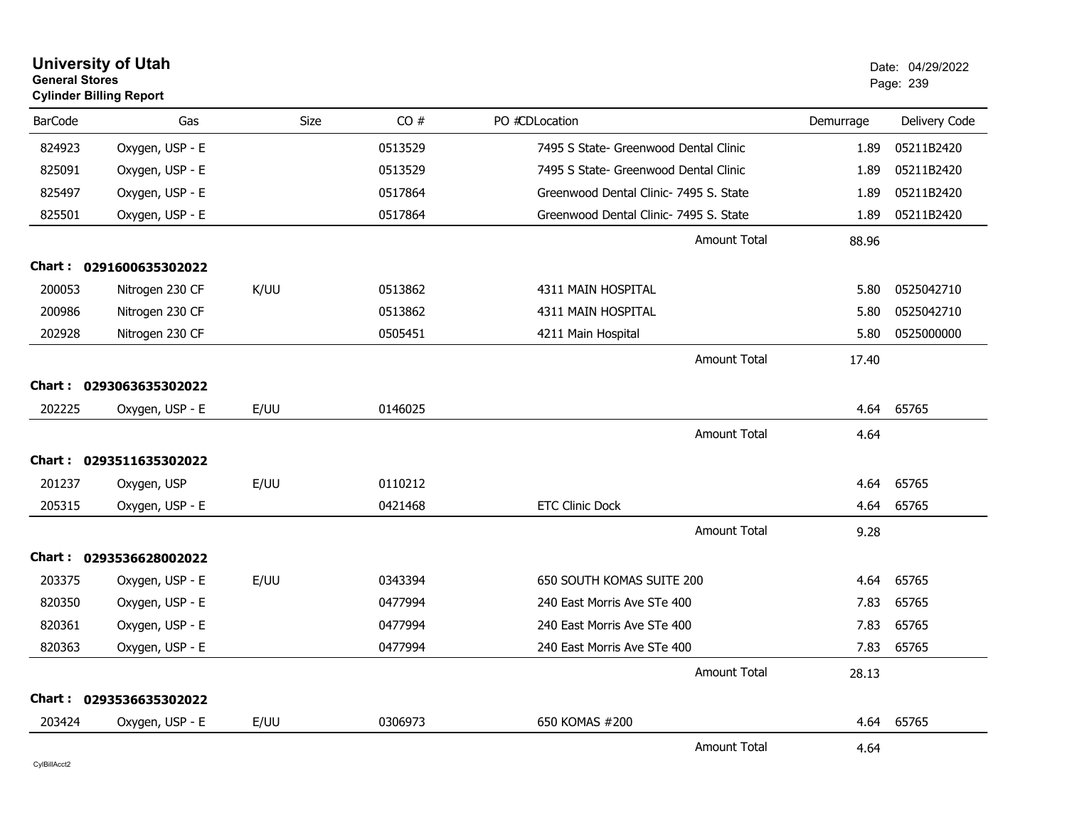| <b>University of Utah</b><br><b>General Stores</b><br><b>Cylinder Billing Report</b> |                         |             | Date: 04/29/2022<br>Page: 239 |                                        |           |               |
|--------------------------------------------------------------------------------------|-------------------------|-------------|-------------------------------|----------------------------------------|-----------|---------------|
| <b>BarCode</b>                                                                       | Gas                     | <b>Size</b> | CO#                           | PO #CDLocation                         | Demurrage | Delivery Code |
| 824923                                                                               | Oxygen, USP - E         |             | 0513529                       | 7495 S State- Greenwood Dental Clinic  | 1.89      | 05211B2420    |
| 825091                                                                               | Oxygen, USP - E         |             | 0513529                       | 7495 S State- Greenwood Dental Clinic  | 1.89      | 05211B2420    |
| 825497                                                                               | Oxygen, USP - E         |             | 0517864                       | Greenwood Dental Clinic- 7495 S. State | 1.89      | 05211B2420    |
| 825501                                                                               | Oxygen, USP - E         |             | 0517864                       | Greenwood Dental Clinic- 7495 S. State | 1.89      | 05211B2420    |
|                                                                                      |                         |             |                               | <b>Amount Total</b>                    | 88.96     |               |
|                                                                                      | Chart: 0291600635302022 |             |                               |                                        |           |               |
| 200053                                                                               | Nitrogen 230 CF         | K/UU        | 0513862                       | <b>4311 MAIN HOSPITAL</b>              | 5.80      | 0525042710    |
| 200986                                                                               | Nitrogen 230 CF         |             | 0513862                       | 4311 MAIN HOSPITAL                     | 5.80      | 0525042710    |
| 202928                                                                               | Nitrogen 230 CF         |             | 0505451                       | 4211 Main Hospital                     | 5.80      | 0525000000    |
|                                                                                      |                         |             |                               | <b>Amount Total</b>                    | 17.40     |               |
|                                                                                      | Chart: 0293063635302022 |             |                               |                                        |           |               |
| 202225                                                                               | Oxygen, USP - E         | E/UU        | 0146025                       |                                        | 4.64      | 65765         |
|                                                                                      |                         |             |                               | <b>Amount Total</b>                    | 4.64      |               |
|                                                                                      | Chart: 0293511635302022 |             |                               |                                        |           |               |
| 201237                                                                               | Oxygen, USP             | E/UU        | 0110212                       |                                        | 4.64      | 65765         |
| 205315                                                                               | Oxygen, USP - E         |             | 0421468                       | <b>ETC Clinic Dock</b>                 | 4.64      | 65765         |
|                                                                                      |                         |             |                               | <b>Amount Total</b>                    | 9.28      |               |
|                                                                                      | Chart: 0293536628002022 |             |                               |                                        |           |               |
| 203375                                                                               | Oxygen, USP - E         | E/UU        | 0343394                       | 650 SOUTH KOMAS SUITE 200              | 4.64      | 65765         |
| 820350                                                                               | Oxygen, USP - E         |             | 0477994                       | 240 East Morris Ave STe 400            | 7.83      | 65765         |
| 820361                                                                               | Oxygen, USP - E         |             | 0477994                       | 240 East Morris Ave STe 400            | 7.83      | 65765         |
| 820363                                                                               | Oxygen, USP - E         |             | 0477994                       | 240 East Morris Ave STe 400            | 7.83      | 65765         |
|                                                                                      |                         |             |                               | Amount Total                           | 28.13     |               |
|                                                                                      | Chart: 0293536635302022 |             |                               |                                        |           |               |
| 203424                                                                               | Oxygen, USP - E         | E/UU        | 0306973                       | 650 KOMAS #200                         | 4.64      | 65765         |
|                                                                                      |                         |             |                               | <b>Amount Total</b>                    | 4.64      |               |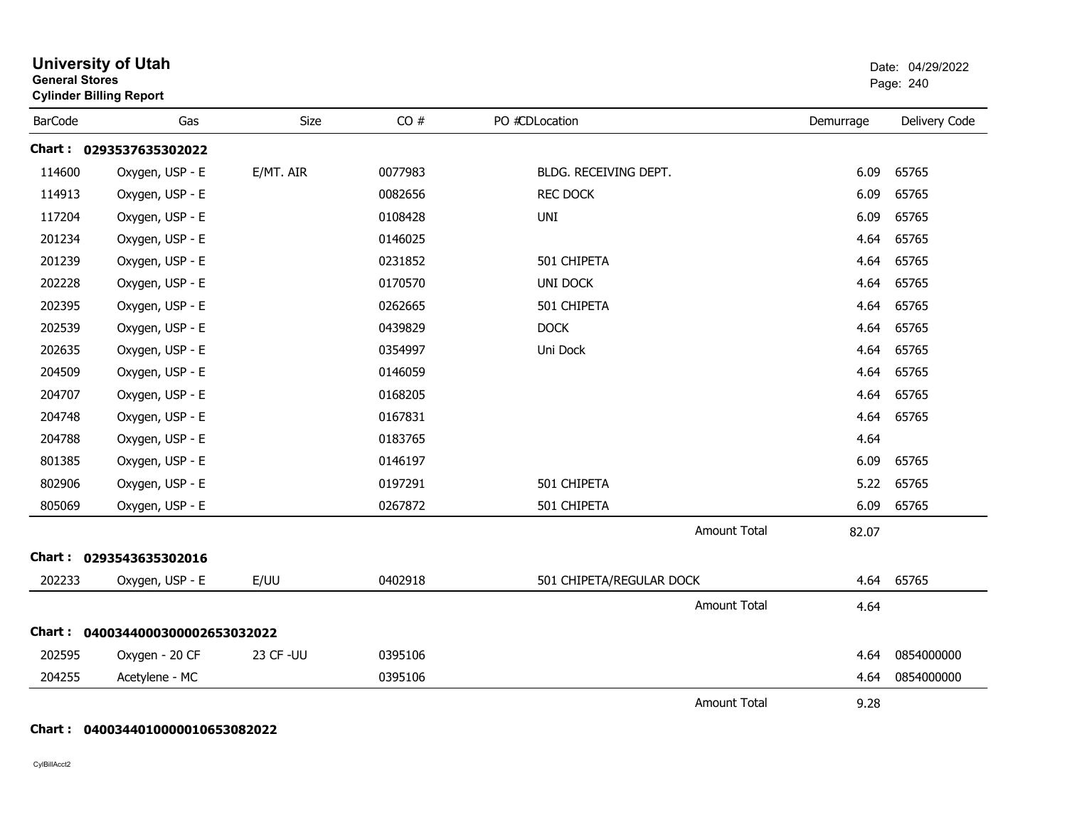| <b>University of Utah</b><br><b>General Stores</b><br><b>Cylinder Billing Report</b> |                                  |            |         |                          |           | Date: 04/29/2022<br>Page: 240 |  |
|--------------------------------------------------------------------------------------|----------------------------------|------------|---------|--------------------------|-----------|-------------------------------|--|
| <b>BarCode</b>                                                                       | Gas                              | Size       | CO#     | PO #CDLocation           | Demurrage | Delivery Code                 |  |
|                                                                                      | Chart: 0293537635302022          |            |         |                          |           |                               |  |
| 114600                                                                               | Oxygen, USP - E                  | E/MT. AIR  | 0077983 | BLDG. RECEIVING DEPT.    | 6.09      | 65765                         |  |
| 114913                                                                               | Oxygen, USP - E                  |            | 0082656 | <b>REC DOCK</b>          | 6.09      | 65765                         |  |
| 117204                                                                               | Oxygen, USP - E                  |            | 0108428 | <b>UNI</b>               | 6.09      | 65765                         |  |
| 201234                                                                               | Oxygen, USP - E                  |            | 0146025 |                          | 4.64      | 65765                         |  |
| 201239                                                                               | Oxygen, USP - E                  |            | 0231852 | 501 CHIPETA              | 4.64      | 65765                         |  |
| 202228                                                                               | Oxygen, USP - E                  |            | 0170570 | <b>UNI DOCK</b>          | 4.64      | 65765                         |  |
| 202395                                                                               | Oxygen, USP - E                  |            | 0262665 | 501 CHIPETA              | 4.64      | 65765                         |  |
| 202539                                                                               | Oxygen, USP - E                  |            | 0439829 | <b>DOCK</b>              | 4.64      | 65765                         |  |
| 202635                                                                               | Oxygen, USP - E                  |            | 0354997 | Uni Dock                 | 4.64      | 65765                         |  |
| 204509                                                                               | Oxygen, USP - E                  |            | 0146059 |                          | 4.64      | 65765                         |  |
| 204707                                                                               | Oxygen, USP - E                  |            | 0168205 |                          | 4.64      | 65765                         |  |
| 204748                                                                               | Oxygen, USP - E                  |            | 0167831 |                          | 4.64      | 65765                         |  |
| 204788                                                                               | Oxygen, USP - E                  |            | 0183765 |                          | 4.64      |                               |  |
| 801385                                                                               | Oxygen, USP - E                  |            | 0146197 |                          | 6.09      | 65765                         |  |
| 802906                                                                               | Oxygen, USP - E                  |            | 0197291 | 501 CHIPETA              | 5.22      | 65765                         |  |
| 805069                                                                               | Oxygen, USP - E                  |            | 0267872 | 501 CHIPETA              | 6.09      | 65765                         |  |
|                                                                                      |                                  |            |         | <b>Amount Total</b>      | 82.07     |                               |  |
|                                                                                      | Chart: 0293543635302016          |            |         |                          |           |                               |  |
| 202233                                                                               | Oxygen, USP - E                  | E/UU       | 0402918 | 501 CHIPETA/REGULAR DOCK | 4.64      | 65765                         |  |
|                                                                                      |                                  |            |         | <b>Amount Total</b>      | 4.64      |                               |  |
|                                                                                      | Chart: 0400344000300002653032022 |            |         |                          |           |                               |  |
| 202595                                                                               | Oxygen - 20 CF                   | 23 CF - UU | 0395106 |                          | 4.64      | 0854000000                    |  |
| 204255                                                                               | Acetylene - MC                   |            | 0395106 |                          | 4.64      | 0854000000                    |  |
|                                                                                      |                                  |            |         | <b>Amount Total</b>      | 9.28      |                               |  |

**Chart : 0400344010000010653082022**